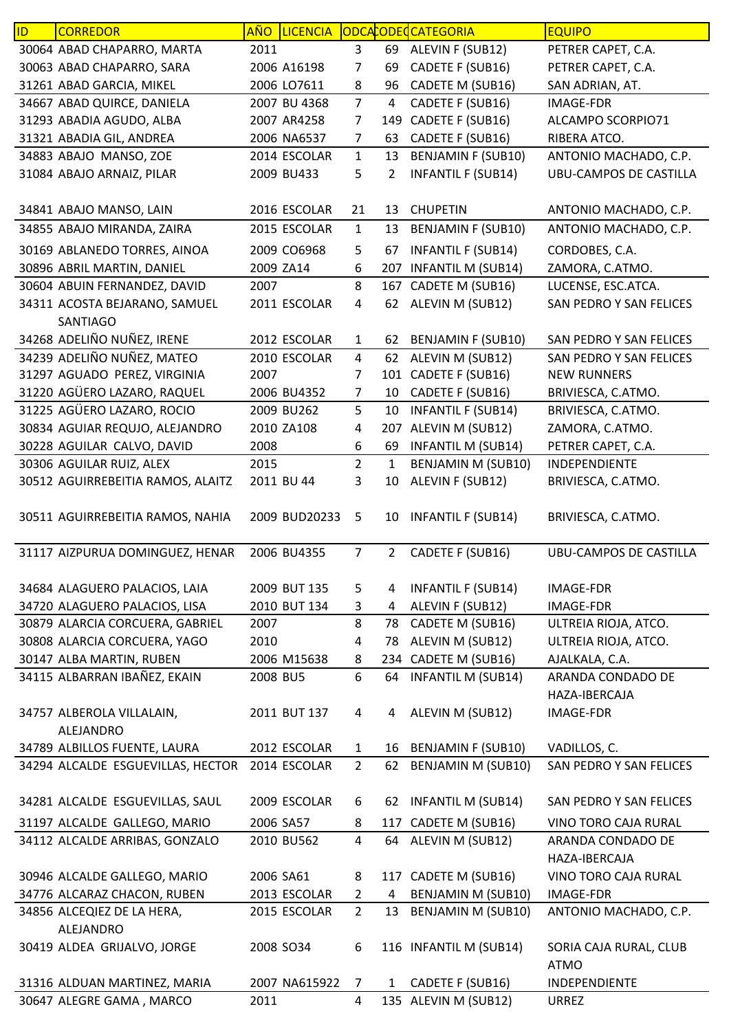| ID | <b>CORREDOR</b>                   | <u>AÑO</u> | <b>LICENCIA</b> |                |                | ODCACODECATEGORIA         | <b>EQUIPO</b>                 |
|----|-----------------------------------|------------|-----------------|----------------|----------------|---------------------------|-------------------------------|
|    | 30064 ABAD CHAPARRO, MARTA        | 2011       |                 | 3              | 69             | ALEVIN F (SUB12)          | PETRER CAPET, C.A.            |
|    | 30063 ABAD CHAPARRO, SARA         |            | 2006 A16198     | 7              | 69             | CADETE F (SUB16)          | PETRER CAPET, C.A.            |
|    | 31261 ABAD GARCIA, MIKEL          |            | 2006 LO7611     | 8              | 96             | CADETE M (SUB16)          | SAN ADRIAN, AT.               |
|    | 34667 ABAD QUIRCE, DANIELA        |            | 2007 BU 4368    | $\overline{7}$ | 4              | CADETE F (SUB16)          | <b>IMAGE-FDR</b>              |
|    | 31293 ABADIA AGUDO, ALBA          |            | 2007 AR4258     | 7              | 149            | CADETE F (SUB16)          | ALCAMPO SCORPIO71             |
|    | 31321 ABADIA GIL, ANDREA          |            | 2006 NA6537     | 7              | 63             | CADETE F (SUB16)          | RIBERA ATCO.                  |
|    | 34883 ABAJO MANSO, ZOE            |            | 2014 ESCOLAR    | $\mathbf{1}$   | 13             | <b>BENJAMIN F (SUB10)</b> | ANTONIO MACHADO, C.P.         |
|    | 31084 ABAJO ARNAIZ, PILAR         |            | 2009 BU433      | 5              | 2              | <b>INFANTIL F (SUB14)</b> | <b>UBU-CAMPOS DE CASTILLA</b> |
|    |                                   |            |                 |                |                |                           |                               |
|    | 34841 ABAJO MANSO, LAIN           |            | 2016 ESCOLAR    | 21             | 13             | <b>CHUPETIN</b>           | ANTONIO MACHADO, C.P.         |
|    | 34855 ABAJO MIRANDA, ZAIRA        |            | 2015 ESCOLAR    | $\mathbf{1}$   | 13             | <b>BENJAMIN F (SUB10)</b> | ANTONIO MACHADO, C.P.         |
|    | 30169 ABLANEDO TORRES, AINOA      |            | 2009 CO6968     | 5              | 67             | <b>INFANTIL F (SUB14)</b> | CORDOBES, C.A.                |
|    | 30896 ABRIL MARTIN, DANIEL        |            | 2009 ZA14       | 6              | 207            | <b>INFANTIL M (SUB14)</b> | ZAMORA, C.ATMO.               |
|    | 30604 ABUIN FERNANDEZ, DAVID      | 2007       |                 | 8              | 167            | CADETE M (SUB16)          | LUCENSE, ESC.ATCA.            |
|    | 34311 ACOSTA BEJARANO, SAMUEL     |            | 2011 ESCOLAR    | 4              | 62             | ALEVIN M (SUB12)          | SAN PEDRO Y SAN FELICES       |
|    | SANTIAGO                          |            |                 |                |                |                           |                               |
|    | 34268 ADELIÑO NUÑEZ, IRENE        |            | 2012 ESCOLAR    | $\mathbf{1}$   | 62             | <b>BENJAMIN F (SUB10)</b> | SAN PEDRO Y SAN FELICES       |
|    | 34239 ADELIÑO NUÑEZ, MATEO        |            | 2010 ESCOLAR    | 4              | 62             | ALEVIN M (SUB12)          | SAN PEDRO Y SAN FELICES       |
|    | 31297 AGUADO PEREZ, VIRGINIA      | 2007       |                 | 7              |                | 101 CADETE F (SUB16)      | <b>NEW RUNNERS</b>            |
|    | 31220 AGÜERO LAZARO, RAQUEL       |            | 2006 BU4352     | $\overline{7}$ | 10             | CADETE F (SUB16)          | BRIVIESCA, C.ATMO.            |
|    | 31225 AGÜERO LAZARO, ROCIO        |            | 2009 BU262      | 5              | 10             | <b>INFANTIL F (SUB14)</b> | BRIVIESCA, C.ATMO.            |
|    | 30834 AGUIAR REQUJO, ALEJANDRO    |            | 2010 ZA108      | 4              | 207            | ALEVIN M (SUB12)          | ZAMORA, C.ATMO.               |
|    | 30228 AGUILAR CALVO, DAVID        | 2008       |                 | 6              | 69             | <b>INFANTIL M (SUB14)</b> | PETRER CAPET, C.A.            |
|    | 30306 AGUILAR RUIZ, ALEX          | 2015       |                 | $\overline{2}$ | 1              | <b>BENJAMIN M (SUB10)</b> | INDEPENDIENTE                 |
|    | 30512 AGUIRREBEITIA RAMOS, ALAITZ |            | 2011 BU 44      | 3              | 10             | ALEVIN F (SUB12)          | BRIVIESCA, C.ATMO.            |
|    |                                   |            |                 |                |                |                           |                               |
|    | 30511 AGUIRREBEITIA RAMOS, NAHIA  |            | 2009 BUD20233   | 5              | 10             | <b>INFANTIL F (SUB14)</b> | BRIVIESCA, C.ATMO.            |
|    | 31117 AIZPURUA DOMINGUEZ, HENAR   |            | 2006 BU4355     | $\overline{7}$ | $\overline{2}$ | CADETE F (SUB16)          | <b>UBU-CAMPOS DE CASTILLA</b> |
|    |                                   |            |                 |                |                |                           |                               |
|    | 34684 ALAGUERO PALACIOS, LAIA     |            | 2009 BUT 135    | 5              | 4              | <b>INFANTIL F (SUB14)</b> | <b>IMAGE-FDR</b>              |
|    | 34720 ALAGUERO PALACIOS, LISA     |            | 2010 BUT 134    | 3              | 4              | ALEVIN F (SUB12)          | <b>IMAGE-FDR</b>              |
|    | 30879 ALARCIA CORCUERA, GABRIEL   | 2007       |                 | 8              | 78             | CADETE M (SUB16)          | ULTREIA RIOJA, ATCO.          |
|    | 30808 ALARCIA CORCUERA, YAGO      | 2010       |                 | 4              | 78             | ALEVIN M (SUB12)          | ULTREIA RIOJA, ATCO.          |
|    | 30147 ALBA MARTIN, RUBEN          |            | 2006 M15638     | 8              |                | 234 CADETE M (SUB16)      | AJALKALA, C.A.                |
|    | 34115 ALBARRAN IBAÑEZ, EKAIN      | 2008 BU5   |                 | 6              | 64             | <b>INFANTIL M (SUB14)</b> | ARANDA CONDADO DE             |
|    |                                   |            |                 |                |                |                           | HAZA-IBERCAJA                 |
|    | 34757 ALBEROLA VILLALAIN,         |            | 2011 BUT 137    | 4              | 4              | ALEVIN M (SUB12)          | <b>IMAGE-FDR</b>              |
|    | ALEJANDRO                         |            |                 |                |                |                           |                               |
|    | 34789 ALBILLOS FUENTE, LAURA      |            | 2012 ESCOLAR    | $\mathbf{1}$   | 16             | <b>BENJAMIN F (SUB10)</b> | VADILLOS, C.                  |
|    | 34294 ALCALDE ESGUEVILLAS, HECTOR |            | 2014 ESCOLAR    | $\overline{2}$ | 62             | <b>BENJAMIN M (SUB10)</b> | SAN PEDRO Y SAN FELICES       |
|    |                                   |            |                 |                |                |                           |                               |
|    | 34281 ALCALDE ESGUEVILLAS, SAUL   |            | 2009 ESCOLAR    | 6              |                | 62 INFANTIL M (SUB14)     | SAN PEDRO Y SAN FELICES       |
|    | 31197 ALCALDE GALLEGO, MARIO      | 2006 SA57  |                 | 8              |                | 117 CADETE M (SUB16)      | VINO TORO CAJA RURAL          |
|    | 34112 ALCALDE ARRIBAS, GONZALO    |            | 2010 BU562      | 4              | 64             | ALEVIN M (SUB12)          | ARANDA CONDADO DE             |
|    |                                   |            |                 |                |                |                           | HAZA-IBERCAJA                 |
|    | 30946 ALCALDE GALLEGO, MARIO      | 2006 SA61  |                 | 8              |                | 117 CADETE M (SUB16)      | VINO TORO CAJA RURAL          |
|    | 34776 ALCARAZ CHACON, RUBEN       |            | 2013 ESCOLAR    | $\overline{2}$ | 4              | BENJAMIN M (SUB10)        | <b>IMAGE-FDR</b>              |
|    | 34856 ALCEQIEZ DE LA HERA,        |            | 2015 ESCOLAR    | $\overline{2}$ | 13             | BENJAMIN M (SUB10)        | ANTONIO MACHADO, C.P.         |
|    | ALEJANDRO                         |            |                 |                |                |                           |                               |
|    | 30419 ALDEA GRIJALVO, JORGE       |            | 2008 SO34       | 6              |                | 116 INFANTIL M (SUB14)    | SORIA CAJA RURAL, CLUB        |
|    |                                   |            |                 |                |                |                           | <b>ATMO</b>                   |
|    | 31316 ALDUAN MARTINEZ, MARIA      |            | 2007 NA615922   | $\overline{7}$ | $\mathbf{1}$   | CADETE F (SUB16)          | <b>INDEPENDIENTE</b>          |
|    | 30647 ALEGRE GAMA, MARCO          | 2011       |                 | 4              |                | 135 ALEVIN M (SUB12)      | <b>URREZ</b>                  |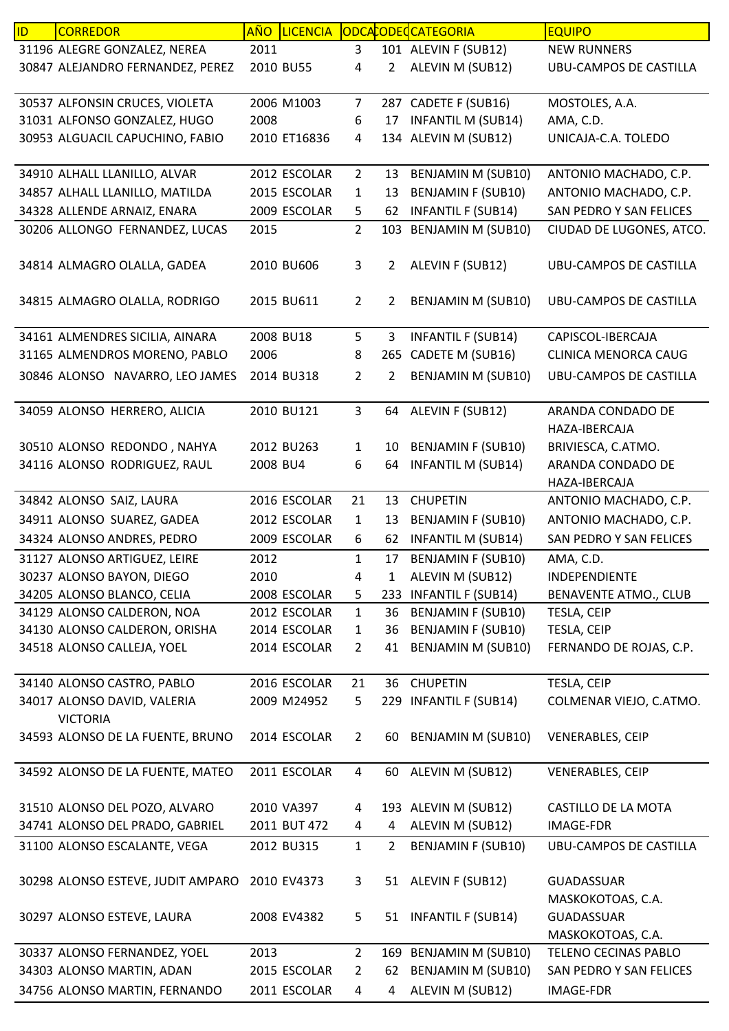| ID | <b>CORREDOR</b>                   | <b>AÑO</b> | <b>LICENCIA</b> |                |                | ODCACODECATEGORIA         | <b>EQUIPO</b>                 |
|----|-----------------------------------|------------|-----------------|----------------|----------------|---------------------------|-------------------------------|
|    | 31196 ALEGRE GONZALEZ, NEREA      | 2011       |                 | 3              |                | 101 ALEVIN F (SUB12)      | <b>NEW RUNNERS</b>            |
|    | 30847 ALEJANDRO FERNANDEZ, PEREZ  | 2010 BU55  |                 | 4              | 2              | ALEVIN M (SUB12)          | UBU-CAMPOS DE CASTILLA        |
|    |                                   |            |                 |                |                |                           |                               |
|    | 30537 ALFONSIN CRUCES, VIOLETA    |            | 2006 M1003      | $\overline{7}$ |                | 287 CADETE F (SUB16)      | MOSTOLES, A.A.                |
|    | 31031 ALFONSO GONZALEZ, HUGO      | 2008       |                 | 6              | 17             | <b>INFANTIL M (SUB14)</b> | AMA, C.D.                     |
|    | 30953 ALGUACIL CAPUCHINO, FABIO   |            | 2010 ET16836    | 4              |                | 134 ALEVIN M (SUB12)      | UNICAJA-C.A. TOLEDO           |
|    |                                   |            |                 |                |                |                           |                               |
|    | 34910 ALHALL LLANILLO, ALVAR      |            | 2012 ESCOLAR    | $\overline{2}$ | 13             | <b>BENJAMIN M (SUB10)</b> | ANTONIO MACHADO, C.P.         |
|    | 34857 ALHALL LLANILLO, MATILDA    |            | 2015 ESCOLAR    | 1              | 13             | <b>BENJAMIN F (SUB10)</b> | ANTONIO MACHADO, C.P.         |
|    | 34328 ALLENDE ARNAIZ, ENARA       |            | 2009 ESCOLAR    | 5              | 62             | <b>INFANTIL F (SUB14)</b> | SAN PEDRO Y SAN FELICES       |
|    | 30206 ALLONGO FERNANDEZ, LUCAS    | 2015       |                 | $\overline{2}$ | 103            | <b>BENJAMIN M (SUB10)</b> | CIUDAD DE LUGONES, ATCO.      |
|    |                                   |            |                 |                |                |                           |                               |
|    | 34814 ALMAGRO OLALLA, GADEA       |            | 2010 BU606      | 3              | $\overline{2}$ | ALEVIN F (SUB12)          | <b>UBU-CAMPOS DE CASTILLA</b> |
|    |                                   |            |                 |                |                |                           |                               |
|    | 34815 ALMAGRO OLALLA, RODRIGO     |            | 2015 BU611      | $\overline{2}$ | 2              | <b>BENJAMIN M (SUB10)</b> | <b>UBU-CAMPOS DE CASTILLA</b> |
|    |                                   |            |                 |                |                |                           |                               |
|    | 34161 ALMENDRES SICILIA, AINARA   |            | 2008 BU18       | 5              | 3              | <b>INFANTIL F (SUB14)</b> | CAPISCOL-IBERCAJA             |
|    | 31165 ALMENDROS MORENO, PABLO     | 2006       |                 | 8              | 265            | CADETE M (SUB16)          | <b>CLINICA MENORCA CAUG</b>   |
|    | 30846 ALONSO NAVARRO, LEO JAMES   |            | 2014 BU318      | $\overline{2}$ | 2              | <b>BENJAMIN M (SUB10)</b> | UBU-CAMPOS DE CASTILLA        |
|    |                                   |            |                 |                |                |                           |                               |
|    | 34059 ALONSO HERRERO, ALICIA      |            | 2010 BU121      | $\mathbf{3}$   | 64             | ALEVIN F (SUB12)          | ARANDA CONDADO DE             |
|    |                                   |            |                 |                |                |                           | HAZA-IBERCAJA                 |
|    | 30510 ALONSO REDONDO, NAHYA       |            | 2012 BU263      | $\mathbf{1}$   | 10             | <b>BENJAMIN F (SUB10)</b> | BRIVIESCA, C.ATMO.            |
|    | 34116 ALONSO RODRIGUEZ, RAUL      | 2008 BU4   |                 | 6              | 64             | <b>INFANTIL M (SUB14)</b> | ARANDA CONDADO DE             |
|    |                                   |            |                 |                |                |                           | HAZA-IBERCAJA                 |
|    | 34842 ALONSO SAIZ, LAURA          |            | 2016 ESCOLAR    | 21             | 13             | <b>CHUPETIN</b>           | ANTONIO MACHADO, C.P.         |
|    | 34911 ALONSO SUAREZ, GADEA        |            | 2012 ESCOLAR    | $\mathbf{1}$   | 13             | <b>BENJAMIN F (SUB10)</b> | ANTONIO MACHADO, C.P.         |
|    | 34324 ALONSO ANDRES, PEDRO        |            | 2009 ESCOLAR    | 6              | 62             | <b>INFANTIL M (SUB14)</b> | SAN PEDRO Y SAN FELICES       |
|    | 31127 ALONSO ARTIGUEZ, LEIRE      | 2012       |                 | $\mathbf{1}$   | 17             | <b>BENJAMIN F (SUB10)</b> | AMA, C.D.                     |
|    | 30237 ALONSO BAYON, DIEGO         | 2010       |                 | 4              | 1              | ALEVIN M (SUB12)          | INDEPENDIENTE                 |
|    | 34205 ALONSO BLANCO, CELIA        |            | 2008 ESCOLAR    | 5              |                | 233 INFANTIL F (SUB14)    | <b>BENAVENTE ATMO., CLUB</b>  |
|    | 34129 ALONSO CALDERON, NOA        |            | 2012 ESCOLAR    | $\mathbf{1}$   | 36             | <b>BENJAMIN F (SUB10)</b> | TESLA, CEIP                   |
|    | 34130 ALONSO CALDERON, ORISHA     |            | 2014 ESCOLAR    | $\mathbf{1}$   | 36             | <b>BENJAMIN F (SUB10)</b> | TESLA, CEIP                   |
|    | 34518 ALONSO CALLEJA, YOEL        |            | 2014 ESCOLAR    | $\overline{2}$ | 41             | <b>BENJAMIN M (SUB10)</b> | FERNANDO DE ROJAS, C.P.       |
|    |                                   |            |                 |                |                |                           |                               |
|    | 34140 ALONSO CASTRO, PABLO        |            | 2016 ESCOLAR    | 21             | 36             | <b>CHUPETIN</b>           | TESLA, CEIP                   |
|    | 34017 ALONSO DAVID, VALERIA       |            | 2009 M24952     | 5              |                | 229 INFANTIL F (SUB14)    | COLMENAR VIEJO, C.ATMO.       |
|    | <b>VICTORIA</b>                   |            |                 |                |                |                           |                               |
|    | 34593 ALONSO DE LA FUENTE, BRUNO  |            | 2014 ESCOLAR    | $\overline{2}$ | 60             | <b>BENJAMIN M (SUB10)</b> | <b>VENERABLES, CEIP</b>       |
|    |                                   |            |                 |                |                |                           |                               |
|    | 34592 ALONSO DE LA FUENTE, MATEO  |            | 2011 ESCOLAR    | 4              | 60             | ALEVIN M (SUB12)          | <b>VENERABLES, CEIP</b>       |
|    |                                   |            |                 |                |                |                           |                               |
|    | 31510 ALONSO DEL POZO, ALVARO     |            | 2010 VA397      | 4              |                | 193 ALEVIN M (SUB12)      | CASTILLO DE LA MOTA           |
|    | 34741 ALONSO DEL PRADO, GABRIEL   |            | 2011 BUT 472    | 4              | 4              | ALEVIN M (SUB12)          | <b>IMAGE-FDR</b>              |
|    | 31100 ALONSO ESCALANTE, VEGA      |            | 2012 BU315      | $\mathbf{1}$   | 2              | <b>BENJAMIN F (SUB10)</b> | UBU-CAMPOS DE CASTILLA        |
|    |                                   |            |                 |                |                |                           |                               |
|    | 30298 ALONSO ESTEVE, JUDIT AMPARO |            | 2010 EV4373     | 3              |                | 51 ALEVIN F (SUB12)       | <b>GUADASSUAR</b>             |
|    |                                   |            |                 |                |                |                           | MASKOKOTOAS, C.A.             |
|    | 30297 ALONSO ESTEVE, LAURA        |            | 2008 EV4382     | 5              |                | 51 INFANTIL F (SUB14)     | <b>GUADASSUAR</b>             |
|    |                                   |            |                 |                |                |                           | MASKOKOTOAS, C.A.             |
|    | 30337 ALONSO FERNANDEZ, YOEL      | 2013       |                 | $\overline{2}$ |                | 169 BENJAMIN M (SUB10)    | TELENO CECINAS PABLO          |
|    | 34303 ALONSO MARTIN, ADAN         |            | 2015 ESCOLAR    | 2              | 62             | <b>BENJAMIN M (SUB10)</b> | SAN PEDRO Y SAN FELICES       |
|    | 34756 ALONSO MARTIN, FERNANDO     |            | 2011 ESCOLAR    | 4              | 4              | ALEVIN M (SUB12)          | <b>IMAGE-FDR</b>              |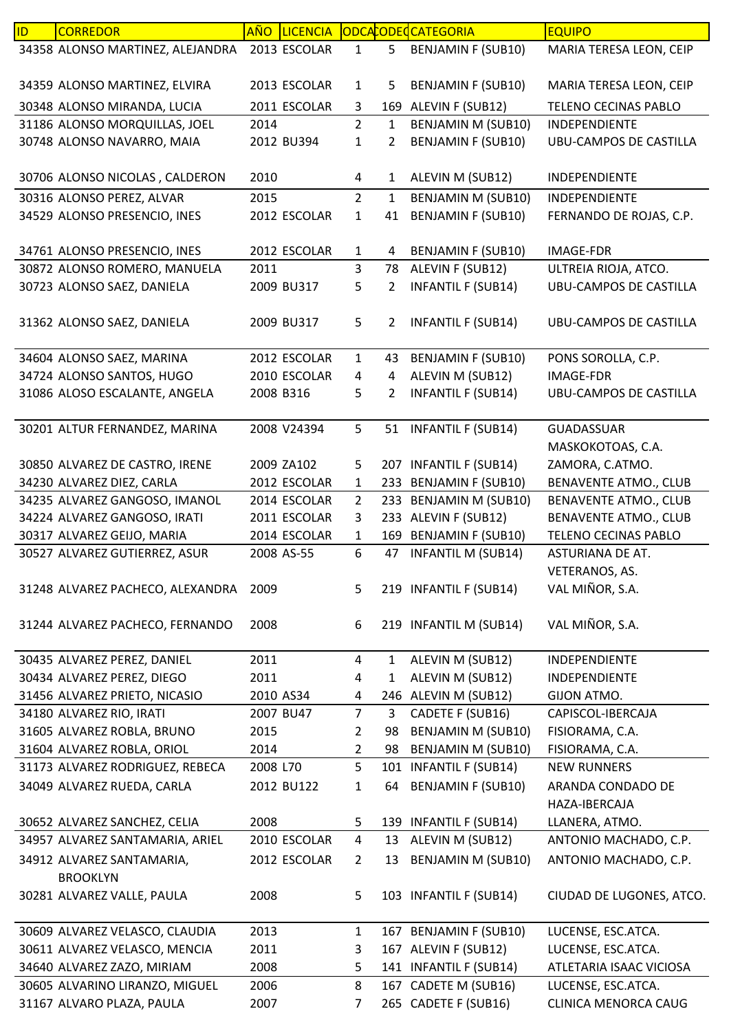| ID | <b>CORREDOR</b>                  | AÑO LICENCIA |                |              | ODCACODECATEGORIA         | <b>EQUIPO</b>                 |
|----|----------------------------------|--------------|----------------|--------------|---------------------------|-------------------------------|
|    | 34358 ALONSO MARTINEZ, ALEJANDRA | 2013 ESCOLAR | $\mathbf{1}$   | 5            | <b>BENJAMIN F (SUB10)</b> | MARIA TERESA LEON, CEIP       |
|    |                                  |              |                |              |                           |                               |
|    | 34359 ALONSO MARTINEZ, ELVIRA    | 2013 ESCOLAR | $\mathbf{1}$   | 5            | <b>BENJAMIN F (SUB10)</b> | MARIA TERESA LEON, CEIP       |
|    | 30348 ALONSO MIRANDA, LUCIA      | 2011 ESCOLAR | 3.             |              | 169 ALEVIN F (SUB12)      | TELENO CECINAS PABLO          |
|    | 31186 ALONSO MORQUILLAS, JOEL    | 2014         | $\overline{2}$ | $\mathbf{1}$ | BENJAMIN M (SUB10)        | INDEPENDIENTE                 |
|    | 30748 ALONSO NAVARRO, MAIA       | 2012 BU394   | 1              | 2            | <b>BENJAMIN F (SUB10)</b> | <b>UBU-CAMPOS DE CASTILLA</b> |
|    |                                  |              |                |              |                           |                               |
|    | 30706 ALONSO NICOLAS, CALDERON   | 2010         | 4              | 1            | ALEVIN M (SUB12)          | INDEPENDIENTE                 |
|    | 30316 ALONSO PEREZ, ALVAR        | 2015         | $\overline{2}$ | 1            | BENJAMIN M (SUB10)        | <b>INDEPENDIENTE</b>          |
|    | 34529 ALONSO PRESENCIO, INES     | 2012 ESCOLAR | $\mathbf{1}$   | 41           | <b>BENJAMIN F (SUB10)</b> | FERNANDO DE ROJAS, C.P.       |
|    |                                  |              |                |              |                           |                               |
|    | 34761 ALONSO PRESENCIO, INES     | 2012 ESCOLAR | $\mathbf{1}$   | 4            | <b>BENJAMIN F (SUB10)</b> | <b>IMAGE-FDR</b>              |
|    | 30872 ALONSO ROMERO, MANUELA     | 2011         | 3              | 78           | ALEVIN F (SUB12)          | ULTREIA RIOJA, ATCO.          |
|    | 30723 ALONSO SAEZ, DANIELA       | 2009 BU317   | 5              | 2            | <b>INFANTIL F (SUB14)</b> | <b>UBU-CAMPOS DE CASTILLA</b> |
|    |                                  |              |                |              |                           |                               |
|    | 31362 ALONSO SAEZ, DANIELA       | 2009 BU317   | 5              | 2            | <b>INFANTIL F (SUB14)</b> | UBU-CAMPOS DE CASTILLA        |
|    |                                  |              |                |              |                           |                               |
|    | 34604 ALONSO SAEZ, MARINA        | 2012 ESCOLAR | $\mathbf{1}$   | 43           | <b>BENJAMIN F (SUB10)</b> | PONS SOROLLA, C.P.            |
|    | 34724 ALONSO SANTOS, HUGO        | 2010 ESCOLAR | 4              | 4            | ALEVIN M (SUB12)          | <b>IMAGE-FDR</b>              |
|    | 31086 ALOSO ESCALANTE, ANGELA    | 2008 B316    | 5              | 2            | <b>INFANTIL F (SUB14)</b> | UBU-CAMPOS DE CASTILLA        |
|    |                                  |              |                |              |                           |                               |
|    | 30201 ALTUR FERNANDEZ, MARINA    | 2008 V24394  | 5              |              | 51 INFANTIL F (SUB14)     | <b>GUADASSUAR</b>             |
|    |                                  |              |                |              |                           | MASKOKOTOAS, C.A.             |
|    | 30850 ALVAREZ DE CASTRO, IRENE   | 2009 ZA102   | 5              |              | 207 INFANTIL F (SUB14)    | ZAMORA, C.ATMO.               |
|    | 34230 ALVAREZ DIEZ, CARLA        | 2012 ESCOLAR | $\mathbf{1}$   |              | 233 BENJAMIN F (SUB10)    | <b>BENAVENTE ATMO., CLUB</b>  |
|    | 34235 ALVAREZ GANGOSO, IMANOL    | 2014 ESCOLAR | $\overline{2}$ | 233          | <b>BENJAMIN M (SUB10)</b> | <b>BENAVENTE ATMO., CLUB</b>  |
|    | 34224 ALVAREZ GANGOSO, IRATI     | 2011 ESCOLAR | 3              |              | 233 ALEVIN F (SUB12)      | <b>BENAVENTE ATMO., CLUB</b>  |
|    | 30317 ALVAREZ GEIJO, MARIA       | 2014 ESCOLAR | 1              | 169          | <b>BENJAMIN F (SUB10)</b> | <b>TELENO CECINAS PABLO</b>   |
|    | 30527 ALVAREZ GUTIERREZ, ASUR    | 2008 AS-55   | 6              | 47           | <b>INFANTIL M (SUB14)</b> | ASTURIANA DE AT.              |
|    |                                  |              |                |              |                           | VETERANOS, AS.                |
|    | 31248 ALVAREZ PACHECO, ALEXANDRA | 2009         | 5              |              | 219 INFANTIL F (SUB14)    | VAL MIÑOR, S.A.               |
|    |                                  |              |                |              |                           |                               |
|    | 31244 ALVAREZ PACHECO, FERNANDO  | 2008         | 6              |              | 219 INFANTIL M (SUB14)    | VAL MIÑOR, S.A.               |
|    |                                  |              |                |              |                           |                               |
|    | 30435 ALVAREZ PEREZ, DANIEL      | 2011         | 4              | 1            | ALEVIN M (SUB12)          | INDEPENDIENTE                 |
|    | 30434 ALVAREZ PEREZ, DIEGO       | 2011         | 4              | 1            | ALEVIN M (SUB12)          | INDEPENDIENTE                 |
|    | 31456 ALVAREZ PRIETO, NICASIO    | 2010 AS34    | 4              |              | 246 ALEVIN M (SUB12)      | GIJON ATMO.                   |
|    | 34180 ALVAREZ RIO, IRATI         | 2007 BU47    | $\overline{7}$ | 3            | CADETE F (SUB16)          | CAPISCOL-IBERCAJA             |
|    | 31605 ALVAREZ ROBLA, BRUNO       | 2015         | $\overline{2}$ | 98           | <b>BENJAMIN M (SUB10)</b> | FISIORAMA, C.A.               |
|    | 31604 ALVAREZ ROBLA, ORIOL       | 2014         | 2              | 98           | <b>BENJAMIN M (SUB10)</b> | FISIORAMA, C.A.               |
|    | 31173 ALVAREZ RODRIGUEZ, REBECA  | 2008 L70     | 5              |              | 101 INFANTIL F (SUB14)    | <b>NEW RUNNERS</b>            |
|    | 34049 ALVAREZ RUEDA, CARLA       | 2012 BU122   | $\mathbf{1}$   | 64           | <b>BENJAMIN F (SUB10)</b> | ARANDA CONDADO DE             |
|    |                                  |              |                |              |                           | HAZA-IBERCAJA                 |
|    | 30652 ALVAREZ SANCHEZ, CELIA     | 2008         | 5              |              | 139 INFANTIL F (SUB14)    | LLANERA, ATMO.                |
|    | 34957 ALVAREZ SANTAMARIA, ARIEL  | 2010 ESCOLAR | 4              | 13           | ALEVIN M (SUB12)          | ANTONIO MACHADO, C.P.         |
|    | 34912 ALVAREZ SANTAMARIA,        | 2012 ESCOLAR | $\overline{2}$ | 13           | <b>BENJAMIN M (SUB10)</b> | ANTONIO MACHADO, C.P.         |
|    | <b>BROOKLYN</b>                  |              |                |              |                           |                               |
|    | 30281 ALVAREZ VALLE, PAULA       | 2008         | 5              |              | 103 INFANTIL F (SUB14)    | CIUDAD DE LUGONES, ATCO.      |
|    |                                  |              |                |              |                           |                               |
|    | 30609 ALVAREZ VELASCO, CLAUDIA   | 2013         | $\mathbf{1}$   |              | 167 BENJAMIN F (SUB10)    | LUCENSE, ESC.ATCA.            |
|    | 30611 ALVAREZ VELASCO, MENCIA    | 2011         | 3              |              | 167 ALEVIN F (SUB12)      | LUCENSE, ESC.ATCA.            |
|    | 34640 ALVAREZ ZAZO, MIRIAM       | 2008         | 5              |              | 141 INFANTIL F (SUB14)    | ATLETARIA ISAAC VICIOSA       |
|    | 30605 ALVARINO LIRANZO, MIGUEL   | 2006         | 8              | 167          | CADETE M (SUB16)          | LUCENSE, ESC.ATCA.            |
|    | 31167 ALVARO PLAZA, PAULA        | 2007         | 7              |              | 265 CADETE F (SUB16)      | CLINICA MENORCA CAUG          |
|    |                                  |              |                |              |                           |                               |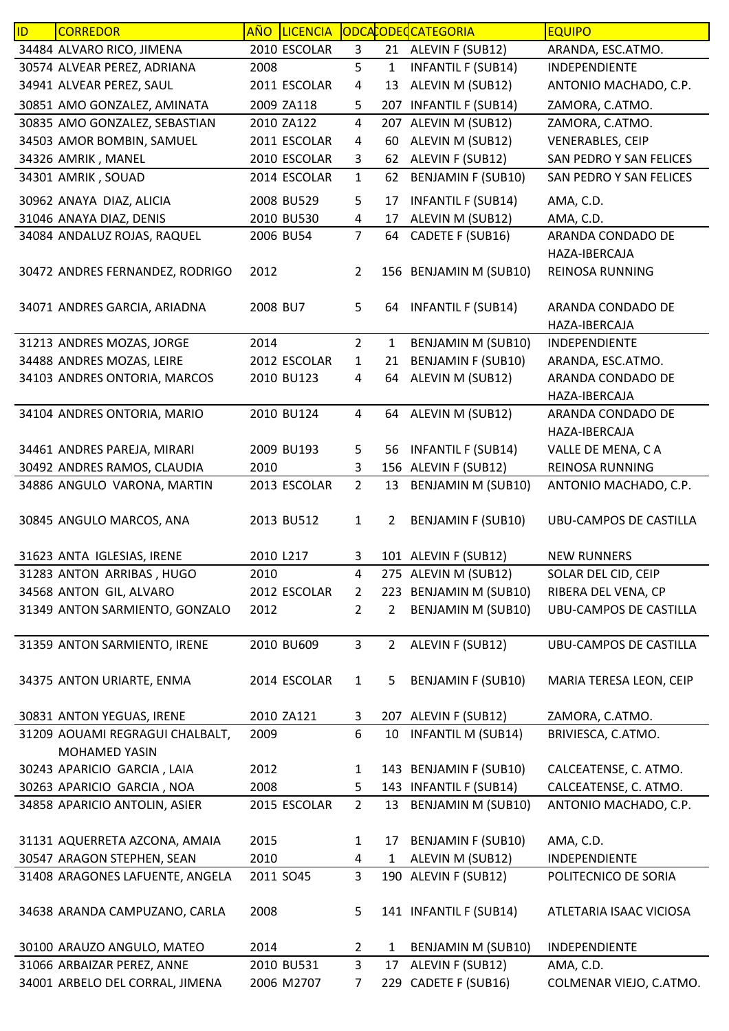| ID | <b>CORREDOR</b>                 | AÑO       | <b>LICENCIA</b> |                |                | ODCACODECCATEGORIA        | <b>EQUIPO</b>                 |
|----|---------------------------------|-----------|-----------------|----------------|----------------|---------------------------|-------------------------------|
|    | 34484 ALVARO RICO, JIMENA       |           | 2010 ESCOLAR    | 3              |                | 21 ALEVIN F (SUB12)       | ARANDA, ESC.ATMO.             |
|    | 30574 ALVEAR PEREZ, ADRIANA     | 2008      |                 | 5              | $\mathbf{1}$   | <b>INFANTIL F (SUB14)</b> | INDEPENDIENTE                 |
|    | 34941 ALVEAR PEREZ, SAUL        |           | 2011 ESCOLAR    | $\overline{a}$ | 13             | ALEVIN M (SUB12)          | ANTONIO MACHADO, C.P.         |
|    | 30851 AMO GONZALEZ, AMINATA     |           | 2009 ZA118      | 5              | 207            | <b>INFANTIL F (SUB14)</b> | ZAMORA, C.ATMO.               |
|    | 30835 AMO GONZALEZ, SEBASTIAN   |           | 2010 ZA122      | $\overline{4}$ |                | 207 ALEVIN M (SUB12)      | ZAMORA, C.ATMO.               |
|    | 34503 AMOR BOMBIN, SAMUEL       |           | 2011 ESCOLAR    | 4              | 60             | ALEVIN M (SUB12)          | <b>VENERABLES, CEIP</b>       |
|    | 34326 AMRIK, MANEL              |           | 2010 ESCOLAR    | 3              | 62             | ALEVIN F (SUB12)          | SAN PEDRO Y SAN FELICES       |
|    | 34301 AMRIK, SOUAD              |           | 2014 ESCOLAR    | $\mathbf{1}$   | 62             | <b>BENJAMIN F (SUB10)</b> | SAN PEDRO Y SAN FELICES       |
|    | 30962 ANAYA DIAZ, ALICIA        |           | 2008 BU529      | 5              | 17             | <b>INFANTIL F (SUB14)</b> | AMA, C.D.                     |
|    | 31046 ANAYA DIAZ, DENIS         |           | 2010 BU530      | 4              | 17             | ALEVIN M (SUB12)          | AMA, C.D.                     |
|    | 34084 ANDALUZ ROJAS, RAQUEL     |           | 2006 BU54       | $\overline{7}$ | 64             | CADETE F (SUB16)          | ARANDA CONDADO DE             |
|    |                                 |           |                 |                |                |                           | HAZA-IBERCAJA                 |
|    | 30472 ANDRES FERNANDEZ, RODRIGO | 2012      |                 | $\overline{2}$ |                | 156 BENJAMIN M (SUB10)    | REINOSA RUNNING               |
|    |                                 |           |                 |                |                |                           |                               |
|    | 34071 ANDRES GARCIA, ARIADNA    | 2008 BU7  |                 | 5              | 64             | <b>INFANTIL F (SUB14)</b> | ARANDA CONDADO DE             |
|    |                                 |           |                 |                |                |                           | HAZA-IBERCAJA                 |
|    | 31213 ANDRES MOZAS, JORGE       | 2014      |                 | $\overline{2}$ | $\mathbf{1}$   | BENJAMIN M (SUB10)        | INDEPENDIENTE                 |
|    | 34488 ANDRES MOZAS, LEIRE       |           | 2012 ESCOLAR    | 1              | 21             | <b>BENJAMIN F (SUB10)</b> | ARANDA, ESC.ATMO.             |
|    | 34103 ANDRES ONTORIA, MARCOS    |           | 2010 BU123      | 4              | 64             | ALEVIN M (SUB12)          | ARANDA CONDADO DE             |
|    |                                 |           |                 |                |                |                           | HAZA-IBERCAJA                 |
|    | 34104 ANDRES ONTORIA, MARIO     |           | 2010 BU124      | $\overline{4}$ |                | 64 ALEVIN M (SUB12)       | ARANDA CONDADO DE             |
|    |                                 |           |                 |                |                |                           | HAZA-IBERCAJA                 |
|    | 34461 ANDRES PAREJA, MIRARI     |           | 2009 BU193      | 5              | 56             | <b>INFANTIL F (SUB14)</b> | VALLE DE MENA, CA             |
|    | 30492 ANDRES RAMOS, CLAUDIA     | 2010      |                 | 3              |                | 156 ALEVIN F (SUB12)      | REINOSA RUNNING               |
|    | 34886 ANGULO VARONA, MARTIN     |           | 2013 ESCOLAR    | $\overline{2}$ | 13             | <b>BENJAMIN M (SUB10)</b> | ANTONIO MACHADO, C.P.         |
|    | 30845 ANGULO MARCOS, ANA        |           | 2013 BU512      | $\mathbf{1}$   | 2              | <b>BENJAMIN F (SUB10)</b> | UBU-CAMPOS DE CASTILLA        |
|    | 31623 ANTA IGLESIAS, IRENE      | 2010 L217 |                 | 3              |                | 101 ALEVIN F (SUB12)      | <b>NEW RUNNERS</b>            |
|    | 31283 ANTON ARRIBAS, HUGO       | 2010      |                 | 4              |                | 275 ALEVIN M (SUB12)      | SOLAR DEL CID, CEIP           |
|    | 34568 ANTON GIL, ALVARO         |           | 2012 ESCOLAR    | $\overline{2}$ |                | 223 BENJAMIN M (SUB10)    | RIBERA DEL VENA, CP           |
|    | 31349 ANTON SARMIENTO, GONZALO  | 2012      |                 | 2              | $\overline{2}$ | BENJAMIN M (SUB10)        | UBU-CAMPOS DE CASTILLA        |
|    |                                 |           |                 |                |                |                           |                               |
|    | 31359 ANTON SARMIENTO, IRENE    |           | 2010 BU609      | $\overline{3}$ | $2^{\circ}$    | ALEVIN F (SUB12)          | <b>UBU-CAMPOS DE CASTILLA</b> |
|    |                                 |           |                 |                |                |                           |                               |
|    | 34375 ANTON URIARTE, ENMA       |           | 2014 ESCOLAR    | $\mathbf{1}$   | 5              | <b>BENJAMIN F (SUB10)</b> | MARIA TERESA LEON, CEIP       |
|    | 30831 ANTON YEGUAS, IRENE       |           | 2010 ZA121      | 3              |                | 207 ALEVIN F (SUB12)      | ZAMORA, C.ATMO.               |
|    | 31209 AOUAMI REGRAGUI CHALBALT, | 2009      |                 | 6              | 10             | <b>INFANTIL M (SUB14)</b> | BRIVIESCA, C.ATMO.            |
|    | MOHAMED YASIN                   |           |                 |                |                |                           |                               |
|    | 30243 APARICIO GARCIA, LAIA     | 2012      |                 | $\mathbf{1}$   |                | 143 BENJAMIN F (SUB10)    | CALCEATENSE, C. ATMO.         |
|    | 30263 APARICIO GARCIA, NOA      | 2008      |                 | 5              |                | 143 INFANTIL F (SUB14)    | CALCEATENSE, C. ATMO.         |
|    | 34858 APARICIO ANTOLIN, ASIER   |           | 2015 ESCOLAR    | $\overline{2}$ | 13             | <b>BENJAMIN M (SUB10)</b> | ANTONIO MACHADO, C.P.         |
|    |                                 |           |                 |                |                |                           |                               |
|    | 31131 AQUERRETA AZCONA, AMAIA   | 2015      |                 | 1              | 17             | <b>BENJAMIN F (SUB10)</b> | AMA, C.D.                     |
|    | 30547 ARAGON STEPHEN, SEAN      | 2010      |                 | 4              | $\mathbf{1}$   | ALEVIN M (SUB12)          | INDEPENDIENTE                 |
|    | 31408 ARAGONES LAFUENTE, ANGELA | 2011 SO45 |                 | 3              |                | 190 ALEVIN F (SUB12)      | POLITECNICO DE SORIA          |
|    | 34638 ARANDA CAMPUZANO, CARLA   | 2008      |                 | 5              |                | 141 INFANTIL F (SUB14)    | ATLETARIA ISAAC VICIOSA       |
|    | 30100 ARAUZO ANGULO, MATEO      | 2014      |                 | $\overline{2}$ | 1              | BENJAMIN M (SUB10)        | INDEPENDIENTE                 |
|    | 31066 ARBAIZAR PEREZ, ANNE      |           | 2010 BU531      | 3              | 17             | ALEVIN F (SUB12)          | AMA, C.D.                     |
|    | 34001 ARBELO DEL CORRAL, JIMENA |           | 2006 M2707      | 7              |                | 229 CADETE F (SUB16)      | COLMENAR VIEJO, C.ATMO.       |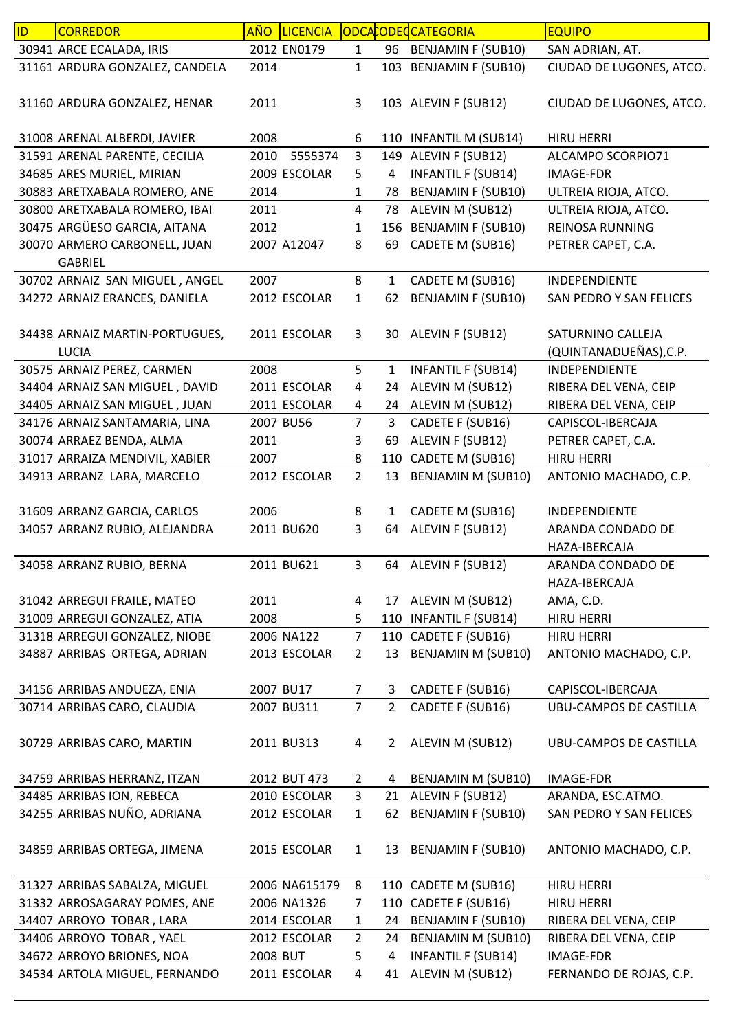| ID | <b>CORREDOR</b>                                |           | AÑO LICENCIA  |                |                | ODCACODECCATEGORIA        | <b>EQUIPO</b>                 |
|----|------------------------------------------------|-----------|---------------|----------------|----------------|---------------------------|-------------------------------|
|    | 30941 ARCE ECALADA, IRIS                       |           | 2012 EN0179   | $\mathbf{1}$   |                | 96 BENJAMIN F (SUB10)     | SAN ADRIAN, AT.               |
|    | 31161 ARDURA GONZALEZ, CANDELA                 | 2014      |               | $\mathbf{1}$   |                | 103 BENJAMIN F (SUB10)    | CIUDAD DE LUGONES, ATCO.      |
|    | 31160 ARDURA GONZALEZ, HENAR                   | 2011      |               | 3              |                | 103 ALEVIN F (SUB12)      | CIUDAD DE LUGONES, ATCO.      |
|    | 31008 ARENAL ALBERDI, JAVIER                   | 2008      |               | 6              |                | 110 INFANTIL M (SUB14)    | <b>HIRU HERRI</b>             |
|    | 31591 ARENAL PARENTE, CECILIA                  | 2010      | 5555374       | 3              |                | 149 ALEVIN F (SUB12)      | ALCAMPO SCORPIO71             |
|    | 34685 ARES MURIEL, MIRIAN                      |           | 2009 ESCOLAR  | 5              | 4              | <b>INFANTIL F (SUB14)</b> | IMAGE-FDR                     |
|    | 30883 ARETXABALA ROMERO, ANE                   | 2014      |               | 1              | 78             | <b>BENJAMIN F (SUB10)</b> | ULTREIA RIOJA, ATCO.          |
|    | 30800 ARETXABALA ROMERO, IBAI                  | 2011      |               | $\overline{4}$ | 78             | ALEVIN M (SUB12)          | ULTREIA RIOJA, ATCO.          |
|    | 30475 ARGÜESO GARCIA, AITANA                   | 2012      |               | 1              |                | 156 BENJAMIN F (SUB10)    | <b>REINOSA RUNNING</b>        |
|    | 30070 ARMERO CARBONELL, JUAN<br><b>GABRIEL</b> |           | 2007 A12047   | 8              | 69             | CADETE M (SUB16)          | PETRER CAPET, C.A.            |
|    | 30702 ARNAIZ SAN MIGUEL, ANGEL                 | 2007      |               | 8              | 1              | CADETE M (SUB16)          | INDEPENDIENTE                 |
|    | 34272 ARNAIZ ERANCES, DANIELA                  |           | 2012 ESCOLAR  | $\mathbf{1}$   | 62             | <b>BENJAMIN F (SUB10)</b> | SAN PEDRO Y SAN FELICES       |
|    | 34438 ARNAIZ MARTIN-PORTUGUES,                 |           | 2011 ESCOLAR  | 3              | 30             | ALEVIN F (SUB12)          | SATURNINO CALLEJA             |
|    | <b>LUCIA</b>                                   |           |               |                |                |                           | (QUINTANADUEÑAS), C.P.        |
|    | 30575 ARNAIZ PEREZ, CARMEN                     | 2008      |               | 5              | 1              | <b>INFANTIL F (SUB14)</b> | INDEPENDIENTE                 |
|    | 34404 ARNAIZ SAN MIGUEL, DAVID                 |           | 2011 ESCOLAR  | 4              | 24             | ALEVIN M (SUB12)          | RIBERA DEL VENA, CEIP         |
|    | 34405 ARNAIZ SAN MIGUEL, JUAN                  |           | 2011 ESCOLAR  | 4              |                | 24 ALEVIN M (SUB12)       | RIBERA DEL VENA, CEIP         |
|    | 34176 ARNAIZ SANTAMARIA, LINA                  | 2007 BU56 |               | $\overline{7}$ | 3              | CADETE F (SUB16)          | CAPISCOL-IBERCAJA             |
|    | 30074 ARRAEZ BENDA, ALMA                       | 2011      |               | 3              | 69             | ALEVIN F (SUB12)          | PETRER CAPET, C.A.            |
|    | 31017 ARRAIZA MENDIVIL, XABIER                 | 2007      |               | 8              |                | 110 CADETE M (SUB16)      | <b>HIRU HERRI</b>             |
|    | 34913 ARRANZ LARA, MARCELO                     |           | 2012 ESCOLAR  | $\overline{2}$ | 13             | <b>BENJAMIN M (SUB10)</b> | ANTONIO MACHADO, C.P.         |
|    |                                                |           |               |                |                |                           |                               |
|    | 31609 ARRANZ GARCIA, CARLOS                    | 2006      |               | 8              | $\mathbf{1}$   | CADETE M (SUB16)          | INDEPENDIENTE                 |
|    | 34057 ARRANZ RUBIO, ALEJANDRA                  |           | 2011 BU620    | 3              |                | 64 ALEVIN F (SUB12)       | ARANDA CONDADO DE             |
|    |                                                |           |               |                |                |                           | HAZA-IBERCAJA                 |
|    | 34058 ARRANZ RUBIO, BERNA                      |           | 2011 BU621    | 3              | 64             | ALEVIN F (SUB12)          | ARANDA CONDADO DE             |
|    |                                                |           |               |                |                |                           | HAZA-IBERCAJA                 |
|    | 31042 ARREGUI FRAILE, MATEO                    | 2011      |               | 4              |                | 17 ALEVIN M (SUB12)       | AMA, C.D.                     |
|    | 31009 ARREGUI GONZALEZ, ATIA                   | 2008      |               | 5              |                | 110 INFANTIL F (SUB14)    | <b>HIRU HERRI</b>             |
|    | 31318 ARREGUI GONZALEZ, NIOBE                  |           | 2006 NA122    | $\overline{7}$ |                | 110 CADETE F (SUB16)      | <b>HIRU HERRI</b>             |
|    | 34887 ARRIBAS ORTEGA, ADRIAN                   |           | 2013 ESCOLAR  | $\overline{2}$ | 13             | BENJAMIN M (SUB10)        | ANTONIO MACHADO, C.P.         |
|    | 34156 ARRIBAS ANDUEZA, ENIA                    | 2007 BU17 |               | $\overline{7}$ | 3              | CADETE F (SUB16)          | CAPISCOL-IBERCAJA             |
|    | 30714 ARRIBAS CARO, CLAUDIA                    |           | 2007 BU311    | 7 <sup>1</sup> | 2              | <b>CADETE F (SUB16)</b>   | <b>UBU-CAMPOS DE CASTILLA</b> |
|    | 30729 ARRIBAS CARO, MARTIN                     |           | 2011 BU313    | 4              | $\overline{2}$ | ALEVIN M (SUB12)          | UBU-CAMPOS DE CASTILLA        |
|    | 34759 ARRIBAS HERRANZ, ITZAN                   |           | 2012 BUT 473  | $\overline{2}$ | 4              | BENJAMIN M (SUB10)        | <b>IMAGE-FDR</b>              |
|    | 34485 ARRIBAS ION, REBECA                      |           | 2010 ESCOLAR  | 3              | 21             | ALEVIN F (SUB12)          | ARANDA, ESC.ATMO.             |
|    | 34255 ARRIBAS NUÑO, ADRIANA                    |           | 2012 ESCOLAR  | $\mathbf{1}$   | 62             | <b>BENJAMIN F (SUB10)</b> | SAN PEDRO Y SAN FELICES       |
|    | 34859 ARRIBAS ORTEGA, JIMENA                   |           | 2015 ESCOLAR  | $\mathbf{1}$   | 13             | <b>BENJAMIN F (SUB10)</b> | ANTONIO MACHADO, C.P.         |
|    | 31327 ARRIBAS SABALZA, MIGUEL                  |           | 2006 NA615179 | 8              |                | 110 CADETE M (SUB16)      | <b>HIRU HERRI</b>             |
|    | 31332 ARROSAGARAY POMES, ANE                   |           | 2006 NA1326   | 7              |                | 110 CADETE F (SUB16)      | <b>HIRU HERRI</b>             |
|    | 34407 ARROYO TOBAR, LARA                       |           | 2014 ESCOLAR  | $\mathbf{1}$   | 24             | <b>BENJAMIN F (SUB10)</b> | RIBERA DEL VENA, CEIP         |
|    | 34406 ARROYO TOBAR, YAEL                       |           | 2012 ESCOLAR  | $\overline{2}$ | 24             | <b>BENJAMIN M (SUB10)</b> | RIBERA DEL VENA, CEIP         |
|    | 34672 ARROYO BRIONES, NOA                      | 2008 BUT  |               | 5              | 4              | <b>INFANTIL F (SUB14)</b> | IMAGE-FDR                     |
|    | 34534 ARTOLA MIGUEL, FERNANDO                  |           | 2011 ESCOLAR  | 4              | 41             | ALEVIN M (SUB12)          | FERNANDO DE ROJAS, C.P.       |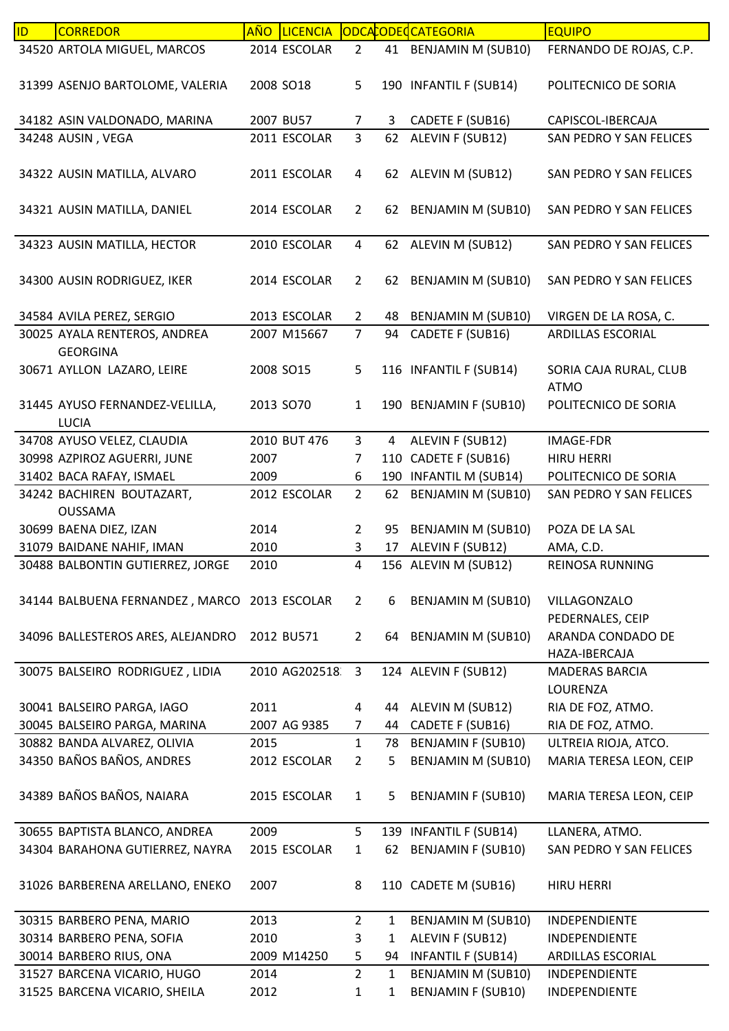| ID | <b>CORREDOR</b>                              | <b>AÑO</b><br><b>LICENCIA</b> |                |              | ODCACODECATEGORIA         | <b>EQUIPO</b>           |
|----|----------------------------------------------|-------------------------------|----------------|--------------|---------------------------|-------------------------|
|    | 34520 ARTOLA MIGUEL, MARCOS                  | 2014 ESCOLAR                  | $\overline{2}$ |              | 41 BENJAMIN M (SUB10)     | FERNANDO DE ROJAS, C.P. |
|    |                                              |                               |                |              |                           |                         |
|    | 31399 ASENJO BARTOLOME, VALERIA              | 2008 SO18                     | 5              |              | 190 INFANTIL F (SUB14)    | POLITECNICO DE SORIA    |
|    |                                              |                               |                |              |                           |                         |
|    | 34182 ASIN VALDONADO, MARINA                 | 2007 BU57                     | $\overline{7}$ | 3            | CADETE F (SUB16)          | CAPISCOL-IBERCAJA       |
|    | 34248 AUSIN, VEGA                            | 2011 ESCOLAR                  | $\overline{3}$ | 62           | ALEVIN F (SUB12)          | SAN PEDRO Y SAN FELICES |
|    |                                              |                               |                |              |                           |                         |
|    |                                              |                               |                |              |                           |                         |
|    | 34322 AUSIN MATILLA, ALVARO                  | 2011 ESCOLAR                  | 4              |              | 62 ALEVIN M (SUB12)       | SAN PEDRO Y SAN FELICES |
|    |                                              |                               |                |              |                           |                         |
|    | 34321 AUSIN MATILLA, DANIEL                  | 2014 ESCOLAR                  | $\overline{2}$ |              | 62 BENJAMIN M (SUB10)     | SAN PEDRO Y SAN FELICES |
|    |                                              |                               |                |              |                           |                         |
|    | 34323 AUSIN MATILLA, HECTOR                  | 2010 ESCOLAR                  | $\overline{4}$ |              | 62 ALEVIN M (SUB12)       | SAN PEDRO Y SAN FELICES |
|    |                                              |                               |                |              |                           |                         |
|    | 34300 AUSIN RODRIGUEZ, IKER                  | 2014 ESCOLAR                  | $\overline{2}$ |              | 62 BENJAMIN M (SUB10)     | SAN PEDRO Y SAN FELICES |
|    |                                              |                               |                |              |                           |                         |
|    | 34584 AVILA PEREZ, SERGIO                    | 2013 ESCOLAR                  | $\mathbf{2}$   | 48           | <b>BENJAMIN M (SUB10)</b> | VIRGEN DE LA ROSA, C.   |
|    | 30025 AYALA RENTEROS, ANDREA                 | 2007 M15667                   | $\overline{7}$ | 94           | CADETE F (SUB16)          | ARDILLAS ESCORIAL       |
|    | <b>GEORGINA</b>                              |                               |                |              |                           |                         |
|    | 30671 AYLLON LAZARO, LEIRE                   | 2008 SO15                     | 5              |              | 116 INFANTIL F (SUB14)    | SORIA CAJA RURAL, CLUB  |
|    |                                              |                               |                |              |                           | <b>ATMO</b>             |
|    | 31445 AYUSO FERNANDEZ-VELILLA,               | 2013 SO70                     | $\mathbf{1}$   |              | 190 BENJAMIN F (SUB10)    | POLITECNICO DE SORIA    |
|    | <b>LUCIA</b>                                 |                               |                |              |                           |                         |
|    | 34708 AYUSO VELEZ, CLAUDIA                   | 2010 BUT 476                  | 3              | 4            | ALEVIN F (SUB12)          | <b>IMAGE-FDR</b>        |
|    | 30998 AZPIROZ AGUERRI, JUNE                  | 2007                          | $\overline{7}$ |              | 110 CADETE F (SUB16)      | <b>HIRU HERRI</b>       |
|    | 31402 BACA RAFAY, ISMAEL                     | 2009                          | 6              |              | 190 INFANTIL M (SUB14)    | POLITECNICO DE SORIA    |
|    |                                              | 2012 ESCOLAR                  | $\overline{2}$ | 62           |                           | SAN PEDRO Y SAN FELICES |
|    | 34242 BACHIREN BOUTAZART,<br><b>OUSSAMA</b>  |                               |                |              | <b>BENJAMIN M (SUB10)</b> |                         |
|    |                                              |                               |                |              |                           |                         |
|    | 30699 BAENA DIEZ, IZAN                       | 2014                          | $\overline{2}$ | 95           | BENJAMIN M (SUB10)        | POZA DE LA SAL          |
|    | 31079 BAIDANE NAHIF, IMAN                    | 2010                          | 3              | 17           | ALEVIN F (SUB12)          | AMA, C.D.               |
|    | 30488 BALBONTIN GUTIERREZ, JORGE             | 2010                          | 4              |              | 156 ALEVIN M (SUB12)      | REINOSA RUNNING         |
|    |                                              |                               |                |              |                           |                         |
|    | 34144 BALBUENA FERNANDEZ, MARCO 2013 ESCOLAR |                               | $\overline{2}$ | 6            | BENJAMIN M (SUB10)        | VILLAGONZALO            |
|    |                                              |                               |                |              |                           | PEDERNALES, CEIP        |
|    | 34096 BALLESTEROS ARES, ALEJANDRO            | 2012 BU571                    | $2^{\circ}$    |              | 64 BENJAMIN M (SUB10)     | ARANDA CONDADO DE       |
|    |                                              |                               |                |              |                           | HAZA-IBERCAJA           |
|    | 30075 BALSEIRO RODRIGUEZ, LIDIA              | 2010 AG202518                 | $\mathbf{3}$   |              | 124 ALEVIN F (SUB12)      | <b>MADERAS BARCIA</b>   |
|    |                                              |                               |                |              |                           | LOURENZA                |
|    | 30041 BALSEIRO PARGA, IAGO                   | 2011                          | 4              | 44           | ALEVIN M (SUB12)          | RIA DE FOZ, ATMO.       |
|    | 30045 BALSEIRO PARGA, MARINA                 | 2007 AG 9385                  | $\overline{7}$ | 44           | CADETE F (SUB16)          | RIA DE FOZ, ATMO.       |
|    | 30882 BANDA ALVAREZ, OLIVIA                  | 2015                          | $\mathbf{1}$   | 78           | <b>BENJAMIN F (SUB10)</b> | ULTREIA RIOJA, ATCO.    |
|    | 34350 BAÑOS BAÑOS, ANDRES                    | 2012 ESCOLAR                  | $\overline{2}$ | 5            | BENJAMIN M (SUB10)        | MARIA TERESA LEON, CEIP |
|    |                                              |                               |                |              |                           |                         |
|    | 34389 BAÑOS BAÑOS, NAIARA                    | 2015 ESCOLAR                  | $\mathbf{1}$   | 5            | <b>BENJAMIN F (SUB10)</b> | MARIA TERESA LEON, CEIP |
|    |                                              |                               |                |              |                           |                         |
|    | 30655 BAPTISTA BLANCO, ANDREA                | 2009                          | 5              |              | 139 INFANTIL F (SUB14)    | LLANERA, ATMO.          |
|    | 34304 BARAHONA GUTIERREZ, NAYRA              | 2015 ESCOLAR                  | $\mathbf{1}$   | 62           | <b>BENJAMIN F (SUB10)</b> | SAN PEDRO Y SAN FELICES |
|    |                                              |                               |                |              |                           |                         |
|    |                                              |                               |                |              |                           |                         |
|    | 31026 BARBERENA ARELLANO, ENEKO              | 2007                          | 8              |              | 110 CADETE M (SUB16)      | <b>HIRU HERRI</b>       |
|    |                                              |                               |                |              |                           |                         |
|    | 30315 BARBERO PENA, MARIO                    | 2013                          | $\overline{2}$ | 1            | BENJAMIN M (SUB10)        | INDEPENDIENTE           |
|    | 30314 BARBERO PENA, SOFIA                    | 2010                          | 3              | $\mathbf{1}$ | ALEVIN F (SUB12)          | INDEPENDIENTE           |
|    | 30014 BARBERO RIUS, ONA                      | 2009 M14250                   | 5              | 94           | <b>INFANTIL F (SUB14)</b> | ARDILLAS ESCORIAL       |
|    | 31527 BARCENA VICARIO, HUGO                  | 2014                          | $\overline{2}$ | $\mathbf{1}$ | <b>BENJAMIN M (SUB10)</b> | INDEPENDIENTE           |
|    | 31525 BARCENA VICARIO, SHEILA                | 2012                          | 1              | 1            | <b>BENJAMIN F (SUB10)</b> | INDEPENDIENTE           |
|    |                                              |                               |                |              |                           |                         |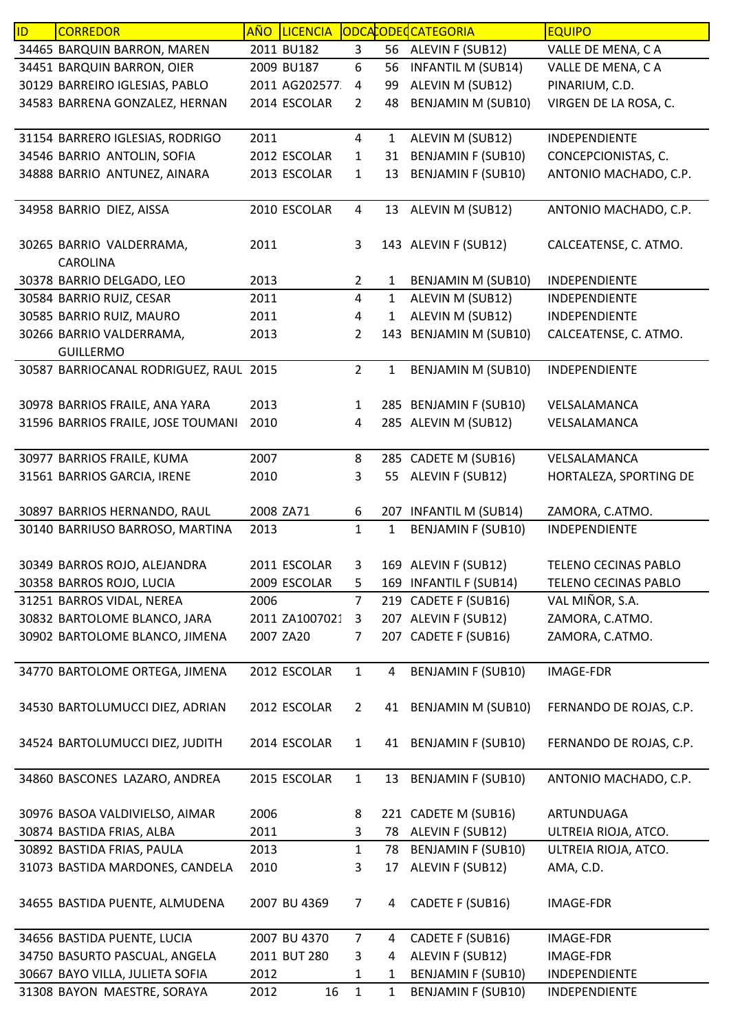| ID. | <b>CORREDOR</b>                        | <b>AÑO</b> | <b>LICENCIA</b> |                         |              | ODCACODEC CATEGORIA       | <b>EQUIPO</b>           |
|-----|----------------------------------------|------------|-----------------|-------------------------|--------------|---------------------------|-------------------------|
|     | 34465 BARQUIN BARRON, MAREN            |            | 2011 BU182      | 3                       |              | 56 ALEVIN F (SUB12)       | VALLE DE MENA, CA       |
|     | 34451 BARQUIN BARRON, OIER             |            | 2009 BU187      | 6                       | 56           | <b>INFANTIL M (SUB14)</b> | VALLE DE MENA, CA       |
|     | 30129 BARREIRO IGLESIAS, PABLO         |            | 2011 AG202577   | 4                       | 99           | ALEVIN M (SUB12)          | PINARIUM, C.D.          |
|     | 34583 BARRENA GONZALEZ, HERNAN         |            | 2014 ESCOLAR    | $\overline{2}$          | 48           | <b>BENJAMIN M (SUB10)</b> | VIRGEN DE LA ROSA, C.   |
|     |                                        |            |                 |                         |              |                           |                         |
|     | 31154 BARRERO IGLESIAS, RODRIGO        | 2011       |                 | $\overline{4}$          | $\mathbf{1}$ | ALEVIN M (SUB12)          | INDEPENDIENTE           |
|     | 34546 BARRIO ANTOLIN, SOFIA            |            | 2012 ESCOLAR    | $\mathbf{1}$            | 31           | <b>BENJAMIN F (SUB10)</b> | CONCEPCIONISTAS, C.     |
|     | 34888 BARRIO ANTUNEZ, AINARA           |            | 2013 ESCOLAR    | $\mathbf{1}$            | 13           | <b>BENJAMIN F (SUB10)</b> | ANTONIO MACHADO, C.P.   |
|     |                                        |            |                 |                         |              |                           |                         |
|     | 34958 BARRIO DIEZ, AISSA               |            | 2010 ESCOLAR    | $\overline{a}$          |              | 13 ALEVIN M (SUB12)       | ANTONIO MACHADO, C.P.   |
|     |                                        |            |                 |                         |              |                           |                         |
|     | 30265 BARRIO VALDERRAMA,               | 2011       |                 | 3                       |              | 143 ALEVIN F (SUB12)      | CALCEATENSE, C. ATMO.   |
|     | CAROLINA                               |            |                 |                         |              |                           |                         |
|     | 30378 BARRIO DELGADO, LEO              | 2013       |                 | $\overline{2}$          | 1            | BENJAMIN M (SUB10)        | INDEPENDIENTE           |
|     | 30584 BARRIO RUIZ, CESAR               | 2011       |                 | 4                       | $\mathbf{1}$ | ALEVIN M (SUB12)          | INDEPENDIENTE           |
|     | 30585 BARRIO RUIZ, MAURO               | 2011       |                 | $\overline{\mathbf{4}}$ | 1            | ALEVIN M (SUB12)          | INDEPENDIENTE           |
|     | 30266 BARRIO VALDERRAMA,               | 2013       |                 | $\overline{2}$          | 143          | <b>BENJAMIN M (SUB10)</b> | CALCEATENSE, C. ATMO.   |
|     | <b>GUILLERMO</b>                       |            |                 |                         |              |                           |                         |
|     | 30587 BARRIOCANAL RODRIGUEZ, RAUL 2015 |            |                 | $\overline{2}$          | $\mathbf{1}$ | BENJAMIN M (SUB10)        | INDEPENDIENTE           |
|     |                                        |            |                 |                         |              |                           |                         |
|     | 30978 BARRIOS FRAILE, ANA YARA         | 2013       |                 | $\mathbf{1}$            |              | 285 BENJAMIN F (SUB10)    | VELSALAMANCA            |
|     | 31596 BARRIOS FRAILE, JOSE TOUMANI     | 2010       |                 | 4                       |              | 285 ALEVIN M (SUB12)      | VELSALAMANCA            |
|     |                                        |            |                 |                         |              |                           |                         |
|     | 30977 BARRIOS FRAILE, KUMA             | 2007       |                 | 8                       |              | 285 CADETE M (SUB16)      | VELSALAMANCA            |
|     | 31561 BARRIOS GARCIA, IRENE            | 2010       |                 | 3                       | 55           | ALEVIN F (SUB12)          | HORTALEZA, SPORTING DE  |
|     |                                        |            |                 |                         |              |                           |                         |
|     | 30897 BARRIOS HERNANDO, RAUL           | 2008 ZA71  |                 | 6                       |              | 207 INFANTIL M (SUB14)    | ZAMORA, C.ATMO.         |
|     | 30140 BARRIUSO BARROSO, MARTINA        | 2013       |                 | $\mathbf{1}$            | $\mathbf{1}$ | <b>BENJAMIN F (SUB10)</b> | INDEPENDIENTE           |
|     |                                        |            |                 |                         |              |                           |                         |
|     | 30349 BARROS ROJO, ALEJANDRA           |            | 2011 ESCOLAR    | 3                       |              | 169 ALEVIN F (SUB12)      | TELENO CECINAS PABLO    |
|     | 30358 BARROS ROJO, LUCIA               |            | 2009 ESCOLAR    | 5                       |              | 169 INFANTIL F (SUB14)    | TELENO CECINAS PABLO    |
|     | 31251 BARROS VIDAL, NEREA              | 2006       |                 | $\overline{7}$          |              | 219 CADETE F (SUB16)      | VAL MIÑOR, S.A.         |
|     | 30832 BARTOLOME BLANCO, JARA           |            | 2011 ZA1007021  | 3                       |              | 207 ALEVIN F (SUB12)      | ZAMORA, C.ATMO.         |
|     | 30902 BARTOLOME BLANCO, JIMENA         | 2007 ZA20  |                 | 7                       |              | 207 CADETE F (SUB16)      | ZAMORA, C.ATMO.         |
|     |                                        |            |                 |                         |              |                           |                         |
|     | 34770 BARTOLOME ORTEGA, JIMENA         |            | 2012 ESCOLAR    | $\mathbf{1}$            | 4            | <b>BENJAMIN F (SUB10)</b> | <b>IMAGE-FDR</b>        |
|     |                                        |            |                 |                         |              |                           |                         |
|     | 34530 BARTOLUMUCCI DIEZ, ADRIAN        |            | 2012 ESCOLAR    | $\overline{2}$          | 41           | <b>BENJAMIN M (SUB10)</b> | FERNANDO DE ROJAS, C.P. |
|     |                                        |            |                 |                         |              |                           |                         |
|     | 34524 BARTOLUMUCCI DIEZ, JUDITH        |            | 2014 ESCOLAR    | $\mathbf{1}$            |              | 41 BENJAMIN F (SUB10)     | FERNANDO DE ROJAS, C.P. |
|     |                                        |            |                 |                         |              |                           |                         |
|     | 34860 BASCONES LAZARO, ANDREA          |            | 2015 ESCOLAR    | $\mathbf{1}$            | 13           | <b>BENJAMIN F (SUB10)</b> | ANTONIO MACHADO, C.P.   |
|     |                                        | 2006       |                 | 8                       |              | 221 CADETE M (SUB16)      | ARTUNDUAGA              |
|     | 30976 BASOA VALDIVIELSO, AIMAR         |            |                 |                         |              | 78 ALEVIN F (SUB12)       |                         |
|     | 30874 BASTIDA FRIAS, ALBA              | 2011       |                 | 3                       |              |                           | ULTREIA RIOJA, ATCO.    |
|     | 30892 BASTIDA FRIAS, PAULA             | 2013       |                 | $\mathbf{1}$            | 78<br>17     | BENJAMIN F (SUB10)        | ULTREIA RIOJA, ATCO.    |
|     | 31073 BASTIDA MARDONES, CANDELA        | 2010       |                 | 3                       |              | ALEVIN F (SUB12)          | AMA, C.D.               |
|     |                                        |            |                 |                         |              |                           |                         |
|     | 34655 BASTIDA PUENTE, ALMUDENA         |            | 2007 BU 4369    | 7                       | 4            | CADETE F (SUB16)          | <b>IMAGE-FDR</b>        |
|     | 34656 BASTIDA PUENTE, LUCIA            |            | 2007 BU 4370    | $\overline{7}$          | 4            | CADETE F (SUB16)          | <b>IMAGE-FDR</b>        |
|     | 34750 BASURTO PASCUAL, ANGELA          |            | 2011 BUT 280    | 3                       | 4            | ALEVIN F (SUB12)          | IMAGE-FDR               |
|     | 30667 BAYO VILLA, JULIETA SOFIA        | 2012       |                 | $\mathbf{1}$            | $\mathbf{1}$ | <b>BENJAMIN F (SUB10)</b> | INDEPENDIENTE           |
|     | 31308 BAYON MAESTRE, SORAYA            | 2012       | 16              | $\mathbf{1}$            | 1            | <b>BENJAMIN F (SUB10)</b> | INDEPENDIENTE           |
|     |                                        |            |                 |                         |              |                           |                         |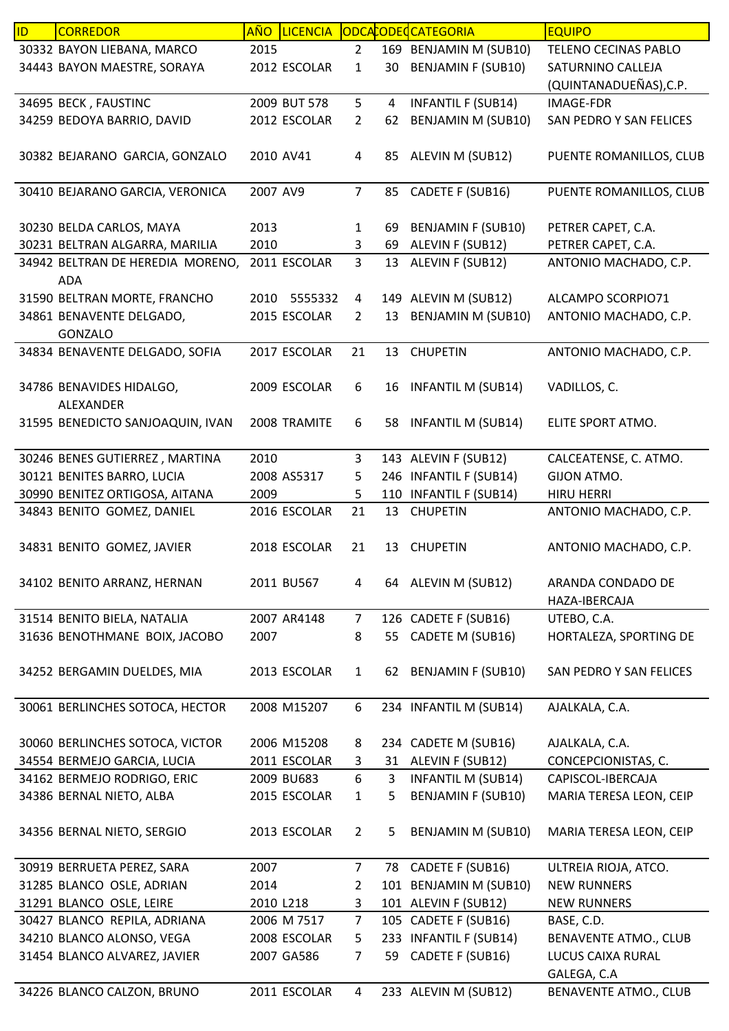| ID | <b>CORREDOR</b>                                           | <b>AÑO</b> | LICENCIA     |                     |    | ODCACODECATEGORIA                              | <b>EQUIPO</b>                |
|----|-----------------------------------------------------------|------------|--------------|---------------------|----|------------------------------------------------|------------------------------|
|    | 30332 BAYON LIEBANA, MARCO                                | 2015       |              | $\overline{2}$      |    | 169 BENJAMIN M (SUB10)                         | TELENO CECINAS PABLO         |
|    | 34443 BAYON MAESTRE, SORAYA                               |            | 2012 ESCOLAR | $\mathbf{1}$        | 30 | <b>BENJAMIN F (SUB10)</b>                      | SATURNINO CALLEJA            |
|    |                                                           |            |              |                     |    |                                                | (QUINTANADUEÑAS), C.P.       |
|    | 34695 BECK, FAUSTINC                                      |            | 2009 BUT 578 | 5                   | 4  | <b>INFANTIL F (SUB14)</b>                      | <b>IMAGE-FDR</b>             |
|    | 34259 BEDOYA BARRIO, DAVID                                |            | 2012 ESCOLAR | $\overline{2}$      | 62 | <b>BENJAMIN M (SUB10)</b>                      | SAN PEDRO Y SAN FELICES      |
|    |                                                           |            |              |                     |    |                                                |                              |
|    | 30382 BEJARANO GARCIA, GONZALO                            |            | 2010 AV41    | 4                   | 85 | ALEVIN M (SUB12)                               | PUENTE ROMANILLOS, CLUB      |
|    |                                                           |            |              |                     |    |                                                |                              |
|    | 30410 BEJARANO GARCIA, VERONICA                           | 2007 AV9   |              | $\overline{7}$      | 85 | CADETE F (SUB16)                               | PUENTE ROMANILLOS, CLUB      |
|    |                                                           |            |              |                     |    |                                                |                              |
|    | 30230 BELDA CARLOS, MAYA                                  | 2013       |              | $\mathbf{1}$        | 69 | <b>BENJAMIN F (SUB10)</b>                      | PETRER CAPET, C.A.           |
|    | 30231 BELTRAN ALGARRA, MARILIA                            | 2010       |              | 3                   | 69 | ALEVIN F (SUB12)                               | PETRER CAPET, C.A.           |
|    | 34942 BELTRAN DE HEREDIA MORENO,                          |            | 2011 ESCOLAR | $\overline{3}$      | 13 | ALEVIN F (SUB12)                               | ANTONIO MACHADO, C.P.        |
|    | <b>ADA</b>                                                |            |              |                     |    |                                                |                              |
|    | 31590 BELTRAN MORTE, FRANCHO                              |            | 2010 5555332 | 4                   |    | 149 ALEVIN M (SUB12)                           | ALCAMPO SCORPIO71            |
|    | 34861 BENAVENTE DELGADO,                                  |            | 2015 ESCOLAR | $\overline{2}$      | 13 | <b>BENJAMIN M (SUB10)</b>                      | ANTONIO MACHADO, C.P.        |
|    | <b>GONZALO</b>                                            |            |              |                     |    |                                                |                              |
|    | 34834 BENAVENTE DELGADO, SOFIA                            |            | 2017 ESCOLAR | 21                  |    | 13 CHUPETIN                                    | ANTONIO MACHADO, C.P.        |
|    |                                                           |            |              |                     |    |                                                |                              |
|    | 34786 BENAVIDES HIDALGO,                                  |            | 2009 ESCOLAR | 6                   | 16 | <b>INFANTIL M (SUB14)</b>                      | VADILLOS, C.                 |
|    | ALEXANDER                                                 |            |              |                     |    |                                                |                              |
|    | 31595 BENEDICTO SANJOAQUIN, IVAN                          |            | 2008 TRAMITE | 6                   | 58 | INFANTIL M (SUB14)                             | ELITE SPORT ATMO.            |
|    |                                                           |            |              |                     |    |                                                |                              |
|    | 30246 BENES GUTIERREZ, MARTINA                            | 2010       |              | 3                   |    | 143 ALEVIN F (SUB12)                           | CALCEATENSE, C. ATMO.        |
|    | 30121 BENITES BARRO, LUCIA                                |            | 2008 AS5317  | 5                   |    | 246 INFANTIL F (SUB14)                         | GIJON ATMO.                  |
|    | 30990 BENITEZ ORTIGOSA, AITANA                            | 2009       |              | 5                   |    | 110 INFANTIL F (SUB14)                         | <b>HIRU HERRI</b>            |
|    | 34843 BENITO GOMEZ, DANIEL                                |            | 2016 ESCOLAR | 21                  | 13 | <b>CHUPETIN</b>                                | ANTONIO MACHADO, C.P.        |
|    |                                                           |            |              |                     |    |                                                |                              |
|    | 34831 BENITO GOMEZ, JAVIER                                |            | 2018 ESCOLAR | 21                  | 13 | <b>CHUPETIN</b>                                | ANTONIO MACHADO, C.P.        |
|    |                                                           |            |              |                     |    |                                                |                              |
|    | 34102 BENITO ARRANZ, HERNAN                               |            | 2011 BU567   | 4                   |    | 64 ALEVIN M (SUB12)                            | ARANDA CONDADO DE            |
|    |                                                           |            |              |                     |    |                                                | HAZA-IBERCAJA                |
|    | 31514 BENITO BIELA, NATALIA                               |            | 2007 AR4148  | $\overline{7}$      |    | 126 CADETE F (SUB16)                           | UTEBO, C.A.                  |
|    | 31636 BENOTHMANE BOIX, JACOBO                             | 2007       |              | 8                   | 55 | CADETE M (SUB16)                               | HORTALEZA, SPORTING DE       |
|    |                                                           |            |              |                     |    |                                                |                              |
|    | 34252 BERGAMIN DUELDES, MIA                               |            | 2013 ESCOLAR | $\mathbf{1}$        | 62 | <b>BENJAMIN F (SUB10)</b>                      | SAN PEDRO Y SAN FELICES      |
|    |                                                           |            |              |                     |    |                                                |                              |
|    | 30061 BERLINCHES SOTOCA, HECTOR                           |            | 2008 M15207  | 6                   |    | 234 INFANTIL M (SUB14)                         | AJALKALA, C.A.               |
|    |                                                           |            |              |                     |    |                                                |                              |
|    | 30060 BERLINCHES SOTOCA, VICTOR                           |            | 2006 M15208  | 8                   |    | 234 CADETE M (SUB16)                           | AJALKALA, C.A.               |
|    | 34554 BERMEJO GARCIA, LUCIA                               |            | 2011 ESCOLAR | 3                   |    | 31 ALEVIN F (SUB12)                            | CONCEPCIONISTAS, C.          |
|    | 34162 BERMEJO RODRIGO, ERIC                               |            | 2009 BU683   | 6                   | 3  | <b>INFANTIL M (SUB14)</b>                      | CAPISCOL-IBERCAJA            |
|    | 34386 BERNAL NIETO, ALBA                                  |            | 2015 ESCOLAR | $\mathbf{1}$        | 5  | <b>BENJAMIN F (SUB10)</b>                      | MARIA TERESA LEON, CEIP      |
|    |                                                           |            |              |                     |    |                                                |                              |
|    | 34356 BERNAL NIETO, SERGIO                                |            | 2013 ESCOLAR | $\overline{2}$      | 5  | BENJAMIN M (SUB10)                             | MARIA TERESA LEON, CEIP      |
|    |                                                           |            |              |                     |    |                                                |                              |
|    | 30919 BERRUETA PEREZ, SARA                                | 2007       |              | $\overline{7}$      |    | 78 CADETE F (SUB16)                            | ULTREIA RIOJA, ATCO.         |
|    |                                                           | 2014       |              |                     |    |                                                | <b>NEW RUNNERS</b>           |
|    | 31285 BLANCO OSLE, ADRIAN<br>31291 BLANCO OSLE, LEIRE     |            |              | $\overline{2}$<br>3 |    | 101 BENJAMIN M (SUB10)                         |                              |
|    |                                                           | 2010 L218  |              |                     |    | 101 ALEVIN F (SUB12)                           | <b>NEW RUNNERS</b>           |
|    | 30427 BLANCO REPILA, ADRIANA<br>34210 BLANCO ALONSO, VEGA |            | 2006 M 7517  | $\overline{7}$      |    | 105 CADETE F (SUB16)<br>233 INFANTIL F (SUB14) | BASE, C.D.                   |
|    |                                                           |            | 2008 ESCOLAR | 5                   |    |                                                | BENAVENTE ATMO., CLUB        |
|    | 31454 BLANCO ALVAREZ, JAVIER                              |            | 2007 GA586   | 7                   | 59 | CADETE F (SUB16)                               | LUCUS CAIXA RURAL            |
|    |                                                           |            |              |                     |    |                                                | GALEGA, C.A                  |
|    | 34226 BLANCO CALZON, BRUNO                                |            | 2011 ESCOLAR | 4                   |    | 233 ALEVIN M (SUB12)                           | <b>BENAVENTE ATMO., CLUB</b> |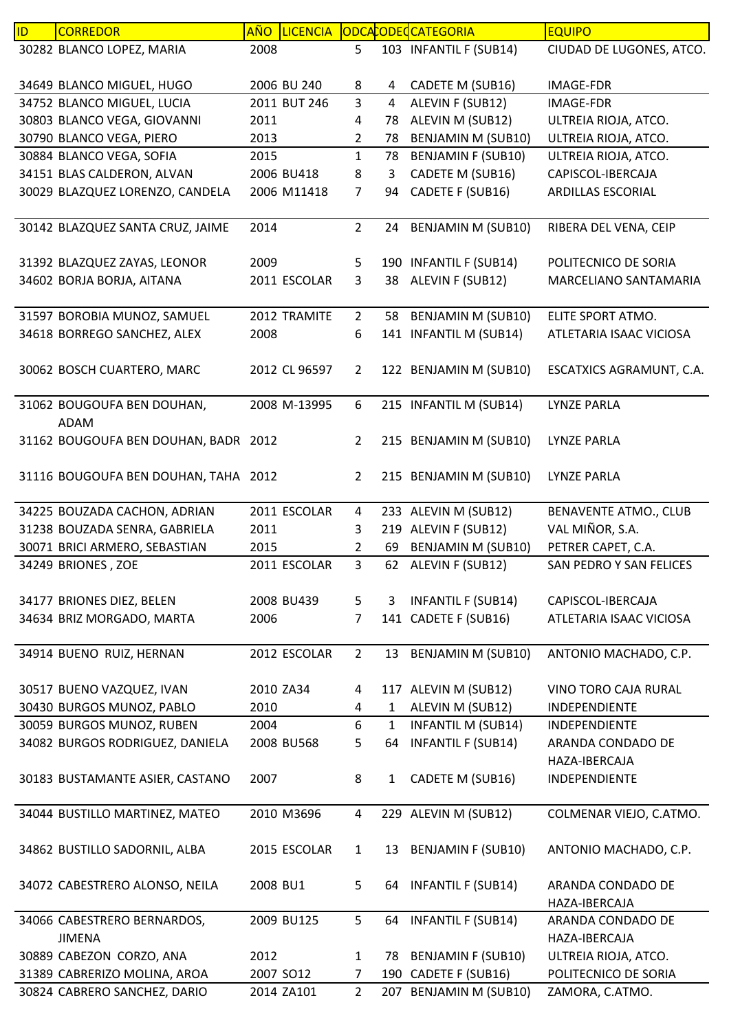| ID | <b>CORREDOR</b>                      | <b>AÑO</b> | <b>LICENCIA</b> |                |                | ODCACODECATEGORIA         | <b>EQUIPO</b>            |
|----|--------------------------------------|------------|-----------------|----------------|----------------|---------------------------|--------------------------|
|    | 30282 BLANCO LOPEZ, MARIA            | 2008       |                 | 5              |                | 103 INFANTIL F (SUB14)    | CIUDAD DE LUGONES, ATCO. |
|    |                                      |            |                 |                |                |                           |                          |
|    | 34649 BLANCO MIGUEL, HUGO            |            | 2006 BU 240     | 8              | 4              | CADETE M (SUB16)          | IMAGE-FDR                |
|    | 34752 BLANCO MIGUEL, LUCIA           |            | 2011 BUT 246    | 3              | $\overline{4}$ | ALEVIN F (SUB12)          | <b>IMAGE-FDR</b>         |
|    | 30803 BLANCO VEGA, GIOVANNI          | 2011       |                 | 4              | 78             | ALEVIN M (SUB12)          | ULTREIA RIOJA, ATCO.     |
|    | 30790 BLANCO VEGA, PIERO             | 2013       |                 | $\overline{2}$ | 78             | <b>BENJAMIN M (SUB10)</b> | ULTREIA RIOJA, ATCO.     |
|    | 30884 BLANCO VEGA, SOFIA             | 2015       |                 | $\mathbf 1$    | 78             | <b>BENJAMIN F (SUB10)</b> | ULTREIA RIOJA, ATCO.     |
|    | 34151 BLAS CALDERON, ALVAN           |            | 2006 BU418      | 8              | 3              | CADETE M (SUB16)          | CAPISCOL-IBERCAJA        |
|    | 30029 BLAZQUEZ LORENZO, CANDELA      |            | 2006 M11418     | $\overline{7}$ | 94             | CADETE F (SUB16)          | ARDILLAS ESCORIAL        |
|    |                                      |            |                 |                |                |                           |                          |
|    | 30142 BLAZQUEZ SANTA CRUZ, JAIME     | 2014       |                 | $\overline{2}$ | 24             | <b>BENJAMIN M (SUB10)</b> | RIBERA DEL VENA, CEIP    |
|    |                                      |            |                 |                |                |                           |                          |
|    | 31392 BLAZQUEZ ZAYAS, LEONOR         | 2009       |                 | 5              |                | 190 INFANTIL F (SUB14)    | POLITECNICO DE SORIA     |
|    | 34602 BORJA BORJA, AITANA            |            | 2011 ESCOLAR    | 3              | 38             | ALEVIN F (SUB12)          | MARCELIANO SANTAMARIA    |
|    |                                      |            |                 |                |                |                           |                          |
|    | 31597 BOROBIA MUNOZ, SAMUEL          |            | 2012 TRAMITE    | $\overline{2}$ | 58             | <b>BENJAMIN M (SUB10)</b> | ELITE SPORT ATMO.        |
|    | 34618 BORREGO SANCHEZ, ALEX          | 2008       |                 | 6              |                | 141 INFANTIL M (SUB14)    | ATLETARIA ISAAC VICIOSA  |
|    |                                      |            |                 |                |                |                           |                          |
|    | 30062 BOSCH CUARTERO, MARC           |            | 2012 CL 96597   | $\overline{2}$ |                | 122 BENJAMIN M (SUB10)    | ESCATXICS AGRAMUNT, C.A. |
|    |                                      |            |                 |                |                |                           |                          |
|    | 31062 BOUGOUFA BEN DOUHAN,           |            | 2008 M-13995    | 6              |                | 215 INFANTIL M (SUB14)    | <b>LYNZE PARLA</b>       |
|    | <b>ADAM</b>                          |            |                 |                |                |                           |                          |
|    | 31162 BOUGOUFA BEN DOUHAN, BADR 2012 |            |                 | $\overline{2}$ |                | 215 BENJAMIN M (SUB10)    | <b>LYNZE PARLA</b>       |
|    |                                      |            |                 |                |                |                           |                          |
|    | 31116 BOUGOUFA BEN DOUHAN, TAHA 2012 |            |                 | $\overline{2}$ |                | 215 BENJAMIN M (SUB10)    | LYNZE PARLA              |
|    |                                      |            |                 |                |                |                           |                          |
|    | 34225 BOUZADA CACHON, ADRIAN         |            | 2011 ESCOLAR    | $\overline{4}$ |                | 233 ALEVIN M (SUB12)      | BENAVENTE ATMO., CLUB    |
|    | 31238 BOUZADA SENRA, GABRIELA        | 2011       |                 | 3              |                | 219 ALEVIN F (SUB12)      | VAL MIÑOR, S.A.          |
|    | 30071 BRICI ARMERO, SEBASTIAN        | 2015       |                 | $\overline{2}$ | 69             | <b>BENJAMIN M (SUB10)</b> | PETRER CAPET, C.A.       |
|    | 34249 BRIONES, ZOE                   |            | 2011 ESCOLAR    | 3              | 62             | ALEVIN F (SUB12)          | SAN PEDRO Y SAN FELICES  |
|    |                                      |            |                 |                |                |                           |                          |
|    | 34177 BRIONES DIEZ, BELEN            |            | 2008 BU439      | 5              | 3              | <b>INFANTIL F (SUB14)</b> | CAPISCOL-IBERCAJA        |
|    | 34634 BRIZ MORGADO, MARTA            | 2006       |                 | 7              | 141            | CADETE F (SUB16)          | ATLETARIA ISAAC VICIOSA  |
|    |                                      |            |                 |                |                |                           |                          |
|    | 34914 BUENO RUIZ, HERNAN             |            | 2012 ESCOLAR    | $\overline{2}$ | 13             | <b>BENJAMIN M (SUB10)</b> | ANTONIO MACHADO, C.P.    |
|    |                                      |            |                 |                |                |                           |                          |
|    | 30517 BUENO VAZQUEZ, IVAN            | 2010 ZA34  |                 | 4              |                | 117 ALEVIN M (SUB12)      | VINO TORO CAJA RURAL     |
|    | 30430 BURGOS MUNOZ, PABLO            | 2010       |                 | 4              | 1              | ALEVIN M (SUB12)          | <b>INDEPENDIENTE</b>     |
|    | 30059 BURGOS MUNOZ, RUBEN            | 2004       |                 | 6              | $\mathbf{1}$   | <b>INFANTIL M (SUB14)</b> | <b>INDEPENDIENTE</b>     |
|    | 34082 BURGOS RODRIGUEZ, DANIELA      |            | 2008 BU568      | 5              | 64             | <b>INFANTIL F (SUB14)</b> | ARANDA CONDADO DE        |
|    |                                      |            |                 |                |                |                           | HAZA-IBERCAJA            |
|    | 30183 BUSTAMANTE ASIER, CASTANO      | 2007       |                 | 8              | 1              | CADETE M (SUB16)          | INDEPENDIENTE            |
|    |                                      |            |                 |                |                |                           |                          |
|    | 34044 BUSTILLO MARTINEZ, MATEO       |            | 2010 M3696      | 4              |                | 229 ALEVIN M (SUB12)      | COLMENAR VIEJO, C.ATMO.  |
|    |                                      |            |                 |                |                |                           |                          |
|    | 34862 BUSTILLO SADORNIL, ALBA        |            | 2015 ESCOLAR    | $\mathbf{1}$   | 13             | <b>BENJAMIN F (SUB10)</b> | ANTONIO MACHADO, C.P.    |
|    |                                      |            |                 |                |                |                           |                          |
|    | 34072 CABESTRERO ALONSO, NEILA       | 2008 BU1   |                 | 5              | 64             | <b>INFANTIL F (SUB14)</b> | ARANDA CONDADO DE        |
|    |                                      |            |                 |                |                |                           | HAZA-IBERCAJA            |
|    | 34066 CABESTRERO BERNARDOS,          |            | 2009 BU125      | 5              | 64             | <b>INFANTIL F (SUB14)</b> | ARANDA CONDADO DE        |
|    | <b>JIMENA</b>                        |            |                 |                |                |                           | HAZA-IBERCAJA            |
|    | 30889 CABEZON CORZO, ANA             | 2012       |                 | $\mathbf{1}$   | 78             | <b>BENJAMIN F (SUB10)</b> | ULTREIA RIOJA, ATCO.     |
|    | 31389 CABRERIZO MOLINA, AROA         |            | 2007 SO12       | $\overline{7}$ |                | 190 CADETE F (SUB16)      | POLITECNICO DE SORIA     |
|    | 30824 CABRERO SANCHEZ, DARIO         |            | 2014 ZA101      | $\overline{2}$ |                | 207 BENJAMIN M (SUB10)    | ZAMORA, C.ATMO.          |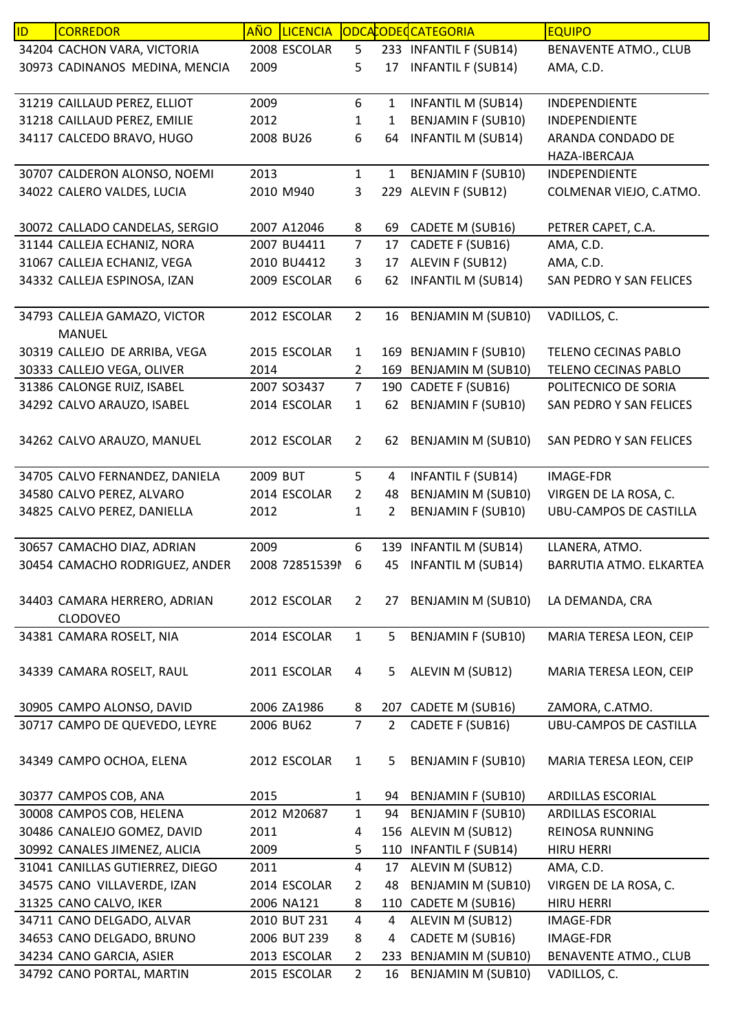| ID | <b>CORREDOR</b>                 | <b>AÑO</b> | <b>LICENCIA</b> |                |                | ODCACODECATEGORIA         | <b>EQUIPO</b>                 |
|----|---------------------------------|------------|-----------------|----------------|----------------|---------------------------|-------------------------------|
|    | 34204 CACHON VARA, VICTORIA     |            | 2008 ESCOLAR    | 5              |                | 233 INFANTIL F (SUB14)    | <b>BENAVENTE ATMO., CLUB</b>  |
|    | 30973 CADINANOS MEDINA, MENCIA  | 2009       |                 | 5              | 17             | <b>INFANTIL F (SUB14)</b> | AMA, C.D.                     |
|    |                                 |            |                 |                |                |                           |                               |
|    | 31219 CAILLAUD PEREZ, ELLIOT    | 2009       |                 | 6              | 1              | <b>INFANTIL M (SUB14)</b> | INDEPENDIENTE                 |
|    | 31218 CAILLAUD PEREZ, EMILIE    | 2012       |                 | 1              | 1              | <b>BENJAMIN F (SUB10)</b> | INDEPENDIENTE                 |
|    | 34117 CALCEDO BRAVO, HUGO       |            | 2008 BU26       | 6              | 64             | <b>INFANTIL M (SUB14)</b> | ARANDA CONDADO DE             |
|    |                                 |            |                 |                |                |                           | HAZA-IBERCAJA                 |
|    | 30707 CALDERON ALONSO, NOEMI    | 2013       |                 | $\mathbf{1}$   | $\mathbf{1}$   | <b>BENJAMIN F (SUB10)</b> | INDEPENDIENTE                 |
|    | 34022 CALERO VALDES, LUCIA      |            | 2010 M940       | 3              |                | 229 ALEVIN F (SUB12)      | COLMENAR VIEJO, C.ATMO.       |
|    |                                 |            |                 |                |                |                           |                               |
|    | 30072 CALLADO CANDELAS, SERGIO  |            | 2007 A12046     | 8              | 69             | CADETE M (SUB16)          | PETRER CAPET, C.A.            |
|    | 31144 CALLEJA ECHANIZ, NORA     |            | 2007 BU4411     | $\overline{7}$ | 17             | CADETE F (SUB16)          | AMA, C.D.                     |
|    | 31067 CALLEJA ECHANIZ, VEGA     |            | 2010 BU4412     | 3              | 17             | ALEVIN F (SUB12)          | AMA, C.D.                     |
|    |                                 |            |                 |                |                |                           |                               |
|    | 34332 CALLEJA ESPINOSA, IZAN    |            | 2009 ESCOLAR    | 6              | 62             | <b>INFANTIL M (SUB14)</b> | SAN PEDRO Y SAN FELICES       |
|    |                                 |            |                 |                |                |                           |                               |
|    | 34793 CALLEJA GAMAZO, VICTOR    |            | 2012 ESCOLAR    | $\overline{2}$ | 16             | <b>BENJAMIN M (SUB10)</b> | VADILLOS, C.                  |
|    | <b>MANUEL</b>                   |            |                 |                |                |                           |                               |
|    | 30319 CALLEJO DE ARRIBA, VEGA   |            | 2015 ESCOLAR    | $\mathbf{1}$   |                | 169 BENJAMIN F (SUB10)    | TELENO CECINAS PABLO          |
|    | 30333 CALLEJO VEGA, OLIVER      | 2014       |                 | $\overline{2}$ |                | 169 BENJAMIN M (SUB10)    | TELENO CECINAS PABLO          |
|    | 31386 CALONGE RUIZ, ISABEL      |            | 2007 SO3437     | $\overline{7}$ |                | 190 CADETE F (SUB16)      | POLITECNICO DE SORIA          |
|    | 34292 CALVO ARAUZO, ISABEL      |            | 2014 ESCOLAR    | $\mathbf{1}$   | 62             | <b>BENJAMIN F (SUB10)</b> | SAN PEDRO Y SAN FELICES       |
|    |                                 |            |                 |                |                |                           |                               |
|    | 34262 CALVO ARAUZO, MANUEL      |            | 2012 ESCOLAR    | $\overline{2}$ | 62             | <b>BENJAMIN M (SUB10)</b> | SAN PEDRO Y SAN FELICES       |
|    |                                 |            |                 |                |                |                           |                               |
|    | 34705 CALVO FERNANDEZ, DANIELA  | 2009 BUT   |                 | 5              | 4              | <b>INFANTIL F (SUB14)</b> | <b>IMAGE-FDR</b>              |
|    | 34580 CALVO PEREZ, ALVARO       |            | 2014 ESCOLAR    | $\overline{2}$ | 48             | <b>BENJAMIN M (SUB10)</b> | VIRGEN DE LA ROSA, C.         |
|    | 34825 CALVO PEREZ, DANIELLA     | 2012       |                 | 1              | $\overline{2}$ | <b>BENJAMIN F (SUB10)</b> | <b>UBU-CAMPOS DE CASTILLA</b> |
|    |                                 |            |                 |                |                |                           |                               |
|    | 30657 CAMACHO DIAZ, ADRIAN      | 2009       |                 | 6              |                | 139 INFANTIL M (SUB14)    | LLANERA, ATMO.                |
|    | 30454 CAMACHO RODRIGUEZ, ANDER  |            | 2008 728515391  | 6              | 45             | <b>INFANTIL M (SUB14)</b> | BARRUTIA ATMO. ELKARTEA       |
|    |                                 |            |                 |                |                |                           |                               |
|    | 34403 CAMARA HERRERO, ADRIAN    |            | 2012 ESCOLAR    | $\overline{2}$ |                | 27 BENJAMIN M (SUB10)     | LA DEMANDA, CRA               |
|    | <b>CLODOVEO</b>                 |            |                 |                |                |                           |                               |
|    | 34381 CAMARA ROSELT, NIA        |            | 2014 ESCOLAR    | $\mathbf{1}$   | 5              | <b>BENJAMIN F (SUB10)</b> | MARIA TERESA LEON, CEIP       |
|    |                                 |            |                 |                |                |                           |                               |
|    | 34339 CAMARA ROSELT, RAUL       |            | 2011 ESCOLAR    | 4              | 5.             | ALEVIN M (SUB12)          | MARIA TERESA LEON, CEIP       |
|    |                                 |            |                 |                |                |                           |                               |
|    | 30905 CAMPO ALONSO, DAVID       |            | 2006 ZA1986     | 8              |                | 207 CADETE M (SUB16)      | ZAMORA, C.ATMO.               |
|    | 30717 CAMPO DE QUEVEDO, LEYRE   |            | 2006 BU62       | $\overline{7}$ | $2^{\circ}$    | CADETE F (SUB16)          | UBU-CAMPOS DE CASTILLA        |
|    |                                 |            |                 |                |                |                           |                               |
|    |                                 |            | 2012 ESCOLAR    | $\mathbf{1}$   | 5              | <b>BENJAMIN F (SUB10)</b> | MARIA TERESA LEON, CEIP       |
|    | 34349 CAMPO OCHOA, ELENA        |            |                 |                |                |                           |                               |
|    |                                 |            |                 |                |                |                           |                               |
|    | 30377 CAMPOS COB, ANA           | 2015       |                 | $\mathbf{1}$   | 94             | <b>BENJAMIN F (SUB10)</b> | ARDILLAS ESCORIAL             |
|    | 30008 CAMPOS COB, HELENA        |            | 2012 M20687     | $\mathbf{1}$   | 94             | <b>BENJAMIN F (SUB10)</b> | ARDILLAS ESCORIAL             |
|    | 30486 CANALEJO GOMEZ, DAVID     | 2011       |                 | 4              |                | 156 ALEVIN M (SUB12)      | REINOSA RUNNING               |
|    | 30992 CANALES JIMENEZ, ALICIA   | 2009       |                 | 5              |                | 110 INFANTIL F (SUB14)    | <b>HIRU HERRI</b>             |
|    | 31041 CANILLAS GUTIERREZ, DIEGO | 2011       |                 | $\overline{4}$ | 17             | ALEVIN M (SUB12)          | AMA, C.D.                     |
|    | 34575 CANO VILLAVERDE, IZAN     |            | 2014 ESCOLAR    | $\overline{2}$ | 48             | <b>BENJAMIN M (SUB10)</b> | VIRGEN DE LA ROSA, C.         |
|    | 31325 CANO CALVO, IKER          |            | 2006 NA121      | 8              |                | 110 CADETE M (SUB16)      | <b>HIRU HERRI</b>             |
|    | 34711 CANO DELGADO, ALVAR       |            | 2010 BUT 231    | $\overline{4}$ | 4              | ALEVIN M (SUB12)          | IMAGE-FDR                     |
|    | 34653 CANO DELGADO, BRUNO       |            | 2006 BUT 239    | 8              | 4              | CADETE M (SUB16)          | <b>IMAGE-FDR</b>              |
|    | 34234 CANO GARCIA, ASIER        |            | 2013 ESCOLAR    | $\overline{2}$ |                | 233 BENJAMIN M (SUB10)    | <b>BENAVENTE ATMO., CLUB</b>  |
|    | 34792 CANO PORTAL, MARTIN       |            | 2015 ESCOLAR    | $\overline{2}$ |                | 16 BENJAMIN M (SUB10)     | VADILLOS, C.                  |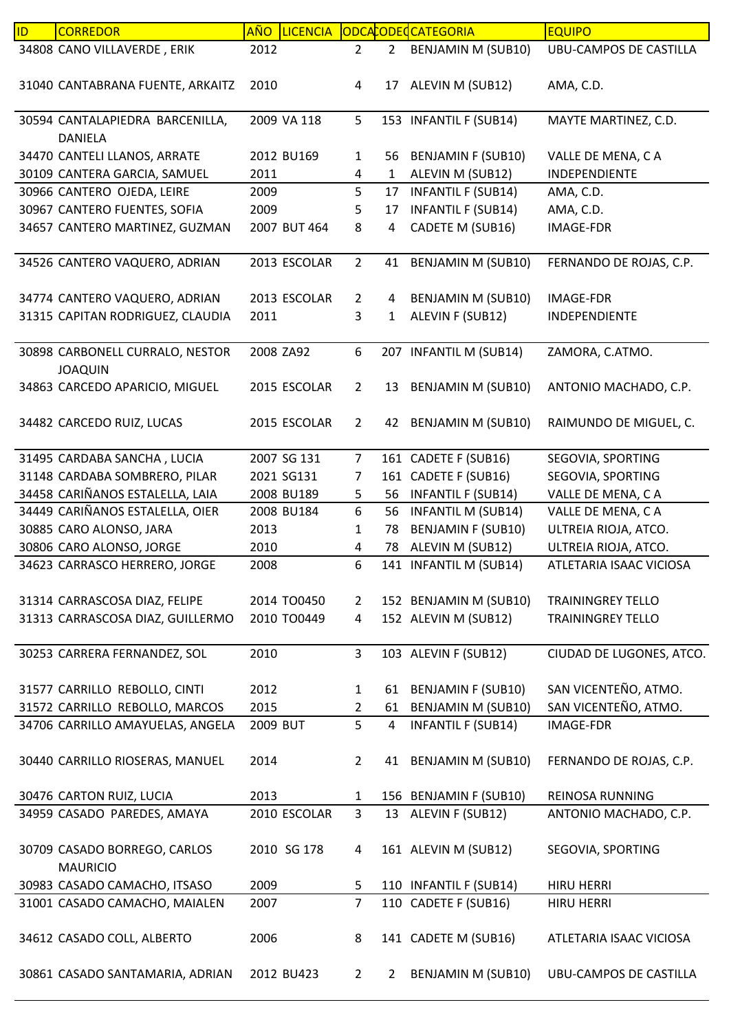| ID | <b>CORREDOR</b>                  | <b>AÑO</b> | <b>LICENCIA</b> |                |                | ODCACODECCATEGORIA        | <b>EQUIPO</b>                 |
|----|----------------------------------|------------|-----------------|----------------|----------------|---------------------------|-------------------------------|
|    | 34808 CANO VILLAVERDE, ERIK      | 2012       |                 | $\overline{2}$ | 2              | BENJAMIN M (SUB10)        | <b>UBU-CAMPOS DE CASTILLA</b> |
|    |                                  |            |                 |                |                |                           |                               |
|    | 31040 CANTABRANA FUENTE, ARKAITZ | 2010       |                 | 4              | 17             | ALEVIN M (SUB12)          | AMA, C.D.                     |
|    |                                  |            |                 |                |                |                           |                               |
|    | 30594 CANTALAPIEDRA BARCENILLA,  |            | 2009 VA 118     | 5              |                | 153 INFANTIL F (SUB14)    | MAYTE MARTINEZ, C.D.          |
|    | DANIELA                          |            |                 |                |                |                           |                               |
|    | 34470 CANTELI LLANOS, ARRATE     |            | 2012 BU169      | $\mathbf{1}$   | 56             | <b>BENJAMIN F (SUB10)</b> | VALLE DE MENA, CA             |
|    | 30109 CANTERA GARCIA, SAMUEL     | 2011       |                 | 4              | $\mathbf{1}$   | ALEVIN M (SUB12)          | INDEPENDIENTE                 |
|    | 30966 CANTERO OJEDA, LEIRE       | 2009       |                 | 5              | 17             | <b>INFANTIL F (SUB14)</b> | AMA, C.D.                     |
|    | 30967 CANTERO FUENTES, SOFIA     | 2009       |                 | 5              | 17             | <b>INFANTIL F (SUB14)</b> | AMA, C.D.                     |
|    | 34657 CANTERO MARTINEZ, GUZMAN   |            | 2007 BUT 464    | 8              | 4              | CADETE M (SUB16)          | IMAGE-FDR                     |
|    |                                  |            |                 |                |                |                           |                               |
|    | 34526 CANTERO VAQUERO, ADRIAN    |            | 2013 ESCOLAR    | $\overline{2}$ | 41             | <b>BENJAMIN M (SUB10)</b> | FERNANDO DE ROJAS, C.P.       |
|    |                                  |            |                 |                |                |                           |                               |
|    | 34774 CANTERO VAQUERO, ADRIAN    |            | 2013 ESCOLAR    | $\overline{2}$ | 4              | BENJAMIN M (SUB10)        | <b>IMAGE-FDR</b>              |
|    | 31315 CAPITAN RODRIGUEZ, CLAUDIA | 2011       |                 | 3              | 1              | ALEVIN F (SUB12)          | INDEPENDIENTE                 |
|    |                                  |            |                 |                |                |                           |                               |
|    | 30898 CARBONELL CURRALO, NESTOR  | 2008 ZA92  |                 | 6              |                | 207 INFANTIL M (SUB14)    | ZAMORA, C.ATMO.               |
|    | <b>JOAQUIN</b>                   |            |                 |                |                |                           |                               |
|    |                                  |            | 2015 ESCOLAR    |                |                |                           |                               |
|    | 34863 CARCEDO APARICIO, MIGUEL   |            |                 | $\overline{2}$ | 13             | BENJAMIN M (SUB10)        | ANTONIO MACHADO, C.P.         |
|    |                                  |            |                 |                |                |                           |                               |
|    | 34482 CARCEDO RUIZ, LUCAS        |            | 2015 ESCOLAR    | $\overline{2}$ |                | 42 BENJAMIN M (SUB10)     | RAIMUNDO DE MIGUEL, C.        |
|    |                                  |            |                 |                |                |                           |                               |
|    | 31495 CARDABA SANCHA, LUCIA      |            | 2007 SG 131     | $\overline{7}$ |                | 161 CADETE F (SUB16)      | SEGOVIA, SPORTING             |
|    | 31148 CARDABA SOMBRERO, PILAR    |            | 2021 SG131      | 7              |                | 161 CADETE F (SUB16)      | SEGOVIA, SPORTING             |
|    | 34458 CARIÑANOS ESTALELLA, LAIA  |            | 2008 BU189      | 5              | 56             | <b>INFANTIL F (SUB14)</b> | VALLE DE MENA, CA             |
|    | 34449 CARIÑANOS ESTALELLA, OIER  |            | 2008 BU184      | 6              | 56             | <b>INFANTIL M (SUB14)</b> | VALLE DE MENA, CA             |
|    | 30885 CARO ALONSO, JARA          | 2013       |                 | 1              | 78             | <b>BENJAMIN F (SUB10)</b> | ULTREIA RIOJA, ATCO.          |
|    | 30806 CARO ALONSO, JORGE         | 2010       |                 | 4              | 78             | ALEVIN M (SUB12)          | ULTREIA RIOJA, ATCO.          |
|    | 34623 CARRASCO HERRERO, JORGE    | 2008       |                 | 6              |                | 141 INFANTIL M (SUB14)    | ATLETARIA ISAAC VICIOSA       |
|    |                                  |            |                 |                |                |                           |                               |
|    | 31314 CARRASCOSA DIAZ, FELIPE    |            | 2014 TO0450     | $\mathbf{2}$   |                | 152 BENJAMIN M (SUB10)    | <b>TRAININGREY TELLO</b>      |
|    | 31313 CARRASCOSA DIAZ, GUILLERMO |            | 2010 TO0449     | 4              |                | 152 ALEVIN M (SUB12)      | <b>TRAININGREY TELLO</b>      |
|    |                                  |            |                 |                |                |                           |                               |
|    | 30253 CARRERA FERNANDEZ, SOL     | 2010       |                 | $\mathbf{3}$   |                | 103 ALEVIN F (SUB12)      | CIUDAD DE LUGONES, ATCO.      |
|    |                                  |            |                 |                |                |                           |                               |
|    | 31577 CARRILLO REBOLLO, CINTI    | 2012       |                 | $\mathbf{1}$   | 61             | <b>BENJAMIN F (SUB10)</b> | SAN VICENTEÑO, ATMO.          |
|    | 31572 CARRILLO REBOLLO, MARCOS   | 2015       |                 | $\mathbf{2}$   | 61             | <b>BENJAMIN M (SUB10)</b> | SAN VICENTEÑO, ATMO.          |
|    | 34706 CARRILLO AMAYUELAS, ANGELA | 2009 BUT   |                 | 5              | 4              | <b>INFANTIL F (SUB14)</b> | <b>IMAGE-FDR</b>              |
|    |                                  |            |                 |                |                |                           |                               |
|    | 30440 CARRILLO RIOSERAS, MANUEL  | 2014       |                 | $\overline{2}$ |                | 41 BENJAMIN M (SUB10)     | FERNANDO DE ROJAS, C.P.       |
|    |                                  |            |                 |                |                |                           |                               |
|    | 30476 CARTON RUIZ, LUCIA         | 2013       |                 | $\mathbf{1}$   |                | 156 BENJAMIN F (SUB10)    | <b>REINOSA RUNNING</b>        |
|    | 34959 CASADO PAREDES, AMAYA      |            | 2010 ESCOLAR    | 3              |                | 13 ALEVIN F (SUB12)       | ANTONIO MACHADO, C.P.         |
|    |                                  |            |                 |                |                |                           |                               |
|    | 30709 CASADO BORREGO, CARLOS     |            | 2010 SG 178     | 4              |                | 161 ALEVIN M (SUB12)      | SEGOVIA, SPORTING             |
|    | <b>MAURICIO</b>                  |            |                 |                |                |                           |                               |
|    | 30983 CASADO CAMACHO, ITSASO     | 2009       |                 | 5              |                | 110 INFANTIL F (SUB14)    | <b>HIRU HERRI</b>             |
|    | 31001 CASADO CAMACHO, MAIALEN    | 2007       |                 | $\overline{7}$ |                | 110 CADETE F (SUB16)      | <b>HIRU HERRI</b>             |
|    |                                  |            |                 |                |                |                           |                               |
|    | 34612 CASADO COLL, ALBERTO       | 2006       |                 | 8              |                | 141 CADETE M (SUB16)      | ATLETARIA ISAAC VICIOSA       |
|    |                                  |            |                 |                |                |                           |                               |
|    | 30861 CASADO SANTAMARIA, ADRIAN  |            | 2012 BU423      | $\overline{2}$ | $\overline{2}$ | <b>BENJAMIN M (SUB10)</b> | UBU-CAMPOS DE CASTILLA        |
|    |                                  |            |                 |                |                |                           |                               |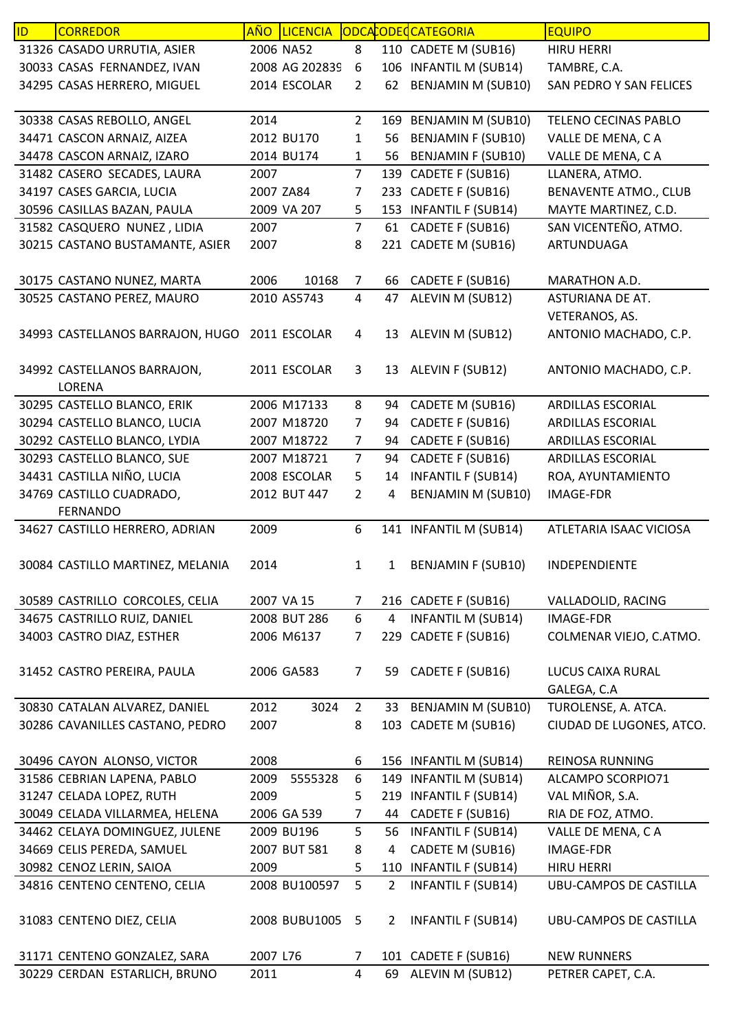| ID | <b>CORREDOR</b>                               |          | AÑO LICENCIA   |                  |                | ODCACODECATEGORIA         | <b>EQUIPO</b>                    |
|----|-----------------------------------------------|----------|----------------|------------------|----------------|---------------------------|----------------------------------|
|    | 31326 CASADO URRUTIA, ASIER                   |          | 2006 NA52      | 8                |                | 110 CADETE M (SUB16)      | <b>HIRU HERRI</b>                |
|    | 30033 CASAS FERNANDEZ, IVAN                   |          | 2008 AG 202839 | 6                |                | 106 INFANTIL M (SUB14)    | TAMBRE, C.A.                     |
|    | 34295 CASAS HERRERO, MIGUEL                   |          | 2014 ESCOLAR   | $\overline{2}$   | 62             | <b>BENJAMIN M (SUB10)</b> | SAN PEDRO Y SAN FELICES          |
|    | 30338 CASAS REBOLLO, ANGEL                    | 2014     |                | $\overline{2}$   |                | 169 BENJAMIN M (SUB10)    | TELENO CECINAS PABLO             |
|    | 34471 CASCON ARNAIZ, AIZEA                    |          | 2012 BU170     | 1                | 56             | <b>BENJAMIN F (SUB10)</b> | VALLE DE MENA, CA                |
|    | 34478 CASCON ARNAIZ, IZARO                    |          | 2014 BU174     | 1                | 56             | <b>BENJAMIN F (SUB10)</b> | VALLE DE MENA, CA                |
|    | 31482 CASERO SECADES, LAURA                   | 2007     |                | $\overline{7}$   | 139            | CADETE F (SUB16)          | LLANERA, ATMO.                   |
|    | 34197 CASES GARCIA, LUCIA                     |          | 2007 ZA84      | 7                | 233            | CADETE F (SUB16)          | <b>BENAVENTE ATMO., CLUB</b>     |
|    | 30596 CASILLAS BAZAN, PAULA                   |          | 2009 VA 207    | 5                |                | 153 INFANTIL F (SUB14)    | MAYTE MARTINEZ, C.D.             |
|    | 31582 CASQUERO NUNEZ, LIDIA                   | 2007     |                | $\overline{7}$   | 61             | CADETE F (SUB16)          | SAN VICENTEÑO, ATMO.             |
|    | 30215 CASTANO BUSTAMANTE, ASIER               | 2007     |                | 8                | 221            | CADETE M (SUB16)          | ARTUNDUAGA                       |
|    | 30175 CASTANO NUNEZ, MARTA                    | 2006     | 10168          | 7                | 66             | CADETE F (SUB16)          | MARATHON A.D.                    |
|    | 30525 CASTANO PEREZ, MAURO                    |          | 2010 AS5743    | 4                | 47             | ALEVIN M (SUB12)          | ASTURIANA DE AT.                 |
|    |                                               |          |                |                  |                |                           | VETERANOS, AS.                   |
|    | 34993 CASTELLANOS BARRAJON, HUGO 2011 ESCOLAR |          |                | 4                | 13             | ALEVIN M (SUB12)          | ANTONIO MACHADO, C.P.            |
|    | 34992 CASTELLANOS BARRAJON,<br>LORENA         |          | 2011 ESCOLAR   | 3                |                | 13 ALEVIN F (SUB12)       | ANTONIO MACHADO, C.P.            |
|    | 30295 CASTELLO BLANCO, ERIK                   |          | 2006 M17133    | 8                | 94             | CADETE M (SUB16)          | ARDILLAS ESCORIAL                |
|    | 30294 CASTELLO BLANCO, LUCIA                  |          | 2007 M18720    | 7                | 94             | CADETE F (SUB16)          | ARDILLAS ESCORIAL                |
|    | 30292 CASTELLO BLANCO, LYDIA                  |          | 2007 M18722    | 7                | 94             | CADETE F (SUB16)          | <b>ARDILLAS ESCORIAL</b>         |
|    | 30293 CASTELLO BLANCO, SUE                    |          | 2007 M18721    | $\overline{7}$   | 94             | CADETE F (SUB16)          | ARDILLAS ESCORIAL                |
|    | 34431 CASTILLA NIÑO, LUCIA                    |          | 2008 ESCOLAR   | 5                | 14             | <b>INFANTIL F (SUB14)</b> | ROA, AYUNTAMIENTO                |
|    | 34769 CASTILLO CUADRADO,                      |          | 2012 BUT 447   | $\overline{2}$   | 4              | BENJAMIN M (SUB10)        | <b>IMAGE-FDR</b>                 |
|    | <b>FERNANDO</b>                               |          |                |                  |                |                           |                                  |
|    | 34627 CASTILLO HERRERO, ADRIAN                | 2009     |                | 6                |                | 141 INFANTIL M (SUB14)    | ATLETARIA ISAAC VICIOSA          |
|    | 30084 CASTILLO MARTINEZ, MELANIA              | 2014     |                | 1                | $\mathbf{1}$   | <b>BENJAMIN F (SUB10)</b> | INDEPENDIENTE                    |
|    | 30589 CASTRILLO CORCOLES, CELIA               |          | 2007 VA 15     | $\overline{7}$   |                | 216 CADETE F (SUB16)      | VALLADOLID, RACING               |
|    | 34675 CASTRILLO RUIZ, DANIEL                  |          | 2008 BUT 286   | 6                | 4              | <b>INFANTIL M (SUB14)</b> | <b>IMAGE-FDR</b>                 |
|    | 34003 CASTRO DIAZ, ESTHER                     |          | 2006 M6137     | $\overline{7}$   |                | 229 CADETE F (SUB16)      | COLMENAR VIEJO, C.ATMO.          |
|    | 31452 CASTRO PEREIRA, PAULA                   |          | 2006 GA583     | $\overline{7}$   | 59             | CADETE F (SUB16)          | LUCUS CAIXA RURAL<br>GALEGA, C.A |
|    | 30830 CATALAN ALVAREZ, DANIEL                 | 2012     | 3024           | $\overline{2}$   | 33             | <b>BENJAMIN M (SUB10)</b> | TUROLENSE, A. ATCA.              |
|    | 30286 CAVANILLES CASTANO, PEDRO               | 2007     |                | 8                |                | 103 CADETE M (SUB16)      | CIUDAD DE LUGONES, ATCO.         |
|    | 30496 CAYON ALONSO, VICTOR                    | 2008     |                | 6                |                | 156 INFANTIL M (SUB14)    | REINOSA RUNNING                  |
|    | 31586 CEBRIAN LAPENA, PABLO                   | 2009     | 5555328        | $\boldsymbol{6}$ |                | 149 INFANTIL M (SUB14)    | ALCAMPO SCORPIO71                |
|    | 31247 CELADA LOPEZ, RUTH                      | 2009     |                | 5                |                | 219 INFANTIL F (SUB14)    | VAL MIÑOR, S.A.                  |
|    | 30049 CELADA VILLARMEA, HELENA                |          | 2006 GA 539    | $\overline{7}$   | 44             | CADETE F (SUB16)          | RIA DE FOZ, ATMO.                |
|    | 34462 CELAYA DOMINGUEZ, JULENE                |          | 2009 BU196     | 5                | 56             | <b>INFANTIL F (SUB14)</b> | VALLE DE MENA, CA                |
|    | 34669 CELIS PEREDA, SAMUEL                    |          | 2007 BUT 581   | 8                | 4              | CADETE M (SUB16)          | <b>IMAGE-FDR</b>                 |
|    | 30982 CENOZ LERIN, SAIOA                      | 2009     |                | 5                |                | 110 INFANTIL F (SUB14)    | <b>HIRU HERRI</b>                |
|    | 34816 CENTENO CENTENO, CELIA                  |          | 2008 BU100597  | 5                | $2^{\circ}$    | <b>INFANTIL F (SUB14)</b> | UBU-CAMPOS DE CASTILLA           |
|    | 31083 CENTENO DIEZ, CELIA                     |          | 2008 BUBU1005  | 5                | $\overline{2}$ | <b>INFANTIL F (SUB14)</b> | UBU-CAMPOS DE CASTILLA           |
|    | 31171 CENTENO GONZALEZ, SARA                  | 2007 L76 |                | 7                |                | 101 CADETE F (SUB16)      | <b>NEW RUNNERS</b>               |
|    | 30229 CERDAN ESTARLICH, BRUNO                 | 2011     |                | $\overline{4}$   |                | 69 ALEVIN M (SUB12)       | PETRER CAPET, C.A.               |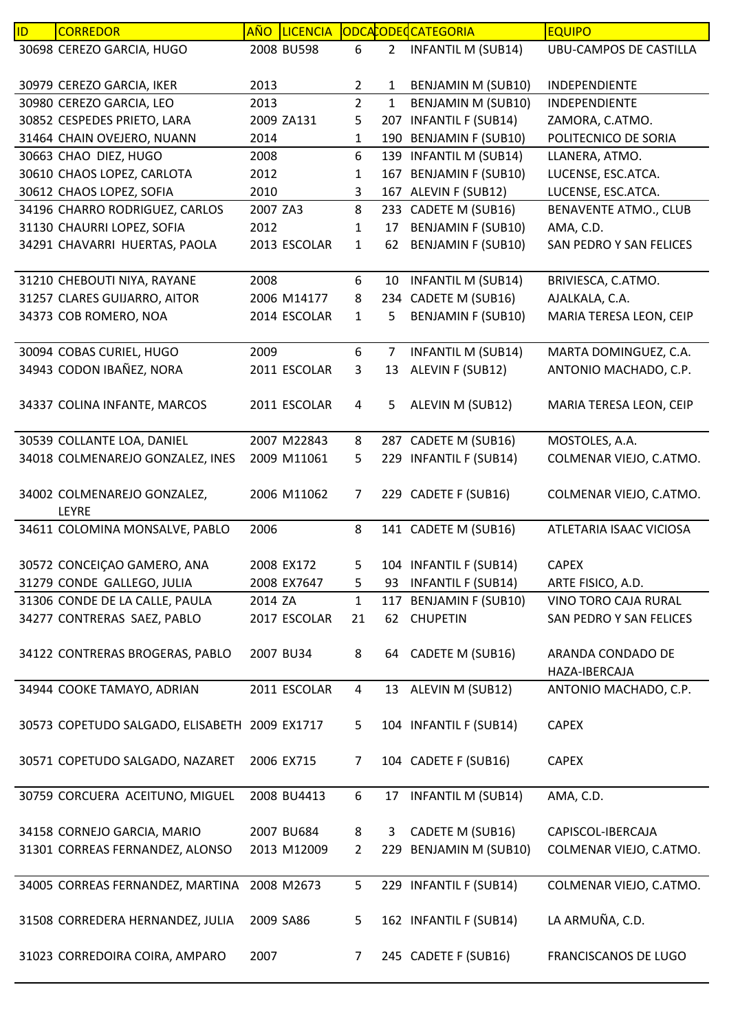| ID | <b>CORREDOR</b>                               | <b>AÑO</b> | <b>LICENCIA</b> |                |                | ODCACODECATEGORIA         | <b>EQUIPO</b>                          |
|----|-----------------------------------------------|------------|-----------------|----------------|----------------|---------------------------|----------------------------------------|
|    | 30698 CEREZO GARCIA, HUGO                     |            | 2008 BU598      | 6              | 2 <sup>1</sup> | <b>INFANTIL M (SUB14)</b> | <b>UBU-CAMPOS DE CASTILLA</b>          |
|    | 30979 CEREZO GARCIA, IKER                     | 2013       |                 | $\overline{2}$ | 1              | BENJAMIN M (SUB10)        | INDEPENDIENTE                          |
|    | 30980 CEREZO GARCIA, LEO                      | 2013       |                 | $\overline{2}$ | $\mathbf{1}$   | <b>BENJAMIN M (SUB10)</b> | INDEPENDIENTE                          |
|    | 30852 CESPEDES PRIETO, LARA                   |            | 2009 ZA131      | 5              | 207            | <b>INFANTIL F (SUB14)</b> | ZAMORA, C.ATMO.                        |
|    | 31464 CHAIN OVEJERO, NUANN                    | 2014       |                 | $\mathbf{1}$   |                | 190 BENJAMIN F (SUB10)    | POLITECNICO DE SORIA                   |
|    | 30663 CHAO DIEZ, HUGO                         | 2008       |                 | 6              |                | 139 INFANTIL M (SUB14)    | LLANERA, ATMO.                         |
|    | 30610 CHAOS LOPEZ, CARLOTA                    | 2012       |                 | 1              | 167            | <b>BENJAMIN F (SUB10)</b> | LUCENSE, ESC.ATCA.                     |
|    | 30612 CHAOS LOPEZ, SOFIA                      | 2010       |                 | 3              |                | 167 ALEVIN F (SUB12)      | LUCENSE, ESC.ATCA.                     |
|    | 34196 CHARRO RODRIGUEZ, CARLOS                | 2007 ZA3   |                 | 8              |                | 233 CADETE M (SUB16)      | <b>BENAVENTE ATMO., CLUB</b>           |
|    | 31130 CHAURRI LOPEZ, SOFIA                    | 2012       |                 | 1              | 17             | <b>BENJAMIN F (SUB10)</b> | AMA, C.D.                              |
|    | 34291 CHAVARRI HUERTAS, PAOLA                 |            | 2013 ESCOLAR    | 1              | 62             | <b>BENJAMIN F (SUB10)</b> | SAN PEDRO Y SAN FELICES                |
|    | 31210 CHEBOUTI NIYA, RAYANE                   | 2008       |                 | 6              | 10             | <b>INFANTIL M (SUB14)</b> | BRIVIESCA, C.ATMO.                     |
|    | 31257 CLARES GUIJARRO, AITOR                  |            | 2006 M14177     | 8              |                | 234 CADETE M (SUB16)      | AJALKALA, C.A.                         |
|    | 34373 COB ROMERO, NOA                         |            | 2014 ESCOLAR    | $\mathbf{1}$   | 5              | <b>BENJAMIN F (SUB10)</b> | MARIA TERESA LEON, CEIP                |
|    | 30094 COBAS CURIEL, HUGO                      | 2009       |                 | 6              | 7              | <b>INFANTIL M (SUB14)</b> | MARTA DOMINGUEZ, C.A.                  |
|    | 34943 CODON IBAÑEZ, NORA                      |            | 2011 ESCOLAR    | 3              | 13             | ALEVIN F (SUB12)          | ANTONIO MACHADO, C.P.                  |
|    |                                               |            |                 |                |                |                           |                                        |
|    | 34337 COLINA INFANTE, MARCOS                  |            | 2011 ESCOLAR    | 4              | 5              | ALEVIN M (SUB12)          | MARIA TERESA LEON, CEIP                |
|    | 30539 COLLANTE LOA, DANIEL                    |            | 2007 M22843     | 8              |                | 287 CADETE M (SUB16)      | MOSTOLES, A.A.                         |
|    | 34018 COLMENAREJO GONZALEZ, INES              |            | 2009 M11061     | 5              |                | 229 INFANTIL F (SUB14)    | COLMENAR VIEJO, C.ATMO.                |
|    |                                               |            |                 |                |                |                           |                                        |
|    | 34002 COLMENAREJO GONZALEZ,<br>LEYRE          |            | 2006 M11062     | 7              |                | 229 CADETE F (SUB16)      | COLMENAR VIEJO, C.ATMO.                |
|    | 34611 COLOMINA MONSALVE, PABLO                | 2006       |                 | 8              |                | 141 CADETE M (SUB16)      | ATLETARIA ISAAC VICIOSA                |
|    |                                               |            |                 |                |                |                           |                                        |
|    | 30572 CONCEIÇAO GAMERO, ANA                   |            | 2008 EX172      | 5              |                | 104 INFANTIL F (SUB14)    | <b>CAPEX</b>                           |
|    | 31279 CONDE GALLEGO, JULIA                    |            | 2008 EX7647     | 5              | 93             | <b>INFANTIL F (SUB14)</b> | ARTE FISICO, A.D.                      |
|    | 31306 CONDE DE LA CALLE, PAULA                | 2014 ZA    |                 | $\mathbf{1}$   |                | 117 BENJAMIN F (SUB10)    | VINO TORO CAJA RURAL                   |
|    | 34277 CONTRERAS SAEZ, PABLO                   |            | 2017 ESCOLAR    | 21             |                | 62 CHUPETIN               | SAN PEDRO Y SAN FELICES                |
|    |                                               |            |                 |                |                |                           |                                        |
|    | 34122 CONTRERAS BROGERAS, PABLO               |            | 2007 BU34       | 8              | 64             | CADETE M (SUB16)          | ARANDA CONDADO DE                      |
|    | 34944 COOKE TAMAYO, ADRIAN                    |            | 2011 ESCOLAR    | $\overline{4}$ |                | 13 ALEVIN M (SUB12)       | HAZA-IBERCAJA<br>ANTONIO MACHADO, C.P. |
|    |                                               |            |                 |                |                |                           |                                        |
|    | 30573 COPETUDO SALGADO, ELISABETH 2009 EX1717 |            |                 | 5              |                | 104 INFANTIL F (SUB14)    | <b>CAPEX</b>                           |
|    |                                               |            |                 |                |                |                           |                                        |
|    | 30571 COPETUDO SALGADO, NAZARET               |            | 2006 EX715      | 7              |                | 104 CADETE F (SUB16)      | <b>CAPEX</b>                           |
|    |                                               |            |                 |                |                |                           |                                        |
|    | 30759 CORCUERA ACEITUNO, MIGUEL               |            | 2008 BU4413     | 6              | 17             | <b>INFANTIL M (SUB14)</b> | AMA, C.D.                              |
|    | 34158 CORNEJO GARCIA, MARIO                   |            | 2007 BU684      | 8              | 3              | CADETE M (SUB16)          | CAPISCOL-IBERCAJA                      |
|    | 31301 CORREAS FERNANDEZ, ALONSO               |            | 2013 M12009     | $\overline{2}$ |                | 229 BENJAMIN M (SUB10)    | COLMENAR VIEJO, C.ATMO.                |
|    |                                               |            |                 |                |                |                           |                                        |
|    | 34005 CORREAS FERNANDEZ, MARTINA              |            | 2008 M2673      | 5              |                | 229 INFANTIL F (SUB14)    | COLMENAR VIEJO, C.ATMO.                |
|    |                                               |            |                 |                |                |                           |                                        |
|    | 31508 CORREDERA HERNANDEZ, JULIA              | 2009 SA86  |                 | 5              |                | 162 INFANTIL F (SUB14)    | LA ARMUÑA, C.D.                        |
|    |                                               |            |                 |                |                |                           |                                        |
|    | 31023 CORREDOIRA COIRA, AMPARO                | 2007       |                 | 7              |                | 245 CADETE F (SUB16)      | FRANCISCANOS DE LUGO                   |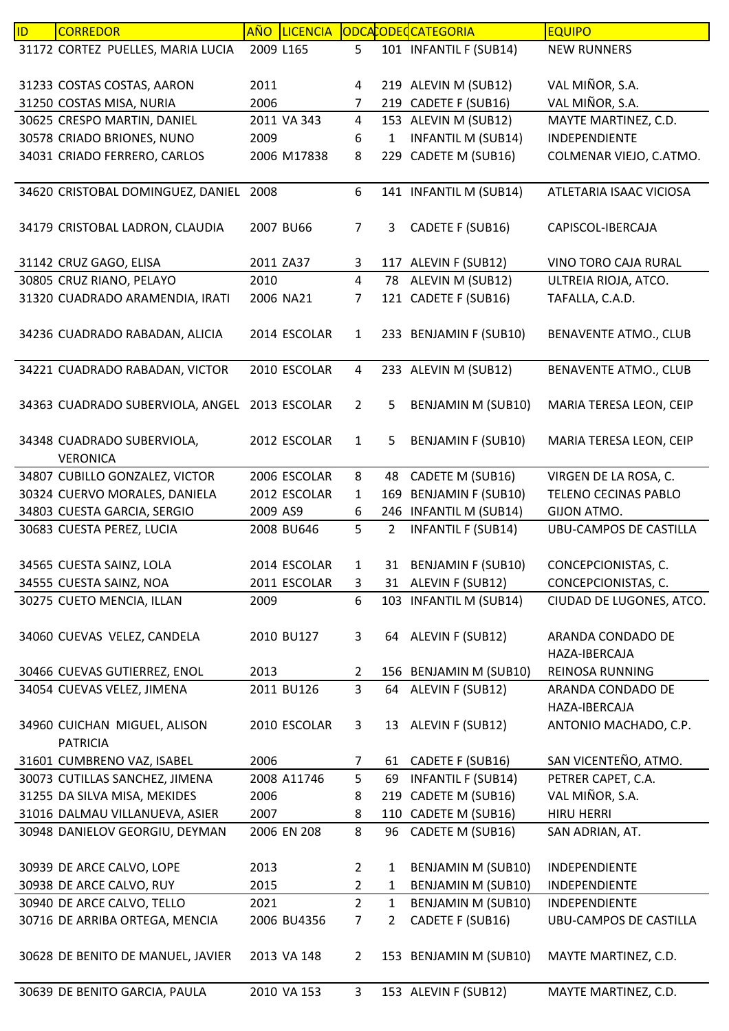| 31172 CORTEZ PUELLES, MARIA LUCIA<br>101 INFANTIL F (SUB14)<br>2009 L165<br>5<br><b>NEW RUNNERS</b><br>219 ALEVIN M (SUB12)<br>VAL MIÑOR, S.A.<br>31233 COSTAS COSTAS, AARON<br>2011<br>4<br>VAL MIÑOR, S.A.<br>219 CADETE F (SUB16)<br>31250 COSTAS MISA, NURIA<br>2006<br>7<br>30625 CRESPO MARTIN, DANIEL<br>$\overline{4}$<br>153 ALEVIN M (SUB12)<br>MAYTE MARTINEZ, C.D.<br>2011 VA 343<br>30578 CRIADO BRIONES, NUNO<br><b>INFANTIL M (SUB14)</b><br>$\mathbf{1}$<br>INDEPENDIENTE<br>2009<br>6<br>CADETE M (SUB16)<br>34031 CRIADO FERRERO, CARLOS<br>2006 M17838<br>8<br>COLMENAR VIEJO, C.ATMO.<br>229<br>141 INFANTIL M (SUB14)<br>34620 CRISTOBAL DOMINGUEZ, DANIEL 2008<br>6<br>ATLETARIA ISAAC VICIOSA<br>34179 CRISTOBAL LADRON, CLAUDIA<br>CADETE F (SUB16)<br>2007 BU66<br>7<br>3<br>CAPISCOL-IBERCAJA<br>31142 CRUZ GAGO, ELISA<br>2011 ZA37<br>3<br>117 ALEVIN F (SUB12)<br>VINO TORO CAJA RURAL<br>ALEVIN M (SUB12)<br>30805 CRUZ RIANO, PELAYO<br>2010<br>4<br>78<br>ULTREIA RIOJA, ATCO.<br>31320 CUADRADO ARAMENDIA, IRATI<br>121 CADETE F (SUB16)<br>2006 NA21<br>TAFALLA, C.A.D.<br>7<br>34236 CUADRADO RABADAN, ALICIA<br>233 BENJAMIN F (SUB10)<br>BENAVENTE ATMO., CLUB<br>2014 ESCOLAR<br>$\mathbf{1}$<br>34221 CUADRADO RABADAN, VICTOR<br>2010 ESCOLAR<br>$\overline{4}$<br>233 ALEVIN M (SUB12)<br><b>BENAVENTE ATMO., CLUB</b><br>34363 CUADRADO SUBERVIOLA, ANGEL 2013 ESCOLAR<br>$\overline{2}$<br><b>BENJAMIN M (SUB10)</b><br>MARIA TERESA LEON, CEIP<br>5<br>34348 CUADRADO SUBERVIOLA,<br>2012 ESCOLAR<br>5<br><b>BENJAMIN F (SUB10)</b><br>MARIA TERESA LEON, CEIP<br>$\mathbf{1}$<br><b>VERONICA</b><br>CADETE M (SUB16)<br>VIRGEN DE LA ROSA, C.<br>34807 CUBILLO GONZALEZ, VICTOR<br>2006 ESCOLAR<br>8<br>48<br>169 BENJAMIN F (SUB10)<br>30324 CUERVO MORALES, DANIELA<br>2012 ESCOLAR<br>$\mathbf{1}$<br>TELENO CECINAS PABLO<br>246 INFANTIL M (SUB14)<br>34803 CUESTA GARCIA, SERGIO<br>2009 AS9<br>6<br>GIJON ATMO.<br>5<br><b>INFANTIL F (SUB14)</b><br>30683 CUESTA PEREZ, LUCIA<br><b>UBU-CAMPOS DE CASTILLA</b><br>2008 BU646<br>$\overline{2}$<br>34565 CUESTA SAINZ, LOLA<br>2014 ESCOLAR<br><b>BENJAMIN F (SUB10)</b><br>CONCEPCIONISTAS, C.<br>1<br>31<br>2011 ESCOLAR<br>34555 CUESTA SAINZ, NOA<br>31 ALEVIN F (SUB12)<br>CONCEPCIONISTAS, C.<br>3<br>103 INFANTIL M (SUB14)<br>30275 CUETO MENCIA, ILLAN<br>2009<br>6<br>CIUDAD DE LUGONES, ATCO.<br>64 ALEVIN F (SUB12)<br>34060 CUEVAS VELEZ, CANDELA<br>2010 BU127<br>3<br>ARANDA CONDADO DE<br>HAZA-IBERCAJA<br>156 BENJAMIN M (SUB10)<br>30466 CUEVAS GUTIERREZ, ENOL<br>2013<br><b>REINOSA RUNNING</b><br>$\mathbf{2}$<br>3<br>64 ALEVIN F (SUB12)<br>34054 CUEVAS VELEZ, JIMENA<br>2011 BU126<br>ARANDA CONDADO DE<br>HAZA-IBERCAJA<br>2010 ESCOLAR<br>13 ALEVIN F (SUB12)<br>ANTONIO MACHADO, C.P.<br>34960 CUICHAN MIGUEL, ALISON<br>3<br><b>PATRICIA</b><br>SAN VICENTEÑO, ATMO.<br>61 CADETE F (SUB16)<br>31601 CUMBRENO VAZ, ISABEL<br>2006<br>$\overline{7}$<br>5<br>PETRER CAPET, C.A.<br>30073 CUTILLAS SANCHEZ, JIMENA<br>2008 A11746<br>69<br><b>INFANTIL F (SUB14)</b><br>VAL MIÑOR, S.A.<br>31255 DA SILVA MISA, MEKIDES<br>CADETE M (SUB16)<br>2006<br>8<br>219<br>31016 DALMAU VILLANUEVA, ASIER<br>110 CADETE M (SUB16)<br><b>HIRU HERRI</b><br>2007<br>8<br>30948 DANIELOV GEORGIU, DEYMAN<br>2006 EN 208<br>8<br>CADETE M (SUB16)<br>96<br>SAN ADRIAN, AT.<br><b>BENJAMIN M (SUB10)</b><br>30939 DE ARCE CALVO, LOPE<br>2013<br>INDEPENDIENTE<br>$\overline{2}$<br>$\mathbf{1}$<br>30938 DE ARCE CALVO, RUY<br>BENJAMIN M (SUB10)<br>2015<br>$\overline{2}$<br>INDEPENDIENTE<br>$\mathbf{1}$<br>$\overline{2}$<br>30940 DE ARCE CALVO, TELLO<br>$\mathbf{1}$<br><b>BENJAMIN M (SUB10)</b><br>2021<br>INDEPENDIENTE<br>30716 DE ARRIBA ORTEGA, MENCIA<br>CADETE F (SUB16)<br>2006 BU4356<br>7 <sup>1</sup><br>$\overline{2}$<br>UBU-CAMPOS DE CASTILLA<br>30628 DE BENITO DE MANUEL, JAVIER<br>153 BENJAMIN M (SUB10)<br>MAYTE MARTINEZ, C.D.<br>2013 VA 148<br>$\overline{2}$ | ID | <b>CORREDOR</b>               | AÑO | <b>LICENCIA</b> |   | ODCACODEC CATEGORIA  | <b>EQUIPO</b>        |
|------------------------------------------------------------------------------------------------------------------------------------------------------------------------------------------------------------------------------------------------------------------------------------------------------------------------------------------------------------------------------------------------------------------------------------------------------------------------------------------------------------------------------------------------------------------------------------------------------------------------------------------------------------------------------------------------------------------------------------------------------------------------------------------------------------------------------------------------------------------------------------------------------------------------------------------------------------------------------------------------------------------------------------------------------------------------------------------------------------------------------------------------------------------------------------------------------------------------------------------------------------------------------------------------------------------------------------------------------------------------------------------------------------------------------------------------------------------------------------------------------------------------------------------------------------------------------------------------------------------------------------------------------------------------------------------------------------------------------------------------------------------------------------------------------------------------------------------------------------------------------------------------------------------------------------------------------------------------------------------------------------------------------------------------------------------------------------------------------------------------------------------------------------------------------------------------------------------------------------------------------------------------------------------------------------------------------------------------------------------------------------------------------------------------------------------------------------------------------------------------------------------------------------------------------------------------------------------------------------------------------------------------------------------------------------------------------------------------------------------------------------------------------------------------------------------------------------------------------------------------------------------------------------------------------------------------------------------------------------------------------------------------------------------------------------------------------------------------------------------------------------------------------------------------------------------------------------------------------------------------------------------------------------------------------------------------------------------------------------------------------------------------------------------------------------------------------------------------------------------------------------------------------------------------------------------------------------------------------------------------------------------------------------------------------------------------------------------------------------------------------------------------------------------------------------------------------------------------------------------------------------------------------------------------------------------------------------------------------------------------------------------|----|-------------------------------|-----|-----------------|---|----------------------|----------------------|
|                                                                                                                                                                                                                                                                                                                                                                                                                                                                                                                                                                                                                                                                                                                                                                                                                                                                                                                                                                                                                                                                                                                                                                                                                                                                                                                                                                                                                                                                                                                                                                                                                                                                                                                                                                                                                                                                                                                                                                                                                                                                                                                                                                                                                                                                                                                                                                                                                                                                                                                                                                                                                                                                                                                                                                                                                                                                                                                                                                                                                                                                                                                                                                                                                                                                                                                                                                                                                                                                                                                                                                                                                                                                                                                                                                                                                                                                                                                                                                                                                  |    |                               |     |                 |   |                      |                      |
|                                                                                                                                                                                                                                                                                                                                                                                                                                                                                                                                                                                                                                                                                                                                                                                                                                                                                                                                                                                                                                                                                                                                                                                                                                                                                                                                                                                                                                                                                                                                                                                                                                                                                                                                                                                                                                                                                                                                                                                                                                                                                                                                                                                                                                                                                                                                                                                                                                                                                                                                                                                                                                                                                                                                                                                                                                                                                                                                                                                                                                                                                                                                                                                                                                                                                                                                                                                                                                                                                                                                                                                                                                                                                                                                                                                                                                                                                                                                                                                                                  |    |                               |     |                 |   |                      |                      |
|                                                                                                                                                                                                                                                                                                                                                                                                                                                                                                                                                                                                                                                                                                                                                                                                                                                                                                                                                                                                                                                                                                                                                                                                                                                                                                                                                                                                                                                                                                                                                                                                                                                                                                                                                                                                                                                                                                                                                                                                                                                                                                                                                                                                                                                                                                                                                                                                                                                                                                                                                                                                                                                                                                                                                                                                                                                                                                                                                                                                                                                                                                                                                                                                                                                                                                                                                                                                                                                                                                                                                                                                                                                                                                                                                                                                                                                                                                                                                                                                                  |    |                               |     |                 |   |                      |                      |
|                                                                                                                                                                                                                                                                                                                                                                                                                                                                                                                                                                                                                                                                                                                                                                                                                                                                                                                                                                                                                                                                                                                                                                                                                                                                                                                                                                                                                                                                                                                                                                                                                                                                                                                                                                                                                                                                                                                                                                                                                                                                                                                                                                                                                                                                                                                                                                                                                                                                                                                                                                                                                                                                                                                                                                                                                                                                                                                                                                                                                                                                                                                                                                                                                                                                                                                                                                                                                                                                                                                                                                                                                                                                                                                                                                                                                                                                                                                                                                                                                  |    |                               |     |                 |   |                      |                      |
|                                                                                                                                                                                                                                                                                                                                                                                                                                                                                                                                                                                                                                                                                                                                                                                                                                                                                                                                                                                                                                                                                                                                                                                                                                                                                                                                                                                                                                                                                                                                                                                                                                                                                                                                                                                                                                                                                                                                                                                                                                                                                                                                                                                                                                                                                                                                                                                                                                                                                                                                                                                                                                                                                                                                                                                                                                                                                                                                                                                                                                                                                                                                                                                                                                                                                                                                                                                                                                                                                                                                                                                                                                                                                                                                                                                                                                                                                                                                                                                                                  |    |                               |     |                 |   |                      |                      |
|                                                                                                                                                                                                                                                                                                                                                                                                                                                                                                                                                                                                                                                                                                                                                                                                                                                                                                                                                                                                                                                                                                                                                                                                                                                                                                                                                                                                                                                                                                                                                                                                                                                                                                                                                                                                                                                                                                                                                                                                                                                                                                                                                                                                                                                                                                                                                                                                                                                                                                                                                                                                                                                                                                                                                                                                                                                                                                                                                                                                                                                                                                                                                                                                                                                                                                                                                                                                                                                                                                                                                                                                                                                                                                                                                                                                                                                                                                                                                                                                                  |    |                               |     |                 |   |                      |                      |
|                                                                                                                                                                                                                                                                                                                                                                                                                                                                                                                                                                                                                                                                                                                                                                                                                                                                                                                                                                                                                                                                                                                                                                                                                                                                                                                                                                                                                                                                                                                                                                                                                                                                                                                                                                                                                                                                                                                                                                                                                                                                                                                                                                                                                                                                                                                                                                                                                                                                                                                                                                                                                                                                                                                                                                                                                                                                                                                                                                                                                                                                                                                                                                                                                                                                                                                                                                                                                                                                                                                                                                                                                                                                                                                                                                                                                                                                                                                                                                                                                  |    |                               |     |                 |   |                      |                      |
|                                                                                                                                                                                                                                                                                                                                                                                                                                                                                                                                                                                                                                                                                                                                                                                                                                                                                                                                                                                                                                                                                                                                                                                                                                                                                                                                                                                                                                                                                                                                                                                                                                                                                                                                                                                                                                                                                                                                                                                                                                                                                                                                                                                                                                                                                                                                                                                                                                                                                                                                                                                                                                                                                                                                                                                                                                                                                                                                                                                                                                                                                                                                                                                                                                                                                                                                                                                                                                                                                                                                                                                                                                                                                                                                                                                                                                                                                                                                                                                                                  |    |                               |     |                 |   |                      |                      |
|                                                                                                                                                                                                                                                                                                                                                                                                                                                                                                                                                                                                                                                                                                                                                                                                                                                                                                                                                                                                                                                                                                                                                                                                                                                                                                                                                                                                                                                                                                                                                                                                                                                                                                                                                                                                                                                                                                                                                                                                                                                                                                                                                                                                                                                                                                                                                                                                                                                                                                                                                                                                                                                                                                                                                                                                                                                                                                                                                                                                                                                                                                                                                                                                                                                                                                                                                                                                                                                                                                                                                                                                                                                                                                                                                                                                                                                                                                                                                                                                                  |    |                               |     |                 |   |                      |                      |
|                                                                                                                                                                                                                                                                                                                                                                                                                                                                                                                                                                                                                                                                                                                                                                                                                                                                                                                                                                                                                                                                                                                                                                                                                                                                                                                                                                                                                                                                                                                                                                                                                                                                                                                                                                                                                                                                                                                                                                                                                                                                                                                                                                                                                                                                                                                                                                                                                                                                                                                                                                                                                                                                                                                                                                                                                                                                                                                                                                                                                                                                                                                                                                                                                                                                                                                                                                                                                                                                                                                                                                                                                                                                                                                                                                                                                                                                                                                                                                                                                  |    |                               |     |                 |   |                      |                      |
|                                                                                                                                                                                                                                                                                                                                                                                                                                                                                                                                                                                                                                                                                                                                                                                                                                                                                                                                                                                                                                                                                                                                                                                                                                                                                                                                                                                                                                                                                                                                                                                                                                                                                                                                                                                                                                                                                                                                                                                                                                                                                                                                                                                                                                                                                                                                                                                                                                                                                                                                                                                                                                                                                                                                                                                                                                                                                                                                                                                                                                                                                                                                                                                                                                                                                                                                                                                                                                                                                                                                                                                                                                                                                                                                                                                                                                                                                                                                                                                                                  |    |                               |     |                 |   |                      |                      |
|                                                                                                                                                                                                                                                                                                                                                                                                                                                                                                                                                                                                                                                                                                                                                                                                                                                                                                                                                                                                                                                                                                                                                                                                                                                                                                                                                                                                                                                                                                                                                                                                                                                                                                                                                                                                                                                                                                                                                                                                                                                                                                                                                                                                                                                                                                                                                                                                                                                                                                                                                                                                                                                                                                                                                                                                                                                                                                                                                                                                                                                                                                                                                                                                                                                                                                                                                                                                                                                                                                                                                                                                                                                                                                                                                                                                                                                                                                                                                                                                                  |    |                               |     |                 |   |                      |                      |
|                                                                                                                                                                                                                                                                                                                                                                                                                                                                                                                                                                                                                                                                                                                                                                                                                                                                                                                                                                                                                                                                                                                                                                                                                                                                                                                                                                                                                                                                                                                                                                                                                                                                                                                                                                                                                                                                                                                                                                                                                                                                                                                                                                                                                                                                                                                                                                                                                                                                                                                                                                                                                                                                                                                                                                                                                                                                                                                                                                                                                                                                                                                                                                                                                                                                                                                                                                                                                                                                                                                                                                                                                                                                                                                                                                                                                                                                                                                                                                                                                  |    |                               |     |                 |   |                      |                      |
|                                                                                                                                                                                                                                                                                                                                                                                                                                                                                                                                                                                                                                                                                                                                                                                                                                                                                                                                                                                                                                                                                                                                                                                                                                                                                                                                                                                                                                                                                                                                                                                                                                                                                                                                                                                                                                                                                                                                                                                                                                                                                                                                                                                                                                                                                                                                                                                                                                                                                                                                                                                                                                                                                                                                                                                                                                                                                                                                                                                                                                                                                                                                                                                                                                                                                                                                                                                                                                                                                                                                                                                                                                                                                                                                                                                                                                                                                                                                                                                                                  |    |                               |     |                 |   |                      |                      |
|                                                                                                                                                                                                                                                                                                                                                                                                                                                                                                                                                                                                                                                                                                                                                                                                                                                                                                                                                                                                                                                                                                                                                                                                                                                                                                                                                                                                                                                                                                                                                                                                                                                                                                                                                                                                                                                                                                                                                                                                                                                                                                                                                                                                                                                                                                                                                                                                                                                                                                                                                                                                                                                                                                                                                                                                                                                                                                                                                                                                                                                                                                                                                                                                                                                                                                                                                                                                                                                                                                                                                                                                                                                                                                                                                                                                                                                                                                                                                                                                                  |    |                               |     |                 |   |                      |                      |
|                                                                                                                                                                                                                                                                                                                                                                                                                                                                                                                                                                                                                                                                                                                                                                                                                                                                                                                                                                                                                                                                                                                                                                                                                                                                                                                                                                                                                                                                                                                                                                                                                                                                                                                                                                                                                                                                                                                                                                                                                                                                                                                                                                                                                                                                                                                                                                                                                                                                                                                                                                                                                                                                                                                                                                                                                                                                                                                                                                                                                                                                                                                                                                                                                                                                                                                                                                                                                                                                                                                                                                                                                                                                                                                                                                                                                                                                                                                                                                                                                  |    |                               |     |                 |   |                      |                      |
|                                                                                                                                                                                                                                                                                                                                                                                                                                                                                                                                                                                                                                                                                                                                                                                                                                                                                                                                                                                                                                                                                                                                                                                                                                                                                                                                                                                                                                                                                                                                                                                                                                                                                                                                                                                                                                                                                                                                                                                                                                                                                                                                                                                                                                                                                                                                                                                                                                                                                                                                                                                                                                                                                                                                                                                                                                                                                                                                                                                                                                                                                                                                                                                                                                                                                                                                                                                                                                                                                                                                                                                                                                                                                                                                                                                                                                                                                                                                                                                                                  |    |                               |     |                 |   |                      |                      |
|                                                                                                                                                                                                                                                                                                                                                                                                                                                                                                                                                                                                                                                                                                                                                                                                                                                                                                                                                                                                                                                                                                                                                                                                                                                                                                                                                                                                                                                                                                                                                                                                                                                                                                                                                                                                                                                                                                                                                                                                                                                                                                                                                                                                                                                                                                                                                                                                                                                                                                                                                                                                                                                                                                                                                                                                                                                                                                                                                                                                                                                                                                                                                                                                                                                                                                                                                                                                                                                                                                                                                                                                                                                                                                                                                                                                                                                                                                                                                                                                                  |    |                               |     |                 |   |                      |                      |
|                                                                                                                                                                                                                                                                                                                                                                                                                                                                                                                                                                                                                                                                                                                                                                                                                                                                                                                                                                                                                                                                                                                                                                                                                                                                                                                                                                                                                                                                                                                                                                                                                                                                                                                                                                                                                                                                                                                                                                                                                                                                                                                                                                                                                                                                                                                                                                                                                                                                                                                                                                                                                                                                                                                                                                                                                                                                                                                                                                                                                                                                                                                                                                                                                                                                                                                                                                                                                                                                                                                                                                                                                                                                                                                                                                                                                                                                                                                                                                                                                  |    |                               |     |                 |   |                      |                      |
|                                                                                                                                                                                                                                                                                                                                                                                                                                                                                                                                                                                                                                                                                                                                                                                                                                                                                                                                                                                                                                                                                                                                                                                                                                                                                                                                                                                                                                                                                                                                                                                                                                                                                                                                                                                                                                                                                                                                                                                                                                                                                                                                                                                                                                                                                                                                                                                                                                                                                                                                                                                                                                                                                                                                                                                                                                                                                                                                                                                                                                                                                                                                                                                                                                                                                                                                                                                                                                                                                                                                                                                                                                                                                                                                                                                                                                                                                                                                                                                                                  |    |                               |     |                 |   |                      |                      |
|                                                                                                                                                                                                                                                                                                                                                                                                                                                                                                                                                                                                                                                                                                                                                                                                                                                                                                                                                                                                                                                                                                                                                                                                                                                                                                                                                                                                                                                                                                                                                                                                                                                                                                                                                                                                                                                                                                                                                                                                                                                                                                                                                                                                                                                                                                                                                                                                                                                                                                                                                                                                                                                                                                                                                                                                                                                                                                                                                                                                                                                                                                                                                                                                                                                                                                                                                                                                                                                                                                                                                                                                                                                                                                                                                                                                                                                                                                                                                                                                                  |    |                               |     |                 |   |                      |                      |
|                                                                                                                                                                                                                                                                                                                                                                                                                                                                                                                                                                                                                                                                                                                                                                                                                                                                                                                                                                                                                                                                                                                                                                                                                                                                                                                                                                                                                                                                                                                                                                                                                                                                                                                                                                                                                                                                                                                                                                                                                                                                                                                                                                                                                                                                                                                                                                                                                                                                                                                                                                                                                                                                                                                                                                                                                                                                                                                                                                                                                                                                                                                                                                                                                                                                                                                                                                                                                                                                                                                                                                                                                                                                                                                                                                                                                                                                                                                                                                                                                  |    |                               |     |                 |   |                      |                      |
|                                                                                                                                                                                                                                                                                                                                                                                                                                                                                                                                                                                                                                                                                                                                                                                                                                                                                                                                                                                                                                                                                                                                                                                                                                                                                                                                                                                                                                                                                                                                                                                                                                                                                                                                                                                                                                                                                                                                                                                                                                                                                                                                                                                                                                                                                                                                                                                                                                                                                                                                                                                                                                                                                                                                                                                                                                                                                                                                                                                                                                                                                                                                                                                                                                                                                                                                                                                                                                                                                                                                                                                                                                                                                                                                                                                                                                                                                                                                                                                                                  |    |                               |     |                 |   |                      |                      |
|                                                                                                                                                                                                                                                                                                                                                                                                                                                                                                                                                                                                                                                                                                                                                                                                                                                                                                                                                                                                                                                                                                                                                                                                                                                                                                                                                                                                                                                                                                                                                                                                                                                                                                                                                                                                                                                                                                                                                                                                                                                                                                                                                                                                                                                                                                                                                                                                                                                                                                                                                                                                                                                                                                                                                                                                                                                                                                                                                                                                                                                                                                                                                                                                                                                                                                                                                                                                                                                                                                                                                                                                                                                                                                                                                                                                                                                                                                                                                                                                                  |    |                               |     |                 |   |                      |                      |
|                                                                                                                                                                                                                                                                                                                                                                                                                                                                                                                                                                                                                                                                                                                                                                                                                                                                                                                                                                                                                                                                                                                                                                                                                                                                                                                                                                                                                                                                                                                                                                                                                                                                                                                                                                                                                                                                                                                                                                                                                                                                                                                                                                                                                                                                                                                                                                                                                                                                                                                                                                                                                                                                                                                                                                                                                                                                                                                                                                                                                                                                                                                                                                                                                                                                                                                                                                                                                                                                                                                                                                                                                                                                                                                                                                                                                                                                                                                                                                                                                  |    |                               |     |                 |   |                      |                      |
|                                                                                                                                                                                                                                                                                                                                                                                                                                                                                                                                                                                                                                                                                                                                                                                                                                                                                                                                                                                                                                                                                                                                                                                                                                                                                                                                                                                                                                                                                                                                                                                                                                                                                                                                                                                                                                                                                                                                                                                                                                                                                                                                                                                                                                                                                                                                                                                                                                                                                                                                                                                                                                                                                                                                                                                                                                                                                                                                                                                                                                                                                                                                                                                                                                                                                                                                                                                                                                                                                                                                                                                                                                                                                                                                                                                                                                                                                                                                                                                                                  |    |                               |     |                 |   |                      |                      |
|                                                                                                                                                                                                                                                                                                                                                                                                                                                                                                                                                                                                                                                                                                                                                                                                                                                                                                                                                                                                                                                                                                                                                                                                                                                                                                                                                                                                                                                                                                                                                                                                                                                                                                                                                                                                                                                                                                                                                                                                                                                                                                                                                                                                                                                                                                                                                                                                                                                                                                                                                                                                                                                                                                                                                                                                                                                                                                                                                                                                                                                                                                                                                                                                                                                                                                                                                                                                                                                                                                                                                                                                                                                                                                                                                                                                                                                                                                                                                                                                                  |    |                               |     |                 |   |                      |                      |
|                                                                                                                                                                                                                                                                                                                                                                                                                                                                                                                                                                                                                                                                                                                                                                                                                                                                                                                                                                                                                                                                                                                                                                                                                                                                                                                                                                                                                                                                                                                                                                                                                                                                                                                                                                                                                                                                                                                                                                                                                                                                                                                                                                                                                                                                                                                                                                                                                                                                                                                                                                                                                                                                                                                                                                                                                                                                                                                                                                                                                                                                                                                                                                                                                                                                                                                                                                                                                                                                                                                                                                                                                                                                                                                                                                                                                                                                                                                                                                                                                  |    |                               |     |                 |   |                      |                      |
|                                                                                                                                                                                                                                                                                                                                                                                                                                                                                                                                                                                                                                                                                                                                                                                                                                                                                                                                                                                                                                                                                                                                                                                                                                                                                                                                                                                                                                                                                                                                                                                                                                                                                                                                                                                                                                                                                                                                                                                                                                                                                                                                                                                                                                                                                                                                                                                                                                                                                                                                                                                                                                                                                                                                                                                                                                                                                                                                                                                                                                                                                                                                                                                                                                                                                                                                                                                                                                                                                                                                                                                                                                                                                                                                                                                                                                                                                                                                                                                                                  |    |                               |     |                 |   |                      |                      |
|                                                                                                                                                                                                                                                                                                                                                                                                                                                                                                                                                                                                                                                                                                                                                                                                                                                                                                                                                                                                                                                                                                                                                                                                                                                                                                                                                                                                                                                                                                                                                                                                                                                                                                                                                                                                                                                                                                                                                                                                                                                                                                                                                                                                                                                                                                                                                                                                                                                                                                                                                                                                                                                                                                                                                                                                                                                                                                                                                                                                                                                                                                                                                                                                                                                                                                                                                                                                                                                                                                                                                                                                                                                                                                                                                                                                                                                                                                                                                                                                                  |    |                               |     |                 |   |                      |                      |
|                                                                                                                                                                                                                                                                                                                                                                                                                                                                                                                                                                                                                                                                                                                                                                                                                                                                                                                                                                                                                                                                                                                                                                                                                                                                                                                                                                                                                                                                                                                                                                                                                                                                                                                                                                                                                                                                                                                                                                                                                                                                                                                                                                                                                                                                                                                                                                                                                                                                                                                                                                                                                                                                                                                                                                                                                                                                                                                                                                                                                                                                                                                                                                                                                                                                                                                                                                                                                                                                                                                                                                                                                                                                                                                                                                                                                                                                                                                                                                                                                  |    |                               |     |                 |   |                      |                      |
|                                                                                                                                                                                                                                                                                                                                                                                                                                                                                                                                                                                                                                                                                                                                                                                                                                                                                                                                                                                                                                                                                                                                                                                                                                                                                                                                                                                                                                                                                                                                                                                                                                                                                                                                                                                                                                                                                                                                                                                                                                                                                                                                                                                                                                                                                                                                                                                                                                                                                                                                                                                                                                                                                                                                                                                                                                                                                                                                                                                                                                                                                                                                                                                                                                                                                                                                                                                                                                                                                                                                                                                                                                                                                                                                                                                                                                                                                                                                                                                                                  |    |                               |     |                 |   |                      |                      |
|                                                                                                                                                                                                                                                                                                                                                                                                                                                                                                                                                                                                                                                                                                                                                                                                                                                                                                                                                                                                                                                                                                                                                                                                                                                                                                                                                                                                                                                                                                                                                                                                                                                                                                                                                                                                                                                                                                                                                                                                                                                                                                                                                                                                                                                                                                                                                                                                                                                                                                                                                                                                                                                                                                                                                                                                                                                                                                                                                                                                                                                                                                                                                                                                                                                                                                                                                                                                                                                                                                                                                                                                                                                                                                                                                                                                                                                                                                                                                                                                                  |    |                               |     |                 |   |                      |                      |
|                                                                                                                                                                                                                                                                                                                                                                                                                                                                                                                                                                                                                                                                                                                                                                                                                                                                                                                                                                                                                                                                                                                                                                                                                                                                                                                                                                                                                                                                                                                                                                                                                                                                                                                                                                                                                                                                                                                                                                                                                                                                                                                                                                                                                                                                                                                                                                                                                                                                                                                                                                                                                                                                                                                                                                                                                                                                                                                                                                                                                                                                                                                                                                                                                                                                                                                                                                                                                                                                                                                                                                                                                                                                                                                                                                                                                                                                                                                                                                                                                  |    |                               |     |                 |   |                      |                      |
|                                                                                                                                                                                                                                                                                                                                                                                                                                                                                                                                                                                                                                                                                                                                                                                                                                                                                                                                                                                                                                                                                                                                                                                                                                                                                                                                                                                                                                                                                                                                                                                                                                                                                                                                                                                                                                                                                                                                                                                                                                                                                                                                                                                                                                                                                                                                                                                                                                                                                                                                                                                                                                                                                                                                                                                                                                                                                                                                                                                                                                                                                                                                                                                                                                                                                                                                                                                                                                                                                                                                                                                                                                                                                                                                                                                                                                                                                                                                                                                                                  |    |                               |     |                 |   |                      |                      |
|                                                                                                                                                                                                                                                                                                                                                                                                                                                                                                                                                                                                                                                                                                                                                                                                                                                                                                                                                                                                                                                                                                                                                                                                                                                                                                                                                                                                                                                                                                                                                                                                                                                                                                                                                                                                                                                                                                                                                                                                                                                                                                                                                                                                                                                                                                                                                                                                                                                                                                                                                                                                                                                                                                                                                                                                                                                                                                                                                                                                                                                                                                                                                                                                                                                                                                                                                                                                                                                                                                                                                                                                                                                                                                                                                                                                                                                                                                                                                                                                                  |    |                               |     |                 |   |                      |                      |
|                                                                                                                                                                                                                                                                                                                                                                                                                                                                                                                                                                                                                                                                                                                                                                                                                                                                                                                                                                                                                                                                                                                                                                                                                                                                                                                                                                                                                                                                                                                                                                                                                                                                                                                                                                                                                                                                                                                                                                                                                                                                                                                                                                                                                                                                                                                                                                                                                                                                                                                                                                                                                                                                                                                                                                                                                                                                                                                                                                                                                                                                                                                                                                                                                                                                                                                                                                                                                                                                                                                                                                                                                                                                                                                                                                                                                                                                                                                                                                                                                  |    |                               |     |                 |   |                      |                      |
|                                                                                                                                                                                                                                                                                                                                                                                                                                                                                                                                                                                                                                                                                                                                                                                                                                                                                                                                                                                                                                                                                                                                                                                                                                                                                                                                                                                                                                                                                                                                                                                                                                                                                                                                                                                                                                                                                                                                                                                                                                                                                                                                                                                                                                                                                                                                                                                                                                                                                                                                                                                                                                                                                                                                                                                                                                                                                                                                                                                                                                                                                                                                                                                                                                                                                                                                                                                                                                                                                                                                                                                                                                                                                                                                                                                                                                                                                                                                                                                                                  |    |                               |     |                 |   |                      |                      |
|                                                                                                                                                                                                                                                                                                                                                                                                                                                                                                                                                                                                                                                                                                                                                                                                                                                                                                                                                                                                                                                                                                                                                                                                                                                                                                                                                                                                                                                                                                                                                                                                                                                                                                                                                                                                                                                                                                                                                                                                                                                                                                                                                                                                                                                                                                                                                                                                                                                                                                                                                                                                                                                                                                                                                                                                                                                                                                                                                                                                                                                                                                                                                                                                                                                                                                                                                                                                                                                                                                                                                                                                                                                                                                                                                                                                                                                                                                                                                                                                                  |    |                               |     |                 |   |                      |                      |
|                                                                                                                                                                                                                                                                                                                                                                                                                                                                                                                                                                                                                                                                                                                                                                                                                                                                                                                                                                                                                                                                                                                                                                                                                                                                                                                                                                                                                                                                                                                                                                                                                                                                                                                                                                                                                                                                                                                                                                                                                                                                                                                                                                                                                                                                                                                                                                                                                                                                                                                                                                                                                                                                                                                                                                                                                                                                                                                                                                                                                                                                                                                                                                                                                                                                                                                                                                                                                                                                                                                                                                                                                                                                                                                                                                                                                                                                                                                                                                                                                  |    |                               |     |                 |   |                      |                      |
| 2010 VA 153                                                                                                                                                                                                                                                                                                                                                                                                                                                                                                                                                                                                                                                                                                                                                                                                                                                                                                                                                                                                                                                                                                                                                                                                                                                                                                                                                                                                                                                                                                                                                                                                                                                                                                                                                                                                                                                                                                                                                                                                                                                                                                                                                                                                                                                                                                                                                                                                                                                                                                                                                                                                                                                                                                                                                                                                                                                                                                                                                                                                                                                                                                                                                                                                                                                                                                                                                                                                                                                                                                                                                                                                                                                                                                                                                                                                                                                                                                                                                                                                      |    | 30639 DE BENITO GARCIA, PAULA |     |                 | 3 | 153 ALEVIN F (SUB12) | MAYTE MARTINEZ, C.D. |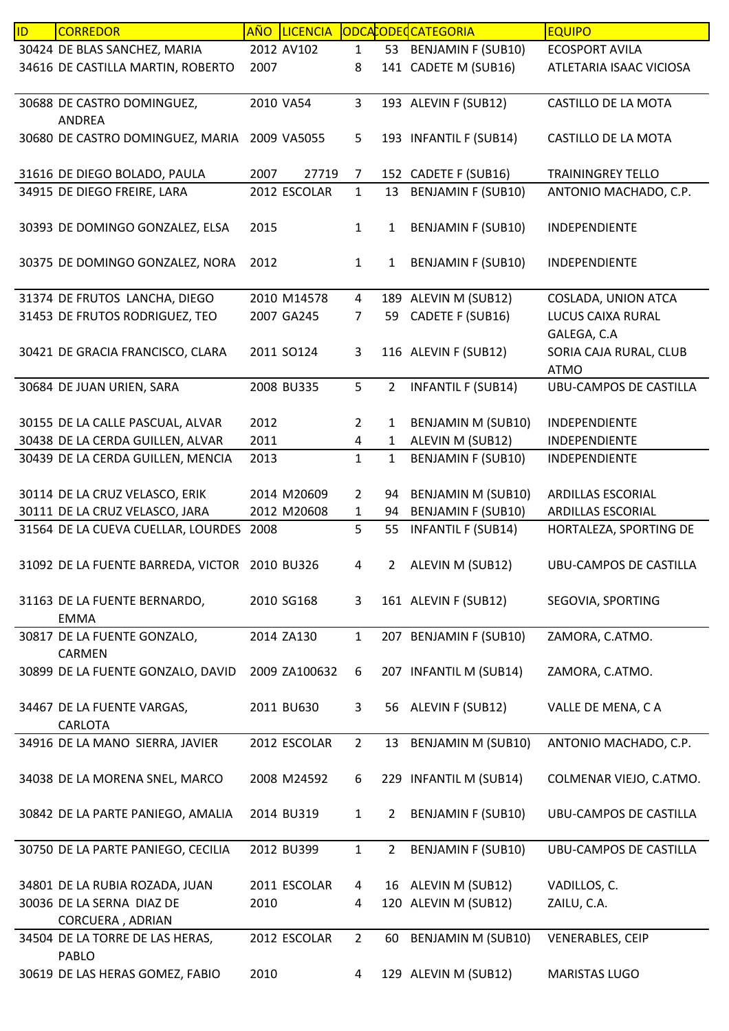| ID | <b>CORREDOR</b>                               | AÑO  | <b>LICENCIA</b> |                |                | ODCACODECCATEGORIA        | <b>EQUIPO</b>                 |
|----|-----------------------------------------------|------|-----------------|----------------|----------------|---------------------------|-------------------------------|
|    | 30424 DE BLAS SANCHEZ, MARIA                  |      | 2012 AV102      | $\mathbf{1}$   |                | 53 BENJAMIN F (SUB10)     | <b>ECOSPORT AVILA</b>         |
|    | 34616 DE CASTILLA MARTIN, ROBERTO             | 2007 |                 | 8              |                | 141 CADETE M (SUB16)      | ATLETARIA ISAAC VICIOSA       |
|    |                                               |      |                 |                |                |                           |                               |
|    | 30688 DE CASTRO DOMINGUEZ,                    |      | 2010 VA54       | 3              |                | 193 ALEVIN F (SUB12)      | CASTILLO DE LA MOTA           |
|    | <b>ANDREA</b>                                 |      |                 |                |                |                           |                               |
|    | 30680 DE CASTRO DOMINGUEZ, MARIA 2009 VA5055  |      |                 | 5              |                | 193 INFANTIL F (SUB14)    | CASTILLO DE LA MOTA           |
|    |                                               |      |                 |                |                |                           |                               |
|    | 31616 DE DIEGO BOLADO, PAULA                  | 2007 | 27719           | 7              |                | 152 CADETE F (SUB16)      | <b>TRAININGREY TELLO</b>      |
|    | 34915 DE DIEGO FREIRE, LARA                   |      | 2012 ESCOLAR    | $\mathbf{1}$   |                | 13 BENJAMIN F (SUB10)     | ANTONIO MACHADO, C.P.         |
|    |                                               |      |                 |                |                |                           |                               |
|    | 30393 DE DOMINGO GONZALEZ, ELSA               | 2015 |                 | $\mathbf{1}$   | $\mathbf{1}$   | <b>BENJAMIN F (SUB10)</b> | INDEPENDIENTE                 |
|    |                                               |      |                 |                |                |                           |                               |
|    | 30375 DE DOMINGO GONZALEZ, NORA               | 2012 |                 | $\mathbf{1}$   | $\mathbf{1}$   | <b>BENJAMIN F (SUB10)</b> | INDEPENDIENTE                 |
|    |                                               |      |                 |                |                |                           |                               |
|    | 31374 DE FRUTOS LANCHA, DIEGO                 |      | 2010 M14578     | $\overline{4}$ |                | 189 ALEVIN M (SUB12)      | COSLADA, UNION ATCA           |
|    |                                               |      | 2007 GA245      |                |                | 59 CADETE F (SUB16)       | LUCUS CAIXA RURAL             |
|    | 31453 DE FRUTOS RODRIGUEZ, TEO                |      |                 | $\overline{7}$ |                |                           |                               |
|    |                                               |      |                 |                |                |                           | GALEGA, C.A                   |
|    | 30421 DE GRACIA FRANCISCO, CLARA              |      | 2011 SO124      | 3              |                | 116 ALEVIN F (SUB12)      | SORIA CAJA RURAL, CLUB        |
|    |                                               |      |                 |                |                |                           | <b>ATMO</b>                   |
|    | 30684 DE JUAN URIEN, SARA                     |      | 2008 BU335      | 5              | $\overline{2}$ | <b>INFANTIL F (SUB14)</b> | <b>UBU-CAMPOS DE CASTILLA</b> |
|    |                                               |      |                 |                |                |                           |                               |
|    | 30155 DE LA CALLE PASCUAL, ALVAR              | 2012 |                 | $\overline{2}$ | 1              | <b>BENJAMIN M (SUB10)</b> | INDEPENDIENTE                 |
|    | 30438 DE LA CERDA GUILLEN, ALVAR              | 2011 |                 | 4              | $\mathbf{1}$   | ALEVIN M (SUB12)          | INDEPENDIENTE                 |
|    | 30439 DE LA CERDA GUILLEN, MENCIA             | 2013 |                 | $\mathbf{1}$   | $\mathbf{1}$   | <b>BENJAMIN F (SUB10)</b> | INDEPENDIENTE                 |
|    |                                               |      |                 |                |                |                           |                               |
|    | 30114 DE LA CRUZ VELASCO, ERIK                |      | 2014 M20609     | $\overline{2}$ | 94             | <b>BENJAMIN M (SUB10)</b> | ARDILLAS ESCORIAL             |
|    | 30111 DE LA CRUZ VELASCO, JARA                |      | 2012 M20608     | $\mathbf{1}$   | 94             | <b>BENJAMIN F (SUB10)</b> | ARDILLAS ESCORIAL             |
|    | 31564 DE LA CUEVA CUELLAR, LOURDES            | 2008 |                 | 5              | 55             | <b>INFANTIL F (SUB14)</b> | HORTALEZA, SPORTING DE        |
|    |                                               |      |                 |                |                |                           |                               |
|    | 31092 DE LA FUENTE BARREDA, VICTOR 2010 BU326 |      |                 | 4              | $\overline{2}$ | ALEVIN M (SUB12)          | <b>UBU-CAMPOS DE CASTILLA</b> |
|    |                                               |      |                 |                |                |                           |                               |
|    | 31163 DE LA FUENTE BERNARDO,                  |      | 2010 SG168      | 3              |                | 161 ALEVIN F (SUB12)      | SEGOVIA, SPORTING             |
|    | <b>EMMA</b>                                   |      |                 |                |                |                           |                               |
|    | 30817 DE LA FUENTE GONZALO,                   |      | 2014 ZA130      | $\mathbf{1}$   |                | 207 BENJAMIN F (SUB10)    | ZAMORA, C.ATMO.               |
|    | <b>CARMEN</b>                                 |      |                 |                |                |                           |                               |
|    | 30899 DE LA FUENTE GONZALO, DAVID             |      | 2009 ZA100632   | 6              |                | 207 INFANTIL M (SUB14)    | ZAMORA, C.ATMO.               |
|    |                                               |      |                 |                |                |                           |                               |
|    | 34467 DE LA FUENTE VARGAS,                    |      | 2011 BU630      | 3              | 56             | ALEVIN F (SUB12)          | VALLE DE MENA, CA             |
|    | CARLOTA                                       |      |                 |                |                |                           |                               |
|    | 34916 DE LA MANO SIERRA, JAVIER               |      | 2012 ESCOLAR    | $\overline{2}$ | 13             | <b>BENJAMIN M (SUB10)</b> | ANTONIO MACHADO, C.P.         |
|    |                                               |      |                 |                |                |                           |                               |
|    | 34038 DE LA MORENA SNEL, MARCO                |      | 2008 M24592     | 6              |                | 229 INFANTIL M (SUB14)    | COLMENAR VIEJO, C.ATMO.       |
|    |                                               |      |                 |                |                |                           |                               |
|    | 30842 DE LA PARTE PANIEGO, AMALIA             |      | 2014 BU319      | $\mathbf{1}$   | $\overline{2}$ | <b>BENJAMIN F (SUB10)</b> | UBU-CAMPOS DE CASTILLA        |
|    |                                               |      |                 |                |                |                           |                               |
|    | 30750 DE LA PARTE PANIEGO, CECILIA            |      | 2012 BU399      | $\mathbf{1}$   | $\overline{2}$ | <b>BENJAMIN F (SUB10)</b> | UBU-CAMPOS DE CASTILLA        |
|    |                                               |      |                 |                |                |                           |                               |
|    |                                               |      | 2011 ESCOLAR    |                |                |                           |                               |
|    | 34801 DE LA RUBIA ROZADA, JUAN                |      |                 | 4              |                | 16 ALEVIN M (SUB12)       | VADILLOS, C.                  |
|    | 30036 DE LA SERNA DIAZ DE                     | 2010 |                 | 4              |                | 120 ALEVIN M (SUB12)      | ZAILU, C.A.                   |
|    | CORCUERA, ADRIAN                              |      |                 |                |                |                           |                               |
|    | 34504 DE LA TORRE DE LAS HERAS,               |      | 2012 ESCOLAR    | $\overline{2}$ | 60             | <b>BENJAMIN M (SUB10)</b> | <b>VENERABLES, CEIP</b>       |
|    | PABLO                                         |      |                 |                |                |                           |                               |
|    | 30619 DE LAS HERAS GOMEZ, FABIO               | 2010 |                 | $\overline{4}$ |                | 129 ALEVIN M (SUB12)      | <b>MARISTAS LUGO</b>          |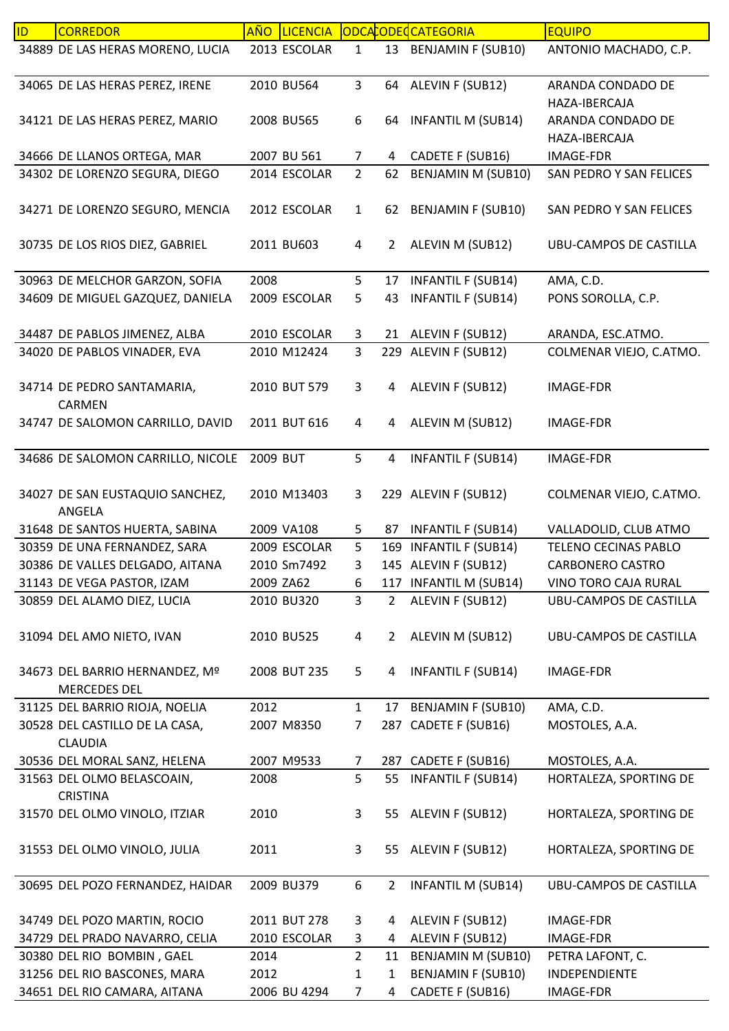| ID | <b>CORREDOR</b>                                       | AÑO      | <b>LICENCIA</b> |                |                | ODCACODECCATEGORIA        | <b>EQUIPO</b>                      |
|----|-------------------------------------------------------|----------|-----------------|----------------|----------------|---------------------------|------------------------------------|
|    | 34889 DE LAS HERAS MORENO, LUCIA                      |          | 2013 ESCOLAR    | $\mathbf{1}$   |                | 13 BENJAMIN F (SUB10)     | ANTONIO MACHADO, C.P.              |
|    | 34065 DE LAS HERAS PEREZ, IRENE                       |          | 2010 BU564      | $\mathbf{3}$   |                | 64 ALEVIN F (SUB12)       | ARANDA CONDADO DE<br>HAZA-IBERCAJA |
|    | 34121 DE LAS HERAS PEREZ, MARIO                       |          | 2008 BU565      | 6              |                | 64 INFANTIL M (SUB14)     | ARANDA CONDADO DE<br>HAZA-IBERCAJA |
|    | 34666 DE LLANOS ORTEGA, MAR                           |          | 2007 BU 561     | $\overline{7}$ | 4              | CADETE F (SUB16)          | <b>IMAGE-FDR</b>                   |
|    | 34302 DE LORENZO SEGURA, DIEGO                        |          | 2014 ESCOLAR    | $2^{\circ}$    | 62             | <b>BENJAMIN M (SUB10)</b> | SAN PEDRO Y SAN FELICES            |
|    | 34271 DE LORENZO SEGURO, MENCIA                       |          | 2012 ESCOLAR    | $\mathbf{1}$   |                | 62 BENJAMIN F (SUB10)     | SAN PEDRO Y SAN FELICES            |
|    | 30735 DE LOS RIOS DIEZ, GABRIEL                       |          | 2011 BU603      | 4              | $\overline{2}$ | ALEVIN M (SUB12)          | UBU-CAMPOS DE CASTILLA             |
|    | 30963 DE MELCHOR GARZON, SOFIA                        | 2008     |                 | 5              | 17             | <b>INFANTIL F (SUB14)</b> | AMA, C.D.                          |
|    | 34609 DE MIGUEL GAZQUEZ, DANIELA                      |          | 2009 ESCOLAR    | 5              | 43             | <b>INFANTIL F (SUB14)</b> | PONS SOROLLA, C.P.                 |
|    | 34487 DE PABLOS JIMENEZ, ALBA                         |          | 2010 ESCOLAR    | 3              |                | 21 ALEVIN F (SUB12)       | ARANDA, ESC.ATMO.                  |
|    | 34020 DE PABLOS VINADER, EVA                          |          | 2010 M12424     | $\overline{3}$ |                | 229 ALEVIN F (SUB12)      | COLMENAR VIEJO, C.ATMO.            |
|    | 34714 DE PEDRO SANTAMARIA,<br><b>CARMEN</b>           |          | 2010 BUT 579    | $\mathbf{3}$   | 4              | ALEVIN F (SUB12)          | <b>IMAGE-FDR</b>                   |
|    | 34747 DE SALOMON CARRILLO, DAVID                      |          | 2011 BUT 616    | $\overline{4}$ | 4              | ALEVIN M (SUB12)          | IMAGE-FDR                          |
|    | 34686 DE SALOMON CARRILLO, NICOLE                     | 2009 BUT |                 | 5              | 4              | <b>INFANTIL F (SUB14)</b> | IMAGE-FDR                          |
|    | 34027 DE SAN EUSTAQUIO SANCHEZ,<br>ANGELA             |          | 2010 M13403     | 3              |                | 229 ALEVIN F (SUB12)      | COLMENAR VIEJO, C.ATMO.            |
|    | 31648 DE SANTOS HUERTA, SABINA                        |          | 2009 VA108      | 5              | 87             | <b>INFANTIL F (SUB14)</b> | VALLADOLID, CLUB ATMO              |
|    | 30359 DE UNA FERNANDEZ, SARA                          |          | 2009 ESCOLAR    | 5              |                | 169 INFANTIL F (SUB14)    | TELENO CECINAS PABLO               |
|    | 30386 DE VALLES DELGADO, AITANA                       |          | 2010 Sm7492     | 3              |                | 145 ALEVIN F (SUB12)      | <b>CARBONERO CASTRO</b>            |
|    | 31143 DE VEGA PASTOR, IZAM                            |          | 2009 ZA62       | 6              |                | 117 INFANTIL M (SUB14)    | VINO TORO CAJA RURAL               |
|    | 30859 DEL ALAMO DIEZ, LUCIA                           |          | 2010 BU320      | $\overline{3}$ | $\overline{2}$ | ALEVIN F (SUB12)          | <b>UBU-CAMPOS DE CASTILLA</b>      |
|    | 31094 DEL AMO NIETO, IVAN                             |          | 2010 BU525      | $\overline{4}$ | $\overline{2}$ | ALEVIN M (SUB12)          | <b>UBU-CAMPOS DE CASTILLA</b>      |
|    | 34673 DEL BARRIO HERNANDEZ, Mº<br><b>MERCEDES DEL</b> |          | 2008 BUT 235    | 5              | 4              | <b>INFANTIL F (SUB14)</b> | IMAGE-FDR                          |
|    | 31125 DEL BARRIO RIOJA, NOELIA                        | 2012     |                 | $\mathbf{1}$   | 17             | <b>BENJAMIN F (SUB10)</b> | AMA, C.D.                          |
|    | 30528 DEL CASTILLO DE LA CASA,<br><b>CLAUDIA</b>      |          | 2007 M8350      | $\overline{7}$ | 287            | CADETE F (SUB16)          | MOSTOLES, A.A.                     |
|    | 30536 DEL MORAL SANZ, HELENA                          |          | 2007 M9533      | 7              |                | 287 CADETE F (SUB16)      | MOSTOLES, A.A.                     |
|    | 31563 DEL OLMO BELASCOAIN,<br><b>CRISTINA</b>         | 2008     |                 | 5              | 55             | <b>INFANTIL F (SUB14)</b> | HORTALEZA, SPORTING DE             |
|    | 31570 DEL OLMO VINOLO, ITZIAR                         | 2010     |                 | 3              |                | 55 ALEVIN F (SUB12)       | HORTALEZA, SPORTING DE             |
|    | 31553 DEL OLMO VINOLO, JULIA                          | 2011     |                 | 3              | 55             | ALEVIN F (SUB12)          | HORTALEZA, SPORTING DE             |
|    | 30695 DEL POZO FERNANDEZ, HAIDAR                      |          | 2009 BU379      | 6              | $\overline{2}$ | <b>INFANTIL M (SUB14)</b> | UBU-CAMPOS DE CASTILLA             |
|    | 34749 DEL POZO MARTIN, ROCIO                          |          | 2011 BUT 278    | 3              | 4              | ALEVIN F (SUB12)          | <b>IMAGE-FDR</b>                   |
|    | 34729 DEL PRADO NAVARRO, CELIA                        |          | 2010 ESCOLAR    | 3              | 4              | ALEVIN F (SUB12)          | <b>IMAGE-FDR</b>                   |
|    | 30380 DEL RIO BOMBIN, GAEL                            | 2014     |                 | $\overline{2}$ | 11             | <b>BENJAMIN M (SUB10)</b> | PETRA LAFONT, C.                   |
|    | 31256 DEL RIO BASCONES, MARA                          | 2012     |                 | 1              | 1              | <b>BENJAMIN F (SUB10)</b> | INDEPENDIENTE                      |
|    | 34651 DEL RIO CAMARA, AITANA                          |          | 2006 BU 4294    | $\overline{7}$ | 4              | CADETE F (SUB16)          | IMAGE-FDR                          |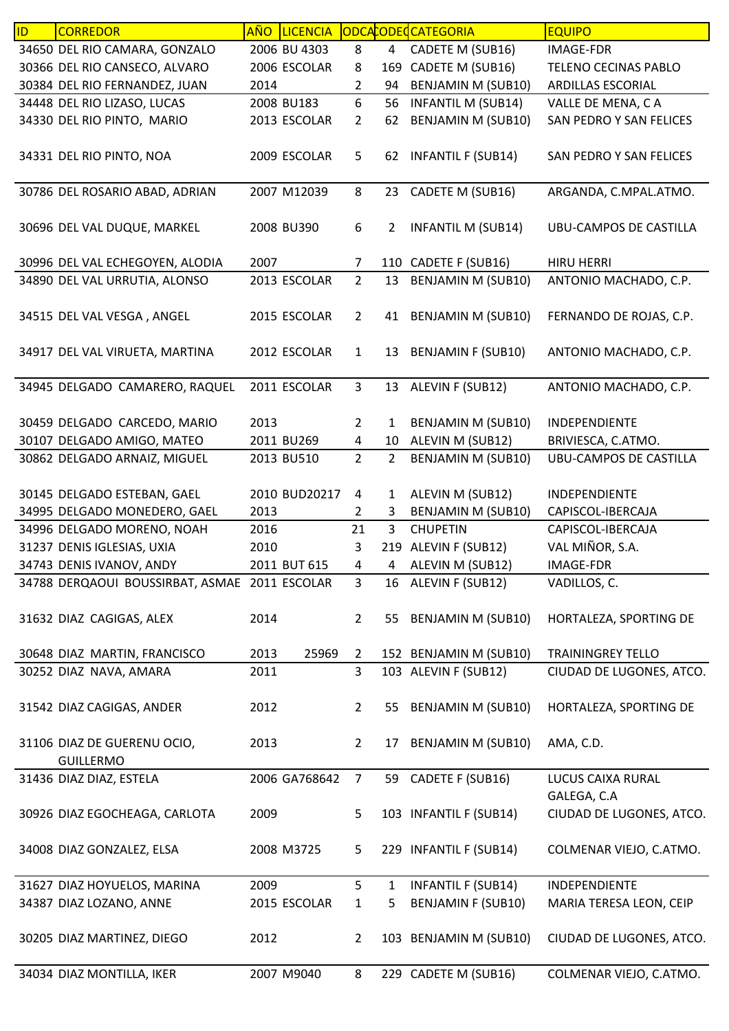| ID | <b>CORREDOR</b>                               | <b>AÑO</b> | <b>LICENCIA</b> |                |                | ODCACODECCATEGORIA        | <b>EQUIPO</b>                 |
|----|-----------------------------------------------|------------|-----------------|----------------|----------------|---------------------------|-------------------------------|
|    | 34650 DEL RIO CAMARA, GONZALO                 |            | 2006 BU 4303    | 8              | 4              | CADETE M (SUB16)          | IMAGE-FDR                     |
|    | 30366 DEL RIO CANSECO, ALVARO                 |            | 2006 ESCOLAR    | 8              |                | 169 CADETE M (SUB16)      | TELENO CECINAS PABLO          |
|    | 30384 DEL RIO FERNANDEZ, JUAN                 | 2014       |                 | $\overline{2}$ | 94             | BENJAMIN M (SUB10)        | ARDILLAS ESCORIAL             |
|    | 34448 DEL RIO LIZASO, LUCAS                   |            | 2008 BU183      | 6              | 56             | <b>INFANTIL M (SUB14)</b> | VALLE DE MENA, CA             |
|    | 34330 DEL RIO PINTO, MARIO                    |            | 2013 ESCOLAR    | $\overline{2}$ | 62             | <b>BENJAMIN M (SUB10)</b> | SAN PEDRO Y SAN FELICES       |
|    |                                               |            |                 |                |                |                           |                               |
|    | 34331 DEL RIO PINTO, NOA                      |            | 2009 ESCOLAR    | 5              | 62             | <b>INFANTIL F (SUB14)</b> | SAN PEDRO Y SAN FELICES       |
|    |                                               |            |                 |                |                |                           |                               |
|    | 30786 DEL ROSARIO ABAD, ADRIAN                |            | 2007 M12039     | 8              | 23             | CADETE M (SUB16)          | ARGANDA, C.MPAL.ATMO.         |
|    |                                               |            |                 |                |                |                           |                               |
|    | 30696 DEL VAL DUQUE, MARKEL                   |            | 2008 BU390      | 6              | $\overline{2}$ | <b>INFANTIL M (SUB14)</b> | UBU-CAMPOS DE CASTILLA        |
|    |                                               |            |                 |                |                |                           |                               |
|    | 30996 DEL VAL ECHEGOYEN, ALODIA               | 2007       |                 | $\overline{7}$ |                | 110 CADETE F (SUB16)      | <b>HIRU HERRI</b>             |
|    | 34890 DEL VAL URRUTIA, ALONSO                 |            | 2013 ESCOLAR    | $\overline{2}$ | 13             | <b>BENJAMIN M (SUB10)</b> | ANTONIO MACHADO, C.P.         |
|    |                                               |            |                 |                |                |                           |                               |
|    | 34515 DEL VAL VESGA, ANGEL                    |            | 2015 ESCOLAR    | $\overline{2}$ |                | 41 BENJAMIN M (SUB10)     | FERNANDO DE ROJAS, C.P.       |
|    |                                               |            |                 |                |                |                           |                               |
|    | 34917 DEL VAL VIRUETA, MARTINA                |            | 2012 ESCOLAR    | $\mathbf{1}$   | 13             | <b>BENJAMIN F (SUB10)</b> | ANTONIO MACHADO, C.P.         |
|    |                                               |            |                 |                |                |                           |                               |
|    | 34945 DELGADO CAMARERO, RAQUEL                |            | 2011 ESCOLAR    | $\mathbf{3}$   |                | 13 ALEVIN F (SUB12)       | ANTONIO MACHADO, C.P.         |
|    |                                               |            |                 |                |                |                           |                               |
|    | 30459 DELGADO CARCEDO, MARIO                  | 2013       |                 | $\overline{2}$ | $\mathbf{1}$   | BENJAMIN M (SUB10)        | INDEPENDIENTE                 |
|    | 30107 DELGADO AMIGO, MATEO                    |            | 2011 BU269      | 4              | 10             | ALEVIN M (SUB12)          | BRIVIESCA, C.ATMO.            |
|    | 30862 DELGADO ARNAIZ, MIGUEL                  |            | 2013 BU510      | $\overline{2}$ | $\overline{2}$ | <b>BENJAMIN M (SUB10)</b> | <b>UBU-CAMPOS DE CASTILLA</b> |
|    |                                               |            |                 |                |                |                           |                               |
|    | 30145 DELGADO ESTEBAN, GAEL                   |            | 2010 BUD20217   | 4              | 1              | ALEVIN M (SUB12)          | INDEPENDIENTE                 |
|    | 34995 DELGADO MONEDERO, GAEL                  | 2013       |                 | 2              | 3              | BENJAMIN M (SUB10)        | CAPISCOL-IBERCAJA             |
|    | 34996 DELGADO MORENO, NOAH                    | 2016       |                 | 21             | 3              | <b>CHUPETIN</b>           | CAPISCOL-IBERCAJA             |
|    | 31237 DENIS IGLESIAS, UXIA                    | 2010       |                 | 3              |                | 219 ALEVIN F (SUB12)      | VAL MIÑOR, S.A.               |
|    | 34743 DENIS IVANOV, ANDY                      |            | 2011 BUT 615    | $\overline{4}$ | 4              | ALEVIN M (SUB12)          | <b>IMAGE-FDR</b>              |
|    |                                               |            |                 |                |                |                           |                               |
|    | 34788 DERQAOUI BOUSSIRBAT, ASMAE 2011 ESCOLAR |            |                 | 3              |                | 16 ALEVIN F (SUB12)       | VADILLOS, C.                  |
|    |                                               |            |                 |                |                |                           |                               |
|    | 31632 DIAZ CAGIGAS, ALEX                      | 2014       |                 | $\overline{2}$ | 55             | <b>BENJAMIN M (SUB10)</b> | HORTALEZA, SPORTING DE        |
|    |                                               |            |                 |                |                |                           |                               |
|    | 30648 DIAZ MARTIN, FRANCISCO                  | 2013       | 25969           | $\overline{2}$ |                | 152 BENJAMIN M (SUB10)    | <b>TRAININGREY TELLO</b>      |
|    | 30252 DIAZ NAVA, AMARA                        | 2011       |                 | 3              |                | 103 ALEVIN F (SUB12)      | CIUDAD DE LUGONES, ATCO.      |
|    |                                               |            |                 |                |                |                           |                               |
|    | 31542 DIAZ CAGIGAS, ANDER                     | 2012       |                 | $\overline{2}$ | 55             | <b>BENJAMIN M (SUB10)</b> | HORTALEZA, SPORTING DE        |
|    |                                               |            |                 |                |                |                           |                               |
|    | 31106 DIAZ DE GUERENU OCIO,                   | 2013       |                 | $\overline{2}$ | 17             | BENJAMIN M (SUB10)        | AMA, C.D.                     |
|    | <b>GUILLERMO</b>                              |            |                 |                |                |                           |                               |
|    | 31436 DIAZ DIAZ, ESTELA                       |            | 2006 GA768642   | $\overline{7}$ | 59             | CADETE F (SUB16)          | LUCUS CAIXA RURAL             |
|    |                                               |            |                 |                |                |                           | GALEGA, C.A                   |
|    | 30926 DIAZ EGOCHEAGA, CARLOTA                 | 2009       |                 | 5              |                | 103 INFANTIL F (SUB14)    | CIUDAD DE LUGONES, ATCO.      |
|    |                                               |            |                 |                |                |                           |                               |
|    | 34008 DIAZ GONZALEZ, ELSA                     |            | 2008 M3725      | 5              |                | 229 INFANTIL F (SUB14)    | COLMENAR VIEJO, C.ATMO.       |
|    |                                               |            |                 |                |                |                           |                               |
|    | 31627 DIAZ HOYUELOS, MARINA                   | 2009       |                 | 5              | $\mathbf{1}$   | <b>INFANTIL F (SUB14)</b> | INDEPENDIENTE                 |
|    | 34387 DIAZ LOZANO, ANNE                       |            | 2015 ESCOLAR    | $\mathbf{1}$   | 5              | <b>BENJAMIN F (SUB10)</b> | MARIA TERESA LEON, CEIP       |
|    |                                               |            |                 |                |                |                           |                               |
|    | 30205 DIAZ MARTINEZ, DIEGO                    | 2012       |                 | $\overline{2}$ |                | 103 BENJAMIN M (SUB10)    | CIUDAD DE LUGONES, ATCO.      |
|    |                                               |            |                 |                |                |                           |                               |
|    | 34034 DIAZ MONTILLA, IKER                     |            | 2007 M9040      | 8              |                | 229 CADETE M (SUB16)      | COLMENAR VIEJO, C.ATMO.       |
|    |                                               |            |                 |                |                |                           |                               |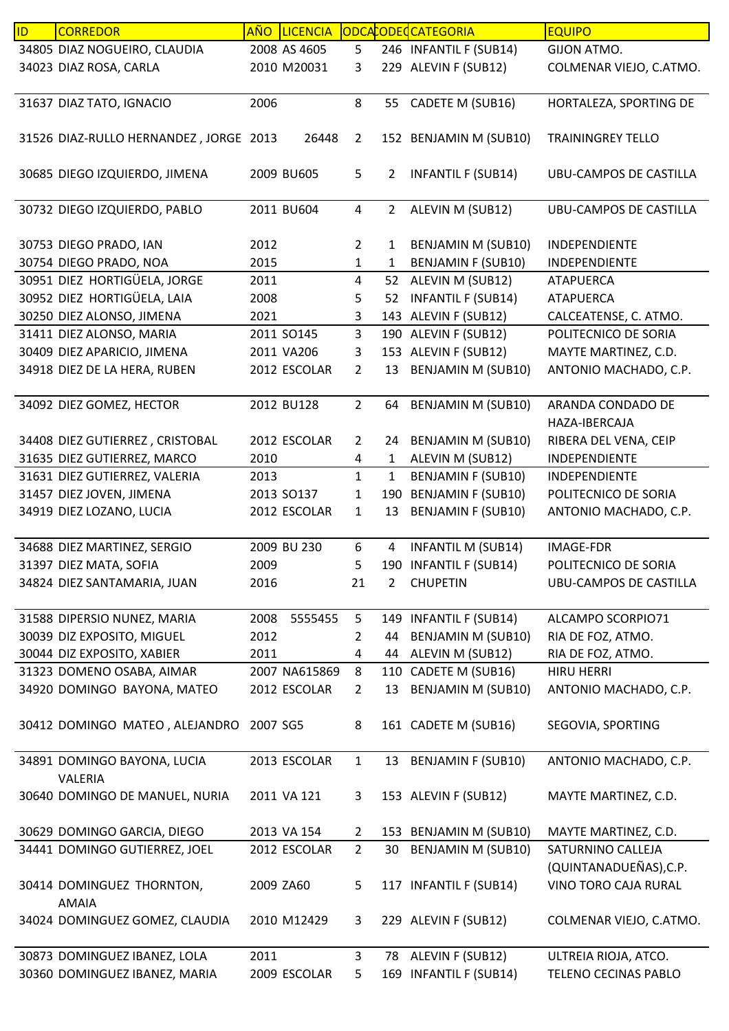| ID | <b>CORREDOR</b>                        | <b>AÑO</b> | <b>LICENCIA</b> |                |                | ODCACODECATEGORIA         | <b>EQUIPO</b>                 |
|----|----------------------------------------|------------|-----------------|----------------|----------------|---------------------------|-------------------------------|
|    | 34805 DIAZ NOGUEIRO, CLAUDIA           |            | 2008 AS 4605    | 5              |                | 246 INFANTIL F (SUB14)    | GIJON ATMO.                   |
|    | 34023 DIAZ ROSA, CARLA                 |            | 2010 M20031     | 3              |                | 229 ALEVIN F (SUB12)      | COLMENAR VIEJO, C.ATMO.       |
|    |                                        |            |                 |                |                |                           |                               |
|    | 31637 DIAZ TATO, IGNACIO               | 2006       |                 | 8              |                | 55 CADETE M (SUB16)       | HORTALEZA, SPORTING DE        |
|    |                                        |            |                 |                |                |                           |                               |
|    | 31526 DIAZ-RULLO HERNANDEZ, JORGE 2013 |            | 26448           | $\overline{2}$ |                | 152 BENJAMIN M (SUB10)    | <b>TRAININGREY TELLO</b>      |
|    |                                        |            |                 |                |                |                           |                               |
|    | 30685 DIEGO IZQUIERDO, JIMENA          |            | 2009 BU605      | 5              | $\overline{2}$ | <b>INFANTIL F (SUB14)</b> | UBU-CAMPOS DE CASTILLA        |
|    | 30732 DIEGO IZQUIERDO, PABLO           |            | 2011 BU604      | $\overline{4}$ | $\mathbf{2}$   | ALEVIN M (SUB12)          | UBU-CAMPOS DE CASTILLA        |
|    |                                        |            |                 |                |                |                           |                               |
|    | 30753 DIEGO PRADO, IAN                 | 2012       |                 | $\overline{2}$ | $\mathbf{1}$   | <b>BENJAMIN M (SUB10)</b> | INDEPENDIENTE                 |
|    | 30754 DIEGO PRADO, NOA                 | 2015       |                 | $\mathbf{1}$   | $\mathbf{1}$   | <b>BENJAMIN F (SUB10)</b> | INDEPENDIENTE                 |
|    | 30951 DIEZ HORTIGÜELA, JORGE           | 2011       |                 | $\overline{4}$ |                | 52 ALEVIN M (SUB12)       | <b>ATAPUERCA</b>              |
|    | 30952 DIEZ HORTIGÜELA, LAIA            | 2008       |                 | 5              | 52             | <b>INFANTIL F (SUB14)</b> | <b>ATAPUERCA</b>              |
|    | 30250 DIEZ ALONSO, JIMENA              | 2021       |                 | 3              |                | 143 ALEVIN F (SUB12)      | CALCEATENSE, C. ATMO.         |
|    | 31411 DIEZ ALONSO, MARIA               |            | 2011 SO145      | $\overline{3}$ |                | 190 ALEVIN F (SUB12)      | POLITECNICO DE SORIA          |
|    | 30409 DIEZ APARICIO, JIMENA            |            | 2011 VA206      | 3              |                | 153 ALEVIN F (SUB12)      | MAYTE MARTINEZ, C.D.          |
|    | 34918 DIEZ DE LA HERA, RUBEN           |            | 2012 ESCOLAR    | $\overline{2}$ |                | 13 BENJAMIN M (SUB10)     | ANTONIO MACHADO, C.P.         |
|    |                                        |            |                 |                |                |                           |                               |
|    | 34092 DIEZ GOMEZ, HECTOR               |            | 2012 BU128      | $\overline{2}$ |                | 64 BENJAMIN M (SUB10)     | ARANDA CONDADO DE             |
|    |                                        |            |                 |                |                |                           | HAZA-IBERCAJA                 |
|    | 34408 DIEZ GUTIERREZ, CRISTOBAL        |            | 2012 ESCOLAR    | $\overline{2}$ |                | 24 BENJAMIN M (SUB10)     | RIBERA DEL VENA, CEIP         |
|    | 31635 DIEZ GUTIERREZ, MARCO            | 2010       |                 | 4              | $\mathbf{1}$   | ALEVIN M (SUB12)          | INDEPENDIENTE                 |
|    | 31631 DIEZ GUTIERREZ, VALERIA          | 2013       |                 | $\mathbf{1}$   | $\mathbf{1}$   | <b>BENJAMIN F (SUB10)</b> | INDEPENDIENTE                 |
|    | 31457 DIEZ JOVEN, JIMENA               |            | 2013 SO137      | 1              |                | 190 BENJAMIN F (SUB10)    | POLITECNICO DE SORIA          |
|    | 34919 DIEZ LOZANO, LUCIA               |            | 2012 ESCOLAR    | $\mathbf 1$    | 13             | <b>BENJAMIN F (SUB10)</b> | ANTONIO MACHADO, C.P.         |
|    |                                        |            |                 |                |                |                           |                               |
|    | 34688 DIEZ MARTINEZ, SERGIO            |            | 2009 BU 230     | 6              | 4              | <b>INFANTIL M (SUB14)</b> | <b>IMAGE-FDR</b>              |
|    | 31397 DIEZ MATA, SOFIA                 | 2009       |                 | 5              |                | 190 INFANTIL F (SUB14)    | POLITECNICO DE SORIA          |
|    | 34824 DIEZ SANTAMARIA, JUAN            | 2016       |                 | 21             | $\overline{2}$ | <b>CHUPETIN</b>           | <b>UBU-CAMPOS DE CASTILLA</b> |
|    | 31588 DIPERSIO NUNEZ, MARIA            | 2008       | 5555455         | 5              |                | 149 INFANTIL F (SUB14)    | ALCAMPO SCORPIO71             |
|    | 30039 DIZ EXPOSITO, MIGUEL             | 2012       |                 | $\overline{2}$ | 44             | <b>BENJAMIN M (SUB10)</b> | RIA DE FOZ, ATMO.             |
|    | 30044 DIZ EXPOSITO, XABIER             | 2011       |                 | 4              |                | 44 ALEVIN M (SUB12)       | RIA DE FOZ, ATMO.             |
|    | 31323 DOMENO OSABA, AIMAR              |            | 2007 NA615869   | 8              |                | 110 CADETE M (SUB16)      | <b>HIRU HERRI</b>             |
|    | 34920 DOMINGO BAYONA, MATEO            |            | 2012 ESCOLAR    | $\overline{2}$ | 13             | <b>BENJAMIN M (SUB10)</b> | ANTONIO MACHADO, C.P.         |
|    |                                        |            |                 |                |                |                           |                               |
|    | 30412 DOMINGO MATEO, ALEJANDRO         | 2007 SG5   |                 | 8              |                | 161 CADETE M (SUB16)      | SEGOVIA, SPORTING             |
|    |                                        |            |                 |                |                |                           |                               |
|    | 34891 DOMINGO BAYONA, LUCIA            |            | 2013 ESCOLAR    | $\mathbf{1}$   |                | 13 BENJAMIN F (SUB10)     | ANTONIO MACHADO, C.P.         |
|    | VALERIA                                |            |                 |                |                |                           |                               |
|    | 30640 DOMINGO DE MANUEL, NURIA         |            | 2011 VA 121     | 3              |                | 153 ALEVIN F (SUB12)      | MAYTE MARTINEZ, C.D.          |
|    |                                        |            |                 |                |                |                           |                               |
|    | 30629 DOMINGO GARCIA, DIEGO            |            | 2013 VA 154     | $\mathbf{2}$   |                | 153 BENJAMIN M (SUB10)    | MAYTE MARTINEZ, C.D.          |
|    | 34441 DOMINGO GUTIERREZ, JOEL          |            | 2012 ESCOLAR    | $\overline{2}$ |                | 30 BENJAMIN M (SUB10)     | SATURNINO CALLEJA             |
|    |                                        |            |                 |                |                |                           | (QUINTANADUEÑAS), C.P.        |
|    | 30414 DOMINGUEZ THORNTON,              |            | 2009 ZA60       | 5              |                | 117 INFANTIL F (SUB14)    | VINO TORO CAJA RURAL          |
|    | <b>AMAIA</b>                           |            |                 |                |                |                           |                               |
|    | 34024 DOMINGUEZ GOMEZ, CLAUDIA         |            | 2010 M12429     | 3              |                | 229 ALEVIN F (SUB12)      | COLMENAR VIEJO, C.ATMO.       |
|    | 30873 DOMINGUEZ IBANEZ, LOLA           | 2011       |                 | 3              |                | 78 ALEVIN F (SUB12)       | ULTREIA RIOJA, ATCO.          |
|    | 30360 DOMINGUEZ IBANEZ, MARIA          |            | 2009 ESCOLAR    | 5              |                | 169 INFANTIL F (SUB14)    | TELENO CECINAS PABLO          |
|    |                                        |            |                 |                |                |                           |                               |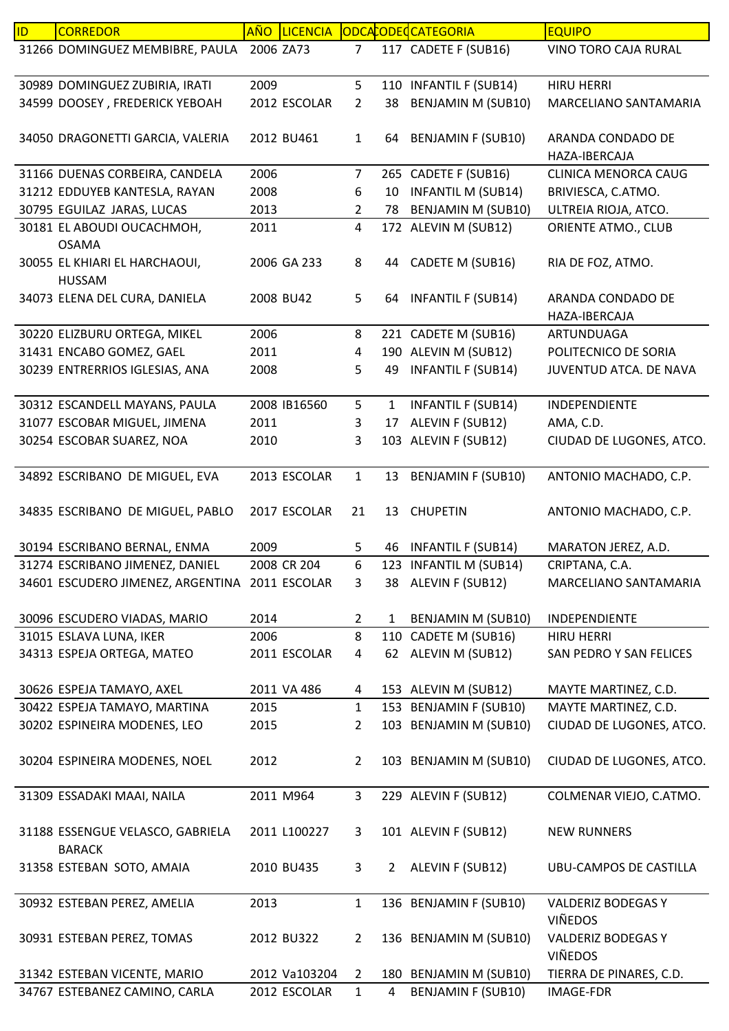| 31266 DOMINGUEZ MEMBIBRE, PAULA 2006 ZA73<br>117 CADETE F (SUB16)<br>VINO TORO CAJA RURAL<br>$\overline{7}$<br>5<br>30989 DOMINGUEZ ZUBIRIA, IRATI<br>2009<br>110 INFANTIL F (SUB14)<br><b>HIRU HERRI</b><br><b>BENJAMIN M (SUB10)</b><br>34599 DOOSEY, FREDERICK YEBOAH<br>2012 ESCOLAR<br>$\overline{2}$<br>38<br>MARCELIANO SANTAMARIA<br><b>BENJAMIN F (SUB10)</b><br>34050 DRAGONETTI GARCIA, VALERIA<br>2012 BU461<br>$\mathbf{1}$<br>ARANDA CONDADO DE<br>64<br>HAZA-IBERCAJA<br>31166 DUENAS CORBEIRA, CANDELA<br>2006<br>265 CADETE F (SUB16)<br>$\overline{7}$<br><b>CLINICA MENORCA CAUG</b><br><b>INFANTIL M (SUB14)</b><br>31212 EDDUYEB KANTESLA, RAYAN<br>2008<br>10<br>6<br>BRIVIESCA, C.ATMO.<br><b>BENJAMIN M (SUB10)</b><br>30795 EGUILAZ JARAS, LUCAS<br>2013<br>ULTREIA RIOJA, ATCO.<br>$\overline{2}$<br>78<br>$\overline{4}$<br>172 ALEVIN M (SUB12)<br>30181 EL ABOUDI OUCACHMOH,<br>2011<br>ORIENTE ATMO., CLUB<br><b>OSAMA</b><br>30055 EL KHIARI EL HARCHAOUI,<br>2006 GA 233<br>8<br>CADETE M (SUB16)<br>44<br>RIA DE FOZ, ATMO.<br><b>HUSSAM</b><br>34073 ELENA DEL CURA, DANIELA<br>2008 BU42<br>5<br><b>INFANTIL F (SUB14)</b><br>ARANDA CONDADO DE<br>64<br>HAZA-IBERCAJA<br>221 CADETE M (SUB16)<br>30220 ELIZBURU ORTEGA, MIKEL<br>2006<br>8<br>ARTUNDUAGA<br>190 ALEVIN M (SUB12)<br>31431 ENCABO GOMEZ, GAEL<br>2011<br>POLITECNICO DE SORIA<br>4<br><b>INFANTIL F (SUB14)</b><br>30239 ENTRERRIOS IGLESIAS, ANA<br>2008<br>49<br>JUVENTUD ATCA. DE NAVA<br>5<br>2008 IB16560<br>5<br><b>INFANTIL F (SUB14)</b><br>30312 ESCANDELL MAYANS, PAULA<br>INDEPENDIENTE<br>1<br>2011<br>3<br>ALEVIN F (SUB12)<br>31077 ESCOBAR MIGUEL, JIMENA<br>AMA, C.D.<br>17<br>103 ALEVIN F (SUB12)<br>30254 ESCOBAR SUAREZ, NOA<br>3<br>CIUDAD DE LUGONES, ATCO.<br>2010<br>$\mathbf 1$<br>34892 ESCRIBANO DE MIGUEL, EVA<br>2013 ESCOLAR<br><b>BENJAMIN F (SUB10)</b><br>ANTONIO MACHADO, C.P.<br>13<br>34835 ESCRIBANO DE MIGUEL, PABLO<br>2017 ESCOLAR<br>21<br>13 CHUPETIN<br>ANTONIO MACHADO, C.P.<br>30194 ESCRIBANO BERNAL, ENMA<br>2009<br><b>INFANTIL F (SUB14)</b><br>MARATON JEREZ, A.D.<br>5<br>46<br>6<br>2008 CR 204<br>31274 ESCRIBANO JIMENEZ, DANIEL<br>123 INFANTIL M (SUB14)<br>CRIPTANA, C.A.<br>34601 ESCUDERO JIMENEZ, ARGENTINA 2011 ESCOLAR<br>38 ALEVIN F (SUB12)<br>MARCELIANO SANTAMARIA<br>3<br>30096 ESCUDERO VIADAS, MARIO<br>2014<br><b>BENJAMIN M (SUB10)</b><br>INDEPENDIENTE<br>$\overline{2}$<br>1<br>8<br>110 CADETE M (SUB16)<br>2006<br>31015 ESLAVA LUNA, IKER<br><b>HIRU HERRI</b><br>62 ALEVIN M (SUB12)<br>34313 ESPEJA ORTEGA, MATEO<br>2011 ESCOLAR<br>4<br>SAN PEDRO Y SAN FELICES<br>30626 ESPEJA TAMAYO, AXEL<br>2011 VA 486<br>153 ALEVIN M (SUB12)<br>MAYTE MARTINEZ, C.D.<br>4<br>30422 ESPEJA TAMAYO, MARTINA<br>$\mathbf{1}$<br>153 BENJAMIN F (SUB10)<br>MAYTE MARTINEZ, C.D.<br>2015<br>30202 ESPINEIRA MODENES, LEO<br>103 BENJAMIN M (SUB10)<br>CIUDAD DE LUGONES, ATCO.<br>$\overline{2}$<br>2015<br>30204 ESPINEIRA MODENES, NOEL<br>2012<br>103 BENJAMIN M (SUB10)<br>CIUDAD DE LUGONES, ATCO.<br>$\overline{2}$<br>31309 ESSADAKI MAAI, NAILA<br>2011 M964<br>3<br>229 ALEVIN F (SUB12)<br>COLMENAR VIEJO, C.ATMO.<br>101 ALEVIN F (SUB12)<br>31188 ESSENGUE VELASCO, GABRIELA<br>2011 L100227<br>3<br><b>NEW RUNNERS</b><br><b>BARACK</b><br>ALEVIN F (SUB12)<br>31358 ESTEBAN SOTO, AMAIA<br>2010 BU435<br>3<br>$\overline{2}$<br><b>UBU-CAMPOS DE CASTILLA</b><br>136 BENJAMIN F (SUB10)<br>30932 ESTEBAN PEREZ, AMELIA<br>2013<br>$\mathbf{1}$<br>VALDERIZ BODEGAS Y<br><b>VIÑEDOS</b><br>136 BENJAMIN M (SUB10)<br>VALDERIZ BODEGAS Y<br>30931 ESTEBAN PEREZ, TOMAS<br>2012 BU322<br>$\overline{2}$<br><b>VIÑEDOS</b><br>31342 ESTEBAN VICENTE, MARIO<br>2012 Va103204<br>180 BENJAMIN M (SUB10)<br>TIERRA DE PINARES, C.D.<br>$\overline{2}$<br>34767 ESTEBANEZ CAMINO, CARLA<br>2012 ESCOLAR<br>$\mathbf{1}$<br><b>BENJAMIN F (SUB10)</b><br><b>IMAGE-FDR</b><br>4 | <b>ID</b> | <b>CORREDOR</b> | AÑO | <b>LICENCIA</b> |  | ODCACODECATEGORIA | <b>EQUIPO</b> |
|-----------------------------------------------------------------------------------------------------------------------------------------------------------------------------------------------------------------------------------------------------------------------------------------------------------------------------------------------------------------------------------------------------------------------------------------------------------------------------------------------------------------------------------------------------------------------------------------------------------------------------------------------------------------------------------------------------------------------------------------------------------------------------------------------------------------------------------------------------------------------------------------------------------------------------------------------------------------------------------------------------------------------------------------------------------------------------------------------------------------------------------------------------------------------------------------------------------------------------------------------------------------------------------------------------------------------------------------------------------------------------------------------------------------------------------------------------------------------------------------------------------------------------------------------------------------------------------------------------------------------------------------------------------------------------------------------------------------------------------------------------------------------------------------------------------------------------------------------------------------------------------------------------------------------------------------------------------------------------------------------------------------------------------------------------------------------------------------------------------------------------------------------------------------------------------------------------------------------------------------------------------------------------------------------------------------------------------------------------------------------------------------------------------------------------------------------------------------------------------------------------------------------------------------------------------------------------------------------------------------------------------------------------------------------------------------------------------------------------------------------------------------------------------------------------------------------------------------------------------------------------------------------------------------------------------------------------------------------------------------------------------------------------------------------------------------------------------------------------------------------------------------------------------------------------------------------------------------------------------------------------------------------------------------------------------------------------------------------------------------------------------------------------------------------------------------------------------------------------------------------------------------------------------------------------------------------------------------------------------------------------------------------------------------------------------------------------------------------------------------------------------------------------------------------------------------------------------------------------------------------------------------------------------------------------------------------------------|-----------|-----------------|-----|-----------------|--|-------------------|---------------|
|                                                                                                                                                                                                                                                                                                                                                                                                                                                                                                                                                                                                                                                                                                                                                                                                                                                                                                                                                                                                                                                                                                                                                                                                                                                                                                                                                                                                                                                                                                                                                                                                                                                                                                                                                                                                                                                                                                                                                                                                                                                                                                                                                                                                                                                                                                                                                                                                                                                                                                                                                                                                                                                                                                                                                                                                                                                                                                                                                                                                                                                                                                                                                                                                                                                                                                                                                                                                                                                                                                                                                                                                                                                                                                                                                                                                                                                                                                                                                           |           |                 |     |                 |  |                   |               |
|                                                                                                                                                                                                                                                                                                                                                                                                                                                                                                                                                                                                                                                                                                                                                                                                                                                                                                                                                                                                                                                                                                                                                                                                                                                                                                                                                                                                                                                                                                                                                                                                                                                                                                                                                                                                                                                                                                                                                                                                                                                                                                                                                                                                                                                                                                                                                                                                                                                                                                                                                                                                                                                                                                                                                                                                                                                                                                                                                                                                                                                                                                                                                                                                                                                                                                                                                                                                                                                                                                                                                                                                                                                                                                                                                                                                                                                                                                                                                           |           |                 |     |                 |  |                   |               |
|                                                                                                                                                                                                                                                                                                                                                                                                                                                                                                                                                                                                                                                                                                                                                                                                                                                                                                                                                                                                                                                                                                                                                                                                                                                                                                                                                                                                                                                                                                                                                                                                                                                                                                                                                                                                                                                                                                                                                                                                                                                                                                                                                                                                                                                                                                                                                                                                                                                                                                                                                                                                                                                                                                                                                                                                                                                                                                                                                                                                                                                                                                                                                                                                                                                                                                                                                                                                                                                                                                                                                                                                                                                                                                                                                                                                                                                                                                                                                           |           |                 |     |                 |  |                   |               |
|                                                                                                                                                                                                                                                                                                                                                                                                                                                                                                                                                                                                                                                                                                                                                                                                                                                                                                                                                                                                                                                                                                                                                                                                                                                                                                                                                                                                                                                                                                                                                                                                                                                                                                                                                                                                                                                                                                                                                                                                                                                                                                                                                                                                                                                                                                                                                                                                                                                                                                                                                                                                                                                                                                                                                                                                                                                                                                                                                                                                                                                                                                                                                                                                                                                                                                                                                                                                                                                                                                                                                                                                                                                                                                                                                                                                                                                                                                                                                           |           |                 |     |                 |  |                   |               |
|                                                                                                                                                                                                                                                                                                                                                                                                                                                                                                                                                                                                                                                                                                                                                                                                                                                                                                                                                                                                                                                                                                                                                                                                                                                                                                                                                                                                                                                                                                                                                                                                                                                                                                                                                                                                                                                                                                                                                                                                                                                                                                                                                                                                                                                                                                                                                                                                                                                                                                                                                                                                                                                                                                                                                                                                                                                                                                                                                                                                                                                                                                                                                                                                                                                                                                                                                                                                                                                                                                                                                                                                                                                                                                                                                                                                                                                                                                                                                           |           |                 |     |                 |  |                   |               |
|                                                                                                                                                                                                                                                                                                                                                                                                                                                                                                                                                                                                                                                                                                                                                                                                                                                                                                                                                                                                                                                                                                                                                                                                                                                                                                                                                                                                                                                                                                                                                                                                                                                                                                                                                                                                                                                                                                                                                                                                                                                                                                                                                                                                                                                                                                                                                                                                                                                                                                                                                                                                                                                                                                                                                                                                                                                                                                                                                                                                                                                                                                                                                                                                                                                                                                                                                                                                                                                                                                                                                                                                                                                                                                                                                                                                                                                                                                                                                           |           |                 |     |                 |  |                   |               |
|                                                                                                                                                                                                                                                                                                                                                                                                                                                                                                                                                                                                                                                                                                                                                                                                                                                                                                                                                                                                                                                                                                                                                                                                                                                                                                                                                                                                                                                                                                                                                                                                                                                                                                                                                                                                                                                                                                                                                                                                                                                                                                                                                                                                                                                                                                                                                                                                                                                                                                                                                                                                                                                                                                                                                                                                                                                                                                                                                                                                                                                                                                                                                                                                                                                                                                                                                                                                                                                                                                                                                                                                                                                                                                                                                                                                                                                                                                                                                           |           |                 |     |                 |  |                   |               |
|                                                                                                                                                                                                                                                                                                                                                                                                                                                                                                                                                                                                                                                                                                                                                                                                                                                                                                                                                                                                                                                                                                                                                                                                                                                                                                                                                                                                                                                                                                                                                                                                                                                                                                                                                                                                                                                                                                                                                                                                                                                                                                                                                                                                                                                                                                                                                                                                                                                                                                                                                                                                                                                                                                                                                                                                                                                                                                                                                                                                                                                                                                                                                                                                                                                                                                                                                                                                                                                                                                                                                                                                                                                                                                                                                                                                                                                                                                                                                           |           |                 |     |                 |  |                   |               |
|                                                                                                                                                                                                                                                                                                                                                                                                                                                                                                                                                                                                                                                                                                                                                                                                                                                                                                                                                                                                                                                                                                                                                                                                                                                                                                                                                                                                                                                                                                                                                                                                                                                                                                                                                                                                                                                                                                                                                                                                                                                                                                                                                                                                                                                                                                                                                                                                                                                                                                                                                                                                                                                                                                                                                                                                                                                                                                                                                                                                                                                                                                                                                                                                                                                                                                                                                                                                                                                                                                                                                                                                                                                                                                                                                                                                                                                                                                                                                           |           |                 |     |                 |  |                   |               |
|                                                                                                                                                                                                                                                                                                                                                                                                                                                                                                                                                                                                                                                                                                                                                                                                                                                                                                                                                                                                                                                                                                                                                                                                                                                                                                                                                                                                                                                                                                                                                                                                                                                                                                                                                                                                                                                                                                                                                                                                                                                                                                                                                                                                                                                                                                                                                                                                                                                                                                                                                                                                                                                                                                                                                                                                                                                                                                                                                                                                                                                                                                                                                                                                                                                                                                                                                                                                                                                                                                                                                                                                                                                                                                                                                                                                                                                                                                                                                           |           |                 |     |                 |  |                   |               |
|                                                                                                                                                                                                                                                                                                                                                                                                                                                                                                                                                                                                                                                                                                                                                                                                                                                                                                                                                                                                                                                                                                                                                                                                                                                                                                                                                                                                                                                                                                                                                                                                                                                                                                                                                                                                                                                                                                                                                                                                                                                                                                                                                                                                                                                                                                                                                                                                                                                                                                                                                                                                                                                                                                                                                                                                                                                                                                                                                                                                                                                                                                                                                                                                                                                                                                                                                                                                                                                                                                                                                                                                                                                                                                                                                                                                                                                                                                                                                           |           |                 |     |                 |  |                   |               |
|                                                                                                                                                                                                                                                                                                                                                                                                                                                                                                                                                                                                                                                                                                                                                                                                                                                                                                                                                                                                                                                                                                                                                                                                                                                                                                                                                                                                                                                                                                                                                                                                                                                                                                                                                                                                                                                                                                                                                                                                                                                                                                                                                                                                                                                                                                                                                                                                                                                                                                                                                                                                                                                                                                                                                                                                                                                                                                                                                                                                                                                                                                                                                                                                                                                                                                                                                                                                                                                                                                                                                                                                                                                                                                                                                                                                                                                                                                                                                           |           |                 |     |                 |  |                   |               |
|                                                                                                                                                                                                                                                                                                                                                                                                                                                                                                                                                                                                                                                                                                                                                                                                                                                                                                                                                                                                                                                                                                                                                                                                                                                                                                                                                                                                                                                                                                                                                                                                                                                                                                                                                                                                                                                                                                                                                                                                                                                                                                                                                                                                                                                                                                                                                                                                                                                                                                                                                                                                                                                                                                                                                                                                                                                                                                                                                                                                                                                                                                                                                                                                                                                                                                                                                                                                                                                                                                                                                                                                                                                                                                                                                                                                                                                                                                                                                           |           |                 |     |                 |  |                   |               |
|                                                                                                                                                                                                                                                                                                                                                                                                                                                                                                                                                                                                                                                                                                                                                                                                                                                                                                                                                                                                                                                                                                                                                                                                                                                                                                                                                                                                                                                                                                                                                                                                                                                                                                                                                                                                                                                                                                                                                                                                                                                                                                                                                                                                                                                                                                                                                                                                                                                                                                                                                                                                                                                                                                                                                                                                                                                                                                                                                                                                                                                                                                                                                                                                                                                                                                                                                                                                                                                                                                                                                                                                                                                                                                                                                                                                                                                                                                                                                           |           |                 |     |                 |  |                   |               |
|                                                                                                                                                                                                                                                                                                                                                                                                                                                                                                                                                                                                                                                                                                                                                                                                                                                                                                                                                                                                                                                                                                                                                                                                                                                                                                                                                                                                                                                                                                                                                                                                                                                                                                                                                                                                                                                                                                                                                                                                                                                                                                                                                                                                                                                                                                                                                                                                                                                                                                                                                                                                                                                                                                                                                                                                                                                                                                                                                                                                                                                                                                                                                                                                                                                                                                                                                                                                                                                                                                                                                                                                                                                                                                                                                                                                                                                                                                                                                           |           |                 |     |                 |  |                   |               |
|                                                                                                                                                                                                                                                                                                                                                                                                                                                                                                                                                                                                                                                                                                                                                                                                                                                                                                                                                                                                                                                                                                                                                                                                                                                                                                                                                                                                                                                                                                                                                                                                                                                                                                                                                                                                                                                                                                                                                                                                                                                                                                                                                                                                                                                                                                                                                                                                                                                                                                                                                                                                                                                                                                                                                                                                                                                                                                                                                                                                                                                                                                                                                                                                                                                                                                                                                                                                                                                                                                                                                                                                                                                                                                                                                                                                                                                                                                                                                           |           |                 |     |                 |  |                   |               |
|                                                                                                                                                                                                                                                                                                                                                                                                                                                                                                                                                                                                                                                                                                                                                                                                                                                                                                                                                                                                                                                                                                                                                                                                                                                                                                                                                                                                                                                                                                                                                                                                                                                                                                                                                                                                                                                                                                                                                                                                                                                                                                                                                                                                                                                                                                                                                                                                                                                                                                                                                                                                                                                                                                                                                                                                                                                                                                                                                                                                                                                                                                                                                                                                                                                                                                                                                                                                                                                                                                                                                                                                                                                                                                                                                                                                                                                                                                                                                           |           |                 |     |                 |  |                   |               |
|                                                                                                                                                                                                                                                                                                                                                                                                                                                                                                                                                                                                                                                                                                                                                                                                                                                                                                                                                                                                                                                                                                                                                                                                                                                                                                                                                                                                                                                                                                                                                                                                                                                                                                                                                                                                                                                                                                                                                                                                                                                                                                                                                                                                                                                                                                                                                                                                                                                                                                                                                                                                                                                                                                                                                                                                                                                                                                                                                                                                                                                                                                                                                                                                                                                                                                                                                                                                                                                                                                                                                                                                                                                                                                                                                                                                                                                                                                                                                           |           |                 |     |                 |  |                   |               |
|                                                                                                                                                                                                                                                                                                                                                                                                                                                                                                                                                                                                                                                                                                                                                                                                                                                                                                                                                                                                                                                                                                                                                                                                                                                                                                                                                                                                                                                                                                                                                                                                                                                                                                                                                                                                                                                                                                                                                                                                                                                                                                                                                                                                                                                                                                                                                                                                                                                                                                                                                                                                                                                                                                                                                                                                                                                                                                                                                                                                                                                                                                                                                                                                                                                                                                                                                                                                                                                                                                                                                                                                                                                                                                                                                                                                                                                                                                                                                           |           |                 |     |                 |  |                   |               |
|                                                                                                                                                                                                                                                                                                                                                                                                                                                                                                                                                                                                                                                                                                                                                                                                                                                                                                                                                                                                                                                                                                                                                                                                                                                                                                                                                                                                                                                                                                                                                                                                                                                                                                                                                                                                                                                                                                                                                                                                                                                                                                                                                                                                                                                                                                                                                                                                                                                                                                                                                                                                                                                                                                                                                                                                                                                                                                                                                                                                                                                                                                                                                                                                                                                                                                                                                                                                                                                                                                                                                                                                                                                                                                                                                                                                                                                                                                                                                           |           |                 |     |                 |  |                   |               |
|                                                                                                                                                                                                                                                                                                                                                                                                                                                                                                                                                                                                                                                                                                                                                                                                                                                                                                                                                                                                                                                                                                                                                                                                                                                                                                                                                                                                                                                                                                                                                                                                                                                                                                                                                                                                                                                                                                                                                                                                                                                                                                                                                                                                                                                                                                                                                                                                                                                                                                                                                                                                                                                                                                                                                                                                                                                                                                                                                                                                                                                                                                                                                                                                                                                                                                                                                                                                                                                                                                                                                                                                                                                                                                                                                                                                                                                                                                                                                           |           |                 |     |                 |  |                   |               |
|                                                                                                                                                                                                                                                                                                                                                                                                                                                                                                                                                                                                                                                                                                                                                                                                                                                                                                                                                                                                                                                                                                                                                                                                                                                                                                                                                                                                                                                                                                                                                                                                                                                                                                                                                                                                                                                                                                                                                                                                                                                                                                                                                                                                                                                                                                                                                                                                                                                                                                                                                                                                                                                                                                                                                                                                                                                                                                                                                                                                                                                                                                                                                                                                                                                                                                                                                                                                                                                                                                                                                                                                                                                                                                                                                                                                                                                                                                                                                           |           |                 |     |                 |  |                   |               |
|                                                                                                                                                                                                                                                                                                                                                                                                                                                                                                                                                                                                                                                                                                                                                                                                                                                                                                                                                                                                                                                                                                                                                                                                                                                                                                                                                                                                                                                                                                                                                                                                                                                                                                                                                                                                                                                                                                                                                                                                                                                                                                                                                                                                                                                                                                                                                                                                                                                                                                                                                                                                                                                                                                                                                                                                                                                                                                                                                                                                                                                                                                                                                                                                                                                                                                                                                                                                                                                                                                                                                                                                                                                                                                                                                                                                                                                                                                                                                           |           |                 |     |                 |  |                   |               |
|                                                                                                                                                                                                                                                                                                                                                                                                                                                                                                                                                                                                                                                                                                                                                                                                                                                                                                                                                                                                                                                                                                                                                                                                                                                                                                                                                                                                                                                                                                                                                                                                                                                                                                                                                                                                                                                                                                                                                                                                                                                                                                                                                                                                                                                                                                                                                                                                                                                                                                                                                                                                                                                                                                                                                                                                                                                                                                                                                                                                                                                                                                                                                                                                                                                                                                                                                                                                                                                                                                                                                                                                                                                                                                                                                                                                                                                                                                                                                           |           |                 |     |                 |  |                   |               |
|                                                                                                                                                                                                                                                                                                                                                                                                                                                                                                                                                                                                                                                                                                                                                                                                                                                                                                                                                                                                                                                                                                                                                                                                                                                                                                                                                                                                                                                                                                                                                                                                                                                                                                                                                                                                                                                                                                                                                                                                                                                                                                                                                                                                                                                                                                                                                                                                                                                                                                                                                                                                                                                                                                                                                                                                                                                                                                                                                                                                                                                                                                                                                                                                                                                                                                                                                                                                                                                                                                                                                                                                                                                                                                                                                                                                                                                                                                                                                           |           |                 |     |                 |  |                   |               |
|                                                                                                                                                                                                                                                                                                                                                                                                                                                                                                                                                                                                                                                                                                                                                                                                                                                                                                                                                                                                                                                                                                                                                                                                                                                                                                                                                                                                                                                                                                                                                                                                                                                                                                                                                                                                                                                                                                                                                                                                                                                                                                                                                                                                                                                                                                                                                                                                                                                                                                                                                                                                                                                                                                                                                                                                                                                                                                                                                                                                                                                                                                                                                                                                                                                                                                                                                                                                                                                                                                                                                                                                                                                                                                                                                                                                                                                                                                                                                           |           |                 |     |                 |  |                   |               |
|                                                                                                                                                                                                                                                                                                                                                                                                                                                                                                                                                                                                                                                                                                                                                                                                                                                                                                                                                                                                                                                                                                                                                                                                                                                                                                                                                                                                                                                                                                                                                                                                                                                                                                                                                                                                                                                                                                                                                                                                                                                                                                                                                                                                                                                                                                                                                                                                                                                                                                                                                                                                                                                                                                                                                                                                                                                                                                                                                                                                                                                                                                                                                                                                                                                                                                                                                                                                                                                                                                                                                                                                                                                                                                                                                                                                                                                                                                                                                           |           |                 |     |                 |  |                   |               |
|                                                                                                                                                                                                                                                                                                                                                                                                                                                                                                                                                                                                                                                                                                                                                                                                                                                                                                                                                                                                                                                                                                                                                                                                                                                                                                                                                                                                                                                                                                                                                                                                                                                                                                                                                                                                                                                                                                                                                                                                                                                                                                                                                                                                                                                                                                                                                                                                                                                                                                                                                                                                                                                                                                                                                                                                                                                                                                                                                                                                                                                                                                                                                                                                                                                                                                                                                                                                                                                                                                                                                                                                                                                                                                                                                                                                                                                                                                                                                           |           |                 |     |                 |  |                   |               |
|                                                                                                                                                                                                                                                                                                                                                                                                                                                                                                                                                                                                                                                                                                                                                                                                                                                                                                                                                                                                                                                                                                                                                                                                                                                                                                                                                                                                                                                                                                                                                                                                                                                                                                                                                                                                                                                                                                                                                                                                                                                                                                                                                                                                                                                                                                                                                                                                                                                                                                                                                                                                                                                                                                                                                                                                                                                                                                                                                                                                                                                                                                                                                                                                                                                                                                                                                                                                                                                                                                                                                                                                                                                                                                                                                                                                                                                                                                                                                           |           |                 |     |                 |  |                   |               |
|                                                                                                                                                                                                                                                                                                                                                                                                                                                                                                                                                                                                                                                                                                                                                                                                                                                                                                                                                                                                                                                                                                                                                                                                                                                                                                                                                                                                                                                                                                                                                                                                                                                                                                                                                                                                                                                                                                                                                                                                                                                                                                                                                                                                                                                                                                                                                                                                                                                                                                                                                                                                                                                                                                                                                                                                                                                                                                                                                                                                                                                                                                                                                                                                                                                                                                                                                                                                                                                                                                                                                                                                                                                                                                                                                                                                                                                                                                                                                           |           |                 |     |                 |  |                   |               |
|                                                                                                                                                                                                                                                                                                                                                                                                                                                                                                                                                                                                                                                                                                                                                                                                                                                                                                                                                                                                                                                                                                                                                                                                                                                                                                                                                                                                                                                                                                                                                                                                                                                                                                                                                                                                                                                                                                                                                                                                                                                                                                                                                                                                                                                                                                                                                                                                                                                                                                                                                                                                                                                                                                                                                                                                                                                                                                                                                                                                                                                                                                                                                                                                                                                                                                                                                                                                                                                                                                                                                                                                                                                                                                                                                                                                                                                                                                                                                           |           |                 |     |                 |  |                   |               |
|                                                                                                                                                                                                                                                                                                                                                                                                                                                                                                                                                                                                                                                                                                                                                                                                                                                                                                                                                                                                                                                                                                                                                                                                                                                                                                                                                                                                                                                                                                                                                                                                                                                                                                                                                                                                                                                                                                                                                                                                                                                                                                                                                                                                                                                                                                                                                                                                                                                                                                                                                                                                                                                                                                                                                                                                                                                                                                                                                                                                                                                                                                                                                                                                                                                                                                                                                                                                                                                                                                                                                                                                                                                                                                                                                                                                                                                                                                                                                           |           |                 |     |                 |  |                   |               |
|                                                                                                                                                                                                                                                                                                                                                                                                                                                                                                                                                                                                                                                                                                                                                                                                                                                                                                                                                                                                                                                                                                                                                                                                                                                                                                                                                                                                                                                                                                                                                                                                                                                                                                                                                                                                                                                                                                                                                                                                                                                                                                                                                                                                                                                                                                                                                                                                                                                                                                                                                                                                                                                                                                                                                                                                                                                                                                                                                                                                                                                                                                                                                                                                                                                                                                                                                                                                                                                                                                                                                                                                                                                                                                                                                                                                                                                                                                                                                           |           |                 |     |                 |  |                   |               |
|                                                                                                                                                                                                                                                                                                                                                                                                                                                                                                                                                                                                                                                                                                                                                                                                                                                                                                                                                                                                                                                                                                                                                                                                                                                                                                                                                                                                                                                                                                                                                                                                                                                                                                                                                                                                                                                                                                                                                                                                                                                                                                                                                                                                                                                                                                                                                                                                                                                                                                                                                                                                                                                                                                                                                                                                                                                                                                                                                                                                                                                                                                                                                                                                                                                                                                                                                                                                                                                                                                                                                                                                                                                                                                                                                                                                                                                                                                                                                           |           |                 |     |                 |  |                   |               |
|                                                                                                                                                                                                                                                                                                                                                                                                                                                                                                                                                                                                                                                                                                                                                                                                                                                                                                                                                                                                                                                                                                                                                                                                                                                                                                                                                                                                                                                                                                                                                                                                                                                                                                                                                                                                                                                                                                                                                                                                                                                                                                                                                                                                                                                                                                                                                                                                                                                                                                                                                                                                                                                                                                                                                                                                                                                                                                                                                                                                                                                                                                                                                                                                                                                                                                                                                                                                                                                                                                                                                                                                                                                                                                                                                                                                                                                                                                                                                           |           |                 |     |                 |  |                   |               |
|                                                                                                                                                                                                                                                                                                                                                                                                                                                                                                                                                                                                                                                                                                                                                                                                                                                                                                                                                                                                                                                                                                                                                                                                                                                                                                                                                                                                                                                                                                                                                                                                                                                                                                                                                                                                                                                                                                                                                                                                                                                                                                                                                                                                                                                                                                                                                                                                                                                                                                                                                                                                                                                                                                                                                                                                                                                                                                                                                                                                                                                                                                                                                                                                                                                                                                                                                                                                                                                                                                                                                                                                                                                                                                                                                                                                                                                                                                                                                           |           |                 |     |                 |  |                   |               |
|                                                                                                                                                                                                                                                                                                                                                                                                                                                                                                                                                                                                                                                                                                                                                                                                                                                                                                                                                                                                                                                                                                                                                                                                                                                                                                                                                                                                                                                                                                                                                                                                                                                                                                                                                                                                                                                                                                                                                                                                                                                                                                                                                                                                                                                                                                                                                                                                                                                                                                                                                                                                                                                                                                                                                                                                                                                                                                                                                                                                                                                                                                                                                                                                                                                                                                                                                                                                                                                                                                                                                                                                                                                                                                                                                                                                                                                                                                                                                           |           |                 |     |                 |  |                   |               |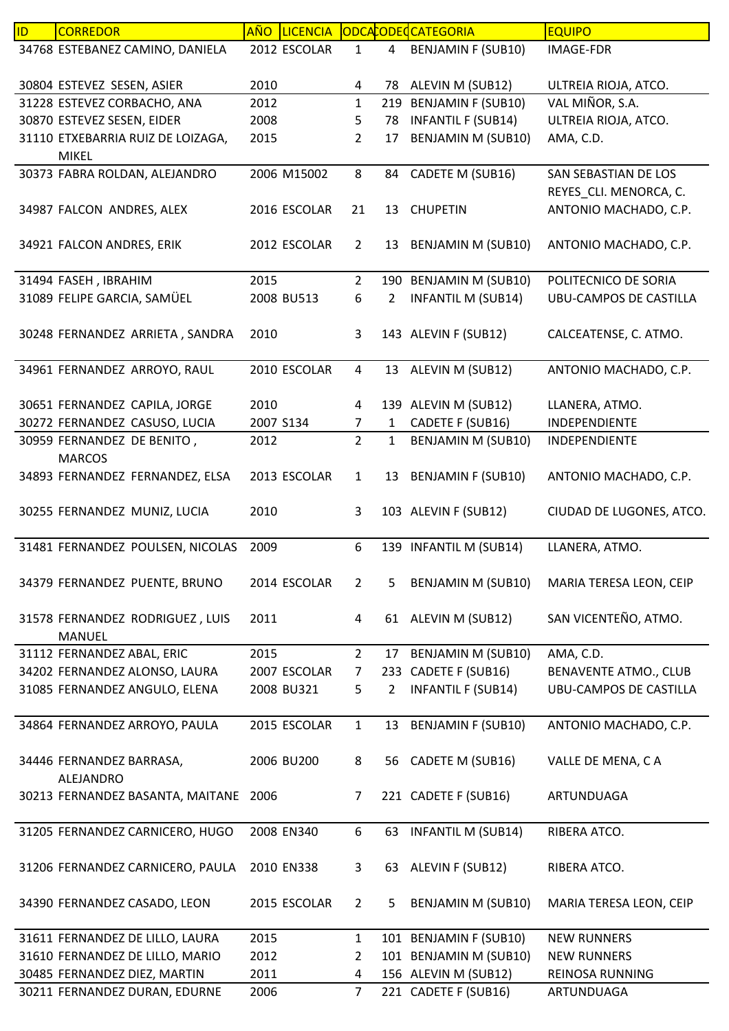| ID. | <b>CORREDOR</b>                   | AÑO       | <b>LICENCIA</b> |                |              | ODCACODECATEGORIA         | <b>EQUIPO</b>                 |
|-----|-----------------------------------|-----------|-----------------|----------------|--------------|---------------------------|-------------------------------|
|     | 34768 ESTEBANEZ CAMINO, DANIELA   |           | 2012 ESCOLAR    | $\mathbf{1}$   | 4            | <b>BENJAMIN F (SUB10)</b> | <b>IMAGE-FDR</b>              |
|     |                                   |           |                 |                |              |                           |                               |
|     | 30804 ESTEVEZ SESEN, ASIER        | 2010      |                 | 4              | 78           | ALEVIN M (SUB12)          | ULTREIA RIOJA, ATCO.          |
|     | 31228 ESTEVEZ CORBACHO, ANA       | 2012      |                 | $\mathbf{1}$   | 219          | <b>BENJAMIN F (SUB10)</b> | VAL MIÑOR, S.A.               |
|     | 30870 ESTEVEZ SESEN, EIDER        | 2008      |                 | 5              | 78           | <b>INFANTIL F (SUB14)</b> | ULTREIA RIOJA, ATCO.          |
|     | 31110 ETXEBARRIA RUIZ DE LOIZAGA, | 2015      |                 | $\overline{2}$ | 17           | <b>BENJAMIN M (SUB10)</b> | AMA, C.D.                     |
|     | <b>MIKEL</b>                      |           |                 |                |              |                           |                               |
|     |                                   |           |                 |                |              |                           |                               |
|     | 30373 FABRA ROLDAN, ALEJANDRO     |           | 2006 M15002     | 8              | 84           | CADETE M (SUB16)          | SAN SEBASTIAN DE LOS          |
|     |                                   |           |                 |                |              |                           | REYES_CLI. MENORCA, C.        |
|     | 34987 FALCON ANDRES, ALEX         |           | 2016 ESCOLAR    | 21             | 13           | <b>CHUPETIN</b>           | ANTONIO MACHADO, C.P.         |
|     |                                   |           |                 |                |              |                           |                               |
|     | 34921 FALCON ANDRES, ERIK         |           | 2012 ESCOLAR    | $\overline{2}$ | 13           | <b>BENJAMIN M (SUB10)</b> | ANTONIO MACHADO, C.P.         |
|     |                                   |           |                 |                |              |                           |                               |
|     | 31494 FASEH, IBRAHIM              | 2015      |                 | $\overline{2}$ |              | 190 BENJAMIN M (SUB10)    | POLITECNICO DE SORIA          |
|     | 31089 FELIPE GARCIA, SAMÜEL       |           | 2008 BU513      | 6              | 2            | <b>INFANTIL M (SUB14)</b> | <b>UBU-CAMPOS DE CASTILLA</b> |
|     |                                   |           |                 |                |              |                           |                               |
|     | 30248 FERNANDEZ ARRIETA, SANDRA   | 2010      |                 | 3              |              | 143 ALEVIN F (SUB12)      | CALCEATENSE, C. ATMO.         |
|     |                                   |           |                 |                |              |                           |                               |
|     | 34961 FERNANDEZ ARROYO, RAUL      |           | 2010 ESCOLAR    | $\overline{4}$ | 13           | ALEVIN M (SUB12)          | ANTONIO MACHADO, C.P.         |
|     |                                   |           |                 |                |              |                           |                               |
|     | 30651 FERNANDEZ CAPILA, JORGE     | 2010      |                 | 4              |              | 139 ALEVIN M (SUB12)      | LLANERA, ATMO.                |
|     | 30272 FERNANDEZ CASUSO, LUCIA     | 2007 S134 |                 | $\overline{7}$ | $\mathbf{1}$ | CADETE F (SUB16)          | INDEPENDIENTE                 |
|     | 30959 FERNANDEZ DE BENITO,        | 2012      |                 | $\overline{2}$ | $\mathbf{1}$ | <b>BENJAMIN M (SUB10)</b> | INDEPENDIENTE                 |
|     | <b>MARCOS</b>                     |           |                 |                |              |                           |                               |
|     |                                   |           |                 |                |              |                           |                               |
|     | 34893 FERNANDEZ FERNANDEZ, ELSA   |           | 2013 ESCOLAR    | $\mathbf{1}$   | 13           | <b>BENJAMIN F (SUB10)</b> | ANTONIO MACHADO, C.P.         |
|     |                                   |           |                 |                |              |                           |                               |
|     | 30255 FERNANDEZ MUNIZ, LUCIA      | 2010      |                 | 3              |              | 103 ALEVIN F (SUB12)      | CIUDAD DE LUGONES, ATCO.      |
|     |                                   |           |                 |                |              |                           |                               |
|     | 31481 FERNANDEZ POULSEN, NICOLAS  | 2009      |                 | 6              |              | 139 INFANTIL M (SUB14)    | LLANERA, ATMO.                |
|     |                                   |           |                 |                |              |                           |                               |
|     | 34379 FERNANDEZ PUENTE, BRUNO     |           | 2014 ESCOLAR    | $\overline{2}$ | 5.           | <b>BENJAMIN M (SUB10)</b> | MARIA TERESA LEON, CEIP       |
|     |                                   |           |                 |                |              |                           |                               |
|     | 31578 FERNANDEZ RODRIGUEZ, LUIS   | 2011      |                 | 4              |              | 61 ALEVIN M (SUB12)       | SAN VICENTEÑO, ATMO.          |
|     | <b>MANUEL</b>                     |           |                 |                |              |                           |                               |
|     | 31112 FERNANDEZ ABAL, ERIC        | 2015      |                 | $\overline{2}$ | 17           | <b>BENJAMIN M (SUB10)</b> | AMA, C.D.                     |
|     | 34202 FERNANDEZ ALONSO, LAURA     |           | 2007 ESCOLAR    | $\overline{7}$ |              | 233 CADETE F (SUB16)      | BENAVENTE ATMO., CLUB         |
|     | 31085 FERNANDEZ ANGULO, ELENA     |           | 2008 BU321      | 5              | 2            | <b>INFANTIL F (SUB14)</b> | <b>UBU-CAMPOS DE CASTILLA</b> |
|     |                                   |           |                 |                |              |                           |                               |
|     | 34864 FERNANDEZ ARROYO, PAULA     |           | 2015 ESCOLAR    | $\mathbf{1}$   | 13           | <b>BENJAMIN F (SUB10)</b> | ANTONIO MACHADO, C.P.         |
|     |                                   |           |                 |                |              |                           |                               |
|     | 34446 FERNANDEZ BARRASA,          |           | 2006 BU200      | 8              |              | 56 CADETE M (SUB16)       | VALLE DE MENA, CA             |
|     | ALEJANDRO                         |           |                 |                |              |                           |                               |
|     | 30213 FERNANDEZ BASANTA, MAITANE  | 2006      |                 | 7              |              | 221 CADETE F (SUB16)      | ARTUNDUAGA                    |
|     |                                   |           |                 |                |              |                           |                               |
|     | 31205 FERNANDEZ CARNICERO, HUGO   |           | 2008 EN340      | 6              | 63           | <b>INFANTIL M (SUB14)</b> | RIBERA ATCO.                  |
|     |                                   |           |                 |                |              |                           |                               |
|     |                                   |           |                 |                |              |                           |                               |
|     | 31206 FERNANDEZ CARNICERO, PAULA  |           | 2010 EN338      | 3              | 63           | ALEVIN F (SUB12)          | RIBERA ATCO.                  |
|     |                                   |           |                 |                |              |                           |                               |
|     | 34390 FERNANDEZ CASADO, LEON      |           | 2015 ESCOLAR    | $\overline{2}$ | 5            | <b>BENJAMIN M (SUB10)</b> | MARIA TERESA LEON, CEIP       |
|     |                                   |           |                 |                |              |                           |                               |
|     | 31611 FERNANDEZ DE LILLO, LAURA   | 2015      |                 | $\mathbf{1}$   |              | 101 BENJAMIN F (SUB10)    | <b>NEW RUNNERS</b>            |
|     | 31610 FERNANDEZ DE LILLO, MARIO   | 2012      |                 | $\overline{2}$ |              | 101 BENJAMIN M (SUB10)    | <b>NEW RUNNERS</b>            |
|     | 30485 FERNANDEZ DIEZ, MARTIN      | 2011      |                 | 4              |              | 156 ALEVIN M (SUB12)      | REINOSA RUNNING               |
|     | 30211 FERNANDEZ DURAN, EDURNE     | 2006      |                 | $\overline{7}$ |              | 221 CADETE F (SUB16)      | ARTUNDUAGA                    |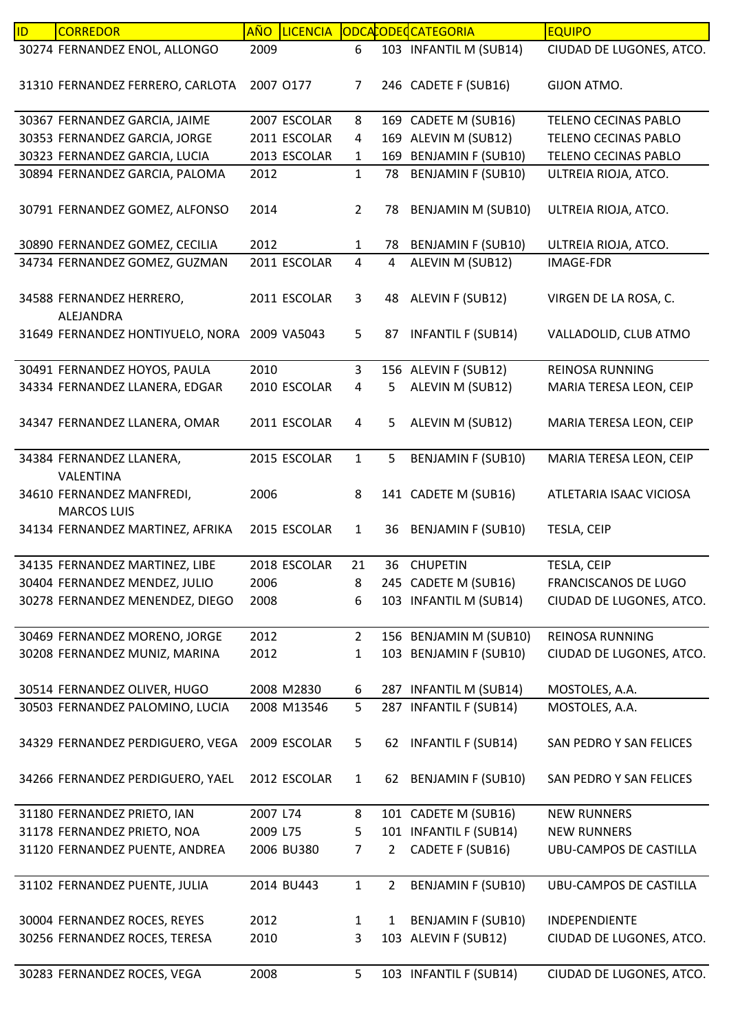| ID | <b>CORREDOR</b>                                           | <b>AÑO</b> | <b>LICENCIA</b> |                |                | ODCACODECATEGORIA         | <b>EQUIPO</b>               |
|----|-----------------------------------------------------------|------------|-----------------|----------------|----------------|---------------------------|-----------------------------|
|    | 30274 FERNANDEZ ENOL, ALLONGO                             | 2009       |                 | 6              |                | 103 INFANTIL M (SUB14)    | CIUDAD DE LUGONES, ATCO.    |
|    | 31310 FERNANDEZ FERRERO, CARLOTA                          |            | 2007 0177       | 7              |                | 246 CADETE F (SUB16)      | GIJON ATMO.                 |
|    | 30367 FERNANDEZ GARCIA, JAIME                             |            | 2007 ESCOLAR    | 8              |                | 169 CADETE M (SUB16)      | TELENO CECINAS PABLO        |
|    | 30353 FERNANDEZ GARCIA, JORGE                             |            | 2011 ESCOLAR    | 4              |                | 169 ALEVIN M (SUB12)      | TELENO CECINAS PABLO        |
|    | 30323 FERNANDEZ GARCIA, LUCIA                             |            | 2013 ESCOLAR    | $\mathbf{1}$   |                | 169 BENJAMIN F (SUB10)    | <b>TELENO CECINAS PABLO</b> |
|    | 30894 FERNANDEZ GARCIA, PALOMA                            | 2012       |                 | $\mathbf{1}$   | 78             | <b>BENJAMIN F (SUB10)</b> | ULTREIA RIOJA, ATCO.        |
|    | 30791 FERNANDEZ GOMEZ, ALFONSO                            | 2014       |                 | $\overline{2}$ | 78             | <b>BENJAMIN M (SUB10)</b> | ULTREIA RIOJA, ATCO.        |
|    | 30890 FERNANDEZ GOMEZ, CECILIA                            | 2012       |                 | $\mathbf{1}$   | 78             | <b>BENJAMIN F (SUB10)</b> | ULTREIA RIOJA, ATCO.        |
|    | 34734 FERNANDEZ GOMEZ, GUZMAN                             |            | 2011 ESCOLAR    | $\overline{4}$ | 4              | ALEVIN M (SUB12)          | <b>IMAGE-FDR</b>            |
|    | 34588 FERNANDEZ HERRERO,                                  |            | 2011 ESCOLAR    | 3              | 48             | ALEVIN F (SUB12)          | VIRGEN DE LA ROSA, C.       |
|    | ALEJANDRA<br>31649 FERNANDEZ HONTIYUELO, NORA 2009 VA5043 |            |                 | 5              | 87             | <b>INFANTIL F (SUB14)</b> | VALLADOLID, CLUB ATMO       |
|    | 30491 FERNANDEZ HOYOS, PAULA                              | 2010       |                 | 3              |                | 156 ALEVIN F (SUB12)      | <b>REINOSA RUNNING</b>      |
|    | 34334 FERNANDEZ LLANERA, EDGAR                            |            | 2010 ESCOLAR    | 4              | 5              | ALEVIN M (SUB12)          | MARIA TERESA LEON, CEIP     |
|    | 34347 FERNANDEZ LLANERA, OMAR                             |            | 2011 ESCOLAR    | 4              | 5              | ALEVIN M (SUB12)          | MARIA TERESA LEON, CEIP     |
|    |                                                           |            |                 |                |                |                           |                             |
|    | 34384 FERNANDEZ LLANERA,<br>VALENTINA                     |            | 2015 ESCOLAR    | $\mathbf{1}$   | 5              | <b>BENJAMIN F (SUB10)</b> | MARIA TERESA LEON, CEIP     |
|    | 34610 FERNANDEZ MANFREDI,<br><b>MARCOS LUIS</b>           | 2006       |                 | 8              |                | 141 CADETE M (SUB16)      | ATLETARIA ISAAC VICIOSA     |
|    | 34134 FERNANDEZ MARTINEZ, AFRIKA                          |            | 2015 ESCOLAR    | $\mathbf{1}$   | 36             | <b>BENJAMIN F (SUB10)</b> | TESLA, CEIP                 |
|    | 34135 FERNANDEZ MARTINEZ, LIBE                            |            | 2018 ESCOLAR    | 21             | 36             | <b>CHUPETIN</b>           | TESLA, CEIP                 |
|    | 30404 FERNANDEZ MENDEZ, JULIO                             | 2006       |                 | 8              |                | 245 CADETE M (SUB16)      | FRANCISCANOS DE LUGO        |
|    | 30278 FERNANDEZ MENENDEZ, DIEGO                           | 2008       |                 | 6              |                | 103 INFANTIL M (SUB14)    | CIUDAD DE LUGONES, ATCO.    |
|    |                                                           |            |                 |                |                |                           |                             |
|    | 30469 FERNANDEZ MORENO, JORGE                             | 2012       |                 | $\overline{2}$ |                | 156 BENJAMIN M (SUB10)    | <b>REINOSA RUNNING</b>      |
|    | 30208 FERNANDEZ MUNIZ, MARINA                             | 2012       |                 | $\mathbf{1}$   |                | 103 BENJAMIN F (SUB10)    | CIUDAD DE LUGONES, ATCO.    |
|    |                                                           |            |                 |                |                |                           |                             |
|    | 30514 FERNANDEZ OLIVER, HUGO                              |            | 2008 M2830      | 6              |                | 287 INFANTIL M (SUB14)    | MOSTOLES, A.A.              |
|    | 30503 FERNANDEZ PALOMINO, LUCIA                           |            | 2008 M13546     | 5              |                | 287 INFANTIL F (SUB14)    | MOSTOLES, A.A.              |
|    | 34329 FERNANDEZ PERDIGUERO, VEGA                          |            | 2009 ESCOLAR    | 5              |                | 62 INFANTIL F (SUB14)     | SAN PEDRO Y SAN FELICES     |
|    | 34266 FERNANDEZ PERDIGUERO, YAEL                          |            | 2012 ESCOLAR    | $\mathbf{1}$   |                | 62 BENJAMIN F (SUB10)     | SAN PEDRO Y SAN FELICES     |
|    | 31180 FERNANDEZ PRIETO, IAN                               | 2007 L74   |                 | 8              |                | 101 CADETE M (SUB16)      | <b>NEW RUNNERS</b>          |
|    | 31178 FERNANDEZ PRIETO, NOA                               | 2009 L75   |                 | 5              |                | 101 INFANTIL F (SUB14)    | <b>NEW RUNNERS</b>          |
|    | 31120 FERNANDEZ PUENTE, ANDREA                            |            | 2006 BU380      | 7              | $\overline{2}$ | CADETE F (SUB16)          | UBU-CAMPOS DE CASTILLA      |
|    | 31102 FERNANDEZ PUENTE, JULIA                             |            | 2014 BU443      | $\mathbf{1}$   | $\overline{2}$ | <b>BENJAMIN F (SUB10)</b> | UBU-CAMPOS DE CASTILLA      |
|    | 30004 FERNANDEZ ROCES, REYES                              | 2012       |                 | 1              | 1              | <b>BENJAMIN F (SUB10)</b> | INDEPENDIENTE               |
|    | 30256 FERNANDEZ ROCES, TERESA                             | 2010       |                 | 3              |                | 103 ALEVIN F (SUB12)      | CIUDAD DE LUGONES, ATCO.    |
|    |                                                           |            |                 |                |                |                           |                             |
|    | 30283 FERNANDEZ ROCES, VEGA                               | 2008       |                 | 5              |                | 103 INFANTIL F (SUB14)    | CIUDAD DE LUGONES, ATCO.    |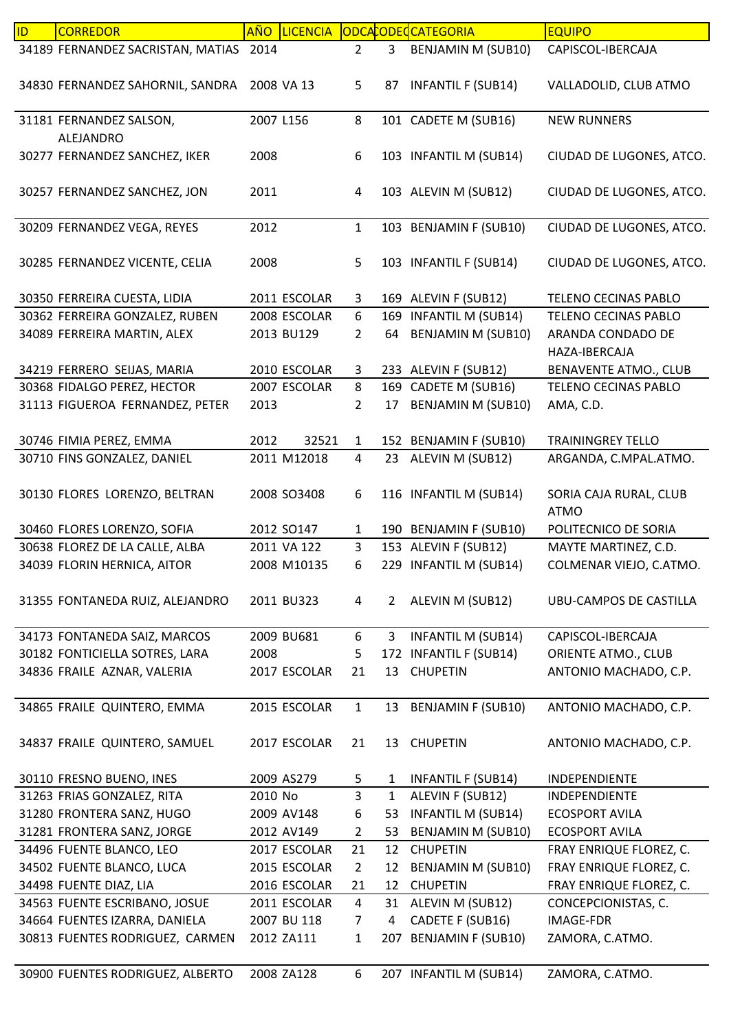| ID | <b>CORREDOR</b>                        | <b>AÑO</b> | <b>LICENCIA</b> |                |                | ODCACODECCATEGORIA        | <b>EQUIPO</b>                         |
|----|----------------------------------------|------------|-----------------|----------------|----------------|---------------------------|---------------------------------------|
|    | 34189 FERNANDEZ SACRISTAN, MATIAS 2014 |            |                 | $2^{\circ}$    | 3 <sup>7</sup> | <b>BENJAMIN M (SUB10)</b> | CAPISCOL-IBERCAJA                     |
|    | 34830 FERNANDEZ SAHORNIL, SANDRA       |            | 2008 VA 13      | 5              | 87             | <b>INFANTIL F (SUB14)</b> | VALLADOLID, CLUB ATMO                 |
|    | 31181 FERNANDEZ SALSON,<br>ALEJANDRO   | 2007 L156  |                 | 8              |                | 101 CADETE M (SUB16)      | <b>NEW RUNNERS</b>                    |
|    | 30277 FERNANDEZ SANCHEZ, IKER          | 2008       |                 | 6              |                | 103 INFANTIL M (SUB14)    | CIUDAD DE LUGONES, ATCO.              |
|    | 30257 FERNANDEZ SANCHEZ, JON           | 2011       |                 | 4              |                | 103 ALEVIN M (SUB12)      | CIUDAD DE LUGONES, ATCO.              |
|    | 30209 FERNANDEZ VEGA, REYES            | 2012       |                 | $\mathbf{1}$   |                | 103 BENJAMIN F (SUB10)    | CIUDAD DE LUGONES, ATCO.              |
|    | 30285 FERNANDEZ VICENTE, CELIA         | 2008       |                 | 5              |                | 103 INFANTIL F (SUB14)    | CIUDAD DE LUGONES, ATCO.              |
|    | 30350 FERREIRA CUESTA, LIDIA           |            | 2011 ESCOLAR    | 3              |                | 169 ALEVIN F (SUB12)      | TELENO CECINAS PABLO                  |
|    | 30362 FERREIRA GONZALEZ, RUBEN         |            | 2008 ESCOLAR    | 6              |                | 169 INFANTIL M (SUB14)    | TELENO CECINAS PABLO                  |
|    | 34089 FERREIRA MARTIN, ALEX            |            | 2013 BU129      | $\overline{2}$ | 64             | <b>BENJAMIN M (SUB10)</b> | ARANDA CONDADO DE                     |
|    |                                        |            |                 |                |                |                           | HAZA-IBERCAJA                         |
|    | 34219 FERRERO SEIJAS, MARIA            |            | 2010 ESCOLAR    | 3              |                | 233 ALEVIN F (SUB12)      | <b>BENAVENTE ATMO., CLUB</b>          |
|    | 30368 FIDALGO PEREZ, HECTOR            |            | 2007 ESCOLAR    | 8              |                | 169 CADETE M (SUB16)      | TELENO CECINAS PABLO                  |
|    | 31113 FIGUEROA FERNANDEZ, PETER        | 2013       |                 | $\overline{2}$ | 17             | <b>BENJAMIN M (SUB10)</b> | AMA, C.D.                             |
|    | 30746 FIMIA PEREZ, EMMA                | 2012       | 32521           | $\mathbf{1}$   |                | 152 BENJAMIN F (SUB10)    | <b>TRAININGREY TELLO</b>              |
|    | 30710 FINS GONZALEZ, DANIEL            |            | 2011 M12018     | 4              | 23             | ALEVIN M (SUB12)          | ARGANDA, C.MPAL.ATMO.                 |
|    | 30130 FLORES LORENZO, BELTRAN          |            | 2008 SO3408     | 6              |                | 116 INFANTIL M (SUB14)    | SORIA CAJA RURAL, CLUB<br><b>ATMO</b> |
|    | 30460 FLORES LORENZO, SOFIA            |            | 2012 SO147      | $\mathbf{1}$   |                | 190 BENJAMIN F (SUB10)    | POLITECNICO DE SORIA                  |
|    | 30638 FLOREZ DE LA CALLE, ALBA         |            | 2011 VA 122     | 3              |                | 153 ALEVIN F (SUB12)      | MAYTE MARTINEZ, C.D.                  |
|    | 34039 FLORIN HERNICA, AITOR            |            | 2008 M10135     | 6              |                | 229 INFANTIL M (SUB14)    | COLMENAR VIEJO, C.ATMO.               |
|    | 31355 FONTANEDA RUIZ, ALEJANDRO        |            | 2011 BU323      | 4              | 2              | ALEVIN M (SUB12)          | UBU-CAMPOS DE CASTILLA                |
|    | 34173 FONTANEDA SAIZ, MARCOS           |            | 2009 BU681      | 6              | 3              | <b>INFANTIL M (SUB14)</b> | CAPISCOL-IBERCAJA                     |
|    | 30182 FONTICIELLA SOTRES, LARA         | 2008       |                 | 5              |                | 172 INFANTIL F (SUB14)    | ORIENTE ATMO., CLUB                   |
|    | 34836 FRAILE AZNAR, VALERIA            |            | 2017 ESCOLAR    | 21             | 13             | <b>CHUPETIN</b>           | ANTONIO MACHADO, C.P.                 |
|    | 34865 FRAILE QUINTERO, EMMA            |            | 2015 ESCOLAR    | $\mathbf{1}$   | 13             | <b>BENJAMIN F (SUB10)</b> | ANTONIO MACHADO, C.P.                 |
|    | 34837 FRAILE QUINTERO, SAMUEL          |            | 2017 ESCOLAR    | 21             |                | 13 CHUPETIN               | ANTONIO MACHADO, C.P.                 |
|    | 30110 FRESNO BUENO, INES               |            | 2009 AS279      | 5              | 1              | <b>INFANTIL F (SUB14)</b> | <b>INDEPENDIENTE</b>                  |
|    | 31263 FRIAS GONZALEZ, RITA             | 2010 No    |                 | 3              | 1              | ALEVIN F (SUB12)          | INDEPENDIENTE                         |
|    | 31280 FRONTERA SANZ, HUGO              |            | 2009 AV148      | 6              | 53             | <b>INFANTIL M (SUB14)</b> | <b>ECOSPORT AVILA</b>                 |
|    | 31281 FRONTERA SANZ, JORGE             |            | 2012 AV149      | $\overline{2}$ | 53             | BENJAMIN M (SUB10)        | <b>ECOSPORT AVILA</b>                 |
|    | 34496 FUENTE BLANCO, LEO               |            | 2017 ESCOLAR    | 21             | 12             | <b>CHUPETIN</b>           | FRAY ENRIQUE FLOREZ, C.               |
|    | 34502 FUENTE BLANCO, LUCA              |            | 2015 ESCOLAR    | $\overline{2}$ | 12             | BENJAMIN M (SUB10)        | FRAY ENRIQUE FLOREZ, C.               |
|    | 34498 FUENTE DIAZ, LIA                 |            | 2016 ESCOLAR    | 21             | 12             | <b>CHUPETIN</b>           | FRAY ENRIQUE FLOREZ, C.               |
|    | 34563 FUENTE ESCRIBANO, JOSUE          |            | 2011 ESCOLAR    | $\overline{4}$ |                | 31 ALEVIN M (SUB12)       | CONCEPCIONISTAS, C.                   |
|    | 34664 FUENTES IZARRA, DANIELA          |            | 2007 BU 118     | $\overline{7}$ | 4              | CADETE F (SUB16)          | <b>IMAGE-FDR</b>                      |
|    | 30813 FUENTES RODRIGUEZ, CARMEN        |            | 2012 ZA111      | $\mathbf{1}$   | 207            | <b>BENJAMIN F (SUB10)</b> | ZAMORA, C.ATMO.                       |
|    | 30900 FUENTES RODRIGUEZ, ALBERTO       |            | 2008 ZA128      | 6              |                | 207 INFANTIL M (SUB14)    | ZAMORA, C.ATMO.                       |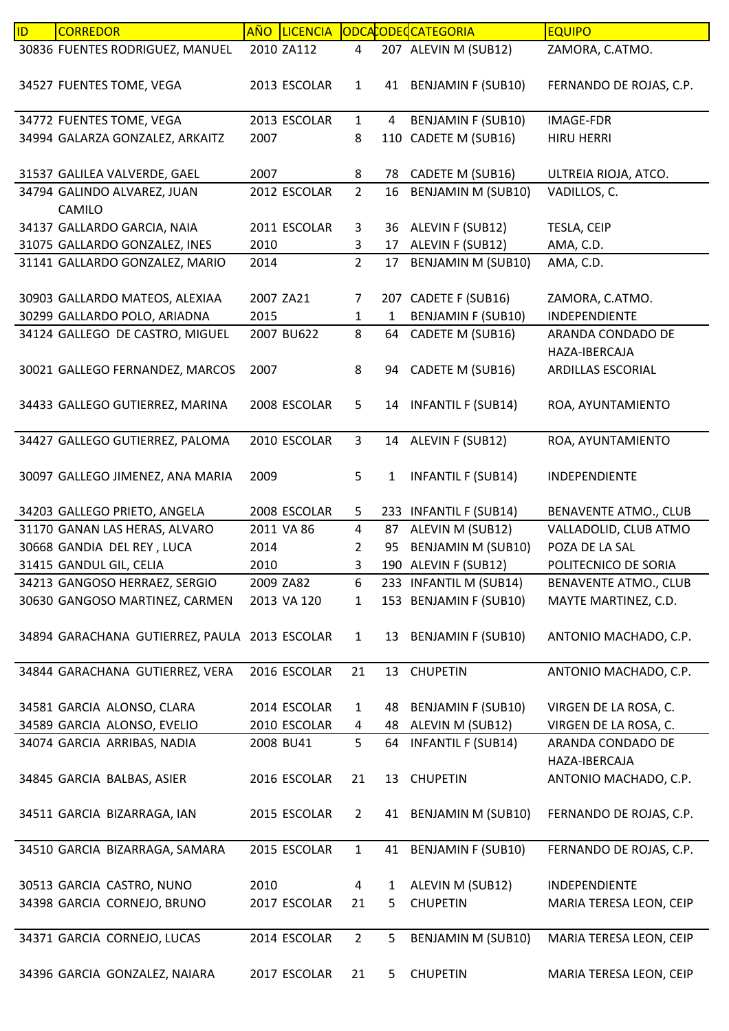| ID. | <b>CORREDOR</b>                               | AÑO LICENCIA |                |                | CODCACODECATEGORIA        | <b>EQUIPO</b>                |
|-----|-----------------------------------------------|--------------|----------------|----------------|---------------------------|------------------------------|
|     | 30836 FUENTES RODRIGUEZ, MANUEL               | 2010 ZA112   | 4              |                | 207 ALEVIN M (SUB12)      | ZAMORA, C.ATMO.              |
|     | 34527 FUENTES TOME, VEGA                      | 2013 ESCOLAR | $\mathbf{1}$   |                | 41 BENJAMIN F (SUB10)     | FERNANDO DE ROJAS, C.P.      |
|     | 34772 FUENTES TOME, VEGA                      | 2013 ESCOLAR | $\mathbf{1}$   | $\overline{4}$ | <b>BENJAMIN F (SUB10)</b> | <b>IMAGE-FDR</b>             |
|     | 34994 GALARZA GONZALEZ, ARKAITZ               | 2007         | 8              |                | 110 CADETE M (SUB16)      | <b>HIRU HERRI</b>            |
|     |                                               |              |                |                |                           |                              |
|     | 31537 GALILEA VALVERDE, GAEL                  | 2007         | 8              |                | 78 CADETE M (SUB16)       | ULTREIA RIOJA, ATCO.         |
|     | 34794 GALINDO ALVAREZ, JUAN                   | 2012 ESCOLAR | $\overline{2}$ | 16             | <b>BENJAMIN M (SUB10)</b> | VADILLOS, C.                 |
|     | CAMILO                                        |              |                |                |                           |                              |
|     | 34137 GALLARDO GARCIA, NAIA                   | 2011 ESCOLAR | 3              |                | 36 ALEVIN F (SUB12)       | TESLA, CEIP                  |
|     | 31075 GALLARDO GONZALEZ, INES                 | 2010         | 3              |                | 17 ALEVIN F (SUB12)       | AMA, C.D.                    |
|     | 31141 GALLARDO GONZALEZ, MARIO                | 2014         | $\overline{2}$ |                | 17 BENJAMIN M (SUB10)     | AMA, C.D.                    |
|     |                                               |              |                |                |                           |                              |
|     | 30903 GALLARDO MATEOS, ALEXIAA                | 2007 ZA21    | $\overline{7}$ |                | 207 CADETE F (SUB16)      | ZAMORA, C.ATMO.              |
|     | 30299 GALLARDO POLO, ARIADNA                  | 2015         | $\mathbf{1}$   | $\mathbf{1}$   | <b>BENJAMIN F (SUB10)</b> | INDEPENDIENTE                |
|     | 34124 GALLEGO DE CASTRO, MIGUEL               | 2007 BU622   | 8              | 64             | CADETE M (SUB16)          | ARANDA CONDADO DE            |
|     |                                               |              |                |                |                           | HAZA-IBERCAJA                |
|     | 30021 GALLEGO FERNANDEZ, MARCOS               | 2007         | 8              |                | 94 CADETE M (SUB16)       | ARDILLAS ESCORIAL            |
|     | 34433 GALLEGO GUTIERREZ, MARINA               | 2008 ESCOLAR | 5              |                | 14 INFANTIL F (SUB14)     | ROA, AYUNTAMIENTO            |
|     |                                               |              |                |                |                           |                              |
|     | 34427 GALLEGO GUTIERREZ, PALOMA               | 2010 ESCOLAR | $\mathbf{3}$   |                | 14 ALEVIN F (SUB12)       | ROA, AYUNTAMIENTO            |
|     | 30097 GALLEGO JIMENEZ, ANA MARIA              | 2009         | 5              | $\mathbf{1}$   | <b>INFANTIL F (SUB14)</b> | INDEPENDIENTE                |
|     | 34203 GALLEGO PRIETO, ANGELA                  | 2008 ESCOLAR | 5              |                | 233 INFANTIL F (SUB14)    | <b>BENAVENTE ATMO., CLUB</b> |
|     | 31170 GANAN LAS HERAS, ALVARO                 | 2011 VA 86   | 4              |                | 87 ALEVIN M (SUB12)       | VALLADOLID, CLUB ATMO        |
|     | 30668 GANDIA DEL REY, LUCA                    | 2014         | $\overline{2}$ | 95             | BENJAMIN M (SUB10)        | POZA DE LA SAL               |
|     | 31415 GANDUL GIL, CELIA                       | 2010         | 3              |                | 190 ALEVIN F (SUB12)      | POLITECNICO DE SORIA         |
|     | 34213 GANGOSO HERRAEZ, SERGIO                 | 2009 ZA82    | 6              |                | 233 INFANTIL M (SUB14)    | <b>BENAVENTE ATMO., CLUB</b> |
|     | 30630 GANGOSO MARTINEZ, CARMEN                | 2013 VA 120  | $\mathbf{1}$   |                | 153 BENJAMIN F (SUB10)    | MAYTE MARTINEZ, C.D.         |
|     | 34894 GARACHANA GUTIERREZ, PAULA 2013 ESCOLAR |              | $\mathbf{1}$   |                | 13 BENJAMIN F (SUB10)     | ANTONIO MACHADO, C.P.        |
|     | 34844 GARACHANA GUTIERREZ, VERA               | 2016 ESCOLAR | 21             |                | 13 CHUPETIN               | ANTONIO MACHADO, C.P.        |
|     | 34581 GARCIA ALONSO, CLARA                    | 2014 ESCOLAR | $\mathbf{1}$   | 48             | <b>BENJAMIN F (SUB10)</b> | VIRGEN DE LA ROSA, C.        |
|     | 34589 GARCIA ALONSO, EVELIO                   | 2010 ESCOLAR | 4              |                | 48 ALEVIN M (SUB12)       | VIRGEN DE LA ROSA, C.        |
|     | 34074 GARCIA ARRIBAS, NADIA                   | 2008 BU41    | 5              | 64             | <b>INFANTIL F (SUB14)</b> | ARANDA CONDADO DE            |
|     |                                               |              |                |                |                           | HAZA-IBERCAJA                |
|     | 34845 GARCIA BALBAS, ASIER                    | 2016 ESCOLAR | 21             | 13             | <b>CHUPETIN</b>           | ANTONIO MACHADO, C.P.        |
|     |                                               |              |                |                |                           |                              |
|     | 34511 GARCIA BIZARRAGA, IAN                   | 2015 ESCOLAR | $\overline{2}$ |                | 41 BENJAMIN M (SUB10)     | FERNANDO DE ROJAS, C.P.      |
|     | 34510 GARCIA BIZARRAGA, SAMARA                | 2015 ESCOLAR | $\mathbf{1}$   | 41             | <b>BENJAMIN F (SUB10)</b> | FERNANDO DE ROJAS, C.P.      |
|     | 30513 GARCIA CASTRO, NUNO                     | 2010         | 4              | $\mathbf{1}$   | ALEVIN M (SUB12)          | INDEPENDIENTE                |
|     | 34398 GARCIA CORNEJO, BRUNO                   | 2017 ESCOLAR | 21             | 5.             | <b>CHUPETIN</b>           | MARIA TERESA LEON, CEIP      |
|     |                                               |              |                |                |                           |                              |
|     | 34371 GARCIA CORNEJO, LUCAS                   | 2014 ESCOLAR | $\overline{2}$ | 5              | BENJAMIN M (SUB10)        | MARIA TERESA LEON, CEIP      |
|     |                                               |              |                |                |                           |                              |
|     | 34396 GARCIA GONZALEZ, NAIARA                 | 2017 ESCOLAR | 21             | 5              | <b>CHUPETIN</b>           | MARIA TERESA LEON, CEIP      |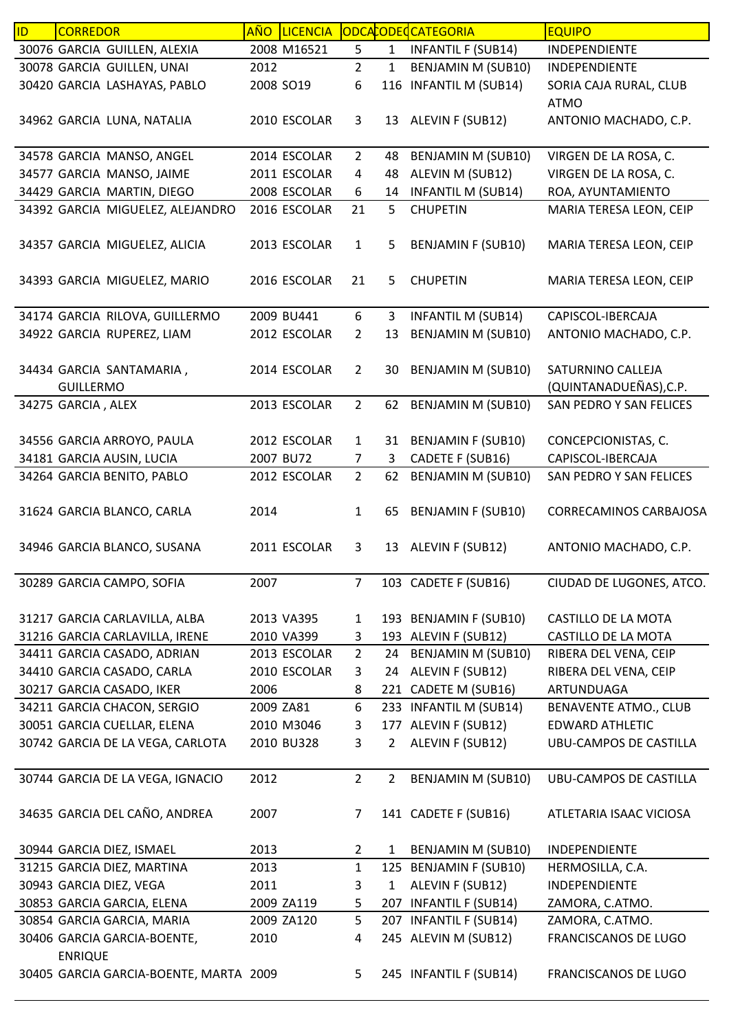| ID. | <b>CORREDOR</b>                               |           | AÑO LICENCIA |                |              | ODCACODECCATEGORIA        | <b>EQUIPO</b>                         |
|-----|-----------------------------------------------|-----------|--------------|----------------|--------------|---------------------------|---------------------------------------|
|     | 30076 GARCIA GUILLEN, ALEXIA                  |           | 2008 M16521  | 5              | $\mathbf{1}$ | <b>INFANTIL F (SUB14)</b> | INDEPENDIENTE                         |
|     | 30078 GARCIA GUILLEN, UNAI                    | 2012      |              | $\overline{2}$ | 1            | BENJAMIN M (SUB10)        | INDEPENDIENTE                         |
|     | 30420 GARCIA LASHAYAS, PABLO                  | 2008 SO19 |              | 6              | 116          | <b>INFANTIL M (SUB14)</b> | SORIA CAJA RURAL, CLUB<br><b>ATMO</b> |
|     | 34962 GARCIA LUNA, NATALIA                    |           | 2010 ESCOLAR | 3              |              | 13 ALEVIN F (SUB12)       | ANTONIO MACHADO, C.P.                 |
|     | 34578 GARCIA MANSO, ANGEL                     |           | 2014 ESCOLAR | $\overline{2}$ | 48           | BENJAMIN M (SUB10)        | VIRGEN DE LA ROSA, C.                 |
|     | 34577 GARCIA MANSO, JAIME                     |           | 2011 ESCOLAR | 4              | 48           | ALEVIN M (SUB12)          | VIRGEN DE LA ROSA, C.                 |
|     | 34429 GARCIA MARTIN, DIEGO                    |           | 2008 ESCOLAR | 6              | 14           | <b>INFANTIL M (SUB14)</b> | ROA, AYUNTAMIENTO                     |
|     | 34392 GARCIA MIGUELEZ, ALEJANDRO              |           | 2016 ESCOLAR | 21             | 5.           | <b>CHUPETIN</b>           | MARIA TERESA LEON, CEIP               |
|     | 34357 GARCIA MIGUELEZ, ALICIA                 |           | 2013 ESCOLAR | $\mathbf{1}$   | 5            | <b>BENJAMIN F (SUB10)</b> | MARIA TERESA LEON, CEIP               |
|     | 34393 GARCIA MIGUELEZ, MARIO                  |           | 2016 ESCOLAR | 21             | 5            | <b>CHUPETIN</b>           | MARIA TERESA LEON, CEIP               |
|     | 34174 GARCIA RILOVA, GUILLERMO                |           | 2009 BU441   | 6              | 3            | <b>INFANTIL M (SUB14)</b> | CAPISCOL-IBERCAJA                     |
|     | 34922 GARCIA RUPEREZ, LIAM                    |           | 2012 ESCOLAR | $\overline{2}$ | 13           | <b>BENJAMIN M (SUB10)</b> | ANTONIO MACHADO, C.P.                 |
|     | 34434 GARCIA SANTAMARIA,                      |           | 2014 ESCOLAR | $\overline{2}$ | 30           | <b>BENJAMIN M (SUB10)</b> | SATURNINO CALLEJA                     |
|     | <b>GUILLERMO</b>                              |           |              |                |              |                           | (QUINTANADUEÑAS), C.P.                |
|     | 34275 GARCIA, ALEX                            |           | 2013 ESCOLAR | $\overline{2}$ | 62           | BENJAMIN M (SUB10)        | SAN PEDRO Y SAN FELICES               |
|     | 34556 GARCIA ARROYO, PAULA                    |           | 2012 ESCOLAR | $\mathbf{1}$   | 31           | <b>BENJAMIN F (SUB10)</b> | CONCEPCIONISTAS, C.                   |
|     | 34181 GARCIA AUSIN, LUCIA                     | 2007 BU72 |              | 7              | 3            | CADETE F (SUB16)          | CAPISCOL-IBERCAJA                     |
|     | 34264 GARCIA BENITO, PABLO                    |           | 2012 ESCOLAR | $\overline{2}$ | 62           | <b>BENJAMIN M (SUB10)</b> | SAN PEDRO Y SAN FELICES               |
|     | 31624 GARCIA BLANCO, CARLA                    | 2014      |              | $\mathbf{1}$   | 65           | <b>BENJAMIN F (SUB10)</b> | <b>CORRECAMINOS CARBAJOSA</b>         |
|     | 34946 GARCIA BLANCO, SUSANA                   |           | 2011 ESCOLAR | 3              |              | 13 ALEVIN F (SUB12)       | ANTONIO MACHADO, C.P.                 |
|     | 30289 GARCIA CAMPO, SOFIA                     | 2007      |              | $\overline{7}$ |              | 103 CADETE F (SUB16)      | CIUDAD DE LUGONES, ATCO.              |
|     | 31217 GARCIA CARLAVILLA, ALBA                 |           | 2013 VA395   | $\mathbf{1}$   |              | 193 BENJAMIN F (SUB10)    | CASTILLO DE LA MOTA                   |
|     | 31216 GARCIA CARLAVILLA, IRENE                |           | 2010 VA399   | 3              |              | 193 ALEVIN F (SUB12)      | CASTILLO DE LA MOTA                   |
|     | 34411 GARCIA CASADO, ADRIAN                   |           | 2013 ESCOLAR | $\overline{2}$ | 24           | <b>BENJAMIN M (SUB10)</b> | RIBERA DEL VENA, CEIP                 |
|     | 34410 GARCIA CASADO, CARLA                    |           | 2010 ESCOLAR | 3              | 24           | ALEVIN F (SUB12)          | RIBERA DEL VENA, CEIP                 |
|     | 30217 GARCIA CASADO, IKER                     | 2006      |              | 8              |              | 221 CADETE M (SUB16)      | ARTUNDUAGA                            |
|     | 34211 GARCIA CHACON, SERGIO                   | 2009 ZA81 |              | 6              |              | 233 INFANTIL M (SUB14)    | <b>BENAVENTE ATMO., CLUB</b>          |
|     | 30051 GARCIA CUELLAR, ELENA                   |           | 2010 M3046   | 3              |              | 177 ALEVIN F (SUB12)      | <b>EDWARD ATHLETIC</b>                |
|     | 30742 GARCIA DE LA VEGA, CARLOTA              |           | 2010 BU328   | 3              | 2            | ALEVIN F (SUB12)          | <b>UBU-CAMPOS DE CASTILLA</b>         |
|     | 30744 GARCIA DE LA VEGA, IGNACIO              | 2012      |              | $\overline{2}$ | 2            | BENJAMIN M (SUB10)        | UBU-CAMPOS DE CASTILLA                |
|     | 34635 GARCIA DEL CAÑO, ANDREA                 | 2007      |              | 7              |              | 141 CADETE F (SUB16)      | ATLETARIA ISAAC VICIOSA               |
|     | 30944 GARCIA DIEZ, ISMAEL                     | 2013      |              | $\overline{2}$ | 1            | BENJAMIN M (SUB10)        | INDEPENDIENTE                         |
|     | 31215 GARCIA DIEZ, MARTINA                    | 2013      |              | $\mathbf{1}$   |              | 125 BENJAMIN F (SUB10)    | HERMOSILLA, C.A.                      |
|     | 30943 GARCIA DIEZ, VEGA                       | 2011      |              | 3              | $\mathbf{1}$ | ALEVIN F (SUB12)          | INDEPENDIENTE                         |
|     | 30853 GARCIA GARCIA, ELENA                    |           | 2009 ZA119   | 5              |              | 207 INFANTIL F (SUB14)    | ZAMORA, C.ATMO.                       |
|     | 30854 GARCIA GARCIA, MARIA                    |           | 2009 ZA120   | 5              | 207          | <b>INFANTIL F (SUB14)</b> | ZAMORA, C.ATMO.                       |
|     | 30406 GARCIA GARCIA-BOENTE,<br><b>ENRIQUE</b> | 2010      |              | 4              |              | 245 ALEVIN M (SUB12)      | FRANCISCANOS DE LUGO                  |
|     | 30405 GARCIA GARCIA-BOENTE, MARTA 2009        |           |              | 5              |              | 245 INFANTIL F (SUB14)    | FRANCISCANOS DE LUGO                  |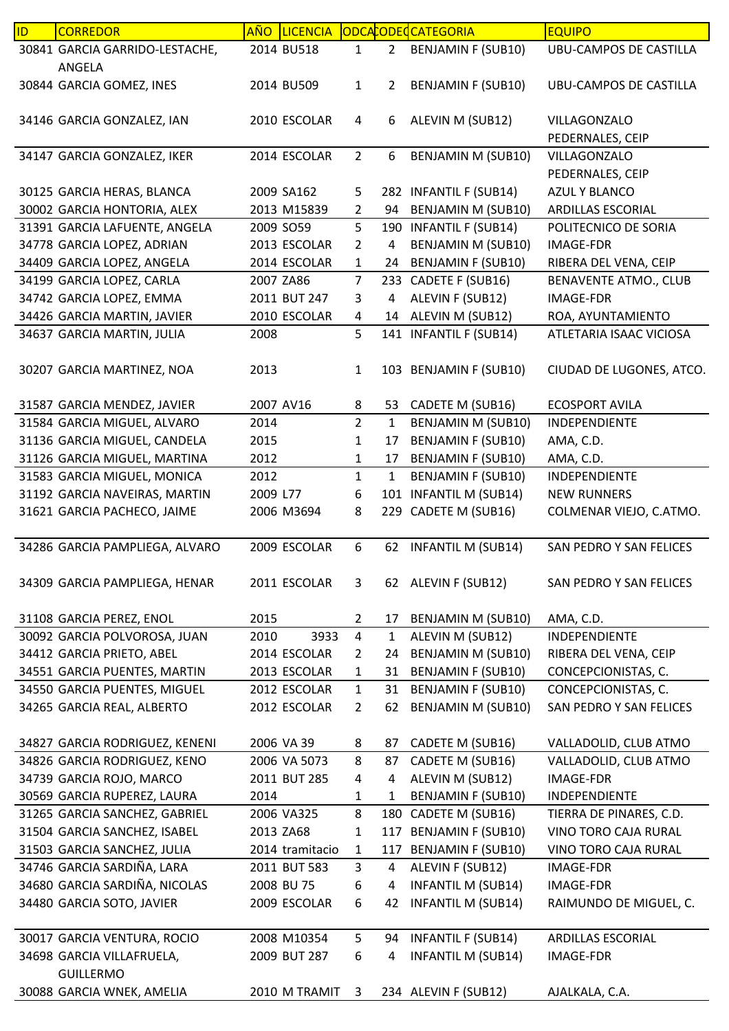| 30841 GARCIA GARRIDO-LESTACHE,<br>2014 BU518<br>$\overline{2}$<br><b>BENJAMIN F (SUB10)</b><br><b>UBU-CAMPOS DE CASTILLA</b><br>1<br>ANGELA<br>30844 GARCIA GOMEZ, INES<br><b>BENJAMIN F (SUB10)</b><br>2014 BU509<br>$\mathbf{1}$<br>2<br><b>UBU-CAMPOS DE CASTILLA</b><br>2010 ESCOLAR<br>ALEVIN M (SUB12)<br>34146 GARCIA GONZALEZ, IAN<br>4<br>6<br>VILLAGONZALO<br>PEDERNALES, CEIP<br>$\overline{2}$<br>34147 GARCIA GONZALEZ, IKER<br>2014 ESCOLAR<br>6<br><b>BENJAMIN M (SUB10)</b><br>VILLAGONZALO<br>PEDERNALES, CEIP<br>282 INFANTIL F (SUB14)<br>AZUL Y BLANCO<br>30125 GARCIA HERAS, BLANCA<br>2009 SA162<br>5<br>30002 GARCIA HONTORIA, ALEX<br><b>BENJAMIN M (SUB10)</b><br>2013 M15839<br>2<br>94<br>ARDILLAS ESCORIAL<br>31391 GARCIA LAFUENTE, ANGELA<br>2009 SO59<br>5<br>190 INFANTIL F (SUB14)<br>POLITECNICO DE SORIA<br>BENJAMIN M (SUB10)<br>34778 GARCIA LOPEZ, ADRIAN<br>2013 ESCOLAR<br>$\overline{2}$<br>4<br><b>IMAGE-FDR</b><br>34409 GARCIA LOPEZ, ANGELA<br>2014 ESCOLAR<br><b>BENJAMIN F (SUB10)</b><br>24<br>RIBERA DEL VENA, CEIP<br>$\mathbf{1}$<br>34199 GARCIA LOPEZ, CARLA<br>2007 ZA86<br>$\overline{7}$<br>233 CADETE F (SUB16)<br><b>BENAVENTE ATMO., CLUB</b><br>ALEVIN F (SUB12)<br>34742 GARCIA LOPEZ, EMMA<br>2011 BUT 247<br>3<br>4<br><b>IMAGE-FDR</b><br>34426 GARCIA MARTIN, JAVIER<br>2010 ESCOLAR<br>ALEVIN M (SUB12)<br>ROA, AYUNTAMIENTO<br>4<br>14<br>5<br>34637 GARCIA MARTIN, JULIA<br>2008<br>141 INFANTIL F (SUB14)<br>ATLETARIA ISAAC VICIOSA<br>2013<br>103 BENJAMIN F (SUB10)<br>30207 GARCIA MARTINEZ, NOA<br>$\mathbf{1}$<br>CIUDAD DE LUGONES, ATCO.<br>31587 GARCIA MENDEZ, JAVIER<br>2007 AV16<br><b>ECOSPORT AVILA</b><br>CADETE M (SUB16)<br>8<br>53<br>$\overline{2}$<br>2014<br>$\mathbf{1}$<br><b>BENJAMIN M (SUB10)</b><br>31584 GARCIA MIGUEL, ALVARO<br>INDEPENDIENTE<br><b>BENJAMIN F (SUB10)</b><br>31136 GARCIA MIGUEL, CANDELA<br>2015<br>1<br>17<br>AMA, C.D.<br>31126 GARCIA MIGUEL, MARTINA<br>2012<br><b>BENJAMIN F (SUB10)</b><br>AMA, C.D.<br>1<br>17<br>31583 GARCIA MIGUEL, MONICA<br>2012<br>$\mathbf{1}$<br>$\mathbf{1}$<br><b>BENJAMIN F (SUB10)</b><br>INDEPENDIENTE<br><b>INFANTIL M (SUB14)</b><br>31192 GARCIA NAVEIRAS, MARTIN<br>2009 L77<br>6<br><b>NEW RUNNERS</b><br>101<br>CADETE M (SUB16)<br>31621 GARCIA PACHECO, JAIME<br>2006 M3694<br>8<br>COLMENAR VIEJO, C.ATMO.<br>229<br>6<br>34286 GARCIA PAMPLIEGA, ALVARO<br>2009 ESCOLAR<br><b>INFANTIL M (SUB14)</b><br>SAN PEDRO Y SAN FELICES<br>62<br>2011 ESCOLAR<br>62 ALEVIN F (SUB12)<br>34309 GARCIA PAMPLIEGA, HENAR<br>3<br>SAN PEDRO Y SAN FELICES<br>2015<br>31108 GARCIA PEREZ, ENOL<br>BENJAMIN M (SUB10)<br>$\overline{2}$<br>17<br>AMA, C.D.<br>3933<br>4<br>30092 GARCIA POLVOROSA, JUAN<br>2010<br>ALEVIN M (SUB12)<br>$\mathbf{1}$<br><b>INDEPENDIENTE</b><br>34412 GARCIA PRIETO, ABEL<br>2014 ESCOLAR<br><b>BENJAMIN M (SUB10)</b><br>24<br>$\overline{2}$<br>RIBERA DEL VENA, CEIP<br>34551 GARCIA PUENTES, MARTIN<br>2013 ESCOLAR<br>31<br><b>BENJAMIN F (SUB10)</b><br>CONCEPCIONISTAS, C.<br>$\mathbf{1}$<br>34550 GARCIA PUENTES, MIGUEL<br>2012 ESCOLAR<br><b>BENJAMIN F (SUB10)</b><br>CONCEPCIONISTAS, C.<br>$\mathbf{1}$<br>31<br>34265 GARCIA REAL, ALBERTO<br>2012 ESCOLAR<br>$\overline{2}$<br>62<br><b>BENJAMIN M (SUB10)</b><br>SAN PEDRO Y SAN FELICES<br>34827 GARCIA RODRIGUEZ, KENENI<br>2006 VA 39<br>CADETE M (SUB16)<br>VALLADOLID, CLUB ATMO<br>8<br>87<br>8<br>CADETE M (SUB16)<br>34826 GARCIA RODRIGUEZ, KENO<br>2006 VA 5073<br>87<br>VALLADOLID, CLUB ATMO<br>34739 GARCIA ROJO, MARCO<br>2011 BUT 285<br>ALEVIN M (SUB12)<br>IMAGE-FDR<br>4<br>4<br>30569 GARCIA RUPEREZ, LAURA<br>2014<br>$\mathbf{1}$<br><b>BENJAMIN F (SUB10)</b><br>INDEPENDIENTE<br>1<br>8<br>31265 GARCIA SANCHEZ, GABRIEL<br>2006 VA325<br>180<br>CADETE M (SUB16)<br>TIERRA DE PINARES, C.D.<br><b>BENJAMIN F (SUB10)</b><br>31504 GARCIA SANCHEZ, ISABEL<br>2013 ZA68<br>117<br>VINO TORO CAJA RURAL<br>$\mathbf{1}$<br>31503 GARCIA SANCHEZ, JULIA<br><b>BENJAMIN F (SUB10)</b><br>VINO TORO CAJA RURAL<br>2014 tramitacio<br>117<br>$\mathbf{1}$<br>34746 GARCIA SARDIÑA, LARA<br>3<br>ALEVIN F (SUB12)<br>2011 BUT 583<br>4<br>IMAGE-FDR<br>34680 GARCIA SARDIÑA, NICOLAS<br><b>INFANTIL M (SUB14)</b><br>2008 BU 75<br>6<br><b>IMAGE-FDR</b><br>4<br>34480 GARCIA SOTO, JAVIER<br><b>INFANTIL M (SUB14)</b><br>2009 ESCOLAR<br>RAIMUNDO DE MIGUEL, C.<br>6<br>42<br>2008 M10354<br><b>INFANTIL F (SUB14)</b><br>30017 GARCIA VENTURA, ROCIO<br>5<br>ARDILLAS ESCORIAL<br>94<br>34698 GARCIA VILLAFRUELA,<br>2009 BUT 287<br><b>INFANTIL M (SUB14)</b><br>6<br>4<br><b>IMAGE-FDR</b><br><b>GUILLERMO</b><br>30088 GARCIA WNEK, AMELIA<br>234 ALEVIN F (SUB12) | ID | <b>CORREDOR</b> | <b>LICENCIA</b><br><b>AÑO</b> |   | ODCACODECATEGORIA | <b>EQUIPO</b>  |
|-----------------------------------------------------------------------------------------------------------------------------------------------------------------------------------------------------------------------------------------------------------------------------------------------------------------------------------------------------------------------------------------------------------------------------------------------------------------------------------------------------------------------------------------------------------------------------------------------------------------------------------------------------------------------------------------------------------------------------------------------------------------------------------------------------------------------------------------------------------------------------------------------------------------------------------------------------------------------------------------------------------------------------------------------------------------------------------------------------------------------------------------------------------------------------------------------------------------------------------------------------------------------------------------------------------------------------------------------------------------------------------------------------------------------------------------------------------------------------------------------------------------------------------------------------------------------------------------------------------------------------------------------------------------------------------------------------------------------------------------------------------------------------------------------------------------------------------------------------------------------------------------------------------------------------------------------------------------------------------------------------------------------------------------------------------------------------------------------------------------------------------------------------------------------------------------------------------------------------------------------------------------------------------------------------------------------------------------------------------------------------------------------------------------------------------------------------------------------------------------------------------------------------------------------------------------------------------------------------------------------------------------------------------------------------------------------------------------------------------------------------------------------------------------------------------------------------------------------------------------------------------------------------------------------------------------------------------------------------------------------------------------------------------------------------------------------------------------------------------------------------------------------------------------------------------------------------------------------------------------------------------------------------------------------------------------------------------------------------------------------------------------------------------------------------------------------------------------------------------------------------------------------------------------------------------------------------------------------------------------------------------------------------------------------------------------------------------------------------------------------------------------------------------------------------------------------------------------------------------------------------------------------------------------------------------------------------------------------------------------------------------------------------------------------------------------------------------------------------------------------------------------------------------------------------------------------------------------------------------------------------------------------------------------------------------------------------------------------------------------------------------------------------------------------------------------------------------------------------------------------------------------------------------------------------------------------------------------------------------------------------------------------------------------------------------------------------------------------------------------------|----|-----------------|-------------------------------|---|-------------------|----------------|
|                                                                                                                                                                                                                                                                                                                                                                                                                                                                                                                                                                                                                                                                                                                                                                                                                                                                                                                                                                                                                                                                                                                                                                                                                                                                                                                                                                                                                                                                                                                                                                                                                                                                                                                                                                                                                                                                                                                                                                                                                                                                                                                                                                                                                                                                                                                                                                                                                                                                                                                                                                                                                                                                                                                                                                                                                                                                                                                                                                                                                                                                                                                                                                                                                                                                                                                                                                                                                                                                                                                                                                                                                                                                                                                                                                                                                                                                                                                                                                                                                                                                                                                                                                                                                                                                                                                                                                                                                                                                                                                                                                                                                                                                                                                                               |    |                 |                               |   |                   |                |
|                                                                                                                                                                                                                                                                                                                                                                                                                                                                                                                                                                                                                                                                                                                                                                                                                                                                                                                                                                                                                                                                                                                                                                                                                                                                                                                                                                                                                                                                                                                                                                                                                                                                                                                                                                                                                                                                                                                                                                                                                                                                                                                                                                                                                                                                                                                                                                                                                                                                                                                                                                                                                                                                                                                                                                                                                                                                                                                                                                                                                                                                                                                                                                                                                                                                                                                                                                                                                                                                                                                                                                                                                                                                                                                                                                                                                                                                                                                                                                                                                                                                                                                                                                                                                                                                                                                                                                                                                                                                                                                                                                                                                                                                                                                                               |    |                 |                               |   |                   |                |
|                                                                                                                                                                                                                                                                                                                                                                                                                                                                                                                                                                                                                                                                                                                                                                                                                                                                                                                                                                                                                                                                                                                                                                                                                                                                                                                                                                                                                                                                                                                                                                                                                                                                                                                                                                                                                                                                                                                                                                                                                                                                                                                                                                                                                                                                                                                                                                                                                                                                                                                                                                                                                                                                                                                                                                                                                                                                                                                                                                                                                                                                                                                                                                                                                                                                                                                                                                                                                                                                                                                                                                                                                                                                                                                                                                                                                                                                                                                                                                                                                                                                                                                                                                                                                                                                                                                                                                                                                                                                                                                                                                                                                                                                                                                                               |    |                 |                               |   |                   |                |
|                                                                                                                                                                                                                                                                                                                                                                                                                                                                                                                                                                                                                                                                                                                                                                                                                                                                                                                                                                                                                                                                                                                                                                                                                                                                                                                                                                                                                                                                                                                                                                                                                                                                                                                                                                                                                                                                                                                                                                                                                                                                                                                                                                                                                                                                                                                                                                                                                                                                                                                                                                                                                                                                                                                                                                                                                                                                                                                                                                                                                                                                                                                                                                                                                                                                                                                                                                                                                                                                                                                                                                                                                                                                                                                                                                                                                                                                                                                                                                                                                                                                                                                                                                                                                                                                                                                                                                                                                                                                                                                                                                                                                                                                                                                                               |    |                 |                               |   |                   |                |
|                                                                                                                                                                                                                                                                                                                                                                                                                                                                                                                                                                                                                                                                                                                                                                                                                                                                                                                                                                                                                                                                                                                                                                                                                                                                                                                                                                                                                                                                                                                                                                                                                                                                                                                                                                                                                                                                                                                                                                                                                                                                                                                                                                                                                                                                                                                                                                                                                                                                                                                                                                                                                                                                                                                                                                                                                                                                                                                                                                                                                                                                                                                                                                                                                                                                                                                                                                                                                                                                                                                                                                                                                                                                                                                                                                                                                                                                                                                                                                                                                                                                                                                                                                                                                                                                                                                                                                                                                                                                                                                                                                                                                                                                                                                                               |    |                 |                               |   |                   |                |
|                                                                                                                                                                                                                                                                                                                                                                                                                                                                                                                                                                                                                                                                                                                                                                                                                                                                                                                                                                                                                                                                                                                                                                                                                                                                                                                                                                                                                                                                                                                                                                                                                                                                                                                                                                                                                                                                                                                                                                                                                                                                                                                                                                                                                                                                                                                                                                                                                                                                                                                                                                                                                                                                                                                                                                                                                                                                                                                                                                                                                                                                                                                                                                                                                                                                                                                                                                                                                                                                                                                                                                                                                                                                                                                                                                                                                                                                                                                                                                                                                                                                                                                                                                                                                                                                                                                                                                                                                                                                                                                                                                                                                                                                                                                                               |    |                 |                               |   |                   |                |
|                                                                                                                                                                                                                                                                                                                                                                                                                                                                                                                                                                                                                                                                                                                                                                                                                                                                                                                                                                                                                                                                                                                                                                                                                                                                                                                                                                                                                                                                                                                                                                                                                                                                                                                                                                                                                                                                                                                                                                                                                                                                                                                                                                                                                                                                                                                                                                                                                                                                                                                                                                                                                                                                                                                                                                                                                                                                                                                                                                                                                                                                                                                                                                                                                                                                                                                                                                                                                                                                                                                                                                                                                                                                                                                                                                                                                                                                                                                                                                                                                                                                                                                                                                                                                                                                                                                                                                                                                                                                                                                                                                                                                                                                                                                                               |    |                 |                               |   |                   |                |
|                                                                                                                                                                                                                                                                                                                                                                                                                                                                                                                                                                                                                                                                                                                                                                                                                                                                                                                                                                                                                                                                                                                                                                                                                                                                                                                                                                                                                                                                                                                                                                                                                                                                                                                                                                                                                                                                                                                                                                                                                                                                                                                                                                                                                                                                                                                                                                                                                                                                                                                                                                                                                                                                                                                                                                                                                                                                                                                                                                                                                                                                                                                                                                                                                                                                                                                                                                                                                                                                                                                                                                                                                                                                                                                                                                                                                                                                                                                                                                                                                                                                                                                                                                                                                                                                                                                                                                                                                                                                                                                                                                                                                                                                                                                                               |    |                 |                               |   |                   |                |
|                                                                                                                                                                                                                                                                                                                                                                                                                                                                                                                                                                                                                                                                                                                                                                                                                                                                                                                                                                                                                                                                                                                                                                                                                                                                                                                                                                                                                                                                                                                                                                                                                                                                                                                                                                                                                                                                                                                                                                                                                                                                                                                                                                                                                                                                                                                                                                                                                                                                                                                                                                                                                                                                                                                                                                                                                                                                                                                                                                                                                                                                                                                                                                                                                                                                                                                                                                                                                                                                                                                                                                                                                                                                                                                                                                                                                                                                                                                                                                                                                                                                                                                                                                                                                                                                                                                                                                                                                                                                                                                                                                                                                                                                                                                                               |    |                 |                               |   |                   |                |
|                                                                                                                                                                                                                                                                                                                                                                                                                                                                                                                                                                                                                                                                                                                                                                                                                                                                                                                                                                                                                                                                                                                                                                                                                                                                                                                                                                                                                                                                                                                                                                                                                                                                                                                                                                                                                                                                                                                                                                                                                                                                                                                                                                                                                                                                                                                                                                                                                                                                                                                                                                                                                                                                                                                                                                                                                                                                                                                                                                                                                                                                                                                                                                                                                                                                                                                                                                                                                                                                                                                                                                                                                                                                                                                                                                                                                                                                                                                                                                                                                                                                                                                                                                                                                                                                                                                                                                                                                                                                                                                                                                                                                                                                                                                                               |    |                 |                               |   |                   |                |
|                                                                                                                                                                                                                                                                                                                                                                                                                                                                                                                                                                                                                                                                                                                                                                                                                                                                                                                                                                                                                                                                                                                                                                                                                                                                                                                                                                                                                                                                                                                                                                                                                                                                                                                                                                                                                                                                                                                                                                                                                                                                                                                                                                                                                                                                                                                                                                                                                                                                                                                                                                                                                                                                                                                                                                                                                                                                                                                                                                                                                                                                                                                                                                                                                                                                                                                                                                                                                                                                                                                                                                                                                                                                                                                                                                                                                                                                                                                                                                                                                                                                                                                                                                                                                                                                                                                                                                                                                                                                                                                                                                                                                                                                                                                                               |    |                 |                               |   |                   |                |
|                                                                                                                                                                                                                                                                                                                                                                                                                                                                                                                                                                                                                                                                                                                                                                                                                                                                                                                                                                                                                                                                                                                                                                                                                                                                                                                                                                                                                                                                                                                                                                                                                                                                                                                                                                                                                                                                                                                                                                                                                                                                                                                                                                                                                                                                                                                                                                                                                                                                                                                                                                                                                                                                                                                                                                                                                                                                                                                                                                                                                                                                                                                                                                                                                                                                                                                                                                                                                                                                                                                                                                                                                                                                                                                                                                                                                                                                                                                                                                                                                                                                                                                                                                                                                                                                                                                                                                                                                                                                                                                                                                                                                                                                                                                                               |    |                 |                               |   |                   |                |
|                                                                                                                                                                                                                                                                                                                                                                                                                                                                                                                                                                                                                                                                                                                                                                                                                                                                                                                                                                                                                                                                                                                                                                                                                                                                                                                                                                                                                                                                                                                                                                                                                                                                                                                                                                                                                                                                                                                                                                                                                                                                                                                                                                                                                                                                                                                                                                                                                                                                                                                                                                                                                                                                                                                                                                                                                                                                                                                                                                                                                                                                                                                                                                                                                                                                                                                                                                                                                                                                                                                                                                                                                                                                                                                                                                                                                                                                                                                                                                                                                                                                                                                                                                                                                                                                                                                                                                                                                                                                                                                                                                                                                                                                                                                                               |    |                 |                               |   |                   |                |
|                                                                                                                                                                                                                                                                                                                                                                                                                                                                                                                                                                                                                                                                                                                                                                                                                                                                                                                                                                                                                                                                                                                                                                                                                                                                                                                                                                                                                                                                                                                                                                                                                                                                                                                                                                                                                                                                                                                                                                                                                                                                                                                                                                                                                                                                                                                                                                                                                                                                                                                                                                                                                                                                                                                                                                                                                                                                                                                                                                                                                                                                                                                                                                                                                                                                                                                                                                                                                                                                                                                                                                                                                                                                                                                                                                                                                                                                                                                                                                                                                                                                                                                                                                                                                                                                                                                                                                                                                                                                                                                                                                                                                                                                                                                                               |    |                 |                               |   |                   |                |
|                                                                                                                                                                                                                                                                                                                                                                                                                                                                                                                                                                                                                                                                                                                                                                                                                                                                                                                                                                                                                                                                                                                                                                                                                                                                                                                                                                                                                                                                                                                                                                                                                                                                                                                                                                                                                                                                                                                                                                                                                                                                                                                                                                                                                                                                                                                                                                                                                                                                                                                                                                                                                                                                                                                                                                                                                                                                                                                                                                                                                                                                                                                                                                                                                                                                                                                                                                                                                                                                                                                                                                                                                                                                                                                                                                                                                                                                                                                                                                                                                                                                                                                                                                                                                                                                                                                                                                                                                                                                                                                                                                                                                                                                                                                                               |    |                 |                               |   |                   |                |
|                                                                                                                                                                                                                                                                                                                                                                                                                                                                                                                                                                                                                                                                                                                                                                                                                                                                                                                                                                                                                                                                                                                                                                                                                                                                                                                                                                                                                                                                                                                                                                                                                                                                                                                                                                                                                                                                                                                                                                                                                                                                                                                                                                                                                                                                                                                                                                                                                                                                                                                                                                                                                                                                                                                                                                                                                                                                                                                                                                                                                                                                                                                                                                                                                                                                                                                                                                                                                                                                                                                                                                                                                                                                                                                                                                                                                                                                                                                                                                                                                                                                                                                                                                                                                                                                                                                                                                                                                                                                                                                                                                                                                                                                                                                                               |    |                 |                               |   |                   |                |
|                                                                                                                                                                                                                                                                                                                                                                                                                                                                                                                                                                                                                                                                                                                                                                                                                                                                                                                                                                                                                                                                                                                                                                                                                                                                                                                                                                                                                                                                                                                                                                                                                                                                                                                                                                                                                                                                                                                                                                                                                                                                                                                                                                                                                                                                                                                                                                                                                                                                                                                                                                                                                                                                                                                                                                                                                                                                                                                                                                                                                                                                                                                                                                                                                                                                                                                                                                                                                                                                                                                                                                                                                                                                                                                                                                                                                                                                                                                                                                                                                                                                                                                                                                                                                                                                                                                                                                                                                                                                                                                                                                                                                                                                                                                                               |    |                 |                               |   |                   |                |
|                                                                                                                                                                                                                                                                                                                                                                                                                                                                                                                                                                                                                                                                                                                                                                                                                                                                                                                                                                                                                                                                                                                                                                                                                                                                                                                                                                                                                                                                                                                                                                                                                                                                                                                                                                                                                                                                                                                                                                                                                                                                                                                                                                                                                                                                                                                                                                                                                                                                                                                                                                                                                                                                                                                                                                                                                                                                                                                                                                                                                                                                                                                                                                                                                                                                                                                                                                                                                                                                                                                                                                                                                                                                                                                                                                                                                                                                                                                                                                                                                                                                                                                                                                                                                                                                                                                                                                                                                                                                                                                                                                                                                                                                                                                                               |    |                 |                               |   |                   |                |
|                                                                                                                                                                                                                                                                                                                                                                                                                                                                                                                                                                                                                                                                                                                                                                                                                                                                                                                                                                                                                                                                                                                                                                                                                                                                                                                                                                                                                                                                                                                                                                                                                                                                                                                                                                                                                                                                                                                                                                                                                                                                                                                                                                                                                                                                                                                                                                                                                                                                                                                                                                                                                                                                                                                                                                                                                                                                                                                                                                                                                                                                                                                                                                                                                                                                                                                                                                                                                                                                                                                                                                                                                                                                                                                                                                                                                                                                                                                                                                                                                                                                                                                                                                                                                                                                                                                                                                                                                                                                                                                                                                                                                                                                                                                                               |    |                 |                               |   |                   |                |
|                                                                                                                                                                                                                                                                                                                                                                                                                                                                                                                                                                                                                                                                                                                                                                                                                                                                                                                                                                                                                                                                                                                                                                                                                                                                                                                                                                                                                                                                                                                                                                                                                                                                                                                                                                                                                                                                                                                                                                                                                                                                                                                                                                                                                                                                                                                                                                                                                                                                                                                                                                                                                                                                                                                                                                                                                                                                                                                                                                                                                                                                                                                                                                                                                                                                                                                                                                                                                                                                                                                                                                                                                                                                                                                                                                                                                                                                                                                                                                                                                                                                                                                                                                                                                                                                                                                                                                                                                                                                                                                                                                                                                                                                                                                                               |    |                 |                               |   |                   |                |
|                                                                                                                                                                                                                                                                                                                                                                                                                                                                                                                                                                                                                                                                                                                                                                                                                                                                                                                                                                                                                                                                                                                                                                                                                                                                                                                                                                                                                                                                                                                                                                                                                                                                                                                                                                                                                                                                                                                                                                                                                                                                                                                                                                                                                                                                                                                                                                                                                                                                                                                                                                                                                                                                                                                                                                                                                                                                                                                                                                                                                                                                                                                                                                                                                                                                                                                                                                                                                                                                                                                                                                                                                                                                                                                                                                                                                                                                                                                                                                                                                                                                                                                                                                                                                                                                                                                                                                                                                                                                                                                                                                                                                                                                                                                                               |    |                 |                               |   |                   |                |
|                                                                                                                                                                                                                                                                                                                                                                                                                                                                                                                                                                                                                                                                                                                                                                                                                                                                                                                                                                                                                                                                                                                                                                                                                                                                                                                                                                                                                                                                                                                                                                                                                                                                                                                                                                                                                                                                                                                                                                                                                                                                                                                                                                                                                                                                                                                                                                                                                                                                                                                                                                                                                                                                                                                                                                                                                                                                                                                                                                                                                                                                                                                                                                                                                                                                                                                                                                                                                                                                                                                                                                                                                                                                                                                                                                                                                                                                                                                                                                                                                                                                                                                                                                                                                                                                                                                                                                                                                                                                                                                                                                                                                                                                                                                                               |    |                 |                               |   |                   |                |
|                                                                                                                                                                                                                                                                                                                                                                                                                                                                                                                                                                                                                                                                                                                                                                                                                                                                                                                                                                                                                                                                                                                                                                                                                                                                                                                                                                                                                                                                                                                                                                                                                                                                                                                                                                                                                                                                                                                                                                                                                                                                                                                                                                                                                                                                                                                                                                                                                                                                                                                                                                                                                                                                                                                                                                                                                                                                                                                                                                                                                                                                                                                                                                                                                                                                                                                                                                                                                                                                                                                                                                                                                                                                                                                                                                                                                                                                                                                                                                                                                                                                                                                                                                                                                                                                                                                                                                                                                                                                                                                                                                                                                                                                                                                                               |    |                 |                               |   |                   |                |
|                                                                                                                                                                                                                                                                                                                                                                                                                                                                                                                                                                                                                                                                                                                                                                                                                                                                                                                                                                                                                                                                                                                                                                                                                                                                                                                                                                                                                                                                                                                                                                                                                                                                                                                                                                                                                                                                                                                                                                                                                                                                                                                                                                                                                                                                                                                                                                                                                                                                                                                                                                                                                                                                                                                                                                                                                                                                                                                                                                                                                                                                                                                                                                                                                                                                                                                                                                                                                                                                                                                                                                                                                                                                                                                                                                                                                                                                                                                                                                                                                                                                                                                                                                                                                                                                                                                                                                                                                                                                                                                                                                                                                                                                                                                                               |    |                 |                               |   |                   |                |
|                                                                                                                                                                                                                                                                                                                                                                                                                                                                                                                                                                                                                                                                                                                                                                                                                                                                                                                                                                                                                                                                                                                                                                                                                                                                                                                                                                                                                                                                                                                                                                                                                                                                                                                                                                                                                                                                                                                                                                                                                                                                                                                                                                                                                                                                                                                                                                                                                                                                                                                                                                                                                                                                                                                                                                                                                                                                                                                                                                                                                                                                                                                                                                                                                                                                                                                                                                                                                                                                                                                                                                                                                                                                                                                                                                                                                                                                                                                                                                                                                                                                                                                                                                                                                                                                                                                                                                                                                                                                                                                                                                                                                                                                                                                                               |    |                 |                               |   |                   |                |
|                                                                                                                                                                                                                                                                                                                                                                                                                                                                                                                                                                                                                                                                                                                                                                                                                                                                                                                                                                                                                                                                                                                                                                                                                                                                                                                                                                                                                                                                                                                                                                                                                                                                                                                                                                                                                                                                                                                                                                                                                                                                                                                                                                                                                                                                                                                                                                                                                                                                                                                                                                                                                                                                                                                                                                                                                                                                                                                                                                                                                                                                                                                                                                                                                                                                                                                                                                                                                                                                                                                                                                                                                                                                                                                                                                                                                                                                                                                                                                                                                                                                                                                                                                                                                                                                                                                                                                                                                                                                                                                                                                                                                                                                                                                                               |    |                 |                               |   |                   |                |
|                                                                                                                                                                                                                                                                                                                                                                                                                                                                                                                                                                                                                                                                                                                                                                                                                                                                                                                                                                                                                                                                                                                                                                                                                                                                                                                                                                                                                                                                                                                                                                                                                                                                                                                                                                                                                                                                                                                                                                                                                                                                                                                                                                                                                                                                                                                                                                                                                                                                                                                                                                                                                                                                                                                                                                                                                                                                                                                                                                                                                                                                                                                                                                                                                                                                                                                                                                                                                                                                                                                                                                                                                                                                                                                                                                                                                                                                                                                                                                                                                                                                                                                                                                                                                                                                                                                                                                                                                                                                                                                                                                                                                                                                                                                                               |    |                 |                               |   |                   |                |
|                                                                                                                                                                                                                                                                                                                                                                                                                                                                                                                                                                                                                                                                                                                                                                                                                                                                                                                                                                                                                                                                                                                                                                                                                                                                                                                                                                                                                                                                                                                                                                                                                                                                                                                                                                                                                                                                                                                                                                                                                                                                                                                                                                                                                                                                                                                                                                                                                                                                                                                                                                                                                                                                                                                                                                                                                                                                                                                                                                                                                                                                                                                                                                                                                                                                                                                                                                                                                                                                                                                                                                                                                                                                                                                                                                                                                                                                                                                                                                                                                                                                                                                                                                                                                                                                                                                                                                                                                                                                                                                                                                                                                                                                                                                                               |    |                 |                               |   |                   |                |
|                                                                                                                                                                                                                                                                                                                                                                                                                                                                                                                                                                                                                                                                                                                                                                                                                                                                                                                                                                                                                                                                                                                                                                                                                                                                                                                                                                                                                                                                                                                                                                                                                                                                                                                                                                                                                                                                                                                                                                                                                                                                                                                                                                                                                                                                                                                                                                                                                                                                                                                                                                                                                                                                                                                                                                                                                                                                                                                                                                                                                                                                                                                                                                                                                                                                                                                                                                                                                                                                                                                                                                                                                                                                                                                                                                                                                                                                                                                                                                                                                                                                                                                                                                                                                                                                                                                                                                                                                                                                                                                                                                                                                                                                                                                                               |    |                 |                               |   |                   |                |
|                                                                                                                                                                                                                                                                                                                                                                                                                                                                                                                                                                                                                                                                                                                                                                                                                                                                                                                                                                                                                                                                                                                                                                                                                                                                                                                                                                                                                                                                                                                                                                                                                                                                                                                                                                                                                                                                                                                                                                                                                                                                                                                                                                                                                                                                                                                                                                                                                                                                                                                                                                                                                                                                                                                                                                                                                                                                                                                                                                                                                                                                                                                                                                                                                                                                                                                                                                                                                                                                                                                                                                                                                                                                                                                                                                                                                                                                                                                                                                                                                                                                                                                                                                                                                                                                                                                                                                                                                                                                                                                                                                                                                                                                                                                                               |    |                 |                               |   |                   |                |
|                                                                                                                                                                                                                                                                                                                                                                                                                                                                                                                                                                                                                                                                                                                                                                                                                                                                                                                                                                                                                                                                                                                                                                                                                                                                                                                                                                                                                                                                                                                                                                                                                                                                                                                                                                                                                                                                                                                                                                                                                                                                                                                                                                                                                                                                                                                                                                                                                                                                                                                                                                                                                                                                                                                                                                                                                                                                                                                                                                                                                                                                                                                                                                                                                                                                                                                                                                                                                                                                                                                                                                                                                                                                                                                                                                                                                                                                                                                                                                                                                                                                                                                                                                                                                                                                                                                                                                                                                                                                                                                                                                                                                                                                                                                                               |    |                 |                               |   |                   |                |
|                                                                                                                                                                                                                                                                                                                                                                                                                                                                                                                                                                                                                                                                                                                                                                                                                                                                                                                                                                                                                                                                                                                                                                                                                                                                                                                                                                                                                                                                                                                                                                                                                                                                                                                                                                                                                                                                                                                                                                                                                                                                                                                                                                                                                                                                                                                                                                                                                                                                                                                                                                                                                                                                                                                                                                                                                                                                                                                                                                                                                                                                                                                                                                                                                                                                                                                                                                                                                                                                                                                                                                                                                                                                                                                                                                                                                                                                                                                                                                                                                                                                                                                                                                                                                                                                                                                                                                                                                                                                                                                                                                                                                                                                                                                                               |    |                 |                               |   |                   |                |
|                                                                                                                                                                                                                                                                                                                                                                                                                                                                                                                                                                                                                                                                                                                                                                                                                                                                                                                                                                                                                                                                                                                                                                                                                                                                                                                                                                                                                                                                                                                                                                                                                                                                                                                                                                                                                                                                                                                                                                                                                                                                                                                                                                                                                                                                                                                                                                                                                                                                                                                                                                                                                                                                                                                                                                                                                                                                                                                                                                                                                                                                                                                                                                                                                                                                                                                                                                                                                                                                                                                                                                                                                                                                                                                                                                                                                                                                                                                                                                                                                                                                                                                                                                                                                                                                                                                                                                                                                                                                                                                                                                                                                                                                                                                                               |    |                 |                               |   |                   |                |
|                                                                                                                                                                                                                                                                                                                                                                                                                                                                                                                                                                                                                                                                                                                                                                                                                                                                                                                                                                                                                                                                                                                                                                                                                                                                                                                                                                                                                                                                                                                                                                                                                                                                                                                                                                                                                                                                                                                                                                                                                                                                                                                                                                                                                                                                                                                                                                                                                                                                                                                                                                                                                                                                                                                                                                                                                                                                                                                                                                                                                                                                                                                                                                                                                                                                                                                                                                                                                                                                                                                                                                                                                                                                                                                                                                                                                                                                                                                                                                                                                                                                                                                                                                                                                                                                                                                                                                                                                                                                                                                                                                                                                                                                                                                                               |    |                 |                               |   |                   |                |
|                                                                                                                                                                                                                                                                                                                                                                                                                                                                                                                                                                                                                                                                                                                                                                                                                                                                                                                                                                                                                                                                                                                                                                                                                                                                                                                                                                                                                                                                                                                                                                                                                                                                                                                                                                                                                                                                                                                                                                                                                                                                                                                                                                                                                                                                                                                                                                                                                                                                                                                                                                                                                                                                                                                                                                                                                                                                                                                                                                                                                                                                                                                                                                                                                                                                                                                                                                                                                                                                                                                                                                                                                                                                                                                                                                                                                                                                                                                                                                                                                                                                                                                                                                                                                                                                                                                                                                                                                                                                                                                                                                                                                                                                                                                                               |    |                 |                               |   |                   |                |
|                                                                                                                                                                                                                                                                                                                                                                                                                                                                                                                                                                                                                                                                                                                                                                                                                                                                                                                                                                                                                                                                                                                                                                                                                                                                                                                                                                                                                                                                                                                                                                                                                                                                                                                                                                                                                                                                                                                                                                                                                                                                                                                                                                                                                                                                                                                                                                                                                                                                                                                                                                                                                                                                                                                                                                                                                                                                                                                                                                                                                                                                                                                                                                                                                                                                                                                                                                                                                                                                                                                                                                                                                                                                                                                                                                                                                                                                                                                                                                                                                                                                                                                                                                                                                                                                                                                                                                                                                                                                                                                                                                                                                                                                                                                                               |    |                 |                               |   |                   |                |
|                                                                                                                                                                                                                                                                                                                                                                                                                                                                                                                                                                                                                                                                                                                                                                                                                                                                                                                                                                                                                                                                                                                                                                                                                                                                                                                                                                                                                                                                                                                                                                                                                                                                                                                                                                                                                                                                                                                                                                                                                                                                                                                                                                                                                                                                                                                                                                                                                                                                                                                                                                                                                                                                                                                                                                                                                                                                                                                                                                                                                                                                                                                                                                                                                                                                                                                                                                                                                                                                                                                                                                                                                                                                                                                                                                                                                                                                                                                                                                                                                                                                                                                                                                                                                                                                                                                                                                                                                                                                                                                                                                                                                                                                                                                                               |    |                 |                               |   |                   |                |
|                                                                                                                                                                                                                                                                                                                                                                                                                                                                                                                                                                                                                                                                                                                                                                                                                                                                                                                                                                                                                                                                                                                                                                                                                                                                                                                                                                                                                                                                                                                                                                                                                                                                                                                                                                                                                                                                                                                                                                                                                                                                                                                                                                                                                                                                                                                                                                                                                                                                                                                                                                                                                                                                                                                                                                                                                                                                                                                                                                                                                                                                                                                                                                                                                                                                                                                                                                                                                                                                                                                                                                                                                                                                                                                                                                                                                                                                                                                                                                                                                                                                                                                                                                                                                                                                                                                                                                                                                                                                                                                                                                                                                                                                                                                                               |    |                 |                               |   |                   |                |
|                                                                                                                                                                                                                                                                                                                                                                                                                                                                                                                                                                                                                                                                                                                                                                                                                                                                                                                                                                                                                                                                                                                                                                                                                                                                                                                                                                                                                                                                                                                                                                                                                                                                                                                                                                                                                                                                                                                                                                                                                                                                                                                                                                                                                                                                                                                                                                                                                                                                                                                                                                                                                                                                                                                                                                                                                                                                                                                                                                                                                                                                                                                                                                                                                                                                                                                                                                                                                                                                                                                                                                                                                                                                                                                                                                                                                                                                                                                                                                                                                                                                                                                                                                                                                                                                                                                                                                                                                                                                                                                                                                                                                                                                                                                                               |    |                 |                               |   |                   |                |
|                                                                                                                                                                                                                                                                                                                                                                                                                                                                                                                                                                                                                                                                                                                                                                                                                                                                                                                                                                                                                                                                                                                                                                                                                                                                                                                                                                                                                                                                                                                                                                                                                                                                                                                                                                                                                                                                                                                                                                                                                                                                                                                                                                                                                                                                                                                                                                                                                                                                                                                                                                                                                                                                                                                                                                                                                                                                                                                                                                                                                                                                                                                                                                                                                                                                                                                                                                                                                                                                                                                                                                                                                                                                                                                                                                                                                                                                                                                                                                                                                                                                                                                                                                                                                                                                                                                                                                                                                                                                                                                                                                                                                                                                                                                                               |    |                 |                               |   |                   |                |
|                                                                                                                                                                                                                                                                                                                                                                                                                                                                                                                                                                                                                                                                                                                                                                                                                                                                                                                                                                                                                                                                                                                                                                                                                                                                                                                                                                                                                                                                                                                                                                                                                                                                                                                                                                                                                                                                                                                                                                                                                                                                                                                                                                                                                                                                                                                                                                                                                                                                                                                                                                                                                                                                                                                                                                                                                                                                                                                                                                                                                                                                                                                                                                                                                                                                                                                                                                                                                                                                                                                                                                                                                                                                                                                                                                                                                                                                                                                                                                                                                                                                                                                                                                                                                                                                                                                                                                                                                                                                                                                                                                                                                                                                                                                                               |    |                 |                               |   |                   |                |
|                                                                                                                                                                                                                                                                                                                                                                                                                                                                                                                                                                                                                                                                                                                                                                                                                                                                                                                                                                                                                                                                                                                                                                                                                                                                                                                                                                                                                                                                                                                                                                                                                                                                                                                                                                                                                                                                                                                                                                                                                                                                                                                                                                                                                                                                                                                                                                                                                                                                                                                                                                                                                                                                                                                                                                                                                                                                                                                                                                                                                                                                                                                                                                                                                                                                                                                                                                                                                                                                                                                                                                                                                                                                                                                                                                                                                                                                                                                                                                                                                                                                                                                                                                                                                                                                                                                                                                                                                                                                                                                                                                                                                                                                                                                                               |    |                 |                               |   |                   |                |
|                                                                                                                                                                                                                                                                                                                                                                                                                                                                                                                                                                                                                                                                                                                                                                                                                                                                                                                                                                                                                                                                                                                                                                                                                                                                                                                                                                                                                                                                                                                                                                                                                                                                                                                                                                                                                                                                                                                                                                                                                                                                                                                                                                                                                                                                                                                                                                                                                                                                                                                                                                                                                                                                                                                                                                                                                                                                                                                                                                                                                                                                                                                                                                                                                                                                                                                                                                                                                                                                                                                                                                                                                                                                                                                                                                                                                                                                                                                                                                                                                                                                                                                                                                                                                                                                                                                                                                                                                                                                                                                                                                                                                                                                                                                                               |    |                 |                               |   |                   |                |
|                                                                                                                                                                                                                                                                                                                                                                                                                                                                                                                                                                                                                                                                                                                                                                                                                                                                                                                                                                                                                                                                                                                                                                                                                                                                                                                                                                                                                                                                                                                                                                                                                                                                                                                                                                                                                                                                                                                                                                                                                                                                                                                                                                                                                                                                                                                                                                                                                                                                                                                                                                                                                                                                                                                                                                                                                                                                                                                                                                                                                                                                                                                                                                                                                                                                                                                                                                                                                                                                                                                                                                                                                                                                                                                                                                                                                                                                                                                                                                                                                                                                                                                                                                                                                                                                                                                                                                                                                                                                                                                                                                                                                                                                                                                                               |    |                 |                               |   |                   |                |
|                                                                                                                                                                                                                                                                                                                                                                                                                                                                                                                                                                                                                                                                                                                                                                                                                                                                                                                                                                                                                                                                                                                                                                                                                                                                                                                                                                                                                                                                                                                                                                                                                                                                                                                                                                                                                                                                                                                                                                                                                                                                                                                                                                                                                                                                                                                                                                                                                                                                                                                                                                                                                                                                                                                                                                                                                                                                                                                                                                                                                                                                                                                                                                                                                                                                                                                                                                                                                                                                                                                                                                                                                                                                                                                                                                                                                                                                                                                                                                                                                                                                                                                                                                                                                                                                                                                                                                                                                                                                                                                                                                                                                                                                                                                                               |    |                 |                               |   |                   |                |
|                                                                                                                                                                                                                                                                                                                                                                                                                                                                                                                                                                                                                                                                                                                                                                                                                                                                                                                                                                                                                                                                                                                                                                                                                                                                                                                                                                                                                                                                                                                                                                                                                                                                                                                                                                                                                                                                                                                                                                                                                                                                                                                                                                                                                                                                                                                                                                                                                                                                                                                                                                                                                                                                                                                                                                                                                                                                                                                                                                                                                                                                                                                                                                                                                                                                                                                                                                                                                                                                                                                                                                                                                                                                                                                                                                                                                                                                                                                                                                                                                                                                                                                                                                                                                                                                                                                                                                                                                                                                                                                                                                                                                                                                                                                                               |    |                 |                               |   |                   |                |
|                                                                                                                                                                                                                                                                                                                                                                                                                                                                                                                                                                                                                                                                                                                                                                                                                                                                                                                                                                                                                                                                                                                                                                                                                                                                                                                                                                                                                                                                                                                                                                                                                                                                                                                                                                                                                                                                                                                                                                                                                                                                                                                                                                                                                                                                                                                                                                                                                                                                                                                                                                                                                                                                                                                                                                                                                                                                                                                                                                                                                                                                                                                                                                                                                                                                                                                                                                                                                                                                                                                                                                                                                                                                                                                                                                                                                                                                                                                                                                                                                                                                                                                                                                                                                                                                                                                                                                                                                                                                                                                                                                                                                                                                                                                                               |    |                 |                               |   |                   |                |
|                                                                                                                                                                                                                                                                                                                                                                                                                                                                                                                                                                                                                                                                                                                                                                                                                                                                                                                                                                                                                                                                                                                                                                                                                                                                                                                                                                                                                                                                                                                                                                                                                                                                                                                                                                                                                                                                                                                                                                                                                                                                                                                                                                                                                                                                                                                                                                                                                                                                                                                                                                                                                                                                                                                                                                                                                                                                                                                                                                                                                                                                                                                                                                                                                                                                                                                                                                                                                                                                                                                                                                                                                                                                                                                                                                                                                                                                                                                                                                                                                                                                                                                                                                                                                                                                                                                                                                                                                                                                                                                                                                                                                                                                                                                                               |    |                 |                               |   |                   |                |
|                                                                                                                                                                                                                                                                                                                                                                                                                                                                                                                                                                                                                                                                                                                                                                                                                                                                                                                                                                                                                                                                                                                                                                                                                                                                                                                                                                                                                                                                                                                                                                                                                                                                                                                                                                                                                                                                                                                                                                                                                                                                                                                                                                                                                                                                                                                                                                                                                                                                                                                                                                                                                                                                                                                                                                                                                                                                                                                                                                                                                                                                                                                                                                                                                                                                                                                                                                                                                                                                                                                                                                                                                                                                                                                                                                                                                                                                                                                                                                                                                                                                                                                                                                                                                                                                                                                                                                                                                                                                                                                                                                                                                                                                                                                                               |    |                 |                               |   |                   |                |
|                                                                                                                                                                                                                                                                                                                                                                                                                                                                                                                                                                                                                                                                                                                                                                                                                                                                                                                                                                                                                                                                                                                                                                                                                                                                                                                                                                                                                                                                                                                                                                                                                                                                                                                                                                                                                                                                                                                                                                                                                                                                                                                                                                                                                                                                                                                                                                                                                                                                                                                                                                                                                                                                                                                                                                                                                                                                                                                                                                                                                                                                                                                                                                                                                                                                                                                                                                                                                                                                                                                                                                                                                                                                                                                                                                                                                                                                                                                                                                                                                                                                                                                                                                                                                                                                                                                                                                                                                                                                                                                                                                                                                                                                                                                                               |    |                 |                               |   |                   |                |
|                                                                                                                                                                                                                                                                                                                                                                                                                                                                                                                                                                                                                                                                                                                                                                                                                                                                                                                                                                                                                                                                                                                                                                                                                                                                                                                                                                                                                                                                                                                                                                                                                                                                                                                                                                                                                                                                                                                                                                                                                                                                                                                                                                                                                                                                                                                                                                                                                                                                                                                                                                                                                                                                                                                                                                                                                                                                                                                                                                                                                                                                                                                                                                                                                                                                                                                                                                                                                                                                                                                                                                                                                                                                                                                                                                                                                                                                                                                                                                                                                                                                                                                                                                                                                                                                                                                                                                                                                                                                                                                                                                                                                                                                                                                                               |    |                 |                               |   |                   |                |
|                                                                                                                                                                                                                                                                                                                                                                                                                                                                                                                                                                                                                                                                                                                                                                                                                                                                                                                                                                                                                                                                                                                                                                                                                                                                                                                                                                                                                                                                                                                                                                                                                                                                                                                                                                                                                                                                                                                                                                                                                                                                                                                                                                                                                                                                                                                                                                                                                                                                                                                                                                                                                                                                                                                                                                                                                                                                                                                                                                                                                                                                                                                                                                                                                                                                                                                                                                                                                                                                                                                                                                                                                                                                                                                                                                                                                                                                                                                                                                                                                                                                                                                                                                                                                                                                                                                                                                                                                                                                                                                                                                                                                                                                                                                                               |    |                 |                               |   |                   |                |
|                                                                                                                                                                                                                                                                                                                                                                                                                                                                                                                                                                                                                                                                                                                                                                                                                                                                                                                                                                                                                                                                                                                                                                                                                                                                                                                                                                                                                                                                                                                                                                                                                                                                                                                                                                                                                                                                                                                                                                                                                                                                                                                                                                                                                                                                                                                                                                                                                                                                                                                                                                                                                                                                                                                                                                                                                                                                                                                                                                                                                                                                                                                                                                                                                                                                                                                                                                                                                                                                                                                                                                                                                                                                                                                                                                                                                                                                                                                                                                                                                                                                                                                                                                                                                                                                                                                                                                                                                                                                                                                                                                                                                                                                                                                                               |    |                 |                               |   |                   |                |
|                                                                                                                                                                                                                                                                                                                                                                                                                                                                                                                                                                                                                                                                                                                                                                                                                                                                                                                                                                                                                                                                                                                                                                                                                                                                                                                                                                                                                                                                                                                                                                                                                                                                                                                                                                                                                                                                                                                                                                                                                                                                                                                                                                                                                                                                                                                                                                                                                                                                                                                                                                                                                                                                                                                                                                                                                                                                                                                                                                                                                                                                                                                                                                                                                                                                                                                                                                                                                                                                                                                                                                                                                                                                                                                                                                                                                                                                                                                                                                                                                                                                                                                                                                                                                                                                                                                                                                                                                                                                                                                                                                                                                                                                                                                                               |    |                 | 2010 M TRAMIT                 | 3 |                   | AJALKALA, C.A. |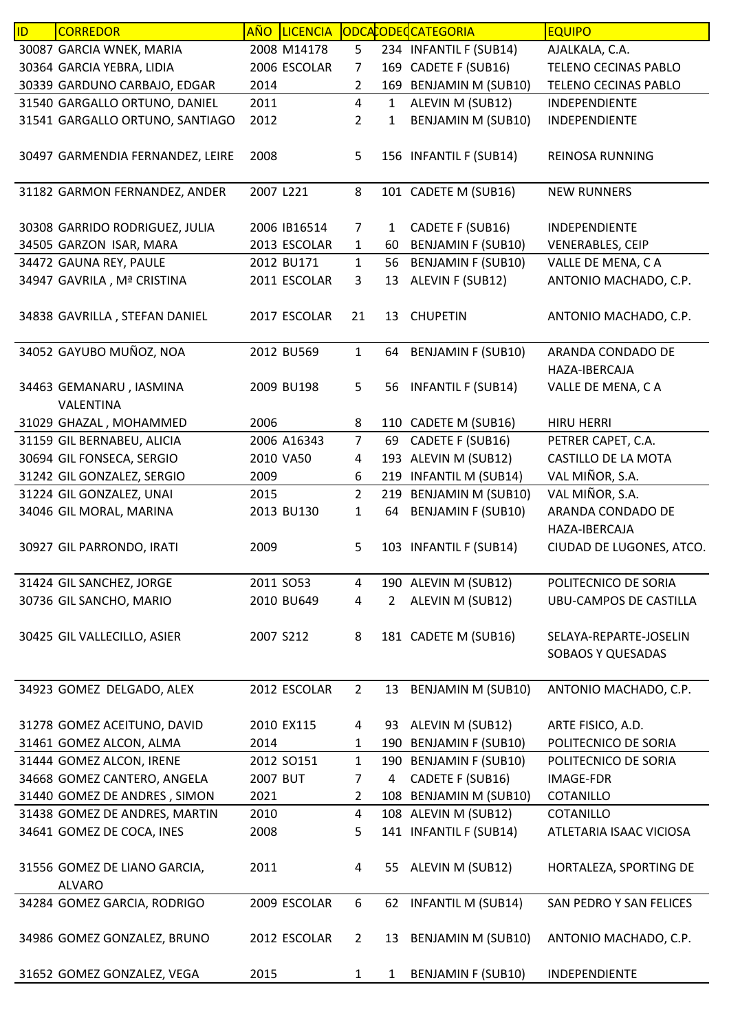| ID | <b>CORREDOR</b>                  | AÑO       | <b>LICENCIA</b> |                |                | ODCACODECCATEGORIA        | <b>EQUIPO</b>                 |
|----|----------------------------------|-----------|-----------------|----------------|----------------|---------------------------|-------------------------------|
|    | 30087 GARCIA WNEK, MARIA         |           | 2008 M14178     | 5              |                | 234 INFANTIL F (SUB14)    | AJALKALA, C.A.                |
|    | 30364 GARCIA YEBRA, LIDIA        |           | 2006 ESCOLAR    | $\overline{7}$ |                | 169 CADETE F (SUB16)      | TELENO CECINAS PABLO          |
|    | 30339 GARDUNO CARBAJO, EDGAR     | 2014      |                 | $\overline{2}$ |                | 169 BENJAMIN M (SUB10)    | TELENO CECINAS PABLO          |
|    | 31540 GARGALLO ORTUNO, DANIEL    | 2011      |                 | $\overline{4}$ | $\mathbf{1}$   | ALEVIN M (SUB12)          | INDEPENDIENTE                 |
|    | 31541 GARGALLO ORTUNO, SANTIAGO  | 2012      |                 | $\overline{2}$ | $\mathbf{1}$   | BENJAMIN M (SUB10)        | INDEPENDIENTE                 |
|    |                                  |           |                 |                |                |                           |                               |
|    | 30497 GARMENDIA FERNANDEZ, LEIRE | 2008      |                 | 5              |                | 156 INFANTIL F (SUB14)    | REINOSA RUNNING               |
|    | 31182 GARMON FERNANDEZ, ANDER    | 2007 L221 |                 | 8              |                | 101 CADETE M (SUB16)      | <b>NEW RUNNERS</b>            |
|    |                                  |           |                 |                |                |                           |                               |
|    | 30308 GARRIDO RODRIGUEZ, JULIA   |           | 2006 IB16514    | 7              | 1              | CADETE F (SUB16)          | INDEPENDIENTE                 |
|    | 34505 GARZON ISAR, MARA          |           | 2013 ESCOLAR    | 1              | 60             | <b>BENJAMIN F (SUB10)</b> | <b>VENERABLES, CEIP</b>       |
|    | 34472 GAUNA REY, PAULE           |           | 2012 BU171      | $\mathbf{1}$   | 56             | <b>BENJAMIN F (SUB10)</b> | VALLE DE MENA, CA             |
|    | 34947 GAVRILA, Mª CRISTINA       |           | 2011 ESCOLAR    | 3              | 13             | ALEVIN F (SUB12)          | ANTONIO MACHADO, C.P.         |
|    |                                  |           |                 |                |                |                           |                               |
|    | 34838 GAVRILLA, STEFAN DANIEL    |           | 2017 ESCOLAR    | 21             | 13             | <b>CHUPETIN</b>           | ANTONIO MACHADO, C.P.         |
|    | 34052 GAYUBO MUÑOZ, NOA          |           | 2012 BU569      | $\mathbf{1}$   | 64             | <b>BENJAMIN F (SUB10)</b> | ARANDA CONDADO DE             |
|    |                                  |           |                 |                |                |                           | HAZA-IBERCAJA                 |
|    | 34463 GEMANARU, IASMINA          |           | 2009 BU198      | 5              | 56             | <b>INFANTIL F (SUB14)</b> | VALLE DE MENA, CA             |
|    | VALENTINA                        |           |                 |                |                |                           |                               |
|    | 31029 GHAZAL, MOHAMMED           | 2006      |                 | 8              |                | 110 CADETE M (SUB16)      | <b>HIRU HERRI</b>             |
|    | 31159 GIL BERNABEU, ALICIA       |           | 2006 A16343     | $\overline{7}$ | 69             | CADETE F (SUB16)          | PETRER CAPET, C.A.            |
|    | 30694 GIL FONSECA, SERGIO        |           | 2010 VA50       | 4              |                | 193 ALEVIN M (SUB12)      | CASTILLO DE LA MOTA           |
|    | 31242 GIL GONZALEZ, SERGIO       | 2009      |                 | 6              |                | 219 INFANTIL M (SUB14)    | VAL MIÑOR, S.A.               |
|    | 31224 GIL GONZALEZ, UNAI         | 2015      |                 | $\overline{2}$ | 219            | <b>BENJAMIN M (SUB10)</b> | VAL MIÑOR, S.A.               |
|    | 34046 GIL MORAL, MARINA          |           | 2013 BU130      | $\mathbf{1}$   | 64             | <b>BENJAMIN F (SUB10)</b> | ARANDA CONDADO DE             |
|    |                                  |           |                 |                |                |                           | HAZA-IBERCAJA                 |
|    | 30927 GIL PARRONDO, IRATI        | 2009      |                 | 5              |                | 103 INFANTIL F (SUB14)    | CIUDAD DE LUGONES, ATCO.      |
|    |                                  |           |                 |                |                |                           |                               |
|    | 31424 GIL SANCHEZ, JORGE         |           | 2011 SO53       | 4              |                | 190 ALEVIN M (SUB12)      | POLITECNICO DE SORIA          |
|    | 30736 GIL SANCHO, MARIO          |           | 2010 BU649      | 4              | $2^{\circ}$    | ALEVIN M (SUB12)          | <b>UBU-CAMPOS DE CASTILLA</b> |
|    |                                  |           |                 |                |                |                           |                               |
|    | 30425 GIL VALLECILLO, ASIER      | 2007 S212 |                 | 8              |                | 181 CADETE M (SUB16)      | SELAYA-REPARTE-JOSELIN        |
|    |                                  |           |                 |                |                |                           | <b>SOBAOS Y QUESADAS</b>      |
|    |                                  |           |                 |                |                |                           |                               |
|    | 34923 GOMEZ DELGADO, ALEX        |           | 2012 ESCOLAR    | $\overline{2}$ |                | 13 BENJAMIN M (SUB10)     | ANTONIO MACHADO, C.P.         |
|    |                                  |           |                 |                |                |                           |                               |
|    | 31278 GOMEZ ACEITUNO, DAVID      |           | 2010 EX115      | 4              |                | 93 ALEVIN M (SUB12)       | ARTE FISICO, A.D.             |
|    | 31461 GOMEZ ALCON, ALMA          | 2014      |                 | 1              |                | 190 BENJAMIN F (SUB10)    | POLITECNICO DE SORIA          |
|    | 31444 GOMEZ ALCON, IRENE         |           | 2012 SO151      | $\mathbf{1}$   |                | 190 BENJAMIN F (SUB10)    | POLITECNICO DE SORIA          |
|    | 34668 GOMEZ CANTERO, ANGELA      | 2007 BUT  |                 | $\overline{7}$ | $\overline{4}$ | CADETE F (SUB16)          | IMAGE-FDR                     |
|    | 31440 GOMEZ DE ANDRES, SIMON     | 2021      |                 | $\overline{2}$ |                | 108 BENJAMIN M (SUB10)    | COTANILLO                     |
|    | 31438 GOMEZ DE ANDRES, MARTIN    | 2010      |                 | 4              |                | 108 ALEVIN M (SUB12)      | COTANILLO                     |
|    | 34641 GOMEZ DE COCA, INES        | 2008      |                 | 5              |                | 141 INFANTIL F (SUB14)    | ATLETARIA ISAAC VICIOSA       |
|    |                                  |           |                 |                |                |                           |                               |
|    | 31556 GOMEZ DE LIANO GARCIA,     | 2011      |                 | 4              |                | 55 ALEVIN M (SUB12)       | HORTALEZA, SPORTING DE        |
|    | <b>ALVARO</b>                    |           |                 |                |                |                           |                               |
|    | 34284 GOMEZ GARCIA, RODRIGO      |           | 2009 ESCOLAR    | 6              |                | 62 INFANTIL M (SUB14)     | SAN PEDRO Y SAN FELICES       |
|    |                                  |           |                 |                |                |                           |                               |
|    | 34986 GOMEZ GONZALEZ, BRUNO      |           | 2012 ESCOLAR    | $\overline{2}$ |                | 13 BENJAMIN M (SUB10)     | ANTONIO MACHADO, C.P.         |
|    |                                  |           |                 |                |                |                           |                               |
|    | 31652 GOMEZ GONZALEZ, VEGA       | 2015      |                 | $\mathbf{1}$   | $\mathbf{1}$   | <b>BENJAMIN F (SUB10)</b> | INDEPENDIENTE                 |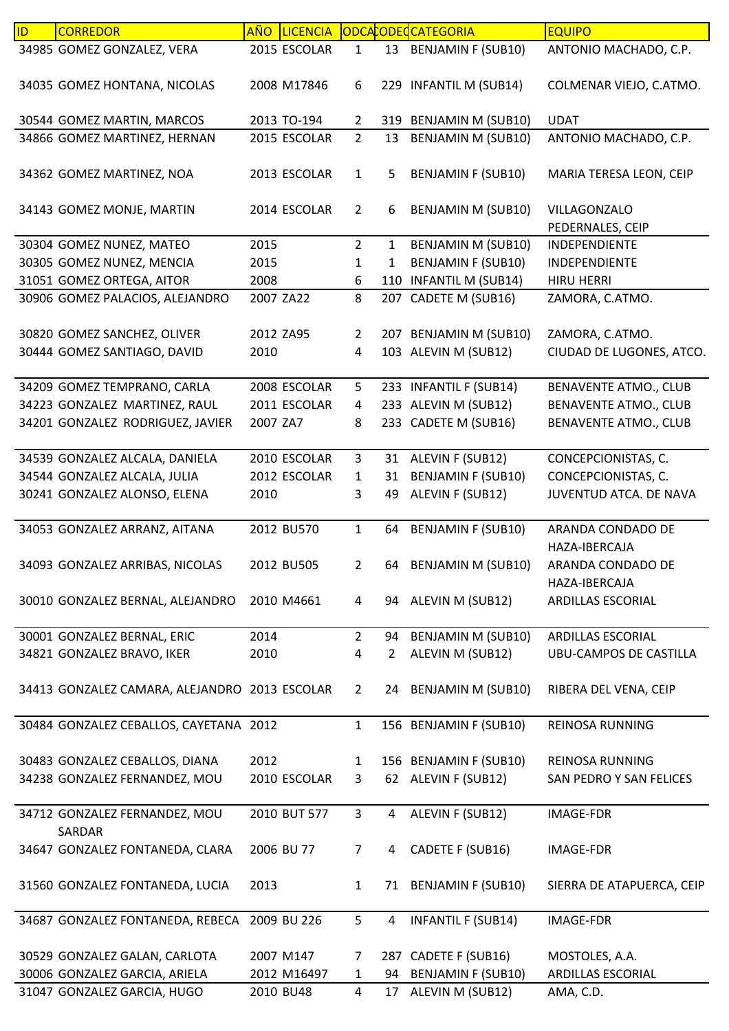| ID | <b>CORREDOR</b>                               | <b>AÑO</b> | <b>LICENCIA</b> |                |                | ODCACODECCATEGORIA        | <b>EQUIPO</b>                |
|----|-----------------------------------------------|------------|-----------------|----------------|----------------|---------------------------|------------------------------|
|    | 34985 GOMEZ GONZALEZ, VERA                    |            | 2015 ESCOLAR    | 1              |                | 13 BENJAMIN F (SUB10)     | ANTONIO MACHADO, C.P.        |
|    | 34035 GOMEZ HONTANA, NICOLAS                  |            | 2008 M17846     | 6              |                | 229 INFANTIL M (SUB14)    | COLMENAR VIEJO, C.ATMO.      |
|    | 30544 GOMEZ MARTIN, MARCOS                    |            | 2013 TO-194     | $\overline{2}$ |                | 319 BENJAMIN M (SUB10)    | <b>UDAT</b>                  |
|    | 34866 GOMEZ MARTINEZ, HERNAN                  |            | 2015 ESCOLAR    | $\overline{2}$ | 13             | <b>BENJAMIN M (SUB10)</b> | ANTONIO MACHADO, C.P.        |
|    |                                               |            |                 |                |                |                           |                              |
|    | 34362 GOMEZ MARTINEZ, NOA                     |            | 2013 ESCOLAR    | $\mathbf{1}$   | 5              | <b>BENJAMIN F (SUB10)</b> | MARIA TERESA LEON, CEIP      |
|    | 34143 GOMEZ MONJE, MARTIN                     |            | 2014 ESCOLAR    | $\overline{2}$ | 6              | <b>BENJAMIN M (SUB10)</b> | VILLAGONZALO                 |
|    |                                               |            |                 |                |                |                           | PEDERNALES, CEIP             |
|    | 30304 GOMEZ NUNEZ, MATEO                      | 2015       |                 | $\overline{2}$ | $\mathbf{1}$   | <b>BENJAMIN M (SUB10)</b> | INDEPENDIENTE                |
|    | 30305 GOMEZ NUNEZ, MENCIA                     | 2015       |                 | 1              | 1              | <b>BENJAMIN F (SUB10)</b> | INDEPENDIENTE                |
|    | 31051 GOMEZ ORTEGA, AITOR                     | 2008       |                 | 6              |                | 110 INFANTIL M (SUB14)    | <b>HIRU HERRI</b>            |
|    | 30906 GOMEZ PALACIOS, ALEJANDRO               |            | 2007 ZA22       | 8              |                | 207 CADETE M (SUB16)      | ZAMORA, C.ATMO.              |
|    |                                               |            |                 |                |                |                           |                              |
|    | 30820 GOMEZ SANCHEZ, OLIVER                   |            | 2012 ZA95       | $\overline{2}$ |                | 207 BENJAMIN M (SUB10)    | ZAMORA, C.ATMO.              |
|    | 30444 GOMEZ SANTIAGO, DAVID                   | 2010       |                 | 4              |                | 103 ALEVIN M (SUB12)      | CIUDAD DE LUGONES, ATCO.     |
|    |                                               |            |                 |                |                |                           |                              |
|    | 34209 GOMEZ TEMPRANO, CARLA                   |            | 2008 ESCOLAR    | 5              |                | 233 INFANTIL F (SUB14)    | <b>BENAVENTE ATMO., CLUB</b> |
|    | 34223 GONZALEZ MARTINEZ, RAUL                 |            | 2011 ESCOLAR    | 4              |                | 233 ALEVIN M (SUB12)      | <b>BENAVENTE ATMO., CLUB</b> |
|    | 34201 GONZALEZ RODRIGUEZ, JAVIER              | 2007 ZA7   |                 | 8              |                | 233 CADETE M (SUB16)      | <b>BENAVENTE ATMO., CLUB</b> |
|    |                                               |            |                 |                |                |                           |                              |
|    | 34539 GONZALEZ ALCALA, DANIELA                |            | 2010 ESCOLAR    | 3              |                | 31 ALEVIN F (SUB12)       | CONCEPCIONISTAS, C.          |
|    | 34544 GONZALEZ ALCALA, JULIA                  |            | 2012 ESCOLAR    | 1              | 31             | <b>BENJAMIN F (SUB10)</b> | CONCEPCIONISTAS, C.          |
|    | 30241 GONZALEZ ALONSO, ELENA                  | 2010       |                 | 3              | 49             | ALEVIN F (SUB12)          | JUVENTUD ATCA. DE NAVA       |
|    |                                               |            |                 |                |                |                           |                              |
|    | 34053 GONZALEZ ARRANZ, AITANA                 |            | 2012 BU570      | $\mathbf{1}$   | 64             | <b>BENJAMIN F (SUB10)</b> | ARANDA CONDADO DE            |
|    |                                               |            |                 |                |                |                           | HAZA-IBERCAJA                |
|    | 34093 GONZALEZ ARRIBAS, NICOLAS               |            | 2012 BU505      | 2              | 64             | <b>BENJAMIN M (SUB10)</b> | ARANDA CONDADO DE            |
|    |                                               |            |                 |                |                |                           | HAZA-IBERCAJA                |
|    | 30010 GONZALEZ BERNAL, ALEJANDRO              |            | 2010 M4661      | 4              |                | 94 ALEVIN M (SUB12)       | ARDILLAS ESCORIAL            |
|    |                                               |            |                 |                |                |                           |                              |
|    | 30001 GONZALEZ BERNAL, ERIC                   | 2014       |                 | $\overline{2}$ | 94             | BENJAMIN M (SUB10)        | ARDILLAS ESCORIAL            |
|    | 34821 GONZALEZ BRAVO, IKER                    | 2010       |                 | 4              | $\mathbf{2}$   | ALEVIN M (SUB12)          | UBU-CAMPOS DE CASTILLA       |
|    |                                               |            |                 |                |                |                           |                              |
|    | 34413 GONZALEZ CAMARA, ALEJANDRO 2013 ESCOLAR |            |                 | $\overline{2}$ |                | 24 BENJAMIN M (SUB10)     | RIBERA DEL VENA, CEIP        |
|    |                                               |            |                 |                |                |                           |                              |
|    | 30484 GONZALEZ CEBALLOS, CAYETANA 2012        |            |                 | $\mathbf{1}$   |                | 156 BENJAMIN F (SUB10)    | <b>REINOSA RUNNING</b>       |
|    |                                               |            |                 |                |                |                           |                              |
|    | 30483 GONZALEZ CEBALLOS, DIANA                | 2012       |                 | 1              |                | 156 BENJAMIN F (SUB10)    | <b>REINOSA RUNNING</b>       |
|    | 34238 GONZALEZ FERNANDEZ, MOU                 |            | 2010 ESCOLAR    | 3              |                | 62 ALEVIN F (SUB12)       | SAN PEDRO Y SAN FELICES      |
|    |                                               |            |                 |                |                |                           |                              |
|    | 34712 GONZALEZ FERNANDEZ, MOU                 |            | 2010 BUT 577    | $\mathbf{3}$   | $\overline{4}$ | ALEVIN F (SUB12)          | IMAGE-FDR                    |
|    | SARDAR                                        |            |                 |                |                |                           |                              |
|    | 34647 GONZALEZ FONTANEDA, CLARA               |            | 2006 BU 77      | $\overline{7}$ | 4              | CADETE F (SUB16)          | <b>IMAGE-FDR</b>             |
|    |                                               |            |                 |                |                |                           |                              |
|    | 31560 GONZALEZ FONTANEDA, LUCIA               | 2013       |                 | $\mathbf{1}$   |                | 71 BENJAMIN F (SUB10)     | SIERRA DE ATAPUERCA, CEIP    |
|    |                                               |            |                 |                |                |                           |                              |
|    | 34687 GONZALEZ FONTANEDA, REBECA 2009 BU 226  |            |                 | 5              | 4              | <b>INFANTIL F (SUB14)</b> | <b>IMAGE-FDR</b>             |
|    |                                               |            |                 |                |                |                           |                              |
|    | 30529 GONZALEZ GALAN, CARLOTA                 |            | 2007 M147       | 7              |                | 287 CADETE F (SUB16)      | MOSTOLES, A.A.               |
|    | 30006 GONZALEZ GARCIA, ARIELA                 |            | 2012 M16497     | 1              | 94             | <b>BENJAMIN F (SUB10)</b> | ARDILLAS ESCORIAL            |
|    | 31047 GONZALEZ GARCIA, HUGO                   |            | 2010 BU48       | 4              | 17             | ALEVIN M (SUB12)          | AMA, C.D.                    |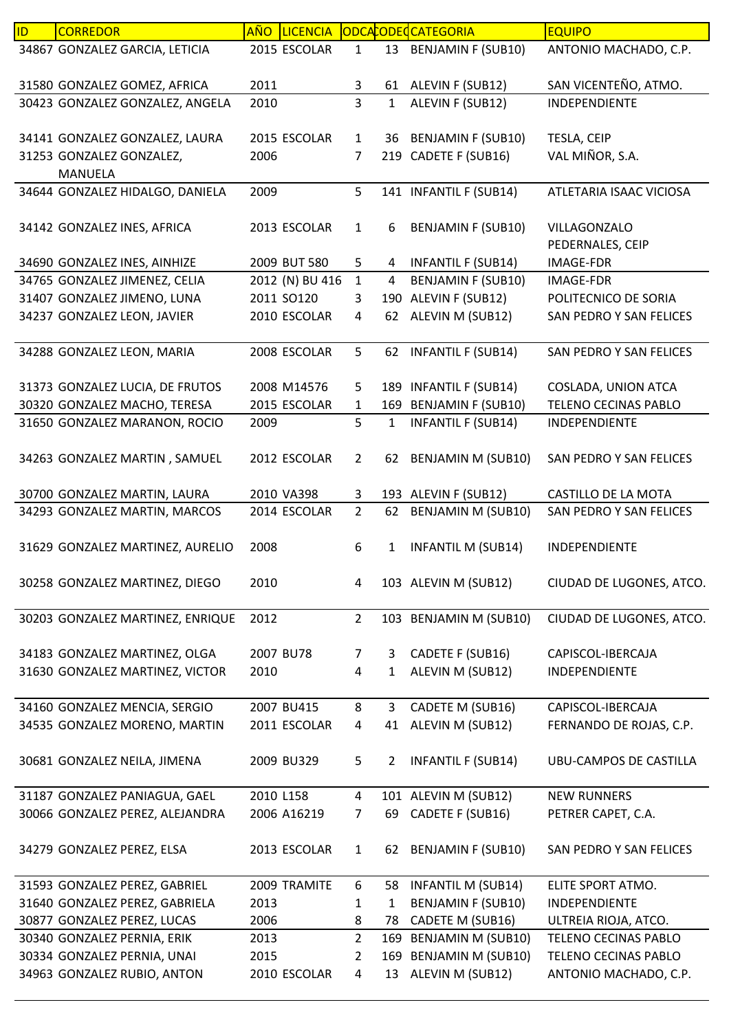| <b>ID</b> | <b>CORREDOR</b>                  | <b>AÑO</b> | <b>LICENCIA</b> |                |                | ODCACODECCATEGORIA        | <b>EQUIPO</b>                    |
|-----------|----------------------------------|------------|-----------------|----------------|----------------|---------------------------|----------------------------------|
|           | 34867 GONZALEZ GARCIA, LETICIA   |            | 2015 ESCOLAR    | $\mathbf{1}$   | 13             | <b>BENJAMIN F (SUB10)</b> | ANTONIO MACHADO, C.P.            |
|           | 31580 GONZALEZ GOMEZ, AFRICA     | 2011       |                 | 3              | 61             | ALEVIN F (SUB12)          | SAN VICENTEÑO, ATMO.             |
|           | 30423 GONZALEZ GONZALEZ, ANGELA  | 2010       |                 | $\overline{3}$ | 1              | ALEVIN F (SUB12)          | INDEPENDIENTE                    |
|           | 34141 GONZALEZ GONZALEZ, LAURA   |            | 2015 ESCOLAR    | $\mathbf{1}$   | 36             | <b>BENJAMIN F (SUB10)</b> | TESLA, CEIP                      |
|           | 31253 GONZALEZ GONZALEZ,         | 2006       |                 | 7              |                | 219 CADETE F (SUB16)      | VAL MIÑOR, S.A.                  |
|           | <b>MANUELA</b>                   |            |                 |                |                |                           |                                  |
|           | 34644 GONZALEZ HIDALGO, DANIELA  | 2009       |                 | 5              |                | 141 INFANTIL F (SUB14)    | ATLETARIA ISAAC VICIOSA          |
|           | 34142 GONZALEZ INES, AFRICA      |            | 2013 ESCOLAR    | $\mathbf{1}$   | 6              | <b>BENJAMIN F (SUB10)</b> | VILLAGONZALO<br>PEDERNALES, CEIP |
|           | 34690 GONZALEZ INES, AINHIZE     |            | 2009 BUT 580    | 5              | 4              | <b>INFANTIL F (SUB14)</b> | <b>IMAGE-FDR</b>                 |
|           | 34765 GONZALEZ JIMENEZ, CELIA    |            | 2012 (N) BU 416 | $\mathbf{1}$   | $\overline{4}$ | <b>BENJAMIN F (SUB10)</b> | <b>IMAGE-FDR</b>                 |
|           | 31407 GONZALEZ JIMENO, LUNA      |            | 2011 SO120      | 3              | 190            | ALEVIN F (SUB12)          | POLITECNICO DE SORIA             |
|           | 34237 GONZALEZ LEON, JAVIER      |            | 2010 ESCOLAR    | 4              | 62             | ALEVIN M (SUB12)          | SAN PEDRO Y SAN FELICES          |
|           | 34288 GONZALEZ LEON, MARIA       |            | 2008 ESCOLAR    | 5              | 62             | <b>INFANTIL F (SUB14)</b> | SAN PEDRO Y SAN FELICES          |
|           | 31373 GONZALEZ LUCIA, DE FRUTOS  |            | 2008 M14576     | 5              |                | 189 INFANTIL F (SUB14)    | COSLADA, UNION ATCA              |
|           | 30320 GONZALEZ MACHO, TERESA     |            | 2015 ESCOLAR    | $\mathbf 1$    |                | 169 BENJAMIN F (SUB10)    | TELENO CECINAS PABLO             |
|           | 31650 GONZALEZ MARANON, ROCIO    | 2009       |                 | 5              | $\mathbf{1}$   | <b>INFANTIL F (SUB14)</b> | INDEPENDIENTE                    |
|           | 34263 GONZALEZ MARTIN, SAMUEL    |            | 2012 ESCOLAR    | $\overline{2}$ | 62             | <b>BENJAMIN M (SUB10)</b> | SAN PEDRO Y SAN FELICES          |
|           | 30700 GONZALEZ MARTIN, LAURA     |            | 2010 VA398      | 3              |                | 193 ALEVIN F (SUB12)      | CASTILLO DE LA MOTA              |
|           | 34293 GONZALEZ MARTIN, MARCOS    |            | 2014 ESCOLAR    | $\overline{2}$ | 62             | <b>BENJAMIN M (SUB10)</b> | SAN PEDRO Y SAN FELICES          |
|           | 31629 GONZALEZ MARTINEZ, AURELIO | 2008       |                 | 6              | 1              | <b>INFANTIL M (SUB14)</b> | INDEPENDIENTE                    |
|           | 30258 GONZALEZ MARTINEZ, DIEGO   | 2010       |                 | 4              |                | 103 ALEVIN M (SUB12)      | CIUDAD DE LUGONES, ATCO.         |
|           | 30203 GONZALEZ MARTINEZ, ENRIQUE | 2012       |                 | $\overline{2}$ |                | 103 BENJAMIN M (SUB10)    | CIUDAD DE LUGONES, ATCO.         |
|           |                                  |            |                 |                |                |                           |                                  |
|           | 34183 GONZALEZ MARTINEZ, OLGA    |            | 2007 BU78       | 7              | 3              | CADETE F (SUB16)          | CAPISCOL-IBERCAJA                |
|           | 31630 GONZALEZ MARTINEZ, VICTOR  | 2010       |                 | 4              | $\mathbf{1}$   | ALEVIN M (SUB12)          | INDEPENDIENTE                    |
|           | 34160 GONZALEZ MENCIA, SERGIO    |            | 2007 BU415      | 8              | 3              | CADETE M (SUB16)          | CAPISCOL-IBERCAJA                |
|           | 34535 GONZALEZ MORENO, MARTIN    |            | 2011 ESCOLAR    | 4              | 41             | ALEVIN M (SUB12)          | FERNANDO DE ROJAS, C.P.          |
|           | 30681 GONZALEZ NEILA, JIMENA     |            | 2009 BU329      | 5              | $\overline{2}$ | <b>INFANTIL F (SUB14)</b> | UBU-CAMPOS DE CASTILLA           |
|           | 31187 GONZALEZ PANIAGUA, GAEL    | 2010 L158  |                 | 4              |                | 101 ALEVIN M (SUB12)      | <b>NEW RUNNERS</b>               |
|           | 30066 GONZALEZ PEREZ, ALEJANDRA  |            | 2006 A16219     | 7              | 69             | CADETE F (SUB16)          | PETRER CAPET, C.A.               |
|           | 34279 GONZALEZ PEREZ, ELSA       |            | 2013 ESCOLAR    | $\mathbf{1}$   | 62             | <b>BENJAMIN F (SUB10)</b> | SAN PEDRO Y SAN FELICES          |
|           | 31593 GONZALEZ PEREZ, GABRIEL    |            | 2009 TRAMITE    | 6              | 58             | <b>INFANTIL M (SUB14)</b> | ELITE SPORT ATMO.                |
|           | 31640 GONZALEZ PEREZ, GABRIELA   | 2013       |                 | 1              | $\mathbf{1}$   | <b>BENJAMIN F (SUB10)</b> | INDEPENDIENTE                    |
|           | 30877 GONZALEZ PEREZ, LUCAS      | 2006       |                 | 8              | 78             | CADETE M (SUB16)          | ULTREIA RIOJA, ATCO.             |
|           | 30340 GONZALEZ PERNIA, ERIK      | 2013       |                 | $\overline{2}$ | 169            | <b>BENJAMIN M (SUB10)</b> | TELENO CECINAS PABLO             |
|           | 30334 GONZALEZ PERNIA, UNAI      | 2015       |                 | 2              | 169            | <b>BENJAMIN M (SUB10)</b> | TELENO CECINAS PABLO             |
|           | 34963 GONZALEZ RUBIO, ANTON      |            | 2010 ESCOLAR    | 4              | 13             | ALEVIN M (SUB12)          | ANTONIO MACHADO, C.P.            |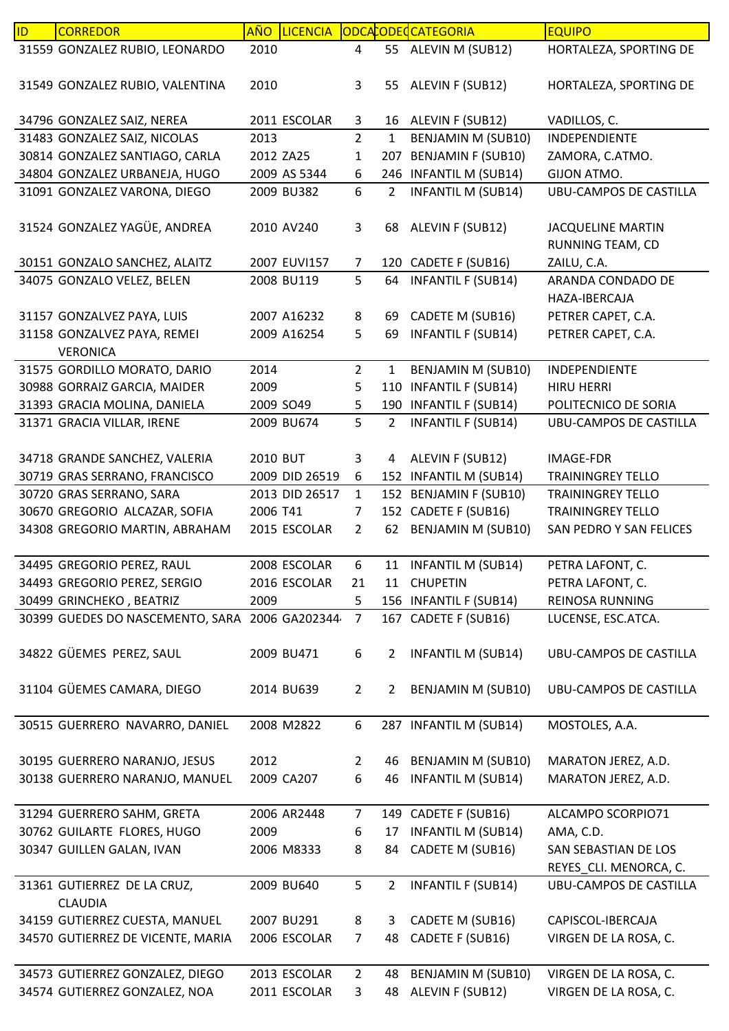| ID | <b>CORREDOR</b>                                | <b>AÑO</b> | <b>LICENCIA</b> |                |                | ODCACODECATEGORIA         | <b>EQUIPO</b>                                |
|----|------------------------------------------------|------------|-----------------|----------------|----------------|---------------------------|----------------------------------------------|
|    | 31559 GONZALEZ RUBIO, LEONARDO                 | 2010       |                 | 4              |                | 55 ALEVIN M (SUB12)       | HORTALEZA, SPORTING DE                       |
|    | 31549 GONZALEZ RUBIO, VALENTINA                | 2010       |                 | 3              | 55             | ALEVIN F (SUB12)          | HORTALEZA, SPORTING DE                       |
|    | 34796 GONZALEZ SAIZ, NEREA                     |            | 2011 ESCOLAR    | 3              |                | 16 ALEVIN F (SUB12)       | VADILLOS, C.                                 |
|    | 31483 GONZALEZ SAIZ, NICOLAS                   | 2013       |                 | $\overline{2}$ | $\mathbf{1}$   | <b>BENJAMIN M (SUB10)</b> | INDEPENDIENTE                                |
|    | 30814 GONZALEZ SANTIAGO, CARLA                 | 2012 ZA25  |                 | 1              |                | 207 BENJAMIN F (SUB10)    | ZAMORA, C.ATMO.                              |
|    | 34804 GONZALEZ URBANEJA, HUGO                  |            | 2009 AS 5344    | 6              |                | 246 INFANTIL M (SUB14)    | GIJON ATMO.                                  |
|    | 31091 GONZALEZ VARONA, DIEGO                   |            | 2009 BU382      | 6              | $\overline{2}$ | <b>INFANTIL M (SUB14)</b> | <b>UBU-CAMPOS DE CASTILLA</b>                |
|    | 31524 GONZALEZ YAGÜE, ANDREA                   |            | 2010 AV240      | 3              |                | 68 ALEVIN F (SUB12)       | <b>JACQUELINE MARTIN</b><br>RUNNING TEAM, CD |
|    | 30151 GONZALO SANCHEZ, ALAITZ                  |            | 2007 EUVI157    | 7              |                | 120 CADETE F (SUB16)      | ZAILU, C.A.                                  |
|    | 34075 GONZALO VELEZ, BELEN                     |            | 2008 BU119      | 5              | 64             | <b>INFANTIL F (SUB14)</b> | ARANDA CONDADO DE<br>HAZA-IBERCAJA           |
|    | 31157 GONZALVEZ PAYA, LUIS                     |            | 2007 A16232     | 8              | 69             | CADETE M (SUB16)          | PETRER CAPET, C.A.                           |
|    | 31158 GONZALVEZ PAYA, REMEI                    |            | 2009 A16254     | 5              | 69             | <b>INFANTIL F (SUB14)</b> | PETRER CAPET, C.A.                           |
|    | <b>VERONICA</b>                                |            |                 |                |                |                           |                                              |
|    | 31575 GORDILLO MORATO, DARIO                   | 2014       |                 | $\overline{2}$ | $\mathbf{1}$   | <b>BENJAMIN M (SUB10)</b> | INDEPENDIENTE                                |
|    | 30988 GORRAIZ GARCIA, MAIDER                   | 2009       |                 | 5              |                | 110 INFANTIL F (SUB14)    | <b>HIRU HERRI</b>                            |
|    | 31393 GRACIA MOLINA, DANIELA                   | 2009 SO49  |                 | 5              |                | 190 INFANTIL F (SUB14)    | POLITECNICO DE SORIA                         |
|    | 31371 GRACIA VILLAR, IRENE                     |            | 2009 BU674      | 5              | $\overline{2}$ | <b>INFANTIL F (SUB14)</b> | <b>UBU-CAMPOS DE CASTILLA</b>                |
|    | 34718 GRANDE SANCHEZ, VALERIA                  | 2010 BUT   |                 | 3              | 4              | ALEVIN F (SUB12)          | <b>IMAGE-FDR</b>                             |
|    | 30719 GRAS SERRANO, FRANCISCO                  |            | 2009 DID 26519  | 6              |                | 152 INFANTIL M (SUB14)    | <b>TRAININGREY TELLO</b>                     |
|    | 30720 GRAS SERRANO, SARA                       |            | 2013 DID 26517  | $\mathbf{1}$   |                | 152 BENJAMIN F (SUB10)    | <b>TRAININGREY TELLO</b>                     |
|    | 30670 GREGORIO ALCAZAR, SOFIA                  | 2006 T41   |                 | 7              |                | 152 CADETE F (SUB16)      | <b>TRAININGREY TELLO</b>                     |
|    | 34308 GREGORIO MARTIN, ABRAHAM                 |            | 2015 ESCOLAR    | $\overline{2}$ |                | 62 BENJAMIN M (SUB10)     | SAN PEDRO Y SAN FELICES                      |
|    | 34495 GREGORIO PEREZ, RAUL                     |            | 2008 ESCOLAR    | 6              | 11             | <b>INFANTIL M (SUB14)</b> | PETRA LAFONT, C.                             |
|    | 34493 GREGORIO PEREZ, SERGIO                   |            | 2016 ESCOLAR    | 21             |                | 11 CHUPETIN               | PETRA LAFONT, C.                             |
|    | 30499 GRINCHEKO, BEATRIZ                       | 2009       |                 | 5              |                | 156 INFANTIL F (SUB14)    | REINOSA RUNNING                              |
|    | 30399 GUEDES DO NASCEMENTO, SARA 2006 GA202344 |            |                 | $\overline{7}$ |                | 167 CADETE F (SUB16)      | LUCENSE, ESC.ATCA.                           |
|    | 34822 GÜEMES PEREZ, SAUL                       |            | 2009 BU471      | 6              | $\overline{2}$ | <b>INFANTIL M (SUB14)</b> | UBU-CAMPOS DE CASTILLA                       |
|    | 31104 GÜEMES CAMARA, DIEGO                     |            | 2014 BU639      | $\overline{2}$ | $\overline{2}$ | BENJAMIN M (SUB10)        | UBU-CAMPOS DE CASTILLA                       |
|    | 30515 GUERRERO NAVARRO, DANIEL                 |            | 2008 M2822      | 6              |                | 287 INFANTIL M (SUB14)    | MOSTOLES, A.A.                               |
|    |                                                |            |                 |                |                |                           |                                              |
|    | 30195 GUERRERO NARANJO, JESUS                  | 2012       |                 | $\overline{2}$ | 46             | BENJAMIN M (SUB10)        | MARATON JEREZ, A.D.                          |
|    | 30138 GUERRERO NARANJO, MANUEL                 |            | 2009 CA207      | 6              | 46             | <b>INFANTIL M (SUB14)</b> | MARATON JEREZ, A.D.                          |
|    | 31294 GUERRERO SAHM, GRETA                     |            | 2006 AR2448     | $\overline{7}$ |                | 149 CADETE F (SUB16)      | ALCAMPO SCORPIO71                            |
|    | 30762 GUILARTE FLORES, HUGO                    | 2009       |                 | 6              | 17             | <b>INFANTIL M (SUB14)</b> | AMA, C.D.                                    |
|    | 30347 GUILLEN GALAN, IVAN                      |            | 2006 M8333      | 8              | 84             | CADETE M (SUB16)          | SAN SEBASTIAN DE LOS                         |
|    |                                                |            |                 |                |                |                           | REYES_CLI. MENORCA, C.                       |
|    | 31361 GUTIERREZ DE LA CRUZ,<br><b>CLAUDIA</b>  |            | 2009 BU640      | 5              | $\overline{2}$ | <b>INFANTIL F (SUB14)</b> | UBU-CAMPOS DE CASTILLA                       |
|    | 34159 GUTIERREZ CUESTA, MANUEL                 |            | 2007 BU291      | 8              | 3              | CADETE M (SUB16)          | CAPISCOL-IBERCAJA                            |
|    | 34570 GUTIERREZ DE VICENTE, MARIA              |            | 2006 ESCOLAR    | $\overline{7}$ | 48             | CADETE F (SUB16)          | VIRGEN DE LA ROSA, C.                        |
|    | 34573 GUTIERREZ GONZALEZ, DIEGO                |            | 2013 ESCOLAR    | $\overline{2}$ | 48             | <b>BENJAMIN M (SUB10)</b> | VIRGEN DE LA ROSA, C.                        |
|    | 34574 GUTIERREZ GONZALEZ, NOA                  |            | 2011 ESCOLAR    | 3              | 48             | ALEVIN F (SUB12)          | VIRGEN DE LA ROSA, C.                        |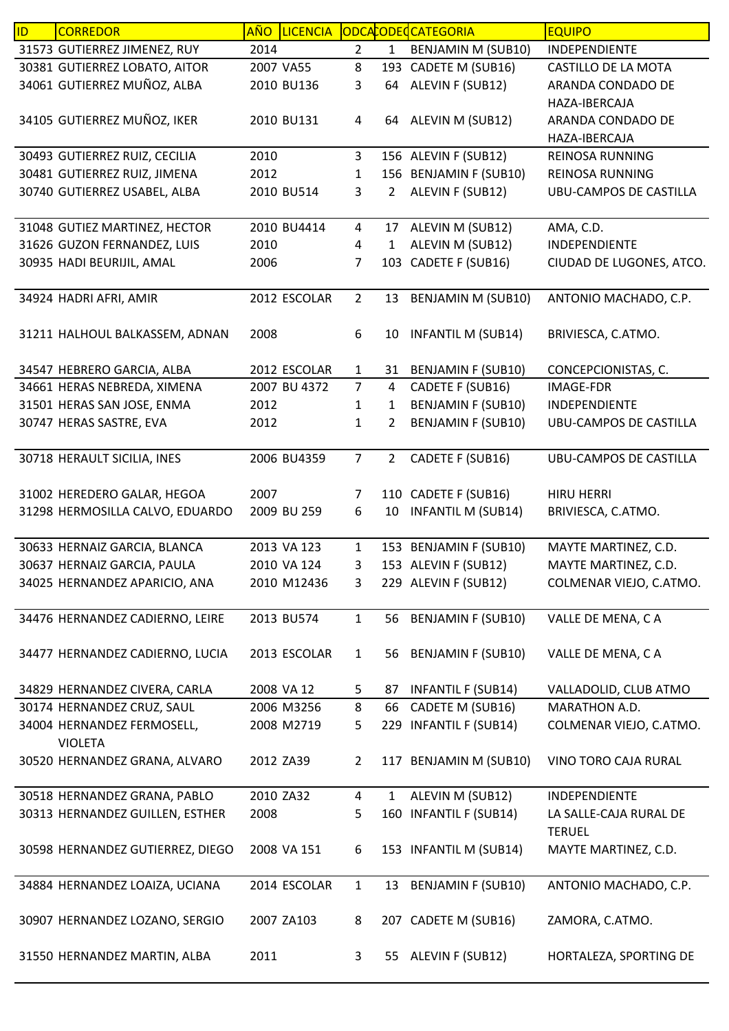| ID | <b>CORREDOR</b>                  | AÑO  | <b>LICENCIA</b> |                |                | ODCACODECCATEGORIA        | <b>EQUIPO</b>                 |
|----|----------------------------------|------|-----------------|----------------|----------------|---------------------------|-------------------------------|
|    | 31573 GUTIERREZ JIMENEZ, RUY     | 2014 |                 | $\overline{2}$ | $\mathbf{1}$   | BENJAMIN M (SUB10)        | INDEPENDIENTE                 |
|    | 30381 GUTIERREZ LOBATO, AITOR    |      | 2007 VA55       | 8              |                | 193 CADETE M (SUB16)      | CASTILLO DE LA MOTA           |
|    | 34061 GUTIERREZ MUÑOZ, ALBA      |      | 2010 BU136      | 3              | 64             | ALEVIN F (SUB12)          | ARANDA CONDADO DE             |
|    |                                  |      |                 |                |                |                           | HAZA-IBERCAJA                 |
|    | 34105 GUTIERREZ MUÑOZ, IKER      |      | 2010 BU131      | 4              |                | 64 ALEVIN M (SUB12)       | ARANDA CONDADO DE             |
|    |                                  |      |                 |                |                |                           | HAZA-IBERCAJA                 |
|    | 30493 GUTIERREZ RUIZ, CECILIA    | 2010 |                 | 3              |                | 156 ALEVIN F (SUB12)      | REINOSA RUNNING               |
|    | 30481 GUTIERREZ RUIZ, JIMENA     | 2012 |                 | 1              |                | 156 BENJAMIN F (SUB10)    | <b>REINOSA RUNNING</b>        |
|    | 30740 GUTIERREZ USABEL, ALBA     |      | 2010 BU514      | 3              | $\overline{2}$ | ALEVIN F (SUB12)          | <b>UBU-CAMPOS DE CASTILLA</b> |
|    |                                  |      |                 |                |                |                           |                               |
|    | 31048 GUTIEZ MARTINEZ, HECTOR    |      | 2010 BU4414     | $\overline{4}$ | 17             | ALEVIN M (SUB12)          | AMA, C.D.                     |
|    | 31626 GUZON FERNANDEZ, LUIS      | 2010 |                 | 4              | 1              | ALEVIN M (SUB12)          | INDEPENDIENTE                 |
|    | 30935 HADI BEURIJIL, AMAL        | 2006 |                 | 7              | 103            | CADETE F (SUB16)          | CIUDAD DE LUGONES, ATCO.      |
|    |                                  |      |                 |                |                |                           |                               |
|    | 34924 HADRI AFRI, AMIR           |      | 2012 ESCOLAR    | $\overline{2}$ | 13             | <b>BENJAMIN M (SUB10)</b> | ANTONIO MACHADO, C.P.         |
|    |                                  |      |                 |                |                |                           |                               |
|    | 31211 HALHOUL BALKASSEM, ADNAN   | 2008 |                 | 6              | 10             | <b>INFANTIL M (SUB14)</b> | BRIVIESCA, C.ATMO.            |
|    |                                  |      |                 |                |                |                           |                               |
|    | 34547 HEBRERO GARCIA, ALBA       |      | 2012 ESCOLAR    | $\mathbf{1}$   | 31             | <b>BENJAMIN F (SUB10)</b> | CONCEPCIONISTAS, C.           |
|    | 34661 HERAS NEBREDA, XIMENA      |      | 2007 BU 4372    | $\overline{7}$ | 4              | CADETE F (SUB16)          | <b>IMAGE-FDR</b>              |
|    | 31501 HERAS SAN JOSE, ENMA       | 2012 |                 | $\mathbf 1$    | 1              | <b>BENJAMIN F (SUB10)</b> | INDEPENDIENTE                 |
|    | 30747 HERAS SASTRE, EVA          | 2012 |                 | 1              | 2              | <b>BENJAMIN F (SUB10)</b> | <b>UBU-CAMPOS DE CASTILLA</b> |
|    |                                  |      |                 |                |                |                           |                               |
|    | 30718 HERAULT SICILIA, INES      |      | 2006 BU4359     | $\overline{7}$ | $\overline{2}$ | CADETE F (SUB16)          | UBU-CAMPOS DE CASTILLA        |
|    |                                  |      |                 |                |                |                           |                               |
|    | 31002 HEREDERO GALAR, HEGOA      | 2007 |                 | $\overline{7}$ |                | 110 CADETE F (SUB16)      | <b>HIRU HERRI</b>             |
|    | 31298 HERMOSILLA CALVO, EDUARDO  |      | 2009 BU 259     | 6              | 10             | <b>INFANTIL M (SUB14)</b> | BRIVIESCA, C.ATMO.            |
|    |                                  |      |                 |                |                |                           |                               |
|    | 30633 HERNAIZ GARCIA, BLANCA     |      | 2013 VA 123     | $\mathbf{1}$   |                | 153 BENJAMIN F (SUB10)    | MAYTE MARTINEZ, C.D.          |
|    | 30637 HERNAIZ GARCIA, PAULA      |      | 2010 VA 124     | 3              |                | 153 ALEVIN F (SUB12)      | MAYTE MARTINEZ, C.D.          |
|    | 34025 HERNANDEZ APARICIO, ANA    |      | 2010 M12436     | 3              |                | 229 ALEVIN F (SUB12)      | COLMENAR VIEJO, C.ATMO.       |
|    |                                  |      |                 |                |                |                           |                               |
|    | 34476 HERNANDEZ CADIERNO, LEIRE  |      | 2013 BU574      | $\mathbf{1}$   | 56             | <b>BENJAMIN F (SUB10)</b> | VALLE DE MENA, CA             |
|    |                                  |      |                 |                |                |                           |                               |
|    | 34477 HERNANDEZ CADIERNO, LUCIA  |      | 2013 ESCOLAR    | $\mathbf{1}$   | 56             | <b>BENJAMIN F (SUB10)</b> | VALLE DE MENA, CA             |
|    |                                  |      |                 |                |                |                           |                               |
|    | 34829 HERNANDEZ CIVERA, CARLA    |      | 2008 VA 12      | 5              | 87             | <b>INFANTIL F (SUB14)</b> | VALLADOLID, CLUB ATMO         |
|    | 30174 HERNANDEZ CRUZ, SAUL       |      | 2006 M3256      | 8              | 66             | CADETE M (SUB16)          | MARATHON A.D.                 |
|    | 34004 HERNANDEZ FERMOSELL,       |      | 2008 M2719      | 5              |                | 229 INFANTIL F (SUB14)    | COLMENAR VIEJO, C.ATMO.       |
|    | <b>VIOLETA</b>                   |      |                 |                |                |                           |                               |
|    | 30520 HERNANDEZ GRANA, ALVARO    |      | 2012 ZA39       | $\overline{2}$ |                | 117 BENJAMIN M (SUB10)    | VINO TORO CAJA RURAL          |
|    |                                  |      |                 |                |                |                           |                               |
|    | 30518 HERNANDEZ GRANA, PABLO     |      | 2010 ZA32       | 4              | $\mathbf 1$    | ALEVIN M (SUB12)          | INDEPENDIENTE                 |
|    | 30313 HERNANDEZ GUILLEN, ESTHER  | 2008 |                 | 5              | 160            | <b>INFANTIL F (SUB14)</b> | LA SALLE-CAJA RURAL DE        |
|    |                                  |      |                 |                |                |                           | <b>TERUEL</b>                 |
|    | 30598 HERNANDEZ GUTIERREZ, DIEGO |      | 2008 VA 151     | 6              |                | 153 INFANTIL M (SUB14)    | MAYTE MARTINEZ, C.D.          |
|    |                                  |      |                 |                |                |                           |                               |
|    | 34884 HERNANDEZ LOAIZA, UCIANA   |      | 2014 ESCOLAR    | $\mathbf{1}$   | 13             | <b>BENJAMIN F (SUB10)</b> | ANTONIO MACHADO, C.P.         |
|    |                                  |      |                 |                |                |                           |                               |
|    | 30907 HERNANDEZ LOZANO, SERGIO   |      | 2007 ZA103      | 8              |                | 207 CADETE M (SUB16)      | ZAMORA, C.ATMO.               |
|    |                                  |      |                 |                |                |                           |                               |
|    | 31550 HERNANDEZ MARTIN, ALBA     | 2011 |                 | 3              | 55             | ALEVIN F (SUB12)          | HORTALEZA, SPORTING DE        |
|    |                                  |      |                 |                |                |                           |                               |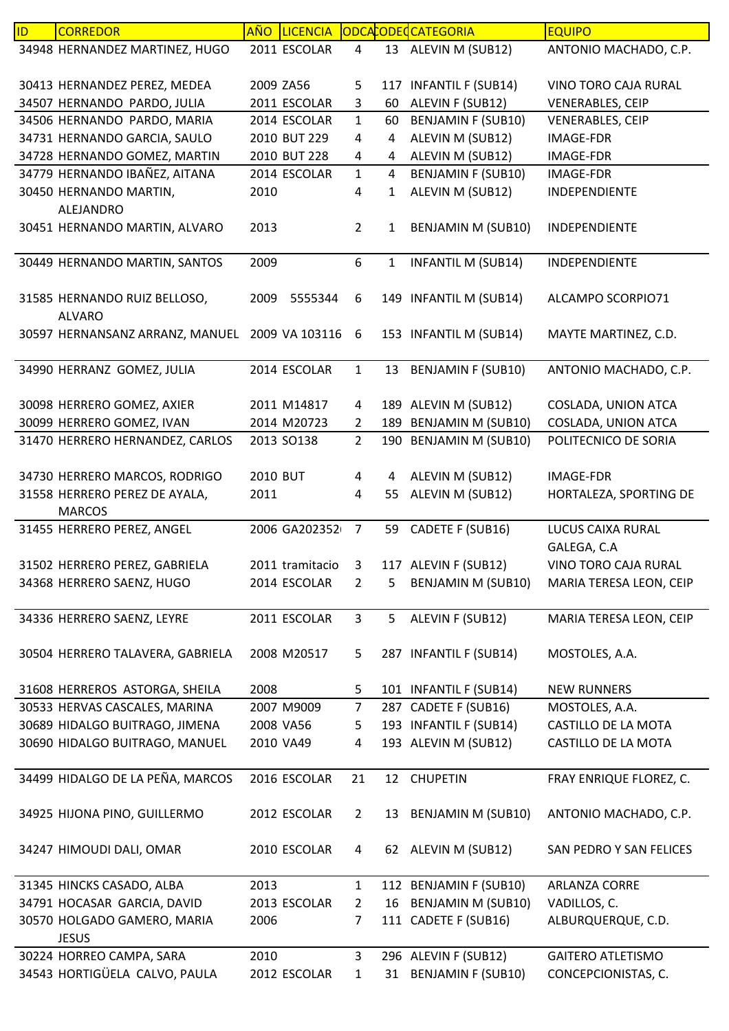| ID | <b>CORREDOR</b>                                | <b>AÑO</b> | <b>LICENCIA</b> |                |                | ODCACODECATEGORIA         | <b>EQUIPO</b>                    |
|----|------------------------------------------------|------------|-----------------|----------------|----------------|---------------------------|----------------------------------|
|    | 34948 HERNANDEZ MARTINEZ, HUGO                 |            | 2011 ESCOLAR    | 4              |                | 13 ALEVIN M (SUB12)       | ANTONIO MACHADO, C.P.            |
|    |                                                |            |                 |                |                |                           |                                  |
|    | 30413 HERNANDEZ PEREZ, MEDEA                   | 2009 ZA56  |                 | 5              |                | 117 INFANTIL F (SUB14)    | VINO TORO CAJA RURAL             |
|    | 34507 HERNANDO PARDO, JULIA                    |            | 2011 ESCOLAR    | 3              | 60             | ALEVIN F (SUB12)          | <b>VENERABLES, CEIP</b>          |
|    | 34506 HERNANDO PARDO, MARIA                    |            | 2014 ESCOLAR    | $\mathbf{1}$   | 60             | <b>BENJAMIN F (SUB10)</b> | <b>VENERABLES, CEIP</b>          |
|    | 34731 HERNANDO GARCIA, SAULO                   |            | 2010 BUT 229    | 4              | 4              | ALEVIN M (SUB12)          | IMAGE-FDR                        |
|    | 34728 HERNANDO GOMEZ, MARTIN                   |            | 2010 BUT 228    | 4              | 4              | ALEVIN M (SUB12)          | IMAGE-FDR                        |
|    | 34779 HERNANDO IBAÑEZ, AITANA                  |            | 2014 ESCOLAR    | $\mathbf{1}$   | $\overline{4}$ | <b>BENJAMIN F (SUB10)</b> | <b>IMAGE-FDR</b>                 |
|    | 30450 HERNANDO MARTIN,                         | 2010       |                 | 4              | $\mathbf{1}$   | ALEVIN M (SUB12)          | INDEPENDIENTE                    |
|    | ALEJANDRO                                      |            |                 |                |                |                           |                                  |
|    | 30451 HERNANDO MARTIN, ALVARO                  | 2013       |                 | $\overline{2}$ | 1              | <b>BENJAMIN M (SUB10)</b> | INDEPENDIENTE                    |
|    | 30449 HERNANDO MARTIN, SANTOS                  | 2009       |                 | 6              | $\mathbf{1}$   | <b>INFANTIL M (SUB14)</b> | INDEPENDIENTE                    |
|    |                                                |            |                 |                |                |                           |                                  |
|    | 31585 HERNANDO RUIZ BELLOSO,                   | 2009       | 5555344         | 6              |                | 149 INFANTIL M (SUB14)    | ALCAMPO SCORPIO71                |
|    | <b>ALVARO</b>                                  |            |                 |                |                |                           |                                  |
|    | 30597 HERNANSANZ ARRANZ, MANUEL 2009 VA 103116 |            |                 | 6              |                | 153 INFANTIL M (SUB14)    | MAYTE MARTINEZ, C.D.             |
|    |                                                |            |                 |                |                |                           |                                  |
|    | 34990 HERRANZ GOMEZ, JULIA                     |            | 2014 ESCOLAR    | $\mathbf{1}$   | 13             | <b>BENJAMIN F (SUB10)</b> | ANTONIO MACHADO, C.P.            |
|    |                                                |            |                 |                |                |                           |                                  |
|    | 30098 HERRERO GOMEZ, AXIER                     |            | 2011 M14817     | 4              |                | 189 ALEVIN M (SUB12)      | COSLADA, UNION ATCA              |
|    | 30099 HERRERO GOMEZ, IVAN                      |            | 2014 M20723     | $\overline{2}$ |                | 189 BENJAMIN M (SUB10)    | COSLADA, UNION ATCA              |
|    | 31470 HERRERO HERNANDEZ, CARLOS                |            | 2013 SO138      | $\overline{2}$ |                | 190 BENJAMIN M (SUB10)    | POLITECNICO DE SORIA             |
|    |                                                |            |                 |                |                |                           |                                  |
|    | 34730 HERRERO MARCOS, RODRIGO                  | 2010 BUT   |                 | $\overline{a}$ | 4              | ALEVIN M (SUB12)          | <b>IMAGE-FDR</b>                 |
|    | 31558 HERRERO PEREZ DE AYALA,                  | 2011       |                 | 4              | 55             | ALEVIN M (SUB12)          | HORTALEZA, SPORTING DE           |
|    | <b>MARCOS</b>                                  |            | 2006 GA202352   |                |                |                           |                                  |
|    | 31455 HERRERO PEREZ, ANGEL                     |            |                 | $\overline{7}$ | 59             | CADETE F (SUB16)          | LUCUS CAIXA RURAL<br>GALEGA, C.A |
|    | 31502 HERRERO PEREZ, GABRIELA                  |            | 2011 tramitacio | 3              |                | 117 ALEVIN F (SUB12)      | VINO TORO CAJA RURAL             |
|    | 34368 HERRERO SAENZ, HUGO                      |            | 2014 ESCOLAR    | $\overline{2}$ | 5              | <b>BENJAMIN M (SUB10)</b> | MARIA TERESA LEON, CEIP          |
|    |                                                |            |                 |                |                |                           |                                  |
|    | 34336 HERRERO SAENZ, LEYRE                     |            | 2011 ESCOLAR    | $\mathbf{3}$   | 5              | ALEVIN F (SUB12)          | MARIA TERESA LEON, CEIP          |
|    |                                                |            |                 |                |                |                           |                                  |
|    | 30504 HERRERO TALAVERA, GABRIELA               |            | 2008 M20517     | 5              |                | 287 INFANTIL F (SUB14)    | MOSTOLES, A.A.                   |
|    |                                                |            |                 |                |                |                           |                                  |
|    | 31608 HERREROS ASTORGA, SHEILA                 | 2008       |                 | 5              |                | 101 INFANTIL F (SUB14)    | <b>NEW RUNNERS</b>               |
|    | 30533 HERVAS CASCALES, MARINA                  |            | 2007 M9009      | $\overline{7}$ |                | 287 CADETE F (SUB16)      | MOSTOLES, A.A.                   |
|    | 30689 HIDALGO BUITRAGO, JIMENA                 |            | 2008 VA56       | 5              |                | 193 INFANTIL F (SUB14)    | CASTILLO DE LA MOTA              |
|    | 30690 HIDALGO BUITRAGO, MANUEL                 | 2010 VA49  |                 | 4              |                | 193 ALEVIN M (SUB12)      | CASTILLO DE LA MOTA              |
|    |                                                |            |                 |                |                |                           |                                  |
|    | 34499 HIDALGO DE LA PEÑA, MARCOS               |            | 2016 ESCOLAR    | 21             | 12             | <b>CHUPETIN</b>           | FRAY ENRIQUE FLOREZ, C.          |
|    | 34925 HIJONA PINO, GUILLERMO                   |            | 2012 ESCOLAR    | $\overline{2}$ |                | 13 BENJAMIN M (SUB10)     | ANTONIO MACHADO, C.P.            |
|    |                                                |            |                 |                |                |                           |                                  |
|    | 34247 HIMOUDI DALI, OMAR                       |            | 2010 ESCOLAR    | 4              |                | 62 ALEVIN M (SUB12)       | SAN PEDRO Y SAN FELICES          |
|    |                                                |            |                 |                |                |                           |                                  |
|    | 31345 HINCKS CASADO, ALBA                      | 2013       |                 | $\mathbf{1}$   |                | 112 BENJAMIN F (SUB10)    | ARLANZA CORRE                    |
|    | 34791 HOCASAR GARCIA, DAVID                    |            | 2013 ESCOLAR    | $\overline{2}$ | 16             | <b>BENJAMIN M (SUB10)</b> | VADILLOS, C.                     |
|    | 30570 HOLGADO GAMERO, MARIA                    | 2006       |                 | 7              |                | 111 CADETE F (SUB16)      | ALBURQUERQUE, C.D.               |
|    | <b>JESUS</b>                                   |            |                 |                |                |                           |                                  |
|    | 30224 HORREO CAMPA, SARA                       | 2010       |                 | 3              |                | 296 ALEVIN F (SUB12)      | <b>GAITERO ATLETISMO</b>         |
|    | 34543 HORTIGÜELA CALVO, PAULA                  |            | 2012 ESCOLAR    | $\mathbf{1}$   |                | 31 BENJAMIN F (SUB10)     | CONCEPCIONISTAS, C.              |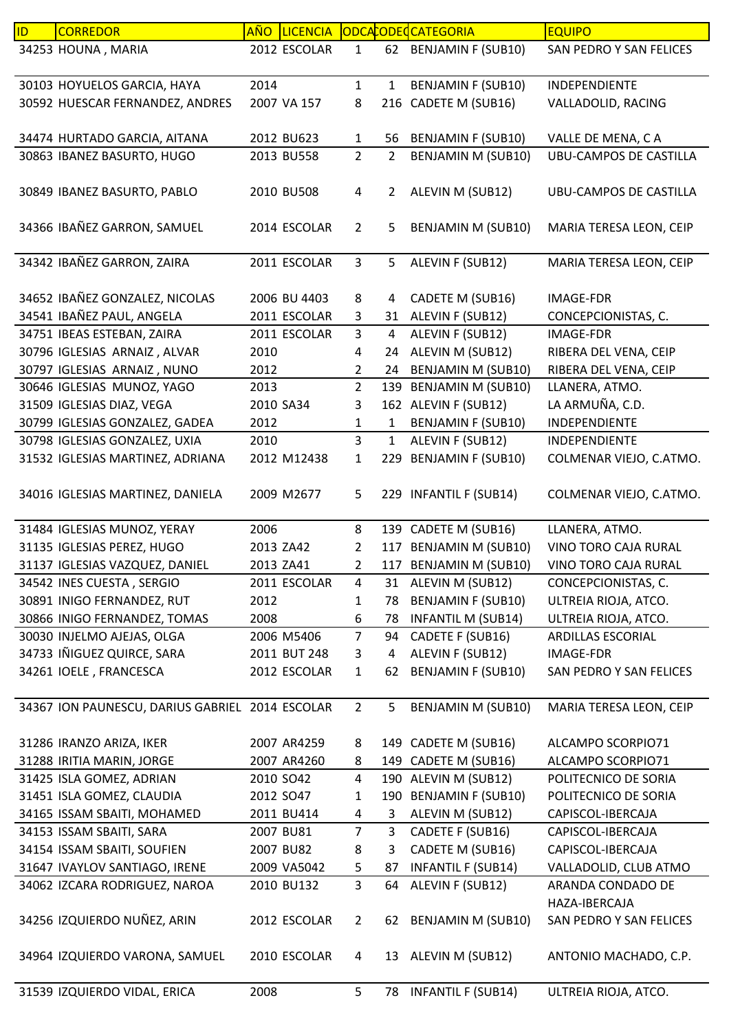| ID. | <b>CORREDOR</b>                                 | AÑO I     | <b>LICENCIA</b> |                |                | ODCACODEC CATEGORIA       | <b>EQUIPO</b>                 |
|-----|-------------------------------------------------|-----------|-----------------|----------------|----------------|---------------------------|-------------------------------|
|     | 34253 HOUNA, MARIA                              |           | 2012 ESCOLAR    | $\mathbf{1}$   |                | 62 BENJAMIN F (SUB10)     | SAN PEDRO Y SAN FELICES       |
|     |                                                 | 2014      |                 | $\mathbf{1}$   | $\mathbf{1}$   |                           |                               |
|     | 30103 HOYUELOS GARCIA, HAYA                     |           |                 |                |                | <b>BENJAMIN F (SUB10)</b> | INDEPENDIENTE                 |
|     | 30592 HUESCAR FERNANDEZ, ANDRES                 |           | 2007 VA 157     | 8              |                | 216 CADETE M (SUB16)      | VALLADOLID, RACING            |
|     | 34474 HURTADO GARCIA, AITANA                    |           | 2012 BU623      | $\mathbf{1}$   | 56             | <b>BENJAMIN F (SUB10)</b> | VALLE DE MENA, CA             |
|     | 30863 IBANEZ BASURTO, HUGO                      |           | 2013 BU558      | $\overline{2}$ | $\overline{2}$ | <b>BENJAMIN M (SUB10)</b> | <b>UBU-CAMPOS DE CASTILLA</b> |
|     |                                                 |           |                 |                |                |                           |                               |
|     | 30849 IBANEZ BASURTO, PABLO                     |           | 2010 BU508      | 4              | $\overline{2}$ | ALEVIN M (SUB12)          | UBU-CAMPOS DE CASTILLA        |
|     | 34366 IBAÑEZ GARRON, SAMUEL                     |           | 2014 ESCOLAR    | $\overline{2}$ | 5              | BENJAMIN M (SUB10)        | MARIA TERESA LEON, CEIP       |
|     | 34342 IBAÑEZ GARRON, ZAIRA                      |           | 2011 ESCOLAR    | $\mathbf{3}$   | 5              | ALEVIN F (SUB12)          | MARIA TERESA LEON, CEIP       |
|     |                                                 |           |                 |                |                |                           |                               |
|     | 34652 IBAÑEZ GONZALEZ, NICOLAS                  |           | 2006 BU 4403    | 8              | $\overline{4}$ | CADETE M (SUB16)          | <b>IMAGE-FDR</b>              |
|     | 34541 IBAÑEZ PAUL, ANGELA                       |           | 2011 ESCOLAR    | 3              |                | 31 ALEVIN F (SUB12)       | CONCEPCIONISTAS, C.           |
|     | 34751 IBEAS ESTEBAN, ZAIRA                      |           | 2011 ESCOLAR    | $\overline{3}$ | 4              | ALEVIN F (SUB12)          | <b>IMAGE-FDR</b>              |
|     | 30796 IGLESIAS ARNAIZ, ALVAR                    | 2010      |                 | 4              | 24             | ALEVIN M (SUB12)          | RIBERA DEL VENA, CEIP         |
|     | 30797 IGLESIAS ARNAIZ, NUNO                     | 2012      |                 | $\overline{2}$ | 24             | <b>BENJAMIN M (SUB10)</b> | RIBERA DEL VENA, CEIP         |
|     | 30646 IGLESIAS MUNOZ, YAGO                      | 2013      |                 | $\overline{2}$ |                | 139 BENJAMIN M (SUB10)    | LLANERA, ATMO.                |
|     | 31509 IGLESIAS DIAZ, VEGA                       | 2010 SA34 |                 | 3              |                | 162 ALEVIN F (SUB12)      | LA ARMUÑA, C.D.               |
|     | 30799 IGLESIAS GONZALEZ, GADEA                  | 2012      |                 | $\mathbf{1}$   | $\mathbf 1$    | <b>BENJAMIN F (SUB10)</b> | INDEPENDIENTE                 |
|     | 30798 IGLESIAS GONZALEZ, UXIA                   | 2010      |                 | $\overline{3}$ | $\mathbf{1}$   | ALEVIN F (SUB12)          | INDEPENDIENTE                 |
|     | 31532 IGLESIAS MARTINEZ, ADRIANA                |           | 2012 M12438     | $\mathbf{1}$   | 229            | <b>BENJAMIN F (SUB10)</b> | COLMENAR VIEJO, C.ATMO.       |
|     |                                                 |           |                 |                |                |                           |                               |
|     | 34016 IGLESIAS MARTINEZ, DANIELA                |           | 2009 M2677      | 5              |                | 229 INFANTIL F (SUB14)    | COLMENAR VIEJO, C.ATMO.       |
|     | 31484 IGLESIAS MUNOZ, YERAY                     | 2006      |                 | 8              |                | 139 CADETE M (SUB16)      | LLANERA, ATMO.                |
|     | 31135 IGLESIAS PEREZ, HUGO                      | 2013 ZA42 |                 | $\overline{2}$ |                | 117 BENJAMIN M (SUB10)    | VINO TORO CAJA RURAL          |
|     | 31137 IGLESIAS VAZQUEZ, DANIEL                  | 2013 ZA41 |                 | $\overline{2}$ |                | 117 BENJAMIN M (SUB10)    | VINO TORO CAJA RURAL          |
|     | 34542 INES CUESTA, SERGIO                       |           | 2011 ESCOLAR    | 4              |                | 31 ALEVIN M (SUB12)       | CONCEPCIONISTAS, C.           |
|     | 30891 INIGO FERNANDEZ, RUT                      | 2012      |                 | 1              | 78             | <b>BENJAMIN F (SUB10)</b> | ULTREIA RIOJA, ATCO.          |
|     | 30866 INIGO FERNANDEZ, TOMAS                    | 2008      |                 | 6              | 78             | <b>INFANTIL M (SUB14)</b> | ULTREIA RIOJA, ATCO.          |
|     | 30030 INJELMO AJEJAS, OLGA                      |           | 2006 M5406      | $\overline{7}$ | 94             | CADETE F (SUB16)          | ARDILLAS ESCORIAL             |
|     | 34733 IÑIGUEZ QUIRCE, SARA                      |           | 2011 BUT 248    | 3              | 4              | ALEVIN F (SUB12)          | <b>IMAGE-FDR</b>              |
|     | 34261 IOELE, FRANCESCA                          |           | 2012 ESCOLAR    | $\mathbf{1}$   | 62             | <b>BENJAMIN F (SUB10)</b> | SAN PEDRO Y SAN FELICES       |
|     |                                                 |           |                 |                |                |                           |                               |
|     | 34367 ION PAUNESCU, DARIUS GABRIEL 2014 ESCOLAR |           |                 | $\overline{2}$ | 5              | <b>BENJAMIN M (SUB10)</b> | MARIA TERESA LEON, CEIP       |
|     |                                                 |           |                 |                |                |                           |                               |
|     | 31286 IRANZO ARIZA, IKER                        |           | 2007 AR4259     | 8              |                | 149 CADETE M (SUB16)      | ALCAMPO SCORPIO71             |
|     | 31288 IRITIA MARIN, JORGE                       |           | 2007 AR4260     | 8              |                | 149 CADETE M (SUB16)      | ALCAMPO SCORPIO71             |
|     | 31425 ISLA GOMEZ, ADRIAN                        |           | 2010 SO42       | 4              |                | 190 ALEVIN M (SUB12)      | POLITECNICO DE SORIA          |
|     | 31451 ISLA GOMEZ, CLAUDIA                       | 2012 SO47 |                 | 1              |                | 190 BENJAMIN F (SUB10)    | POLITECNICO DE SORIA          |
|     | 34165 ISSAM SBAITI, MOHAMED                     |           | 2011 BU414      | 4              | 3              | ALEVIN M (SUB12)          | CAPISCOL-IBERCAJA             |
|     | 34153 ISSAM SBAITI, SARA                        |           | 2007 BU81       | $\overline{7}$ | 3              | CADETE F (SUB16)          | CAPISCOL-IBERCAJA             |
|     | 34154 ISSAM SBAITI, SOUFIEN                     |           | 2007 BU82       | 8              | 3              | CADETE M (SUB16)          | CAPISCOL-IBERCAJA             |
|     | 31647 IVAYLOV SANTIAGO, IRENE                   |           | 2009 VA5042     | 5              | 87             | <b>INFANTIL F (SUB14)</b> | VALLADOLID, CLUB ATMO         |
|     | 34062 IZCARA RODRIGUEZ, NAROA                   |           | 2010 BU132      | 3              | 64             | ALEVIN F (SUB12)          | ARANDA CONDADO DE             |
|     |                                                 |           |                 |                |                |                           | HAZA-IBERCAJA                 |
|     | 34256 IZQUIERDO NUÑEZ, ARIN                     |           | 2012 ESCOLAR    | $\overline{2}$ | 62             | BENJAMIN M (SUB10)        | SAN PEDRO Y SAN FELICES       |
|     | 34964 IZQUIERDO VARONA, SAMUEL                  |           | 2010 ESCOLAR    | 4              | 13             | ALEVIN M (SUB12)          | ANTONIO MACHADO, C.P.         |
|     |                                                 |           |                 |                |                |                           |                               |
|     | 31539 IZQUIERDO VIDAL, ERICA                    | 2008      |                 | 5              | 78             | <b>INFANTIL F (SUB14)</b> | ULTREIA RIOJA, ATCO.          |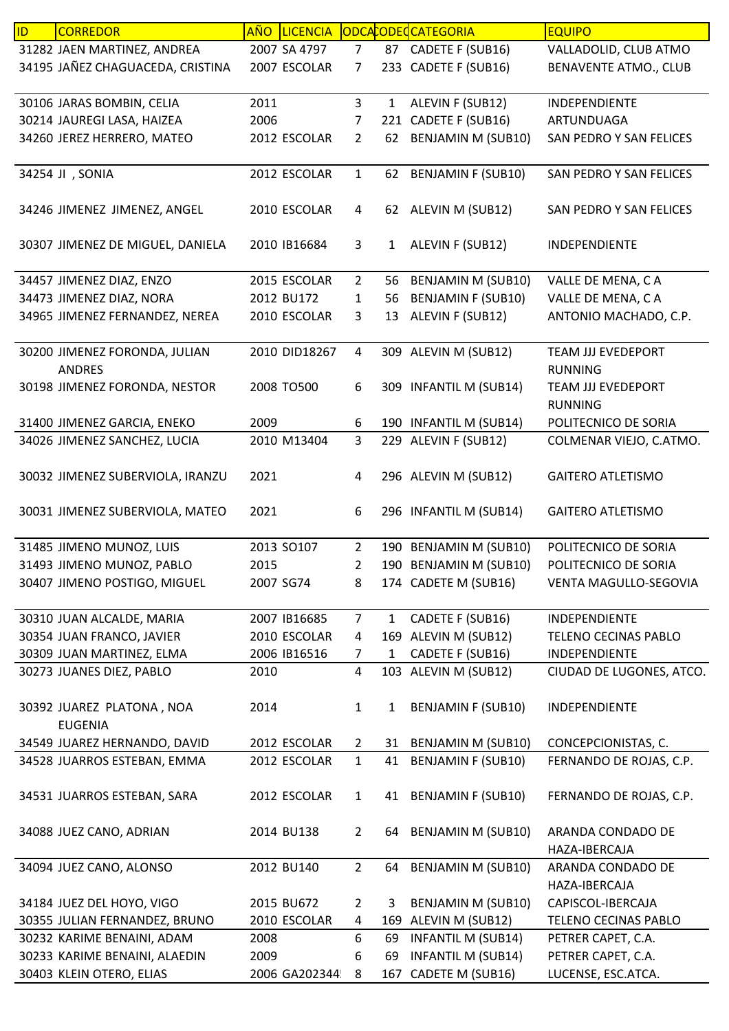| ID | <b>CORREDOR</b>                  |           | AÑO LICENCIA  |                         |              | ODCACODECATEGORIA         | <b>EQUIPO</b>                |
|----|----------------------------------|-----------|---------------|-------------------------|--------------|---------------------------|------------------------------|
|    | 31282 JAEN MARTINEZ, ANDREA      |           | 2007 SA 4797  | 7 <sup>1</sup>          |              | 87 CADETE F (SUB16)       | VALLADOLID, CLUB ATMO        |
|    | 34195 JAÑEZ CHAGUACEDA, CRISTINA |           | 2007 ESCOLAR  | 7                       |              | 233 CADETE F (SUB16)      | <b>BENAVENTE ATMO., CLUB</b> |
|    |                                  |           |               |                         |              |                           |                              |
|    | 30106 JARAS BOMBIN, CELIA        | 2011      |               | $\overline{\mathbf{3}}$ | $\mathbf{1}$ | ALEVIN F (SUB12)          | INDEPENDIENTE                |
|    | 30214 JAUREGI LASA, HAIZEA       | 2006      |               | 7                       |              | 221 CADETE F (SUB16)      | ARTUNDUAGA                   |
|    | 34260 JEREZ HERRERO, MATEO       |           | 2012 ESCOLAR  | $\overline{2}$          | 62           | <b>BENJAMIN M (SUB10)</b> | SAN PEDRO Y SAN FELICES      |
|    |                                  |           |               |                         |              |                           |                              |
|    | 34254 JI, SONIA                  |           | 2012 ESCOLAR  | $\mathbf{1}$            | 62           | <b>BENJAMIN F (SUB10)</b> | SAN PEDRO Y SAN FELICES      |
|    |                                  |           |               |                         |              |                           |                              |
|    | 34246 JIMENEZ JIMENEZ, ANGEL     |           | 2010 ESCOLAR  | 4                       |              | 62 ALEVIN M (SUB12)       | SAN PEDRO Y SAN FELICES      |
|    |                                  |           |               |                         |              |                           |                              |
|    | 30307 JIMENEZ DE MIGUEL, DANIELA |           | 2010 IB16684  | 3                       | $\mathbf{1}$ | ALEVIN F (SUB12)          | INDEPENDIENTE                |
|    |                                  |           |               |                         |              |                           |                              |
|    | 34457 JIMENEZ DIAZ, ENZO         |           | 2015 ESCOLAR  | $\overline{2}$          | 56           | <b>BENJAMIN M (SUB10)</b> | VALLE DE MENA, CA            |
|    | 34473 JIMENEZ DIAZ, NORA         |           | 2012 BU172    | $\mathbf{1}$            | 56           | <b>BENJAMIN F (SUB10)</b> | VALLE DE MENA, CA            |
|    |                                  |           |               |                         |              |                           |                              |
|    | 34965 JIMENEZ FERNANDEZ, NEREA   |           | 2010 ESCOLAR  | 3                       | 13           | ALEVIN F (SUB12)          | ANTONIO MACHADO, C.P.        |
|    |                                  |           |               |                         |              |                           |                              |
|    | 30200 JIMENEZ FORONDA, JULIAN    |           | 2010 DID18267 | $\overline{4}$          |              | 309 ALEVIN M (SUB12)      | TEAM JJJ EVEDEPORT           |
|    | <b>ANDRES</b>                    |           |               |                         |              |                           | <b>RUNNING</b>               |
|    | 30198 JIMENEZ FORONDA, NESTOR    |           | 2008 TO500    | 6                       |              | 309 INFANTIL M (SUB14)    | TEAM JJJ EVEDEPORT           |
|    |                                  |           |               |                         |              |                           | <b>RUNNING</b>               |
|    | 31400 JIMENEZ GARCIA, ENEKO      | 2009      |               | 6                       |              | 190 INFANTIL M (SUB14)    | POLITECNICO DE SORIA         |
|    | 34026 JIMENEZ SANCHEZ, LUCIA     |           | 2010 M13404   | $\overline{3}$          |              | 229 ALEVIN F (SUB12)      | COLMENAR VIEJO, C.ATMO.      |
|    |                                  |           |               |                         |              |                           |                              |
|    | 30032 JIMENEZ SUBERVIOLA, IRANZU | 2021      |               | 4                       |              | 296 ALEVIN M (SUB12)      | <b>GAITERO ATLETISMO</b>     |
|    |                                  |           |               |                         |              |                           |                              |
|    | 30031 JIMENEZ SUBERVIOLA, MATEO  | 2021      |               | 6                       |              | 296 INFANTIL M (SUB14)    | <b>GAITERO ATLETISMO</b>     |
|    |                                  |           |               |                         |              |                           |                              |
|    | 31485 JIMENO MUNOZ, LUIS         |           | 2013 SO107    | $\overline{2}$          |              | 190 BENJAMIN M (SUB10)    | POLITECNICO DE SORIA         |
|    | 31493 JIMENO MUNOZ, PABLO        | 2015      |               | $\overline{2}$          |              | 190 BENJAMIN M (SUB10)    | POLITECNICO DE SORIA         |
|    | 30407 JIMENO POSTIGO, MIGUEL     | 2007 SG74 |               | 8                       |              | 174 CADETE M (SUB16)      | VENTA MAGULLO-SEGOVIA        |
|    |                                  |           |               |                         |              |                           |                              |
|    | 30310 JUAN ALCALDE, MARIA        |           | 2007 IB16685  | $\overline{7}$          | $\mathbf{1}$ | CADETE F (SUB16)          | INDEPENDIENTE                |
|    | 30354 JUAN FRANCO, JAVIER        |           | 2010 ESCOLAR  | 4                       |              | 169 ALEVIN M (SUB12)      | TELENO CECINAS PABLO         |
|    | 30309 JUAN MARTINEZ, ELMA        |           | 2006 IB16516  | $\overline{7}$          | $\mathbf{1}$ | CADETE F (SUB16)          | INDEPENDIENTE                |
|    | 30273 JUANES DIEZ, PABLO         | 2010      |               | 4                       |              | 103 ALEVIN M (SUB12)      | CIUDAD DE LUGONES, ATCO.     |
|    |                                  |           |               |                         |              |                           |                              |
|    | 30392 JUAREZ PLATONA, NOA        | 2014      |               | $\mathbf{1}$            | 1            | <b>BENJAMIN F (SUB10)</b> | INDEPENDIENTE                |
|    | <b>EUGENIA</b>                   |           |               |                         |              |                           |                              |
|    | 34549 JUAREZ HERNANDO, DAVID     |           | 2012 ESCOLAR  | $\overline{2}$          | 31           | <b>BENJAMIN M (SUB10)</b> | CONCEPCIONISTAS, C.          |
|    | 34528 JUARROS ESTEBAN, EMMA      |           | 2012 ESCOLAR  | $\mathbf{1}$            | 41           | <b>BENJAMIN F (SUB10)</b> | FERNANDO DE ROJAS, C.P.      |
|    |                                  |           |               |                         |              |                           |                              |
|    | 34531 JUARROS ESTEBAN, SARA      |           | 2012 ESCOLAR  | $\mathbf{1}$            | 41           | <b>BENJAMIN F (SUB10)</b> | FERNANDO DE ROJAS, C.P.      |
|    |                                  |           |               |                         |              |                           |                              |
|    |                                  |           |               |                         |              |                           |                              |
|    | 34088 JUEZ CANO, ADRIAN          |           | 2014 BU138    | $\overline{2}$          | 64           | <b>BENJAMIN M (SUB10)</b> | ARANDA CONDADO DE            |
|    |                                  |           |               |                         |              |                           | HAZA-IBERCAJA                |
|    | 34094 JUEZ CANO, ALONSO          |           | 2012 BU140    | $\overline{2}$          | 64           | <b>BENJAMIN M (SUB10)</b> | ARANDA CONDADO DE            |
|    |                                  |           |               |                         |              |                           | HAZA-IBERCAJA                |
|    | 34184 JUEZ DEL HOYO, VIGO        |           | 2015 BU672    | $\overline{2}$          | 3            | <b>BENJAMIN M (SUB10)</b> | CAPISCOL-IBERCAJA            |
|    | 30355 JULIAN FERNANDEZ, BRUNO    |           | 2010 ESCOLAR  | 4                       |              | 169 ALEVIN M (SUB12)      | TELENO CECINAS PABLO         |
|    | 30232 KARIME BENAINI, ADAM       | 2008      |               | 6                       | 69           | <b>INFANTIL M (SUB14)</b> | PETRER CAPET, C.A.           |
|    | 30233 KARIME BENAINI, ALAEDIN    | 2009      |               | 6                       | 69           | <b>INFANTIL M (SUB14)</b> | PETRER CAPET, C.A.           |
|    | 30403 KLEIN OTERO, ELIAS         |           | 2006 GA202344 | 8                       | 167          | CADETE M (SUB16)          | LUCENSE, ESC.ATCA.           |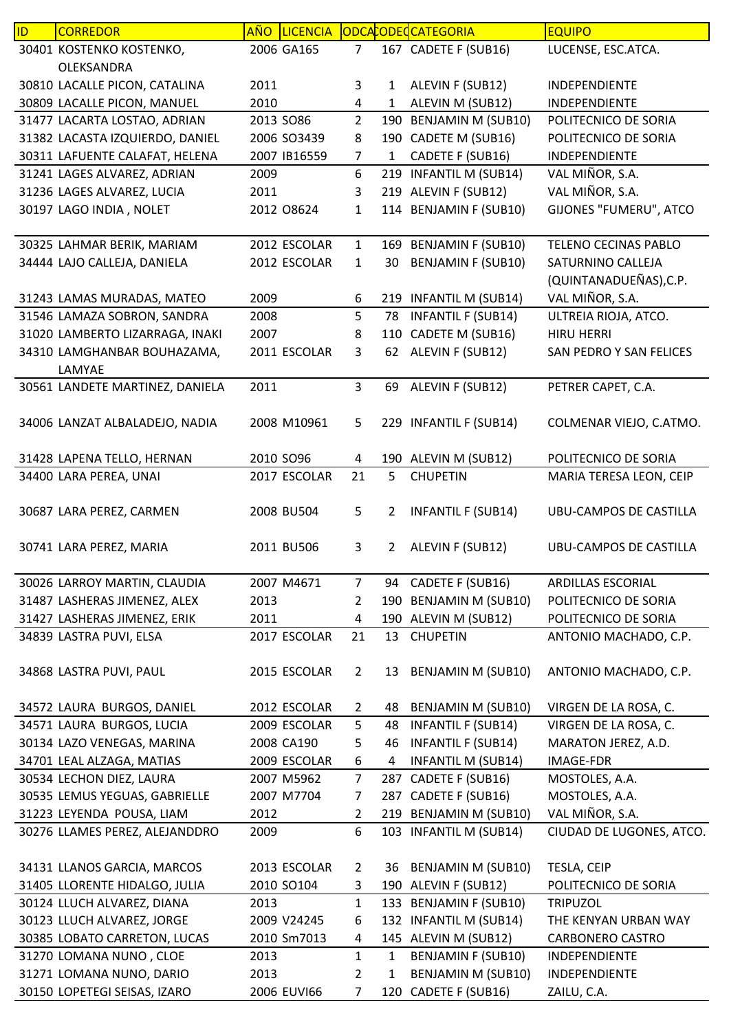| ID. | <b>CORREDOR</b>                 | <b>AÑO</b> | <b>LICENCIA</b> |                |                | ODCACODECATEGORIA         | <b>EQUIPO</b>                 |
|-----|---------------------------------|------------|-----------------|----------------|----------------|---------------------------|-------------------------------|
|     | 30401 KOSTENKO KOSTENKO,        |            | 2006 GA165      | 7              |                | 167 CADETE F (SUB16)      | LUCENSE, ESC.ATCA.            |
|     | OLEKSANDRA                      |            |                 |                |                |                           |                               |
|     | 30810 LACALLE PICON, CATALINA   | 2011       |                 | 3              | 1              | ALEVIN F (SUB12)          | <b>INDEPENDIENTE</b>          |
|     | 30809 LACALLE PICON, MANUEL     | 2010       |                 | 4              | 1              | ALEVIN M (SUB12)          | INDEPENDIENTE                 |
|     | 31477 LACARTA LOSTAO, ADRIAN    |            | 2013 SO86       | $\overline{2}$ | 190            | <b>BENJAMIN M (SUB10)</b> | POLITECNICO DE SORIA          |
|     | 31382 LACASTA IZQUIERDO, DANIEL |            | 2006 SO3439     | 8              |                | 190 CADETE M (SUB16)      | POLITECNICO DE SORIA          |
|     | 30311 LAFUENTE CALAFAT, HELENA  |            | 2007 IB16559    | $\overline{7}$ | 1              | CADETE F (SUB16)          | INDEPENDIENTE                 |
|     | 31241 LAGES ALVAREZ, ADRIAN     | 2009       |                 | 6              |                | 219 INFANTIL M (SUB14)    | VAL MIÑOR, S.A.               |
|     | 31236 LAGES ALVAREZ, LUCIA      | 2011       |                 | 3              |                | 219 ALEVIN F (SUB12)      | VAL MIÑOR, S.A.               |
|     | 30197 LAGO INDIA, NOLET         |            | 2012 08624      | $\mathbf{1}$   | 114            | <b>BENJAMIN F (SUB10)</b> | GIJONES "FUMERU", ATCO        |
|     |                                 |            |                 |                |                |                           |                               |
|     | 30325 LAHMAR BERIK, MARIAM      |            | 2012 ESCOLAR    | $\mathbf{1}$   |                | 169 BENJAMIN F (SUB10)    | <b>TELENO CECINAS PABLO</b>   |
|     | 34444 LAJO CALLEJA, DANIELA     |            | 2012 ESCOLAR    | $\mathbf{1}$   | 30             | <b>BENJAMIN F (SUB10)</b> | SATURNINO CALLEJA             |
|     |                                 |            |                 |                |                |                           | (QUINTANADUEÑAS), C.P.        |
|     | 31243 LAMAS MURADAS, MATEO      | 2009       |                 | 6              |                | 219 INFANTIL M (SUB14)    | VAL MIÑOR, S.A.               |
|     | 31546 LAMAZA SOBRON, SANDRA     | 2008       |                 | 5              | 78             | <b>INFANTIL F (SUB14)</b> | ULTREIA RIOJA, ATCO.          |
|     | 31020 LAMBERTO LIZARRAGA, INAKI | 2007       |                 | 8              | 110            | CADETE M (SUB16)          | <b>HIRU HERRI</b>             |
|     | 34310 LAMGHANBAR BOUHAZAMA,     |            | 2011 ESCOLAR    | 3              | 62             | ALEVIN F (SUB12)          | SAN PEDRO Y SAN FELICES       |
|     | LAMYAE                          |            |                 |                |                |                           |                               |
|     | 30561 LANDETE MARTINEZ, DANIELA | 2011       |                 | 3              | 69             | ALEVIN F (SUB12)          | PETRER CAPET, C.A.            |
|     |                                 |            |                 |                |                |                           |                               |
|     | 34006 LANZAT ALBALADEJO, NADIA  |            | 2008 M10961     | 5              |                | 229 INFANTIL F (SUB14)    | COLMENAR VIEJO, C.ATMO.       |
|     |                                 |            |                 |                |                |                           |                               |
|     | 31428 LAPENA TELLO, HERNAN      |            | 2010 SO96       | 4              |                | 190 ALEVIN M (SUB12)      | POLITECNICO DE SORIA          |
|     | 34400 LARA PEREA, UNAI          |            | 2017 ESCOLAR    | 21             | 5              | <b>CHUPETIN</b>           | MARIA TERESA LEON, CEIP       |
|     |                                 |            |                 |                |                |                           |                               |
|     | 30687 LARA PEREZ, CARMEN        |            | 2008 BU504      | 5              | 2              | <b>INFANTIL F (SUB14)</b> | <b>UBU-CAMPOS DE CASTILLA</b> |
|     |                                 |            |                 |                |                |                           |                               |
|     | 30741 LARA PEREZ, MARIA         |            | 2011 BU506      | 3              | 2              | ALEVIN F (SUB12)          | UBU-CAMPOS DE CASTILLA        |
|     | 30026 LARROY MARTIN, CLAUDIA    |            | 2007 M4671      | $\overline{7}$ |                | 94 CADETE F (SUB16)       | <b>ARDILLAS ESCORIAL</b>      |
|     | 31487 LASHERAS JIMENEZ, ALEX    | 2013       |                 | $\overline{2}$ |                | 190 BENJAMIN M (SUB10)    | POLITECNICO DE SORIA          |
|     | 31427 LASHERAS JIMENEZ, ERIK    | 2011       |                 | 4              |                | 190 ALEVIN M (SUB12)      | POLITECNICO DE SORIA          |
|     | 34839 LASTRA PUVI, ELSA         |            | 2017 ESCOLAR    | 21             |                | 13 CHUPETIN               | ANTONIO MACHADO, C.P.         |
|     |                                 |            |                 |                |                |                           |                               |
|     | 34868 LASTRA PUVI, PAUL         |            | 2015 ESCOLAR    | $\overline{2}$ |                | 13 BENJAMIN M (SUB10)     | ANTONIO MACHADO, C.P.         |
|     |                                 |            |                 |                |                |                           |                               |
|     | 34572 LAURA BURGOS, DANIEL      |            | 2012 ESCOLAR    | $\overline{2}$ | 48             | <b>BENJAMIN M (SUB10)</b> | VIRGEN DE LA ROSA, C.         |
|     | 34571 LAURA BURGOS, LUCIA       |            | 2009 ESCOLAR    | 5              | 48             | <b>INFANTIL F (SUB14)</b> | VIRGEN DE LA ROSA, C.         |
|     | 30134 LAZO VENEGAS, MARINA      |            | 2008 CA190      | 5              | 46             | <b>INFANTIL F (SUB14)</b> | MARATON JEREZ, A.D.           |
|     | 34701 LEAL ALZAGA, MATIAS       |            | 2009 ESCOLAR    | 6              | $\overline{a}$ | <b>INFANTIL M (SUB14)</b> | <b>IMAGE-FDR</b>              |
|     | 30534 LECHON DIEZ, LAURA        |            | 2007 M5962      | $\overline{7}$ |                | 287 CADETE F (SUB16)      | MOSTOLES, A.A.                |
|     | 30535 LEMUS YEGUAS, GABRIELLE   |            | 2007 M7704      | $\overline{7}$ | 287            | CADETE F (SUB16)          | MOSTOLES, A.A.                |
|     | 31223 LEYENDA POUSA, LIAM       | 2012       |                 | $\overline{2}$ |                | 219 BENJAMIN M (SUB10)    | VAL MIÑOR, S.A.               |
|     | 30276 LLAMES PEREZ, ALEJANDDRO  | 2009       |                 | 6              |                | 103 INFANTIL M (SUB14)    | CIUDAD DE LUGONES, ATCO.      |
|     |                                 |            |                 |                |                |                           |                               |
|     | 34131 LLANOS GARCIA, MARCOS     |            | 2013 ESCOLAR    | $\overline{2}$ | 36             | <b>BENJAMIN M (SUB10)</b> | TESLA, CEIP                   |
|     | 31405 LLORENTE HIDALGO, JULIA   |            | 2010 SO104      | 3              |                | 190 ALEVIN F (SUB12)      | POLITECNICO DE SORIA          |
|     | 30124 LLUCH ALVAREZ, DIANA      | 2013       |                 | $\mathbf{1}$   |                | 133 BENJAMIN F (SUB10)    | <b>TRIPUZOL</b>               |
|     | 30123 LLUCH ALVAREZ, JORGE      |            | 2009 V24245     | 6              |                | 132 INFANTIL M (SUB14)    | THE KENYAN URBAN WAY          |
|     | 30385 LOBATO CARRETON, LUCAS    |            | 2010 Sm7013     | 4              |                | 145 ALEVIN M (SUB12)      | <b>CARBONERO CASTRO</b>       |
|     | 31270 LOMANA NUNO, CLOE         | 2013       |                 | $\mathbf{1}$   | 1              | <b>BENJAMIN F (SUB10)</b> | INDEPENDIENTE                 |
|     | 31271 LOMANA NUNO, DARIO        | 2013       |                 | $\overline{2}$ | $\mathbf{1}$   | BENJAMIN M (SUB10)        | INDEPENDIENTE                 |
|     | 30150 LOPETEGI SEISAS, IZARO    |            | 2006 EUVI66     | $\overline{7}$ |                | 120 CADETE F (SUB16)      | ZAILU, C.A.                   |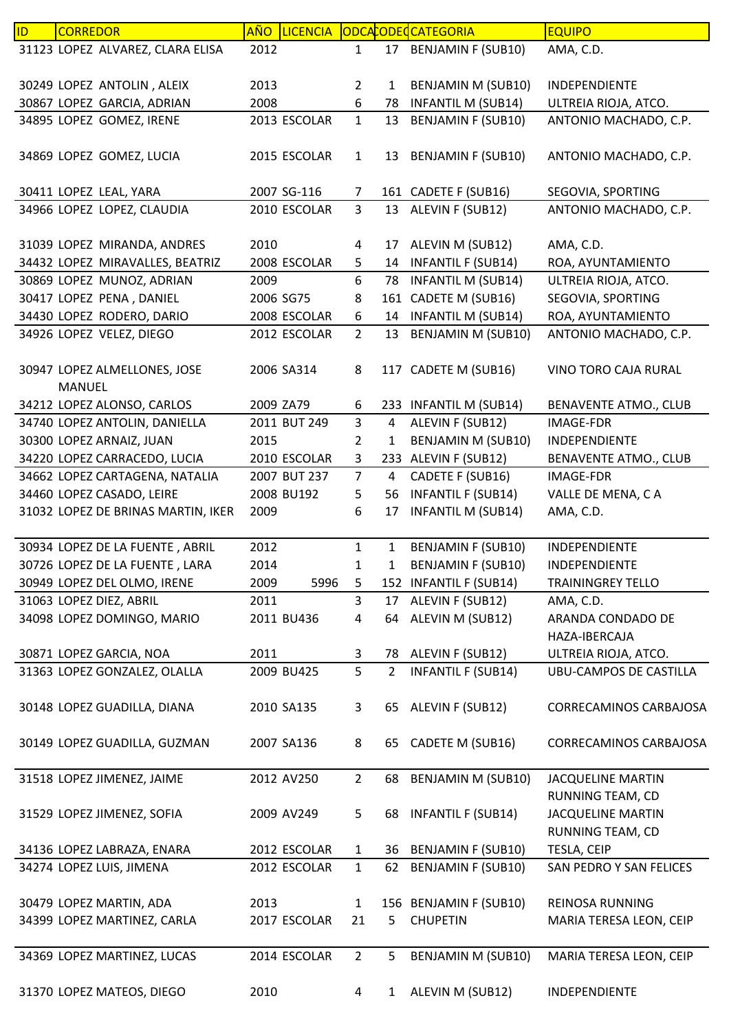| ID | <b>CORREDOR</b>                             | <b>AÑO</b> | <b>LICENCIA</b> |                |                | ODCACODECATEGORIA         | <b>EQUIPO</b>                 |
|----|---------------------------------------------|------------|-----------------|----------------|----------------|---------------------------|-------------------------------|
|    | 31123 LOPEZ ALVAREZ, CLARA ELISA            | 2012       |                 | $\mathbf{1}$   |                | 17 BENJAMIN F (SUB10)     | AMA, C.D.                     |
|    |                                             |            |                 |                |                |                           |                               |
|    | 30249 LOPEZ ANTOLIN, ALEIX                  | 2013       |                 | $\overline{2}$ | 1              | BENJAMIN M (SUB10)        | INDEPENDIENTE                 |
|    | 30867 LOPEZ GARCIA, ADRIAN                  | 2008       |                 | 6              | 78             | <b>INFANTIL M (SUB14)</b> | ULTREIA RIOJA, ATCO.          |
|    | 34895 LOPEZ GOMEZ, IRENE                    |            | 2013 ESCOLAR    | $\mathbf{1}$   | 13             | <b>BENJAMIN F (SUB10)</b> | ANTONIO MACHADO, C.P.         |
|    |                                             |            |                 |                |                |                           |                               |
|    | 34869 LOPEZ GOMEZ, LUCIA                    |            | 2015 ESCOLAR    | $\mathbf{1}$   |                | 13 BENJAMIN F (SUB10)     | ANTONIO MACHADO, C.P.         |
|    |                                             |            |                 |                |                |                           |                               |
|    | 30411 LOPEZ LEAL, YARA                      |            | 2007 SG-116     | 7              |                | 161 CADETE F (SUB16)      | SEGOVIA, SPORTING             |
|    | 34966 LOPEZ LOPEZ, CLAUDIA                  |            | 2010 ESCOLAR    | $\mathbf{3}$   |                | 13 ALEVIN F (SUB12)       | ANTONIO MACHADO, C.P.         |
|    |                                             |            |                 |                |                |                           |                               |
|    | 31039 LOPEZ MIRANDA, ANDRES                 | 2010       |                 | 4              | 17             | ALEVIN M (SUB12)          | AMA, C.D.                     |
|    | 34432 LOPEZ MIRAVALLES, BEATRIZ             |            | 2008 ESCOLAR    | 5              | 14             | <b>INFANTIL F (SUB14)</b> | ROA, AYUNTAMIENTO             |
|    | 30869 LOPEZ MUNOZ, ADRIAN                   | 2009       |                 | 6              | 78             | <b>INFANTIL M (SUB14)</b> | ULTREIA RIOJA, ATCO.          |
|    | 30417 LOPEZ PENA, DANIEL                    | 2006 SG75  |                 | 8              |                | 161 CADETE M (SUB16)      | SEGOVIA, SPORTING             |
|    | 34430 LOPEZ RODERO, DARIO                   |            | 2008 ESCOLAR    | 6              |                | 14 INFANTIL M (SUB14)     | ROA, AYUNTAMIENTO             |
|    | 34926 LOPEZ VELEZ, DIEGO                    |            | 2012 ESCOLAR    | $\overline{2}$ | 13             | BENJAMIN M (SUB10)        | ANTONIO MACHADO, C.P.         |
|    |                                             |            |                 |                |                |                           |                               |
|    | 30947 LOPEZ ALMELLONES, JOSE                |            | 2006 SA314      | 8              |                | 117 CADETE M (SUB16)      | VINO TORO CAJA RURAL          |
|    | <b>MANUEL</b><br>34212 LOPEZ ALONSO, CARLOS | 2009 ZA79  |                 | 6              |                | 233 INFANTIL M (SUB14)    | BENAVENTE ATMO., CLUB         |
|    | 34740 LOPEZ ANTOLIN, DANIELLA               |            | 2011 BUT 249    | $\overline{3}$ | 4              | ALEVIN F (SUB12)          | <b>IMAGE-FDR</b>              |
|    | 30300 LOPEZ ARNAIZ, JUAN                    | 2015       |                 | $\overline{2}$ | $\mathbf{1}$   | BENJAMIN M (SUB10)        | INDEPENDIENTE                 |
|    | 34220 LOPEZ CARRACEDO, LUCIA                |            | 2010 ESCOLAR    | 3              |                | 233 ALEVIN F (SUB12)      | <b>BENAVENTE ATMO., CLUB</b>  |
|    | 34662 LOPEZ CARTAGENA, NATALIA              |            | 2007 BUT 237    | $\overline{7}$ | $\overline{4}$ | CADETE F (SUB16)          | <b>IMAGE-FDR</b>              |
|    | 34460 LOPEZ CASADO, LEIRE                   |            | 2008 BU192      | 5              | 56             | <b>INFANTIL F (SUB14)</b> | VALLE DE MENA, CA             |
|    | 31032 LOPEZ DE BRINAS MARTIN, IKER          | 2009       |                 | 6              | 17             | <b>INFANTIL M (SUB14)</b> | AMA, C.D.                     |
|    |                                             |            |                 |                |                |                           |                               |
|    | 30934 LOPEZ DE LA FUENTE, ABRIL             | 2012       |                 | $\mathbf{1}$   | 1              | <b>BENJAMIN F (SUB10)</b> | INDEPENDIENTE                 |
|    | 30726 LOPEZ DE LA FUENTE, LARA              | 2014       |                 | $\mathbf{1}$   | 1              | <b>BENJAMIN F (SUB10)</b> | INDEPENDIENTE                 |
|    | 30949 LOPEZ DEL OLMO, IRENE                 | 2009       | 5996            | 5              |                | 152 INFANTIL F (SUB14)    | <b>TRAININGREY TELLO</b>      |
|    | 31063 LOPEZ DIEZ, ABRIL                     | 2011       |                 | 3              |                | 17 ALEVIN F (SUB12)       | AMA, C.D.                     |
|    | 34098 LOPEZ DOMINGO, MARIO                  |            | 2011 BU436      | 4              | 64             | ALEVIN M (SUB12)          | ARANDA CONDADO DE             |
|    |                                             |            |                 |                |                |                           | HAZA-IBERCAJA                 |
|    | 30871 LOPEZ GARCIA, NOA                     | 2011       |                 | 3              | 78             | ALEVIN F (SUB12)          | ULTREIA RIOJA, ATCO.          |
|    | 31363 LOPEZ GONZALEZ, OLALLA                |            | 2009 BU425      | 5              | $\overline{2}$ | <b>INFANTIL F (SUB14)</b> | UBU-CAMPOS DE CASTILLA        |
|    |                                             |            |                 |                |                |                           |                               |
|    | 30148 LOPEZ GUADILLA, DIANA                 |            | 2010 SA135      | 3              |                | 65 ALEVIN F (SUB12)       | <b>CORRECAMINOS CARBAJOSA</b> |
|    |                                             |            |                 |                |                |                           |                               |
|    | 30149 LOPEZ GUADILLA, GUZMAN                |            | 2007 SA136      | 8              | 65             | CADETE M (SUB16)          | CORRECAMINOS CARBAJOSA        |
|    |                                             |            |                 |                |                |                           |                               |
|    | 31518 LOPEZ JIMENEZ, JAIME                  |            | 2012 AV250      | $\overline{2}$ | 68             | BENJAMIN M (SUB10)        | <b>JACQUELINE MARTIN</b>      |
|    |                                             |            |                 |                |                |                           | RUNNING TEAM, CD              |
|    | 31529 LOPEZ JIMENEZ, SOFIA                  |            | 2009 AV249      | 5              | 68             | <b>INFANTIL F (SUB14)</b> | <b>JACQUELINE MARTIN</b>      |
|    |                                             |            |                 |                |                |                           | RUNNING TEAM, CD              |
|    | 34136 LOPEZ LABRAZA, ENARA                  |            | 2012 ESCOLAR    | $\mathbf{1}$   | 36             | <b>BENJAMIN F (SUB10)</b> | TESLA, CEIP                   |
|    | 34274 LOPEZ LUIS, JIMENA                    |            | 2012 ESCOLAR    | $\mathbf{1}$   | 62             | <b>BENJAMIN F (SUB10)</b> | SAN PEDRO Y SAN FELICES       |
|    |                                             |            |                 |                |                |                           |                               |
|    | 30479 LOPEZ MARTIN, ADA                     | 2013       |                 | $\mathbf{1}$   |                | 156 BENJAMIN F (SUB10)    | <b>REINOSA RUNNING</b>        |
|    | 34399 LOPEZ MARTINEZ, CARLA                 |            | 2017 ESCOLAR    | 21             | 5              | <b>CHUPETIN</b>           | MARIA TERESA LEON, CEIP       |
|    |                                             |            |                 |                |                |                           |                               |
|    | 34369 LOPEZ MARTINEZ, LUCAS                 |            | 2014 ESCOLAR    | $\overline{2}$ | 5              | BENJAMIN M (SUB10)        | MARIA TERESA LEON, CEIP       |
|    |                                             |            |                 |                |                |                           |                               |
|    | 31370 LOPEZ MATEOS, DIEGO                   | 2010       |                 | 4              | $\mathbf{1}$   | ALEVIN M (SUB12)          | INDEPENDIENTE                 |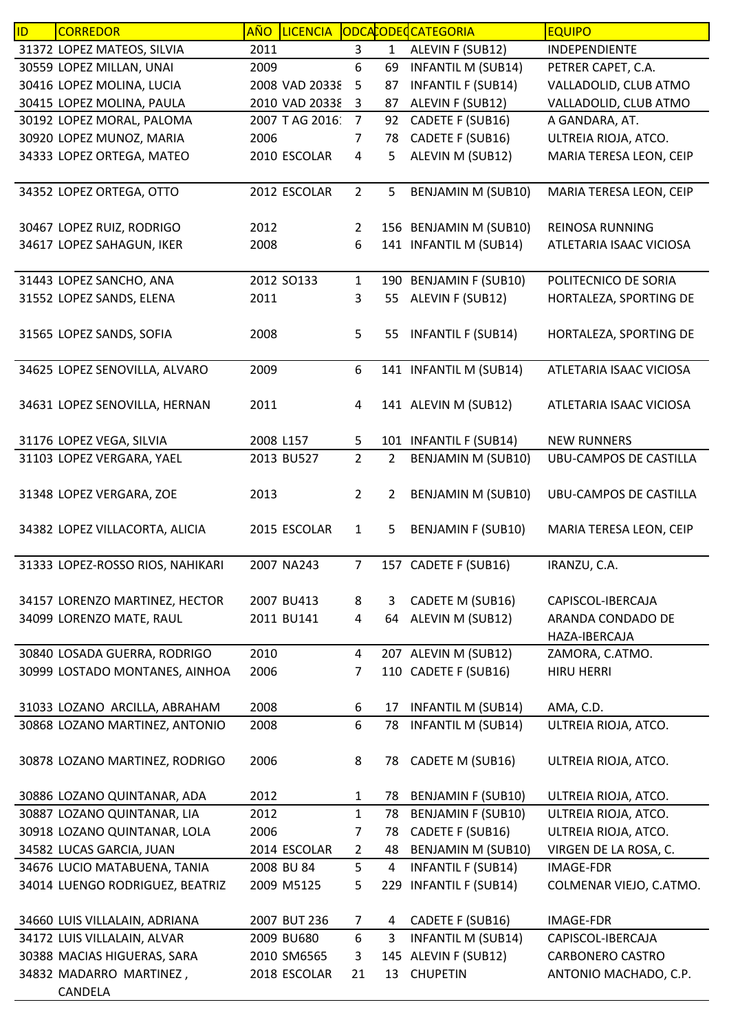| ID | <b>CORREDOR</b>                  | <b>AÑO</b> |                  |                |     | LICENCIA ODCACODECATEGORIA | <b>EQUIPO</b>                 |
|----|----------------------------------|------------|------------------|----------------|-----|----------------------------|-------------------------------|
|    | 31372 LOPEZ MATEOS, SILVIA       | 2011       |                  | 3              | 1   | ALEVIN F (SUB12)           | INDEPENDIENTE                 |
|    | 30559 LOPEZ MILLAN, UNAI         | 2009       |                  | 6              | 69  | <b>INFANTIL M (SUB14)</b>  | PETRER CAPET, C.A.            |
|    | 30416 LOPEZ MOLINA, LUCIA        |            | 2008 VAD 20338   | 5              | 87  | <b>INFANTIL F (SUB14)</b>  | VALLADOLID, CLUB ATMO         |
|    | 30415 LOPEZ MOLINA, PAULA        |            | 2010 VAD 20338 3 |                | 87  | ALEVIN F (SUB12)           | VALLADOLID, CLUB ATMO         |
|    | 30192 LOPEZ MORAL, PALOMA        |            | 2007 T AG 2016:  | $\overline{7}$ | 92  | CADETE F (SUB16)           | A GANDARA, AT.                |
|    | 30920 LOPEZ MUNOZ, MARIA         | 2006       |                  | $\overline{7}$ | 78  | CADETE F (SUB16)           | ULTREIA RIOJA, ATCO.          |
|    | 34333 LOPEZ ORTEGA, MATEO        |            | 2010 ESCOLAR     | 4              | 5   | ALEVIN M (SUB12)           | MARIA TERESA LEON, CEIP       |
|    |                                  |            |                  |                |     |                            |                               |
|    | 34352 LOPEZ ORTEGA, OTTO         |            | 2012 ESCOLAR     | $\overline{2}$ | 5   | <b>BENJAMIN M (SUB10)</b>  | MARIA TERESA LEON, CEIP       |
|    |                                  |            |                  |                |     |                            |                               |
|    | 30467 LOPEZ RUIZ, RODRIGO        | 2012       |                  | $\overline{2}$ |     | 156 BENJAMIN M (SUB10)     | <b>REINOSA RUNNING</b>        |
|    | 34617 LOPEZ SAHAGUN, IKER        | 2008       |                  | 6              |     | 141 INFANTIL M (SUB14)     | ATLETARIA ISAAC VICIOSA       |
|    |                                  |            |                  |                |     |                            |                               |
|    | 31443 LOPEZ SANCHO, ANA          |            | 2012 SO133       | $\mathbf{1}$   |     | 190 BENJAMIN F (SUB10)     | POLITECNICO DE SORIA          |
|    | 31552 LOPEZ SANDS, ELENA         | 2011       |                  | 3              | 55  | ALEVIN F (SUB12)           | HORTALEZA, SPORTING DE        |
|    |                                  |            |                  |                |     |                            |                               |
|    | 31565 LOPEZ SANDS, SOFIA         | 2008       |                  | 5              | 55  | <b>INFANTIL F (SUB14)</b>  | HORTALEZA, SPORTING DE        |
|    |                                  |            |                  |                |     |                            |                               |
|    | 34625 LOPEZ SENOVILLA, ALVARO    | 2009       |                  | 6              |     | 141 INFANTIL M (SUB14)     | ATLETARIA ISAAC VICIOSA       |
|    |                                  |            |                  |                |     |                            |                               |
|    | 34631 LOPEZ SENOVILLA, HERNAN    | 2011       |                  | 4              |     | 141 ALEVIN M (SUB12)       | ATLETARIA ISAAC VICIOSA       |
|    |                                  |            |                  |                |     |                            |                               |
|    | 31176 LOPEZ VEGA, SILVIA         | 2008 L157  |                  | 5              |     | 101 INFANTIL F (SUB14)     | <b>NEW RUNNERS</b>            |
|    | 31103 LOPEZ VERGARA, YAEL        |            | 2013 BU527       | $\overline{2}$ | 2   | BENJAMIN M (SUB10)         | UBU-CAMPOS DE CASTILLA        |
|    |                                  |            |                  |                |     |                            |                               |
|    | 31348 LOPEZ VERGARA, ZOE         | 2013       |                  | $\overline{2}$ | 2   | BENJAMIN M (SUB10)         | <b>UBU-CAMPOS DE CASTILLA</b> |
|    |                                  |            |                  |                |     |                            |                               |
|    | 34382 LOPEZ VILLACORTA, ALICIA   |            | 2015 ESCOLAR     | $\mathbf{1}$   | 5   | <b>BENJAMIN F (SUB10)</b>  | MARIA TERESA LEON, CEIP       |
|    |                                  |            |                  |                |     |                            |                               |
|    | 31333 LOPEZ-ROSSO RIOS, NAHIKARI |            | 2007 NA243       | $\overline{7}$ |     | 157 CADETE F (SUB16)       | IRANZU, C.A.                  |
|    |                                  |            |                  |                |     |                            |                               |
|    | 34157 LORENZO MARTINEZ, HECTOR   |            | 2007 BU413       | 8              | 3   | CADETE M (SUB16)           | CAPISCOL-IBERCAJA             |
|    | 34099 LORENZO MATE, RAUL         |            | 2011 BU141       | 4              | 64  | ALEVIN M (SUB12)           | ARANDA CONDADO DE             |
|    |                                  |            |                  |                |     |                            | HAZA-IBERCAJA                 |
|    | 30840 LOSADA GUERRA, RODRIGO     | 2010       |                  | 4              |     | 207 ALEVIN M (SUB12)       | ZAMORA, C.ATMO.               |
|    | 30999 LOSTADO MONTANES, AINHOA   | 2006       |                  | 7              |     | 110 CADETE F (SUB16)       | <b>HIRU HERRI</b>             |
|    |                                  |            |                  |                |     |                            |                               |
|    | 31033 LOZANO ARCILLA, ABRAHAM    | 2008       |                  | 6              | 17  | <b>INFANTIL M (SUB14)</b>  | AMA, C.D.                     |
|    | 30868 LOZANO MARTINEZ, ANTONIO   | 2008       |                  | 6              | 78  | <b>INFANTIL M (SUB14)</b>  | ULTREIA RIOJA, ATCO.          |
|    |                                  |            |                  |                |     |                            |                               |
|    | 30878 LOZANO MARTINEZ, RODRIGO   | 2006       |                  | 8              | 78  | CADETE M (SUB16)           | ULTREIA RIOJA, ATCO.          |
|    |                                  |            |                  |                |     |                            |                               |
|    | 30886 LOZANO QUINTANAR, ADA      | 2012       |                  | 1              | 78  | <b>BENJAMIN F (SUB10)</b>  | ULTREIA RIOJA, ATCO.          |
|    | 30887 LOZANO QUINTANAR, LIA      | 2012       |                  | $\mathbf{1}$   | 78  | <b>BENJAMIN F (SUB10)</b>  | ULTREIA RIOJA, ATCO.          |
|    | 30918 LOZANO QUINTANAR, LOLA     | 2006       |                  | 7              | 78  | CADETE F (SUB16)           | ULTREIA RIOJA, ATCO.          |
|    | 34582 LUCAS GARCIA, JUAN         |            | 2014 ESCOLAR     | $\overline{2}$ | 48  | BENJAMIN M (SUB10)         | VIRGEN DE LA ROSA, C.         |
|    | 34676 LUCIO MATABUENA, TANIA     |            | 2008 BU 84       | 5              | 4   | <b>INFANTIL F (SUB14)</b>  | <b>IMAGE-FDR</b>              |
|    | 34014 LUENGO RODRIGUEZ, BEATRIZ  |            | 2009 M5125       | 5              | 229 | <b>INFANTIL F (SUB14)</b>  | COLMENAR VIEJO, C.ATMO.       |
|    |                                  |            |                  |                |     |                            |                               |
|    | 34660 LUIS VILLALAIN, ADRIANA    |            | 2007 BUT 236     | 7              | 4   | CADETE F (SUB16)           | IMAGE-FDR                     |
|    | 34172 LUIS VILLALAIN, ALVAR      |            | 2009 BU680       | 6              | 3   | <b>INFANTIL M (SUB14)</b>  | CAPISCOL-IBERCAJA             |
|    | 30388 MACIAS HIGUERAS, SARA      |            | 2010 SM6565      | 3              |     | 145 ALEVIN F (SUB12)       | <b>CARBONERO CASTRO</b>       |
|    | 34832 MADARRO MARTINEZ,          |            | 2018 ESCOLAR     | 21             | 13  | <b>CHUPETIN</b>            | ANTONIO MACHADO, C.P.         |
|    | CANDELA                          |            |                  |                |     |                            |                               |
|    |                                  |            |                  |                |     |                            |                               |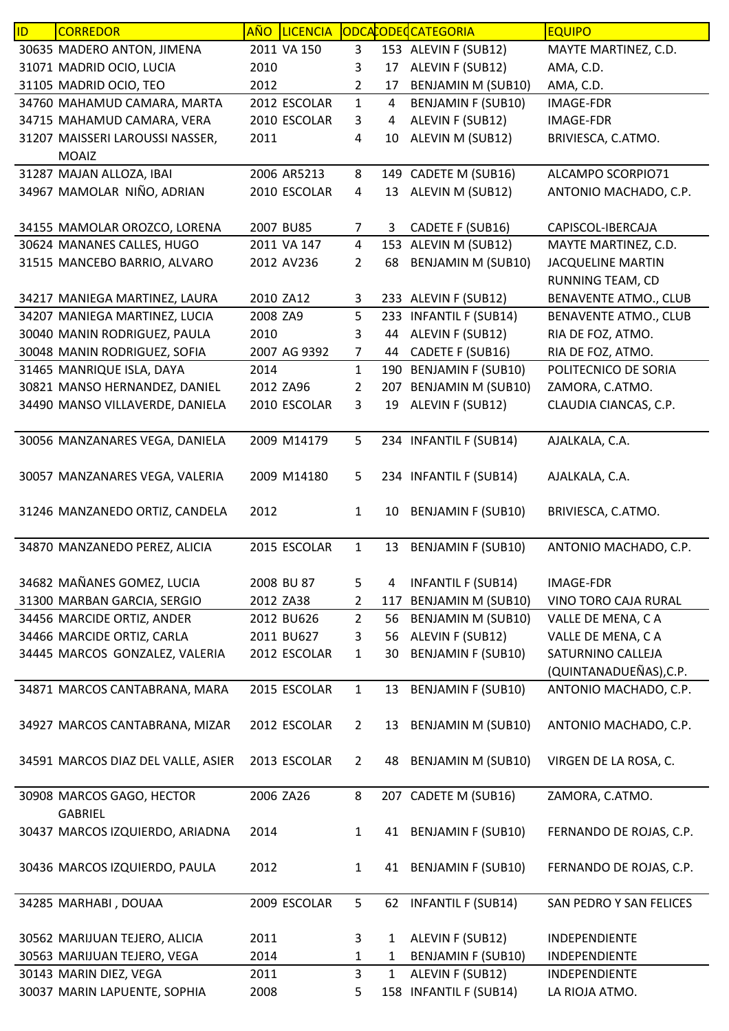| ID | <b>CORREDOR</b>                             | <u>AÑO</u> | <b>LICENCIA</b> |                |              | ODCACODECATEGORIA         | <b>EQUIPO</b>                |
|----|---------------------------------------------|------------|-----------------|----------------|--------------|---------------------------|------------------------------|
|    | 30635 MADERO ANTON, JIMENA                  |            | 2011 VA 150     | 3              |              | 153 ALEVIN F (SUB12)      | MAYTE MARTINEZ, C.D.         |
|    | 31071 MADRID OCIO, LUCIA                    | 2010       |                 | 3              | 17           | ALEVIN F (SUB12)          | AMA, C.D.                    |
|    | 31105 MADRID OCIO, TEO                      | 2012       |                 | $\overline{2}$ | 17           | <b>BENJAMIN M (SUB10)</b> | AMA, C.D.                    |
|    | 34760 MAHAMUD CAMARA, MARTA                 |            | 2012 ESCOLAR    | $\mathbf{1}$   | 4            | <b>BENJAMIN F (SUB10)</b> | <b>IMAGE-FDR</b>             |
|    | 34715 MAHAMUD CAMARA, VERA                  |            | 2010 ESCOLAR    | 3              | 4            | ALEVIN F (SUB12)          | IMAGE-FDR                    |
|    | 31207 MAISSERI LAROUSSI NASSER,             | 2011       |                 | 4              | 10           | ALEVIN M (SUB12)          | BRIVIESCA, C.ATMO.           |
|    | <b>MOAIZ</b>                                |            |                 |                |              |                           |                              |
|    | 31287 MAJAN ALLOZA, IBAI                    |            | 2006 AR5213     | 8              | 149          | CADETE M (SUB16)          | ALCAMPO SCORPIO71            |
|    | 34967 MAMOLAR NIÑO, ADRIAN                  |            | 2010 ESCOLAR    | 4              |              | 13 ALEVIN M (SUB12)       | ANTONIO MACHADO, C.P.        |
|    |                                             |            |                 |                |              |                           |                              |
|    | 34155 MAMOLAR OROZCO, LORENA                |            | 2007 BU85       | 7              | 3            | CADETE F (SUB16)          | CAPISCOL-IBERCAJA            |
|    | 30624 MANANES CALLES, HUGO                  |            | 2011 VA 147     | 4              |              | 153 ALEVIN M (SUB12)      | MAYTE MARTINEZ, C.D.         |
|    | 31515 MANCEBO BARRIO, ALVARO                |            | 2012 AV236      | $\overline{2}$ | 68           | BENJAMIN M (SUB10)        | <b>JACQUELINE MARTIN</b>     |
|    |                                             |            |                 |                |              |                           | RUNNING TEAM, CD             |
|    | 34217 MANIEGA MARTINEZ, LAURA               | 2010 ZA12  |                 | 3              |              | 233 ALEVIN F (SUB12)      | <b>BENAVENTE ATMO., CLUB</b> |
|    | 34207 MANIEGA MARTINEZ, LUCIA               | 2008 ZA9   |                 | 5              |              | 233 INFANTIL F (SUB14)    | BENAVENTE ATMO., CLUB        |
|    | 30040 MANIN RODRIGUEZ, PAULA                | 2010       |                 | 3              | 44           | ALEVIN F (SUB12)          | RIA DE FOZ, ATMO.            |
|    | 30048 MANIN RODRIGUEZ, SOFIA                |            | 2007 AG 9392    | 7              | 44           | CADETE F (SUB16)          | RIA DE FOZ, ATMO.            |
|    | 31465 MANRIQUE ISLA, DAYA                   | 2014       |                 | $\mathbf{1}$   |              | 190 BENJAMIN F (SUB10)    | POLITECNICO DE SORIA         |
|    | 30821 MANSO HERNANDEZ, DANIEL               | 2012 ZA96  |                 | $\overline{2}$ | 207          | <b>BENJAMIN M (SUB10)</b> | ZAMORA, C.ATMO.              |
|    | 34490 MANSO VILLAVERDE, DANIELA             |            | 2010 ESCOLAR    | 3              | 19           | ALEVIN F (SUB12)          | CLAUDIA CIANCAS, C.P.        |
|    |                                             |            |                 |                |              |                           |                              |
|    | 30056 MANZANARES VEGA, DANIELA              |            | 2009 M14179     | 5              |              | 234 INFANTIL F (SUB14)    | AJALKALA, C.A.               |
|    |                                             |            |                 |                |              |                           |                              |
|    | 30057 MANZANARES VEGA, VALERIA              |            | 2009 M14180     | 5              |              | 234 INFANTIL F (SUB14)    | AJALKALA, C.A.               |
|    |                                             |            |                 |                |              |                           |                              |
|    | 31246 MANZANEDO ORTIZ, CANDELA              | 2012       |                 | $\mathbf{1}$   | 10           | <b>BENJAMIN F (SUB10)</b> | BRIVIESCA, C.ATMO.           |
|    |                                             |            |                 |                |              |                           |                              |
|    | 34870 MANZANEDO PEREZ, ALICIA               |            | 2015 ESCOLAR    | $\mathbf{1}$   | 13           | <b>BENJAMIN F (SUB10)</b> | ANTONIO MACHADO, C.P.        |
|    |                                             |            |                 |                |              |                           |                              |
|    | 34682 MAÑANES GOMEZ, LUCIA                  |            | 2008 BU 87      | 5              | 4            | <b>INFANTIL F (SUB14)</b> | <b>IMAGE-FDR</b>             |
|    | 31300 MARBAN GARCIA, SERGIO                 |            | 2012 ZA38       | $\overline{2}$ | 117          | <b>BENJAMIN M (SUB10)</b> | VINO TORO CAJA RURAL         |
|    | 34456 MARCIDE ORTIZ, ANDER                  |            | 2012 BU626      | $\overline{2}$ | 56           | <b>BENJAMIN M (SUB10)</b> | VALLE DE MENA, CA            |
|    | 34466 MARCIDE ORTIZ, CARLA                  |            | 2011 BU627      | 3              | 56           | ALEVIN F (SUB12)          | VALLE DE MENA, CA            |
|    | 34445 MARCOS GONZALEZ, VALERIA              |            | 2012 ESCOLAR    | $\mathbf{1}$   | 30           | <b>BENJAMIN F (SUB10)</b> | SATURNINO CALLEJA            |
|    |                                             |            |                 |                |              |                           | (QUINTANADUEÑAS), C.P.       |
|    | 34871 MARCOS CANTABRANA, MARA               |            | 2015 ESCOLAR    | $\mathbf{1}$   | 13           | <b>BENJAMIN F (SUB10)</b> | ANTONIO MACHADO, C.P.        |
|    |                                             |            |                 |                |              |                           |                              |
|    | 34927 MARCOS CANTABRANA, MIZAR              |            | 2012 ESCOLAR    | $\overline{2}$ | 13           | <b>BENJAMIN M (SUB10)</b> | ANTONIO MACHADO, C.P.        |
|    |                                             |            |                 |                |              |                           |                              |
|    | 34591 MARCOS DIAZ DEL VALLE, ASIER          |            | 2013 ESCOLAR    | $\overline{2}$ |              | <b>BENJAMIN M (SUB10)</b> | VIRGEN DE LA ROSA, C.        |
|    |                                             |            |                 |                | 48           |                           |                              |
|    |                                             |            |                 |                |              |                           |                              |
|    | 30908 MARCOS GAGO, HECTOR<br><b>GABRIEL</b> | 2006 ZA26  |                 | 8              |              | 207 CADETE M (SUB16)      | ZAMORA, C.ATMO.              |
|    |                                             |            |                 |                |              |                           |                              |
|    | 30437 MARCOS IZQUIERDO, ARIADNA             | 2014       |                 | $\mathbf{1}$   | 41           | <b>BENJAMIN F (SUB10)</b> | FERNANDO DE ROJAS, C.P.      |
|    |                                             |            |                 |                |              |                           |                              |
|    | 30436 MARCOS IZQUIERDO, PAULA               | 2012       |                 | $\mathbf{1}$   | 41           | <b>BENJAMIN F (SUB10)</b> | FERNANDO DE ROJAS, C.P.      |
|    |                                             |            |                 |                |              |                           |                              |
|    | 34285 MARHABI, DOUAA                        |            | 2009 ESCOLAR    | 5              | 62           | <b>INFANTIL F (SUB14)</b> | SAN PEDRO Y SAN FELICES      |
|    |                                             |            |                 |                |              |                           |                              |
|    | 30562 MARIJUAN TEJERO, ALICIA               | 2011       |                 | 3              | 1            | ALEVIN F (SUB12)          | INDEPENDIENTE                |
|    | 30563 MARIJUAN TEJERO, VEGA                 | 2014       |                 | 1              | 1            | <b>BENJAMIN F (SUB10)</b> | INDEPENDIENTE                |
|    | 30143 MARIN DIEZ, VEGA                      | 2011       |                 | $\overline{3}$ | $\mathbf{1}$ | ALEVIN F (SUB12)          | INDEPENDIENTE                |
|    | 30037 MARIN LAPUENTE, SOPHIA                | 2008       |                 | 5              |              | 158 INFANTIL F (SUB14)    | LA RIOJA ATMO.               |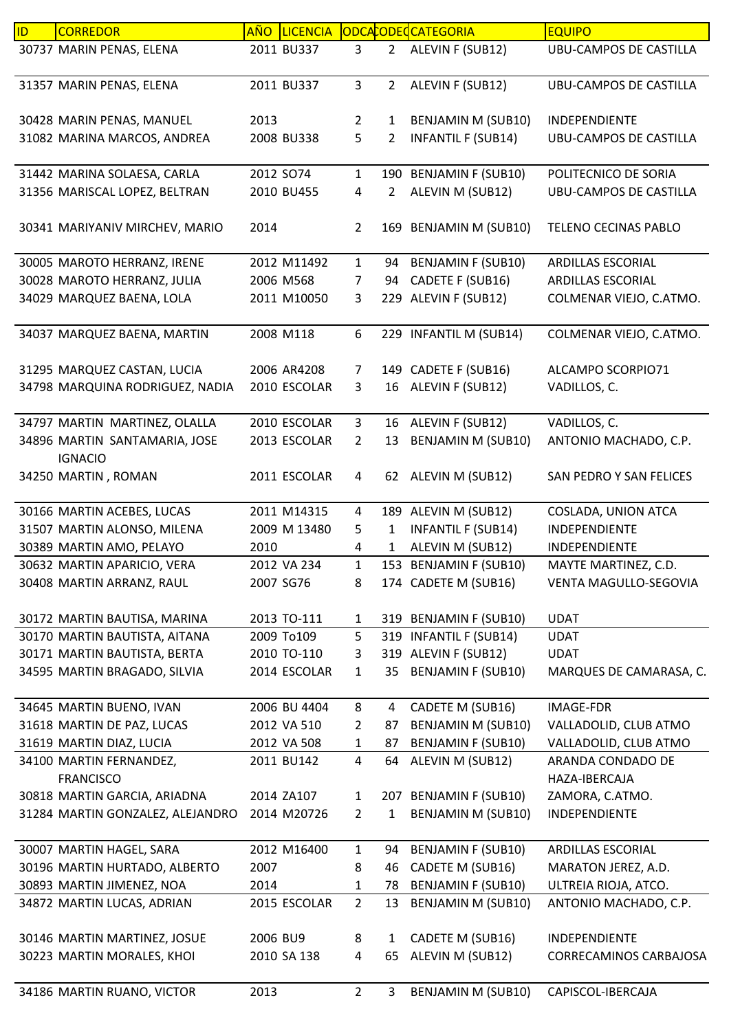| ID | <b>CORREDOR</b>                                 | AÑO       | <b>LICENCIA</b> |                |                | ODCACODEC CATEGORIA       | <b>EQUIPO</b>                 |
|----|-------------------------------------------------|-----------|-----------------|----------------|----------------|---------------------------|-------------------------------|
|    | 30737 MARIN PENAS, ELENA                        |           | 2011 BU337      | 3              | $2^{\circ}$    | ALEVIN F (SUB12)          | UBU-CAMPOS DE CASTILLA        |
|    | 31357 MARIN PENAS, ELENA                        |           | 2011 BU337      | $\mathbf{3}$   | $2^{\circ}$    | ALEVIN F (SUB12)          | <b>UBU-CAMPOS DE CASTILLA</b> |
|    | 30428 MARIN PENAS, MANUEL                       | 2013      |                 | $\overline{2}$ | 1              | <b>BENJAMIN M (SUB10)</b> | INDEPENDIENTE                 |
|    | 31082 MARINA MARCOS, ANDREA                     |           | 2008 BU338      | 5              | 2              | <b>INFANTIL F (SUB14)</b> | UBU-CAMPOS DE CASTILLA        |
|    | 31442 MARINA SOLAESA, CARLA                     | 2012 SO74 |                 | $\mathbf{1}$   |                | 190 BENJAMIN F (SUB10)    | POLITECNICO DE SORIA          |
|    | 31356 MARISCAL LOPEZ, BELTRAN                   |           | 2010 BU455      | 4              | $\overline{2}$ | ALEVIN M (SUB12)          | <b>UBU-CAMPOS DE CASTILLA</b> |
|    | 30341 MARIYANIV MIRCHEV, MARIO                  | 2014      |                 | $\overline{2}$ |                | 169 BENJAMIN M (SUB10)    | TELENO CECINAS PABLO          |
|    | 30005 MAROTO HERRANZ, IRENE                     |           | 2012 M11492     | $\mathbf{1}$   |                | 94 BENJAMIN F (SUB10)     | <b>ARDILLAS ESCORIAL</b>      |
|    | 30028 MAROTO HERRANZ, JULIA                     |           | 2006 M568       | 7              | 94             | CADETE F (SUB16)          | <b>ARDILLAS ESCORIAL</b>      |
|    | 34029 MARQUEZ BAENA, LOLA                       |           | 2011 M10050     | 3              |                | 229 ALEVIN F (SUB12)      | COLMENAR VIEJO, C.ATMO.       |
|    | 34037 MARQUEZ BAENA, MARTIN                     |           | 2008 M118       | 6              |                | 229 INFANTIL M (SUB14)    | COLMENAR VIEJO, C.ATMO.       |
|    | 31295 MARQUEZ CASTAN, LUCIA                     |           | 2006 AR4208     | 7              |                | 149 CADETE F (SUB16)      | ALCAMPO SCORPIO71             |
|    | 34798 MARQUINA RODRIGUEZ, NADIA                 |           | 2010 ESCOLAR    | 3              | 16             | ALEVIN F (SUB12)          | VADILLOS, C.                  |
|    |                                                 |           |                 |                |                |                           |                               |
|    | 34797 MARTIN MARTINEZ, OLALLA                   |           | 2010 ESCOLAR    | $\mathbf{3}$   | 16             | ALEVIN F (SUB12)          | VADILLOS, C.                  |
|    | 34896 MARTIN SANTAMARIA, JOSE<br><b>IGNACIO</b> |           | 2013 ESCOLAR    | $\overline{2}$ | 13             | <b>BENJAMIN M (SUB10)</b> | ANTONIO MACHADO, C.P.         |
|    | 34250 MARTIN, ROMAN                             |           | 2011 ESCOLAR    | $\overline{4}$ |                | 62 ALEVIN M (SUB12)       | SAN PEDRO Y SAN FELICES       |
|    | 30166 MARTIN ACEBES, LUCAS                      |           | 2011 M14315     | 4              |                | 189 ALEVIN M (SUB12)      | COSLADA, UNION ATCA           |
|    | 31507 MARTIN ALONSO, MILENA                     |           | 2009 M 13480    | 5              | $\mathbf{1}$   | <b>INFANTIL F (SUB14)</b> | INDEPENDIENTE                 |
|    | 30389 MARTIN AMO, PELAYO                        | 2010      |                 | 4              | 1              | ALEVIN M (SUB12)          | INDEPENDIENTE                 |
|    | 30632 MARTIN APARICIO, VERA                     |           | 2012 VA 234     | $\mathbf{1}$   |                | 153 BENJAMIN F (SUB10)    | MAYTE MARTINEZ, C.D.          |
|    | 30408 MARTIN ARRANZ, RAUL                       | 2007 SG76 |                 | 8              |                | 174 CADETE M (SUB16)      | VENTA MAGULLO-SEGOVIA         |
|    | 30172 MARTIN BAUTISA, MARINA                    |           | 2013 TO-111     | $\mathbf{1}$   |                | 319 BENJAMIN F (SUB10)    | <b>UDAT</b>                   |
|    | 30170 MARTIN BAUTISTA, AITANA                   |           | 2009 To109      | 5              |                | 319 INFANTIL F (SUB14)    | <b>UDAT</b>                   |
|    | 30171 MARTIN BAUTISTA, BERTA                    |           | 2010 TO-110     | 3              |                | 319 ALEVIN F (SUB12)      | <b>UDAT</b>                   |
|    | 34595 MARTIN BRAGADO, SILVIA                    |           | 2014 ESCOLAR    | 1              | 35             | <b>BENJAMIN F (SUB10)</b> | MARQUES DE CAMARASA, C.       |
|    | 34645 MARTIN BUENO, IVAN                        |           | 2006 BU 4404    | 8              | 4              | CADETE M (SUB16)          | IMAGE-FDR                     |
|    | 31618 MARTIN DE PAZ, LUCAS                      |           | 2012 VA 510     | $\overline{2}$ | 87             | <b>BENJAMIN M (SUB10)</b> | VALLADOLID, CLUB ATMO         |
|    | 31619 MARTIN DIAZ, LUCIA                        |           | 2012 VA 508     | 1              | 87             | <b>BENJAMIN F (SUB10)</b> | VALLADOLID, CLUB ATMO         |
|    | 34100 MARTIN FERNANDEZ,                         |           | 2011 BU142      | $\overline{4}$ | 64             | ALEVIN M (SUB12)          | ARANDA CONDADO DE             |
|    | <b>FRANCISCO</b>                                |           |                 |                |                |                           | HAZA-IBERCAJA                 |
|    | 30818 MARTIN GARCIA, ARIADNA                    |           | 2014 ZA107      | $\mathbf{1}$   |                | 207 BENJAMIN F (SUB10)    | ZAMORA, C.ATMO.               |
|    | 31284 MARTIN GONZALEZ, ALEJANDRO                |           | 2014 M20726     | $\overline{2}$ | $\mathbf{1}$   | BENJAMIN M (SUB10)        | INDEPENDIENTE                 |
|    | 30007 MARTIN HAGEL, SARA                        |           | 2012 M16400     | $\mathbf{1}$   | 94             | <b>BENJAMIN F (SUB10)</b> | ARDILLAS ESCORIAL             |
|    | 30196 MARTIN HURTADO, ALBERTO                   | 2007      |                 | 8              | 46             | CADETE M (SUB16)          | MARATON JEREZ, A.D.           |
|    | 30893 MARTIN JIMENEZ, NOA                       | 2014      |                 | 1              | 78             | <b>BENJAMIN F (SUB10)</b> | ULTREIA RIOJA, ATCO.          |
|    | 34872 MARTIN LUCAS, ADRIAN                      |           | 2015 ESCOLAR    | $\overline{2}$ | 13             | <b>BENJAMIN M (SUB10)</b> | ANTONIO MACHADO, C.P.         |
|    | 30146 MARTIN MARTINEZ, JOSUE                    | 2006 BU9  |                 | 8              | $\mathbf{1}$   | CADETE M (SUB16)          | INDEPENDIENTE                 |
|    | 30223 MARTIN MORALES, KHOI                      |           | 2010 SA 138     | 4              | 65             | ALEVIN M (SUB12)          | CORRECAMINOS CARBAJOSA        |
|    | 34186 MARTIN RUANO, VICTOR                      | 2013      |                 | $\overline{2}$ | 3              | <b>BENJAMIN M (SUB10)</b> | CAPISCOL-IBERCAJA             |
|    |                                                 |           |                 |                |                |                           |                               |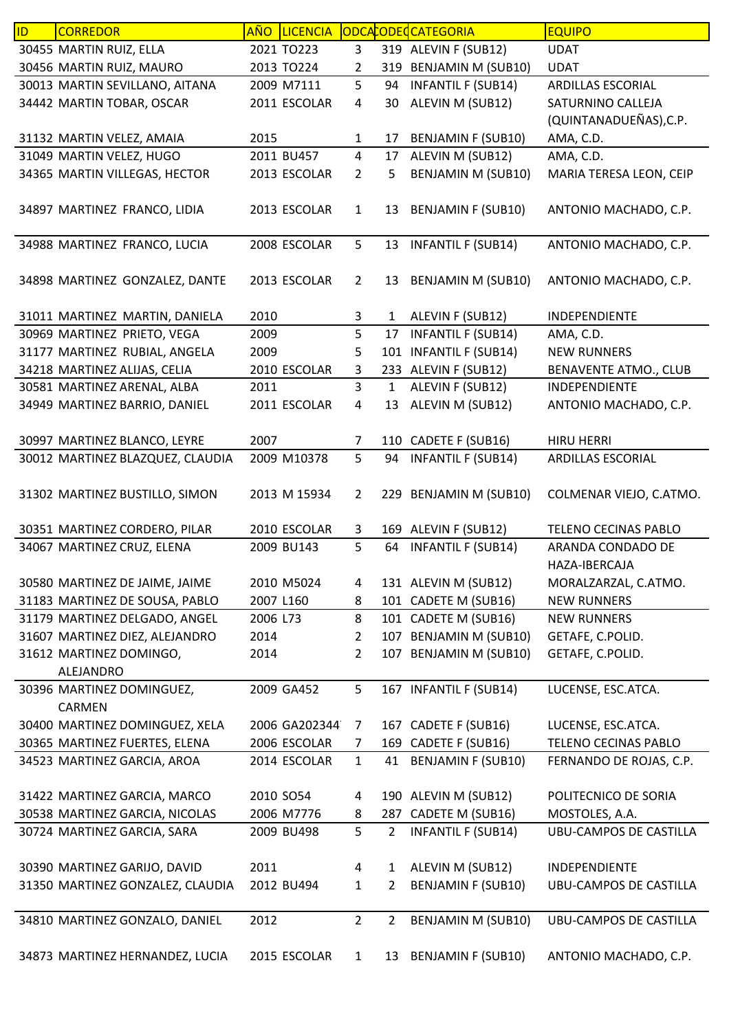| ID | <b>CORREDOR</b>                  | AÑO       | <b>LICENCIA</b> |                |                | ODCACODECCATEGORIA        | <b>EQUIPO</b>                 |
|----|----------------------------------|-----------|-----------------|----------------|----------------|---------------------------|-------------------------------|
|    | 30455 MARTIN RUIZ, ELLA          |           | 2021 TO223      | 3              |                | 319 ALEVIN F (SUB12)      | <b>UDAT</b>                   |
|    | 30456 MARTIN RUIZ, MAURO         |           | 2013 TO224      | 2              |                | 319 BENJAMIN M (SUB10)    | <b>UDAT</b>                   |
|    | 30013 MARTIN SEVILLANO, AITANA   |           | 2009 M7111      | 5              | 94             | <b>INFANTIL F (SUB14)</b> | ARDILLAS ESCORIAL             |
|    | 34442 MARTIN TOBAR, OSCAR        |           | 2011 ESCOLAR    | 4              | 30             | ALEVIN M (SUB12)          | SATURNINO CALLEJA             |
|    |                                  |           |                 |                |                |                           | (QUINTANADUEÑAS), C.P.        |
|    | 31132 MARTIN VELEZ, AMAIA        | 2015      |                 | $\mathbf{1}$   | 17             | <b>BENJAMIN F (SUB10)</b> | AMA, C.D.                     |
|    | 31049 MARTIN VELEZ, HUGO         |           | 2011 BU457      | $\overline{4}$ | 17             | ALEVIN M (SUB12)          | AMA, C.D.                     |
|    | 34365 MARTIN VILLEGAS, HECTOR    |           | 2013 ESCOLAR    | $\overline{2}$ | 5              | <b>BENJAMIN M (SUB10)</b> | MARIA TERESA LEON, CEIP       |
|    |                                  |           |                 |                |                |                           |                               |
|    | 34897 MARTINEZ FRANCO, LIDIA     |           | 2013 ESCOLAR    | $\mathbf{1}$   | 13             | <b>BENJAMIN F (SUB10)</b> | ANTONIO MACHADO, C.P.         |
|    |                                  |           |                 |                |                |                           |                               |
|    | 34988 MARTINEZ FRANCO, LUCIA     |           | 2008 ESCOLAR    | 5              | 13             | <b>INFANTIL F (SUB14)</b> | ANTONIO MACHADO, C.P.         |
|    |                                  |           |                 |                |                |                           |                               |
|    | 34898 MARTINEZ GONZALEZ, DANTE   |           | 2013 ESCOLAR    | $\overline{2}$ |                | 13 BENJAMIN M (SUB10)     | ANTONIO MACHADO, C.P.         |
|    | 31011 MARTINEZ MARTIN, DANIELA   | 2010      |                 | 3              | $\mathbf{1}$   | ALEVIN F (SUB12)          | INDEPENDIENTE                 |
|    | 30969 MARTINEZ PRIETO, VEGA      | 2009      |                 | 5              | 17             | <b>INFANTIL F (SUB14)</b> | AMA, C.D.                     |
|    | 31177 MARTINEZ RUBIAL, ANGELA    | 2009      |                 | 5              |                | 101 INFANTIL F (SUB14)    | <b>NEW RUNNERS</b>            |
|    | 34218 MARTINEZ ALIJAS, CELIA     |           | 2010 ESCOLAR    | 3              |                | 233 ALEVIN F (SUB12)      | <b>BENAVENTE ATMO., CLUB</b>  |
|    | 30581 MARTINEZ ARENAL, ALBA      | 2011      |                 | $\overline{3}$ | $\mathbf{1}$   | ALEVIN F (SUB12)          | INDEPENDIENTE                 |
|    |                                  |           |                 | $\overline{4}$ |                |                           |                               |
|    | 34949 MARTINEZ BARRIO, DANIEL    |           | 2011 ESCOLAR    |                | 13             | ALEVIN M (SUB12)          | ANTONIO MACHADO, C.P.         |
|    | 30997 MARTINEZ BLANCO, LEYRE     | 2007      |                 | $\overline{7}$ |                | 110 CADETE F (SUB16)      | <b>HIRU HERRI</b>             |
|    | 30012 MARTINEZ BLAZQUEZ, CLAUDIA |           | 2009 M10378     | 5              | 94             | <b>INFANTIL F (SUB14)</b> | ARDILLAS ESCORIAL             |
|    |                                  |           |                 |                |                |                           |                               |
|    | 31302 MARTINEZ BUSTILLO, SIMON   |           | 2013 M 15934    | $\overline{2}$ |                | 229 BENJAMIN M (SUB10)    | COLMENAR VIEJO, C.ATMO.       |
|    |                                  |           |                 |                |                |                           |                               |
|    | 30351 MARTINEZ CORDERO, PILAR    |           | 2010 ESCOLAR    | 3              |                | 169 ALEVIN F (SUB12)      | <b>TELENO CECINAS PABLO</b>   |
|    | 34067 MARTINEZ CRUZ, ELENA       |           | 2009 BU143      | 5              | 64             | <b>INFANTIL F (SUB14)</b> | ARANDA CONDADO DE             |
|    |                                  |           |                 |                |                |                           | HAZA-IBERCAJA                 |
|    | 30580 MARTINEZ DE JAIME, JAIME   |           | 2010 M5024      | 4              |                | 131 ALEVIN M (SUB12)      | MORALZARZAL, C.ATMO.          |
|    | 31183 MARTINEZ DE SOUSA, PABLO   | 2007 L160 |                 | 8              |                | 101 CADETE M (SUB16)      | <b>NEW RUNNERS</b>            |
|    | 31179 MARTINEZ DELGADO, ANGEL    | 2006 L73  |                 | 8              |                | 101 CADETE M (SUB16)      | <b>NEW RUNNERS</b>            |
|    | 31607 MARTINEZ DIEZ, ALEJANDRO   | 2014      |                 | $\overline{2}$ |                | 107 BENJAMIN M (SUB10)    | GETAFE, C.POLID.              |
|    | 31612 MARTINEZ DOMINGO,          | 2014      |                 | $\overline{2}$ |                | 107 BENJAMIN M (SUB10)    | GETAFE, C.POLID.              |
|    | ALEJANDRO                        |           |                 |                |                |                           |                               |
|    | 30396 MARTINEZ DOMINGUEZ,        |           | 2009 GA452      | 5              |                | 167 INFANTIL F (SUB14)    | LUCENSE, ESC.ATCA.            |
|    | <b>CARMEN</b>                    |           |                 |                |                |                           |                               |
|    | 30400 MARTINEZ DOMINGUEZ, XELA   |           | 2006 GA202344   | $\overline{7}$ |                | 167 CADETE F (SUB16)      | LUCENSE, ESC.ATCA.            |
|    | 30365 MARTINEZ FUERTES, ELENA    |           | 2006 ESCOLAR    | $\overline{7}$ |                | 169 CADETE F (SUB16)      | TELENO CECINAS PABLO          |
|    | 34523 MARTINEZ GARCIA, AROA      |           | 2014 ESCOLAR    | $\mathbf{1}$   | 41             | <b>BENJAMIN F (SUB10)</b> | FERNANDO DE ROJAS, C.P.       |
|    |                                  |           |                 |                |                |                           |                               |
|    | 31422 MARTINEZ GARCIA, MARCO     | 2010 SO54 |                 | 4              |                | 190 ALEVIN M (SUB12)      | POLITECNICO DE SORIA          |
|    | 30538 MARTINEZ GARCIA, NICOLAS   |           | 2006 M7776      | 8              |                | 287 CADETE M (SUB16)      | MOSTOLES, A.A.                |
|    | 30724 MARTINEZ GARCIA, SARA      |           | 2009 BU498      | 5              | $\overline{2}$ | <b>INFANTIL F (SUB14)</b> | <b>UBU-CAMPOS DE CASTILLA</b> |
|    |                                  |           |                 |                |                |                           |                               |
|    | 30390 MARTINEZ GARIJO, DAVID     | 2011      |                 | $\overline{a}$ | $\mathbf{1}$   | ALEVIN M (SUB12)          | INDEPENDIENTE                 |
|    | 31350 MARTINEZ GONZALEZ, CLAUDIA |           | 2012 BU494      | $\mathbf{1}$   | $\overline{2}$ | <b>BENJAMIN F (SUB10)</b> | UBU-CAMPOS DE CASTILLA        |
|    |                                  |           |                 |                |                |                           |                               |
|    | 34810 MARTINEZ GONZALO, DANIEL   | 2012      |                 | $\overline{2}$ | $\overline{2}$ | <b>BENJAMIN M (SUB10)</b> | UBU-CAMPOS DE CASTILLA        |
|    |                                  |           |                 |                |                |                           |                               |
|    | 34873 MARTINEZ HERNANDEZ, LUCIA  |           | 2015 ESCOLAR    | $\mathbf{1}$   | 13             | <b>BENJAMIN F (SUB10)</b> | ANTONIO MACHADO, C.P.         |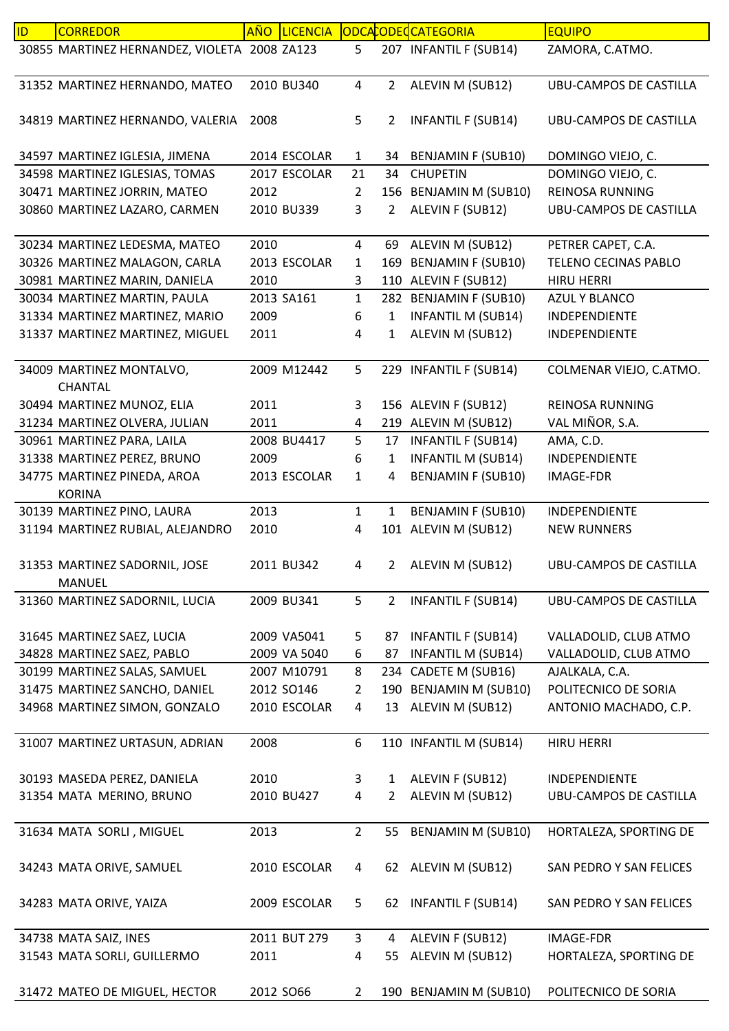| ID | <b>CORREDOR</b>                                | AÑO  | <b>LICENCIA</b> |                |                | ODCACODECCATEGORIA        | <b>EQUIPO</b>                 |
|----|------------------------------------------------|------|-----------------|----------------|----------------|---------------------------|-------------------------------|
|    | 30855 MARTINEZ HERNANDEZ, VIOLETA 2008 ZA123   |      |                 | 5              |                | 207 INFANTIL F (SUB14)    | ZAMORA, C.ATMO.               |
|    | 31352 MARTINEZ HERNANDO, MATEO                 |      | 2010 BU340      | $\overline{4}$ | $2^{\circ}$    | ALEVIN M (SUB12)          | <b>UBU-CAMPOS DE CASTILLA</b> |
|    | 34819 MARTINEZ HERNANDO, VALERIA               | 2008 |                 | 5              | 2              | <b>INFANTIL F (SUB14)</b> | <b>UBU-CAMPOS DE CASTILLA</b> |
|    | 34597 MARTINEZ IGLESIA, JIMENA                 |      | 2014 ESCOLAR    | 1              | 34             | <b>BENJAMIN F (SUB10)</b> | DOMINGO VIEJO, C.             |
|    | 34598 MARTINEZ IGLESIAS, TOMAS                 |      | 2017 ESCOLAR    | 21             | 34             | <b>CHUPETIN</b>           | DOMINGO VIEJO, C.             |
|    | 30471 MARTINEZ JORRIN, MATEO                   | 2012 |                 | $\overline{2}$ |                | 156 BENJAMIN M (SUB10)    | <b>REINOSA RUNNING</b>        |
|    | 30860 MARTINEZ LAZARO, CARMEN                  |      | 2010 BU339      | 3              | $\overline{2}$ | ALEVIN F (SUB12)          | <b>UBU-CAMPOS DE CASTILLA</b> |
|    | 30234 MARTINEZ LEDESMA, MATEO                  | 2010 |                 | $\overline{4}$ | 69             | ALEVIN M (SUB12)          | PETRER CAPET, C.A.            |
|    | 30326 MARTINEZ MALAGON, CARLA                  |      | 2013 ESCOLAR    | 1              |                | 169 BENJAMIN F (SUB10)    | <b>TELENO CECINAS PABLO</b>   |
|    | 30981 MARTINEZ MARIN, DANIELA                  | 2010 |                 | 3              |                | 110 ALEVIN F (SUB12)      | <b>HIRU HERRI</b>             |
|    | 30034 MARTINEZ MARTIN, PAULA                   |      | 2013 SA161      | $\mathbf{1}$   |                | 282 BENJAMIN F (SUB10)    | <b>AZUL Y BLANCO</b>          |
|    | 31334 MARTINEZ MARTINEZ, MARIO                 | 2009 |                 | 6              | $\mathbf{1}$   | <b>INFANTIL M (SUB14)</b> | INDEPENDIENTE                 |
|    | 31337 MARTINEZ MARTINEZ, MIGUEL                | 2011 |                 | 4              | $\mathbf{1}$   | ALEVIN M (SUB12)          | INDEPENDIENTE                 |
|    | 34009 MARTINEZ MONTALVO,<br>CHANTAL            |      | 2009 M12442     | 5              |                | 229 INFANTIL F (SUB14)    | COLMENAR VIEJO, C.ATMO.       |
|    | 30494 MARTINEZ MUNOZ, ELIA                     | 2011 |                 | 3              |                | 156 ALEVIN F (SUB12)      | REINOSA RUNNING               |
|    | 31234 MARTINEZ OLVERA, JULIAN                  | 2011 |                 | 4              |                | 219 ALEVIN M (SUB12)      | VAL MIÑOR, S.A.               |
|    | 30961 MARTINEZ PARA, LAILA                     |      | 2008 BU4417     | 5              | 17             | <b>INFANTIL F (SUB14)</b> | AMA, C.D.                     |
|    | 31338 MARTINEZ PEREZ, BRUNO                    | 2009 |                 | 6              | $\mathbf{1}$   | <b>INFANTIL M (SUB14)</b> | INDEPENDIENTE                 |
|    | 34775 MARTINEZ PINEDA, AROA                    |      | 2013 ESCOLAR    | $\mathbf 1$    | 4              | <b>BENJAMIN F (SUB10)</b> | <b>IMAGE-FDR</b>              |
|    | <b>KORINA</b>                                  |      |                 |                |                |                           |                               |
|    | 30139 MARTINEZ PINO, LAURA                     | 2013 |                 | $\mathbf{1}$   | $\mathbf{1}$   | <b>BENJAMIN F (SUB10)</b> | INDEPENDIENTE                 |
|    | 31194 MARTINEZ RUBIAL, ALEJANDRO               | 2010 |                 | 4              |                | 101 ALEVIN M (SUB12)      | <b>NEW RUNNERS</b>            |
|    | 31353 MARTINEZ SADORNIL, JOSE<br><b>MANUEL</b> |      | 2011 BU342      | 4              | 2              | ALEVIN M (SUB12)          | <b>UBU-CAMPOS DE CASTILLA</b> |
|    | 31360 MARTINEZ SADORNIL, LUCIA                 |      | 2009 BU341      | 5              | $\overline{2}$ | <b>INFANTIL F (SUB14)</b> | UBU-CAMPOS DE CASTILLA        |
|    | 31645 MARTINEZ SAEZ, LUCIA                     |      | 2009 VA5041     | 5              | 87             | <b>INFANTIL F (SUB14)</b> | VALLADOLID, CLUB ATMO         |
|    | 34828 MARTINEZ SAEZ, PABLO                     |      | 2009 VA 5040    | 6              | 87             | <b>INFANTIL M (SUB14)</b> | VALLADOLID, CLUB ATMO         |
|    | 30199 MARTINEZ SALAS, SAMUEL                   |      | 2007 M10791     | 8              | 234            | CADETE M (SUB16)          | AJALKALA, C.A.                |
|    | 31475 MARTINEZ SANCHO, DANIEL                  |      | 2012 SO146      | $\overline{2}$ |                | 190 BENJAMIN M (SUB10)    | POLITECNICO DE SORIA          |
|    | 34968 MARTINEZ SIMON, GONZALO                  |      | 2010 ESCOLAR    | 4              | 13             | ALEVIN M (SUB12)          | ANTONIO MACHADO, C.P.         |
|    | 31007 MARTINEZ URTASUN, ADRIAN                 | 2008 |                 | 6              |                | 110 INFANTIL M (SUB14)    | <b>HIRU HERRI</b>             |
|    | 30193 MASEDA PEREZ, DANIELA                    | 2010 |                 | 3              | $\mathbf{1}$   | ALEVIN F (SUB12)          | <b>INDEPENDIENTE</b>          |
|    | 31354 MATA MERINO, BRUNO                       |      | 2010 BU427      | 4              | 2              | ALEVIN M (SUB12)          | UBU-CAMPOS DE CASTILLA        |
|    |                                                |      |                 |                |                |                           |                               |
|    | 31634 MATA SORLI, MIGUEL                       | 2013 |                 | $\overline{2}$ | 55             | <b>BENJAMIN M (SUB10)</b> | HORTALEZA, SPORTING DE        |
|    | 34243 MATA ORIVE, SAMUEL                       |      | 2010 ESCOLAR    | 4              |                | 62 ALEVIN M (SUB12)       | SAN PEDRO Y SAN FELICES       |
|    | 34283 MATA ORIVE, YAIZA                        |      | 2009 ESCOLAR    | 5              | 62             | <b>INFANTIL F (SUB14)</b> | SAN PEDRO Y SAN FELICES       |
|    | 34738 MATA SAIZ, INES                          |      | 2011 BUT 279    | $\mathbf{3}$   | 4              | ALEVIN F (SUB12)          | <b>IMAGE-FDR</b>              |
|    | 31543 MATA SORLI, GUILLERMO                    | 2011 |                 | 4              | 55             | ALEVIN M (SUB12)          | HORTALEZA, SPORTING DE        |
|    |                                                |      |                 |                |                |                           |                               |
|    | 31472 MATEO DE MIGUEL, HECTOR                  |      | 2012 SO66       | $\mathbf{2}$   |                | 190 BENJAMIN M (SUB10)    | POLITECNICO DE SORIA          |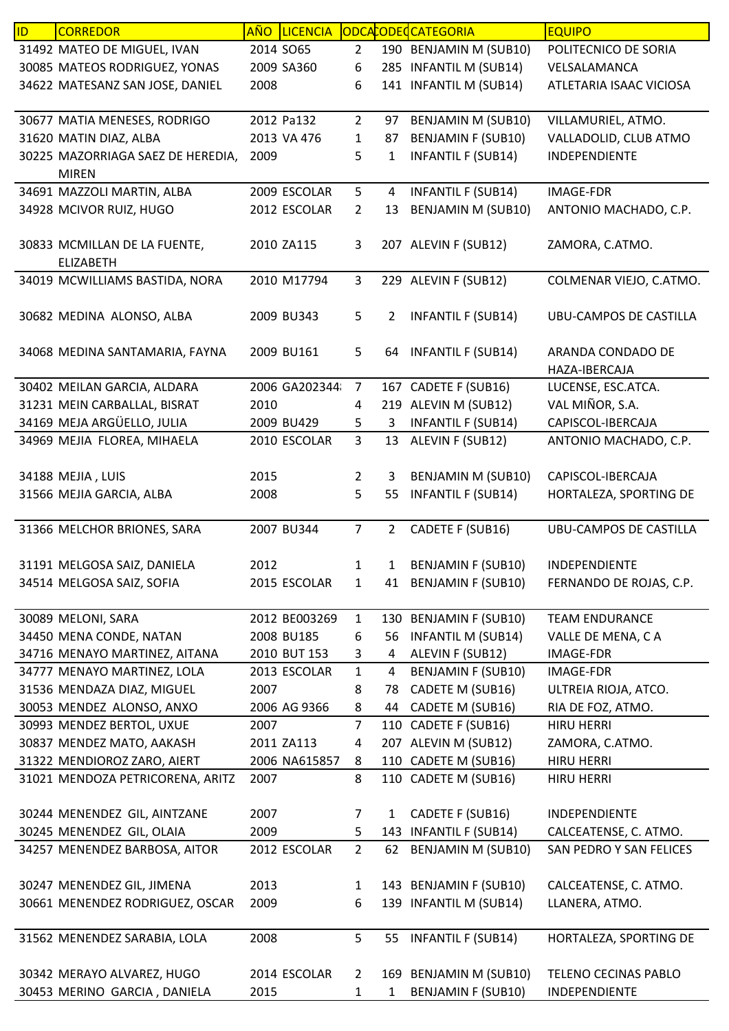| ID | <b>CORREDOR</b>                   | <u>AÑO</u> | <b>LICENCIA</b> |                |                | ODCACODECCATEGORIA        | <b>EQUIPO</b>                 |
|----|-----------------------------------|------------|-----------------|----------------|----------------|---------------------------|-------------------------------|
|    | 31492 MATEO DE MIGUEL, IVAN       | 2014 SO65  |                 | $\overline{2}$ |                | 190 BENJAMIN M (SUB10)    | POLITECNICO DE SORIA          |
|    | 30085 MATEOS RODRIGUEZ, YONAS     |            | 2009 SA360      | 6              |                | 285 INFANTIL M (SUB14)    | VELSALAMANCA                  |
|    | 34622 MATESANZ SAN JOSE, DANIEL   | 2008       |                 | 6              | 141            | <b>INFANTIL M (SUB14)</b> | ATLETARIA ISAAC VICIOSA       |
|    |                                   |            |                 |                |                |                           |                               |
|    | 30677 MATIA MENESES, RODRIGO      |            | 2012 Pa132      | $\overline{2}$ | 97             | <b>BENJAMIN M (SUB10)</b> | VILLAMURIEL, ATMO.            |
|    | 31620 MATIN DIAZ, ALBA            |            | 2013 VA 476     | $\mathbf 1$    | 87             | <b>BENJAMIN F (SUB10)</b> | VALLADOLID, CLUB ATMO         |
|    | 30225 MAZORRIAGA SAEZ DE HEREDIA, | 2009       |                 | 5              | 1              | <b>INFANTIL F (SUB14)</b> | <b>INDEPENDIENTE</b>          |
|    | <b>MIREN</b>                      |            |                 |                |                |                           |                               |
|    | 34691 MAZZOLI MARTIN, ALBA        |            | 2009 ESCOLAR    | 5              | 4              | <b>INFANTIL F (SUB14)</b> | <b>IMAGE-FDR</b>              |
|    | 34928 MCIVOR RUIZ, HUGO           |            | 2012 ESCOLAR    | $\overline{2}$ | 13             | <b>BENJAMIN M (SUB10)</b> | ANTONIO MACHADO, C.P.         |
|    |                                   |            |                 |                |                |                           |                               |
|    | 30833 MCMILLAN DE LA FUENTE,      |            | 2010 ZA115      | 3              |                | 207 ALEVIN F (SUB12)      | ZAMORA, C.ATMO.               |
|    | <b>ELIZABETH</b>                  |            |                 |                |                |                           |                               |
|    | 34019 MCWILLIAMS BASTIDA, NORA    |            | 2010 M17794     | $\mathbf{3}$   |                | 229 ALEVIN F (SUB12)      | COLMENAR VIEJO, C.ATMO.       |
|    |                                   |            |                 |                |                |                           |                               |
|    | 30682 MEDINA ALONSO, ALBA         |            | 2009 BU343      | 5              | 2              | <b>INFANTIL F (SUB14)</b> | <b>UBU-CAMPOS DE CASTILLA</b> |
|    |                                   |            |                 |                |                |                           |                               |
|    | 34068 MEDINA SANTAMARIA, FAYNA    |            | 2009 BU161      | 5              | 64             | <b>INFANTIL F (SUB14)</b> | ARANDA CONDADO DE             |
|    |                                   |            |                 |                |                |                           | HAZA-IBERCAJA                 |
|    | 30402 MEILAN GARCIA, ALDARA       |            | 2006 GA202344   | $\overline{7}$ |                | 167 CADETE F (SUB16)      | LUCENSE, ESC.ATCA.            |
|    | 31231 MEIN CARBALLAL, BISRAT      | 2010       |                 | 4              |                | 219 ALEVIN M (SUB12)      | VAL MIÑOR, S.A.               |
|    | 34169 MEJA ARGÜELLO, JULIA        |            | 2009 BU429      | 5              | 3              | <b>INFANTIL F (SUB14)</b> | CAPISCOL-IBERCAJA             |
|    | 34969 MEJIA FLOREA, MIHAELA       |            | 2010 ESCOLAR    | 3              | 13             | ALEVIN F (SUB12)          | ANTONIO MACHADO, C.P.         |
|    |                                   |            |                 |                |                |                           |                               |
|    | 34188 MEJIA, LUIS                 | 2015       |                 | $\overline{2}$ | 3              | <b>BENJAMIN M (SUB10)</b> | CAPISCOL-IBERCAJA             |
|    | 31566 MEJIA GARCIA, ALBA          | 2008       |                 | 5              | 55             | <b>INFANTIL F (SUB14)</b> | HORTALEZA, SPORTING DE        |
|    |                                   |            |                 |                |                |                           |                               |
|    | 31366 MELCHOR BRIONES, SARA       |            | 2007 BU344      | $\overline{7}$ | $\overline{2}$ | CADETE F (SUB16)          | UBU-CAMPOS DE CASTILLA        |
|    |                                   |            |                 |                |                |                           |                               |
|    | 31191 MELGOSA SAIZ, DANIELA       | 2012       |                 | $\mathbf{1}$   | 1              | <b>BENJAMIN F (SUB10)</b> | <b>INDEPENDIENTE</b>          |
|    | 34514 MELGOSA SAIZ, SOFIA         |            | 2015 ESCOLAR    | $\mathbf{1}$   |                | 41 BENJAMIN F (SUB10)     | FERNANDO DE ROJAS, C.P.       |
|    |                                   |            |                 |                |                |                           |                               |
|    | 30089 MELONI, SARA                |            | 2012 BE003269   | $\mathbf{1}$   |                | 130 BENJAMIN F (SUB10)    | <b>TEAM ENDURANCE</b>         |
|    | 34450 MENA CONDE, NATAN           |            | 2008 BU185      | 6              | 56             | <b>INFANTIL M (SUB14)</b> | VALLE DE MENA, CA             |
|    | 34716 MENAYO MARTINEZ, AITANA     |            | 2010 BUT 153    | 3              | 4              | ALEVIN F (SUB12)          | <b>IMAGE-FDR</b>              |
|    | 34777 MENAYO MARTINEZ, LOLA       |            | 2013 ESCOLAR    | $\mathbf{1}$   | 4              | <b>BENJAMIN F (SUB10)</b> | IMAGE-FDR                     |
|    | 31536 MENDAZA DIAZ, MIGUEL        | 2007       |                 | 8              | 78             | CADETE M (SUB16)          | ULTREIA RIOJA, ATCO.          |
|    | 30053 MENDEZ ALONSO, ANXO         |            | 2006 AG 9366    | 8              | 44             | CADETE M (SUB16)          | RIA DE FOZ, ATMO.             |
|    | 30993 MENDEZ BERTOL, UXUE         | 2007       |                 | $\overline{7}$ |                | 110 CADETE F (SUB16)      | <b>HIRU HERRI</b>             |
|    | 30837 MENDEZ MATO, AAKASH         |            | 2011 ZA113      | 4              |                | 207 ALEVIN M (SUB12)      | ZAMORA, C.ATMO.               |
|    | 31322 MENDIOROZ ZARO, AIERT       |            | 2006 NA615857   | 8              |                | 110 CADETE M (SUB16)      | <b>HIRU HERRI</b>             |
|    | 31021 MENDOZA PETRICORENA, ARITZ  | 2007       |                 | 8              |                | 110 CADETE M (SUB16)      | <b>HIRU HERRI</b>             |
|    |                                   |            |                 |                |                |                           |                               |
|    | 30244 MENENDEZ GIL, AINTZANE      | 2007       |                 | $\overline{7}$ | $\mathbf 1$    | CADETE F (SUB16)          | INDEPENDIENTE                 |
|    | 30245 MENENDEZ GIL, OLAIA         | 2009       |                 | 5              |                | 143 INFANTIL F (SUB14)    | CALCEATENSE, C. ATMO.         |
|    | 34257 MENENDEZ BARBOSA, AITOR     |            | 2012 ESCOLAR    | $\overline{2}$ | 62             | <b>BENJAMIN M (SUB10)</b> | SAN PEDRO Y SAN FELICES       |
|    |                                   |            |                 |                |                |                           |                               |
|    | 30247 MENENDEZ GIL, JIMENA        | 2013       |                 | $\mathbf{1}$   |                | 143 BENJAMIN F (SUB10)    | CALCEATENSE, C. ATMO.         |
|    | 30661 MENENDEZ RODRIGUEZ, OSCAR   | 2009       |                 | 6              |                | 139 INFANTIL M (SUB14)    | LLANERA, ATMO.                |
|    |                                   |            |                 |                |                |                           |                               |
|    | 31562 MENENDEZ SARABIA, LOLA      | 2008       |                 | 5              | 55             | <b>INFANTIL F (SUB14)</b> | HORTALEZA, SPORTING DE        |
|    |                                   |            |                 |                |                |                           |                               |
|    | 30342 MERAYO ALVAREZ, HUGO        |            | 2014 ESCOLAR    | $\overline{2}$ |                | 169 BENJAMIN M (SUB10)    | TELENO CECINAS PABLO          |
|    | 30453 MERINO GARCIA, DANIELA      | 2015       |                 | 1              | 1              | <b>BENJAMIN F (SUB10)</b> | INDEPENDIENTE                 |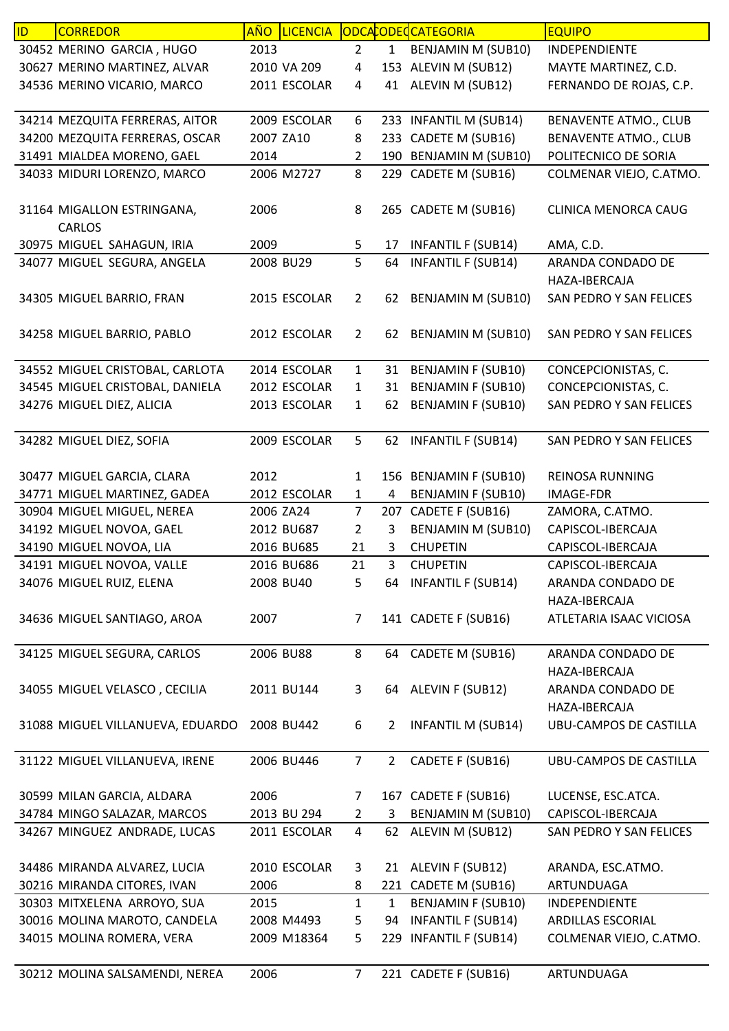| ID. | <b>CORREDOR</b>                  | <b>AÑO</b> | <b>LICENCIA</b> |                |                | ODCACODECATEGORIA         | <b>EQUIPO</b>                 |
|-----|----------------------------------|------------|-----------------|----------------|----------------|---------------------------|-------------------------------|
|     | 30452 MERINO GARCIA, HUGO        | 2013       |                 | $\overline{2}$ | $\mathbf{1}$   | <b>BENJAMIN M (SUB10)</b> | INDEPENDIENTE                 |
|     | 30627 MERINO MARTINEZ, ALVAR     |            | 2010 VA 209     | 4              |                | 153 ALEVIN M (SUB12)      | MAYTE MARTINEZ, C.D.          |
|     | 34536 MERINO VICARIO, MARCO      |            | 2011 ESCOLAR    | 4              | 41             | ALEVIN M (SUB12)          | FERNANDO DE ROJAS, C.P.       |
|     |                                  |            |                 |                |                |                           |                               |
|     | 34214 MEZQUITA FERRERAS, AITOR   |            | 2009 ESCOLAR    | 6              |                | 233 INFANTIL M (SUB14)    | <b>BENAVENTE ATMO., CLUB</b>  |
|     | 34200 MEZQUITA FERRERAS, OSCAR   | 2007 ZA10  |                 | 8              |                | 233 CADETE M (SUB16)      | <b>BENAVENTE ATMO., CLUB</b>  |
|     | 31491 MIALDEA MORENO, GAEL       | 2014       |                 | 2              |                | 190 BENJAMIN M (SUB10)    | POLITECNICO DE SORIA          |
|     | 34033 MIDURI LORENZO, MARCO      |            | 2006 M2727      | 8              |                | 229 CADETE M (SUB16)      | COLMENAR VIEJO, C.ATMO.       |
|     |                                  |            |                 |                |                |                           |                               |
|     | 31164 MIGALLON ESTRINGANA,       | 2006       |                 | 8              |                | 265 CADETE M (SUB16)      | <b>CLINICA MENORCA CAUG</b>   |
|     | <b>CARLOS</b>                    |            |                 |                |                |                           |                               |
|     | 30975 MIGUEL SAHAGUN, IRIA       | 2009       |                 | 5              | 17             | <b>INFANTIL F (SUB14)</b> | AMA, C.D.                     |
|     | 34077 MIGUEL SEGURA, ANGELA      |            | 2008 BU29       | 5              | 64             | <b>INFANTIL F (SUB14)</b> | ARANDA CONDADO DE             |
|     |                                  |            |                 |                |                |                           | HAZA-IBERCAJA                 |
|     | 34305 MIGUEL BARRIO, FRAN        |            | 2015 ESCOLAR    | $\overline{2}$ | 62             | <b>BENJAMIN M (SUB10)</b> | SAN PEDRO Y SAN FELICES       |
|     |                                  |            |                 |                |                |                           |                               |
|     | 34258 MIGUEL BARRIO, PABLO       |            | 2012 ESCOLAR    | $\overline{2}$ | 62             | BENJAMIN M (SUB10)        | SAN PEDRO Y SAN FELICES       |
|     |                                  |            |                 |                |                |                           |                               |
|     | 34552 MIGUEL CRISTOBAL, CARLOTA  |            | 2014 ESCOLAR    | $\mathbf{1}$   | 31             | <b>BENJAMIN F (SUB10)</b> | CONCEPCIONISTAS, C.           |
|     | 34545 MIGUEL CRISTOBAL, DANIELA  |            | 2012 ESCOLAR    | $\mathbf{1}$   | 31             | <b>BENJAMIN F (SUB10)</b> | CONCEPCIONISTAS, C.           |
|     | 34276 MIGUEL DIEZ, ALICIA        |            | 2013 ESCOLAR    | 1              | 62             | <b>BENJAMIN F (SUB10)</b> | SAN PEDRO Y SAN FELICES       |
|     |                                  |            |                 |                |                |                           |                               |
|     | 34282 MIGUEL DIEZ, SOFIA         |            | 2009 ESCOLAR    | 5              |                | 62 INFANTIL F (SUB14)     | SAN PEDRO Y SAN FELICES       |
|     |                                  |            |                 |                |                |                           |                               |
|     | 30477 MIGUEL GARCIA, CLARA       | 2012       |                 | $\mathbf{1}$   |                | 156 BENJAMIN F (SUB10)    | <b>REINOSA RUNNING</b>        |
|     | 34771 MIGUEL MARTINEZ, GADEA     |            | 2012 ESCOLAR    | $\mathbf{1}$   | 4              | <b>BENJAMIN F (SUB10)</b> | IMAGE-FDR                     |
|     | 30904 MIGUEL MIGUEL, NEREA       | 2006 ZA24  |                 | $\overline{7}$ | 207            | CADETE F (SUB16)          | ZAMORA, C.ATMO.               |
|     | 34192 MIGUEL NOVOA, GAEL         |            | 2012 BU687      | 2              | 3              | <b>BENJAMIN M (SUB10)</b> | CAPISCOL-IBERCAJA             |
|     | 34190 MIGUEL NOVOA, LIA          |            | 2016 BU685      | 21             | 3              | <b>CHUPETIN</b>           | CAPISCOL-IBERCAJA             |
|     | 34191 MIGUEL NOVOA, VALLE        |            | 2016 BU686      | 21             | 3              | <b>CHUPETIN</b>           | CAPISCOL-IBERCAJA             |
|     | 34076 MIGUEL RUIZ, ELENA         |            | 2008 BU40       | 5              |                | 64 INFANTIL F (SUB14)     | ARANDA CONDADO DE             |
|     |                                  |            |                 |                |                |                           | HAZA-IBERCAJA                 |
|     |                                  |            |                 |                |                |                           |                               |
|     | 34636 MIGUEL SANTIAGO, AROA      | 2007       |                 | $\overline{7}$ |                | 141 CADETE F (SUB16)      | ATLETARIA ISAAC VICIOSA       |
|     | 34125 MIGUEL SEGURA, CARLOS      |            | 2006 BU88       | 8              | 64             | CADETE M (SUB16)          | ARANDA CONDADO DE             |
|     |                                  |            |                 |                |                |                           | HAZA-IBERCAJA                 |
|     |                                  |            |                 |                |                |                           |                               |
|     | 34055 MIGUEL VELASCO, CECILIA    |            | 2011 BU144      | 3              |                | 64 ALEVIN F (SUB12)       | ARANDA CONDADO DE             |
|     |                                  |            |                 |                |                |                           | HAZA-IBERCAJA                 |
|     | 31088 MIGUEL VILLANUEVA, EDUARDO |            | 2008 BU442      | 6              | $\overline{2}$ | <b>INFANTIL M (SUB14)</b> | <b>UBU-CAMPOS DE CASTILLA</b> |
|     |                                  |            | 2006 BU446      | $\overline{7}$ | $\overline{2}$ | CADETE F (SUB16)          | <b>UBU-CAMPOS DE CASTILLA</b> |
|     | 31122 MIGUEL VILLANUEVA, IRENE   |            |                 |                |                |                           |                               |
|     | 30599 MILAN GARCIA, ALDARA       | 2006       |                 | 7              |                | 167 CADETE F (SUB16)      | LUCENSE, ESC.ATCA.            |
|     | 34784 MINGO SALAZAR, MARCOS      |            | 2013 BU 294     | $\overline{2}$ | 3              | BENJAMIN M (SUB10)        | CAPISCOL-IBERCAJA             |
|     | 34267 MINGUEZ ANDRADE, LUCAS     |            | 2011 ESCOLAR    | 4              | 62             | ALEVIN M (SUB12)          | SAN PEDRO Y SAN FELICES       |
|     |                                  |            |                 |                |                |                           |                               |
|     | 34486 MIRANDA ALVAREZ, LUCIA     |            | 2010 ESCOLAR    | 3              |                | 21 ALEVIN F (SUB12)       | ARANDA, ESC.ATMO.             |
|     | 30216 MIRANDA CITORES, IVAN      | 2006       |                 | 8              |                | 221 CADETE M (SUB16)      | ARTUNDUAGA                    |
|     | 30303 MITXELENA ARROYO, SUA      | 2015       |                 | $\mathbf{1}$   | 1              | <b>BENJAMIN F (SUB10)</b> | INDEPENDIENTE                 |
|     | 30016 MOLINA MAROTO, CANDELA     |            | 2008 M4493      | 5              | 94             | <b>INFANTIL F (SUB14)</b> | ARDILLAS ESCORIAL             |
|     | 34015 MOLINA ROMERA, VERA        |            | 2009 M18364     | 5              |                | 229 INFANTIL F (SUB14)    | COLMENAR VIEJO, C.ATMO.       |
|     |                                  |            |                 |                |                |                           |                               |
|     |                                  | 2006       |                 | 7 <sup>1</sup> |                | 221 CADETE F (SUB16)      | ARTUNDUAGA                    |
|     | 30212 MOLINA SALSAMENDI, NEREA   |            |                 |                |                |                           |                               |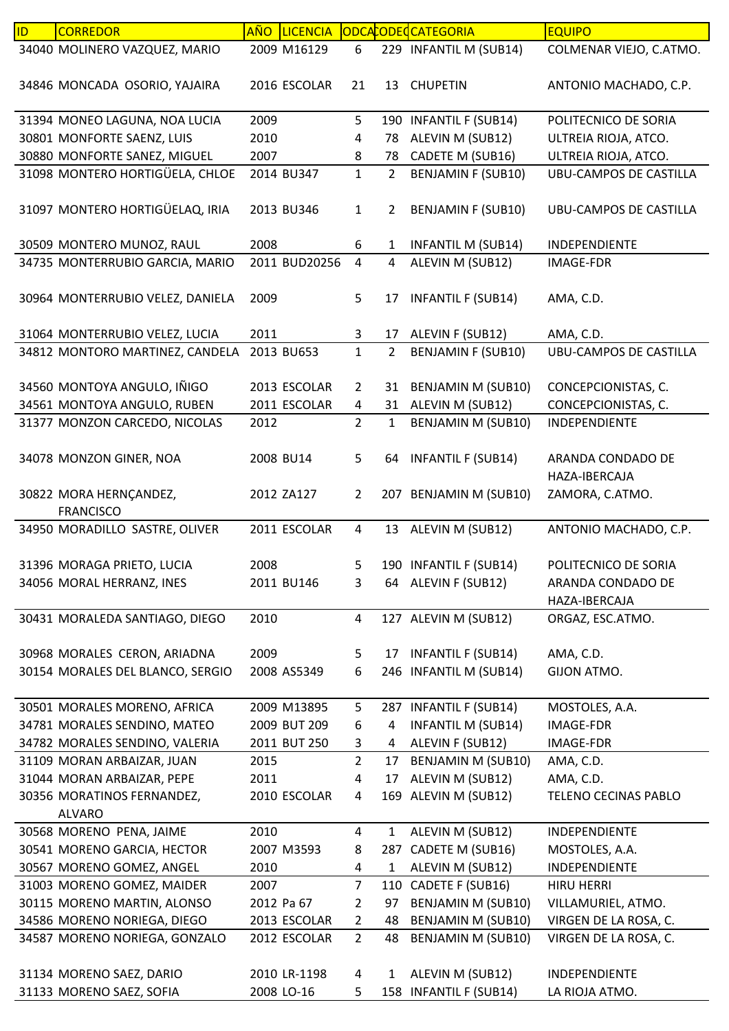| ID | <b>CORREDOR</b>                                            | <b>AÑO</b><br><b>LICENCIA</b> |                     |                | ODCACODECCATEGORIA                            | <b>EQUIPO</b>                              |
|----|------------------------------------------------------------|-------------------------------|---------------------|----------------|-----------------------------------------------|--------------------------------------------|
|    | 34040 MOLINERO VAZQUEZ, MARIO                              | 2009 M16129                   | 6                   |                | 229 INFANTIL M (SUB14)                        | COLMENAR VIEJO, C.ATMO.                    |
|    | 34846 MONCADA OSORIO, YAJAIRA                              | 2016 ESCOLAR                  | 21                  | 13             | <b>CHUPETIN</b>                               | ANTONIO MACHADO, C.P.                      |
|    | 31394 MONEO LAGUNA, NOA LUCIA                              | 2009                          | 5                   |                | 190 INFANTIL F (SUB14)                        | POLITECNICO DE SORIA                       |
|    | 30801 MONFORTE SAENZ, LUIS                                 | 2010                          | 4                   | 78             | ALEVIN M (SUB12)                              | ULTREIA RIOJA, ATCO.                       |
|    | 30880 MONFORTE SANEZ, MIGUEL                               | 2007                          | 8                   | 78             | CADETE M (SUB16)                              | ULTREIA RIOJA, ATCO.                       |
|    | 31098 MONTERO HORTIGÜELA, CHLOE                            | 2014 BU347                    | $\mathbf{1}$        | $\overline{2}$ | <b>BENJAMIN F (SUB10)</b>                     | <b>UBU-CAMPOS DE CASTILLA</b>              |
|    | 31097 MONTERO HORTIGÜELAQ, IRIA                            | 2013 BU346                    | $\mathbf{1}$        | 2              | <b>BENJAMIN F (SUB10)</b>                     | UBU-CAMPOS DE CASTILLA                     |
|    | 30509 MONTERO MUNOZ, RAUL                                  | 2008                          | 6                   | 1              | <b>INFANTIL M (SUB14)</b>                     | INDEPENDIENTE                              |
|    | 34735 MONTERRUBIO GARCIA, MARIO                            | 2011 BUD20256                 | 4                   | 4              | ALEVIN M (SUB12)                              | <b>IMAGE-FDR</b>                           |
|    | 30964 MONTERRUBIO VELEZ, DANIELA                           | 2009                          | 5                   | 17             | <b>INFANTIL F (SUB14)</b>                     | AMA, C.D.                                  |
|    | 31064 MONTERRUBIO VELEZ, LUCIA                             | 2011                          | 3                   | 17             | ALEVIN F (SUB12)                              | AMA, C.D.                                  |
|    | 34812 MONTORO MARTINEZ, CANDELA                            | 2013 BU653                    | $\mathbf{1}$        | $\overline{2}$ | <b>BENJAMIN F (SUB10)</b>                     | <b>UBU-CAMPOS DE CASTILLA</b>              |
|    | 34560 MONTOYA ANGULO, IÑIGO<br>34561 MONTOYA ANGULO, RUBEN | 2013 ESCOLAR<br>2011 ESCOLAR  | $\overline{2}$<br>4 | 31<br>31       | <b>BENJAMIN M (SUB10)</b><br>ALEVIN M (SUB12) | CONCEPCIONISTAS, C.<br>CONCEPCIONISTAS, C. |
|    |                                                            | 2012                          | $\overline{2}$      | $\mathbf{1}$   |                                               | INDEPENDIENTE                              |
|    | 31377 MONZON CARCEDO, NICOLAS                              |                               |                     |                | <b>BENJAMIN M (SUB10)</b>                     |                                            |
|    | 34078 MONZON GINER, NOA                                    | 2008 BU14                     | 5                   | 64             | <b>INFANTIL F (SUB14)</b>                     | ARANDA CONDADO DE<br>HAZA-IBERCAJA         |
|    | 30822 MORA HERNÇANDEZ,                                     | 2012 ZA127                    | $\overline{2}$      |                | 207 BENJAMIN M (SUB10)                        | ZAMORA, C.ATMO.                            |
|    | <b>FRANCISCO</b>                                           |                               |                     |                |                                               |                                            |
|    | 34950 MORADILLO SASTRE, OLIVER                             | 2011 ESCOLAR                  | 4                   | 13             | ALEVIN M (SUB12)                              | ANTONIO MACHADO, C.P.                      |
|    | 31396 MORAGA PRIETO, LUCIA                                 | 2008                          | 5                   |                | 190 INFANTIL F (SUB14)                        | POLITECNICO DE SORIA                       |
|    | 34056 MORAL HERRANZ, INES                                  | 2011 BU146                    | 3                   |                | 64 ALEVIN F (SUB12)                           | ARANDA CONDADO DE                          |
|    |                                                            |                               |                     |                |                                               | HAZA-IBERCAJA                              |
|    | 30431 MORALEDA SANTIAGO, DIEGO                             | 2010                          | 4                   |                | 127 ALEVIN M (SUB12)                          | ORGAZ, ESC.ATMO.                           |
|    | 30968 MORALES CERON, ARIADNA                               | 2009                          | 5                   |                | 17 INFANTIL F (SUB14)                         | AMA, C.D.                                  |
|    | 30154 MORALES DEL BLANCO, SERGIO                           | 2008 AS5349                   | 6                   |                | 246 INFANTIL M (SUB14)                        | GIJON ATMO.                                |
|    |                                                            |                               |                     |                |                                               |                                            |
|    | 30501 MORALES MORENO, AFRICA                               | 2009 M13895                   | 5                   |                | 287 INFANTIL F (SUB14)                        | MOSTOLES, A.A.                             |
|    | 34781 MORALES SENDINO, MATEO                               | 2009 BUT 209                  | 6                   | 4              | <b>INFANTIL M (SUB14)</b>                     | <b>IMAGE-FDR</b>                           |
|    | 34782 MORALES SENDINO, VALERIA                             | 2011 BUT 250                  | 3                   | 4              | ALEVIN F (SUB12)                              | IMAGE-FDR                                  |
|    | 31109 MORAN ARBAIZAR, JUAN                                 | 2015                          | $\overline{2}$      | 17             | <b>BENJAMIN M (SUB10)</b>                     | AMA, C.D.                                  |
|    | 31044 MORAN ARBAIZAR, PEPE                                 | 2011                          | 4                   | 17             | ALEVIN M (SUB12)                              | AMA, C.D.                                  |
|    | 30356 MORATINOS FERNANDEZ,                                 | 2010 ESCOLAR                  | 4                   |                | 169 ALEVIN M (SUB12)                          | TELENO CECINAS PABLO                       |
|    | <b>ALVARO</b>                                              |                               |                     |                |                                               |                                            |
|    | 30568 MORENO PENA, JAIME                                   | 2010                          | 4                   | $\mathbf{1}$   | ALEVIN M (SUB12)                              | INDEPENDIENTE                              |
|    | 30541 MORENO GARCIA, HECTOR                                | 2007 M3593                    | 8                   |                | 287 CADETE M (SUB16)                          | MOSTOLES, A.A.                             |
|    | 30567 MORENO GOMEZ, ANGEL                                  | 2010                          | 4                   | 1              | ALEVIN M (SUB12)                              | INDEPENDIENTE                              |
|    | 31003 MORENO GOMEZ, MAIDER                                 | 2007                          | $\overline{7}$      |                | 110 CADETE F (SUB16)                          | <b>HIRU HERRI</b>                          |
|    | 30115 MORENO MARTIN, ALONSO                                | 2012 Pa 67                    | $\overline{2}$      | 97             | <b>BENJAMIN M (SUB10)</b>                     | VILLAMURIEL, ATMO.                         |
|    | 34586 MORENO NORIEGA, DIEGO                                | 2013 ESCOLAR                  | $\overline{2}$      | 48             | <b>BENJAMIN M (SUB10)</b>                     | VIRGEN DE LA ROSA, C.                      |
|    | 34587 MORENO NORIEGA, GONZALO                              | 2012 ESCOLAR                  | $\overline{2}$      | 48             | BENJAMIN M (SUB10)                            | VIRGEN DE LA ROSA, C.                      |
|    | 31134 MORENO SAEZ, DARIO                                   | 2010 LR-1198                  | 4                   | 1              | ALEVIN M (SUB12)                              | INDEPENDIENTE                              |
|    | 31133 MORENO SAEZ, SOFIA                                   | 2008 LO-16                    | 5                   |                | 158 INFANTIL F (SUB14)                        | LA RIOJA ATMO.                             |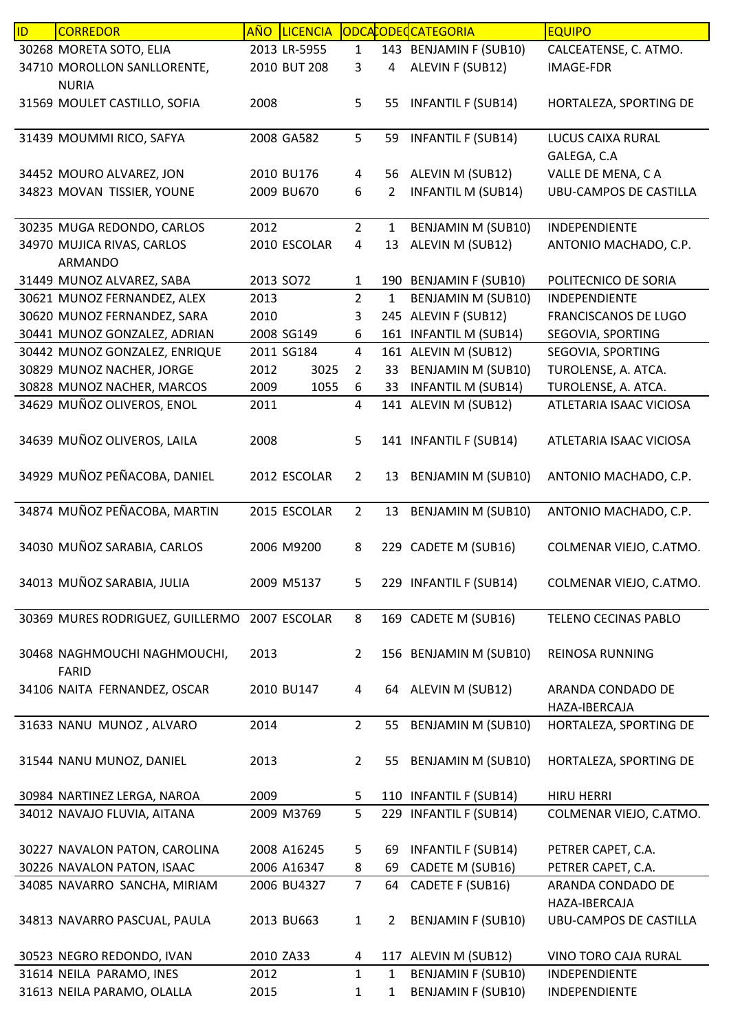| ID | <b>CORREDOR</b>                  | <b>AÑO</b> | <b>LICENCIA</b> |                |                | ODCACODECCATEGORIA        | <b>EQUIPO</b>                 |
|----|----------------------------------|------------|-----------------|----------------|----------------|---------------------------|-------------------------------|
|    | 30268 MORETA SOTO, ELIA          |            | 2013 LR-5955    | $\mathbf{1}$   |                | 143 BENJAMIN F (SUB10)    | CALCEATENSE, C. ATMO.         |
|    | 34710 MOROLLON SANLLORENTE,      |            | 2010 BUT 208    | 3              | 4              | ALEVIN F (SUB12)          | <b>IMAGE-FDR</b>              |
|    | <b>NURIA</b>                     |            |                 |                |                |                           |                               |
|    | 31569 MOULET CASTILLO, SOFIA     | 2008       |                 | 5              | 55             | <b>INFANTIL F (SUB14)</b> | HORTALEZA, SPORTING DE        |
|    |                                  |            |                 |                |                |                           |                               |
|    | 31439 MOUMMI RICO, SAFYA         |            | 2008 GA582      | 5              | 59             | <b>INFANTIL F (SUB14)</b> | LUCUS CAIXA RURAL             |
|    |                                  |            |                 |                |                |                           | GALEGA, C.A                   |
|    | 34452 MOURO ALVAREZ, JON         |            | 2010 BU176      | 4              | 56             | ALEVIN M (SUB12)          | VALLE DE MENA, CA             |
|    | 34823 MOVAN TISSIER, YOUNE       |            | 2009 BU670      | 6              | 2              | <b>INFANTIL M (SUB14)</b> | <b>UBU-CAMPOS DE CASTILLA</b> |
|    |                                  |            |                 |                |                |                           |                               |
|    | 30235 MUGA REDONDO, CARLOS       | 2012       |                 | $\overline{2}$ | 1              | BENJAMIN M (SUB10)        | <b>INDEPENDIENTE</b>          |
|    | 34970 MUJICA RIVAS, CARLOS       |            | 2010 ESCOLAR    | 4              | 13             | ALEVIN M (SUB12)          | ANTONIO MACHADO, C.P.         |
|    | <b>ARMANDO</b>                   |            |                 |                |                |                           |                               |
|    | 31449 MUNOZ ALVAREZ, SABA        | 2013 SO72  |                 | $\mathbf{1}$   |                | 190 BENJAMIN F (SUB10)    | POLITECNICO DE SORIA          |
|    | 30621 MUNOZ FERNANDEZ, ALEX      | 2013       |                 | $\overline{2}$ | $\mathbf{1}$   | <b>BENJAMIN M (SUB10)</b> | <b>INDEPENDIENTE</b>          |
|    | 30620 MUNOZ FERNANDEZ, SARA      | 2010       |                 | 3              | 245            | ALEVIN F (SUB12)          | FRANCISCANOS DE LUGO          |
|    | 30441 MUNOZ GONZALEZ, ADRIAN     |            | 2008 SG149      | 6              |                | 161 INFANTIL M (SUB14)    | SEGOVIA, SPORTING             |
|    | 30442 MUNOZ GONZALEZ, ENRIQUE    |            | 2011 SG184      | 4              |                | 161 ALEVIN M (SUB12)      | SEGOVIA, SPORTING             |
|    | 30829 MUNOZ NACHER, JORGE        | 2012       | 3025            | $\overline{2}$ | 33             | <b>BENJAMIN M (SUB10)</b> | TUROLENSE, A. ATCA.           |
|    | 30828 MUNOZ NACHER, MARCOS       | 2009       | 1055            | 6              | 33             | <b>INFANTIL M (SUB14)</b> | TUROLENSE, A. ATCA.           |
|    | 34629 MUÑOZ OLIVEROS, ENOL       | 2011       |                 | $\overline{4}$ |                | 141 ALEVIN M (SUB12)      | ATLETARIA ISAAC VICIOSA       |
|    |                                  |            |                 |                |                |                           |                               |
|    | 34639 MUÑOZ OLIVEROS, LAILA      | 2008       |                 | 5              |                | 141 INFANTIL F (SUB14)    | ATLETARIA ISAAC VICIOSA       |
|    |                                  |            |                 |                |                |                           |                               |
|    | 34929 MUÑOZ PEÑACOBA, DANIEL     |            | 2012 ESCOLAR    | $\overline{2}$ | 13             | BENJAMIN M (SUB10)        | ANTONIO MACHADO, C.P.         |
|    |                                  |            |                 |                |                |                           |                               |
|    | 34874 MUÑOZ PEÑACOBA, MARTIN     |            | 2015 ESCOLAR    | $\overline{2}$ | 13             | <b>BENJAMIN M (SUB10)</b> | ANTONIO MACHADO, C.P.         |
|    |                                  |            |                 |                |                |                           |                               |
|    | 34030 MUÑOZ SARABIA, CARLOS      |            | 2006 M9200      | 8              |                | 229 CADETE M (SUB16)      | COLMENAR VIEJO, C.ATMO.       |
|    |                                  |            |                 |                |                |                           |                               |
|    | 34013 MUÑOZ SARABIA, JULIA       |            | 2009 M5137      | 5              |                | 229 INFANTIL F (SUB14)    | COLMENAR VIEJO, C.ATMO.       |
|    |                                  |            |                 |                |                |                           |                               |
|    | 30369 MURES RODRIGUEZ, GUILLERMO |            | 2007 ESCOLAR    | 8              |                | 169 CADETE M (SUB16)      | TELENO CECINAS PABLO          |
|    |                                  |            |                 |                |                |                           |                               |
|    | 30468 NAGHMOUCHI NAGHMOUCHI,     | 2013       |                 | $\overline{2}$ |                | 156 BENJAMIN M (SUB10)    | REINOSA RUNNING               |
|    | FARID                            |            |                 |                |                |                           |                               |
|    | 34106 NAITA FERNANDEZ, OSCAR     |            | 2010 BU147      | 4              | 64             | ALEVIN M (SUB12)          | ARANDA CONDADO DE             |
|    |                                  |            |                 |                |                |                           | HAZA-IBERCAJA                 |
|    | 31633 NANU MUNOZ, ALVARO         | 2014       |                 | $2^{\circ}$    | 55             | <b>BENJAMIN M (SUB10)</b> | HORTALEZA, SPORTING DE        |
|    |                                  |            |                 |                |                |                           |                               |
|    | 31544 NANU MUNOZ, DANIEL         | 2013       |                 | $\overline{2}$ | 55             | BENJAMIN M (SUB10)        | HORTALEZA, SPORTING DE        |
|    |                                  |            |                 |                |                |                           |                               |
|    | 30984 NARTINEZ LERGA, NAROA      | 2009       |                 | 5              |                | 110 INFANTIL F (SUB14)    | <b>HIRU HERRI</b>             |
|    | 34012 NAVAJO FLUVIA, AITANA      |            | 2009 M3769      | 5              |                | 229 INFANTIL F (SUB14)    | COLMENAR VIEJO, C.ATMO.       |
|    |                                  |            |                 |                |                |                           |                               |
|    | 30227 NAVALON PATON, CAROLINA    |            | 2008 A16245     | 5              | 69             | <b>INFANTIL F (SUB14)</b> | PETRER CAPET, C.A.            |
|    | 30226 NAVALON PATON, ISAAC       |            | 2006 A16347     | 8              | 69             | CADETE M (SUB16)          | PETRER CAPET, C.A.            |
|    | 34085 NAVARRO SANCHA, MIRIAM     |            | 2006 BU4327     | $\overline{7}$ | 64             | CADETE F (SUB16)          | ARANDA CONDADO DE             |
|    |                                  |            |                 |                |                |                           | HAZA-IBERCAJA                 |
|    | 34813 NAVARRO PASCUAL, PAULA     |            | 2013 BU663      | $\mathbf{1}$   | $\overline{2}$ | <b>BENJAMIN F (SUB10)</b> | UBU-CAMPOS DE CASTILLA        |
|    |                                  |            |                 |                |                |                           |                               |
|    | 30523 NEGRO REDONDO, IVAN        |            | 2010 ZA33       | 4              |                | 117 ALEVIN M (SUB12)      | VINO TORO CAJA RURAL          |
|    | 31614 NEILA PARAMO, INES         | 2012       |                 | $\mathbf{1}$   | $\mathbf{1}$   | <b>BENJAMIN F (SUB10)</b> | INDEPENDIENTE                 |
|    | 31613 NEILA PARAMO, OLALLA       | 2015       |                 | $\mathbf{1}$   | 1              | <b>BENJAMIN F (SUB10)</b> | INDEPENDIENTE                 |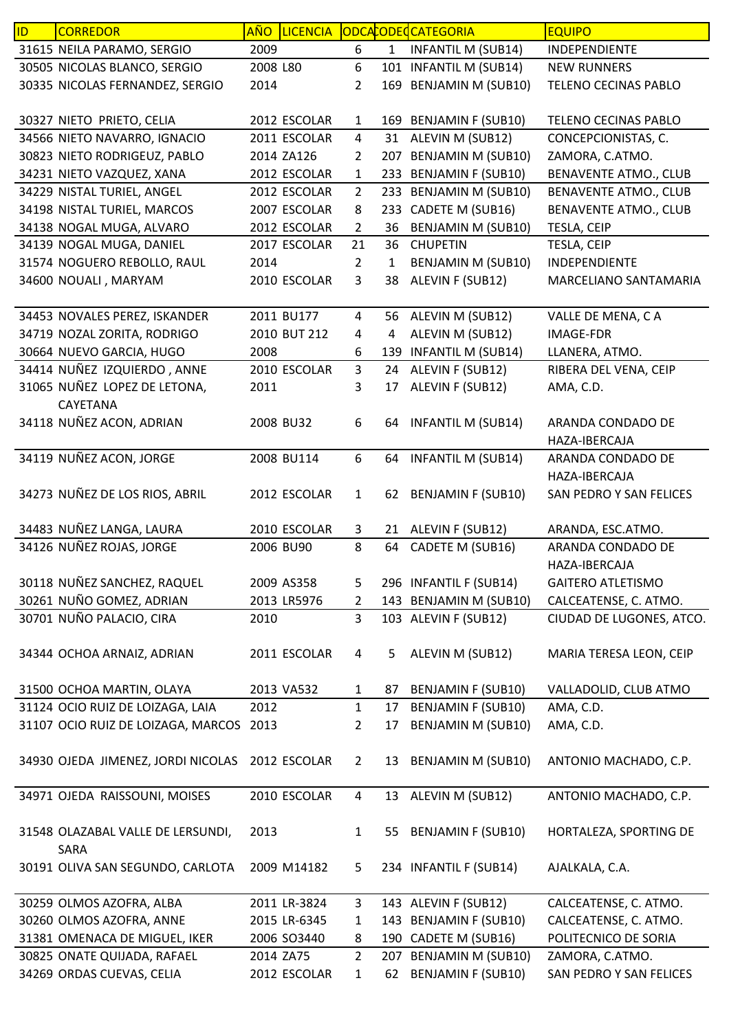| ID | <b>CORREDOR</b>                           | AÑO      | <b>LICENCIA</b> |                |              | ODCACODECATEGORIA         | <b>EQUIPO</b>                      |
|----|-------------------------------------------|----------|-----------------|----------------|--------------|---------------------------|------------------------------------|
|    | 31615 NEILA PARAMO, SERGIO                | 2009     |                 | 6              | $\mathbf{1}$ | <b>INFANTIL M (SUB14)</b> | INDEPENDIENTE                      |
|    | 30505 NICOLAS BLANCO, SERGIO              | 2008 L80 |                 | 6              |              | 101 INFANTIL M (SUB14)    | <b>NEW RUNNERS</b>                 |
|    | 30335 NICOLAS FERNANDEZ, SERGIO           | 2014     |                 | $\overline{2}$ |              | 169 BENJAMIN M (SUB10)    | TELENO CECINAS PABLO               |
|    | 30327 NIETO PRIETO, CELIA                 |          | 2012 ESCOLAR    | 1              |              | 169 BENJAMIN F (SUB10)    | TELENO CECINAS PABLO               |
|    | 34566 NIETO NAVARRO, IGNACIO              |          | 2011 ESCOLAR    | $\overline{4}$ |              | 31 ALEVIN M (SUB12)       | CONCEPCIONISTAS, C.                |
|    | 30823 NIETO RODRIGEUZ, PABLO              |          | 2014 ZA126      | 2              |              | 207 BENJAMIN M (SUB10)    | ZAMORA, C.ATMO.                    |
|    | 34231 NIETO VAZQUEZ, XANA                 |          | 2012 ESCOLAR    | $\mathbf{1}$   |              | 233 BENJAMIN F (SUB10)    | <b>BENAVENTE ATMO., CLUB</b>       |
|    | 34229 NISTAL TURIEL, ANGEL                |          | 2012 ESCOLAR    | $\overline{2}$ |              | 233 BENJAMIN M (SUB10)    | <b>BENAVENTE ATMO., CLUB</b>       |
|    | 34198 NISTAL TURIEL, MARCOS               |          | 2007 ESCOLAR    | 8              |              | 233 CADETE M (SUB16)      | <b>BENAVENTE ATMO., CLUB</b>       |
|    | 34138 NOGAL MUGA, ALVARO                  |          | 2012 ESCOLAR    | 2              | 36           | <b>BENJAMIN M (SUB10)</b> | TESLA, CEIP                        |
|    | 34139 NOGAL MUGA, DANIEL                  |          | 2017 ESCOLAR    | 21             | 36           | <b>CHUPETIN</b>           | TESLA, CEIP                        |
|    | 31574 NOGUERO REBOLLO, RAUL               | 2014     |                 | $\overline{2}$ | $\mathbf{1}$ | <b>BENJAMIN M (SUB10)</b> | INDEPENDIENTE                      |
|    | 34600 NOUALI, MARYAM                      |          | 2010 ESCOLAR    | 3              | 38           | ALEVIN F (SUB12)          | MARCELIANO SANTAMARIA              |
|    | 34453 NOVALES PEREZ, ISKANDER             |          | 2011 BU177      | 4              | 56           | ALEVIN M (SUB12)          | VALLE DE MENA, CA                  |
|    | 34719 NOZAL ZORITA, RODRIGO               |          | 2010 BUT 212    | 4              | 4            | ALEVIN M (SUB12)          | <b>IMAGE-FDR</b>                   |
|    | 30664 NUEVO GARCIA, HUGO                  | 2008     |                 | 6              |              | 139 INFANTIL M (SUB14)    | LLANERA, ATMO.                     |
|    | 34414 NUÑEZ IZQUIERDO, ANNE               |          | 2010 ESCOLAR    | 3              | 24           | ALEVIN F (SUB12)          | RIBERA DEL VENA, CEIP              |
|    | 31065 NUÑEZ LOPEZ DE LETONA,<br>CAYETANA  | 2011     |                 | 3              | 17           | ALEVIN F (SUB12)          | AMA, C.D.                          |
|    | 34118 NUÑEZ ACON, ADRIAN                  |          | 2008 BU32       | 6              |              | 64 INFANTIL M (SUB14)     | ARANDA CONDADO DE<br>HAZA-IBERCAJA |
|    | 34119 NUÑEZ ACON, JORGE                   |          | 2008 BU114      | 6              | 64           | <b>INFANTIL M (SUB14)</b> | ARANDA CONDADO DE                  |
|    |                                           |          |                 |                |              |                           | HAZA-IBERCAJA                      |
|    | 34273 NUÑEZ DE LOS RIOS, ABRIL            |          | 2012 ESCOLAR    | $\mathbf{1}$   |              | 62 BENJAMIN F (SUB10)     | SAN PEDRO Y SAN FELICES            |
|    | 34483 NUÑEZ LANGA, LAURA                  |          | 2010 ESCOLAR    | 3              |              | 21 ALEVIN F (SUB12)       | ARANDA, ESC.ATMO.                  |
|    | 34126 NUÑEZ ROJAS, JORGE                  |          | 2006 BU90       | 8              | 64           | CADETE M (SUB16)          | ARANDA CONDADO DE                  |
|    |                                           |          |                 |                |              |                           | HAZA-IBERCAJA                      |
|    | 30118 NUÑEZ SANCHEZ, RAQUEL               |          | 2009 AS358      | 5              |              | 296 INFANTIL F (SUB14)    | <b>GAITERO ATLETISMO</b>           |
|    | 30261 NUÑO GOMEZ, ADRIAN                  |          | 2013 LR5976     | 2              |              | 143 BENJAMIN M (SUB10)    | CALCEATENSE, C. ATMO.              |
|    | 30701 NUÑO PALACIO, CIRA                  | 2010     |                 | $\overline{3}$ |              | 103 ALEVIN F (SUB12)      | CIUDAD DE LUGONES, ATCO.           |
|    | 34344 OCHOA ARNAIZ, ADRIAN                |          | 2011 ESCOLAR    | 4              | 5.           | ALEVIN M (SUB12)          | MARIA TERESA LEON, CEIP            |
|    | 31500 OCHOA MARTIN, OLAYA                 |          | 2013 VA532      | 1              | 87           | <b>BENJAMIN F (SUB10)</b> | VALLADOLID, CLUB ATMO              |
|    | 31124 OCIO RUIZ DE LOIZAGA, LAIA          | 2012     |                 | $\mathbf{1}$   | 17           | <b>BENJAMIN F (SUB10)</b> | AMA, C.D.                          |
|    | 31107 OCIO RUIZ DE LOIZAGA, MARCOS        | 2013     |                 | $\overline{2}$ | 17           | <b>BENJAMIN M (SUB10)</b> | AMA, C.D.                          |
|    | 34930 OJEDA JIMENEZ, JORDI NICOLAS        |          | 2012 ESCOLAR    | $\overline{2}$ |              | 13 BENJAMIN M (SUB10)     | ANTONIO MACHADO, C.P.              |
|    | 34971 OJEDA RAISSOUNI, MOISES             |          | 2010 ESCOLAR    | 4              | 13           | ALEVIN M (SUB12)          | ANTONIO MACHADO, C.P.              |
|    | 31548 OLAZABAL VALLE DE LERSUNDI,<br>SARA | 2013     |                 | $\mathbf{1}$   |              | 55 BENJAMIN F (SUB10)     | HORTALEZA, SPORTING DE             |
|    | 30191 OLIVA SAN SEGUNDO, CARLOTA          |          | 2009 M14182     | 5.             |              | 234 INFANTIL F (SUB14)    | AJALKALA, C.A.                     |
|    | 30259 OLMOS AZOFRA, ALBA                  |          | 2011 LR-3824    | 3              |              | 143 ALEVIN F (SUB12)      | CALCEATENSE, C. ATMO.              |
|    | 30260 OLMOS AZOFRA, ANNE                  |          | 2015 LR-6345    | 1              |              | 143 BENJAMIN F (SUB10)    | CALCEATENSE, C. ATMO.              |
|    | 31381 OMENACA DE MIGUEL, IKER             |          | 2006 SO3440     | 8              |              | 190 CADETE M (SUB16)      | POLITECNICO DE SORIA               |
|    | 30825 ONATE QUIJADA, RAFAEL               |          | 2014 ZA75       | $\overline{2}$ |              | 207 BENJAMIN M (SUB10)    | ZAMORA, C.ATMO.                    |
|    | 34269 ORDAS CUEVAS, CELIA                 |          | 2012 ESCOLAR    | $\mathbf{1}$   | 62           | <b>BENJAMIN F (SUB10)</b> | SAN PEDRO Y SAN FELICES            |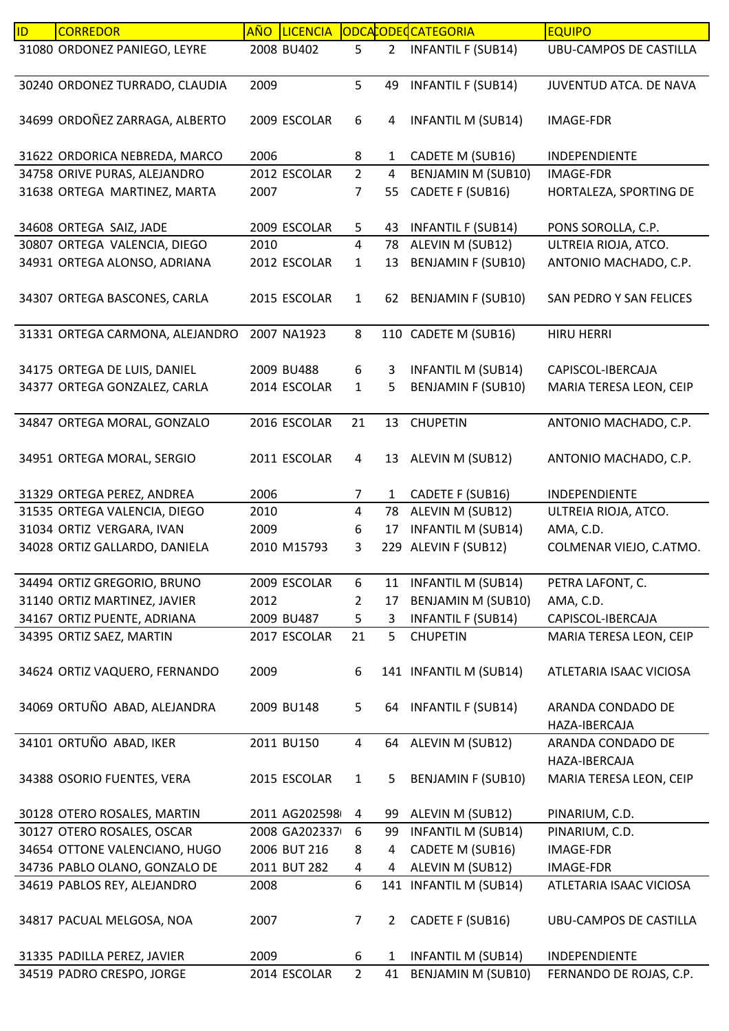| ID | <b>CORREDOR</b>                 | <b>AÑO</b> | <b>LICENCIA</b> |                |                | ODCACODECCATEGORIA        | <b>EQUIPO</b>                      |
|----|---------------------------------|------------|-----------------|----------------|----------------|---------------------------|------------------------------------|
|    | 31080 ORDONEZ PANIEGO, LEYRE    |            | 2008 BU402      | 5              | $\overline{2}$ | <b>INFANTIL F (SUB14)</b> | <b>UBU-CAMPOS DE CASTILLA</b>      |
|    | 30240 ORDONEZ TURRADO, CLAUDIA  | 2009       |                 | 5              | 49             | <b>INFANTIL F (SUB14)</b> | JUVENTUD ATCA. DE NAVA             |
|    | 34699 ORDOÑEZ ZARRAGA, ALBERTO  |            | 2009 ESCOLAR    | 6              | 4              | <b>INFANTIL M (SUB14)</b> | <b>IMAGE-FDR</b>                   |
|    | 31622 ORDORICA NEBREDA, MARCO   | 2006       |                 | 8              | $\mathbf{1}$   | CADETE M (SUB16)          | INDEPENDIENTE                      |
|    | 34758 ORIVE PURAS, ALEJANDRO    |            | 2012 ESCOLAR    | $\overline{2}$ | 4              | BENJAMIN M (SUB10)        | <b>IMAGE-FDR</b>                   |
|    | 31638 ORTEGA MARTINEZ, MARTA    | 2007       |                 | 7              | 55             | CADETE F (SUB16)          | HORTALEZA, SPORTING DE             |
|    | 34608 ORTEGA SAIZ, JADE         |            | 2009 ESCOLAR    | 5              | 43             | <b>INFANTIL F (SUB14)</b> | PONS SOROLLA, C.P.                 |
|    | 30807 ORTEGA VALENCIA, DIEGO    | 2010       |                 | 4              | 78             | ALEVIN M (SUB12)          | ULTREIA RIOJA, ATCO.               |
|    | 34931 ORTEGA ALONSO, ADRIANA    |            | 2012 ESCOLAR    | 1              | 13             | <b>BENJAMIN F (SUB10)</b> | ANTONIO MACHADO, C.P.              |
|    | 34307 ORTEGA BASCONES, CARLA    |            | 2015 ESCOLAR    | $\mathbf{1}$   | 62             | <b>BENJAMIN F (SUB10)</b> | SAN PEDRO Y SAN FELICES            |
|    | 31331 ORTEGA CARMONA, ALEJANDRO |            | 2007 NA1923     | 8              |                | 110 CADETE M (SUB16)      | <b>HIRU HERRI</b>                  |
|    | 34175 ORTEGA DE LUIS, DANIEL    |            | 2009 BU488      | 6              | 3              | <b>INFANTIL M (SUB14)</b> | CAPISCOL-IBERCAJA                  |
|    | 34377 ORTEGA GONZALEZ, CARLA    |            | 2014 ESCOLAR    | $\mathbf{1}$   | 5              | <b>BENJAMIN F (SUB10)</b> | MARIA TERESA LEON, CEIP            |
|    | 34847 ORTEGA MORAL, GONZALO     |            | 2016 ESCOLAR    | 21             | 13             | <b>CHUPETIN</b>           | ANTONIO MACHADO, C.P.              |
|    | 34951 ORTEGA MORAL, SERGIO      |            | 2011 ESCOLAR    | 4              | 13             | ALEVIN M (SUB12)          | ANTONIO MACHADO, C.P.              |
|    | 31329 ORTEGA PEREZ, ANDREA      | 2006       |                 | 7              | $\mathbf{1}$   | CADETE F (SUB16)          | <b>INDEPENDIENTE</b>               |
|    | 31535 ORTEGA VALENCIA, DIEGO    | 2010       |                 | 4              | 78             | ALEVIN M (SUB12)          | ULTREIA RIOJA, ATCO.               |
|    | 31034 ORTIZ VERGARA, IVAN       | 2009       |                 | 6              | 17             | <b>INFANTIL M (SUB14)</b> | AMA, C.D.                          |
|    | 34028 ORTIZ GALLARDO, DANIELA   |            | 2010 M15793     | 3              | 229            | ALEVIN F (SUB12)          | COLMENAR VIEJO, C.ATMO.            |
|    | 34494 ORTIZ GREGORIO, BRUNO     |            | 2009 ESCOLAR    | 6              | 11             | <b>INFANTIL M (SUB14)</b> | PETRA LAFONT, C.                   |
|    | 31140 ORTIZ MARTINEZ, JAVIER    | 2012       |                 | 2              | 17             | BENJAMIN M (SUB10)        | AMA, C.D.                          |
|    | 34167 ORTIZ PUENTE, ADRIANA     |            | 2009 BU487      | 5              | 3              | <b>INFANTIL F (SUB14)</b> | CAPISCOL-IBERCAJA                  |
|    | 34395 ORTIZ SAEZ, MARTIN        |            | 2017 ESCOLAR    | 21             | 5              | <b>CHUPETIN</b>           | MARIA TERESA LEON, CEIP            |
|    | 34624 ORTIZ VAQUERO, FERNANDO   | 2009       |                 | 6              |                | 141 INFANTIL M (SUB14)    | ATLETARIA ISAAC VICIOSA            |
|    | 34069 ORTUÑO ABAD, ALEJANDRA    |            | 2009 BU148      | 5              | 64             | <b>INFANTIL F (SUB14)</b> | ARANDA CONDADO DE<br>HAZA-IBERCAJA |
|    | 34101 ORTUÑO ABAD, IKER         |            | 2011 BU150      | 4              | 64             | ALEVIN M (SUB12)          | ARANDA CONDADO DE<br>HAZA-IBERCAJA |
|    | 34388 OSORIO FUENTES, VERA      |            | 2015 ESCOLAR    | $\mathbf{1}$   | 5              | <b>BENJAMIN F (SUB10)</b> | MARIA TERESA LEON, CEIP            |
|    | 30128 OTERO ROSALES, MARTIN     |            | 2011 AG202598   | 4              | 99             | ALEVIN M (SUB12)          | PINARIUM, C.D.                     |
|    | 30127 OTERO ROSALES, OSCAR      |            | 2008 GA202337   | 6              | 99             | <b>INFANTIL M (SUB14)</b> | PINARIUM, C.D.                     |
|    | 34654 OTTONE VALENCIANO, HUGO   |            | 2006 BUT 216    | 8              | 4              | CADETE M (SUB16)          | <b>IMAGE-FDR</b>                   |
|    | 34736 PABLO OLANO, GONZALO DE   |            | 2011 BUT 282    | 4              | 4              | ALEVIN M (SUB12)          | <b>IMAGE-FDR</b>                   |
|    | 34619 PABLOS REY, ALEJANDRO     | 2008       |                 | 6              | 141            | <b>INFANTIL M (SUB14)</b> | ATLETARIA ISAAC VICIOSA            |
|    | 34817 PACUAL MELGOSA, NOA       | 2007       |                 | 7              | $2^{\circ}$    | CADETE F (SUB16)          | UBU-CAMPOS DE CASTILLA             |
|    | 31335 PADILLA PEREZ, JAVIER     | 2009       |                 | 6              | $\mathbf{1}$   | <b>INFANTIL M (SUB14)</b> | INDEPENDIENTE                      |
|    | 34519 PADRO CRESPO, JORGE       |            | 2014 ESCOLAR    | $\overline{2}$ | 41             | <b>BENJAMIN M (SUB10)</b> | FERNANDO DE ROJAS, C.P.            |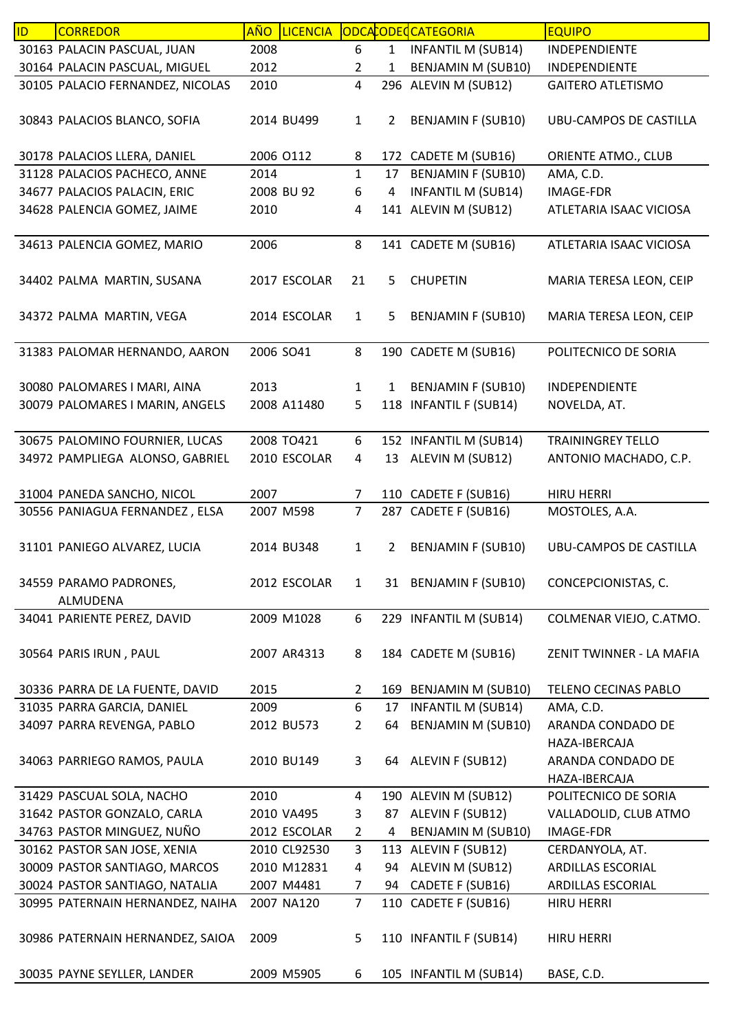| ID | <b>CORREDOR</b>                  | <b>AÑO</b> | <b>LICENCIA</b> |                |                | ODCACODECATEGORIA         | <b>EQUIPO</b>                 |
|----|----------------------------------|------------|-----------------|----------------|----------------|---------------------------|-------------------------------|
|    | 30163 PALACIN PASCUAL, JUAN      | 2008       |                 | 6              | $\mathbf{1}$   | <b>INFANTIL M (SUB14)</b> | INDEPENDIENTE                 |
|    | 30164 PALACIN PASCUAL, MIGUEL    | 2012       |                 | 2              | 1              | BENJAMIN M (SUB10)        | INDEPENDIENTE                 |
|    | 30105 PALACIO FERNANDEZ, NICOLAS | 2010       |                 | 4              |                | 296 ALEVIN M (SUB12)      | <b>GAITERO ATLETISMO</b>      |
|    |                                  |            |                 |                |                |                           |                               |
|    | 30843 PALACIOS BLANCO, SOFIA     |            | 2014 BU499      | $\mathbf{1}$   | $\overline{2}$ | <b>BENJAMIN F (SUB10)</b> | UBU-CAMPOS DE CASTILLA        |
|    |                                  |            |                 |                |                |                           |                               |
|    | 30178 PALACIOS LLERA, DANIEL     |            | 2006 0112       | 8              |                | 172 CADETE M (SUB16)      | ORIENTE ATMO., CLUB           |
|    | 31128 PALACIOS PACHECO, ANNE     | 2014       |                 | $\mathbf{1}$   | 17             | <b>BENJAMIN F (SUB10)</b> | AMA, C.D.                     |
|    | 34677 PALACIOS PALACIN, ERIC     |            | 2008 BU 92      | 6              | 4              | <b>INFANTIL M (SUB14)</b> | <b>IMAGE-FDR</b>              |
|    | 34628 PALENCIA GOMEZ, JAIME      | 2010       |                 | 4              |                | 141 ALEVIN M (SUB12)      | ATLETARIA ISAAC VICIOSA       |
|    | 34613 PALENCIA GOMEZ, MARIO      | 2006       |                 | 8              |                | 141 CADETE M (SUB16)      | ATLETARIA ISAAC VICIOSA       |
|    |                                  |            |                 |                |                |                           |                               |
|    | 34402 PALMA MARTIN, SUSANA       |            | 2017 ESCOLAR    | 21             | 5              | <b>CHUPETIN</b>           | MARIA TERESA LEON, CEIP       |
|    |                                  |            |                 |                |                |                           |                               |
|    | 34372 PALMA MARTIN, VEGA         |            | 2014 ESCOLAR    | $\mathbf{1}$   | 5              | <b>BENJAMIN F (SUB10)</b> | MARIA TERESA LEON, CEIP       |
|    |                                  |            |                 |                |                |                           |                               |
|    | 31383 PALOMAR HERNANDO, AARON    | 2006 SO41  |                 | 8              |                | 190 CADETE M (SUB16)      | POLITECNICO DE SORIA          |
|    |                                  |            |                 |                |                |                           |                               |
|    | 30080 PALOMARES I MARI, AINA     | 2013       |                 | $\mathbf{1}$   | 1              | <b>BENJAMIN F (SUB10)</b> | <b>INDEPENDIENTE</b>          |
|    | 30079 PALOMARES I MARIN, ANGELS  |            | 2008 A11480     | 5              |                | 118 INFANTIL F (SUB14)    | NOVELDA, AT.                  |
|    |                                  |            |                 |                |                |                           |                               |
|    | 30675 PALOMINO FOURNIER, LUCAS   |            | 2008 TO421      | 6              |                | 152 INFANTIL M (SUB14)    | <b>TRAININGREY TELLO</b>      |
|    | 34972 PAMPLIEGA ALONSO, GABRIEL  |            | 2010 ESCOLAR    | 4              | 13             | ALEVIN M (SUB12)          | ANTONIO MACHADO, C.P.         |
|    | 31004 PANEDA SANCHO, NICOL       | 2007       |                 | 7              |                | 110 CADETE F (SUB16)      | <b>HIRU HERRI</b>             |
|    | 30556 PANIAGUA FERNANDEZ, ELSA   |            | 2007 M598       | $\overline{7}$ |                | 287 CADETE F (SUB16)      | MOSTOLES, A.A.                |
|    |                                  |            |                 |                |                |                           |                               |
|    | 31101 PANIEGO ALVAREZ, LUCIA     |            | 2014 BU348      | $\mathbf{1}$   | $\overline{2}$ | <b>BENJAMIN F (SUB10)</b> | <b>UBU-CAMPOS DE CASTILLA</b> |
|    |                                  |            |                 |                |                |                           |                               |
|    | 34559 PARAMO PADRONES,           |            | 2012 ESCOLAR    | $\mathbf{1}$   |                | 31 BENJAMIN F (SUB10)     | CONCEPCIONISTAS, C.           |
|    | ALMUDENA                         |            |                 |                |                |                           |                               |
|    | 34041 PARIENTE PEREZ, DAVID      |            | 2009 M1028      | 6              |                | 229 INFANTIL M (SUB14)    | COLMENAR VIEJO, C.ATMO.       |
|    |                                  |            |                 |                |                |                           |                               |
|    | 30564 PARIS IRUN, PAUL           |            | 2007 AR4313     | 8              |                | 184 CADETE M (SUB16)      | ZENIT TWINNER - LA MAFIA      |
|    |                                  |            |                 |                |                |                           |                               |
|    | 30336 PARRA DE LA FUENTE, DAVID  | 2015       |                 | $\overline{2}$ |                | 169 BENJAMIN M (SUB10)    | TELENO CECINAS PABLO          |
|    | 31035 PARRA GARCIA, DANIEL       | 2009       |                 | 6              | 17             | <b>INFANTIL M (SUB14)</b> | AMA, C.D.                     |
|    | 34097 PARRA REVENGA, PABLO       |            | 2012 BU573      | 2              | 64             | <b>BENJAMIN M (SUB10)</b> | ARANDA CONDADO DE             |
|    |                                  |            |                 |                |                |                           | HAZA-IBERCAJA                 |
|    | 34063 PARRIEGO RAMOS, PAULA      |            | 2010 BU149      | 3              |                | 64 ALEVIN F (SUB12)       | ARANDA CONDADO DE             |
|    |                                  |            |                 |                |                |                           | HAZA-IBERCAJA                 |
|    | 31429 PASCUAL SOLA, NACHO        | 2010       |                 | 4              |                | 190 ALEVIN M (SUB12)      | POLITECNICO DE SORIA          |
|    | 31642 PASTOR GONZALO, CARLA      |            | 2010 VA495      | 3              |                | 87 ALEVIN F (SUB12)       | VALLADOLID, CLUB ATMO         |
|    | 34763 PASTOR MINGUEZ, NUÑO       |            | 2012 ESCOLAR    | $\overline{2}$ | 4              | BENJAMIN M (SUB10)        | IMAGE-FDR                     |
|    | 30162 PASTOR SAN JOSE, XENIA     |            | 2010 CL92530    | 3              |                | 113 ALEVIN F (SUB12)      | CERDANYOLA, AT.               |
|    | 30009 PASTOR SANTIAGO, MARCOS    |            | 2010 M12831     | 4              | 94             | ALEVIN M (SUB12)          | ARDILLAS ESCORIAL             |
|    | 30024 PASTOR SANTIAGO, NATALIA   |            | 2007 M4481      | $\overline{7}$ | 94             | CADETE F (SUB16)          | ARDILLAS ESCORIAL             |
|    | 30995 PATERNAIN HERNANDEZ, NAIHA |            | 2007 NA120      | $\overline{7}$ |                | 110 CADETE F (SUB16)      | <b>HIRU HERRI</b>             |
|    |                                  |            |                 |                |                |                           |                               |
|    | 30986 PATERNAIN HERNANDEZ, SAIOA | 2009       |                 | 5              |                | 110 INFANTIL F (SUB14)    | <b>HIRU HERRI</b>             |
|    |                                  |            |                 |                |                |                           |                               |
|    | 30035 PAYNE SEYLLER, LANDER      |            | 2009 M5905      | 6              |                | 105 INFANTIL M (SUB14)    | BASE, C.D.                    |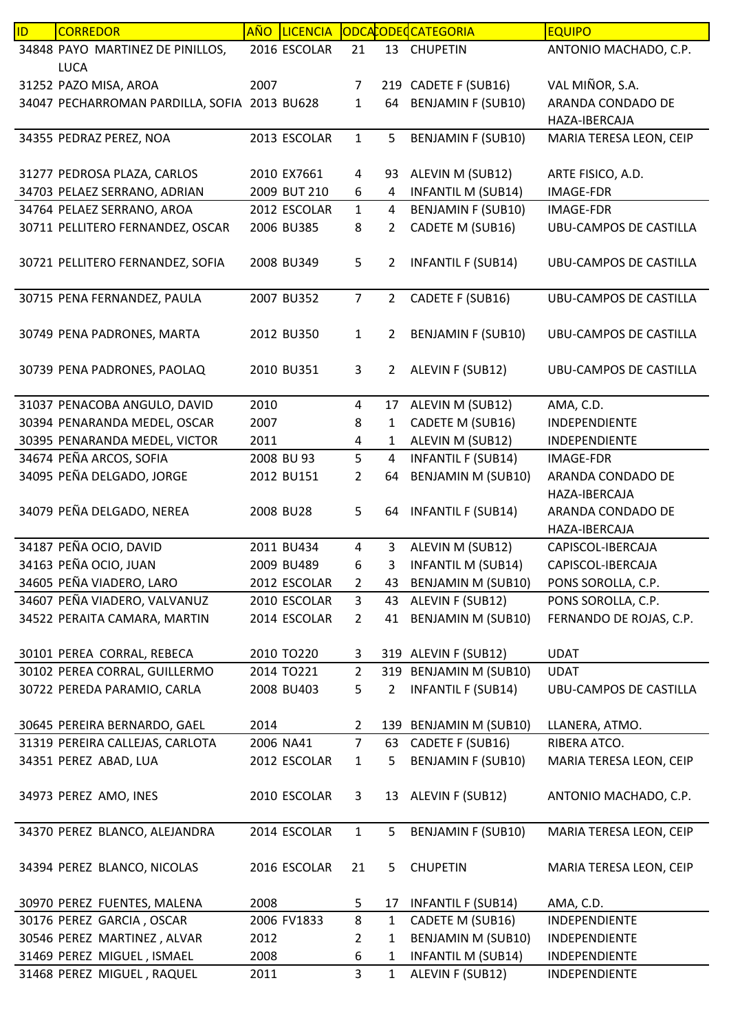| ID. | <b>CORREDOR</b>                              | <b>AÑO</b> | <b>LICENCIA</b> |                |                | ODCACODECATEGORIA         | <b>EQUIPO</b>                 |
|-----|----------------------------------------------|------------|-----------------|----------------|----------------|---------------------------|-------------------------------|
|     | 34848 PAYO MARTINEZ DE PINILLOS,             |            | 2016 ESCOLAR    | 21             | 13             | <b>CHUPETIN</b>           | ANTONIO MACHADO, C.P.         |
|     | <b>LUCA</b>                                  |            |                 |                |                |                           |                               |
|     | 31252 PAZO MISA, AROA                        | 2007       |                 | $\overline{7}$ |                | 219 CADETE F (SUB16)      | VAL MIÑOR, S.A.               |
|     | 34047 PECHARROMAN PARDILLA, SOFIA 2013 BU628 |            |                 | $\mathbf{1}$   | 64             | <b>BENJAMIN F (SUB10)</b> | ARANDA CONDADO DE             |
|     |                                              |            |                 |                |                |                           | HAZA-IBERCAJA                 |
|     | 34355 PEDRAZ PEREZ, NOA                      |            | 2013 ESCOLAR    | $\mathbf{1}$   | 5              | <b>BENJAMIN F (SUB10)</b> | MARIA TERESA LEON, CEIP       |
|     |                                              |            |                 |                |                |                           |                               |
|     | 31277 PEDROSA PLAZA, CARLOS                  |            | 2010 EX7661     | 4              | 93             | ALEVIN M (SUB12)          | ARTE FISICO, A.D.             |
|     | 34703 PELAEZ SERRANO, ADRIAN                 |            | 2009 BUT 210    | 6              | 4              | <b>INFANTIL M (SUB14)</b> | <b>IMAGE-FDR</b>              |
|     | 34764 PELAEZ SERRANO, AROA                   |            | 2012 ESCOLAR    | $\mathbf{1}$   | 4              | <b>BENJAMIN F (SUB10)</b> | IMAGE-FDR                     |
|     | 30711 PELLITERO FERNANDEZ, OSCAR             |            | 2006 BU385      | 8              | $\overline{2}$ | CADETE M (SUB16)          | <b>UBU-CAMPOS DE CASTILLA</b> |
|     |                                              |            |                 |                |                |                           |                               |
|     | 30721 PELLITERO FERNANDEZ, SOFIA             |            | 2008 BU349      | 5              | $\overline{2}$ | <b>INFANTIL F (SUB14)</b> | UBU-CAMPOS DE CASTILLA        |
|     |                                              |            |                 |                |                |                           |                               |
|     | 30715 PENA FERNANDEZ, PAULA                  |            | 2007 BU352      | $\overline{7}$ | $\overline{2}$ | CADETE F (SUB16)          | <b>UBU-CAMPOS DE CASTILLA</b> |
|     |                                              |            |                 |                |                |                           |                               |
|     | 30749 PENA PADRONES, MARTA                   |            | 2012 BU350      | $\mathbf{1}$   | $\overline{2}$ | <b>BENJAMIN F (SUB10)</b> | UBU-CAMPOS DE CASTILLA        |
|     |                                              |            |                 |                |                |                           |                               |
|     | 30739 PENA PADRONES, PAOLAQ                  |            | 2010 BU351      | 3              | $\overline{2}$ | ALEVIN F (SUB12)          | <b>UBU-CAMPOS DE CASTILLA</b> |
|     |                                              |            |                 |                |                |                           |                               |
|     | 31037 PENACOBA ANGULO, DAVID                 | 2010       |                 | $\overline{4}$ | 17             | ALEVIN M (SUB12)          | AMA, C.D.                     |
|     | 30394 PENARANDA MEDEL, OSCAR                 | 2007       |                 | 8              | $\mathbf{1}$   | CADETE M (SUB16)          | INDEPENDIENTE                 |
|     | 30395 PENARANDA MEDEL, VICTOR                | 2011       |                 | 4              | 1              | ALEVIN M (SUB12)          | INDEPENDIENTE                 |
|     | 34674 PEÑA ARCOS, SOFIA                      |            | 2008 BU 93      | 5              | $\overline{4}$ | <b>INFANTIL F (SUB14)</b> | <b>IMAGE-FDR</b>              |
|     | 34095 PEÑA DELGADO, JORGE                    |            | 2012 BU151      | $\overline{2}$ | 64             | <b>BENJAMIN M (SUB10)</b> | ARANDA CONDADO DE             |
|     |                                              |            |                 |                |                |                           | HAZA-IBERCAJA                 |
|     | 34079 PEÑA DELGADO, NEREA                    |            | 2008 BU28       | 5              |                | 64 INFANTIL F (SUB14)     | ARANDA CONDADO DE             |
|     |                                              |            |                 |                |                |                           | HAZA-IBERCAJA                 |
|     | 34187 PEÑA OCIO, DAVID                       |            | 2011 BU434      | 4              | $\overline{3}$ | ALEVIN M (SUB12)          | CAPISCOL-IBERCAJA             |
|     | 34163 PEÑA OCIO, JUAN                        |            | 2009 BU489      | 6              | з              | <b>INFANTIL M (SUB14)</b> | CAPISCOL-IBERCAJA             |
|     | 34605 PEÑA VIADERO, LARO                     |            | 2012 ESCOLAR    | $\overline{2}$ |                | 43 BENJAMIN M (SUB10)     | PONS SOROLLA, C.P.            |
|     | 34607 PEÑA VIADERO, VALVANUZ                 |            | 2010 ESCOLAR    | 3              | 43             | ALEVIN F (SUB12)          | PONS SOROLLA, C.P.            |
|     | 34522 PERAITA CAMARA, MARTIN                 |            | 2014 ESCOLAR    | $\overline{2}$ | 41             | <b>BENJAMIN M (SUB10)</b> | FERNANDO DE ROJAS, C.P.       |
|     |                                              |            |                 |                |                |                           |                               |
|     | 30101 PEREA CORRAL, REBECA                   |            | 2010 TO220      | 3              |                | 319 ALEVIN F (SUB12)      | <b>UDAT</b>                   |
|     | 30102 PEREA CORRAL, GUILLERMO                |            | 2014 TO221      | $\overline{2}$ |                | 319 BENJAMIN M (SUB10)    | <b>UDAT</b>                   |
|     | 30722 PEREDA PARAMIO, CARLA                  |            | 2008 BU403      | 5              | $\overline{2}$ | <b>INFANTIL F (SUB14)</b> | UBU-CAMPOS DE CASTILLA        |
|     |                                              |            |                 |                |                |                           |                               |
|     | 30645 PEREIRA BERNARDO, GAEL                 | 2014       |                 | $\mathbf{2}$   |                | 139 BENJAMIN M (SUB10)    | LLANERA, ATMO.                |
|     | 31319 PEREIRA CALLEJAS, CARLOTA              |            | 2006 NA41       | $\overline{7}$ | 63             | CADETE F (SUB16)          | RIBERA ATCO.                  |
|     | 34351 PEREZ ABAD, LUA                        |            | 2012 ESCOLAR    | $\mathbf{1}$   | 5              | <b>BENJAMIN F (SUB10)</b> | MARIA TERESA LEON, CEIP       |
|     |                                              |            |                 |                |                |                           |                               |
|     | 34973 PEREZ AMO, INES                        |            | 2010 ESCOLAR    | 3              |                | 13 ALEVIN F (SUB12)       | ANTONIO MACHADO, C.P.         |
|     |                                              |            |                 |                |                |                           |                               |
|     | 34370 PEREZ BLANCO, ALEJANDRA                |            | 2014 ESCOLAR    | $\mathbf{1}$   | 5.             | <b>BENJAMIN F (SUB10)</b> | MARIA TERESA LEON, CEIP       |
|     |                                              |            |                 |                |                |                           |                               |
|     | 34394 PEREZ BLANCO, NICOLAS                  |            | 2016 ESCOLAR    | 21             | 5              | <b>CHUPETIN</b>           | MARIA TERESA LEON, CEIP       |
|     |                                              |            |                 |                |                |                           |                               |
|     | 30970 PEREZ FUENTES, MALENA                  | 2008       |                 | 5              | 17             | <b>INFANTIL F (SUB14)</b> | AMA, C.D.                     |
|     | 30176 PEREZ GARCIA, OSCAR                    |            | 2006 FV1833     | 8              | 1              | CADETE M (SUB16)          | INDEPENDIENTE                 |
|     | 30546 PEREZ MARTINEZ, ALVAR                  | 2012       |                 | 2              | 1              | <b>BENJAMIN M (SUB10)</b> | INDEPENDIENTE                 |
|     | 31469 PEREZ MIGUEL, ISMAEL                   | 2008       |                 | 6              | 1              | <b>INFANTIL M (SUB14)</b> | INDEPENDIENTE                 |
|     | 31468 PEREZ MIGUEL, RAQUEL                   | 2011       |                 | 3              | $\mathbf{1}$   | ALEVIN F (SUB12)          | INDEPENDIENTE                 |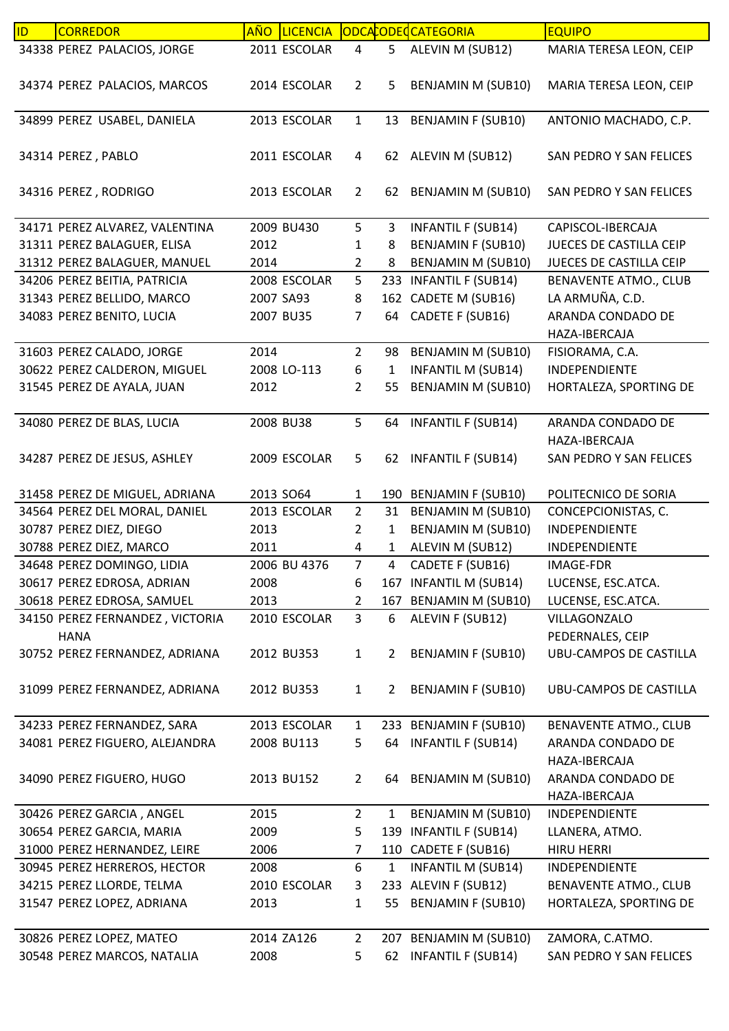| ID | <b>CORREDOR</b>                 | AÑO  | <b>LICENCIA</b> |                |                | ODCACODECATEGORIA         | <b>EQUIPO</b>                      |
|----|---------------------------------|------|-----------------|----------------|----------------|---------------------------|------------------------------------|
|    | 34338 PEREZ PALACIOS, JORGE     |      | 2011 ESCOLAR    | 4              | 5 <sub>5</sub> | ALEVIN M (SUB12)          | MARIA TERESA LEON, CEIP            |
|    | 34374 PEREZ PALACIOS, MARCOS    |      | 2014 ESCOLAR    | $\overline{2}$ | 5              | <b>BENJAMIN M (SUB10)</b> | MARIA TERESA LEON, CEIP            |
|    | 34899 PEREZ USABEL, DANIELA     |      | 2013 ESCOLAR    | $\mathbf{1}$   | 13             | <b>BENJAMIN F (SUB10)</b> | ANTONIO MACHADO, C.P.              |
|    | 34314 PEREZ, PABLO              |      | 2011 ESCOLAR    | 4              |                | 62 ALEVIN M (SUB12)       | SAN PEDRO Y SAN FELICES            |
|    | 34316 PEREZ, RODRIGO            |      | 2013 ESCOLAR    | $\overline{2}$ | 62             | BENJAMIN M (SUB10)        | SAN PEDRO Y SAN FELICES            |
|    | 34171 PEREZ ALVAREZ, VALENTINA  |      | 2009 BU430      | 5              | 3              | INFANTIL F (SUB14)        | CAPISCOL-IBERCAJA                  |
|    | 31311 PEREZ BALAGUER, ELISA     | 2012 |                 | 1              | 8              | <b>BENJAMIN F (SUB10)</b> | JUECES DE CASTILLA CEIP            |
|    | 31312 PEREZ BALAGUER, MANUEL    | 2014 |                 | $\overline{2}$ | 8              | BENJAMIN M (SUB10)        | JUECES DE CASTILLA CEIP            |
|    | 34206 PEREZ BEITIA, PATRICIA    |      | 2008 ESCOLAR    | 5              |                | 233 INFANTIL F (SUB14)    | <b>BENAVENTE ATMO., CLUB</b>       |
|    | 31343 PEREZ BELLIDO, MARCO      |      | 2007 SA93       | 8              |                | 162 CADETE M (SUB16)      | LA ARMUÑA, C.D.                    |
|    | 34083 PEREZ BENITO, LUCIA       |      | 2007 BU35       | $\overline{7}$ | 64             | CADETE F (SUB16)          | ARANDA CONDADO DE<br>HAZA-IBERCAJA |
|    | 31603 PEREZ CALADO, JORGE       | 2014 |                 | $\overline{2}$ | 98             | <b>BENJAMIN M (SUB10)</b> | FISIORAMA, C.A.                    |
|    | 30622 PEREZ CALDERON, MIGUEL    |      | 2008 LO-113     | 6              | 1              | <b>INFANTIL M (SUB14)</b> | INDEPENDIENTE                      |
|    | 31545 PEREZ DE AYALA, JUAN      | 2012 |                 | 2              | 55             | <b>BENJAMIN M (SUB10)</b> | HORTALEZA, SPORTING DE             |
|    | 34080 PEREZ DE BLAS, LUCIA      |      | 2008 BU38       | 5              | 64             | <b>INFANTIL F (SUB14)</b> | ARANDA CONDADO DE<br>HAZA-IBERCAJA |
|    | 34287 PEREZ DE JESUS, ASHLEY    |      | 2009 ESCOLAR    | 5              | 62             | <b>INFANTIL F (SUB14)</b> | SAN PEDRO Y SAN FELICES            |
|    | 31458 PEREZ DE MIGUEL, ADRIANA  |      | 2013 SO64       | $\mathbf{1}$   |                | 190 BENJAMIN F (SUB10)    | POLITECNICO DE SORIA               |
|    | 34564 PEREZ DEL MORAL, DANIEL   |      | 2013 ESCOLAR    | $\overline{2}$ | 31             | <b>BENJAMIN M (SUB10)</b> | CONCEPCIONISTAS, C.                |
|    | 30787 PEREZ DIEZ, DIEGO         | 2013 |                 | $\overline{2}$ | $\mathbf{1}$   | <b>BENJAMIN M (SUB10)</b> | INDEPENDIENTE                      |
|    | 30788 PEREZ DIEZ, MARCO         | 2011 |                 | $\overline{a}$ | $\mathbf{1}$   | ALEVIN M (SUB12)          | INDEPENDIENTE                      |
|    | 34648 PEREZ DOMINGO, LIDIA      |      | 2006 BU 4376    | $\overline{7}$ | 4              | CADETE F (SUB16)          | <b>IMAGE-FDR</b>                   |
|    | 30617 PEREZ EDROSA, ADRIAN      | 2008 |                 | 6              |                | 167 INFANTIL M (SUB14)    | LUCENSE, ESC.ATCA.                 |
|    | 30618 PEREZ EDROSA, SAMUEL      | 2013 |                 | $\overline{2}$ | 167            | <b>BENJAMIN M (SUB10)</b> | LUCENSE, ESC.ATCA.                 |
|    | 34150 PEREZ FERNANDEZ, VICTORIA |      | 2010 ESCOLAR    | 3              | 6              | ALEVIN F (SUB12)          | VILLAGONZALO                       |
|    | <b>HANA</b>                     |      |                 |                |                |                           | PEDERNALES, CEIP                   |
|    | 30752 PEREZ FERNANDEZ, ADRIANA  |      | 2012 BU353      | $\mathbf{1}$   | 2              | <b>BENJAMIN F (SUB10)</b> | UBU-CAMPOS DE CASTILLA             |
|    | 31099 PEREZ FERNANDEZ, ADRIANA  |      | 2012 BU353      | $\mathbf{1}$   | 2              | <b>BENJAMIN F (SUB10)</b> | UBU-CAMPOS DE CASTILLA             |
|    | 34233 PEREZ FERNANDEZ, SARA     |      | 2013 ESCOLAR    | $\mathbf{1}$   |                | 233 BENJAMIN F (SUB10)    | BENAVENTE ATMO., CLUB              |
|    | 34081 PEREZ FIGUERO, ALEJANDRA  |      | 2008 BU113      | 5              |                | 64 INFANTIL F (SUB14)     | ARANDA CONDADO DE<br>HAZA-IBERCAJA |
|    | 34090 PEREZ FIGUERO, HUGO       |      | 2013 BU152      | $\overline{2}$ | 64             | <b>BENJAMIN M (SUB10)</b> | ARANDA CONDADO DE<br>HAZA-IBERCAJA |
|    | 30426 PEREZ GARCIA, ANGEL       | 2015 |                 | $\overline{2}$ | 1              | <b>BENJAMIN M (SUB10)</b> | INDEPENDIENTE                      |
|    | 30654 PEREZ GARCIA, MARIA       | 2009 |                 | 5              |                | 139 INFANTIL F (SUB14)    | LLANERA, ATMO.                     |
|    | 31000 PEREZ HERNANDEZ, LEIRE    | 2006 |                 | 7              |                | 110 CADETE F (SUB16)      | <b>HIRU HERRI</b>                  |
|    | 30945 PEREZ HERREROS, HECTOR    | 2008 |                 | 6              | $\mathbf{1}$   | <b>INFANTIL M (SUB14)</b> | INDEPENDIENTE                      |
|    | 34215 PEREZ LLORDE, TELMA       |      | 2010 ESCOLAR    | 3              |                | 233 ALEVIN F (SUB12)      | BENAVENTE ATMO., CLUB              |
|    | 31547 PEREZ LOPEZ, ADRIANA      | 2013 |                 | 1              | 55             | <b>BENJAMIN F (SUB10)</b> | HORTALEZA, SPORTING DE             |
|    | 30826 PEREZ LOPEZ, MATEO        |      | 2014 ZA126      | $\overline{2}$ | 207            | <b>BENJAMIN M (SUB10)</b> | ZAMORA, C.ATMO.                    |
|    | 30548 PEREZ MARCOS, NATALIA     | 2008 |                 | 5              | 62             | <b>INFANTIL F (SUB14)</b> | SAN PEDRO Y SAN FELICES            |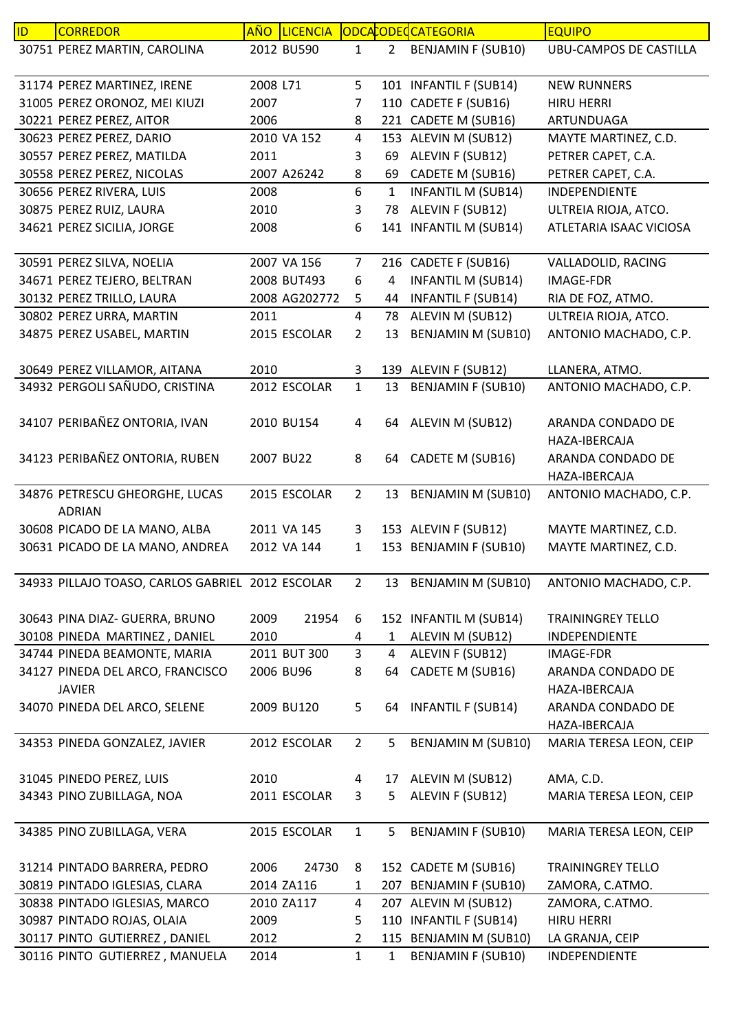| ID | <b>CORREDOR</b>                                  | <u>AÑO</u> | <b>LICENCIA</b> |                         |                | ODCACODECCATEGORIA        | <b>EQUIPO</b>                                       |
|----|--------------------------------------------------|------------|-----------------|-------------------------|----------------|---------------------------|-----------------------------------------------------|
|    | 30751 PEREZ MARTIN, CAROLINA                     |            | 2012 BU590      | $\mathbf{1}$            | $2^{\circ}$    | <b>BENJAMIN F (SUB10)</b> | <b>UBU-CAMPOS DE CASTILLA</b>                       |
|    | 31174 PEREZ MARTINEZ, IRENE                      | 2008 L71   |                 | 5                       |                | 101 INFANTIL F (SUB14)    | <b>NEW RUNNERS</b>                                  |
|    | 31005 PEREZ ORONOZ, MEI KIUZI                    | 2007       |                 | 7                       |                | 110 CADETE F (SUB16)      | <b>HIRU HERRI</b>                                   |
|    | 30221 PEREZ PEREZ, AITOR                         | 2006       |                 | 8                       |                | 221 CADETE M (SUB16)      | ARTUNDUAGA                                          |
|    | 30623 PEREZ PEREZ, DARIO                         |            | 2010 VA 152     | $\overline{\mathbf{4}}$ |                | 153 ALEVIN M (SUB12)      | MAYTE MARTINEZ, C.D.                                |
|    | 30557 PEREZ PEREZ, MATILDA                       | 2011       |                 | 3                       | 69             | ALEVIN F (SUB12)          | PETRER CAPET, C.A.                                  |
|    | 30558 PEREZ PEREZ, NICOLAS                       |            | 2007 A26242     | 8                       | 69             | CADETE M (SUB16)          | PETRER CAPET, C.A.                                  |
|    | 30656 PEREZ RIVERA, LUIS                         | 2008       |                 | 6                       | $\mathbf{1}$   | <b>INFANTIL M (SUB14)</b> | INDEPENDIENTE                                       |
|    | 30875 PEREZ RUIZ, LAURA                          | 2010       |                 | 3                       | 78             | ALEVIN F (SUB12)          | ULTREIA RIOJA, ATCO.                                |
|    | 34621 PEREZ SICILIA, JORGE                       | 2008       |                 | 6                       |                | 141 INFANTIL M (SUB14)    | ATLETARIA ISAAC VICIOSA                             |
|    | 30591 PEREZ SILVA, NOELIA                        |            | 2007 VA 156     | $\overline{7}$          |                | 216 CADETE F (SUB16)      | VALLADOLID, RACING                                  |
|    | 34671 PEREZ TEJERO, BELTRAN                      |            | 2008 BUT493     | 6                       | 4              | <b>INFANTIL M (SUB14)</b> | <b>IMAGE-FDR</b>                                    |
|    | 30132 PEREZ TRILLO, LAURA                        |            | 2008 AG202772   | 5                       | 44             | <b>INFANTIL F (SUB14)</b> | RIA DE FOZ, ATMO.                                   |
|    | 30802 PEREZ URRA, MARTIN                         | 2011       |                 | 4                       | 78             | ALEVIN M (SUB12)          | ULTREIA RIOJA, ATCO.                                |
|    | 34875 PEREZ USABEL, MARTIN                       |            | 2015 ESCOLAR    | $\overline{2}$          | 13             | <b>BENJAMIN M (SUB10)</b> | ANTONIO MACHADO, C.P.                               |
|    | 30649 PEREZ VILLAMOR, AITANA                     | 2010       |                 | 3                       |                | 139 ALEVIN F (SUB12)      | LLANERA, ATMO.                                      |
|    | 34932 PERGOLI SAÑUDO, CRISTINA                   |            | 2012 ESCOLAR    | $\mathbf{1}$            | 13             | <b>BENJAMIN F (SUB10)</b> | ANTONIO MACHADO, C.P.                               |
|    | 34107 PERIBAÑEZ ONTORIA, IVAN                    |            | 2010 BU154      | 4                       | 64             | ALEVIN M (SUB12)          | ARANDA CONDADO DE                                   |
|    |                                                  |            |                 |                         |                |                           | HAZA-IBERCAJA                                       |
|    | 34123 PERIBAÑEZ ONTORIA, RUBEN                   |            | 2007 BU22       | 8                       | 64             | CADETE M (SUB16)          | ARANDA CONDADO DE                                   |
|    |                                                  |            |                 |                         |                |                           | HAZA-IBERCAJA                                       |
|    | 34876 PETRESCU GHEORGHE, LUCAS<br><b>ADRIAN</b>  |            | 2015 ESCOLAR    | $\overline{2}$          | 13             | <b>BENJAMIN M (SUB10)</b> | ANTONIO MACHADO, C.P.                               |
|    | 30608 PICADO DE LA MANO, ALBA                    |            | 2011 VA 145     | 3                       |                | 153 ALEVIN F (SUB12)      | MAYTE MARTINEZ, C.D.                                |
|    | 30631 PICADO DE LA MANO, ANDREA                  |            | 2012 VA 144     | 1                       |                | 153 BENJAMIN F (SUB10)    | MAYTE MARTINEZ, C.D.                                |
|    | 34933 PILLAJO TOASO, CARLOS GABRIEL 2012 ESCOLAR |            |                 | 2                       |                | 13 BENJAMIN M (SUB10)     | ANTONIO MACHADO, C.P.                               |
|    | 30643 PINA DIAZ- GUERRA, BRUNO                   | 2009       | 21954           | 6                       |                | 152 INFANTIL M (SUB14)    | <b>TRAININGREY TELLO</b>                            |
|    | 30108 PINEDA MARTINEZ, DANIEL                    | 2010       |                 | 4                       | $\mathbf{1}$   | ALEVIN M (SUB12)          | INDEPENDIENTE                                       |
|    | 34744 PINEDA BEAMONTE, MARIA                     |            | 2011 BUT 300    | $\overline{3}$          | $\overline{4}$ | ALEVIN F (SUB12)          | IMAGE-FDR                                           |
|    | 34127 PINEDA DEL ARCO, FRANCISCO                 |            | 2006 BU96       | 8                       | 64             | CADETE M (SUB16)          | ARANDA CONDADO DE                                   |
|    | <b>JAVIER</b><br>34070 PINEDA DEL ARCO, SELENE   |            | 2009 BU120      | 5                       | 64             | <b>INFANTIL F (SUB14)</b> | HAZA-IBERCAJA<br>ARANDA CONDADO DE<br>HAZA-IBERCAJA |
|    | 34353 PINEDA GONZALEZ, JAVIER                    |            | 2012 ESCOLAR    | $2^{\circ}$             | 5              | BENJAMIN M (SUB10)        |                                                     |
|    |                                                  |            |                 |                         |                |                           | MARIA TERESA LEON, CEIP                             |
|    | 31045 PINEDO PEREZ, LUIS                         | 2010       |                 | 4                       | 17             | ALEVIN M (SUB12)          | AMA, C.D.                                           |
|    | 34343 PINO ZUBILLAGA, NOA                        |            | 2011 ESCOLAR    | 3                       | 5              | ALEVIN F (SUB12)          | MARIA TERESA LEON, CEIP                             |
|    | 34385 PINO ZUBILLAGA, VERA                       |            | 2015 ESCOLAR    | $\mathbf{1}$            | 5              | <b>BENJAMIN F (SUB10)</b> | MARIA TERESA LEON, CEIP                             |
|    | 31214 PINTADO BARRERA, PEDRO                     | 2006       | 24730           | 8                       |                | 152 CADETE M (SUB16)      | <b>TRAININGREY TELLO</b>                            |
|    | 30819 PINTADO IGLESIAS, CLARA                    |            | 2014 ZA116      | 1                       |                | 207 BENJAMIN F (SUB10)    | ZAMORA, C.ATMO.                                     |
|    | 30838 PINTADO IGLESIAS, MARCO                    |            | 2010 ZA117      | 4                       |                | 207 ALEVIN M (SUB12)      | ZAMORA, C.ATMO.                                     |
|    | 30987 PINTADO ROJAS, OLAIA                       | 2009       |                 | 5                       |                | 110 INFANTIL F (SUB14)    | <b>HIRU HERRI</b>                                   |
|    | 30117 PINTO GUTIERREZ, DANIEL                    | 2012       |                 | $\overline{2}$          |                | 115 BENJAMIN M (SUB10)    | LA GRANJA, CEIP                                     |
|    | 30116 PINTO GUTIERREZ, MANUELA                   | 2014       |                 | $\mathbf{1}$            | 1              | <b>BENJAMIN F (SUB10)</b> | INDEPENDIENTE                                       |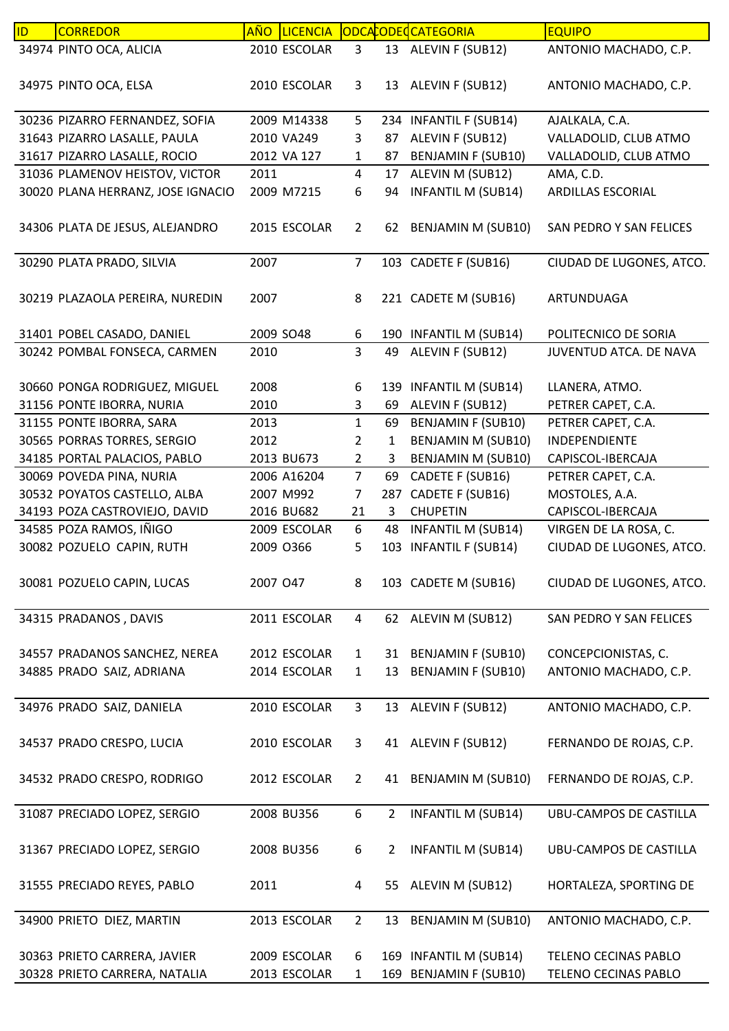| ID | <b>CORREDOR</b>                   |           | AÑO LICENCIA |                |                | ODCACODECCATEGORIA        | <b>EQUIPO</b>                 |
|----|-----------------------------------|-----------|--------------|----------------|----------------|---------------------------|-------------------------------|
|    | 34974 PINTO OCA, ALICIA           |           | 2010 ESCOLAR | 3              |                | 13 ALEVIN F (SUB12)       | ANTONIO MACHADO, C.P.         |
|    | 34975 PINTO OCA, ELSA             |           | 2010 ESCOLAR | 3              |                | 13 ALEVIN F (SUB12)       | ANTONIO MACHADO, C.P.         |
|    | 30236 PIZARRO FERNANDEZ, SOFIA    |           | 2009 M14338  | 5              |                | 234 INFANTIL F (SUB14)    | AJALKALA, C.A.                |
|    | 31643 PIZARRO LASALLE, PAULA      |           | 2010 VA249   | 3              | 87             | ALEVIN F (SUB12)          | VALLADOLID, CLUB ATMO         |
|    | 31617 PIZARRO LASALLE, ROCIO      |           | 2012 VA 127  | 1              | 87             | <b>BENJAMIN F (SUB10)</b> | VALLADOLID, CLUB ATMO         |
|    | 31036 PLAMENOV HEISTOV, VICTOR    | 2011      |              | $\overline{4}$ | 17             | ALEVIN M (SUB12)          | AMA, C.D.                     |
|    | 30020 PLANA HERRANZ, JOSE IGNACIO |           | 2009 M7215   | 6              | 94             | <b>INFANTIL M (SUB14)</b> | ARDILLAS ESCORIAL             |
|    |                                   |           |              |                |                |                           |                               |
|    | 34306 PLATA DE JESUS, ALEJANDRO   |           | 2015 ESCOLAR | $\overline{2}$ | 62             | <b>BENJAMIN M (SUB10)</b> | SAN PEDRO Y SAN FELICES       |
|    | 30290 PLATA PRADO, SILVIA         | 2007      |              | $\overline{7}$ |                | 103 CADETE F (SUB16)      | CIUDAD DE LUGONES, ATCO.      |
|    | 30219 PLAZAOLA PEREIRA, NUREDIN   | 2007      |              | 8              |                | 221 CADETE M (SUB16)      | ARTUNDUAGA                    |
|    | 31401 POBEL CASADO, DANIEL        | 2009 SO48 |              | 6              | 190            | <b>INFANTIL M (SUB14)</b> | POLITECNICO DE SORIA          |
|    | 30242 POMBAL FONSECA, CARMEN      | 2010      |              | $\overline{3}$ | 49             | ALEVIN F (SUB12)          | <b>JUVENTUD ATCA, DE NAVA</b> |
|    |                                   |           |              |                |                |                           |                               |
|    | 30660 PONGA RODRIGUEZ, MIGUEL     | 2008      |              | 6              |                | 139 INFANTIL M (SUB14)    | LLANERA, ATMO.                |
|    | 31156 PONTE IBORRA, NURIA         | 2010      |              | 3              | 69             | ALEVIN F (SUB12)          | PETRER CAPET, C.A.            |
|    | 31155 PONTE IBORRA, SARA          | 2013      |              | $\mathbf{1}$   | 69             | <b>BENJAMIN F (SUB10)</b> | PETRER CAPET, C.A.            |
|    | 30565 PORRAS TORRES, SERGIO       | 2012      |              | $\overline{2}$ | $\mathbf{1}$   | BENJAMIN M (SUB10)        | INDEPENDIENTE                 |
|    | 34185 PORTAL PALACIOS, PABLO      |           | 2013 BU673   | $\overline{2}$ | 3              | BENJAMIN M (SUB10)        | CAPISCOL-IBERCAJA             |
|    | 30069 POVEDA PINA, NURIA          |           | 2006 A16204  | $\overline{7}$ | 69             | CADETE F (SUB16)          | PETRER CAPET, C.A.            |
|    | 30532 POYATOS CASTELLO, ALBA      |           | 2007 M992    | $\overline{7}$ | 287            | CADETE F (SUB16)          | MOSTOLES, A.A.                |
|    | 34193 POZA CASTROVIEJO, DAVID     |           | 2016 BU682   | 21             | 3              | <b>CHUPETIN</b>           | CAPISCOL-IBERCAJA             |
|    | 34585 POZA RAMOS, IÑIGO           |           | 2009 ESCOLAR | 6              | 48             | <b>INFANTIL M (SUB14)</b> | VIRGEN DE LA ROSA, C.         |
|    | 30082 POZUELO CAPIN, RUTH         | 2009 0366 |              | 5              | 103            | <b>INFANTIL F (SUB14)</b> | CIUDAD DE LUGONES, ATCO.      |
|    |                                   |           |              |                |                |                           |                               |
|    | 30081 POZUELO CAPIN, LUCAS        | 2007 047  |              | 8              |                | 103 CADETE M (SUB16)      | CIUDAD DE LUGONES, ATCO.      |
|    | 34315 PRADANOS, DAVIS             |           | 2011 ESCOLAR | $\overline{4}$ |                | 62 ALEVIN M (SUB12)       | SAN PEDRO Y SAN FELICES       |
|    | 34557 PRADANOS SANCHEZ, NEREA     |           | 2012 ESCOLAR | $\mathbf{1}$   | 31             | <b>BENJAMIN F (SUB10)</b> | CONCEPCIONISTAS, C.           |
|    | 34885 PRADO SAIZ, ADRIANA         |           | 2014 ESCOLAR | $\mathbf{1}$   | 13             | <b>BENJAMIN F (SUB10)</b> | ANTONIO MACHADO, C.P.         |
|    |                                   |           |              |                |                |                           |                               |
|    | 34976 PRADO SAIZ, DANIELA         |           | 2010 ESCOLAR | $\mathbf{3}$   |                | 13 ALEVIN F (SUB12)       | ANTONIO MACHADO, C.P.         |
|    | 34537 PRADO CRESPO, LUCIA         |           | 2010 ESCOLAR | 3              |                | 41 ALEVIN F (SUB12)       | FERNANDO DE ROJAS, C.P.       |
|    | 34532 PRADO CRESPO, RODRIGO       |           | 2012 ESCOLAR | $\overline{2}$ | 41             | BENJAMIN M (SUB10)        | FERNANDO DE ROJAS, C.P.       |
|    | 31087 PRECIADO LOPEZ, SERGIO      |           | 2008 BU356   | 6              | $\overline{2}$ | <b>INFANTIL M (SUB14)</b> | UBU-CAMPOS DE CASTILLA        |
|    | 31367 PRECIADO LOPEZ, SERGIO      |           | 2008 BU356   | 6              | 2              | <b>INFANTIL M (SUB14)</b> | UBU-CAMPOS DE CASTILLA        |
|    | 31555 PRECIADO REYES, PABLO       | 2011      |              | 4              |                | 55 ALEVIN M (SUB12)       | HORTALEZA, SPORTING DE        |
|    | 34900 PRIETO DIEZ, MARTIN         |           | 2013 ESCOLAR | $\overline{2}$ | 13             | <b>BENJAMIN M (SUB10)</b> | ANTONIO MACHADO, C.P.         |
|    |                                   |           |              |                |                |                           |                               |
|    | 30363 PRIETO CARRERA, JAVIER      |           | 2009 ESCOLAR | 6              |                | 169 INFANTIL M (SUB14)    | TELENO CECINAS PABLO          |
|    | 30328 PRIETO CARRERA, NATALIA     |           | 2013 ESCOLAR | 1              |                | 169 BENJAMIN F (SUB10)    | TELENO CECINAS PABLO          |
|    |                                   |           |              |                |                |                           |                               |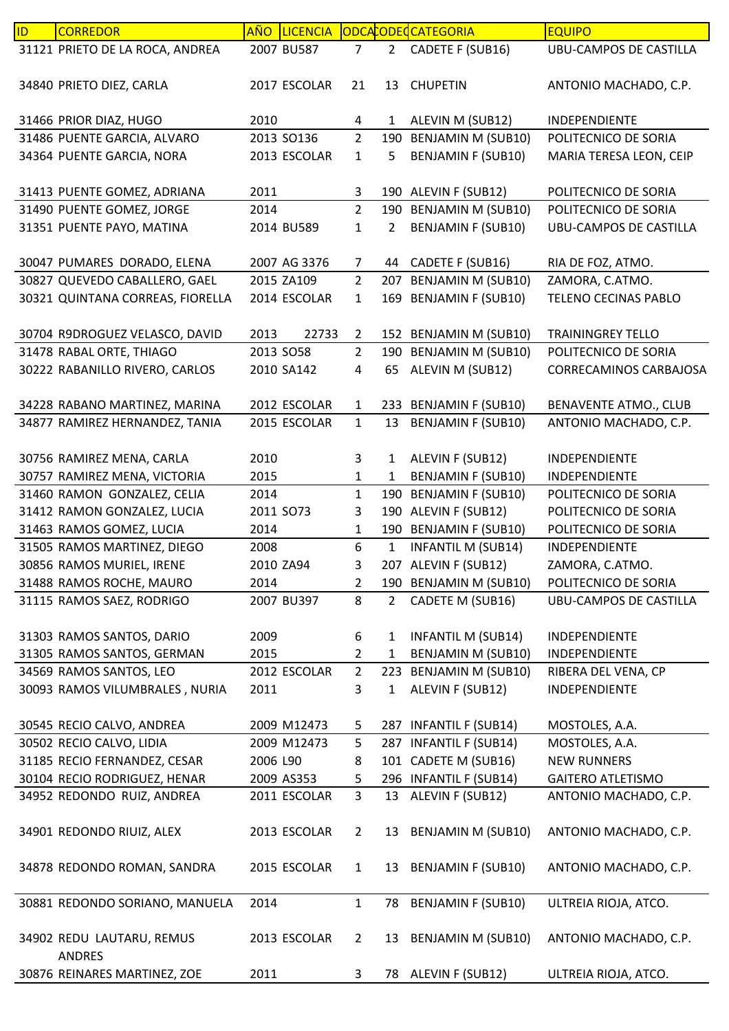| 31121 PRIETO DE LA ROCA, ANDREA<br>CADETE F (SUB16)<br>2007 BU587<br>2 <sup>1</sup><br><b>UBU-CAMPOS DE CASTILLA</b><br>$\overline{7}$<br>34840 PRIETO DIEZ, CARLA<br>2017 ESCOLAR<br>21<br><b>CHUPETIN</b><br>ANTONIO MACHADO, C.P.<br>13<br>31466 PRIOR DIAZ, HUGO<br>2010<br>$\mathbf{1}$<br>ALEVIN M (SUB12)<br>4<br>INDEPENDIENTE<br>$\overline{2}$<br>190 BENJAMIN M (SUB10)<br>31486 PUENTE GARCIA, ALVARO<br>2013 SO136<br>POLITECNICO DE SORIA<br>34364 PUENTE GARCIA, NORA<br><b>BENJAMIN F (SUB10)</b><br>MARIA TERESA LEON, CEIP<br>2013 ESCOLAR<br>5<br>$\mathbf{1}$<br>31413 PUENTE GOMEZ, ADRIANA<br>2011<br>190 ALEVIN F (SUB12)<br>POLITECNICO DE SORIA<br>3<br>$\overline{2}$<br>31490 PUENTE GOMEZ, JORGE<br>190 BENJAMIN M (SUB10)<br>2014<br>POLITECNICO DE SORIA<br><b>BENJAMIN F (SUB10)</b><br>31351 PUENTE PAYO, MATINA<br>2014 BU589<br>$\overline{2}$<br><b>UBU-CAMPOS DE CASTILLA</b><br>1<br>30047 PUMARES DORADO, ELENA<br>44 CADETE F (SUB16)<br>2007 AG 3376<br>RIA DE FOZ, ATMO.<br>$\overline{7}$<br>30827 QUEVEDO CABALLERO, GAEL<br>207 BENJAMIN M (SUB10)<br>ZAMORA, C.ATMO.<br>2015 ZA109<br>$\overline{2}$<br>30321 QUINTANA CORREAS, FIORELLA<br>169 BENJAMIN F (SUB10)<br>2014 ESCOLAR<br>TELENO CECINAS PABLO<br>$\mathbf{1}$<br>152 BENJAMIN M (SUB10)<br>30704 R9DROGUEZ VELASCO, DAVID<br>2013<br>22733<br><b>TRAININGREY TELLO</b><br>$\overline{2}$<br>190 BENJAMIN M (SUB10)<br>31478 RABAL ORTE, THIAGO<br>2013 SO58<br>$\overline{2}$<br>POLITECNICO DE SORIA<br>30222 RABANILLO RIVERO, CARLOS<br>ALEVIN M (SUB12)<br>2010 SA142<br>4<br>65<br>CORRECAMINOS CARBAJOSA<br>34228 RABANO MARTINEZ, MARINA<br>2012 ESCOLAR<br>233 BENJAMIN F (SUB10)<br><b>BENAVENTE ATMO., CLUB</b><br>$\mathbf{1}$<br>$\mathbf{1}$<br>34877 RAMIREZ HERNANDEZ, TANIA<br><b>BENJAMIN F (SUB10)</b><br>ANTONIO MACHADO, C.P.<br>2015 ESCOLAR<br>13<br>30756 RAMIREZ MENA, CARLA<br>2010<br>$\mathbf{1}$<br>ALEVIN F (SUB12)<br>3<br>INDEPENDIENTE<br><b>BENJAMIN F (SUB10)</b><br>30757 RAMIREZ MENA, VICTORIA<br>2015<br>1<br>INDEPENDIENTE<br>$\mathbf{1}$<br>31460 RAMON GONZALEZ, CELIA<br><b>BENJAMIN F (SUB10)</b><br>POLITECNICO DE SORIA<br>2014<br>$\mathbf{1}$<br>190<br>31412 RAMON GONZALEZ, LUCIA<br>190 ALEVIN F (SUB12)<br>2011 SO73<br>3<br>POLITECNICO DE SORIA<br>31463 RAMOS GOMEZ, LUCIA<br>190 BENJAMIN F (SUB10)<br>2014<br>POLITECNICO DE SORIA<br>$\mathbf{1}$<br>6<br>31505 RAMOS MARTINEZ, DIEGO<br><b>INFANTIL M (SUB14)</b><br>$\mathbf{1}$<br>2008<br>INDEPENDIENTE<br>207 ALEVIN F (SUB12)<br>30856 RAMOS MURIEL, IRENE<br>ZAMORA, C.ATMO.<br>2010 ZA94<br>3<br>190 BENJAMIN M (SUB10)<br>31488 RAMOS ROCHE, MAURO<br>POLITECNICO DE SORIA<br>2014<br>$\overline{2}$<br>31115 RAMOS SAEZ, RODRIGO<br>8<br>2007 BU397<br>$\overline{2}$<br>CADETE M (SUB16)<br>UBU-CAMPOS DE CASTILLA<br>31303 RAMOS SANTOS, DARIO<br>2009<br>6<br><b>INFANTIL M (SUB14)</b><br>$\mathbf{1}$<br>INDEPENDIENTE<br>31305 RAMOS SANTOS, GERMAN<br><b>BENJAMIN M (SUB10)</b><br>2015<br>$\overline{2}$<br>$\mathbf{1}$<br>INDEPENDIENTE<br>223 BENJAMIN M (SUB10)<br>34569 RAMOS SANTOS, LEO<br>2012 ESCOLAR<br>$2^{\circ}$<br>RIBERA DEL VENA, CP<br>ALEVIN F (SUB12)<br>30093 RAMOS VILUMBRALES, NURIA<br>3<br>INDEPENDIENTE<br>2011<br>1<br>30545 RECIO CALVO, ANDREA<br>2009 M12473<br>287 INFANTIL F (SUB14)<br>MOSTOLES, A.A.<br>5<br>287 INFANTIL F (SUB14)<br>30502 RECIO CALVO, LIDIA<br>2009 M12473<br>MOSTOLES, A.A.<br>5<br>31185 RECIO FERNANDEZ, CESAR<br>101 CADETE M (SUB16)<br>2006 L90<br>8<br><b>NEW RUNNERS</b><br>30104 RECIO RODRIGUEZ, HENAR<br>296 INFANTIL F (SUB14)<br>2009 AS353<br><b>GAITERO ATLETISMO</b><br>5<br>$\overline{3}$<br>34952 REDONDO RUIZ, ANDREA<br>13 ALEVIN F (SUB12)<br>2011 ESCOLAR<br>ANTONIO MACHADO, C.P.<br>34901 REDONDO RIUIZ, ALEX<br>13 BENJAMIN M (SUB10)<br>ANTONIO MACHADO, C.P.<br>2013 ESCOLAR<br>$\overline{2}$<br>13 BENJAMIN F (SUB10)<br>34878 REDONDO ROMAN, SANDRA<br>2015 ESCOLAR<br>ANTONIO MACHADO, C.P.<br>$\mathbf{1}$<br><b>BENJAMIN F (SUB10)</b><br>30881 REDONDO SORIANO, MANUELA<br>2014<br>ULTREIA RIOJA, ATCO.<br>$\mathbf{1}$<br>78<br>34902 REDU LAUTARU, REMUS<br>13 BENJAMIN M (SUB10)<br>2013 ESCOLAR<br>$\overline{2}$<br>ANTONIO MACHADO, C.P.<br><b>ANDRES</b><br>30876 REINARES MARTINEZ, ZOE<br>2011<br>78 ALEVIN F (SUB12)<br>ULTREIA RIOJA, ATCO.<br>3 | ID. | <b>CORREDOR</b> | AÑO LICENCIA |  | ODCACODECATEGORIA | <b>EQUIPO</b> |
|-------------------------------------------------------------------------------------------------------------------------------------------------------------------------------------------------------------------------------------------------------------------------------------------------------------------------------------------------------------------------------------------------------------------------------------------------------------------------------------------------------------------------------------------------------------------------------------------------------------------------------------------------------------------------------------------------------------------------------------------------------------------------------------------------------------------------------------------------------------------------------------------------------------------------------------------------------------------------------------------------------------------------------------------------------------------------------------------------------------------------------------------------------------------------------------------------------------------------------------------------------------------------------------------------------------------------------------------------------------------------------------------------------------------------------------------------------------------------------------------------------------------------------------------------------------------------------------------------------------------------------------------------------------------------------------------------------------------------------------------------------------------------------------------------------------------------------------------------------------------------------------------------------------------------------------------------------------------------------------------------------------------------------------------------------------------------------------------------------------------------------------------------------------------------------------------------------------------------------------------------------------------------------------------------------------------------------------------------------------------------------------------------------------------------------------------------------------------------------------------------------------------------------------------------------------------------------------------------------------------------------------------------------------------------------------------------------------------------------------------------------------------------------------------------------------------------------------------------------------------------------------------------------------------------------------------------------------------------------------------------------------------------------------------------------------------------------------------------------------------------------------------------------------------------------------------------------------------------------------------------------------------------------------------------------------------------------------------------------------------------------------------------------------------------------------------------------------------------------------------------------------------------------------------------------------------------------------------------------------------------------------------------------------------------------------------------------------------------------------------------------------------------------------------------------------------------------------------------------------------------------------------------------------------------------------------------------------------------------------------------------------------------------------------------------------------------------------------------------------------------------------------------------------------------------------------------------------------------------------------------------------------------------------------------------------------------------------------------------------------------------------------|-----|-----------------|--------------|--|-------------------|---------------|
|                                                                                                                                                                                                                                                                                                                                                                                                                                                                                                                                                                                                                                                                                                                                                                                                                                                                                                                                                                                                                                                                                                                                                                                                                                                                                                                                                                                                                                                                                                                                                                                                                                                                                                                                                                                                                                                                                                                                                                                                                                                                                                                                                                                                                                                                                                                                                                                                                                                                                                                                                                                                                                                                                                                                                                                                                                                                                                                                                                                                                                                                                                                                                                                                                                                                                                                                                                                                                                                                                                                                                                                                                                                                                                                                                                                                                                                                                                                                                                                                                                                                                                                                                                                                                                                                                                                                                                                           |     |                 |              |  |                   |               |
|                                                                                                                                                                                                                                                                                                                                                                                                                                                                                                                                                                                                                                                                                                                                                                                                                                                                                                                                                                                                                                                                                                                                                                                                                                                                                                                                                                                                                                                                                                                                                                                                                                                                                                                                                                                                                                                                                                                                                                                                                                                                                                                                                                                                                                                                                                                                                                                                                                                                                                                                                                                                                                                                                                                                                                                                                                                                                                                                                                                                                                                                                                                                                                                                                                                                                                                                                                                                                                                                                                                                                                                                                                                                                                                                                                                                                                                                                                                                                                                                                                                                                                                                                                                                                                                                                                                                                                                           |     |                 |              |  |                   |               |
|                                                                                                                                                                                                                                                                                                                                                                                                                                                                                                                                                                                                                                                                                                                                                                                                                                                                                                                                                                                                                                                                                                                                                                                                                                                                                                                                                                                                                                                                                                                                                                                                                                                                                                                                                                                                                                                                                                                                                                                                                                                                                                                                                                                                                                                                                                                                                                                                                                                                                                                                                                                                                                                                                                                                                                                                                                                                                                                                                                                                                                                                                                                                                                                                                                                                                                                                                                                                                                                                                                                                                                                                                                                                                                                                                                                                                                                                                                                                                                                                                                                                                                                                                                                                                                                                                                                                                                                           |     |                 |              |  |                   |               |
|                                                                                                                                                                                                                                                                                                                                                                                                                                                                                                                                                                                                                                                                                                                                                                                                                                                                                                                                                                                                                                                                                                                                                                                                                                                                                                                                                                                                                                                                                                                                                                                                                                                                                                                                                                                                                                                                                                                                                                                                                                                                                                                                                                                                                                                                                                                                                                                                                                                                                                                                                                                                                                                                                                                                                                                                                                                                                                                                                                                                                                                                                                                                                                                                                                                                                                                                                                                                                                                                                                                                                                                                                                                                                                                                                                                                                                                                                                                                                                                                                                                                                                                                                                                                                                                                                                                                                                                           |     |                 |              |  |                   |               |
|                                                                                                                                                                                                                                                                                                                                                                                                                                                                                                                                                                                                                                                                                                                                                                                                                                                                                                                                                                                                                                                                                                                                                                                                                                                                                                                                                                                                                                                                                                                                                                                                                                                                                                                                                                                                                                                                                                                                                                                                                                                                                                                                                                                                                                                                                                                                                                                                                                                                                                                                                                                                                                                                                                                                                                                                                                                                                                                                                                                                                                                                                                                                                                                                                                                                                                                                                                                                                                                                                                                                                                                                                                                                                                                                                                                                                                                                                                                                                                                                                                                                                                                                                                                                                                                                                                                                                                                           |     |                 |              |  |                   |               |
|                                                                                                                                                                                                                                                                                                                                                                                                                                                                                                                                                                                                                                                                                                                                                                                                                                                                                                                                                                                                                                                                                                                                                                                                                                                                                                                                                                                                                                                                                                                                                                                                                                                                                                                                                                                                                                                                                                                                                                                                                                                                                                                                                                                                                                                                                                                                                                                                                                                                                                                                                                                                                                                                                                                                                                                                                                                                                                                                                                                                                                                                                                                                                                                                                                                                                                                                                                                                                                                                                                                                                                                                                                                                                                                                                                                                                                                                                                                                                                                                                                                                                                                                                                                                                                                                                                                                                                                           |     |                 |              |  |                   |               |
|                                                                                                                                                                                                                                                                                                                                                                                                                                                                                                                                                                                                                                                                                                                                                                                                                                                                                                                                                                                                                                                                                                                                                                                                                                                                                                                                                                                                                                                                                                                                                                                                                                                                                                                                                                                                                                                                                                                                                                                                                                                                                                                                                                                                                                                                                                                                                                                                                                                                                                                                                                                                                                                                                                                                                                                                                                                                                                                                                                                                                                                                                                                                                                                                                                                                                                                                                                                                                                                                                                                                                                                                                                                                                                                                                                                                                                                                                                                                                                                                                                                                                                                                                                                                                                                                                                                                                                                           |     |                 |              |  |                   |               |
|                                                                                                                                                                                                                                                                                                                                                                                                                                                                                                                                                                                                                                                                                                                                                                                                                                                                                                                                                                                                                                                                                                                                                                                                                                                                                                                                                                                                                                                                                                                                                                                                                                                                                                                                                                                                                                                                                                                                                                                                                                                                                                                                                                                                                                                                                                                                                                                                                                                                                                                                                                                                                                                                                                                                                                                                                                                                                                                                                                                                                                                                                                                                                                                                                                                                                                                                                                                                                                                                                                                                                                                                                                                                                                                                                                                                                                                                                                                                                                                                                                                                                                                                                                                                                                                                                                                                                                                           |     |                 |              |  |                   |               |
|                                                                                                                                                                                                                                                                                                                                                                                                                                                                                                                                                                                                                                                                                                                                                                                                                                                                                                                                                                                                                                                                                                                                                                                                                                                                                                                                                                                                                                                                                                                                                                                                                                                                                                                                                                                                                                                                                                                                                                                                                                                                                                                                                                                                                                                                                                                                                                                                                                                                                                                                                                                                                                                                                                                                                                                                                                                                                                                                                                                                                                                                                                                                                                                                                                                                                                                                                                                                                                                                                                                                                                                                                                                                                                                                                                                                                                                                                                                                                                                                                                                                                                                                                                                                                                                                                                                                                                                           |     |                 |              |  |                   |               |
|                                                                                                                                                                                                                                                                                                                                                                                                                                                                                                                                                                                                                                                                                                                                                                                                                                                                                                                                                                                                                                                                                                                                                                                                                                                                                                                                                                                                                                                                                                                                                                                                                                                                                                                                                                                                                                                                                                                                                                                                                                                                                                                                                                                                                                                                                                                                                                                                                                                                                                                                                                                                                                                                                                                                                                                                                                                                                                                                                                                                                                                                                                                                                                                                                                                                                                                                                                                                                                                                                                                                                                                                                                                                                                                                                                                                                                                                                                                                                                                                                                                                                                                                                                                                                                                                                                                                                                                           |     |                 |              |  |                   |               |
|                                                                                                                                                                                                                                                                                                                                                                                                                                                                                                                                                                                                                                                                                                                                                                                                                                                                                                                                                                                                                                                                                                                                                                                                                                                                                                                                                                                                                                                                                                                                                                                                                                                                                                                                                                                                                                                                                                                                                                                                                                                                                                                                                                                                                                                                                                                                                                                                                                                                                                                                                                                                                                                                                                                                                                                                                                                                                                                                                                                                                                                                                                                                                                                                                                                                                                                                                                                                                                                                                                                                                                                                                                                                                                                                                                                                                                                                                                                                                                                                                                                                                                                                                                                                                                                                                                                                                                                           |     |                 |              |  |                   |               |
|                                                                                                                                                                                                                                                                                                                                                                                                                                                                                                                                                                                                                                                                                                                                                                                                                                                                                                                                                                                                                                                                                                                                                                                                                                                                                                                                                                                                                                                                                                                                                                                                                                                                                                                                                                                                                                                                                                                                                                                                                                                                                                                                                                                                                                                                                                                                                                                                                                                                                                                                                                                                                                                                                                                                                                                                                                                                                                                                                                                                                                                                                                                                                                                                                                                                                                                                                                                                                                                                                                                                                                                                                                                                                                                                                                                                                                                                                                                                                                                                                                                                                                                                                                                                                                                                                                                                                                                           |     |                 |              |  |                   |               |
|                                                                                                                                                                                                                                                                                                                                                                                                                                                                                                                                                                                                                                                                                                                                                                                                                                                                                                                                                                                                                                                                                                                                                                                                                                                                                                                                                                                                                                                                                                                                                                                                                                                                                                                                                                                                                                                                                                                                                                                                                                                                                                                                                                                                                                                                                                                                                                                                                                                                                                                                                                                                                                                                                                                                                                                                                                                                                                                                                                                                                                                                                                                                                                                                                                                                                                                                                                                                                                                                                                                                                                                                                                                                                                                                                                                                                                                                                                                                                                                                                                                                                                                                                                                                                                                                                                                                                                                           |     |                 |              |  |                   |               |
|                                                                                                                                                                                                                                                                                                                                                                                                                                                                                                                                                                                                                                                                                                                                                                                                                                                                                                                                                                                                                                                                                                                                                                                                                                                                                                                                                                                                                                                                                                                                                                                                                                                                                                                                                                                                                                                                                                                                                                                                                                                                                                                                                                                                                                                                                                                                                                                                                                                                                                                                                                                                                                                                                                                                                                                                                                                                                                                                                                                                                                                                                                                                                                                                                                                                                                                                                                                                                                                                                                                                                                                                                                                                                                                                                                                                                                                                                                                                                                                                                                                                                                                                                                                                                                                                                                                                                                                           |     |                 |              |  |                   |               |
|                                                                                                                                                                                                                                                                                                                                                                                                                                                                                                                                                                                                                                                                                                                                                                                                                                                                                                                                                                                                                                                                                                                                                                                                                                                                                                                                                                                                                                                                                                                                                                                                                                                                                                                                                                                                                                                                                                                                                                                                                                                                                                                                                                                                                                                                                                                                                                                                                                                                                                                                                                                                                                                                                                                                                                                                                                                                                                                                                                                                                                                                                                                                                                                                                                                                                                                                                                                                                                                                                                                                                                                                                                                                                                                                                                                                                                                                                                                                                                                                                                                                                                                                                                                                                                                                                                                                                                                           |     |                 |              |  |                   |               |
|                                                                                                                                                                                                                                                                                                                                                                                                                                                                                                                                                                                                                                                                                                                                                                                                                                                                                                                                                                                                                                                                                                                                                                                                                                                                                                                                                                                                                                                                                                                                                                                                                                                                                                                                                                                                                                                                                                                                                                                                                                                                                                                                                                                                                                                                                                                                                                                                                                                                                                                                                                                                                                                                                                                                                                                                                                                                                                                                                                                                                                                                                                                                                                                                                                                                                                                                                                                                                                                                                                                                                                                                                                                                                                                                                                                                                                                                                                                                                                                                                                                                                                                                                                                                                                                                                                                                                                                           |     |                 |              |  |                   |               |
|                                                                                                                                                                                                                                                                                                                                                                                                                                                                                                                                                                                                                                                                                                                                                                                                                                                                                                                                                                                                                                                                                                                                                                                                                                                                                                                                                                                                                                                                                                                                                                                                                                                                                                                                                                                                                                                                                                                                                                                                                                                                                                                                                                                                                                                                                                                                                                                                                                                                                                                                                                                                                                                                                                                                                                                                                                                                                                                                                                                                                                                                                                                                                                                                                                                                                                                                                                                                                                                                                                                                                                                                                                                                                                                                                                                                                                                                                                                                                                                                                                                                                                                                                                                                                                                                                                                                                                                           |     |                 |              |  |                   |               |
|                                                                                                                                                                                                                                                                                                                                                                                                                                                                                                                                                                                                                                                                                                                                                                                                                                                                                                                                                                                                                                                                                                                                                                                                                                                                                                                                                                                                                                                                                                                                                                                                                                                                                                                                                                                                                                                                                                                                                                                                                                                                                                                                                                                                                                                                                                                                                                                                                                                                                                                                                                                                                                                                                                                                                                                                                                                                                                                                                                                                                                                                                                                                                                                                                                                                                                                                                                                                                                                                                                                                                                                                                                                                                                                                                                                                                                                                                                                                                                                                                                                                                                                                                                                                                                                                                                                                                                                           |     |                 |              |  |                   |               |
|                                                                                                                                                                                                                                                                                                                                                                                                                                                                                                                                                                                                                                                                                                                                                                                                                                                                                                                                                                                                                                                                                                                                                                                                                                                                                                                                                                                                                                                                                                                                                                                                                                                                                                                                                                                                                                                                                                                                                                                                                                                                                                                                                                                                                                                                                                                                                                                                                                                                                                                                                                                                                                                                                                                                                                                                                                                                                                                                                                                                                                                                                                                                                                                                                                                                                                                                                                                                                                                                                                                                                                                                                                                                                                                                                                                                                                                                                                                                                                                                                                                                                                                                                                                                                                                                                                                                                                                           |     |                 |              |  |                   |               |
|                                                                                                                                                                                                                                                                                                                                                                                                                                                                                                                                                                                                                                                                                                                                                                                                                                                                                                                                                                                                                                                                                                                                                                                                                                                                                                                                                                                                                                                                                                                                                                                                                                                                                                                                                                                                                                                                                                                                                                                                                                                                                                                                                                                                                                                                                                                                                                                                                                                                                                                                                                                                                                                                                                                                                                                                                                                                                                                                                                                                                                                                                                                                                                                                                                                                                                                                                                                                                                                                                                                                                                                                                                                                                                                                                                                                                                                                                                                                                                                                                                                                                                                                                                                                                                                                                                                                                                                           |     |                 |              |  |                   |               |
|                                                                                                                                                                                                                                                                                                                                                                                                                                                                                                                                                                                                                                                                                                                                                                                                                                                                                                                                                                                                                                                                                                                                                                                                                                                                                                                                                                                                                                                                                                                                                                                                                                                                                                                                                                                                                                                                                                                                                                                                                                                                                                                                                                                                                                                                                                                                                                                                                                                                                                                                                                                                                                                                                                                                                                                                                                                                                                                                                                                                                                                                                                                                                                                                                                                                                                                                                                                                                                                                                                                                                                                                                                                                                                                                                                                                                                                                                                                                                                                                                                                                                                                                                                                                                                                                                                                                                                                           |     |                 |              |  |                   |               |
|                                                                                                                                                                                                                                                                                                                                                                                                                                                                                                                                                                                                                                                                                                                                                                                                                                                                                                                                                                                                                                                                                                                                                                                                                                                                                                                                                                                                                                                                                                                                                                                                                                                                                                                                                                                                                                                                                                                                                                                                                                                                                                                                                                                                                                                                                                                                                                                                                                                                                                                                                                                                                                                                                                                                                                                                                                                                                                                                                                                                                                                                                                                                                                                                                                                                                                                                                                                                                                                                                                                                                                                                                                                                                                                                                                                                                                                                                                                                                                                                                                                                                                                                                                                                                                                                                                                                                                                           |     |                 |              |  |                   |               |
|                                                                                                                                                                                                                                                                                                                                                                                                                                                                                                                                                                                                                                                                                                                                                                                                                                                                                                                                                                                                                                                                                                                                                                                                                                                                                                                                                                                                                                                                                                                                                                                                                                                                                                                                                                                                                                                                                                                                                                                                                                                                                                                                                                                                                                                                                                                                                                                                                                                                                                                                                                                                                                                                                                                                                                                                                                                                                                                                                                                                                                                                                                                                                                                                                                                                                                                                                                                                                                                                                                                                                                                                                                                                                                                                                                                                                                                                                                                                                                                                                                                                                                                                                                                                                                                                                                                                                                                           |     |                 |              |  |                   |               |
|                                                                                                                                                                                                                                                                                                                                                                                                                                                                                                                                                                                                                                                                                                                                                                                                                                                                                                                                                                                                                                                                                                                                                                                                                                                                                                                                                                                                                                                                                                                                                                                                                                                                                                                                                                                                                                                                                                                                                                                                                                                                                                                                                                                                                                                                                                                                                                                                                                                                                                                                                                                                                                                                                                                                                                                                                                                                                                                                                                                                                                                                                                                                                                                                                                                                                                                                                                                                                                                                                                                                                                                                                                                                                                                                                                                                                                                                                                                                                                                                                                                                                                                                                                                                                                                                                                                                                                                           |     |                 |              |  |                   |               |
|                                                                                                                                                                                                                                                                                                                                                                                                                                                                                                                                                                                                                                                                                                                                                                                                                                                                                                                                                                                                                                                                                                                                                                                                                                                                                                                                                                                                                                                                                                                                                                                                                                                                                                                                                                                                                                                                                                                                                                                                                                                                                                                                                                                                                                                                                                                                                                                                                                                                                                                                                                                                                                                                                                                                                                                                                                                                                                                                                                                                                                                                                                                                                                                                                                                                                                                                                                                                                                                                                                                                                                                                                                                                                                                                                                                                                                                                                                                                                                                                                                                                                                                                                                                                                                                                                                                                                                                           |     |                 |              |  |                   |               |
|                                                                                                                                                                                                                                                                                                                                                                                                                                                                                                                                                                                                                                                                                                                                                                                                                                                                                                                                                                                                                                                                                                                                                                                                                                                                                                                                                                                                                                                                                                                                                                                                                                                                                                                                                                                                                                                                                                                                                                                                                                                                                                                                                                                                                                                                                                                                                                                                                                                                                                                                                                                                                                                                                                                                                                                                                                                                                                                                                                                                                                                                                                                                                                                                                                                                                                                                                                                                                                                                                                                                                                                                                                                                                                                                                                                                                                                                                                                                                                                                                                                                                                                                                                                                                                                                                                                                                                                           |     |                 |              |  |                   |               |
|                                                                                                                                                                                                                                                                                                                                                                                                                                                                                                                                                                                                                                                                                                                                                                                                                                                                                                                                                                                                                                                                                                                                                                                                                                                                                                                                                                                                                                                                                                                                                                                                                                                                                                                                                                                                                                                                                                                                                                                                                                                                                                                                                                                                                                                                                                                                                                                                                                                                                                                                                                                                                                                                                                                                                                                                                                                                                                                                                                                                                                                                                                                                                                                                                                                                                                                                                                                                                                                                                                                                                                                                                                                                                                                                                                                                                                                                                                                                                                                                                                                                                                                                                                                                                                                                                                                                                                                           |     |                 |              |  |                   |               |
|                                                                                                                                                                                                                                                                                                                                                                                                                                                                                                                                                                                                                                                                                                                                                                                                                                                                                                                                                                                                                                                                                                                                                                                                                                                                                                                                                                                                                                                                                                                                                                                                                                                                                                                                                                                                                                                                                                                                                                                                                                                                                                                                                                                                                                                                                                                                                                                                                                                                                                                                                                                                                                                                                                                                                                                                                                                                                                                                                                                                                                                                                                                                                                                                                                                                                                                                                                                                                                                                                                                                                                                                                                                                                                                                                                                                                                                                                                                                                                                                                                                                                                                                                                                                                                                                                                                                                                                           |     |                 |              |  |                   |               |
|                                                                                                                                                                                                                                                                                                                                                                                                                                                                                                                                                                                                                                                                                                                                                                                                                                                                                                                                                                                                                                                                                                                                                                                                                                                                                                                                                                                                                                                                                                                                                                                                                                                                                                                                                                                                                                                                                                                                                                                                                                                                                                                                                                                                                                                                                                                                                                                                                                                                                                                                                                                                                                                                                                                                                                                                                                                                                                                                                                                                                                                                                                                                                                                                                                                                                                                                                                                                                                                                                                                                                                                                                                                                                                                                                                                                                                                                                                                                                                                                                                                                                                                                                                                                                                                                                                                                                                                           |     |                 |              |  |                   |               |
|                                                                                                                                                                                                                                                                                                                                                                                                                                                                                                                                                                                                                                                                                                                                                                                                                                                                                                                                                                                                                                                                                                                                                                                                                                                                                                                                                                                                                                                                                                                                                                                                                                                                                                                                                                                                                                                                                                                                                                                                                                                                                                                                                                                                                                                                                                                                                                                                                                                                                                                                                                                                                                                                                                                                                                                                                                                                                                                                                                                                                                                                                                                                                                                                                                                                                                                                                                                                                                                                                                                                                                                                                                                                                                                                                                                                                                                                                                                                                                                                                                                                                                                                                                                                                                                                                                                                                                                           |     |                 |              |  |                   |               |
|                                                                                                                                                                                                                                                                                                                                                                                                                                                                                                                                                                                                                                                                                                                                                                                                                                                                                                                                                                                                                                                                                                                                                                                                                                                                                                                                                                                                                                                                                                                                                                                                                                                                                                                                                                                                                                                                                                                                                                                                                                                                                                                                                                                                                                                                                                                                                                                                                                                                                                                                                                                                                                                                                                                                                                                                                                                                                                                                                                                                                                                                                                                                                                                                                                                                                                                                                                                                                                                                                                                                                                                                                                                                                                                                                                                                                                                                                                                                                                                                                                                                                                                                                                                                                                                                                                                                                                                           |     |                 |              |  |                   |               |
|                                                                                                                                                                                                                                                                                                                                                                                                                                                                                                                                                                                                                                                                                                                                                                                                                                                                                                                                                                                                                                                                                                                                                                                                                                                                                                                                                                                                                                                                                                                                                                                                                                                                                                                                                                                                                                                                                                                                                                                                                                                                                                                                                                                                                                                                                                                                                                                                                                                                                                                                                                                                                                                                                                                                                                                                                                                                                                                                                                                                                                                                                                                                                                                                                                                                                                                                                                                                                                                                                                                                                                                                                                                                                                                                                                                                                                                                                                                                                                                                                                                                                                                                                                                                                                                                                                                                                                                           |     |                 |              |  |                   |               |
|                                                                                                                                                                                                                                                                                                                                                                                                                                                                                                                                                                                                                                                                                                                                                                                                                                                                                                                                                                                                                                                                                                                                                                                                                                                                                                                                                                                                                                                                                                                                                                                                                                                                                                                                                                                                                                                                                                                                                                                                                                                                                                                                                                                                                                                                                                                                                                                                                                                                                                                                                                                                                                                                                                                                                                                                                                                                                                                                                                                                                                                                                                                                                                                                                                                                                                                                                                                                                                                                                                                                                                                                                                                                                                                                                                                                                                                                                                                                                                                                                                                                                                                                                                                                                                                                                                                                                                                           |     |                 |              |  |                   |               |
|                                                                                                                                                                                                                                                                                                                                                                                                                                                                                                                                                                                                                                                                                                                                                                                                                                                                                                                                                                                                                                                                                                                                                                                                                                                                                                                                                                                                                                                                                                                                                                                                                                                                                                                                                                                                                                                                                                                                                                                                                                                                                                                                                                                                                                                                                                                                                                                                                                                                                                                                                                                                                                                                                                                                                                                                                                                                                                                                                                                                                                                                                                                                                                                                                                                                                                                                                                                                                                                                                                                                                                                                                                                                                                                                                                                                                                                                                                                                                                                                                                                                                                                                                                                                                                                                                                                                                                                           |     |                 |              |  |                   |               |
|                                                                                                                                                                                                                                                                                                                                                                                                                                                                                                                                                                                                                                                                                                                                                                                                                                                                                                                                                                                                                                                                                                                                                                                                                                                                                                                                                                                                                                                                                                                                                                                                                                                                                                                                                                                                                                                                                                                                                                                                                                                                                                                                                                                                                                                                                                                                                                                                                                                                                                                                                                                                                                                                                                                                                                                                                                                                                                                                                                                                                                                                                                                                                                                                                                                                                                                                                                                                                                                                                                                                                                                                                                                                                                                                                                                                                                                                                                                                                                                                                                                                                                                                                                                                                                                                                                                                                                                           |     |                 |              |  |                   |               |
|                                                                                                                                                                                                                                                                                                                                                                                                                                                                                                                                                                                                                                                                                                                                                                                                                                                                                                                                                                                                                                                                                                                                                                                                                                                                                                                                                                                                                                                                                                                                                                                                                                                                                                                                                                                                                                                                                                                                                                                                                                                                                                                                                                                                                                                                                                                                                                                                                                                                                                                                                                                                                                                                                                                                                                                                                                                                                                                                                                                                                                                                                                                                                                                                                                                                                                                                                                                                                                                                                                                                                                                                                                                                                                                                                                                                                                                                                                                                                                                                                                                                                                                                                                                                                                                                                                                                                                                           |     |                 |              |  |                   |               |
|                                                                                                                                                                                                                                                                                                                                                                                                                                                                                                                                                                                                                                                                                                                                                                                                                                                                                                                                                                                                                                                                                                                                                                                                                                                                                                                                                                                                                                                                                                                                                                                                                                                                                                                                                                                                                                                                                                                                                                                                                                                                                                                                                                                                                                                                                                                                                                                                                                                                                                                                                                                                                                                                                                                                                                                                                                                                                                                                                                                                                                                                                                                                                                                                                                                                                                                                                                                                                                                                                                                                                                                                                                                                                                                                                                                                                                                                                                                                                                                                                                                                                                                                                                                                                                                                                                                                                                                           |     |                 |              |  |                   |               |
|                                                                                                                                                                                                                                                                                                                                                                                                                                                                                                                                                                                                                                                                                                                                                                                                                                                                                                                                                                                                                                                                                                                                                                                                                                                                                                                                                                                                                                                                                                                                                                                                                                                                                                                                                                                                                                                                                                                                                                                                                                                                                                                                                                                                                                                                                                                                                                                                                                                                                                                                                                                                                                                                                                                                                                                                                                                                                                                                                                                                                                                                                                                                                                                                                                                                                                                                                                                                                                                                                                                                                                                                                                                                                                                                                                                                                                                                                                                                                                                                                                                                                                                                                                                                                                                                                                                                                                                           |     |                 |              |  |                   |               |
|                                                                                                                                                                                                                                                                                                                                                                                                                                                                                                                                                                                                                                                                                                                                                                                                                                                                                                                                                                                                                                                                                                                                                                                                                                                                                                                                                                                                                                                                                                                                                                                                                                                                                                                                                                                                                                                                                                                                                                                                                                                                                                                                                                                                                                                                                                                                                                                                                                                                                                                                                                                                                                                                                                                                                                                                                                                                                                                                                                                                                                                                                                                                                                                                                                                                                                                                                                                                                                                                                                                                                                                                                                                                                                                                                                                                                                                                                                                                                                                                                                                                                                                                                                                                                                                                                                                                                                                           |     |                 |              |  |                   |               |
|                                                                                                                                                                                                                                                                                                                                                                                                                                                                                                                                                                                                                                                                                                                                                                                                                                                                                                                                                                                                                                                                                                                                                                                                                                                                                                                                                                                                                                                                                                                                                                                                                                                                                                                                                                                                                                                                                                                                                                                                                                                                                                                                                                                                                                                                                                                                                                                                                                                                                                                                                                                                                                                                                                                                                                                                                                                                                                                                                                                                                                                                                                                                                                                                                                                                                                                                                                                                                                                                                                                                                                                                                                                                                                                                                                                                                                                                                                                                                                                                                                                                                                                                                                                                                                                                                                                                                                                           |     |                 |              |  |                   |               |
|                                                                                                                                                                                                                                                                                                                                                                                                                                                                                                                                                                                                                                                                                                                                                                                                                                                                                                                                                                                                                                                                                                                                                                                                                                                                                                                                                                                                                                                                                                                                                                                                                                                                                                                                                                                                                                                                                                                                                                                                                                                                                                                                                                                                                                                                                                                                                                                                                                                                                                                                                                                                                                                                                                                                                                                                                                                                                                                                                                                                                                                                                                                                                                                                                                                                                                                                                                                                                                                                                                                                                                                                                                                                                                                                                                                                                                                                                                                                                                                                                                                                                                                                                                                                                                                                                                                                                                                           |     |                 |              |  |                   |               |
|                                                                                                                                                                                                                                                                                                                                                                                                                                                                                                                                                                                                                                                                                                                                                                                                                                                                                                                                                                                                                                                                                                                                                                                                                                                                                                                                                                                                                                                                                                                                                                                                                                                                                                                                                                                                                                                                                                                                                                                                                                                                                                                                                                                                                                                                                                                                                                                                                                                                                                                                                                                                                                                                                                                                                                                                                                                                                                                                                                                                                                                                                                                                                                                                                                                                                                                                                                                                                                                                                                                                                                                                                                                                                                                                                                                                                                                                                                                                                                                                                                                                                                                                                                                                                                                                                                                                                                                           |     |                 |              |  |                   |               |
|                                                                                                                                                                                                                                                                                                                                                                                                                                                                                                                                                                                                                                                                                                                                                                                                                                                                                                                                                                                                                                                                                                                                                                                                                                                                                                                                                                                                                                                                                                                                                                                                                                                                                                                                                                                                                                                                                                                                                                                                                                                                                                                                                                                                                                                                                                                                                                                                                                                                                                                                                                                                                                                                                                                                                                                                                                                                                                                                                                                                                                                                                                                                                                                                                                                                                                                                                                                                                                                                                                                                                                                                                                                                                                                                                                                                                                                                                                                                                                                                                                                                                                                                                                                                                                                                                                                                                                                           |     |                 |              |  |                   |               |
|                                                                                                                                                                                                                                                                                                                                                                                                                                                                                                                                                                                                                                                                                                                                                                                                                                                                                                                                                                                                                                                                                                                                                                                                                                                                                                                                                                                                                                                                                                                                                                                                                                                                                                                                                                                                                                                                                                                                                                                                                                                                                                                                                                                                                                                                                                                                                                                                                                                                                                                                                                                                                                                                                                                                                                                                                                                                                                                                                                                                                                                                                                                                                                                                                                                                                                                                                                                                                                                                                                                                                                                                                                                                                                                                                                                                                                                                                                                                                                                                                                                                                                                                                                                                                                                                                                                                                                                           |     |                 |              |  |                   |               |
|                                                                                                                                                                                                                                                                                                                                                                                                                                                                                                                                                                                                                                                                                                                                                                                                                                                                                                                                                                                                                                                                                                                                                                                                                                                                                                                                                                                                                                                                                                                                                                                                                                                                                                                                                                                                                                                                                                                                                                                                                                                                                                                                                                                                                                                                                                                                                                                                                                                                                                                                                                                                                                                                                                                                                                                                                                                                                                                                                                                                                                                                                                                                                                                                                                                                                                                                                                                                                                                                                                                                                                                                                                                                                                                                                                                                                                                                                                                                                                                                                                                                                                                                                                                                                                                                                                                                                                                           |     |                 |              |  |                   |               |
|                                                                                                                                                                                                                                                                                                                                                                                                                                                                                                                                                                                                                                                                                                                                                                                                                                                                                                                                                                                                                                                                                                                                                                                                                                                                                                                                                                                                                                                                                                                                                                                                                                                                                                                                                                                                                                                                                                                                                                                                                                                                                                                                                                                                                                                                                                                                                                                                                                                                                                                                                                                                                                                                                                                                                                                                                                                                                                                                                                                                                                                                                                                                                                                                                                                                                                                                                                                                                                                                                                                                                                                                                                                                                                                                                                                                                                                                                                                                                                                                                                                                                                                                                                                                                                                                                                                                                                                           |     |                 |              |  |                   |               |
|                                                                                                                                                                                                                                                                                                                                                                                                                                                                                                                                                                                                                                                                                                                                                                                                                                                                                                                                                                                                                                                                                                                                                                                                                                                                                                                                                                                                                                                                                                                                                                                                                                                                                                                                                                                                                                                                                                                                                                                                                                                                                                                                                                                                                                                                                                                                                                                                                                                                                                                                                                                                                                                                                                                                                                                                                                                                                                                                                                                                                                                                                                                                                                                                                                                                                                                                                                                                                                                                                                                                                                                                                                                                                                                                                                                                                                                                                                                                                                                                                                                                                                                                                                                                                                                                                                                                                                                           |     |                 |              |  |                   |               |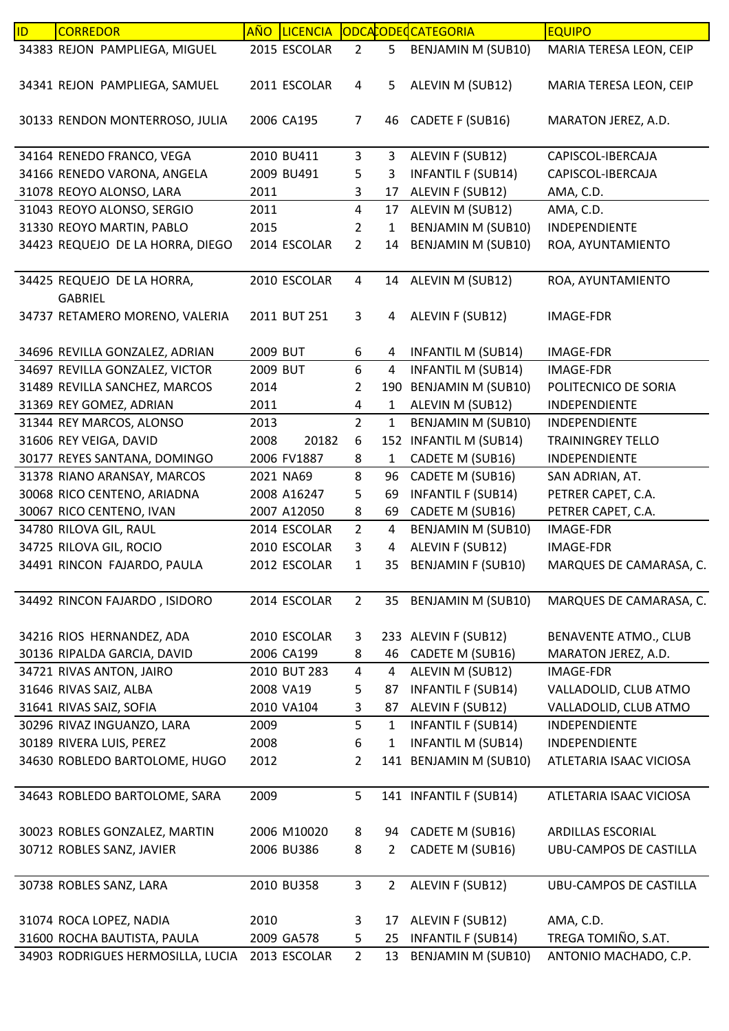| ID | <b>CORREDOR</b>                              | <b>AÑO</b> | <b>LICENCIA</b> |                         |                | ODCACODEC CATEGORIA       | <b>EQUIPO</b>                 |
|----|----------------------------------------------|------------|-----------------|-------------------------|----------------|---------------------------|-------------------------------|
|    | 34383 REJON PAMPLIEGA, MIGUEL                |            | 2015 ESCOLAR    | $\overline{2}$          | 5              | BENJAMIN M (SUB10)        | MARIA TERESA LEON, CEIP       |
|    | 34341 REJON PAMPLIEGA, SAMUEL                |            | 2011 ESCOLAR    | 4                       | 5              | ALEVIN M (SUB12)          | MARIA TERESA LEON, CEIP       |
|    | 30133 RENDON MONTERROSO, JULIA               |            | 2006 CA195      | 7                       | 46             | CADETE F (SUB16)          | MARATON JEREZ, A.D.           |
|    | 34164 RENEDO FRANCO, VEGA                    |            | 2010 BU411      | 3                       | 3              | ALEVIN F (SUB12)          | CAPISCOL-IBERCAJA             |
|    | 34166 RENEDO VARONA, ANGELA                  |            | 2009 BU491      | 5                       | 3              | <b>INFANTIL F (SUB14)</b> | CAPISCOL-IBERCAJA             |
|    | 31078 REOYO ALONSO, LARA                     | 2011       |                 | 3                       | 17             | ALEVIN F (SUB12)          | AMA, C.D.                     |
|    | 31043 REOYO ALONSO, SERGIO                   | 2011       |                 | $\overline{\mathbf{4}}$ | 17             | ALEVIN M (SUB12)          | AMA, C.D.                     |
|    | 31330 REOYO MARTIN, PABLO                    | 2015       |                 | 2                       | 1              | <b>BENJAMIN M (SUB10)</b> | INDEPENDIENTE                 |
|    | 34423 REQUEJO DE LA HORRA, DIEGO             |            | 2014 ESCOLAR    | $\overline{2}$          | 14             | BENJAMIN M (SUB10)        | ROA, AYUNTAMIENTO             |
|    | 34425 REQUEJO DE LA HORRA,<br><b>GABRIEL</b> |            | 2010 ESCOLAR    | 4                       | 14             | ALEVIN M (SUB12)          | ROA, AYUNTAMIENTO             |
|    | 34737 RETAMERO MORENO, VALERIA               |            | 2011 BUT 251    | 3                       | 4              | ALEVIN F (SUB12)          | <b>IMAGE-FDR</b>              |
|    | 34696 REVILLA GONZALEZ, ADRIAN               | 2009 BUT   |                 | 6                       | 4              | <b>INFANTIL M (SUB14)</b> | <b>IMAGE-FDR</b>              |
|    | 34697 REVILLA GONZALEZ, VICTOR               | 2009 BUT   |                 | $\boldsymbol{6}$        | 4              | <b>INFANTIL M (SUB14)</b> | <b>IMAGE-FDR</b>              |
|    | 31489 REVILLA SANCHEZ, MARCOS                | 2014       |                 | 2                       |                | 190 BENJAMIN M (SUB10)    | POLITECNICO DE SORIA          |
|    | 31369 REY GOMEZ, ADRIAN                      | 2011       |                 | 4                       | $\mathbf{1}$   | ALEVIN M (SUB12)          | INDEPENDIENTE                 |
|    | 31344 REY MARCOS, ALONSO                     | 2013       |                 | $\overline{2}$          | $\mathbf{1}$   | BENJAMIN M (SUB10)        | INDEPENDIENTE                 |
|    | 31606 REY VEIGA, DAVID                       | 2008       | 20182           | 6                       |                | 152 INFANTIL M (SUB14)    | <b>TRAININGREY TELLO</b>      |
|    | 30177 REYES SANTANA, DOMINGO                 |            | 2006 FV1887     | 8                       | $\mathbf{1}$   | CADETE M (SUB16)          | INDEPENDIENTE                 |
|    | 31378 RIANO ARANSAY, MARCOS                  |            | 2021 NA69       | 8                       | 96             | CADETE M (SUB16)          | SAN ADRIAN, AT.               |
|    | 30068 RICO CENTENO, ARIADNA                  |            | 2008 A16247     | 5                       | 69             | <b>INFANTIL F (SUB14)</b> | PETRER CAPET, C.A.            |
|    | 30067 RICO CENTENO, IVAN                     |            | 2007 A12050     | 8                       | 69             | CADETE M (SUB16)          | PETRER CAPET, C.A.            |
|    | 34780 RILOVA GIL, RAUL                       |            | 2014 ESCOLAR    | $\overline{2}$          | 4              | <b>BENJAMIN M (SUB10)</b> | IMAGE-FDR                     |
|    | 34725 RILOVA GIL, ROCIO                      |            | 2010 ESCOLAR    | 3                       | 4              | ALEVIN F (SUB12)          | <b>IMAGE-FDR</b>              |
|    | 34491 RINCON FAJARDO, PAULA                  |            | 2012 ESCOLAR    | 1                       | 35             | <b>BENJAMIN F (SUB10)</b> | MARQUES DE CAMARASA, C.       |
|    | 34492 RINCON FAJARDO, ISIDORO                |            | 2014 ESCOLAR    | $\overline{2}$          |                | 35 BENJAMIN M (SUB10)     | MARQUES DE CAMARASA, C.       |
|    | 34216 RIOS HERNANDEZ, ADA                    |            | 2010 ESCOLAR    | 3                       |                | 233 ALEVIN F (SUB12)      | BENAVENTE ATMO., CLUB         |
|    | 30136 RIPALDA GARCIA, DAVID                  |            | 2006 CA199      | 8                       | 46             | CADETE M (SUB16)          | MARATON JEREZ, A.D.           |
|    | 34721 RIVAS ANTON, JAIRO                     |            | 2010 BUT 283    | 4                       | $\overline{4}$ | ALEVIN M (SUB12)          | <b>IMAGE-FDR</b>              |
|    | 31646 RIVAS SAIZ, ALBA                       | 2008 VA19  |                 | 5                       | 87             | <b>INFANTIL F (SUB14)</b> | VALLADOLID, CLUB ATMO         |
|    | 31641 RIVAS SAIZ, SOFIA                      |            | 2010 VA104      | 3                       | 87             | ALEVIN F (SUB12)          | VALLADOLID, CLUB ATMO         |
|    | 30296 RIVAZ INGUANZO, LARA                   | 2009       |                 | 5                       | $\mathbf{1}$   | <b>INFANTIL F (SUB14)</b> | <b>INDEPENDIENTE</b>          |
|    | 30189 RIVERA LUIS, PEREZ                     | 2008       |                 | 6                       | 1              | <b>INFANTIL M (SUB14)</b> | INDEPENDIENTE                 |
|    | 34630 ROBLEDO BARTOLOME, HUGO                | 2012       |                 | 2                       |                | 141 BENJAMIN M (SUB10)    | ATLETARIA ISAAC VICIOSA       |
|    | 34643 ROBLEDO BARTOLOME, SARA                | 2009       |                 | 5                       |                | 141 INFANTIL F (SUB14)    | ATLETARIA ISAAC VICIOSA       |
|    | 30023 ROBLES GONZALEZ, MARTIN                |            | 2006 M10020     | 8                       |                | 94 CADETE M (SUB16)       | ARDILLAS ESCORIAL             |
|    | 30712 ROBLES SANZ, JAVIER                    |            | 2006 BU386      | 8                       | $\overline{2}$ | CADETE M (SUB16)          | UBU-CAMPOS DE CASTILLA        |
|    |                                              |            |                 |                         |                |                           |                               |
|    | 30738 ROBLES SANZ, LARA                      |            | 2010 BU358      | $\mathbf{3}$            | $2^{\circ}$    | ALEVIN F (SUB12)          | <b>UBU-CAMPOS DE CASTILLA</b> |
|    | 31074 ROCA LOPEZ, NADIA                      | 2010       |                 | 3                       | 17             | ALEVIN F (SUB12)          | AMA, C.D.                     |
|    | 31600 ROCHA BAUTISTA, PAULA                  |            | 2009 GA578      | 5                       | 25             | <b>INFANTIL F (SUB14)</b> | TREGA TOMIÑO, S.AT.           |
|    | 34903 RODRIGUES HERMOSILLA, LUCIA            |            | 2013 ESCOLAR    | $2^{\circ}$             | 13             | BENJAMIN M (SUB10)        | ANTONIO MACHADO, C.P.         |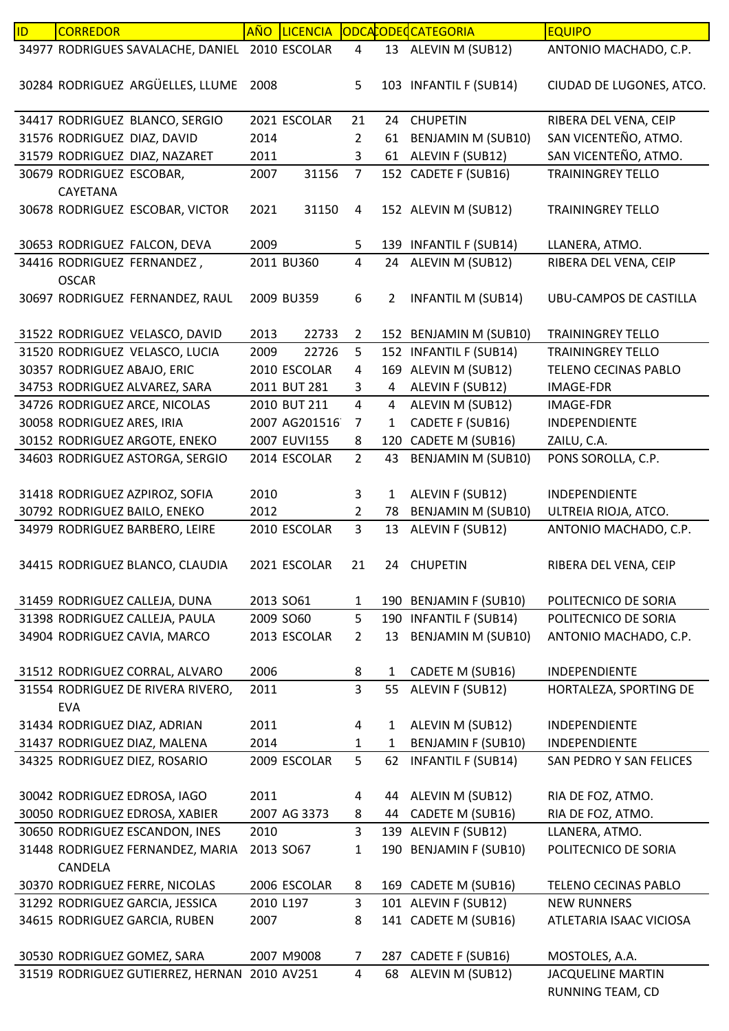| ID. | <b>CORREDOR</b>                                | <b>AÑO</b> | <b>LICENCIA</b> |                |              | ODCACODECATEGORIA         | <b>EQUIPO</b>                                |
|-----|------------------------------------------------|------------|-----------------|----------------|--------------|---------------------------|----------------------------------------------|
|     | 34977 RODRIGUES SAVALACHE, DANIEL 2010 ESCOLAR |            |                 | $\overline{4}$ |              | 13 ALEVIN M (SUB12)       | ANTONIO MACHADO, C.P.                        |
|     | 30284 RODRIGUEZ ARGÜELLES, LLUME               | 2008       |                 | 5              |              | 103 INFANTIL F (SUB14)    | CIUDAD DE LUGONES, ATCO.                     |
|     |                                                |            |                 |                |              |                           |                                              |
|     | 34417 RODRIGUEZ BLANCO, SERGIO                 |            | 2021 ESCOLAR    | 21             | 24           | <b>CHUPETIN</b>           | RIBERA DEL VENA, CEIP                        |
|     | 31576 RODRIGUEZ DIAZ, DAVID                    | 2014       |                 | 2              | 61           | <b>BENJAMIN M (SUB10)</b> | SAN VICENTEÑO, ATMO.                         |
|     | 31579 RODRIGUEZ DIAZ, NAZARET                  | 2011       |                 | 3              | 61           | ALEVIN F (SUB12)          | SAN VICENTEÑO, ATMO.                         |
|     | 30679 RODRIGUEZ ESCOBAR,<br>CAYETANA           | 2007       | 31156           | $\overline{7}$ |              | 152 CADETE F (SUB16)      | <b>TRAININGREY TELLO</b>                     |
|     | 30678 RODRIGUEZ ESCOBAR, VICTOR                | 2021       | 31150           | 4              |              | 152 ALEVIN M (SUB12)      | <b>TRAININGREY TELLO</b>                     |
|     | 30653 RODRIGUEZ FALCON, DEVA                   | 2009       |                 | 5              |              | 139 INFANTIL F (SUB14)    | LLANERA, ATMO.                               |
|     | 34416 RODRIGUEZ FERNANDEZ,                     |            | 2011 BU360      | 4              |              | 24 ALEVIN M (SUB12)       | RIBERA DEL VENA, CEIP                        |
|     | <b>OSCAR</b>                                   |            |                 |                |              |                           |                                              |
|     | 30697 RODRIGUEZ FERNANDEZ, RAUL                |            | 2009 BU359      | 6              | 2            | <b>INFANTIL M (SUB14)</b> | UBU-CAMPOS DE CASTILLA                       |
|     | 31522 RODRIGUEZ VELASCO, DAVID                 | 2013       | 22733           | $\overline{2}$ |              | 152 BENJAMIN M (SUB10)    | <b>TRAININGREY TELLO</b>                     |
|     | 31520 RODRIGUEZ VELASCO, LUCIA                 | 2009       | 22726           | 5              |              | 152 INFANTIL F (SUB14)    | <b>TRAININGREY TELLO</b>                     |
|     | 30357 RODRIGUEZ ABAJO, ERIC                    |            | 2010 ESCOLAR    | 4              |              | 169 ALEVIN M (SUB12)      | TELENO CECINAS PABLO                         |
|     | 34753 RODRIGUEZ ALVAREZ, SARA                  |            | 2011 BUT 281    | 3              | 4            | ALEVIN F (SUB12)          | <b>IMAGE-FDR</b>                             |
|     | 34726 RODRIGUEZ ARCE, NICOLAS                  |            | 2010 BUT 211    | 4              | 4            | ALEVIN M (SUB12)          | IMAGE-FDR                                    |
|     | 30058 RODRIGUEZ ARES, IRIA                     |            | 2007 AG201516   | $\overline{7}$ | $\mathbf{1}$ | CADETE F (SUB16)          | INDEPENDIENTE                                |
|     | 30152 RODRIGUEZ ARGOTE, ENEKO                  |            | 2007 EUVI155    | 8              |              | 120 CADETE M (SUB16)      | ZAILU, C.A.                                  |
|     | 34603 RODRIGUEZ ASTORGA, SERGIO                |            | 2014 ESCOLAR    | $\overline{2}$ | 43           | <b>BENJAMIN M (SUB10)</b> | PONS SOROLLA, C.P.                           |
|     |                                                |            |                 |                |              |                           |                                              |
|     | 31418 RODRIGUEZ AZPIROZ, SOFIA                 | 2010       |                 | 3              | $\mathbf{1}$ | ALEVIN F (SUB12)          | INDEPENDIENTE                                |
|     | 30792 RODRIGUEZ BAILO, ENEKO                   | 2012       |                 | $\overline{2}$ | 78           | <b>BENJAMIN M (SUB10)</b> | ULTREIA RIOJA, ATCO.                         |
|     | 34979 RODRIGUEZ BARBERO, LEIRE                 |            | 2010 ESCOLAR    | 3              | 13           | ALEVIN F (SUB12)          | ANTONIO MACHADO, C.P.                        |
|     | 34415 RODRIGUEZ BLANCO, CLAUDIA                |            | 2021 ESCOLAR    | 21             |              | 24 CHUPETIN               | RIBERA DEL VENA, CEIP                        |
|     | 31459 RODRIGUEZ CALLEJA, DUNA                  |            | 2013 SO61       | $\mathbf{1}$   |              | 190 BENJAMIN F (SUB10)    | POLITECNICO DE SORIA                         |
|     | 31398 RODRIGUEZ CALLEJA, PAULA                 |            | 2009 SO60       | 5              |              | 190 INFANTIL F (SUB14)    | POLITECNICO DE SORIA                         |
|     | 34904 RODRIGUEZ CAVIA, MARCO                   |            | 2013 ESCOLAR    | $\overline{2}$ |              | 13 BENJAMIN M (SUB10)     | ANTONIO MACHADO, C.P.                        |
|     |                                                |            |                 |                |              |                           |                                              |
|     | 31512 RODRIGUEZ CORRAL, ALVARO                 | 2006       |                 | 8              | $\mathbf{1}$ | CADETE M (SUB16)          | INDEPENDIENTE                                |
|     | 31554 RODRIGUEZ DE RIVERA RIVERO,              | 2011       |                 | $\overline{3}$ | 55           | ALEVIN F (SUB12)          | HORTALEZA, SPORTING DE                       |
|     | <b>EVA</b>                                     |            |                 |                |              |                           |                                              |
|     | 31434 RODRIGUEZ DIAZ, ADRIAN                   | 2011       |                 | 4              | 1            | ALEVIN M (SUB12)          | INDEPENDIENTE                                |
|     | 31437 RODRIGUEZ DIAZ, MALENA                   | 2014       |                 | 1              | 1            | <b>BENJAMIN F (SUB10)</b> | INDEPENDIENTE                                |
|     | 34325 RODRIGUEZ DIEZ, ROSARIO                  |            | 2009 ESCOLAR    | 5              | 62           | <b>INFANTIL F (SUB14)</b> | SAN PEDRO Y SAN FELICES                      |
|     |                                                |            |                 |                |              |                           |                                              |
|     | 30042 RODRIGUEZ EDROSA, IAGO                   | 2011       |                 | 4              |              | 44 ALEVIN M (SUB12)       | RIA DE FOZ, ATMO.                            |
|     | 30050 RODRIGUEZ EDROSA, XABIER                 |            | 2007 AG 3373    | 8              | 44           | CADETE M (SUB16)          | RIA DE FOZ, ATMO.                            |
|     | 30650 RODRIGUEZ ESCANDON, INES                 | 2010       |                 | 3              |              | 139 ALEVIN F (SUB12)      | LLANERA, ATMO.                               |
|     | 31448 RODRIGUEZ FERNANDEZ, MARIA               |            | 2013 SO67       | 1              |              | 190 BENJAMIN F (SUB10)    | POLITECNICO DE SORIA                         |
|     | CANDELA                                        |            |                 |                |              |                           |                                              |
|     | 30370 RODRIGUEZ FERRE, NICOLAS                 |            | 2006 ESCOLAR    | 8              |              | 169 CADETE M (SUB16)      | TELENO CECINAS PABLO                         |
|     | 31292 RODRIGUEZ GARCIA, JESSICA                | 2010 L197  |                 | 3              |              | 101 ALEVIN F (SUB12)      | <b>NEW RUNNERS</b>                           |
|     | 34615 RODRIGUEZ GARCIA, RUBEN                  | 2007       |                 | 8              |              | 141 CADETE M (SUB16)      | ATLETARIA ISAAC VICIOSA                      |
|     |                                                |            |                 |                |              |                           |                                              |
|     | 30530 RODRIGUEZ GOMEZ, SARA                    |            | 2007 M9008      | $\overline{7}$ |              | 287 CADETE F (SUB16)      | MOSTOLES, A.A.                               |
|     | 31519 RODRIGUEZ GUTIERREZ, HERNAN 2010 AV251   |            |                 | 4              | 68           | ALEVIN M (SUB12)          | <b>JACQUELINE MARTIN</b><br>RUNNING TEAM, CD |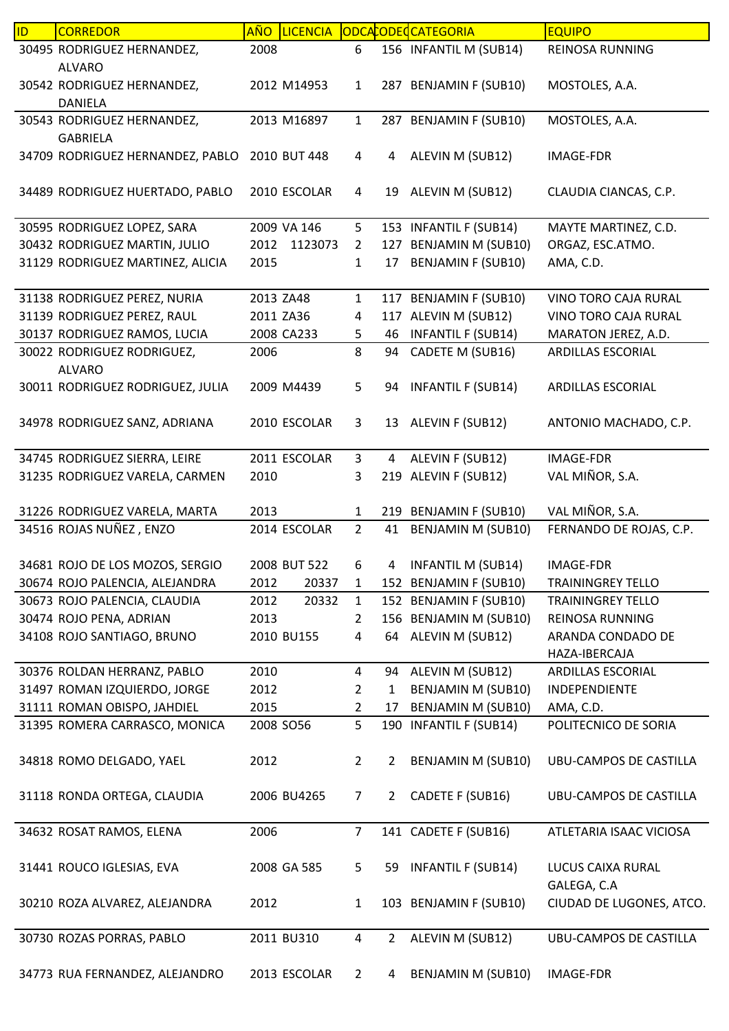| ID | <b>CORREDOR</b>                                     | <b>AÑO</b> | LICENCIA     |                |                | ODCACODECATEGORIA         | <b>EQUIPO</b>                      |
|----|-----------------------------------------------------|------------|--------------|----------------|----------------|---------------------------|------------------------------------|
|    | 30495 RODRIGUEZ HERNANDEZ,<br><b>ALVARO</b>         | 2008       |              | 6              |                | 156 INFANTIL M (SUB14)    | REINOSA RUNNING                    |
|    | 30542 RODRIGUEZ HERNANDEZ,<br><b>DANIELA</b>        |            | 2012 M14953  | $\mathbf{1}$   |                | 287 BENJAMIN F (SUB10)    | MOSTOLES, A.A.                     |
|    | 30543 RODRIGUEZ HERNANDEZ,                          |            | 2013 M16897  | $\mathbf{1}$   |                | 287 BENJAMIN F (SUB10)    | MOSTOLES, A.A.                     |
|    | <b>GABRIELA</b><br>34709 RODRIGUEZ HERNANDEZ, PABLO |            | 2010 BUT 448 | 4              | 4              | ALEVIN M (SUB12)          | <b>IMAGE-FDR</b>                   |
|    | 34489 RODRIGUEZ HUERTADO, PABLO                     |            | 2010 ESCOLAR | 4              | 19             | ALEVIN M (SUB12)          | CLAUDIA CIANCAS, C.P.              |
|    | 30595 RODRIGUEZ LOPEZ, SARA                         |            | 2009 VA 146  | 5              |                | 153 INFANTIL F (SUB14)    | MAYTE MARTINEZ, C.D.               |
|    | 30432 RODRIGUEZ MARTIN, JULIO                       |            | 2012 1123073 | $\overline{2}$ |                | 127 BENJAMIN M (SUB10)    | ORGAZ, ESC.ATMO.                   |
|    | 31129 RODRIGUEZ MARTINEZ, ALICIA                    | 2015       |              | 1              | 17             | <b>BENJAMIN F (SUB10)</b> | AMA, C.D.                          |
|    | 31138 RODRIGUEZ PEREZ, NURIA                        | 2013 ZA48  |              | $\mathbf{1}$   |                | 117 BENJAMIN F (SUB10)    | VINO TORO CAJA RURAL               |
|    | 31139 RODRIGUEZ PEREZ, RAUL                         | 2011 ZA36  |              | $\overline{4}$ |                | 117 ALEVIN M (SUB12)      | VINO TORO CAJA RURAL               |
|    | 30137 RODRIGUEZ RAMOS, LUCIA                        |            | 2008 CA233   | 5              | 46             | <b>INFANTIL F (SUB14)</b> | MARATON JEREZ, A.D.                |
|    | 30022 RODRIGUEZ RODRIGUEZ,<br><b>ALVARO</b>         | 2006       |              | 8              | 94             | CADETE M (SUB16)          | ARDILLAS ESCORIAL                  |
|    | 30011 RODRIGUEZ RODRIGUEZ, JULIA                    |            | 2009 M4439   | 5              | 94             | <b>INFANTIL F (SUB14)</b> | ARDILLAS ESCORIAL                  |
|    | 34978 RODRIGUEZ SANZ, ADRIANA                       |            | 2010 ESCOLAR | 3              | 13             | ALEVIN F (SUB12)          | ANTONIO MACHADO, C.P.              |
|    | 34745 RODRIGUEZ SIERRA, LEIRE                       |            | 2011 ESCOLAR | 3              | 4              | ALEVIN F (SUB12)          | <b>IMAGE-FDR</b>                   |
|    | 31235 RODRIGUEZ VARELA, CARMEN                      | 2010       |              | 3              |                | 219 ALEVIN F (SUB12)      | VAL MIÑOR, S.A.                    |
|    | 31226 RODRIGUEZ VARELA, MARTA                       | 2013       |              | $\mathbf{1}$   |                | 219 BENJAMIN F (SUB10)    | VAL MIÑOR, S.A.                    |
|    | 34516 ROJAS NUÑEZ, ENZO                             |            | 2014 ESCOLAR | $\overline{2}$ | 41             | <b>BENJAMIN M (SUB10)</b> | FERNANDO DE ROJAS, C.P.            |
|    | 34681 ROJO DE LOS MOZOS, SERGIO                     |            | 2008 BUT 522 | 6              | 4              | <b>INFANTIL M (SUB14)</b> | <b>IMAGE-FDR</b>                   |
|    | 30674 ROJO PALENCIA, ALEJANDRA                      | 2012       | 20337        | $\mathbf{1}$   |                | 152 BENJAMIN F (SUB10)    | <b>TRAININGREY TELLO</b>           |
|    | 30673 ROJO PALENCIA, CLAUDIA                        | 2012       | 20332        | $\mathbf{1}$   |                | 152 BENJAMIN F (SUB10)    | <b>TRAININGREY TELLO</b>           |
|    | 30474 ROJO PENA, ADRIAN                             | 2013       |              | 2              |                | 156 BENJAMIN M (SUB10)    | REINOSA RUNNING                    |
|    | 34108 ROJO SANTIAGO, BRUNO                          |            | 2010 BU155   | 4              | 64             | ALEVIN M (SUB12)          | ARANDA CONDADO DE<br>HAZA-IBERCAJA |
|    | 30376 ROLDAN HERRANZ, PABLO                         | 2010       |              | 4              | 94             | ALEVIN M (SUB12)          | ARDILLAS ESCORIAL                  |
|    | 31497 ROMAN IZQUIERDO, JORGE                        | 2012       |              | $\overline{2}$ | 1              | BENJAMIN M (SUB10)        | INDEPENDIENTE                      |
|    | 31111 ROMAN OBISPO, JAHDIEL                         | 2015       |              | 2              | 17             | BENJAMIN M (SUB10)        | AMA, C.D.                          |
|    | 31395 ROMERA CARRASCO, MONICA                       |            | 2008 SO56    | 5              |                | 190 INFANTIL F (SUB14)    | POLITECNICO DE SORIA               |
|    | 34818 ROMO DELGADO, YAEL                            | 2012       |              | $\overline{2}$ | 2              | <b>BENJAMIN M (SUB10)</b> | <b>UBU-CAMPOS DE CASTILLA</b>      |
|    | 31118 RONDA ORTEGA, CLAUDIA                         |            | 2006 BU4265  | 7              | $2^{\circ}$    | CADETE F (SUB16)          | UBU-CAMPOS DE CASTILLA             |
|    | 34632 ROSAT RAMOS, ELENA                            | 2006       |              | $\overline{7}$ |                | 141 CADETE F (SUB16)      | ATLETARIA ISAAC VICIOSA            |
|    | 31441 ROUCO IGLESIAS, EVA                           |            | 2008 GA 585  | 5              | 59             | <b>INFANTIL F (SUB14)</b> | LUCUS CAIXA RURAL<br>GALEGA, C.A   |
|    | 30210 ROZA ALVAREZ, ALEJANDRA                       | 2012       |              | $\mathbf{1}$   |                | 103 BENJAMIN F (SUB10)    | CIUDAD DE LUGONES, ATCO.           |
|    | 30730 ROZAS PORRAS, PABLO                           |            | 2011 BU310   | $\overline{4}$ | $\overline{2}$ | ALEVIN M (SUB12)          | <b>UBU-CAMPOS DE CASTILLA</b>      |
|    | 34773 RUA FERNANDEZ, ALEJANDRO                      |            | 2013 ESCOLAR | $\overline{2}$ | $\overline{4}$ | BENJAMIN M (SUB10)        | IMAGE-FDR                          |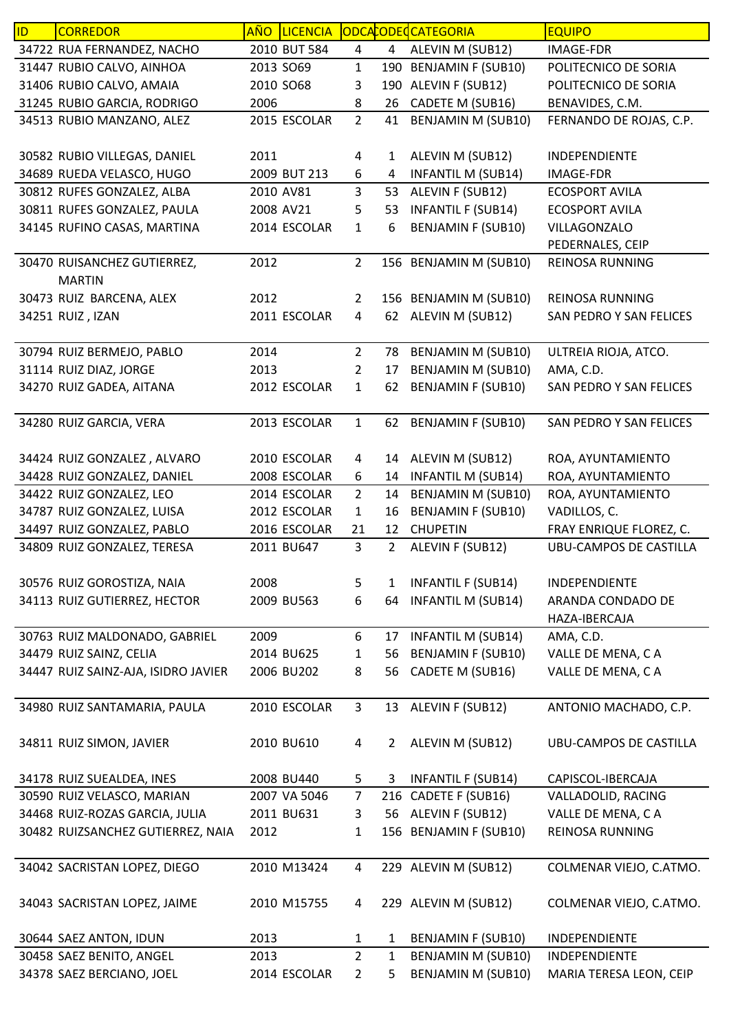| ID | <b>CORREDOR</b>                                         | AÑO  | <b>LICENCIA</b>            |                     |                | ODCACODECCATEGORIA                                | <b>EQUIPO</b>                 |
|----|---------------------------------------------------------|------|----------------------------|---------------------|----------------|---------------------------------------------------|-------------------------------|
|    | 34722 RUA FERNANDEZ, NACHO                              |      | 2010 BUT 584               | $\overline{4}$      | $\overline{4}$ | ALEVIN M (SUB12)                                  | <b>IMAGE-FDR</b>              |
|    | 31447 RUBIO CALVO, AINHOA                               |      | 2013 SO69                  | $\mathbf 1$         |                | 190 BENJAMIN F (SUB10)                            | POLITECNICO DE SORIA          |
|    | 31406 RUBIO CALVO, AMAIA                                |      | 2010 SO68                  | 3                   |                | 190 ALEVIN F (SUB12)                              | POLITECNICO DE SORIA          |
|    | 31245 RUBIO GARCIA, RODRIGO                             | 2006 |                            | 8                   | 26             | CADETE M (SUB16)                                  | BENAVIDES, C.M.               |
|    | 34513 RUBIO MANZANO, ALEZ                               |      | 2015 ESCOLAR               | $\overline{2}$      | 41             | <b>BENJAMIN M (SUB10)</b>                         | FERNANDO DE ROJAS, C.P.       |
|    |                                                         |      |                            |                     |                |                                                   |                               |
|    | 30582 RUBIO VILLEGAS, DANIEL                            | 2011 |                            | 4                   | 1              | ALEVIN M (SUB12)                                  | INDEPENDIENTE                 |
|    | 34689 RUEDA VELASCO, HUGO                               |      | 2009 BUT 213               | 6                   | 4              | <b>INFANTIL M (SUB14)</b>                         | <b>IMAGE-FDR</b>              |
|    | 30812 RUFES GONZALEZ, ALBA                              |      | 2010 AV81                  | 3                   | 53             | ALEVIN F (SUB12)                                  | <b>ECOSPORT AVILA</b>         |
|    | 30811 RUFES GONZALEZ, PAULA                             |      | 2008 AV21                  | 5                   | 53             | <b>INFANTIL F (SUB14)</b>                         | <b>ECOSPORT AVILA</b>         |
|    | 34145 RUFINO CASAS, MARTINA                             |      | 2014 ESCOLAR               | $\mathbf{1}$        | 6              | <b>BENJAMIN F (SUB10)</b>                         | VILLAGONZALO                  |
|    |                                                         |      |                            |                     |                |                                                   | PEDERNALES, CEIP              |
|    | 30470 RUISANCHEZ GUTIERREZ,                             | 2012 |                            | $\overline{2}$      |                | 156 BENJAMIN M (SUB10)                            | REINOSA RUNNING               |
|    | <b>MARTIN</b>                                           |      |                            |                     |                |                                                   |                               |
|    | 30473 RUIZ BARCENA, ALEX                                | 2012 |                            | $\overline{2}$      |                | 156 BENJAMIN M (SUB10)                            | REINOSA RUNNING               |
|    | 34251 RUIZ, IZAN                                        |      | 2011 ESCOLAR               | 4                   |                | 62 ALEVIN M (SUB12)                               | SAN PEDRO Y SAN FELICES       |
|    |                                                         |      |                            |                     |                |                                                   |                               |
|    | 30794 RUIZ BERMEJO, PABLO                               | 2014 |                            | $\overline{2}$      | 78             | <b>BENJAMIN M (SUB10)</b>                         | ULTREIA RIOJA, ATCO.          |
|    | 31114 RUIZ DIAZ, JORGE                                  | 2013 |                            | 2                   | 17             | <b>BENJAMIN M (SUB10)</b>                         | AMA, C.D.                     |
|    | 34270 RUIZ GADEA, AITANA                                |      | 2012 ESCOLAR               | $\mathbf{1}$        | 62             | <b>BENJAMIN F (SUB10)</b>                         | SAN PEDRO Y SAN FELICES       |
|    | 34280 RUIZ GARCIA, VERA                                 |      | 2013 ESCOLAR               | $\mathbf{1}$        | 62             | <b>BENJAMIN F (SUB10)</b>                         | SAN PEDRO Y SAN FELICES       |
|    |                                                         |      |                            |                     |                |                                                   |                               |
|    | 34424 RUIZ GONZALEZ, ALVARO                             |      | 2010 ESCOLAR               | 4                   | 14             | ALEVIN M (SUB12)                                  | ROA, AYUNTAMIENTO             |
|    | 34428 RUIZ GONZALEZ, DANIEL                             |      | 2008 ESCOLAR               | 6                   | 14             | <b>INFANTIL M (SUB14)</b>                         | ROA, AYUNTAMIENTO             |
|    | 34422 RUIZ GONZALEZ, LEO                                |      | 2014 ESCOLAR               | $\overline{2}$      | 14             | <b>BENJAMIN M (SUB10)</b>                         | ROA, AYUNTAMIENTO             |
|    | 34787 RUIZ GONZALEZ, LUISA                              |      | 2012 ESCOLAR               | 1                   | 16             | <b>BENJAMIN F (SUB10)</b>                         | VADILLOS, C.                  |
|    | 34497 RUIZ GONZALEZ, PABLO                              |      | 2016 ESCOLAR               | 21                  | 12             | <b>CHUPETIN</b>                                   | FRAY ENRIQUE FLOREZ, C.       |
|    | 34809 RUIZ GONZALEZ, TERESA                             |      | 2011 BU647                 | 3                   | 2              | ALEVIN F (SUB12)                                  | <b>UBU-CAMPOS DE CASTILLA</b> |
|    |                                                         |      |                            |                     |                |                                                   |                               |
|    | 30576 RUIZ GOROSTIZA, NAIA                              | 2008 |                            | 5                   | 1              | <b>INFANTIL F (SUB14)</b>                         | INDEPENDIENTE                 |
|    | 34113 RUIZ GUTIERREZ, HECTOR                            |      | 2009 BU563                 | 6                   | 64             | <b>INFANTIL M (SUB14)</b>                         | ARANDA CONDADO DE             |
|    |                                                         |      |                            |                     |                |                                                   | HAZA-IBERCAJA                 |
|    | 30763 RUIZ MALDONADO, GABRIEL                           | 2009 |                            | 6                   | 17             | <b>INFANTIL M (SUB14)</b>                         | AMA, C.D.                     |
|    | 34479 RUIZ SAINZ, CELIA                                 |      | 2014 BU625                 | $\mathbf{1}$        | 56             | <b>BENJAMIN F (SUB10)</b>                         | VALLE DE MENA, CA             |
|    | 34447 RUIZ SAINZ-AJA, ISIDRO JAVIER                     |      | 2006 BU202                 | 8                   | 56             | CADETE M (SUB16)                                  | VALLE DE MENA, CA             |
|    |                                                         |      |                            |                     |                |                                                   |                               |
|    | 34980 RUIZ SANTAMARIA, PAULA                            |      | 2010 ESCOLAR               | 3                   | 13             | ALEVIN F (SUB12)                                  | ANTONIO MACHADO, C.P.         |
|    |                                                         |      |                            |                     |                |                                                   |                               |
|    | 34811 RUIZ SIMON, JAVIER                                |      | 2010 BU610                 | 4                   | $\mathbf{2}$   | ALEVIN M (SUB12)                                  | UBU-CAMPOS DE CASTILLA        |
|    |                                                         |      |                            |                     |                |                                                   |                               |
|    | 34178 RUIZ SUEALDEA, INES<br>30590 RUIZ VELASCO, MARIAN |      | 2008 BU440<br>2007 VA 5046 | 5<br>$\overline{7}$ | 3              | <b>INFANTIL F (SUB14)</b><br>216 CADETE F (SUB16) | CAPISCOL-IBERCAJA             |
|    | 34468 RUIZ-ROZAS GARCIA, JULIA                          |      |                            |                     | 56             |                                                   | VALLADOLID, RACING            |
|    |                                                         |      | 2011 BU631                 | 3                   |                | ALEVIN F (SUB12)                                  | VALLE DE MENA, CA             |
|    | 30482 RUIZSANCHEZ GUTIERREZ, NAIA                       | 2012 |                            | 1                   |                | 156 BENJAMIN F (SUB10)                            | <b>REINOSA RUNNING</b>        |
|    | 34042 SACRISTAN LOPEZ, DIEGO                            |      | 2010 M13424                | 4                   |                | 229 ALEVIN M (SUB12)                              | COLMENAR VIEJO, C.ATMO.       |
|    |                                                         |      |                            |                     |                |                                                   |                               |
|    | 34043 SACRISTAN LOPEZ, JAIME                            |      | 2010 M15755                | 4                   |                | 229 ALEVIN M (SUB12)                              | COLMENAR VIEJO, C.ATMO.       |
|    |                                                         |      |                            |                     |                |                                                   |                               |
|    | 30644 SAEZ ANTON, IDUN                                  | 2013 |                            | $\mathbf{1}$        | 1              | <b>BENJAMIN F (SUB10)</b>                         | INDEPENDIENTE                 |
|    | 30458 SAEZ BENITO, ANGEL                                | 2013 |                            | $\overline{2}$      | $\mathbf{1}$   | <b>BENJAMIN M (SUB10)</b>                         | INDEPENDIENTE                 |
|    | 34378 SAEZ BERCIANO, JOEL                               |      | 2014 ESCOLAR               | $\overline{2}$      | 5              | BENJAMIN M (SUB10)                                | MARIA TERESA LEON, CEIP       |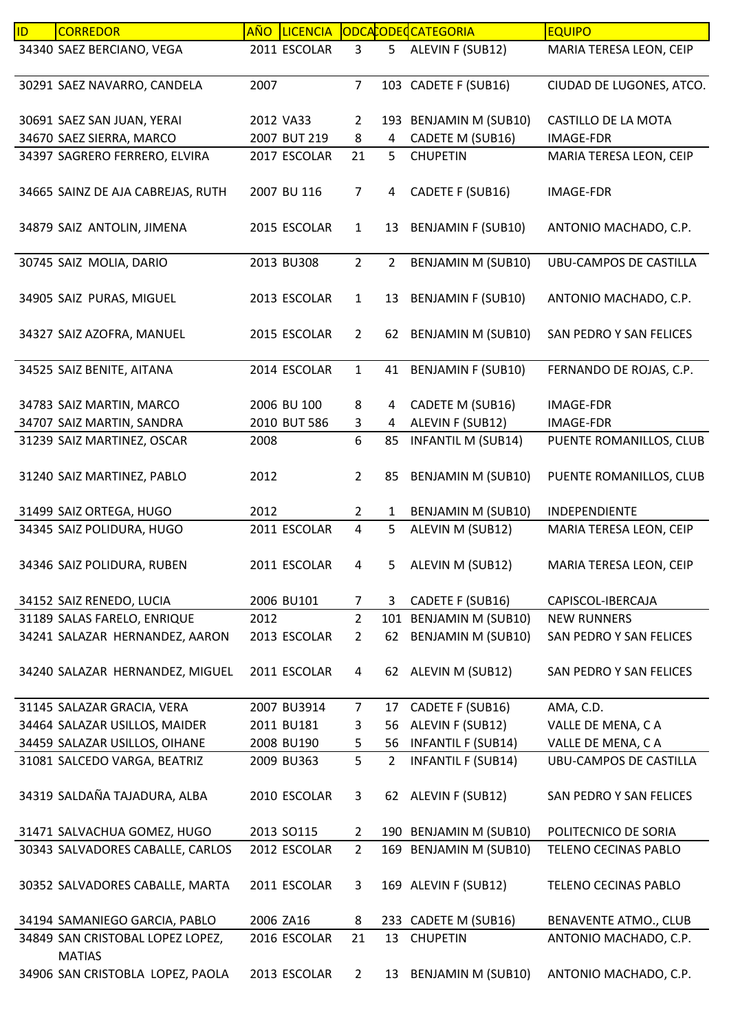| 34340 SAEZ BERCIANO, VEGA<br>2011 ESCOLAR<br>3<br>5<br>ALEVIN F (SUB12)<br>MARIA TERESA LEON, CEIP<br>$\overline{7}$<br>30291 SAEZ NAVARRO, CANDELA<br>103 CADETE F (SUB16)<br>CIUDAD DE LUGONES, ATCO.<br>2007<br>30691 SAEZ SAN JUAN, YERAI<br>193 BENJAMIN M (SUB10)<br>CASTILLO DE LA MOTA<br>2012 VA33<br>$\overline{2}$<br>34670 SAEZ SIERRA, MARCO<br>2007 BUT 219<br>8<br>CADETE M (SUB16)<br>4<br><b>IMAGE-FDR</b><br>34397 SAGRERO FERRERO, ELVIRA<br>2017 ESCOLAR<br>21<br>5<br><b>CHUPETIN</b><br>MARIA TERESA LEON, CEIP<br>CADETE F (SUB16)<br>34665 SAINZ DE AJA CABREJAS, RUTH<br>2007 BU 116<br>$\overline{7}$<br>4<br><b>IMAGE-FDR</b><br>34879 SAIZ ANTOLIN, JIMENA<br>2015 ESCOLAR<br><b>BENJAMIN F (SUB10)</b><br>ANTONIO MACHADO, C.P.<br>$\mathbf{1}$<br>13 |  |
|------------------------------------------------------------------------------------------------------------------------------------------------------------------------------------------------------------------------------------------------------------------------------------------------------------------------------------------------------------------------------------------------------------------------------------------------------------------------------------------------------------------------------------------------------------------------------------------------------------------------------------------------------------------------------------------------------------------------------------------------------------------------------------|--|
|                                                                                                                                                                                                                                                                                                                                                                                                                                                                                                                                                                                                                                                                                                                                                                                    |  |
|                                                                                                                                                                                                                                                                                                                                                                                                                                                                                                                                                                                                                                                                                                                                                                                    |  |
|                                                                                                                                                                                                                                                                                                                                                                                                                                                                                                                                                                                                                                                                                                                                                                                    |  |
|                                                                                                                                                                                                                                                                                                                                                                                                                                                                                                                                                                                                                                                                                                                                                                                    |  |
|                                                                                                                                                                                                                                                                                                                                                                                                                                                                                                                                                                                                                                                                                                                                                                                    |  |
|                                                                                                                                                                                                                                                                                                                                                                                                                                                                                                                                                                                                                                                                                                                                                                                    |  |
|                                                                                                                                                                                                                                                                                                                                                                                                                                                                                                                                                                                                                                                                                                                                                                                    |  |
|                                                                                                                                                                                                                                                                                                                                                                                                                                                                                                                                                                                                                                                                                                                                                                                    |  |
|                                                                                                                                                                                                                                                                                                                                                                                                                                                                                                                                                                                                                                                                                                                                                                                    |  |
|                                                                                                                                                                                                                                                                                                                                                                                                                                                                                                                                                                                                                                                                                                                                                                                    |  |
|                                                                                                                                                                                                                                                                                                                                                                                                                                                                                                                                                                                                                                                                                                                                                                                    |  |
| $\overline{2}$<br><b>BENJAMIN M (SUB10)</b><br>30745 SAIZ MOLIA, DARIO<br>2013 BU308<br>$\overline{2}$<br><b>UBU-CAMPOS DE CASTILLA</b>                                                                                                                                                                                                                                                                                                                                                                                                                                                                                                                                                                                                                                            |  |
|                                                                                                                                                                                                                                                                                                                                                                                                                                                                                                                                                                                                                                                                                                                                                                                    |  |
| <b>BENJAMIN F (SUB10)</b><br>34905 SAIZ PURAS, MIGUEL<br>2013 ESCOLAR<br>$\mathbf{1}$<br>13<br>ANTONIO MACHADO, C.P.                                                                                                                                                                                                                                                                                                                                                                                                                                                                                                                                                                                                                                                               |  |
|                                                                                                                                                                                                                                                                                                                                                                                                                                                                                                                                                                                                                                                                                                                                                                                    |  |
| <b>BENJAMIN M (SUB10)</b><br>34327 SAIZ AZOFRA, MANUEL<br>2015 ESCOLAR<br>$\overline{2}$<br>62<br>SAN PEDRO Y SAN FELICES                                                                                                                                                                                                                                                                                                                                                                                                                                                                                                                                                                                                                                                          |  |
| 34525 SAIZ BENITE, AITANA<br>2014 ESCOLAR<br>$\mathbf{1}$<br>41<br><b>BENJAMIN F (SUB10)</b><br>FERNANDO DE ROJAS, C.P.                                                                                                                                                                                                                                                                                                                                                                                                                                                                                                                                                                                                                                                            |  |
|                                                                                                                                                                                                                                                                                                                                                                                                                                                                                                                                                                                                                                                                                                                                                                                    |  |
| 34783 SAIZ MARTIN, MARCO<br>2006 BU 100<br>8<br>CADETE M (SUB16)<br>4<br><b>IMAGE-FDR</b>                                                                                                                                                                                                                                                                                                                                                                                                                                                                                                                                                                                                                                                                                          |  |
| 34707 SAIZ MARTIN, SANDRA<br>2010 BUT 586<br>3<br>ALEVIN F (SUB12)<br><b>IMAGE-FDR</b><br>$\overline{4}$                                                                                                                                                                                                                                                                                                                                                                                                                                                                                                                                                                                                                                                                           |  |
| 6<br><b>INFANTIL M (SUB14)</b><br>31239 SAIZ MARTINEZ, OSCAR<br>2008<br>85<br>PUENTE ROMANILLOS, CLUB                                                                                                                                                                                                                                                                                                                                                                                                                                                                                                                                                                                                                                                                              |  |
|                                                                                                                                                                                                                                                                                                                                                                                                                                                                                                                                                                                                                                                                                                                                                                                    |  |
| 2012<br>$\overline{2}$<br><b>BENJAMIN M (SUB10)</b><br>PUENTE ROMANILLOS, CLUB<br>31240 SAIZ MARTINEZ, PABLO<br>85                                                                                                                                                                                                                                                                                                                                                                                                                                                                                                                                                                                                                                                                 |  |
|                                                                                                                                                                                                                                                                                                                                                                                                                                                                                                                                                                                                                                                                                                                                                                                    |  |
| 31499 SAIZ ORTEGA, HUGO<br>2012<br>$\overline{2}$<br>$\mathbf{1}$<br>BENJAMIN M (SUB10)<br>INDEPENDIENTE                                                                                                                                                                                                                                                                                                                                                                                                                                                                                                                                                                                                                                                                           |  |
| 34345 SAIZ POLIDURA, HUGO<br>2011 ESCOLAR<br>5<br>ALEVIN M (SUB12)<br>4<br>MARIA TERESA LEON, CEIP                                                                                                                                                                                                                                                                                                                                                                                                                                                                                                                                                                                                                                                                                 |  |
|                                                                                                                                                                                                                                                                                                                                                                                                                                                                                                                                                                                                                                                                                                                                                                                    |  |
| 2011 ESCOLAR<br>34346 SAIZ POLIDURA, RUBEN<br>MARIA TERESA LEON, CEIP<br>5<br>ALEVIN M (SUB12)<br>4                                                                                                                                                                                                                                                                                                                                                                                                                                                                                                                                                                                                                                                                                |  |
|                                                                                                                                                                                                                                                                                                                                                                                                                                                                                                                                                                                                                                                                                                                                                                                    |  |
| 34152 SAIZ RENEDO, LUCIA<br>2006 BU101<br>3 CADETE F (SUB16)<br>CAPISCOL-IBERCAJA<br>$\overline{7}$<br>101 BENJAMIN M (SUB10)<br>2012<br>$\overline{2}$<br><b>NEW RUNNERS</b>                                                                                                                                                                                                                                                                                                                                                                                                                                                                                                                                                                                                      |  |
| 31189 SALAS FARELO, ENRIQUE<br>62 BENJAMIN M (SUB10)<br>34241 SALAZAR HERNANDEZ, AARON<br>$\overline{2}$<br>2013 ESCOLAR<br>SAN PEDRO Y SAN FELICES                                                                                                                                                                                                                                                                                                                                                                                                                                                                                                                                                                                                                                |  |
|                                                                                                                                                                                                                                                                                                                                                                                                                                                                                                                                                                                                                                                                                                                                                                                    |  |
| 34240 SALAZAR HERNANDEZ, MIGUEL<br>2011 ESCOLAR<br>62 ALEVIN M (SUB12)<br>4<br>SAN PEDRO Y SAN FELICES                                                                                                                                                                                                                                                                                                                                                                                                                                                                                                                                                                                                                                                                             |  |
|                                                                                                                                                                                                                                                                                                                                                                                                                                                                                                                                                                                                                                                                                                                                                                                    |  |
| 31145 SALAZAR GRACIA, VERA<br>2007 BU3914<br>CADETE F (SUB16)<br>AMA, C.D.<br>$\overline{7}$<br>17                                                                                                                                                                                                                                                                                                                                                                                                                                                                                                                                                                                                                                                                                 |  |
| ALEVIN F (SUB12)<br>34464 SALAZAR USILLOS, MAIDER<br>2011 BU181<br>VALLE DE MENA, CA<br>56<br>3                                                                                                                                                                                                                                                                                                                                                                                                                                                                                                                                                                                                                                                                                    |  |
| 34459 SALAZAR USILLOS, OIHANE<br><b>INFANTIL F (SUB14)</b><br>VALLE DE MENA, CA<br>2008 BU190<br>56<br>5                                                                                                                                                                                                                                                                                                                                                                                                                                                                                                                                                                                                                                                                           |  |
| 5<br>31081 SALCEDO VARGA, BEATRIZ<br>$\overline{2}$<br><b>INFANTIL F (SUB14)</b><br>2009 BU363<br><b>UBU-CAMPOS DE CASTILLA</b>                                                                                                                                                                                                                                                                                                                                                                                                                                                                                                                                                                                                                                                    |  |
|                                                                                                                                                                                                                                                                                                                                                                                                                                                                                                                                                                                                                                                                                                                                                                                    |  |
| 34319 SALDAÑA TAJADURA, ALBA<br>2010 ESCOLAR<br>3<br>62 ALEVIN F (SUB12)<br>SAN PEDRO Y SAN FELICES                                                                                                                                                                                                                                                                                                                                                                                                                                                                                                                                                                                                                                                                                |  |
|                                                                                                                                                                                                                                                                                                                                                                                                                                                                                                                                                                                                                                                                                                                                                                                    |  |
| 31471 SALVACHUA GOMEZ, HUGO<br>2013 SO115<br>190 BENJAMIN M (SUB10)<br>POLITECNICO DE SORIA<br>$\mathbf{2}$                                                                                                                                                                                                                                                                                                                                                                                                                                                                                                                                                                                                                                                                        |  |
| $\overline{2}$<br>30343 SALVADORES CABALLE, CARLOS<br>2012 ESCOLAR<br>169 BENJAMIN M (SUB10)<br>TELENO CECINAS PABLO                                                                                                                                                                                                                                                                                                                                                                                                                                                                                                                                                                                                                                                               |  |
|                                                                                                                                                                                                                                                                                                                                                                                                                                                                                                                                                                                                                                                                                                                                                                                    |  |
| 30352 SALVADORES CABALLE, MARTA<br>2011 ESCOLAR<br>169 ALEVIN F (SUB12)<br>TELENO CECINAS PABLO<br>3                                                                                                                                                                                                                                                                                                                                                                                                                                                                                                                                                                                                                                                                               |  |
| 34194 SAMANIEGO GARCIA, PABLO<br>2006 ZA16<br>233 CADETE M (SUB16)<br><b>BENAVENTE ATMO., CLUB</b><br>8                                                                                                                                                                                                                                                                                                                                                                                                                                                                                                                                                                                                                                                                            |  |
| 34849 SAN CRISTOBAL LOPEZ LOPEZ,<br>2016 ESCOLAR<br>21<br><b>CHUPETIN</b><br>ANTONIO MACHADO, C.P.<br>13                                                                                                                                                                                                                                                                                                                                                                                                                                                                                                                                                                                                                                                                           |  |
| <b>MATIAS</b>                                                                                                                                                                                                                                                                                                                                                                                                                                                                                                                                                                                                                                                                                                                                                                      |  |
| 34906 SAN CRISTOBLA LOPEZ, PAOLA<br>2013 ESCOLAR<br>13 BENJAMIN M (SUB10)<br>ANTONIO MACHADO, C.P.<br>$\overline{2}$                                                                                                                                                                                                                                                                                                                                                                                                                                                                                                                                                                                                                                                               |  |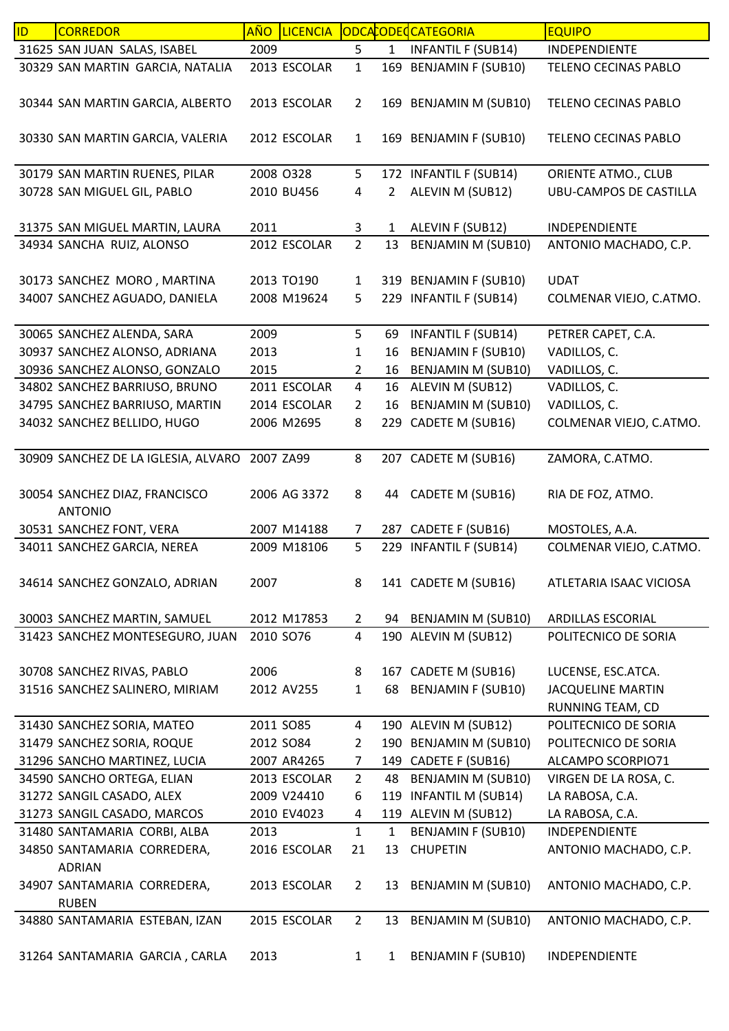| ID | <b>CORREDOR</b>                     | <u>AÑO</u> | <b>LICENCIA</b> |                |                | ODCACODECCATEGORIA        | <b>EQUIPO</b>                 |
|----|-------------------------------------|------------|-----------------|----------------|----------------|---------------------------|-------------------------------|
|    | 31625 SAN JUAN SALAS, ISABEL        | 2009       |                 | 5              | $\mathbf{1}$   | <b>INFANTIL F (SUB14)</b> | <b>INDEPENDIENTE</b>          |
|    | 30329 SAN MARTIN GARCIA, NATALIA    |            | 2013 ESCOLAR    | $\mathbf 1$    |                | 169 BENJAMIN F (SUB10)    | TELENO CECINAS PABLO          |
|    |                                     |            |                 |                |                |                           |                               |
|    | 30344 SAN MARTIN GARCIA, ALBERTO    |            | 2013 ESCOLAR    | $\overline{2}$ |                | 169 BENJAMIN M (SUB10)    | TELENO CECINAS PABLO          |
|    |                                     |            |                 |                |                |                           |                               |
|    | 30330 SAN MARTIN GARCIA, VALERIA    |            | 2012 ESCOLAR    | $\mathbf{1}$   |                | 169 BENJAMIN F (SUB10)    | TELENO CECINAS PABLO          |
|    | 30179 SAN MARTIN RUENES, PILAR      |            | 2008 0328       | 5              |                | 172 INFANTIL F (SUB14)    | ORIENTE ATMO., CLUB           |
|    | 30728 SAN MIGUEL GIL, PABLO         |            | 2010 BU456      | 4              | $\overline{2}$ | ALEVIN M (SUB12)          | <b>UBU-CAMPOS DE CASTILLA</b> |
|    |                                     |            |                 |                |                |                           |                               |
|    | 31375 SAN MIGUEL MARTIN, LAURA      | 2011       |                 | 3              | $\mathbf{1}$   | ALEVIN F (SUB12)          | INDEPENDIENTE                 |
|    | 34934 SANCHA RUIZ, ALONSO           |            | 2012 ESCOLAR    | $\overline{2}$ | 13             | <b>BENJAMIN M (SUB10)</b> | ANTONIO MACHADO, C.P.         |
|    |                                     |            |                 |                |                |                           |                               |
|    | 30173 SANCHEZ MORO, MARTINA         |            | 2013 TO190      | $\mathbf{1}$   |                | 319 BENJAMIN F (SUB10)    | <b>UDAT</b>                   |
|    | 34007 SANCHEZ AGUADO, DANIELA       |            | 2008 M19624     | 5              |                | 229 INFANTIL F (SUB14)    | COLMENAR VIEJO, C.ATMO.       |
|    |                                     |            |                 |                |                |                           |                               |
|    | 30065 SANCHEZ ALENDA, SARA          | 2009       |                 | 5              | 69             | <b>INFANTIL F (SUB14)</b> | PETRER CAPET, C.A.            |
|    | 30937 SANCHEZ ALONSO, ADRIANA       | 2013       |                 | 1              | 16             | <b>BENJAMIN F (SUB10)</b> | VADILLOS, C.                  |
|    | 30936 SANCHEZ ALONSO, GONZALO       | 2015       |                 | 2              | 16             | <b>BENJAMIN M (SUB10)</b> | VADILLOS, C.                  |
|    | 34802 SANCHEZ BARRIUSO, BRUNO       |            | 2011 ESCOLAR    | $\overline{4}$ | 16             | ALEVIN M (SUB12)          | VADILLOS, C.                  |
|    | 34795 SANCHEZ BARRIUSO, MARTIN      |            | 2014 ESCOLAR    | $\overline{2}$ | 16             | <b>BENJAMIN M (SUB10)</b> | VADILLOS, C.                  |
|    | 34032 SANCHEZ BELLIDO, HUGO         |            | 2006 M2695      | 8              | 229            | CADETE M (SUB16)          | COLMENAR VIEJO, C.ATMO.       |
|    |                                     |            |                 |                |                |                           |                               |
|    | 30909 SANCHEZ DE LA IGLESIA, ALVARO | 2007 ZA99  |                 | 8              |                | 207 CADETE M (SUB16)      | ZAMORA, C.ATMO.               |
|    |                                     |            |                 |                |                |                           |                               |
|    | 30054 SANCHEZ DIAZ, FRANCISCO       |            | 2006 AG 3372    | 8              | 44             | CADETE M (SUB16)          | RIA DE FOZ, ATMO.             |
|    | <b>ANTONIO</b>                      |            |                 |                |                |                           |                               |
|    | 30531 SANCHEZ FONT, VERA            |            | 2007 M14188     | 7              |                | 287 CADETE F (SUB16)      | MOSTOLES, A.A.                |
|    | 34011 SANCHEZ GARCIA, NEREA         |            | 2009 M18106     | 5              | 229            | <b>INFANTIL F (SUB14)</b> | COLMENAR VIEJO, C.ATMO.       |
|    |                                     |            |                 |                |                |                           |                               |
|    | 34614 SANCHEZ GONZALO, ADRIAN       | 2007       |                 | 8              |                | 141 CADETE M (SUB16)      | ATLETARIA ISAAC VICIOSA       |
|    | 30003 SANCHEZ MARTIN, SAMUEL        |            | 2012 M17853     | $\mathbf{2}$   |                | 94 BENJAMIN M (SUB10)     | ARDILLAS ESCORIAL             |
|    | 31423 SANCHEZ MONTESEGURO, JUAN     | 2010 SO76  |                 | $\overline{4}$ |                | 190 ALEVIN M (SUB12)      | POLITECNICO DE SORIA          |
|    |                                     |            |                 |                |                |                           |                               |
|    | 30708 SANCHEZ RIVAS, PABLO          | 2006       |                 | 8              |                | 167 CADETE M (SUB16)      | LUCENSE, ESC.ATCA.            |
|    | 31516 SANCHEZ SALINERO, MIRIAM      |            | 2012 AV255      | $\mathbf{1}$   | 68             | <b>BENJAMIN F (SUB10)</b> | <b>JACQUELINE MARTIN</b>      |
|    |                                     |            |                 |                |                |                           | RUNNING TEAM, CD              |
|    | 31430 SANCHEZ SORIA, MATEO          |            | 2011 SO85       | 4              |                | 190 ALEVIN M (SUB12)      | POLITECNICO DE SORIA          |
|    | 31479 SANCHEZ SORIA, ROQUE          |            | 2012 SO84       | $\overline{2}$ |                | 190 BENJAMIN M (SUB10)    | POLITECNICO DE SORIA          |
|    | 31296 SANCHO MARTINEZ, LUCIA        |            | 2007 AR4265     | 7              |                | 149 CADETE F (SUB16)      | ALCAMPO SCORPIO71             |
|    | 34590 SANCHO ORTEGA, ELIAN          |            | 2013 ESCOLAR    | $\overline{2}$ | 48             | <b>BENJAMIN M (SUB10)</b> | VIRGEN DE LA ROSA, C.         |
|    | 31272 SANGIL CASADO, ALEX           |            | 2009 V24410     | 6              |                | 119 INFANTIL M (SUB14)    | LA RABOSA, C.A.               |
|    | 31273 SANGIL CASADO, MARCOS         |            | 2010 EV4023     | 4              |                | 119 ALEVIN M (SUB12)      | LA RABOSA, C.A.               |
|    | 31480 SANTAMARIA CORBI, ALBA        | 2013       |                 | $\mathbf{1}$   | $\mathbf{1}$   | <b>BENJAMIN F (SUB10)</b> | <b>INDEPENDIENTE</b>          |
|    | 34850 SANTAMARIA CORREDERA,         |            | 2016 ESCOLAR    | 21             | 13             | <b>CHUPETIN</b>           | ANTONIO MACHADO, C.P.         |
|    | <b>ADRIAN</b>                       |            |                 |                |                |                           |                               |
|    | 34907 SANTAMARIA CORREDERA,         |            | 2013 ESCOLAR    | $\overline{2}$ | 13             | <b>BENJAMIN M (SUB10)</b> | ANTONIO MACHADO, C.P.         |
|    | <b>RUBEN</b>                        |            |                 |                |                |                           |                               |
|    | 34880 SANTAMARIA ESTEBAN, IZAN      |            | 2015 ESCOLAR    | $\overline{2}$ | 13             | <b>BENJAMIN M (SUB10)</b> | ANTONIO MACHADO, C.P.         |
|    |                                     |            |                 |                |                |                           |                               |
|    | 31264 SANTAMARIA GARCIA, CARLA      | 2013       |                 | $\mathbf{1}$   | $\mathbf{1}$   | <b>BENJAMIN F (SUB10)</b> | INDEPENDIENTE                 |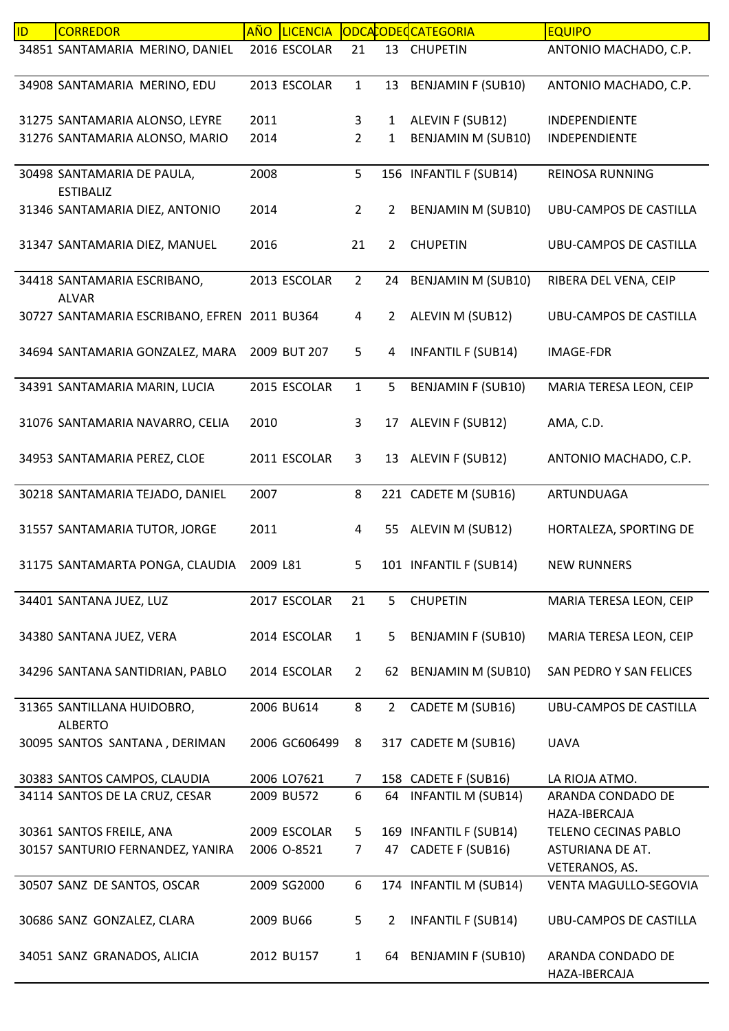| ID | <b>CORREDOR</b>                                | <b>AÑO</b> | <b>LICENCIA</b> |                |                | ODCACODECCATEGORIA        | <b>EQUIPO</b>                      |
|----|------------------------------------------------|------------|-----------------|----------------|----------------|---------------------------|------------------------------------|
|    | 34851 SANTAMARIA MERINO, DANIEL                |            | 2016 ESCOLAR    | 21             | 13             | <b>CHUPETIN</b>           | ANTONIO MACHADO, C.P.              |
|    | 34908 SANTAMARIA MERINO, EDU                   |            | 2013 ESCOLAR    | $\mathbf{1}$   | 13             | <b>BENJAMIN F (SUB10)</b> | ANTONIO MACHADO, C.P.              |
|    | 31275 SANTAMARIA ALONSO, LEYRE                 | 2011       |                 | 3              | $\mathbf{1}$   | ALEVIN F (SUB12)          | INDEPENDIENTE                      |
|    | 31276 SANTAMARIA ALONSO, MARIO                 | 2014       |                 | $\overline{2}$ | 1              | BENJAMIN M (SUB10)        | INDEPENDIENTE                      |
|    | 30498 SANTAMARIA DE PAULA,<br><b>ESTIBALIZ</b> | 2008       |                 | 5              |                | 156 INFANTIL F (SUB14)    | <b>REINOSA RUNNING</b>             |
|    | 31346 SANTAMARIA DIEZ, ANTONIO                 | 2014       |                 | $\overline{2}$ | $\overline{2}$ | BENJAMIN M (SUB10)        | UBU-CAMPOS DE CASTILLA             |
|    | 31347 SANTAMARIA DIEZ, MANUEL                  | 2016       |                 | 21             | $\overline{2}$ | <b>CHUPETIN</b>           | <b>UBU-CAMPOS DE CASTILLA</b>      |
|    | 34418 SANTAMARIA ESCRIBANO,<br><b>ALVAR</b>    |            | 2013 ESCOLAR    | $\overline{2}$ | 24             | <b>BENJAMIN M (SUB10)</b> | RIBERA DEL VENA, CEIP              |
|    | 30727 SANTAMARIA ESCRIBANO, EFREN 2011 BU364   |            |                 | $\overline{4}$ | $\overline{2}$ | ALEVIN M (SUB12)          | UBU-CAMPOS DE CASTILLA             |
|    | 34694 SANTAMARIA GONZALEZ, MARA                |            | 2009 BUT 207    | 5              | 4              | <b>INFANTIL F (SUB14)</b> | IMAGE-FDR                          |
|    | 34391 SANTAMARIA MARIN, LUCIA                  |            | 2015 ESCOLAR    | $\mathbf{1}$   | 5              | <b>BENJAMIN F (SUB10)</b> | MARIA TERESA LEON, CEIP            |
|    | 31076 SANTAMARIA NAVARRO, CELIA                | 2010       |                 | 3              | 17             | ALEVIN F (SUB12)          | AMA, C.D.                          |
|    | 34953 SANTAMARIA PEREZ, CLOE                   |            | 2011 ESCOLAR    | 3              | 13             | ALEVIN F (SUB12)          | ANTONIO MACHADO, C.P.              |
|    | 30218 SANTAMARIA TEJADO, DANIEL                | 2007       |                 | 8              |                | 221 CADETE M (SUB16)      | ARTUNDUAGA                         |
|    | 31557 SANTAMARIA TUTOR, JORGE                  | 2011       |                 | 4              | 55             | ALEVIN M (SUB12)          | HORTALEZA, SPORTING DE             |
|    | 31175 SANTAMARTA PONGA, CLAUDIA                | 2009 L81   |                 | 5              |                | 101 INFANTIL F (SUB14)    | <b>NEW RUNNERS</b>                 |
|    | 34401 SANTANA JUEZ, LUZ                        |            | 2017 ESCOLAR    | 21             | 5              | <b>CHUPETIN</b>           | MARIA TERESA LEON, CEIP            |
|    | 34380 SANTANA JUEZ, VERA                       |            | 2014 ESCOLAR    | $\mathbf{1}$   | 5              | <b>BENJAMIN F (SUB10)</b> | MARIA TERESA LEON, CEIP            |
|    | 34296 SANTANA SANTIDRIAN, PABLO                |            | 2014 ESCOLAR    | $\overline{2}$ | 62             | BENJAMIN M (SUB10)        | SAN PEDRO Y SAN FELICES            |
|    | 31365 SANTILLANA HUIDOBRO,<br><b>ALBERTO</b>   |            | 2006 BU614      | 8              | $2^{\circ}$    | CADETE M (SUB16)          | <b>UBU-CAMPOS DE CASTILLA</b>      |
|    | 30095 SANTOS SANTANA, DERIMAN                  |            | 2006 GC606499   | 8              |                | 317 CADETE M (SUB16)      | <b>UAVA</b>                        |
|    | 30383 SANTOS CAMPOS, CLAUDIA                   |            | 2006 LO7621     | $\overline{7}$ |                | 158 CADETE F (SUB16)      | LA RIOJA ATMO.                     |
|    | 34114 SANTOS DE LA CRUZ, CESAR                 |            | 2009 BU572      | 6              | 64             | <b>INFANTIL M (SUB14)</b> | ARANDA CONDADO DE<br>HAZA-IBERCAJA |
|    | 30361 SANTOS FREILE, ANA                       |            | 2009 ESCOLAR    | 5              |                | 169 INFANTIL F (SUB14)    | TELENO CECINAS PABLO               |
|    | 30157 SANTURIO FERNANDEZ, YANIRA               |            | 2006 O-8521     | 7              | 47             | CADETE F (SUB16)          | ASTURIANA DE AT.<br>VETERANOS, AS. |
|    | 30507 SANZ DE SANTOS, OSCAR                    |            | 2009 SG2000     | 6              |                | 174 INFANTIL M (SUB14)    | VENTA MAGULLO-SEGOVIA              |
|    | 30686 SANZ GONZALEZ, CLARA                     |            | 2009 BU66       | 5              | 2              | <b>INFANTIL F (SUB14)</b> | UBU-CAMPOS DE CASTILLA             |
|    | 34051 SANZ GRANADOS, ALICIA                    |            | 2012 BU157      | $\mathbf{1}$   | 64             | <b>BENJAMIN F (SUB10)</b> | ARANDA CONDADO DE<br>HAZA-IBERCAJA |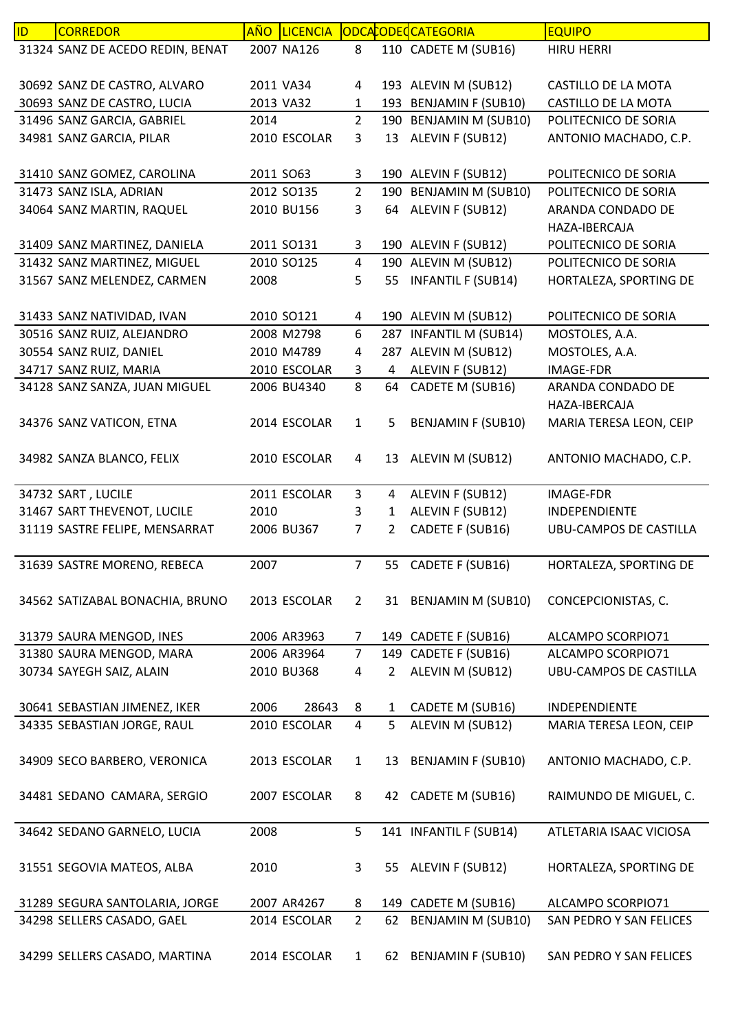| ID | <b>CORREDOR</b>                                            | <b>AÑO</b> | <b>LICENCIA</b> |                |                | ODCACODECCATEGORIA        | <b>EQUIPO</b>                 |
|----|------------------------------------------------------------|------------|-----------------|----------------|----------------|---------------------------|-------------------------------|
|    | 31324 SANZ DE ACEDO REDIN, BENAT                           |            | 2007 NA126      | 8              |                | 110 CADETE M (SUB16)      | HIRU HERRI                    |
|    |                                                            |            |                 |                |                |                           |                               |
|    | 30692 SANZ DE CASTRO, ALVARO                               |            | 2011 VA34       | 4              |                | 193 ALEVIN M (SUB12)      | CASTILLO DE LA MOTA           |
|    | 30693 SANZ DE CASTRO, LUCIA                                |            | 2013 VA32       | 1              |                | 193 BENJAMIN F (SUB10)    | CASTILLO DE LA MOTA           |
|    | 31496 SANZ GARCIA, GABRIEL                                 | 2014       |                 | $\overline{2}$ |                | 190 BENJAMIN M (SUB10)    | POLITECNICO DE SORIA          |
|    | 34981 SANZ GARCIA, PILAR                                   |            | 2010 ESCOLAR    | 3              |                | 13 ALEVIN F (SUB12)       | ANTONIO MACHADO, C.P.         |
|    |                                                            |            |                 |                |                |                           |                               |
|    | 31410 SANZ GOMEZ, CAROLINA                                 |            | 2011 SO63       | 3              |                | 190 ALEVIN F (SUB12)      | POLITECNICO DE SORIA          |
|    | 31473 SANZ ISLA, ADRIAN                                    |            | 2012 SO135      | $\overline{2}$ |                | 190 BENJAMIN M (SUB10)    | POLITECNICO DE SORIA          |
|    | 34064 SANZ MARTIN, RAQUEL                                  |            | 2010 BU156      | 3              | 64             | ALEVIN F (SUB12)          | ARANDA CONDADO DE             |
|    |                                                            |            |                 |                |                |                           | HAZA-IBERCAJA                 |
|    | 31409 SANZ MARTINEZ, DANIELA                               |            | 2011 SO131      | 3              |                | 190 ALEVIN F (SUB12)      | POLITECNICO DE SORIA          |
|    | 31432 SANZ MARTINEZ, MIGUEL<br>31567 SANZ MELENDEZ, CARMEN |            | 2010 SO125      | $\overline{4}$ |                | 190 ALEVIN M (SUB12)      | POLITECNICO DE SORIA          |
|    |                                                            | 2008       |                 | 5              | 55             | <b>INFANTIL F (SUB14)</b> | HORTALEZA, SPORTING DE        |
|    | 31433 SANZ NATIVIDAD, IVAN                                 |            | 2010 SO121      | 4              |                | 190 ALEVIN M (SUB12)      | POLITECNICO DE SORIA          |
|    | 30516 SANZ RUIZ, ALEJANDRO                                 |            | 2008 M2798      | 6              |                | 287 INFANTIL M (SUB14)    | MOSTOLES, A.A.                |
|    | 30554 SANZ RUIZ, DANIEL                                    |            | 2010 M4789      | 4              |                | 287 ALEVIN M (SUB12)      | MOSTOLES, A.A.                |
|    | 34717 SANZ RUIZ, MARIA                                     |            | 2010 ESCOLAR    | 3              | 4              | ALEVIN F (SUB12)          | IMAGE-FDR                     |
|    | 34128 SANZ SANZA, JUAN MIGUEL                              |            | 2006 BU4340     | 8              | 64             | CADETE M (SUB16)          | ARANDA CONDADO DE             |
|    |                                                            |            |                 |                |                |                           | HAZA-IBERCAJA                 |
|    | 34376 SANZ VATICON, ETNA                                   |            | 2014 ESCOLAR    | $\mathbf{1}$   | 5              | <b>BENJAMIN F (SUB10)</b> | MARIA TERESA LEON, CEIP       |
|    |                                                            |            |                 |                |                |                           |                               |
|    | 34982 SANZA BLANCO, FELIX                                  |            | 2010 ESCOLAR    | 4              |                | 13 ALEVIN M (SUB12)       | ANTONIO MACHADO, C.P.         |
|    | 34732 SART, LUCILE                                         |            | 2011 ESCOLAR    | 3              | 4              | ALEVIN F (SUB12)          | <b>IMAGE-FDR</b>              |
|    | 31467 SART THEVENOT, LUCILE                                | 2010       |                 | 3              | $\mathbf{1}$   | ALEVIN F (SUB12)          | INDEPENDIENTE                 |
|    | 31119 SASTRE FELIPE, MENSARRAT                             |            | 2006 BU367      | $\overline{7}$ | $\overline{2}$ | CADETE F (SUB16)          | <b>UBU-CAMPOS DE CASTILLA</b> |
|    |                                                            |            |                 |                |                |                           |                               |
|    | 31639 SASTRE MORENO, REBECA                                | 2007       |                 | $\overline{7}$ | 55             | CADETE F (SUB16)          | HORTALEZA, SPORTING DE        |
|    |                                                            |            |                 |                |                |                           |                               |
|    | 34562 SATIZABAL BONACHIA, BRUNO                            |            | 2013 ESCOLAR    | $\overline{2}$ |                | 31 BENJAMIN M (SUB10)     | CONCEPCIONISTAS, C.           |
|    |                                                            |            |                 |                |                |                           |                               |
|    | 31379 SAURA MENGOD, INES                                   |            | 2006 AR3963     | $\overline{7}$ |                | 149 CADETE F (SUB16)      | ALCAMPO SCORPIO71             |
|    | 31380 SAURA MENGOD, MARA                                   |            | 2006 AR3964     | $\overline{7}$ |                | 149 CADETE F (SUB16)      | ALCAMPO SCORPIO71             |
|    | 30734 SAYEGH SAIZ, ALAIN                                   |            | 2010 BU368      | 4              | $\overline{2}$ | ALEVIN M (SUB12)          | <b>UBU-CAMPOS DE CASTILLA</b> |
|    |                                                            |            |                 |                |                |                           |                               |
|    | 30641 SEBASTIAN JIMENEZ, IKER                              | 2006       | 28643           | 8              | 1              | CADETE M (SUB16)          | INDEPENDIENTE                 |
|    | 34335 SEBASTIAN JORGE, RAUL                                |            | 2010 ESCOLAR    | $\overline{4}$ | 5 <sup>1</sup> | ALEVIN M (SUB12)          | MARIA TERESA LEON, CEIP       |
|    |                                                            |            |                 |                |                |                           |                               |
|    | 34909 SECO BARBERO, VERONICA                               |            | 2013 ESCOLAR    | $\mathbf{1}$   | 13             | <b>BENJAMIN F (SUB10)</b> | ANTONIO MACHADO, C.P.         |
|    | 34481 SEDANO CAMARA, SERGIO                                |            | 2007 ESCOLAR    | 8              |                | 42 CADETE M (SUB16)       | RAIMUNDO DE MIGUEL, C.        |
|    |                                                            |            |                 |                |                |                           |                               |
|    | 34642 SEDANO GARNELO, LUCIA                                | 2008       |                 | 5              |                | 141 INFANTIL F (SUB14)    | ATLETARIA ISAAC VICIOSA       |
|    |                                                            |            |                 |                |                |                           |                               |
|    | 31551 SEGOVIA MATEOS, ALBA                                 | 2010       |                 | 3              | 55             | ALEVIN F (SUB12)          | HORTALEZA, SPORTING DE        |
|    |                                                            |            |                 |                |                |                           |                               |
|    | 31289 SEGURA SANTOLARIA, JORGE                             |            | 2007 AR4267     | 8              |                | 149 CADETE M (SUB16)      | ALCAMPO SCORPIO71             |
|    | 34298 SELLERS CASADO, GAEL                                 |            | 2014 ESCOLAR    | $\overline{2}$ | 62             | BENJAMIN M (SUB10)        | SAN PEDRO Y SAN FELICES       |
|    |                                                            |            |                 |                |                |                           |                               |
|    | 34299 SELLERS CASADO, MARTINA                              |            | 2014 ESCOLAR    | $\mathbf{1}$   | 62             | <b>BENJAMIN F (SUB10)</b> | SAN PEDRO Y SAN FELICES       |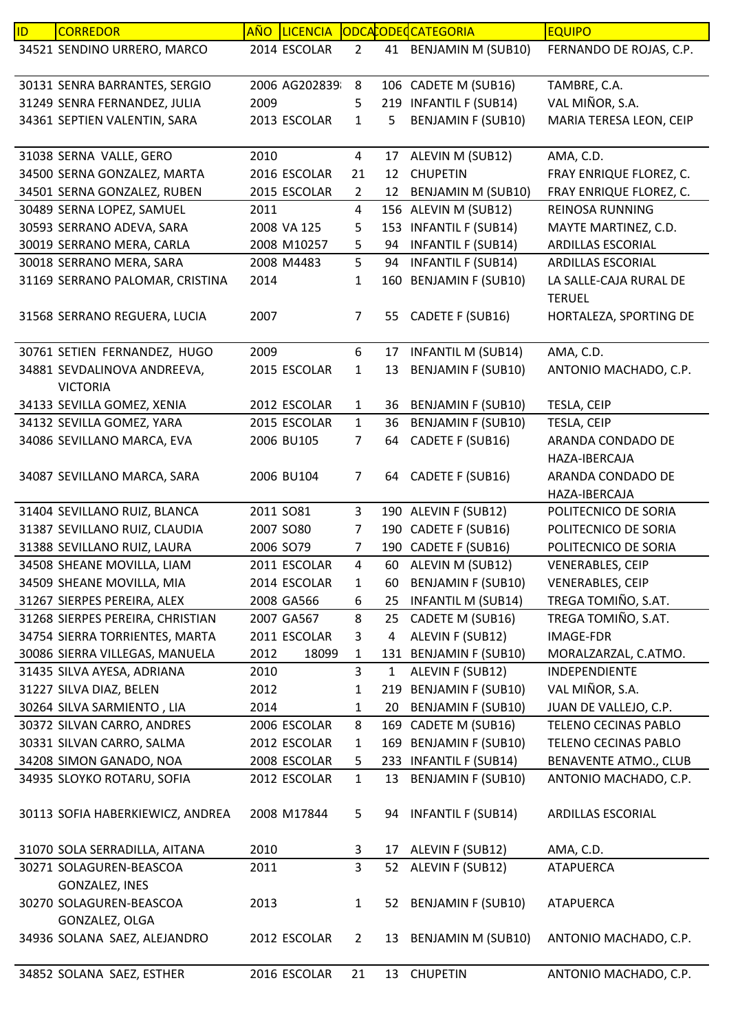| ID | <b>CORREDOR</b>                                | <b>AÑO</b> | <b>LICENCIA</b> |                |              | ODCACODECCATEGORIA        | <b>EQUIPO</b>                           |
|----|------------------------------------------------|------------|-----------------|----------------|--------------|---------------------------|-----------------------------------------|
|    | 34521 SENDINO URRERO, MARCO                    |            | 2014 ESCOLAR    | $\overline{2}$ |              | 41 BENJAMIN M (SUB10)     | FERNANDO DE ROJAS, C.P.                 |
|    | 30131 SENRA BARRANTES, SERGIO                  |            | 2006 AG202839   | 8              |              | 106 CADETE M (SUB16)      | TAMBRE, C.A.                            |
|    | 31249 SENRA FERNANDEZ, JULIA                   | 2009       |                 | 5              |              | 219 INFANTIL F (SUB14)    | VAL MIÑOR, S.A.                         |
|    | 34361 SEPTIEN VALENTIN, SARA                   |            | 2013 ESCOLAR    | $\mathbf{1}$   | 5            | <b>BENJAMIN F (SUB10)</b> | MARIA TERESA LEON, CEIP                 |
|    | 31038 SERNA VALLE, GERO                        | 2010       |                 | 4              | 17           | ALEVIN M (SUB12)          | AMA, C.D.                               |
|    | 34500 SERNA GONZALEZ, MARTA                    |            | 2016 ESCOLAR    | 21             | 12           | <b>CHUPETIN</b>           | FRAY ENRIQUE FLOREZ, C.                 |
|    | 34501 SERNA GONZALEZ, RUBEN                    |            | 2015 ESCOLAR    | $\overline{2}$ | 12           | <b>BENJAMIN M (SUB10)</b> | FRAY ENRIQUE FLOREZ, C.                 |
|    | 30489 SERNA LOPEZ, SAMUEL                      | 2011       |                 | $\overline{4}$ |              | 156 ALEVIN M (SUB12)      | REINOSA RUNNING                         |
|    | 30593 SERRANO ADEVA, SARA                      |            | 2008 VA 125     | 5              |              | 153 INFANTIL F (SUB14)    | MAYTE MARTINEZ, C.D.                    |
|    | 30019 SERRANO MERA, CARLA                      |            | 2008 M10257     | 5              | 94           | <b>INFANTIL F (SUB14)</b> | ARDILLAS ESCORIAL                       |
|    | 30018 SERRANO MERA, SARA                       |            | 2008 M4483      | 5              | 94           | <b>INFANTIL F (SUB14)</b> | <b>ARDILLAS ESCORIAL</b>                |
|    | 31169 SERRANO PALOMAR, CRISTINA                | 2014       |                 | 1              |              | 160 BENJAMIN F (SUB10)    | LA SALLE-CAJA RURAL DE<br><b>TERUEL</b> |
|    | 31568 SERRANO REGUERA, LUCIA                   | 2007       |                 | $\overline{7}$ | 55           | CADETE F (SUB16)          | HORTALEZA, SPORTING DE                  |
|    | 30761 SETIEN FERNANDEZ, HUGO                   | 2009       |                 | 6              | 17           | <b>INFANTIL M (SUB14)</b> | AMA, C.D.                               |
|    | 34881 SEVDALINOVA ANDREEVA,<br><b>VICTORIA</b> |            | 2015 ESCOLAR    | 1              | 13           | <b>BENJAMIN F (SUB10)</b> | ANTONIO MACHADO, C.P.                   |
|    | 34133 SEVILLA GOMEZ, XENIA                     |            | 2012 ESCOLAR    | $\mathbf{1}$   | 36           | <b>BENJAMIN F (SUB10)</b> | TESLA, CEIP                             |
|    | 34132 SEVILLA GOMEZ, YARA                      |            | 2015 ESCOLAR    | $\mathbf{1}$   | 36           | <b>BENJAMIN F (SUB10)</b> | TESLA, CEIP                             |
|    | 34086 SEVILLANO MARCA, EVA                     |            | 2006 BU105      | 7              | 64           | CADETE F (SUB16)          | ARANDA CONDADO DE<br>HAZA-IBERCAJA      |
|    | 34087 SEVILLANO MARCA, SARA                    |            | 2006 BU104      | $\overline{7}$ |              | 64 CADETE F (SUB16)       | ARANDA CONDADO DE<br>HAZA-IBERCAJA      |
|    | 31404 SEVILLANO RUIZ, BLANCA                   | 2011 SO81  |                 | $\mathbf{3}$   |              | 190 ALEVIN F (SUB12)      | POLITECNICO DE SORIA                    |
|    | 31387 SEVILLANO RUIZ, CLAUDIA                  |            | 2007 SO80       | 7              |              | 190 CADETE F (SUB16)      | POLITECNICO DE SORIA                    |
|    | 31388 SEVILLANO RUIZ, LAURA                    |            | 2006 SO79       | $\overline{7}$ |              | 190 CADETE F (SUB16)      | POLITECNICO DE SORIA                    |
|    | 34508 SHEANE MOVILLA, LIAM                     |            | 2011 ESCOLAR    | $\overline{4}$ | 60           | ALEVIN M (SUB12)          | <b>VENERABLES, CEIP</b>                 |
|    | 34509 SHEANE MOVILLA, MIA                      |            | 2014 ESCOLAR    | 1              | 60           | <b>BENJAMIN F (SUB10)</b> | <b>VENERABLES, CEIP</b>                 |
|    | 31267 SIERPES PEREIRA, ALEX                    |            | 2008 GA566      | 6              | 25           | <b>INFANTIL M (SUB14)</b> | TREGA TOMIÑO, S.AT.                     |
|    | 31268 SIERPES PEREIRA, CHRISTIAN               |            | 2007 GA567      | 8              | 25           | CADETE M (SUB16)          | TREGA TOMIÑO, S.AT.                     |
|    | 34754 SIERRA TORRIENTES, MARTA                 |            | 2011 ESCOLAR    | 3              | 4            | ALEVIN F (SUB12)          | <b>IMAGE-FDR</b>                        |
|    | 30086 SIERRA VILLEGAS, MANUELA                 | 2012       | 18099           | $\mathbf{1}$   |              | 131 BENJAMIN F (SUB10)    | MORALZARZAL, C.ATMO.                    |
|    | 31435 SILVA AYESA, ADRIANA                     | 2010       |                 | 3              | $\mathbf{1}$ | ALEVIN F (SUB12)          | INDEPENDIENTE                           |
|    | 31227 SILVA DIAZ, BELEN                        | 2012       |                 | 1              |              | 219 BENJAMIN F (SUB10)    | VAL MIÑOR, S.A.                         |
|    | 30264 SILVA SARMIENTO, LIA                     | 2014       |                 | 1              | 20           | <b>BENJAMIN F (SUB10)</b> | JUAN DE VALLEJO, C.P.                   |
|    | 30372 SILVAN CARRO, ANDRES                     |            | 2006 ESCOLAR    | 8              |              | 169 CADETE M (SUB16)      | TELENO CECINAS PABLO                    |
|    | 30331 SILVAN CARRO, SALMA                      |            | 2012 ESCOLAR    | $\mathbf{1}$   |              | 169 BENJAMIN F (SUB10)    | TELENO CECINAS PABLO                    |
|    | 34208 SIMON GANADO, NOA                        |            | 2008 ESCOLAR    | 5              |              | 233 INFANTIL F (SUB14)    | <b>BENAVENTE ATMO., CLUB</b>            |
|    | 34935 SLOYKO ROTARU, SOFIA                     |            | 2012 ESCOLAR    | $\mathbf{1}$   | 13           | <b>BENJAMIN F (SUB10)</b> | ANTONIO MACHADO, C.P.                   |
|    | 30113 SOFIA HABERKIEWICZ, ANDREA               |            | 2008 M17844     | 5              |              | 94 INFANTIL F (SUB14)     | ARDILLAS ESCORIAL                       |
|    | 31070 SOLA SERRADILLA, AITANA                  | 2010       |                 | 3              | 17           | ALEVIN F (SUB12)          | AMA, C.D.                               |
|    | 30271 SOLAGUREN-BEASCOA                        | 2011       |                 | $\overline{3}$ | 52           | ALEVIN F (SUB12)          | <b>ATAPUERCA</b>                        |
|    | GONZALEZ, INES                                 |            |                 |                |              |                           |                                         |
|    | 30270 SOLAGUREN-BEASCOA<br>GONZALEZ, OLGA      | 2013       |                 | $\mathbf{1}$   |              | 52 BENJAMIN F (SUB10)     | ATAPUERCA                               |
|    | 34936 SOLANA SAEZ, ALEJANDRO                   |            | 2012 ESCOLAR    | $\overline{2}$ |              | 13 BENJAMIN M (SUB10)     | ANTONIO MACHADO, C.P.                   |
|    | 34852 SOLANA SAEZ, ESTHER                      |            | 2016 ESCOLAR    | 21             |              | 13 CHUPETIN               | ANTONIO MACHADO, C.P.                   |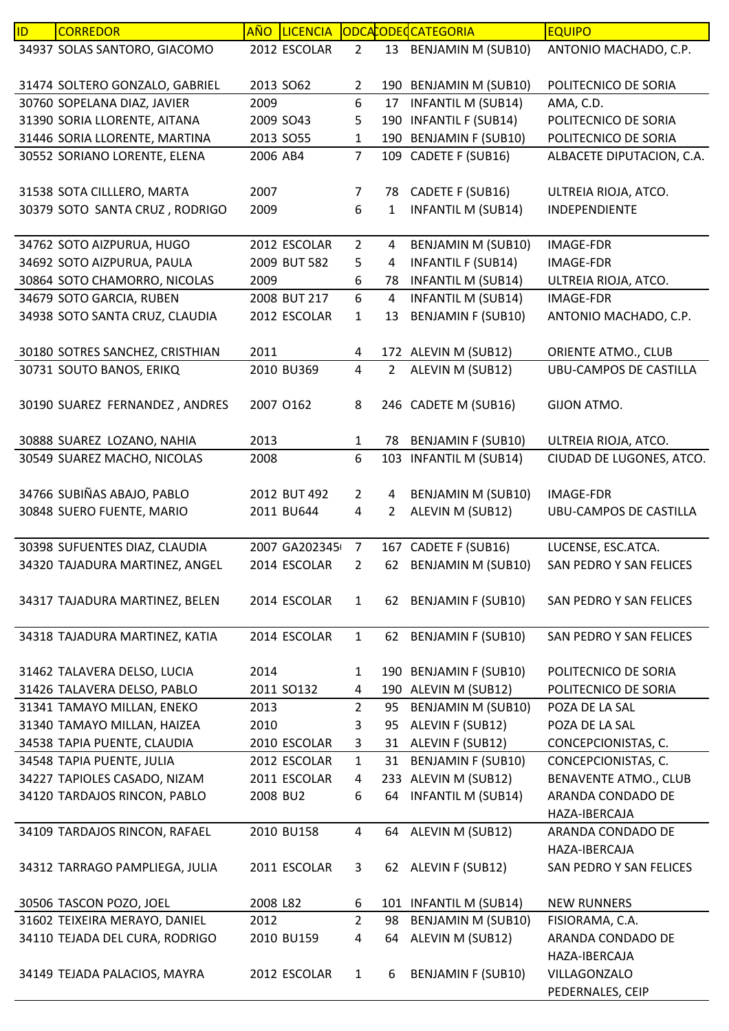| ID. | <b>CORREDOR</b>                                          | <b>AÑO</b>       | LICENCIA      |                     |                | ODCACODECCATEGORIA                                     | <b>EQUIPO</b>                            |
|-----|----------------------------------------------------------|------------------|---------------|---------------------|----------------|--------------------------------------------------------|------------------------------------------|
|     | 34937 SOLAS SANTORO, GIACOMO                             |                  | 2012 ESCOLAR  | $\overline{2}$      |                | 13 BENJAMIN M (SUB10)                                  | ANTONIO MACHADO, C.P.                    |
|     |                                                          |                  |               |                     |                |                                                        |                                          |
|     | 31474 SOLTERO GONZALO, GABRIEL                           |                  | 2013 SO62     | 2                   |                | 190 BENJAMIN M (SUB10)                                 | POLITECNICO DE SORIA                     |
|     | 30760 SOPELANA DIAZ, JAVIER                              | 2009             |               | 6                   | 17             | <b>INFANTIL M (SUB14)</b>                              | AMA, C.D.                                |
|     | 31390 SORIA LLORENTE, AITANA                             |                  | 2009 SO43     | 5                   | 190            | <b>INFANTIL F (SUB14)</b>                              | POLITECNICO DE SORIA                     |
|     | 31446 SORIA LLORENTE, MARTINA                            |                  | 2013 SO55     | 1                   |                | 190 BENJAMIN F (SUB10)                                 | POLITECNICO DE SORIA                     |
|     | 30552 SORIANO LORENTE, ELENA                             | 2006 AB4         |               | $\overline{7}$      | 109            | CADETE F (SUB16)                                       | ALBACETE DIPUTACION, C.A.                |
|     |                                                          |                  |               |                     |                |                                                        |                                          |
|     | 31538 SOTA CILLLERO, MARTA                               | 2007             |               | $\overline{7}$      | 78             | CADETE F (SUB16)                                       | ULTREIA RIOJA, ATCO.                     |
|     | 30379 SOTO SANTA CRUZ, RODRIGO                           | 2009             |               | 6                   | $\mathbf{1}$   | <b>INFANTIL M (SUB14)</b>                              | INDEPENDIENTE                            |
|     |                                                          |                  |               |                     |                |                                                        |                                          |
|     | 34762 SOTO AIZPURUA, HUGO                                |                  | 2012 ESCOLAR  | $\overline{2}$      | 4              | BENJAMIN M (SUB10)                                     | <b>IMAGE-FDR</b>                         |
|     | 34692 SOTO AIZPURUA, PAULA                               |                  | 2009 BUT 582  | 5                   | 4              | <b>INFANTIL F (SUB14)</b>                              | <b>IMAGE-FDR</b>                         |
|     | 30864 SOTO CHAMORRO, NICOLAS<br>34679 SOTO GARCIA, RUBEN | 2009             | 2008 BUT 217  | 6<br>6              | 78             | <b>INFANTIL M (SUB14)</b>                              | ULTREIA RIOJA, ATCO.<br><b>IMAGE-FDR</b> |
|     | 34938 SOTO SANTA CRUZ, CLAUDIA                           |                  |               |                     | 4<br>13        | <b>INFANTIL M (SUB14)</b><br><b>BENJAMIN F (SUB10)</b> |                                          |
|     |                                                          |                  | 2012 ESCOLAR  | 1                   |                |                                                        | ANTONIO MACHADO, C.P.                    |
|     | 30180 SOTRES SANCHEZ, CRISTHIAN                          | 2011             |               | 4                   |                | 172 ALEVIN M (SUB12)                                   | ORIENTE ATMO., CLUB                      |
|     | 30731 SOUTO BANOS, ERIKQ                                 |                  | 2010 BU369    | $\overline{4}$      | $2^{\circ}$    | ALEVIN M (SUB12)                                       | <b>UBU-CAMPOS DE CASTILLA</b>            |
|     |                                                          |                  |               |                     |                |                                                        |                                          |
|     | 30190 SUAREZ FERNANDEZ, ANDRES                           |                  | 2007 0162     | 8                   |                | 246 CADETE M (SUB16)                                   | GIJON ATMO.                              |
|     |                                                          |                  |               |                     |                |                                                        |                                          |
|     | 30888 SUAREZ LOZANO, NAHIA                               | 2013             |               | $\mathbf{1}$        | 78             | <b>BENJAMIN F (SUB10)</b>                              | ULTREIA RIOJA, ATCO.                     |
|     | 30549 SUAREZ MACHO, NICOLAS                              | 2008             |               | 6                   | 103            | <b>INFANTIL M (SUB14)</b>                              | CIUDAD DE LUGONES, ATCO.                 |
|     |                                                          |                  |               |                     |                |                                                        |                                          |
|     | 34766 SUBIÑAS ABAJO, PABLO                               |                  | 2012 BUT 492  | $\overline{2}$      | 4              | BENJAMIN M (SUB10)                                     | IMAGE-FDR                                |
|     | 30848 SUERO FUENTE, MARIO                                |                  | 2011 BU644    | 4                   | $\overline{2}$ | ALEVIN M (SUB12)                                       | <b>UBU-CAMPOS DE CASTILLA</b>            |
|     |                                                          |                  |               |                     |                |                                                        |                                          |
|     | 30398 SUFUENTES DIAZ, CLAUDIA                            |                  | 2007 GA202345 | $\overline{7}$      |                | 167 CADETE F (SUB16)                                   | LUCENSE, ESC.ATCA.                       |
|     | 34320 TAJADURA MARTINEZ, ANGEL                           |                  | 2014 ESCOLAR  | 2                   | 62             | <b>BENJAMIN M (SUB10)</b>                              | SAN PEDRO Y SAN FELICES                  |
|     |                                                          |                  |               |                     |                |                                                        |                                          |
|     | 34317 TAJADURA MARTINEZ, BELEN                           |                  | 2014 ESCOLAR  | $\mathbf{1}$        |                | 62 BENJAMIN F (SUB10)                                  | SAN PEDRO Y SAN FELICES                  |
|     |                                                          |                  |               |                     |                |                                                        |                                          |
|     | 34318 TAJADURA MARTINEZ, KATIA                           |                  | 2014 ESCOLAR  | $\mathbf{1}$        |                | 62 BENJAMIN F (SUB10)                                  | SAN PEDRO Y SAN FELICES                  |
|     |                                                          |                  |               |                     |                |                                                        |                                          |
|     | 31462 TALAVERA DELSO, LUCIA                              | 2014             |               | $\mathbf{1}$        |                | 190 BENJAMIN F (SUB10)                                 | POLITECNICO DE SORIA                     |
|     | 31426 TALAVERA DELSO, PABLO                              |                  | 2011 SO132    | 4                   |                | 190 ALEVIN M (SUB12)                                   | POLITECNICO DE SORIA                     |
|     | 31341 TAMAYO MILLAN, ENEKO                               | 2013             |               | $2^{\circ}$         | 95             | <b>BENJAMIN M (SUB10)</b>                              | POZA DE LA SAL                           |
|     | 31340 TAMAYO MILLAN, HAIZEA                              | 2010             |               | 3                   | 95             | ALEVIN F (SUB12)                                       | POZA DE LA SAL                           |
|     | 34538 TAPIA PUENTE, CLAUDIA                              |                  | 2010 ESCOLAR  | 3                   | 31             | ALEVIN F (SUB12)                                       | CONCEPCIONISTAS, C.                      |
|     | 34548 TAPIA PUENTE, JULIA                                |                  | 2012 ESCOLAR  | $\mathbf{1}$        | 31             | <b>BENJAMIN F (SUB10)</b>                              | CONCEPCIONISTAS, C.                      |
|     | 34227 TAPIOLES CASADO, NIZAM                             |                  | 2011 ESCOLAR  | 4                   |                | 233 ALEVIN M (SUB12)                                   | BENAVENTE ATMO., CLUB                    |
|     | 34120 TARDAJOS RINCON, PABLO                             | 2008 BU2         |               | 6                   | 64             | <b>INFANTIL M (SUB14)</b>                              | ARANDA CONDADO DE                        |
|     |                                                          |                  |               |                     |                |                                                        | HAZA-IBERCAJA                            |
|     | 34109 TARDAJOS RINCON, RAFAEL                            |                  | 2010 BU158    | $\overline{4}$      | 64             | ALEVIN M (SUB12)                                       | ARANDA CONDADO DE                        |
|     |                                                          |                  |               |                     |                |                                                        | HAZA-IBERCAJA                            |
|     | 34312 TARRAGO PAMPLIEGA, JULIA                           |                  | 2011 ESCOLAR  | 3                   |                | 62 ALEVIN F (SUB12)                                    | SAN PEDRO Y SAN FELICES                  |
|     |                                                          |                  |               |                     |                |                                                        |                                          |
|     | 30506 TASCON POZO, JOEL<br>31602 TEIXEIRA MERAYO, DANIEL | 2008 L82<br>2012 |               | 6<br>$\overline{2}$ | 98             | 101 INFANTIL M (SUB14)<br><b>BENJAMIN M (SUB10)</b>    | <b>NEW RUNNERS</b><br>FISIORAMA, C.A.    |
|     | 34110 TEJADA DEL CURA, RODRIGO                           |                  | 2010 BU159    | 4                   | 64             | ALEVIN M (SUB12)                                       | ARANDA CONDADO DE                        |
|     |                                                          |                  |               |                     |                |                                                        | HAZA-IBERCAJA                            |
|     | 34149 TEJADA PALACIOS, MAYRA                             |                  | 2012 ESCOLAR  | $\mathbf{1}$        | 6              | <b>BENJAMIN F (SUB10)</b>                              | VILLAGONZALO                             |
|     |                                                          |                  |               |                     |                |                                                        | PEDERNALES, CEIP                         |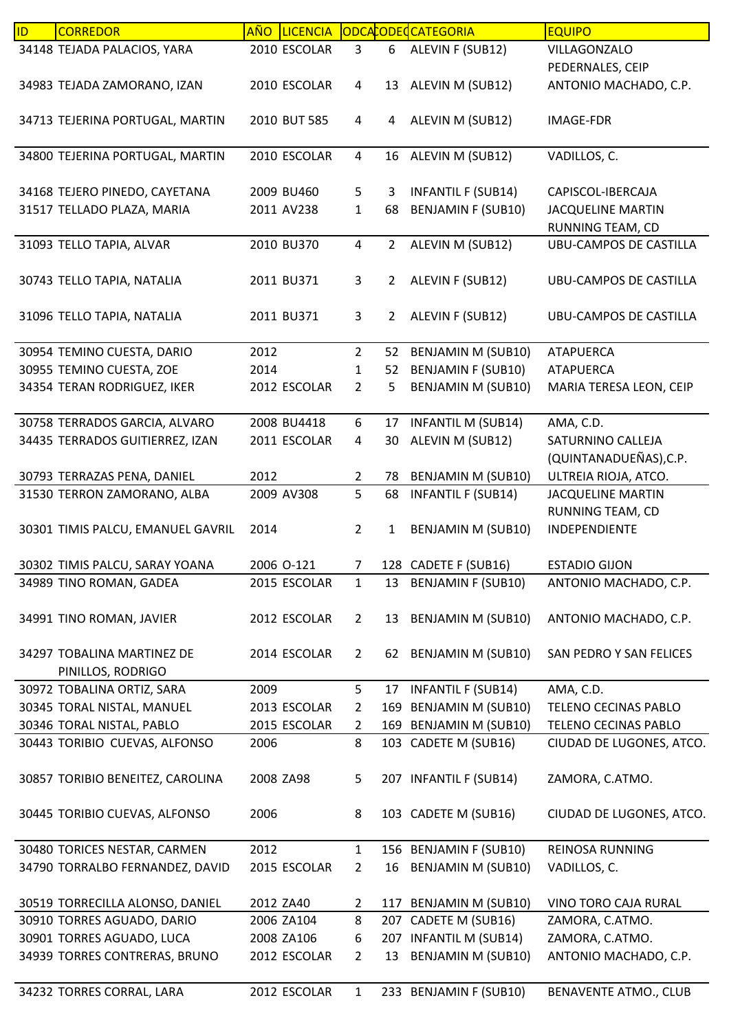| ID | <b>CORREDOR</b>                   | <b>AÑO</b> | LICENCIA     |                |                | ODCACODECATEGORIA         | <b>EQUIPO</b>                 |
|----|-----------------------------------|------------|--------------|----------------|----------------|---------------------------|-------------------------------|
|    | 34148 TEJADA PALACIOS, YARA       |            | 2010 ESCOLAR | 3              | 6              | ALEVIN F (SUB12)          | VILLAGONZALO                  |
|    |                                   |            |              |                |                |                           | PEDERNALES, CEIP              |
|    | 34983 TEJADA ZAMORANO, IZAN       |            | 2010 ESCOLAR | 4              | 13             | ALEVIN M (SUB12)          | ANTONIO MACHADO, C.P.         |
|    |                                   |            |              |                |                |                           |                               |
|    | 34713 TEJERINA PORTUGAL, MARTIN   |            | 2010 BUT 585 | 4              | 4              | ALEVIN M (SUB12)          | IMAGE-FDR                     |
|    |                                   |            |              |                |                |                           |                               |
|    | 34800 TEJERINA PORTUGAL, MARTIN   |            | 2010 ESCOLAR | 4              | 16             | ALEVIN M (SUB12)          | VADILLOS, C.                  |
|    |                                   |            |              |                |                |                           |                               |
|    | 34168 TEJERO PINEDO, CAYETANA     |            | 2009 BU460   | 5              | 3              | <b>INFANTIL F (SUB14)</b> | CAPISCOL-IBERCAJA             |
|    | 31517 TELLADO PLAZA, MARIA        |            | 2011 AV238   | $\mathbf{1}$   | 68             | <b>BENJAMIN F (SUB10)</b> | <b>JACQUELINE MARTIN</b>      |
|    |                                   |            |              |                |                |                           | RUNNING TEAM, CD              |
|    | 31093 TELLO TAPIA, ALVAR          |            | 2010 BU370   | $\overline{4}$ | $\overline{2}$ | ALEVIN M (SUB12)          | UBU-CAMPOS DE CASTILLA        |
|    |                                   |            |              |                |                |                           |                               |
|    | 30743 TELLO TAPIA, NATALIA        |            | 2011 BU371   | 3              | $\overline{2}$ | ALEVIN F (SUB12)          | UBU-CAMPOS DE CASTILLA        |
|    |                                   |            |              |                |                |                           |                               |
|    | 31096 TELLO TAPIA, NATALIA        |            | 2011 BU371   | 3              | $\overline{2}$ | ALEVIN F (SUB12)          | <b>UBU-CAMPOS DE CASTILLA</b> |
|    |                                   |            |              |                |                |                           |                               |
|    | 30954 TEMINO CUESTA, DARIO        | 2012       |              | $\overline{2}$ | 52             | BENJAMIN M (SUB10)        | <b>ATAPUERCA</b>              |
|    | 30955 TEMINO CUESTA, ZOE          | 2014       |              | 1              | 52             | <b>BENJAMIN F (SUB10)</b> | <b>ATAPUERCA</b>              |
|    | 34354 TERAN RODRIGUEZ, IKER       |            | 2012 ESCOLAR | $\overline{2}$ | 5              | <b>BENJAMIN M (SUB10)</b> | MARIA TERESA LEON, CEIP       |
|    |                                   |            |              |                |                |                           |                               |
|    | 30758 TERRADOS GARCIA, ALVARO     |            | 2008 BU4418  | 6              | 17             | <b>INFANTIL M (SUB14)</b> | AMA, C.D.                     |
|    | 34435 TERRADOS GUITIERREZ, IZAN   |            | 2011 ESCOLAR | 4              | 30             | ALEVIN M (SUB12)          | SATURNINO CALLEJA             |
|    |                                   |            |              |                |                |                           | (QUINTANADUEÑAS), C.P.        |
|    |                                   |            |              |                |                |                           |                               |
|    | 30793 TERRAZAS PENA, DANIEL       | 2012       |              | $\overline{2}$ | 78             | <b>BENJAMIN M (SUB10)</b> | ULTREIA RIOJA, ATCO.          |
|    | 31530 TERRON ZAMORANO, ALBA       |            | 2009 AV308   | 5              | 68             | <b>INFANTIL F (SUB14)</b> | <b>JACQUELINE MARTIN</b>      |
|    |                                   |            |              |                |                |                           | RUNNING TEAM, CD              |
|    | 30301 TIMIS PALCU, EMANUEL GAVRIL | 2014       |              | $\overline{2}$ | 1              | BENJAMIN M (SUB10)        | INDEPENDIENTE                 |
|    |                                   |            |              |                |                |                           |                               |
|    | 30302 TIMIS PALCU, SARAY YOANA    |            | 2006 O-121   | $\overline{7}$ |                | 128 CADETE F (SUB16)      | <b>ESTADIO GIJON</b>          |
|    | 34989 TINO ROMAN, GADEA           |            | 2015 ESCOLAR | $\mathbf{1}$   | 13             | <b>BENJAMIN F (SUB10)</b> | ANTONIO MACHADO, C.P.         |
|    |                                   |            |              |                |                |                           |                               |
|    | 34991 TINO ROMAN, JAVIER          |            | 2012 ESCOLAR | $\overline{2}$ | 13             | <b>BENJAMIN M (SUB10)</b> | ANTONIO MACHADO, C.P.         |
|    |                                   |            |              |                |                |                           |                               |
|    | 34297 TOBALINA MARTINEZ DE        |            | 2014 ESCOLAR | $\overline{2}$ |                | 62 BENJAMIN M (SUB10)     | SAN PEDRO Y SAN FELICES       |
|    | PINILLOS, RODRIGO                 |            |              |                |                |                           |                               |
|    | 30972 TOBALINA ORTIZ, SARA        | 2009       |              | 5              | 17             | <b>INFANTIL F (SUB14)</b> | AMA, C.D.                     |
|    | 30345 TORAL NISTAL, MANUEL        |            | 2013 ESCOLAR | $\overline{2}$ |                | 169 BENJAMIN M (SUB10)    | <b>TELENO CECINAS PABLO</b>   |
|    | 30346 TORAL NISTAL, PABLO         |            | 2015 ESCOLAR | $\overline{2}$ |                | 169 BENJAMIN M (SUB10)    | TELENO CECINAS PABLO          |
|    | 30443 TORIBIO CUEVAS, ALFONSO     | 2006       |              | 8              |                | 103 CADETE M (SUB16)      | CIUDAD DE LUGONES, ATCO.      |
|    |                                   |            |              |                |                |                           |                               |
|    | 30857 TORIBIO BENEITEZ, CAROLINA  | 2008 ZA98  |              | 5              |                | 207 INFANTIL F (SUB14)    | ZAMORA, C.ATMO.               |
|    |                                   |            |              |                |                |                           |                               |
|    | 30445 TORIBIO CUEVAS, ALFONSO     | 2006       |              | 8              |                | 103 CADETE M (SUB16)      | CIUDAD DE LUGONES, ATCO.      |
|    |                                   |            |              |                |                |                           |                               |
|    | 30480 TORICES NESTAR, CARMEN      | 2012       |              | $\mathbf{1}$   |                | 156 BENJAMIN F (SUB10)    | <b>REINOSA RUNNING</b>        |
|    | 34790 TORRALBO FERNANDEZ, DAVID   |            | 2015 ESCOLAR | $\overline{2}$ | 16             | <b>BENJAMIN M (SUB10)</b> | VADILLOS, C.                  |
|    |                                   |            |              |                |                |                           |                               |
|    | 30519 TORRECILLA ALONSO, DANIEL   | 2012 ZA40  |              | $\overline{2}$ |                | 117 BENJAMIN M (SUB10)    | VINO TORO CAJA RURAL          |
|    | 30910 TORRES AGUADO, DARIO        |            | 2006 ZA104   | 8              | 207            | CADETE M (SUB16)          | ZAMORA, C.ATMO.               |
|    | 30901 TORRES AGUADO, LUCA         |            | 2008 ZA106   | 6              |                | 207 INFANTIL M (SUB14)    | ZAMORA, C.ATMO.               |
|    | 34939 TORRES CONTRERAS, BRUNO     |            | 2012 ESCOLAR | $\overline{2}$ | 13             | BENJAMIN M (SUB10)        | ANTONIO MACHADO, C.P.         |
|    |                                   |            |              |                |                |                           |                               |
|    | 34232 TORRES CORRAL, LARA         |            | 2012 ESCOLAR | $\mathbf{1}$   |                | 233 BENJAMIN F (SUB10)    | <b>BENAVENTE ATMO., CLUB</b>  |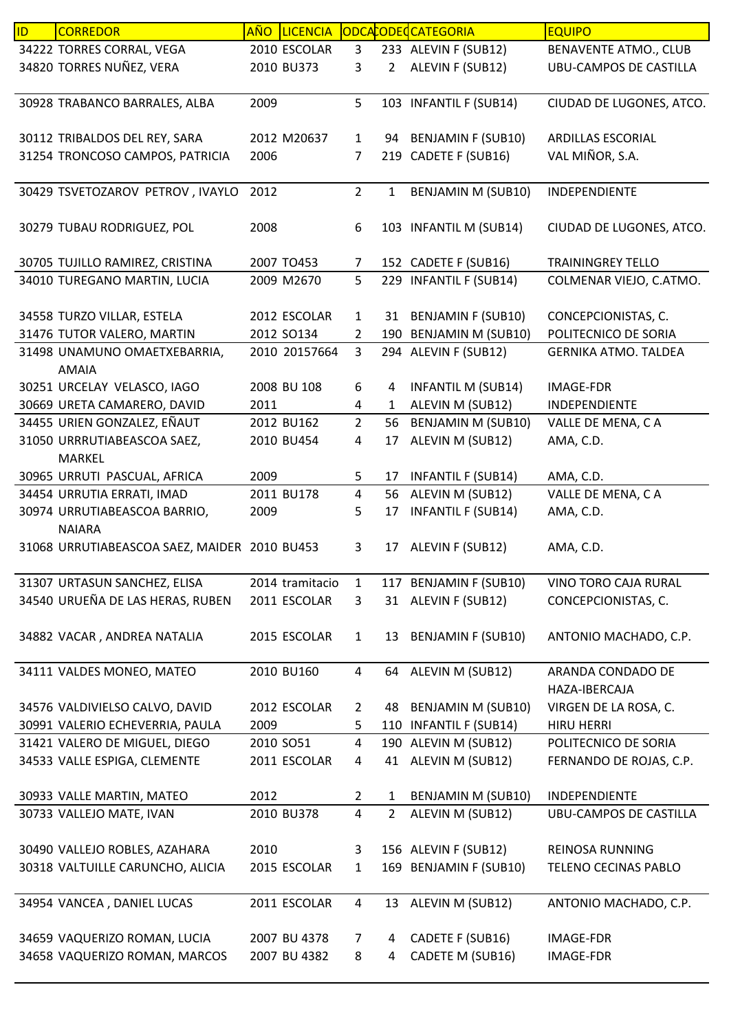| ID | <b>CORREDOR</b>                                                  | <b>AÑO</b> | <b>LICENCIA</b> |                   |                | ODCACODE CATEGORIA                            | <b>EQUIPO</b>                               |
|----|------------------------------------------------------------------|------------|-----------------|-------------------|----------------|-----------------------------------------------|---------------------------------------------|
|    | 34222 TORRES CORRAL, VEGA                                        |            | 2010 ESCOLAR    | 3                 |                | 233 ALEVIN F (SUB12)                          | BENAVENTE ATMO., CLUB                       |
|    | 34820 TORRES NUÑEZ, VERA                                         |            | 2010 BU373      | 3                 | 2              | ALEVIN F (SUB12)                              | <b>UBU-CAMPOS DE CASTILLA</b>               |
|    |                                                                  |            |                 |                   |                |                                               |                                             |
|    | 30928 TRABANCO BARRALES, ALBA                                    | 2009       |                 | 5                 |                | 103 INFANTIL F (SUB14)                        | CIUDAD DE LUGONES, ATCO.                    |
|    |                                                                  |            |                 |                   |                |                                               |                                             |
|    | 30112 TRIBALDOS DEL REY, SARA                                    |            | 2012 M20637     | $\mathbf{1}$      | 94             | <b>BENJAMIN F (SUB10)</b>                     | ARDILLAS ESCORIAL                           |
|    | 31254 TRONCOSO CAMPOS, PATRICIA                                  | 2006       |                 | 7                 |                | 219 CADETE F (SUB16)                          | VAL MIÑOR, S.A.                             |
|    |                                                                  |            |                 | $\overline{2}$    |                |                                               |                                             |
|    | 30429 TSVETOZAROV PETROV, IVAYLO                                 | 2012       |                 |                   | $\mathbf{1}$   | <b>BENJAMIN M (SUB10)</b>                     | INDEPENDIENTE                               |
|    | 30279 TUBAU RODRIGUEZ, POL                                       | 2008       |                 | 6                 |                | 103 INFANTIL M (SUB14)                        | CIUDAD DE LUGONES, ATCO.                    |
|    |                                                                  |            |                 |                   |                |                                               |                                             |
|    | 30705 TUJILLO RAMIREZ, CRISTINA                                  |            | 2007 TO453      | 7                 |                | 152 CADETE F (SUB16)                          | <b>TRAININGREY TELLO</b>                    |
|    | 34010 TUREGANO MARTIN, LUCIA                                     |            | 2009 M2670      | 5                 |                | 229 INFANTIL F (SUB14)                        | COLMENAR VIEJO, C.ATMO.                     |
|    |                                                                  |            |                 |                   |                |                                               |                                             |
|    | 34558 TURZO VILLAR, ESTELA                                       |            | 2012 ESCOLAR    | $\mathbf{1}$      | 31             | <b>BENJAMIN F (SUB10)</b>                     | CONCEPCIONISTAS, C.                         |
|    | 31476 TUTOR VALERO, MARTIN                                       |            | 2012 SO134      | $\overline{2}$    |                | 190 BENJAMIN M (SUB10)                        | POLITECNICO DE SORIA                        |
|    | 31498 UNAMUNO OMAETXEBARRIA,                                     |            | 2010 20157664   | $\overline{3}$    |                | 294 ALEVIN F (SUB12)                          | <b>GERNIKA ATMO. TALDEA</b>                 |
|    | <b>AMAIA</b>                                                     |            |                 |                   |                |                                               |                                             |
|    | 30251 URCELAY VELASCO, IAGO                                      |            | 2008 BU 108     | 6                 | $\overline{a}$ | <b>INFANTIL M (SUB14)</b>                     | <b>IMAGE-FDR</b>                            |
|    | 30669 URETA CAMARERO, DAVID                                      | 2011       |                 | 4                 | 1              | ALEVIN M (SUB12)                              | INDEPENDIENTE                               |
|    | 34455 URIEN GONZALEZ, EÑAUT                                      |            | 2012 BU162      | $2^{\circ}$       | 56             | <b>BENJAMIN M (SUB10)</b>                     | VALLE DE MENA, CA                           |
|    | 31050 URRRUTIABEASCOA SAEZ,                                      |            | 2010 BU454      | 4                 | 17             | ALEVIN M (SUB12)                              | AMA, C.D.                                   |
|    | MARKEL                                                           |            |                 |                   |                |                                               |                                             |
|    | 30965 URRUTI PASCUAL, AFRICA                                     | 2009       |                 | 5                 | 17             | <b>INFANTIL F (SUB14)</b>                     | AMA, C.D.                                   |
|    | 34454 URRUTIA ERRATI, IMAD                                       |            | 2011 BU178      | $\overline{4}$    | 56             | ALEVIN M (SUB12)                              | VALLE DE MENA, CA                           |
|    | 30974 URRUTIABEASCOA BARRIO,                                     | 2009       |                 | 5                 | 17             | <b>INFANTIL F (SUB14)</b>                     | AMA, C.D.                                   |
|    | <b>NAIARA</b>                                                    |            |                 |                   |                |                                               |                                             |
|    | 31068 URRUTIABEASCOA SAEZ, MAIDER 2010 BU453                     |            |                 | 3                 | 17             | ALEVIN F (SUB12)                              | AMA, C.D.                                   |
|    |                                                                  |            | 2014 tramitacio |                   |                |                                               |                                             |
|    | 31307 URTASUN SANCHEZ, ELISA<br>34540 URUEÑA DE LAS HERAS, RUBEN |            | 2011 ESCOLAR    | $\mathbf{1}$<br>3 |                | 117 BENJAMIN F (SUB10)<br>31 ALEVIN F (SUB12) | VINO TORO CAJA RURAL<br>CONCEPCIONISTAS, C. |
|    |                                                                  |            |                 |                   |                |                                               |                                             |
|    | 34882 VACAR, ANDREA NATALIA                                      |            | 2015 ESCOLAR    | $\mathbf{1}$      |                | 13 BENJAMIN F (SUB10)                         | ANTONIO MACHADO, C.P.                       |
|    |                                                                  |            |                 |                   |                |                                               |                                             |
|    | 34111 VALDES MONEO, MATEO                                        |            | 2010 BU160      | 4                 |                | 64 ALEVIN M (SUB12)                           | ARANDA CONDADO DE                           |
|    |                                                                  |            |                 |                   |                |                                               | HAZA-IBERCAJA                               |
|    | 34576 VALDIVIELSO CALVO, DAVID                                   |            | 2012 ESCOLAR    | $\overline{2}$    | 48             | <b>BENJAMIN M (SUB10)</b>                     | VIRGEN DE LA ROSA, C.                       |
|    | 30991 VALERIO ECHEVERRIA, PAULA                                  | 2009       |                 | 5                 |                | 110 INFANTIL F (SUB14)                        | <b>HIRU HERRI</b>                           |
|    | 31421 VALERO DE MIGUEL, DIEGO                                    | 2010 SO51  |                 | 4                 |                | 190 ALEVIN M (SUB12)                          | POLITECNICO DE SORIA                        |
|    | 34533 VALLE ESPIGA, CLEMENTE                                     |            | 2011 ESCOLAR    | 4                 |                | 41 ALEVIN M (SUB12)                           | FERNANDO DE ROJAS, C.P.                     |
|    |                                                                  |            |                 |                   |                |                                               |                                             |
|    | 30933 VALLE MARTIN, MATEO                                        | 2012       |                 | $\overline{2}$    | $\mathbf{1}$   | BENJAMIN M (SUB10)                            | INDEPENDIENTE                               |
|    | 30733 VALLEJO MATE, IVAN                                         |            | 2010 BU378      | $\overline{4}$    | $\overline{2}$ | ALEVIN M (SUB12)                              | <b>UBU-CAMPOS DE CASTILLA</b>               |
|    |                                                                  |            |                 |                   |                |                                               |                                             |
|    | 30490 VALLEJO ROBLES, AZAHARA                                    | 2010       |                 | 3                 |                | 156 ALEVIN F (SUB12)                          | <b>REINOSA RUNNING</b>                      |
|    | 30318 VALTUILLE CARUNCHO, ALICIA                                 |            | 2015 ESCOLAR    | $\mathbf{1}$      |                | 169 BENJAMIN F (SUB10)                        | TELENO CECINAS PABLO                        |
|    |                                                                  |            |                 |                   |                |                                               |                                             |
|    | 34954 VANCEA, DANIEL LUCAS                                       |            | 2011 ESCOLAR    | 4                 |                | 13 ALEVIN M (SUB12)                           | ANTONIO MACHADO, C.P.                       |
|    |                                                                  |            |                 |                   |                |                                               |                                             |
|    | 34659 VAQUERIZO ROMAN, LUCIA                                     |            | 2007 BU 4378    | 7                 | 4              | CADETE F (SUB16)                              | IMAGE-FDR                                   |
|    | 34658 VAQUERIZO ROMAN, MARCOS                                    |            | 2007 BU 4382    | 8                 | 4              | CADETE M (SUB16)                              | IMAGE-FDR                                   |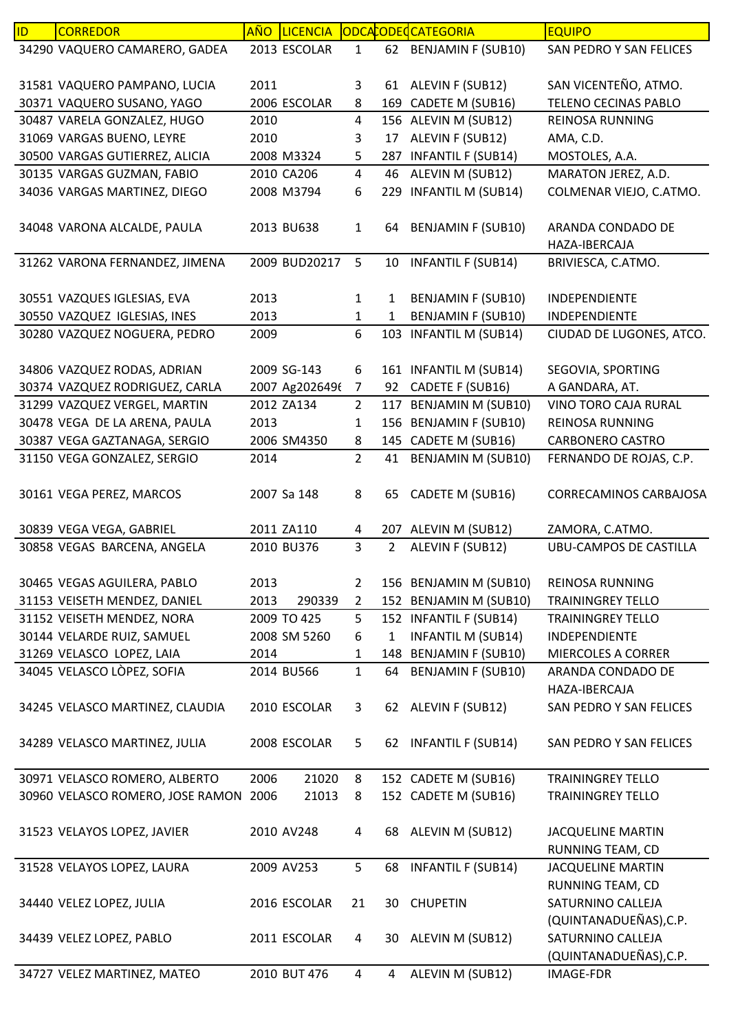| ID. | <b>CORREDOR</b>                  | <b>AÑO</b> | <b>LICENCIA</b> |                |                | <b>ODCACODECATEGORIA</b>  | <b>EQUIPO</b>                 |
|-----|----------------------------------|------------|-----------------|----------------|----------------|---------------------------|-------------------------------|
|     | 34290 VAQUERO CAMARERO, GADEA    |            | 2013 ESCOLAR    | $\mathbf{1}$   | 62             | <b>BENJAMIN F (SUB10)</b> | SAN PEDRO Y SAN FELICES       |
|     |                                  |            |                 |                |                |                           |                               |
|     | 31581 VAQUERO PAMPANO, LUCIA     | 2011       |                 | 3              | 61             | ALEVIN F (SUB12)          | SAN VICENTEÑO, ATMO.          |
|     | 30371 VAQUERO SUSANO, YAGO       |            | 2006 ESCOLAR    | 8              | 169            | CADETE M (SUB16)          | <b>TELENO CECINAS PABLO</b>   |
|     | 30487 VARELA GONZALEZ, HUGO      | 2010       |                 | 4              |                | 156 ALEVIN M (SUB12)      | REINOSA RUNNING               |
|     | 31069 VARGAS BUENO, LEYRE        | 2010       |                 | 3              | 17             | ALEVIN F (SUB12)          | AMA, C.D.                     |
|     | 30500 VARGAS GUTIERREZ, ALICIA   |            | 2008 M3324      | 5              | 287            | <b>INFANTIL F (SUB14)</b> | MOSTOLES, A.A.                |
|     | 30135 VARGAS GUZMAN, FABIO       |            | 2010 CA206      | $\overline{4}$ | 46             | ALEVIN M (SUB12)          | MARATON JEREZ, A.D.           |
|     | 34036 VARGAS MARTINEZ, DIEGO     |            | 2008 M3794      | 6              | 229            | <b>INFANTIL M (SUB14)</b> | COLMENAR VIEJO, C.ATMO.       |
|     |                                  |            |                 |                |                |                           |                               |
|     | 34048 VARONA ALCALDE, PAULA      |            | 2013 BU638      | $\mathbf{1}$   | 64             | <b>BENJAMIN F (SUB10)</b> | ARANDA CONDADO DE             |
|     |                                  |            |                 |                |                |                           | HAZA-IBERCAJA                 |
|     | 31262 VARONA FERNANDEZ, JIMENA   |            | 2009 BUD20217   | 5              |                | 10 INFANTIL F (SUB14)     | BRIVIESCA, C.ATMO.            |
|     |                                  |            |                 |                |                |                           |                               |
|     | 30551 VAZQUES IGLESIAS, EVA      | 2013       |                 | $\mathbf{1}$   | 1              | <b>BENJAMIN F (SUB10)</b> | <b>INDEPENDIENTE</b>          |
|     | 30550 VAZQUEZ IGLESIAS, INES     | 2013       |                 | $\mathbf{1}$   | 1              | <b>BENJAMIN F (SUB10)</b> | INDEPENDIENTE                 |
|     | 30280 VAZQUEZ NOGUERA, PEDRO     | 2009       |                 | 6              |                | 103 INFANTIL M (SUB14)    | CIUDAD DE LUGONES, ATCO.      |
|     |                                  |            |                 |                |                |                           |                               |
|     | 34806 VAZQUEZ RODAS, ADRIAN      |            | 2009 SG-143     | 6              |                | 161 INFANTIL M (SUB14)    | SEGOVIA, SPORTING             |
|     | 30374 VAZQUEZ RODRIGUEZ, CARLA   |            | 2007 Ag2026496  | $\overline{7}$ | 92             | CADETE F (SUB16)          | A GANDARA, AT.                |
|     | 31299 VAZQUEZ VERGEL, MARTIN     |            | 2012 ZA134      | $\overline{2}$ | 117            | <b>BENJAMIN M (SUB10)</b> | VINO TORO CAJA RURAL          |
|     | 30478 VEGA DE LA ARENA, PAULA    | 2013       |                 | 1              |                | 156 BENJAMIN F (SUB10)    | REINOSA RUNNING               |
|     | 30387 VEGA GAZTANAGA, SERGIO     |            | 2006 SM4350     | 8              |                | 145 CADETE M (SUB16)      | <b>CARBONERO CASTRO</b>       |
|     | 31150 VEGA GONZALEZ, SERGIO      | 2014       |                 | $\overline{2}$ | 41             | <b>BENJAMIN M (SUB10)</b> | FERNANDO DE ROJAS, C.P.       |
|     |                                  |            |                 |                |                |                           |                               |
|     | 30161 VEGA PEREZ, MARCOS         |            | 2007 Sa 148     | 8              | 65             | CADETE M (SUB16)          | <b>CORRECAMINOS CARBAJOSA</b> |
|     | 30839 VEGA VEGA, GABRIEL         |            | 2011 ZA110      | 4              |                | 207 ALEVIN M (SUB12)      | ZAMORA, C.ATMO.               |
|     | 30858 VEGAS BARCENA, ANGELA      |            | 2010 BU376      | 3              | $\overline{2}$ | ALEVIN F (SUB12)          | <b>UBU-CAMPOS DE CASTILLA</b> |
|     |                                  |            |                 |                |                |                           |                               |
|     | 30465 VEGAS AGUILERA, PABLO      | 2013       |                 | $\overline{2}$ |                | 156 BENJAMIN M (SUB10)    | <b>REINOSA RUNNING</b>        |
|     | 31153 VEISETH MENDEZ, DANIEL     | 2013       | 290339          | $\overline{2}$ |                | 152 BENJAMIN M (SUB10)    | <b>TRAININGREY TELLO</b>      |
|     | 31152 VEISETH MENDEZ, NORA       |            | 2009 TO 425     | 5              |                | 152 INFANTIL F (SUB14)    | <b>TRAININGREY TELLO</b>      |
|     | 30144 VELARDE RUIZ, SAMUEL       |            | 2008 SM 5260    | 6              | $\mathbf{1}$   | <b>INFANTIL M (SUB14)</b> | INDEPENDIENTE                 |
|     | 31269 VELASCO LOPEZ, LAIA        | 2014       |                 | $\mathbf{1}$   |                | 148 BENJAMIN F (SUB10)    | MIERCOLES A CORRER            |
|     | 34045 VELASCO LÒPEZ, SOFIA       |            | 2014 BU566      | $\mathbf{1}$   | 64             | <b>BENJAMIN F (SUB10)</b> | ARANDA CONDADO DE             |
|     |                                  |            |                 |                |                |                           | HAZA-IBERCAJA                 |
|     | 34245 VELASCO MARTINEZ, CLAUDIA  |            | 2010 ESCOLAR    | 3              |                | 62 ALEVIN F (SUB12)       | SAN PEDRO Y SAN FELICES       |
|     |                                  |            |                 |                |                |                           |                               |
|     | 34289 VELASCO MARTINEZ, JULIA    |            | 2008 ESCOLAR    | 5              | 62             | <b>INFANTIL F (SUB14)</b> | SAN PEDRO Y SAN FELICES       |
|     |                                  |            |                 |                |                |                           |                               |
|     | 30971 VELASCO ROMERO, ALBERTO    | 2006       | 21020           | 8              |                | 152 CADETE M (SUB16)      | <b>TRAININGREY TELLO</b>      |
|     | 30960 VELASCO ROMERO, JOSE RAMON | 2006       | 21013           | 8              |                | 152 CADETE M (SUB16)      | <b>TRAININGREY TELLO</b>      |
|     |                                  |            |                 |                |                |                           |                               |
|     | 31523 VELAYOS LOPEZ, JAVIER      |            | 2010 AV248      | 4              | 68             | ALEVIN M (SUB12)          | <b>JACQUELINE MARTIN</b>      |
|     |                                  |            |                 |                |                |                           | RUNNING TEAM, CD              |
|     | 31528 VELAYOS LOPEZ, LAURA       |            | 2009 AV253      | 5              | 68             | <b>INFANTIL F (SUB14)</b> | <b>JACQUELINE MARTIN</b>      |
|     |                                  |            |                 |                |                |                           | RUNNING TEAM, CD              |
|     | 34440 VELEZ LOPEZ, JULIA         |            | 2016 ESCOLAR    | 21             | 30             | <b>CHUPETIN</b>           | SATURNINO CALLEJA             |
|     |                                  |            |                 |                |                |                           | (QUINTANADUEÑAS), C.P.        |
|     | 34439 VELEZ LOPEZ, PABLO         |            | 2011 ESCOLAR    | 4              | 30             | ALEVIN M (SUB12)          | SATURNINO CALLEJA             |
|     |                                  |            |                 |                |                |                           | (QUINTANADUEÑAS), C.P.        |
|     | 34727 VELEZ MARTINEZ, MATEO      |            | 2010 BUT 476    | $\overline{4}$ | 4              | ALEVIN M (SUB12)          | IMAGE-FDR                     |
|     |                                  |            |                 |                |                |                           |                               |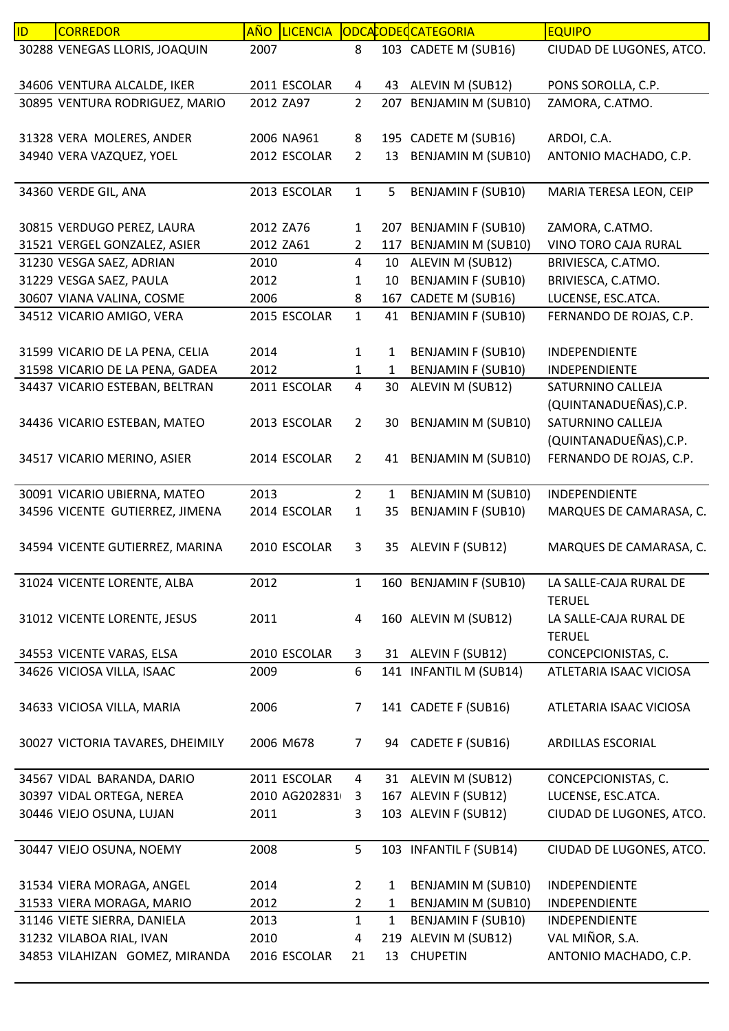| ID | <b>CORREDOR</b>                                       | <u>AÑO</u> | <b>LICENCIA</b>            |                |              | ODCACODECATEGORIA         | <b>EQUIPO</b>            |
|----|-------------------------------------------------------|------------|----------------------------|----------------|--------------|---------------------------|--------------------------|
|    | 30288 VENEGAS LLORIS, JOAQUIN                         | 2007       |                            | 8              |              | 103 CADETE M (SUB16)      | CIUDAD DE LUGONES, ATCO. |
|    |                                                       |            |                            |                |              |                           |                          |
|    | 34606 VENTURA ALCALDE, IKER                           |            | 2011 ESCOLAR               | 4              | 43           | ALEVIN M (SUB12)          | PONS SOROLLA, C.P.       |
|    | 30895 VENTURA RODRIGUEZ, MARIO                        | 2012 ZA97  |                            | $\overline{2}$ |              | 207 BENJAMIN M (SUB10)    | ZAMORA, C.ATMO.          |
|    |                                                       |            |                            |                |              |                           |                          |
|    | 31328 VERA MOLERES, ANDER<br>34940 VERA VAZQUEZ, YOEL |            | 2006 NA961<br>2012 ESCOLAR | 8              |              | 195 CADETE M (SUB16)      | ARDOI, C.A.              |
|    |                                                       |            |                            | $\overline{2}$ | 13           | <b>BENJAMIN M (SUB10)</b> | ANTONIO MACHADO, C.P.    |
|    | 34360 VERDE GIL, ANA                                  |            | 2013 ESCOLAR               | $\mathbf{1}$   | 5            | <b>BENJAMIN F (SUB10)</b> | MARIA TERESA LEON, CEIP  |
|    |                                                       |            |                            |                |              |                           |                          |
|    | 30815 VERDUGO PEREZ, LAURA                            | 2012 ZA76  |                            | $\mathbf{1}$   |              | 207 BENJAMIN F (SUB10)    | ZAMORA, C.ATMO.          |
|    | 31521 VERGEL GONZALEZ, ASIER                          | 2012 ZA61  |                            | 2              | 117          | <b>BENJAMIN M (SUB10)</b> | VINO TORO CAJA RURAL     |
|    | 31230 VESGA SAEZ, ADRIAN                              | 2010       |                            | 4              | 10           | ALEVIN M (SUB12)          | BRIVIESCA, C.ATMO.       |
|    | 31229 VESGA SAEZ, PAULA                               | 2012       |                            | 1              | 10           | <b>BENJAMIN F (SUB10)</b> | BRIVIESCA, C.ATMO.       |
|    | 30607 VIANA VALINA, COSME                             | 2006       |                            | 8              | 167          | CADETE M (SUB16)          | LUCENSE, ESC.ATCA.       |
|    | 34512 VICARIO AMIGO, VERA                             |            | 2015 ESCOLAR               | $\mathbf{1}$   | 41           | <b>BENJAMIN F (SUB10)</b> | FERNANDO DE ROJAS, C.P.  |
|    |                                                       |            |                            |                |              |                           |                          |
|    | 31599 VICARIO DE LA PENA, CELIA                       | 2014       |                            | $\mathbf{1}$   | 1            | <b>BENJAMIN F (SUB10)</b> | INDEPENDIENTE            |
|    | 31598 VICARIO DE LA PENA, GADEA                       | 2012       |                            | $\mathbf{1}$   | $\mathbf{1}$ | <b>BENJAMIN F (SUB10)</b> | INDEPENDIENTE            |
|    | 34437 VICARIO ESTEBAN, BELTRAN                        |            | 2011 ESCOLAR               | 4              | 30           | ALEVIN M (SUB12)          | SATURNINO CALLEJA        |
|    |                                                       |            |                            |                |              |                           | (QUINTANADUEÑAS), C.P.   |
|    | 34436 VICARIO ESTEBAN, MATEO                          |            | 2013 ESCOLAR               | $\overline{2}$ | 30           | <b>BENJAMIN M (SUB10)</b> | SATURNINO CALLEJA        |
|    |                                                       |            |                            |                |              |                           | (QUINTANADUEÑAS), C.P.   |
|    | 34517 VICARIO MERINO, ASIER                           |            | 2014 ESCOLAR               | $\overline{2}$ |              | 41 BENJAMIN M (SUB10)     | FERNANDO DE ROJAS, C.P.  |
|    | 30091 VICARIO UBIERNA, MATEO                          | 2013       |                            | $\overline{2}$ | $\mathbf{1}$ | BENJAMIN M (SUB10)        | INDEPENDIENTE            |
|    | 34596 VICENTE GUTIERREZ, JIMENA                       |            | 2014 ESCOLAR               | $\mathbf{1}$   | 35           | <b>BENJAMIN F (SUB10)</b> | MARQUES DE CAMARASA, C.  |
|    |                                                       |            |                            |                |              |                           |                          |
|    | 34594 VICENTE GUTIERREZ, MARINA                       |            | 2010 ESCOLAR               | 3              | 35           | ALEVIN F (SUB12)          | MARQUES DE CAMARASA, C.  |
|    |                                                       |            |                            |                |              |                           |                          |
|    | 31024 VICENTE LORENTE, ALBA                           | 2012       |                            | 1              |              | 160 BENJAMIN F (SUB10)    | LA SALLE-CAJA RURAL DE   |
|    |                                                       |            |                            |                |              |                           | <b>TERUEL</b>            |
|    | 31012 VICENTE LORENTE, JESUS                          | 2011       |                            | 4              |              | 160 ALEVIN M (SUB12)      | LA SALLE-CAJA RURAL DE   |
|    |                                                       |            |                            |                |              |                           | <b>TERUEL</b>            |
|    | 34553 VICENTE VARAS, ELSA                             |            | 2010 ESCOLAR               | 3              |              | 31 ALEVIN F (SUB12)       | CONCEPCIONISTAS, C.      |
|    | 34626 VICIOSA VILLA, ISAAC                            | 2009       |                            | 6              |              | 141 INFANTIL M (SUB14)    | ATLETARIA ISAAC VICIOSA  |
|    |                                                       |            |                            |                |              |                           |                          |
|    | 34633 VICIOSA VILLA, MARIA                            | 2006       |                            | 7              |              | 141 CADETE F (SUB16)      | ATLETARIA ISAAC VICIOSA  |
|    |                                                       |            |                            |                |              |                           |                          |
|    | 30027 VICTORIA TAVARES, DHEIMILY                      |            | 2006 M678                  | 7              | 94           | CADETE F (SUB16)          | ARDILLAS ESCORIAL        |
|    | 34567 VIDAL BARANDA, DARIO                            |            | 2011 ESCOLAR               | 4              |              | 31 ALEVIN M (SUB12)       | CONCEPCIONISTAS, C.      |
|    | 30397 VIDAL ORTEGA, NEREA                             |            | 2010 AG202831              | 3              |              | 167 ALEVIN F (SUB12)      | LUCENSE, ESC.ATCA.       |
|    | 30446 VIEJO OSUNA, LUJAN                              | 2011       |                            | 3              |              | 103 ALEVIN F (SUB12)      | CIUDAD DE LUGONES, ATCO. |
|    |                                                       |            |                            |                |              |                           |                          |
|    | 30447 VIEJO OSUNA, NOEMY                              | 2008       |                            | 5              |              | 103 INFANTIL F (SUB14)    | CIUDAD DE LUGONES, ATCO. |
|    |                                                       |            |                            |                |              |                           |                          |
|    | 31534 VIERA MORAGA, ANGEL                             | 2014       |                            | $\overline{2}$ | 1            | <b>BENJAMIN M (SUB10)</b> | INDEPENDIENTE            |
|    | 31533 VIERA MORAGA, MARIO                             | 2012       |                            | $\overline{2}$ | 1            | <b>BENJAMIN M (SUB10)</b> | INDEPENDIENTE            |
|    | 31146 VIETE SIERRA, DANIELA                           | 2013       |                            | $\mathbf{1}$   | $\mathbf{1}$ | BENJAMIN F (SUB10)        | INDEPENDIENTE            |
|    | 31232 VILABOA RIAL, IVAN                              | 2010       |                            | 4              |              | 219 ALEVIN M (SUB12)      | VAL MIÑOR, S.A.          |
|    | 34853 VILAHIZAN GOMEZ, MIRANDA                        |            | 2016 ESCOLAR               | 21             | 13           | <b>CHUPETIN</b>           | ANTONIO MACHADO, C.P.    |
|    |                                                       |            |                            |                |              |                           |                          |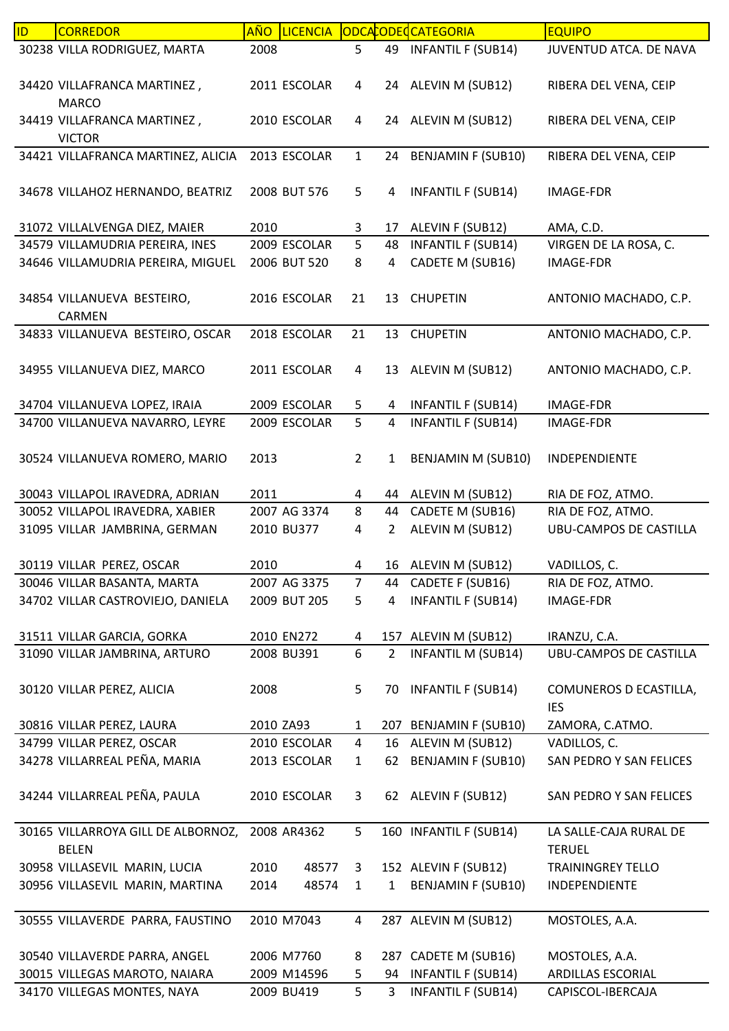| 30238 VILLA RODRIGUEZ, MARTA<br>2008<br>5<br>49<br><b>INFANTIL F (SUB14)</b><br>JUVENTUD ATCA. DE NAVA<br>ALEVIN M (SUB12)<br>34420 VILLAFRANCA MARTINEZ,<br>2011 ESCOLAR<br>RIBERA DEL VENA, CEIP<br>4<br>24<br><b>MARCO</b><br>2010 ESCOLAR<br>24 ALEVIN M (SUB12)<br>34419 VILLAFRANCA MARTINEZ,<br>4<br>RIBERA DEL VENA, CEIP<br><b>VICTOR</b><br>34421 VILLAFRANCA MARTINEZ, ALICIA<br>2013 ESCOLAR<br>$\mathbf{1}$<br><b>BENJAMIN F (SUB10)</b><br>RIBERA DEL VENA, CEIP<br>24<br>34678 VILLAHOZ HERNANDO, BEATRIZ<br>5<br><b>INFANTIL F (SUB14)</b><br>2008 BUT 576<br>IMAGE-FDR<br>4<br>31072 VILLALVENGA DIEZ, MAIER<br>2010<br>3<br>ALEVIN F (SUB12)<br>AMA, C.D.<br>17<br>34579 VILLAMUDRIA PEREIRA, INES<br>5<br><b>INFANTIL F (SUB14)</b><br>VIRGEN DE LA ROSA, C.<br>2009 ESCOLAR<br>48<br>CADETE M (SUB16)<br>34646 VILLAMUDRIA PEREIRA, MIGUEL<br>2006 BUT 520<br>8<br><b>IMAGE-FDR</b><br>4<br>34854 VILLANUEVA BESTEIRO,<br>2016 ESCOLAR<br><b>CHUPETIN</b><br>21<br>ANTONIO MACHADO, C.P.<br>13<br>CARMEN<br>34833 VILLANUEVA BESTEIRO, OSCAR<br>21<br>ANTONIO MACHADO, C.P.<br>2018 ESCOLAR<br>13<br><b>CHUPETIN</b><br>2011 ESCOLAR<br>13 ALEVIN M (SUB12)<br>ANTONIO MACHADO, C.P.<br>34955 VILLANUEVA DIEZ, MARCO<br>4<br>34704 VILLANUEVA LOPEZ, IRAIA<br>2009 ESCOLAR<br><b>INFANTIL F (SUB14)</b><br>IMAGE-FDR<br>5<br>4<br>5<br>34700 VILLANUEVA NAVARRO, LEYRE<br>2009 ESCOLAR<br><b>INFANTIL F (SUB14)</b><br>4<br>IMAGE-FDR<br>30524 VILLANUEVA ROMERO, MARIO<br>2013<br>$\overline{2}$<br><b>BENJAMIN M (SUB10)</b><br>$\mathbf{1}$<br>INDEPENDIENTE<br>30043 VILLAPOL IRAVEDRA, ADRIAN<br>2011<br>44 ALEVIN M (SUB12)<br>RIA DE FOZ, ATMO.<br>4<br>2007 AG 3374<br>8<br>CADETE M (SUB16)<br>30052 VILLAPOL IRAVEDRA, XABIER<br>44<br>RIA DE FOZ, ATMO.<br>31095 VILLAR JAMBRINA, GERMAN<br>ALEVIN M (SUB12)<br><b>UBU-CAMPOS DE CASTILLA</b><br>2010 BU377<br>4<br>$\overline{2}$<br>30119 VILLAR PEREZ, OSCAR<br>2010<br>16 ALEVIN M (SUB12)<br>VADILLOS, C.<br>4<br>30046 VILLAR BASANTA, MARTA<br>CADETE F (SUB16)<br>2007 AG 3375<br>RIA DE FOZ, ATMO.<br>$\overline{7}$<br>44<br><b>INFANTIL F (SUB14)</b><br>34702 VILLAR CASTROVIEJO, DANIELA<br>2009 BUT 205<br>5<br><b>IMAGE-FDR</b><br>4<br>2010 EN272<br>157 ALEVIN M (SUB12)<br>31511 VILLAR GARCIA, GORKA<br>4<br>IRANZU, C.A.<br>6<br><b>UBU-CAMPOS DE CASTILLA</b><br>31090 VILLAR JAMBRINA, ARTURO<br>2008 BU391<br>$\overline{2}$<br><b>INFANTIL M (SUB14)</b><br>2008<br>5<br><b>INFANTIL F (SUB14)</b><br>COMUNEROS D ECASTILLA,<br>30120 VILLAR PEREZ, ALICIA<br>70<br><b>IES</b><br>2010 ZA93<br>207 BENJAMIN F (SUB10)<br>30816 VILLAR PEREZ, LAURA<br>$\mathbf{1}$<br>ZAMORA, C.ATMO.<br>34799 VILLAR PEREZ, OSCAR<br>2010 ESCOLAR<br>ALEVIN M (SUB12)<br>VADILLOS, C.<br>4<br>16<br>34278 VILLARREAL PEÑA, MARIA<br><b>BENJAMIN F (SUB10)</b><br>2013 ESCOLAR<br>SAN PEDRO Y SAN FELICES<br>$\mathbf{1}$<br>62<br>34244 VILLARREAL PEÑA, PAULA<br>62 ALEVIN F (SUB12)<br>2010 ESCOLAR<br>3<br>SAN PEDRO Y SAN FELICES<br>30165 VILLARROYA GILL DE ALBORNOZ,<br>2008 AR4362<br>5<br>160 INFANTIL F (SUB14)<br>LA SALLE-CAJA RURAL DE<br><b>BELEN</b><br><b>TERUEL</b><br>48577<br>152 ALEVIN F (SUB12)<br>30958 VILLASEVIL MARIN, LUCIA<br>2010<br><b>TRAININGREY TELLO</b><br>3<br>30956 VILLASEVIL MARIN, MARTINA<br>2014<br>48574<br><b>BENJAMIN F (SUB10)</b><br>INDEPENDIENTE<br>$\mathbf{1}$<br>$\mathbf{1}$<br>30555 VILLAVERDE PARRA, FAUSTINO<br>2010 M7043<br>$\overline{4}$<br>287 ALEVIN M (SUB12)<br>MOSTOLES, A.A.<br>2006 M7760<br>CADETE M (SUB16)<br>30540 VILLAVERDE PARRA, ANGEL<br>8<br>287<br>MOSTOLES, A.A.<br>30015 VILLEGAS MAROTO, NAIARA<br><b>INFANTIL F (SUB14)</b><br><b>ARDILLAS ESCORIAL</b><br>2009 M14596<br>5<br>94<br>5<br><b>INFANTIL F (SUB14)</b><br>34170 VILLEGAS MONTES, NAYA<br>2009 BU419<br>3<br>CAPISCOL-IBERCAJA | ID | <b>CORREDOR</b> | AÑO | <b>LICENCIA</b> |  | ODCACODECCATEGORIA | <b>EQUIPO</b> |
|-----------------------------------------------------------------------------------------------------------------------------------------------------------------------------------------------------------------------------------------------------------------------------------------------------------------------------------------------------------------------------------------------------------------------------------------------------------------------------------------------------------------------------------------------------------------------------------------------------------------------------------------------------------------------------------------------------------------------------------------------------------------------------------------------------------------------------------------------------------------------------------------------------------------------------------------------------------------------------------------------------------------------------------------------------------------------------------------------------------------------------------------------------------------------------------------------------------------------------------------------------------------------------------------------------------------------------------------------------------------------------------------------------------------------------------------------------------------------------------------------------------------------------------------------------------------------------------------------------------------------------------------------------------------------------------------------------------------------------------------------------------------------------------------------------------------------------------------------------------------------------------------------------------------------------------------------------------------------------------------------------------------------------------------------------------------------------------------------------------------------------------------------------------------------------------------------------------------------------------------------------------------------------------------------------------------------------------------------------------------------------------------------------------------------------------------------------------------------------------------------------------------------------------------------------------------------------------------------------------------------------------------------------------------------------------------------------------------------------------------------------------------------------------------------------------------------------------------------------------------------------------------------------------------------------------------------------------------------------------------------------------------------------------------------------------------------------------------------------------------------------------------------------------------------------------------------------------------------------------------------------------------------------------------------------------------------------------------------------------------------------------------------------------------------------------------------------------------------------------------------------------------------------------------------------------------------------------------------------------------------------------------------------------------------------------------------------------------------------------------------------------------------------------------------------------------------------------------------------------------------|----|-----------------|-----|-----------------|--|--------------------|---------------|
|                                                                                                                                                                                                                                                                                                                                                                                                                                                                                                                                                                                                                                                                                                                                                                                                                                                                                                                                                                                                                                                                                                                                                                                                                                                                                                                                                                                                                                                                                                                                                                                                                                                                                                                                                                                                                                                                                                                                                                                                                                                                                                                                                                                                                                                                                                                                                                                                                                                                                                                                                                                                                                                                                                                                                                                                                                                                                                                                                                                                                                                                                                                                                                                                                                                                                                                                                                                                                                                                                                                                                                                                                                                                                                                                                                                                                                                                       |    |                 |     |                 |  |                    |               |
|                                                                                                                                                                                                                                                                                                                                                                                                                                                                                                                                                                                                                                                                                                                                                                                                                                                                                                                                                                                                                                                                                                                                                                                                                                                                                                                                                                                                                                                                                                                                                                                                                                                                                                                                                                                                                                                                                                                                                                                                                                                                                                                                                                                                                                                                                                                                                                                                                                                                                                                                                                                                                                                                                                                                                                                                                                                                                                                                                                                                                                                                                                                                                                                                                                                                                                                                                                                                                                                                                                                                                                                                                                                                                                                                                                                                                                                                       |    |                 |     |                 |  |                    |               |
|                                                                                                                                                                                                                                                                                                                                                                                                                                                                                                                                                                                                                                                                                                                                                                                                                                                                                                                                                                                                                                                                                                                                                                                                                                                                                                                                                                                                                                                                                                                                                                                                                                                                                                                                                                                                                                                                                                                                                                                                                                                                                                                                                                                                                                                                                                                                                                                                                                                                                                                                                                                                                                                                                                                                                                                                                                                                                                                                                                                                                                                                                                                                                                                                                                                                                                                                                                                                                                                                                                                                                                                                                                                                                                                                                                                                                                                                       |    |                 |     |                 |  |                    |               |
|                                                                                                                                                                                                                                                                                                                                                                                                                                                                                                                                                                                                                                                                                                                                                                                                                                                                                                                                                                                                                                                                                                                                                                                                                                                                                                                                                                                                                                                                                                                                                                                                                                                                                                                                                                                                                                                                                                                                                                                                                                                                                                                                                                                                                                                                                                                                                                                                                                                                                                                                                                                                                                                                                                                                                                                                                                                                                                                                                                                                                                                                                                                                                                                                                                                                                                                                                                                                                                                                                                                                                                                                                                                                                                                                                                                                                                                                       |    |                 |     |                 |  |                    |               |
|                                                                                                                                                                                                                                                                                                                                                                                                                                                                                                                                                                                                                                                                                                                                                                                                                                                                                                                                                                                                                                                                                                                                                                                                                                                                                                                                                                                                                                                                                                                                                                                                                                                                                                                                                                                                                                                                                                                                                                                                                                                                                                                                                                                                                                                                                                                                                                                                                                                                                                                                                                                                                                                                                                                                                                                                                                                                                                                                                                                                                                                                                                                                                                                                                                                                                                                                                                                                                                                                                                                                                                                                                                                                                                                                                                                                                                                                       |    |                 |     |                 |  |                    |               |
|                                                                                                                                                                                                                                                                                                                                                                                                                                                                                                                                                                                                                                                                                                                                                                                                                                                                                                                                                                                                                                                                                                                                                                                                                                                                                                                                                                                                                                                                                                                                                                                                                                                                                                                                                                                                                                                                                                                                                                                                                                                                                                                                                                                                                                                                                                                                                                                                                                                                                                                                                                                                                                                                                                                                                                                                                                                                                                                                                                                                                                                                                                                                                                                                                                                                                                                                                                                                                                                                                                                                                                                                                                                                                                                                                                                                                                                                       |    |                 |     |                 |  |                    |               |
|                                                                                                                                                                                                                                                                                                                                                                                                                                                                                                                                                                                                                                                                                                                                                                                                                                                                                                                                                                                                                                                                                                                                                                                                                                                                                                                                                                                                                                                                                                                                                                                                                                                                                                                                                                                                                                                                                                                                                                                                                                                                                                                                                                                                                                                                                                                                                                                                                                                                                                                                                                                                                                                                                                                                                                                                                                                                                                                                                                                                                                                                                                                                                                                                                                                                                                                                                                                                                                                                                                                                                                                                                                                                                                                                                                                                                                                                       |    |                 |     |                 |  |                    |               |
|                                                                                                                                                                                                                                                                                                                                                                                                                                                                                                                                                                                                                                                                                                                                                                                                                                                                                                                                                                                                                                                                                                                                                                                                                                                                                                                                                                                                                                                                                                                                                                                                                                                                                                                                                                                                                                                                                                                                                                                                                                                                                                                                                                                                                                                                                                                                                                                                                                                                                                                                                                                                                                                                                                                                                                                                                                                                                                                                                                                                                                                                                                                                                                                                                                                                                                                                                                                                                                                                                                                                                                                                                                                                                                                                                                                                                                                                       |    |                 |     |                 |  |                    |               |
|                                                                                                                                                                                                                                                                                                                                                                                                                                                                                                                                                                                                                                                                                                                                                                                                                                                                                                                                                                                                                                                                                                                                                                                                                                                                                                                                                                                                                                                                                                                                                                                                                                                                                                                                                                                                                                                                                                                                                                                                                                                                                                                                                                                                                                                                                                                                                                                                                                                                                                                                                                                                                                                                                                                                                                                                                                                                                                                                                                                                                                                                                                                                                                                                                                                                                                                                                                                                                                                                                                                                                                                                                                                                                                                                                                                                                                                                       |    |                 |     |                 |  |                    |               |
|                                                                                                                                                                                                                                                                                                                                                                                                                                                                                                                                                                                                                                                                                                                                                                                                                                                                                                                                                                                                                                                                                                                                                                                                                                                                                                                                                                                                                                                                                                                                                                                                                                                                                                                                                                                                                                                                                                                                                                                                                                                                                                                                                                                                                                                                                                                                                                                                                                                                                                                                                                                                                                                                                                                                                                                                                                                                                                                                                                                                                                                                                                                                                                                                                                                                                                                                                                                                                                                                                                                                                                                                                                                                                                                                                                                                                                                                       |    |                 |     |                 |  |                    |               |
|                                                                                                                                                                                                                                                                                                                                                                                                                                                                                                                                                                                                                                                                                                                                                                                                                                                                                                                                                                                                                                                                                                                                                                                                                                                                                                                                                                                                                                                                                                                                                                                                                                                                                                                                                                                                                                                                                                                                                                                                                                                                                                                                                                                                                                                                                                                                                                                                                                                                                                                                                                                                                                                                                                                                                                                                                                                                                                                                                                                                                                                                                                                                                                                                                                                                                                                                                                                                                                                                                                                                                                                                                                                                                                                                                                                                                                                                       |    |                 |     |                 |  |                    |               |
|                                                                                                                                                                                                                                                                                                                                                                                                                                                                                                                                                                                                                                                                                                                                                                                                                                                                                                                                                                                                                                                                                                                                                                                                                                                                                                                                                                                                                                                                                                                                                                                                                                                                                                                                                                                                                                                                                                                                                                                                                                                                                                                                                                                                                                                                                                                                                                                                                                                                                                                                                                                                                                                                                                                                                                                                                                                                                                                                                                                                                                                                                                                                                                                                                                                                                                                                                                                                                                                                                                                                                                                                                                                                                                                                                                                                                                                                       |    |                 |     |                 |  |                    |               |
|                                                                                                                                                                                                                                                                                                                                                                                                                                                                                                                                                                                                                                                                                                                                                                                                                                                                                                                                                                                                                                                                                                                                                                                                                                                                                                                                                                                                                                                                                                                                                                                                                                                                                                                                                                                                                                                                                                                                                                                                                                                                                                                                                                                                                                                                                                                                                                                                                                                                                                                                                                                                                                                                                                                                                                                                                                                                                                                                                                                                                                                                                                                                                                                                                                                                                                                                                                                                                                                                                                                                                                                                                                                                                                                                                                                                                                                                       |    |                 |     |                 |  |                    |               |
|                                                                                                                                                                                                                                                                                                                                                                                                                                                                                                                                                                                                                                                                                                                                                                                                                                                                                                                                                                                                                                                                                                                                                                                                                                                                                                                                                                                                                                                                                                                                                                                                                                                                                                                                                                                                                                                                                                                                                                                                                                                                                                                                                                                                                                                                                                                                                                                                                                                                                                                                                                                                                                                                                                                                                                                                                                                                                                                                                                                                                                                                                                                                                                                                                                                                                                                                                                                                                                                                                                                                                                                                                                                                                                                                                                                                                                                                       |    |                 |     |                 |  |                    |               |
|                                                                                                                                                                                                                                                                                                                                                                                                                                                                                                                                                                                                                                                                                                                                                                                                                                                                                                                                                                                                                                                                                                                                                                                                                                                                                                                                                                                                                                                                                                                                                                                                                                                                                                                                                                                                                                                                                                                                                                                                                                                                                                                                                                                                                                                                                                                                                                                                                                                                                                                                                                                                                                                                                                                                                                                                                                                                                                                                                                                                                                                                                                                                                                                                                                                                                                                                                                                                                                                                                                                                                                                                                                                                                                                                                                                                                                                                       |    |                 |     |                 |  |                    |               |
|                                                                                                                                                                                                                                                                                                                                                                                                                                                                                                                                                                                                                                                                                                                                                                                                                                                                                                                                                                                                                                                                                                                                                                                                                                                                                                                                                                                                                                                                                                                                                                                                                                                                                                                                                                                                                                                                                                                                                                                                                                                                                                                                                                                                                                                                                                                                                                                                                                                                                                                                                                                                                                                                                                                                                                                                                                                                                                                                                                                                                                                                                                                                                                                                                                                                                                                                                                                                                                                                                                                                                                                                                                                                                                                                                                                                                                                                       |    |                 |     |                 |  |                    |               |
|                                                                                                                                                                                                                                                                                                                                                                                                                                                                                                                                                                                                                                                                                                                                                                                                                                                                                                                                                                                                                                                                                                                                                                                                                                                                                                                                                                                                                                                                                                                                                                                                                                                                                                                                                                                                                                                                                                                                                                                                                                                                                                                                                                                                                                                                                                                                                                                                                                                                                                                                                                                                                                                                                                                                                                                                                                                                                                                                                                                                                                                                                                                                                                                                                                                                                                                                                                                                                                                                                                                                                                                                                                                                                                                                                                                                                                                                       |    |                 |     |                 |  |                    |               |
|                                                                                                                                                                                                                                                                                                                                                                                                                                                                                                                                                                                                                                                                                                                                                                                                                                                                                                                                                                                                                                                                                                                                                                                                                                                                                                                                                                                                                                                                                                                                                                                                                                                                                                                                                                                                                                                                                                                                                                                                                                                                                                                                                                                                                                                                                                                                                                                                                                                                                                                                                                                                                                                                                                                                                                                                                                                                                                                                                                                                                                                                                                                                                                                                                                                                                                                                                                                                                                                                                                                                                                                                                                                                                                                                                                                                                                                                       |    |                 |     |                 |  |                    |               |
|                                                                                                                                                                                                                                                                                                                                                                                                                                                                                                                                                                                                                                                                                                                                                                                                                                                                                                                                                                                                                                                                                                                                                                                                                                                                                                                                                                                                                                                                                                                                                                                                                                                                                                                                                                                                                                                                                                                                                                                                                                                                                                                                                                                                                                                                                                                                                                                                                                                                                                                                                                                                                                                                                                                                                                                                                                                                                                                                                                                                                                                                                                                                                                                                                                                                                                                                                                                                                                                                                                                                                                                                                                                                                                                                                                                                                                                                       |    |                 |     |                 |  |                    |               |
|                                                                                                                                                                                                                                                                                                                                                                                                                                                                                                                                                                                                                                                                                                                                                                                                                                                                                                                                                                                                                                                                                                                                                                                                                                                                                                                                                                                                                                                                                                                                                                                                                                                                                                                                                                                                                                                                                                                                                                                                                                                                                                                                                                                                                                                                                                                                                                                                                                                                                                                                                                                                                                                                                                                                                                                                                                                                                                                                                                                                                                                                                                                                                                                                                                                                                                                                                                                                                                                                                                                                                                                                                                                                                                                                                                                                                                                                       |    |                 |     |                 |  |                    |               |
|                                                                                                                                                                                                                                                                                                                                                                                                                                                                                                                                                                                                                                                                                                                                                                                                                                                                                                                                                                                                                                                                                                                                                                                                                                                                                                                                                                                                                                                                                                                                                                                                                                                                                                                                                                                                                                                                                                                                                                                                                                                                                                                                                                                                                                                                                                                                                                                                                                                                                                                                                                                                                                                                                                                                                                                                                                                                                                                                                                                                                                                                                                                                                                                                                                                                                                                                                                                                                                                                                                                                                                                                                                                                                                                                                                                                                                                                       |    |                 |     |                 |  |                    |               |
|                                                                                                                                                                                                                                                                                                                                                                                                                                                                                                                                                                                                                                                                                                                                                                                                                                                                                                                                                                                                                                                                                                                                                                                                                                                                                                                                                                                                                                                                                                                                                                                                                                                                                                                                                                                                                                                                                                                                                                                                                                                                                                                                                                                                                                                                                                                                                                                                                                                                                                                                                                                                                                                                                                                                                                                                                                                                                                                                                                                                                                                                                                                                                                                                                                                                                                                                                                                                                                                                                                                                                                                                                                                                                                                                                                                                                                                                       |    |                 |     |                 |  |                    |               |
|                                                                                                                                                                                                                                                                                                                                                                                                                                                                                                                                                                                                                                                                                                                                                                                                                                                                                                                                                                                                                                                                                                                                                                                                                                                                                                                                                                                                                                                                                                                                                                                                                                                                                                                                                                                                                                                                                                                                                                                                                                                                                                                                                                                                                                                                                                                                                                                                                                                                                                                                                                                                                                                                                                                                                                                                                                                                                                                                                                                                                                                                                                                                                                                                                                                                                                                                                                                                                                                                                                                                                                                                                                                                                                                                                                                                                                                                       |    |                 |     |                 |  |                    |               |
|                                                                                                                                                                                                                                                                                                                                                                                                                                                                                                                                                                                                                                                                                                                                                                                                                                                                                                                                                                                                                                                                                                                                                                                                                                                                                                                                                                                                                                                                                                                                                                                                                                                                                                                                                                                                                                                                                                                                                                                                                                                                                                                                                                                                                                                                                                                                                                                                                                                                                                                                                                                                                                                                                                                                                                                                                                                                                                                                                                                                                                                                                                                                                                                                                                                                                                                                                                                                                                                                                                                                                                                                                                                                                                                                                                                                                                                                       |    |                 |     |                 |  |                    |               |
|                                                                                                                                                                                                                                                                                                                                                                                                                                                                                                                                                                                                                                                                                                                                                                                                                                                                                                                                                                                                                                                                                                                                                                                                                                                                                                                                                                                                                                                                                                                                                                                                                                                                                                                                                                                                                                                                                                                                                                                                                                                                                                                                                                                                                                                                                                                                                                                                                                                                                                                                                                                                                                                                                                                                                                                                                                                                                                                                                                                                                                                                                                                                                                                                                                                                                                                                                                                                                                                                                                                                                                                                                                                                                                                                                                                                                                                                       |    |                 |     |                 |  |                    |               |
|                                                                                                                                                                                                                                                                                                                                                                                                                                                                                                                                                                                                                                                                                                                                                                                                                                                                                                                                                                                                                                                                                                                                                                                                                                                                                                                                                                                                                                                                                                                                                                                                                                                                                                                                                                                                                                                                                                                                                                                                                                                                                                                                                                                                                                                                                                                                                                                                                                                                                                                                                                                                                                                                                                                                                                                                                                                                                                                                                                                                                                                                                                                                                                                                                                                                                                                                                                                                                                                                                                                                                                                                                                                                                                                                                                                                                                                                       |    |                 |     |                 |  |                    |               |
|                                                                                                                                                                                                                                                                                                                                                                                                                                                                                                                                                                                                                                                                                                                                                                                                                                                                                                                                                                                                                                                                                                                                                                                                                                                                                                                                                                                                                                                                                                                                                                                                                                                                                                                                                                                                                                                                                                                                                                                                                                                                                                                                                                                                                                                                                                                                                                                                                                                                                                                                                                                                                                                                                                                                                                                                                                                                                                                                                                                                                                                                                                                                                                                                                                                                                                                                                                                                                                                                                                                                                                                                                                                                                                                                                                                                                                                                       |    |                 |     |                 |  |                    |               |
|                                                                                                                                                                                                                                                                                                                                                                                                                                                                                                                                                                                                                                                                                                                                                                                                                                                                                                                                                                                                                                                                                                                                                                                                                                                                                                                                                                                                                                                                                                                                                                                                                                                                                                                                                                                                                                                                                                                                                                                                                                                                                                                                                                                                                                                                                                                                                                                                                                                                                                                                                                                                                                                                                                                                                                                                                                                                                                                                                                                                                                                                                                                                                                                                                                                                                                                                                                                                                                                                                                                                                                                                                                                                                                                                                                                                                                                                       |    |                 |     |                 |  |                    |               |
|                                                                                                                                                                                                                                                                                                                                                                                                                                                                                                                                                                                                                                                                                                                                                                                                                                                                                                                                                                                                                                                                                                                                                                                                                                                                                                                                                                                                                                                                                                                                                                                                                                                                                                                                                                                                                                                                                                                                                                                                                                                                                                                                                                                                                                                                                                                                                                                                                                                                                                                                                                                                                                                                                                                                                                                                                                                                                                                                                                                                                                                                                                                                                                                                                                                                                                                                                                                                                                                                                                                                                                                                                                                                                                                                                                                                                                                                       |    |                 |     |                 |  |                    |               |
|                                                                                                                                                                                                                                                                                                                                                                                                                                                                                                                                                                                                                                                                                                                                                                                                                                                                                                                                                                                                                                                                                                                                                                                                                                                                                                                                                                                                                                                                                                                                                                                                                                                                                                                                                                                                                                                                                                                                                                                                                                                                                                                                                                                                                                                                                                                                                                                                                                                                                                                                                                                                                                                                                                                                                                                                                                                                                                                                                                                                                                                                                                                                                                                                                                                                                                                                                                                                                                                                                                                                                                                                                                                                                                                                                                                                                                                                       |    |                 |     |                 |  |                    |               |
|                                                                                                                                                                                                                                                                                                                                                                                                                                                                                                                                                                                                                                                                                                                                                                                                                                                                                                                                                                                                                                                                                                                                                                                                                                                                                                                                                                                                                                                                                                                                                                                                                                                                                                                                                                                                                                                                                                                                                                                                                                                                                                                                                                                                                                                                                                                                                                                                                                                                                                                                                                                                                                                                                                                                                                                                                                                                                                                                                                                                                                                                                                                                                                                                                                                                                                                                                                                                                                                                                                                                                                                                                                                                                                                                                                                                                                                                       |    |                 |     |                 |  |                    |               |
|                                                                                                                                                                                                                                                                                                                                                                                                                                                                                                                                                                                                                                                                                                                                                                                                                                                                                                                                                                                                                                                                                                                                                                                                                                                                                                                                                                                                                                                                                                                                                                                                                                                                                                                                                                                                                                                                                                                                                                                                                                                                                                                                                                                                                                                                                                                                                                                                                                                                                                                                                                                                                                                                                                                                                                                                                                                                                                                                                                                                                                                                                                                                                                                                                                                                                                                                                                                                                                                                                                                                                                                                                                                                                                                                                                                                                                                                       |    |                 |     |                 |  |                    |               |
|                                                                                                                                                                                                                                                                                                                                                                                                                                                                                                                                                                                                                                                                                                                                                                                                                                                                                                                                                                                                                                                                                                                                                                                                                                                                                                                                                                                                                                                                                                                                                                                                                                                                                                                                                                                                                                                                                                                                                                                                                                                                                                                                                                                                                                                                                                                                                                                                                                                                                                                                                                                                                                                                                                                                                                                                                                                                                                                                                                                                                                                                                                                                                                                                                                                                                                                                                                                                                                                                                                                                                                                                                                                                                                                                                                                                                                                                       |    |                 |     |                 |  |                    |               |
|                                                                                                                                                                                                                                                                                                                                                                                                                                                                                                                                                                                                                                                                                                                                                                                                                                                                                                                                                                                                                                                                                                                                                                                                                                                                                                                                                                                                                                                                                                                                                                                                                                                                                                                                                                                                                                                                                                                                                                                                                                                                                                                                                                                                                                                                                                                                                                                                                                                                                                                                                                                                                                                                                                                                                                                                                                                                                                                                                                                                                                                                                                                                                                                                                                                                                                                                                                                                                                                                                                                                                                                                                                                                                                                                                                                                                                                                       |    |                 |     |                 |  |                    |               |
|                                                                                                                                                                                                                                                                                                                                                                                                                                                                                                                                                                                                                                                                                                                                                                                                                                                                                                                                                                                                                                                                                                                                                                                                                                                                                                                                                                                                                                                                                                                                                                                                                                                                                                                                                                                                                                                                                                                                                                                                                                                                                                                                                                                                                                                                                                                                                                                                                                                                                                                                                                                                                                                                                                                                                                                                                                                                                                                                                                                                                                                                                                                                                                                                                                                                                                                                                                                                                                                                                                                                                                                                                                                                                                                                                                                                                                                                       |    |                 |     |                 |  |                    |               |
|                                                                                                                                                                                                                                                                                                                                                                                                                                                                                                                                                                                                                                                                                                                                                                                                                                                                                                                                                                                                                                                                                                                                                                                                                                                                                                                                                                                                                                                                                                                                                                                                                                                                                                                                                                                                                                                                                                                                                                                                                                                                                                                                                                                                                                                                                                                                                                                                                                                                                                                                                                                                                                                                                                                                                                                                                                                                                                                                                                                                                                                                                                                                                                                                                                                                                                                                                                                                                                                                                                                                                                                                                                                                                                                                                                                                                                                                       |    |                 |     |                 |  |                    |               |
|                                                                                                                                                                                                                                                                                                                                                                                                                                                                                                                                                                                                                                                                                                                                                                                                                                                                                                                                                                                                                                                                                                                                                                                                                                                                                                                                                                                                                                                                                                                                                                                                                                                                                                                                                                                                                                                                                                                                                                                                                                                                                                                                                                                                                                                                                                                                                                                                                                                                                                                                                                                                                                                                                                                                                                                                                                                                                                                                                                                                                                                                                                                                                                                                                                                                                                                                                                                                                                                                                                                                                                                                                                                                                                                                                                                                                                                                       |    |                 |     |                 |  |                    |               |
|                                                                                                                                                                                                                                                                                                                                                                                                                                                                                                                                                                                                                                                                                                                                                                                                                                                                                                                                                                                                                                                                                                                                                                                                                                                                                                                                                                                                                                                                                                                                                                                                                                                                                                                                                                                                                                                                                                                                                                                                                                                                                                                                                                                                                                                                                                                                                                                                                                                                                                                                                                                                                                                                                                                                                                                                                                                                                                                                                                                                                                                                                                                                                                                                                                                                                                                                                                                                                                                                                                                                                                                                                                                                                                                                                                                                                                                                       |    |                 |     |                 |  |                    |               |
|                                                                                                                                                                                                                                                                                                                                                                                                                                                                                                                                                                                                                                                                                                                                                                                                                                                                                                                                                                                                                                                                                                                                                                                                                                                                                                                                                                                                                                                                                                                                                                                                                                                                                                                                                                                                                                                                                                                                                                                                                                                                                                                                                                                                                                                                                                                                                                                                                                                                                                                                                                                                                                                                                                                                                                                                                                                                                                                                                                                                                                                                                                                                                                                                                                                                                                                                                                                                                                                                                                                                                                                                                                                                                                                                                                                                                                                                       |    |                 |     |                 |  |                    |               |
|                                                                                                                                                                                                                                                                                                                                                                                                                                                                                                                                                                                                                                                                                                                                                                                                                                                                                                                                                                                                                                                                                                                                                                                                                                                                                                                                                                                                                                                                                                                                                                                                                                                                                                                                                                                                                                                                                                                                                                                                                                                                                                                                                                                                                                                                                                                                                                                                                                                                                                                                                                                                                                                                                                                                                                                                                                                                                                                                                                                                                                                                                                                                                                                                                                                                                                                                                                                                                                                                                                                                                                                                                                                                                                                                                                                                                                                                       |    |                 |     |                 |  |                    |               |
|                                                                                                                                                                                                                                                                                                                                                                                                                                                                                                                                                                                                                                                                                                                                                                                                                                                                                                                                                                                                                                                                                                                                                                                                                                                                                                                                                                                                                                                                                                                                                                                                                                                                                                                                                                                                                                                                                                                                                                                                                                                                                                                                                                                                                                                                                                                                                                                                                                                                                                                                                                                                                                                                                                                                                                                                                                                                                                                                                                                                                                                                                                                                                                                                                                                                                                                                                                                                                                                                                                                                                                                                                                                                                                                                                                                                                                                                       |    |                 |     |                 |  |                    |               |
|                                                                                                                                                                                                                                                                                                                                                                                                                                                                                                                                                                                                                                                                                                                                                                                                                                                                                                                                                                                                                                                                                                                                                                                                                                                                                                                                                                                                                                                                                                                                                                                                                                                                                                                                                                                                                                                                                                                                                                                                                                                                                                                                                                                                                                                                                                                                                                                                                                                                                                                                                                                                                                                                                                                                                                                                                                                                                                                                                                                                                                                                                                                                                                                                                                                                                                                                                                                                                                                                                                                                                                                                                                                                                                                                                                                                                                                                       |    |                 |     |                 |  |                    |               |
|                                                                                                                                                                                                                                                                                                                                                                                                                                                                                                                                                                                                                                                                                                                                                                                                                                                                                                                                                                                                                                                                                                                                                                                                                                                                                                                                                                                                                                                                                                                                                                                                                                                                                                                                                                                                                                                                                                                                                                                                                                                                                                                                                                                                                                                                                                                                                                                                                                                                                                                                                                                                                                                                                                                                                                                                                                                                                                                                                                                                                                                                                                                                                                                                                                                                                                                                                                                                                                                                                                                                                                                                                                                                                                                                                                                                                                                                       |    |                 |     |                 |  |                    |               |
|                                                                                                                                                                                                                                                                                                                                                                                                                                                                                                                                                                                                                                                                                                                                                                                                                                                                                                                                                                                                                                                                                                                                                                                                                                                                                                                                                                                                                                                                                                                                                                                                                                                                                                                                                                                                                                                                                                                                                                                                                                                                                                                                                                                                                                                                                                                                                                                                                                                                                                                                                                                                                                                                                                                                                                                                                                                                                                                                                                                                                                                                                                                                                                                                                                                                                                                                                                                                                                                                                                                                                                                                                                                                                                                                                                                                                                                                       |    |                 |     |                 |  |                    |               |
|                                                                                                                                                                                                                                                                                                                                                                                                                                                                                                                                                                                                                                                                                                                                                                                                                                                                                                                                                                                                                                                                                                                                                                                                                                                                                                                                                                                                                                                                                                                                                                                                                                                                                                                                                                                                                                                                                                                                                                                                                                                                                                                                                                                                                                                                                                                                                                                                                                                                                                                                                                                                                                                                                                                                                                                                                                                                                                                                                                                                                                                                                                                                                                                                                                                                                                                                                                                                                                                                                                                                                                                                                                                                                                                                                                                                                                                                       |    |                 |     |                 |  |                    |               |
|                                                                                                                                                                                                                                                                                                                                                                                                                                                                                                                                                                                                                                                                                                                                                                                                                                                                                                                                                                                                                                                                                                                                                                                                                                                                                                                                                                                                                                                                                                                                                                                                                                                                                                                                                                                                                                                                                                                                                                                                                                                                                                                                                                                                                                                                                                                                                                                                                                                                                                                                                                                                                                                                                                                                                                                                                                                                                                                                                                                                                                                                                                                                                                                                                                                                                                                                                                                                                                                                                                                                                                                                                                                                                                                                                                                                                                                                       |    |                 |     |                 |  |                    |               |
|                                                                                                                                                                                                                                                                                                                                                                                                                                                                                                                                                                                                                                                                                                                                                                                                                                                                                                                                                                                                                                                                                                                                                                                                                                                                                                                                                                                                                                                                                                                                                                                                                                                                                                                                                                                                                                                                                                                                                                                                                                                                                                                                                                                                                                                                                                                                                                                                                                                                                                                                                                                                                                                                                                                                                                                                                                                                                                                                                                                                                                                                                                                                                                                                                                                                                                                                                                                                                                                                                                                                                                                                                                                                                                                                                                                                                                                                       |    |                 |     |                 |  |                    |               |
|                                                                                                                                                                                                                                                                                                                                                                                                                                                                                                                                                                                                                                                                                                                                                                                                                                                                                                                                                                                                                                                                                                                                                                                                                                                                                                                                                                                                                                                                                                                                                                                                                                                                                                                                                                                                                                                                                                                                                                                                                                                                                                                                                                                                                                                                                                                                                                                                                                                                                                                                                                                                                                                                                                                                                                                                                                                                                                                                                                                                                                                                                                                                                                                                                                                                                                                                                                                                                                                                                                                                                                                                                                                                                                                                                                                                                                                                       |    |                 |     |                 |  |                    |               |
|                                                                                                                                                                                                                                                                                                                                                                                                                                                                                                                                                                                                                                                                                                                                                                                                                                                                                                                                                                                                                                                                                                                                                                                                                                                                                                                                                                                                                                                                                                                                                                                                                                                                                                                                                                                                                                                                                                                                                                                                                                                                                                                                                                                                                                                                                                                                                                                                                                                                                                                                                                                                                                                                                                                                                                                                                                                                                                                                                                                                                                                                                                                                                                                                                                                                                                                                                                                                                                                                                                                                                                                                                                                                                                                                                                                                                                                                       |    |                 |     |                 |  |                    |               |
|                                                                                                                                                                                                                                                                                                                                                                                                                                                                                                                                                                                                                                                                                                                                                                                                                                                                                                                                                                                                                                                                                                                                                                                                                                                                                                                                                                                                                                                                                                                                                                                                                                                                                                                                                                                                                                                                                                                                                                                                                                                                                                                                                                                                                                                                                                                                                                                                                                                                                                                                                                                                                                                                                                                                                                                                                                                                                                                                                                                                                                                                                                                                                                                                                                                                                                                                                                                                                                                                                                                                                                                                                                                                                                                                                                                                                                                                       |    |                 |     |                 |  |                    |               |
|                                                                                                                                                                                                                                                                                                                                                                                                                                                                                                                                                                                                                                                                                                                                                                                                                                                                                                                                                                                                                                                                                                                                                                                                                                                                                                                                                                                                                                                                                                                                                                                                                                                                                                                                                                                                                                                                                                                                                                                                                                                                                                                                                                                                                                                                                                                                                                                                                                                                                                                                                                                                                                                                                                                                                                                                                                                                                                                                                                                                                                                                                                                                                                                                                                                                                                                                                                                                                                                                                                                                                                                                                                                                                                                                                                                                                                                                       |    |                 |     |                 |  |                    |               |
|                                                                                                                                                                                                                                                                                                                                                                                                                                                                                                                                                                                                                                                                                                                                                                                                                                                                                                                                                                                                                                                                                                                                                                                                                                                                                                                                                                                                                                                                                                                                                                                                                                                                                                                                                                                                                                                                                                                                                                                                                                                                                                                                                                                                                                                                                                                                                                                                                                                                                                                                                                                                                                                                                                                                                                                                                                                                                                                                                                                                                                                                                                                                                                                                                                                                                                                                                                                                                                                                                                                                                                                                                                                                                                                                                                                                                                                                       |    |                 |     |                 |  |                    |               |
|                                                                                                                                                                                                                                                                                                                                                                                                                                                                                                                                                                                                                                                                                                                                                                                                                                                                                                                                                                                                                                                                                                                                                                                                                                                                                                                                                                                                                                                                                                                                                                                                                                                                                                                                                                                                                                                                                                                                                                                                                                                                                                                                                                                                                                                                                                                                                                                                                                                                                                                                                                                                                                                                                                                                                                                                                                                                                                                                                                                                                                                                                                                                                                                                                                                                                                                                                                                                                                                                                                                                                                                                                                                                                                                                                                                                                                                                       |    |                 |     |                 |  |                    |               |
|                                                                                                                                                                                                                                                                                                                                                                                                                                                                                                                                                                                                                                                                                                                                                                                                                                                                                                                                                                                                                                                                                                                                                                                                                                                                                                                                                                                                                                                                                                                                                                                                                                                                                                                                                                                                                                                                                                                                                                                                                                                                                                                                                                                                                                                                                                                                                                                                                                                                                                                                                                                                                                                                                                                                                                                                                                                                                                                                                                                                                                                                                                                                                                                                                                                                                                                                                                                                                                                                                                                                                                                                                                                                                                                                                                                                                                                                       |    |                 |     |                 |  |                    |               |